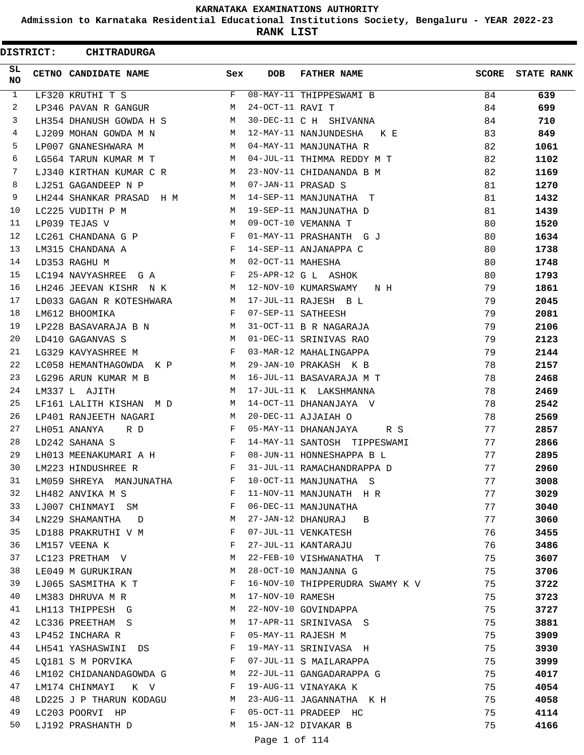**Admission to Karnataka Residential Educational Institutions Society, Bengaluru - YEAR 2022-23**

**RANK LIST**

 $\blacksquare$ 

|              | <b>DISTRICT:</b> | <b>CHITRADURGA</b>                                                                |                                          |                   |                                 |       |                   |
|--------------|------------------|-----------------------------------------------------------------------------------|------------------------------------------|-------------------|---------------------------------|-------|-------------------|
| SL.<br>NO.   |                  | CETNO CANDIDATE NAME                                                              | Sex                                      | <b>DOB</b>        | <b>FATHER NAME</b>              | SCORE | <b>STATE RANK</b> |
| $\mathbf{1}$ |                  | LF320 KRUTHI T S                                                                  | F                                        |                   | 08-MAY-11 THIPPESWAMI B         | 84    | 639               |
| 2            |                  | LP346 PAVAN R GANGUR                                                              | M                                        | 24-OCT-11 RAVI T  |                                 | 84    | 699               |
| 3            |                  | LH354 DHANUSH GOWDA H S                                                           | M                                        |                   | 30-DEC-11 C H SHIVANNA          | 84    | 710               |
| 4            |                  | LJ209 MOHAN GOWDA M N                                                             | M                                        |                   | 12-MAY-11 NANJUNDESHA KE        | 83    | 849               |
| 5            |                  | LP007 GNANESHWARA M                                                               | M                                        |                   | 04-MAY-11 MANJUNATHA R          | 82    | 1061              |
| 6            |                  | LG564 TARUN KUMAR M T                                                             | M                                        |                   | 04-JUL-11 THIMMA REDDY M T      | 82    | 1102              |
| 7            |                  | LJ340 KIRTHAN KUMAR C R                                                           | M                                        |                   | 23-NOV-11 CHIDANANDA B M        | 82    | 1169              |
| 8            |                  | LJ251 GAGANDEEP N P                                                               | M                                        |                   | 07-JAN-11 PRASAD S              | 81    | 1270              |
| 9            |                  | LH244 SHANKAR PRASAD H M                                                          | M                                        |                   | 14-SEP-11 MANJUNATHA T          | 81    | 1432              |
| 10           |                  | LC225 VUDITH P M                                                                  | M                                        |                   | 19-SEP-11 MANJUNATHA D          | 81    | 1439              |
| 11           |                  | LP039 TEJAS V                                                                     | M                                        |                   | 09-OCT-10 VEMANNA T             | 80    | 1520              |
| 12           |                  | LC261 CHANDANA G P F                                                              |                                          |                   | 01-MAY-11 PRASHANTH G J         | 80    | 1634              |
| 13           |                  | $\mathbf{F}$ . The contract of the contract of $\mathbf{F}$ ,<br>LM315 CHANDANA A |                                          |                   | 14-SEP-11 ANJANAPPA C           | 80    | 1738              |
| 14           |                  | LD353 RAGHU M                                                                     | M                                        | 02-OCT-11 MAHESHA |                                 | 80    | 1748              |
| 15           |                  | LC194 NAVYASHREE G A                                                              | F                                        |                   | 25-APR-12 G L ASHOK             | 80    | 1793              |
| 16           |                  | LH246 JEEVAN KISHR N K                                                            | M                                        |                   | 12-NOV-10 KUMARSWAMY<br>N H     | 79    | 1861              |
| 17           |                  | LD033 GAGAN R KOTESHWARA                                                          | M                                        |                   | 17-JUL-11 RAJESH B L            | 79    | 2045              |
| 18           |                  | LM612 BHOOMIKA                                                                    | $-F$                                     |                   | 07-SEP-11 SATHEESH              | 79    | 2081              |
| 19           |                  | M <sub>1</sub><br>LP228 BASAVARAJA B N                                            |                                          |                   | 31-OCT-11 B R NAGARAJA          | 79    | 2106              |
| 20           |                  | LD410 GAGANVAS S                                                                  | M                                        |                   | 01-DEC-11 SRINIVAS RAO          | 79    | 2123              |
| 21           |                  | LG329 KAVYASHREE M                                                                | F                                        |                   | 03-MAR-12 MAHALINGAPPA          | 79    | 2144              |
| 22           |                  | LC058 HEMANTHAGOWDA K P                                                           | M                                        |                   | 29-JAN-10 PRAKASH K B           | 78    | 2157              |
| 23           |                  | LG296 ARUN KUMAR M B                                                              | M                                        |                   | 16-JUL-11 BASAVARAJA M T        | 78    | 2468              |
| 24           |                  | LM337 L AJITH                                                                     | M                                        |                   | 17-JUL-11 K LAKSHMANNA          | 78    | 2469              |
| 25           |                  | LF161 LALITH KISHAN M D                                                           | M                                        |                   | 14-OCT-11 DHANANJAYA V          | 78    | 2542              |
| 26           |                  | LP401 RANJEETH NAGARI                                                             | M                                        |                   | 20-DEC-11 AJJAIAH O             | 78    | 2569              |
| 27           |                  | LH051 ANANYA<br>R D                                                               | F                                        |                   | 05-MAY-11 DHANANJAYA<br>R S     | 77    | 2857              |
| 28           |                  | LD242 SAHANA S                                                                    | F                                        |                   | 14-MAY-11 SANTOSH TIPPESWAMI    | 77    | 2866              |
| 29           |                  | LH013 MEENAKUMARI A H                                                             | $\mathbf{F}$ and the set of $\mathbf{F}$ |                   | 08-JUN-11 HONNESHAPPA B L       | 77    | 2895              |
| 30           |                  | LM223 HINDUSHREE R                                                                | F                                        |                   | 31-JUL-11 RAMACHANDRAPPA D      | 77    | 2960              |
| 31           |                  | LM059 SHREYA MANJUNATHA                                                           | F                                        |                   | 10-OCT-11 MANJUNATHA S          | 77    | 3008              |
| 32           |                  | LH482 ANVIKA M S                                                                  | F                                        |                   | 11-NOV-11 MANJUNATH H R         | 77    | 3029              |
| 33           |                  | LJ007 CHINMAYI SM                                                                 | F                                        |                   | 06-DEC-11 MANJUNATHA            | 77    | 3040              |
| 34           |                  | LN229 SHAMANTHA D                                                                 | M                                        |                   | 27-JAN-12 DHANURAJ<br>B         | 77    | 3060              |
| 35           |                  | LD188 PRAKRUTHI V M                                                               | F                                        |                   | 07-JUL-11 VENKATESH             | 76    | 3455              |
| 36           |                  | LM157 VEENA K                                                                     | F                                        |                   | 27-JUL-11 KANTARAJU             | 76    | 3486              |
| 37           |                  | LC123 PRETHAM V                                                                   | М                                        |                   | 22-FEB-10 VISHWANATHA T         | 75    | 3607              |
| 38           |                  | LE049 M GURUKIRAN                                                                 | М                                        |                   | 28-OCT-10 MANJANNA G            | 75    | 3706              |
| 39           |                  | LJ065 SASMITHA K T                                                                | F                                        |                   | 16-NOV-10 THIPPERUDRA SWAMY K V | 75    | 3722              |
| 40           |                  | LM383 DHRUVA M R                                                                  | M                                        | 17-NOV-10 RAMESH  |                                 | 75    | 3723              |
| 41           |                  | LH113 THIPPESH G                                                                  | M                                        |                   | 22-NOV-10 GOVINDAPPA            | 75    | 3727              |
| 42           |                  | LC336 PREETHAM S                                                                  | M                                        |                   | 17-APR-11 SRINIVASA S           | 75    | 3881              |
| 43           |                  | LP452 INCHARA R                                                                   | F                                        |                   | 05-MAY-11 RAJESH M              | 75    | 3909              |
| 44           |                  | LH541 YASHASWINI DS                                                               | F                                        |                   | 19-MAY-11 SRINIVASA H           | 75    | 3930              |
| 45           |                  | LQ181 S M PORVIKA                                                                 | F                                        |                   | 07-JUL-11 S MAILARAPPA          | 75    | 3999              |
| 46           |                  | LM102 CHIDANANDAGOWDA G                                                           | M                                        |                   | 22-JUL-11 GANGADARAPPA G        | 75    | 4017              |
| 47           |                  | LM174 CHINMAYI K V                                                                | F                                        |                   | 19-AUG-11 VINAYAKA K            | 75    | 4054              |
| 48           |                  | LD225 J P THARUN KODAGU                                                           | M                                        |                   | 23-AUG-11 JAGANNATHA K H        | 75    | 4058              |
| 49           |                  | LC203 POORVI HP                                                                   | F                                        |                   | 05-OCT-11 PRADEEP HC            | 75    | 4114              |
| 50           |                  | LJ192 PRASHANTH D                                                                 | M                                        |                   | 15-JAN-12 DIVAKAR B             | 75    | 4166              |
|              |                  |                                                                                   |                                          |                   |                                 |       |                   |

Page 1 of 114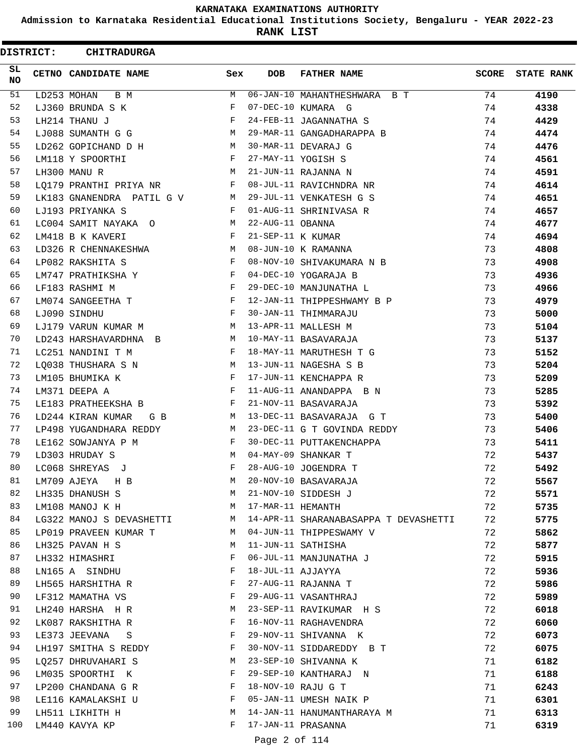**Admission to Karnataka Residential Educational Institutions Society, Bengaluru - YEAR 2022-23**

**RANK LIST**

ı

| <b>DISTRICT:</b> | <b>CHITRADURGA</b>        |              |                   |                                       |       |                   |
|------------------|---------------------------|--------------|-------------------|---------------------------------------|-------|-------------------|
| SL.<br>NO.       | CETNO CANDIDATE NAME      | Sex          | <b>DOB</b>        | <b>FATHER NAME</b>                    | SCORE | <b>STATE RANK</b> |
| 51               | LD253 MOHAN<br>B M        | М            |                   | 06-JAN-10 MAHANTHESHWARA B T          | 74    | 4190              |
| 52               | LJ360 BRUNDA S K          | F            |                   | 07-DEC-10 KUMARA G                    | 74    | 4338              |
| 53               | LH214 THANU J             | F            |                   | 24-FEB-11 JAGANNATHA S                | 74    | 4429              |
| 54               | LJ088 SUMANTH G G         | M            |                   | 29-MAR-11 GANGADHARAPPA B             | 74    | 4474              |
| 55               | LD262 GOPICHAND D H       | M            |                   | 30-MAR-11 DEVARAJ G                   | 74    | 4476              |
| 56               | LM118 Y SPOORTHI          | F            |                   | 27-MAY-11 YOGISH S                    | 74    | 4561              |
| 57               | LH300 MANU R              | M            |                   | 21-JUN-11 RAJANNA N                   | 74    | 4591              |
| 58               | LQ179 PRANTHI PRIYA NR    | F            |                   | 08-JUL-11 RAVICHNDRA NR               | 74    | 4614              |
| 59               | LK183 GNANENDRA PATIL G V | M            |                   | 29-JUL-11 VENKATESH G S               | 74    | 4651              |
| 60               | LJ193 PRIYANKA S          | F            |                   | 01-AUG-11 SHRINIVASA R                | 74    | 4657              |
| 61               | LC004 SAMIT NAYAKA O      | M            | 22-AUG-11 OBANNA  |                                       | 74    | 4677              |
| 62               | LM418 B K KAVERI          | F            | 21-SEP-11 K KUMAR |                                       | 74    | 4694              |
| 63               | LD326 R CHENNAKESHWA      | M            |                   | 08-JUN-10 K RAMANNA                   | 73    | 4808              |
| 64               | LP082 RAKSHITA S          | F            |                   | 08-NOV-10 SHIVAKUMARA N B             | 73    | 4908              |
| 65               | LM747 PRATHIKSHA Y        | F            |                   | 04-DEC-10 YOGARAJA B                  | 73    | 4936              |
| 66               | LF183 RASHMI M            | F            |                   | 29-DEC-10 MANJUNATHA L                | 73    | 4966              |
| 67               | LM074 SANGEETHA T         | F            |                   | 12-JAN-11 THIPPESHWAMY B P            | 73    | 4979              |
| 68               | LJ090 SINDHU              | F            |                   | 30-JAN-11 THIMMARAJU                  | 73    | 5000              |
| 69               | LJ179 VARUN KUMAR M       | M            |                   | 13-APR-11 MALLESH M                   | 73    | 5104              |
| 70               | LD243 HARSHAVARDHNA B     | M            |                   | 10-MAY-11 BASAVARAJA                  | 73    | 5137              |
| 71               | LC251 NANDINI T M         | $\mathbf{F}$ |                   | 18-MAY-11 MARUTHESH T G               | 73    | 5152              |
| 72               | LQ038 THUSHARA S N        | M            |                   | 13-JUN-11 NAGESHA S B                 | 73    | 5204              |
| 73               | LM105 BHUMIKA K           | F            |                   | 17-JUN-11 KENCHAPPA R                 | 73    | 5209              |
| 74               | LM371 DEEPA A             | F            |                   | 11-AUG-11 ANANDAPPA B N               | 73    | 5285              |
| 75               | LE183 PRATHEEKSHA B       | F            |                   | 21-NOV-11 BASAVARAJA                  | 73    | 5392              |
| 76               | LD244 KIRAN KUMAR<br>G B  | M            |                   | 13-DEC-11 BASAVARAJA G T              | 73    | 5400              |
| 77               | LP498 YUGANDHARA REDDY    | M            |                   | 23-DEC-11 G T GOVINDA REDDY           | 73    | 5406              |
| 78               | LE162 SOWJANYA P M        | F            |                   | 30-DEC-11 PUTTAKENCHAPPA              | 73    | 5411              |
| 79               | LD303 HRUDAY S            | M            |                   | 04-MAY-09 SHANKAR T                   | 72    | 5437              |
| 80               | LC068 SHREYAS J           | F            |                   | 28-AUG-10 JOGENDRA T                  | 72    | 5492              |
| 81               | LM709 AJEYA<br>H B        | М            |                   | 20-NOV-10 BASAVARAJA                  | 72    | 5567              |
| 82               | LH335 DHANUSH S           | M            |                   | 21-NOV-10 SIDDESH J                   | 72    | 5571              |
| 83               | LM108 MANOJ K H           | M            | 17-MAR-11 HEMANTH |                                       | 72    | 5735              |
| 84               | LG322 MANOJ S DEVASHETTI  | M            |                   | 14-APR-11 SHARANABASAPPA T DEVASHETTI | 72    | 5775              |
| 85               | LP019 PRAVEEN KUMAR T     | M            |                   | 04-JUN-11 THIPPESWAMY V               | 72    | 5862              |
| 86               | LH325 PAVAN H S           | М            |                   | 11-JUN-11 SATHISHA                    | 72    | 5877              |
| 87               | LH332 HIMASHRI            | F            |                   | 06-JUL-11 MANJUNATHA J                | 72    | 5915              |
| 88               | LN165 A SINDHU            | F            | 18-JUL-11 AJJAYYA |                                       | 72    | 5936              |
| 89               | LH565 HARSHITHA R         | F            |                   | 27-AUG-11 RAJANNA T                   | 72    | 5986              |
| 90               | LF312 MAMATHA VS          | F            |                   | 29-AUG-11 VASANTHRAJ                  | 72    | 5989              |
| 91               | LH240 HARSHA H R          | М            |                   | 23-SEP-11 RAVIKUMAR H S               | 72    | 6018              |
| 92               | LK087 RAKSHITHA R         | F            |                   | 16-NOV-11 RAGHAVENDRA                 | 72    | 6060              |
| 93               | LE373 JEEVANA S           | F            |                   | 29-NOV-11 SHIVANNA K                  | 72    | 6073              |
| 94               | LH197 SMITHA S REDDY      | F            |                   | 30-NOV-11 SIDDAREDDY B T              | 72    | 6075              |
| 95               | LQ257 DHRUVAHARI S        | М            |                   | 23-SEP-10 SHIVANNA K                  | 71    | 6182              |
| 96               | LM035 SPOORTHI K          | F            |                   | 29-SEP-10 KANTHARAJ N                 | 71    | 6188              |
| 97               | LP200 CHANDANA G R        | F            |                   | 18-NOV-10 RAJU G T                    | 71    | 6243              |
| 98               | LE116 KAMALAKSHI U        | F            |                   | 05-JAN-11 UMESH NAIK P                | 71    | 6301              |
| 99               | LH511 LIKHITH H           | М            |                   | 14-JAN-11 HANUMANTHARAYA M            | 71    | 6313              |
| 100              | LM440 KAVYA KP            | F            |                   | 17-JAN-11 PRASANNA                    | 71    | 6319              |
|                  |                           |              |                   |                                       |       |                   |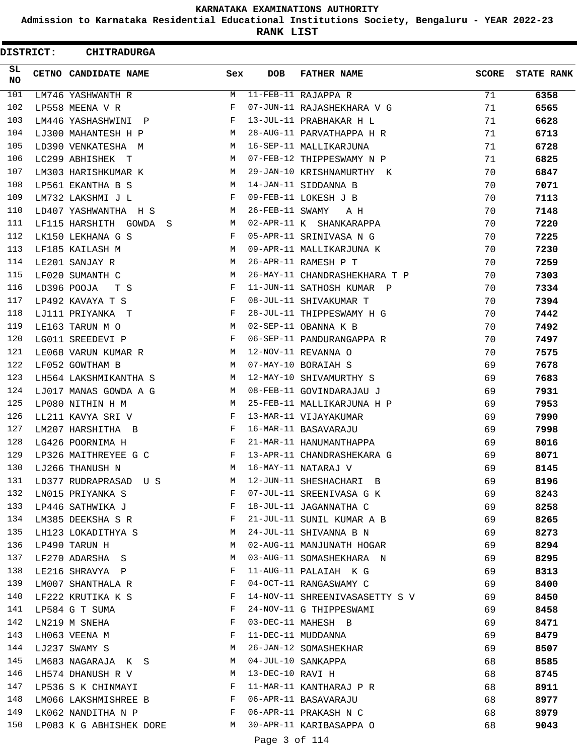**Admission to Karnataka Residential Educational Institutions Society, Bengaluru - YEAR 2022-23**

**RANK LIST**

| <b>DISTRICT:</b> | <b>CHITRADURGA</b>          |     |                  |                                |              |                   |
|------------------|-----------------------------|-----|------------------|--------------------------------|--------------|-------------------|
| SL<br><b>NO</b>  | CETNO CANDIDATE NAME        | Sex | <b>DOB</b>       | <b>FATHER NAME</b>             | <b>SCORE</b> | <b>STATE RANK</b> |
| 101              | LM746 YASHWANTH R           | M   |                  | 11-FEB-11 RAJAPPA R            | 71           | 6358              |
| 102              | LP558 MEENA V R             | F   |                  | 07-JUN-11 RAJASHEKHARA V G     | 71           | 6565              |
| 103              | LM446 YASHASHWINI P         | F   |                  | 13-JUL-11 PRABHAKAR H L        | 71           | 6628              |
| 104              | LJ300 MAHANTESH H P         | M   |                  | 28-AUG-11 PARVATHAPPA H R      | 71           | 6713              |
| 105              | LD390 VENKATESHA M          | M   |                  | 16-SEP-11 MALLIKARJUNA         | 71           | 6728              |
| 106              | LC299 ABHISHEK T            | M   |                  | 07-FEB-12 THIPPESWAMY N P      | 71           | 6825              |
| 107              | LM303 HARISHKUMAR K         | M   |                  | 29-JAN-10 KRISHNAMURTHY K      | 70           | 6847              |
| 108              | LP561 EKANTHA B S           | M   |                  | 14-JAN-11 SIDDANNA B           | 70           | 7071              |
| 109              | LM732 LAKSHMI J L           | F   |                  | 09-FEB-11 LOKESH J B           | 70           | 7113              |
| 110              | LD407 YASHWANTHA H S        | М   | 26-FEB-11 SWAMY  | A H                            | 70           | 7148              |
| 111              | LF115 HARSHITH GOWDA<br>- S | M   |                  | 02-APR-11 K SHANKARAPPA        | 70           | 7220              |
| 112              | LK150 LEKHANA G S           | F   |                  | 05-APR-11 SRINIVASA N G        | 70           | 7225              |
| 113              | LF185 KAILASH M             | M   |                  | 09-APR-11 MALLIKARJUNA K       | 70           | 7230              |
| 114              | LE201 SANJAY R              | M   |                  | 26-APR-11 RAMESH P T           | 70           | 7259              |
| 115              | LF020 SUMANTH C             | M   |                  | 26-MAY-11 CHANDRASHEKHARA T P  | 70           | 7303              |
| 116              | LD396 POOJA<br>T S          | F   |                  | 11-JUN-11 SATHOSH KUMAR P      | 70           | 7334              |
| 117              | LP492 KAVAYA T S            | F   |                  | 08-JUL-11 SHIVAKUMAR T         | 70           | 7394              |
| 118              | LJ111 PRIYANKA T            | F   |                  | 28-JUL-11 THIPPESWAMY H G      | 70           | 7442              |
| 119              | LE163 TARUN M O             | M   |                  | 02-SEP-11 OBANNA K B           | 70           | 7492              |
| 120              | LG011 SREEDEVI P            | F   |                  | 06-SEP-11 PANDURANGAPPA R      | 70           | 7497              |
| 121              | LE068 VARUN KUMAR R         | M   |                  | 12-NOV-11 REVANNA O            | 70           | 7575              |
| 122              | LF052 GOWTHAM B             | M   |                  | 07-MAY-10 BORAIAH S            | 69           | 7678              |
| 123              | LH564 LAKSHMIKANTHA S       | M   |                  | 12-MAY-10 SHIVAMURTHY S        | 69           | 7683              |
| 124              | LJ017 MANAS GOWDA A G       | M   |                  | 08-FEB-11 GOVINDARAJAU J       | 69           | 7931              |
| 125              | LP080 NITHIN H M            | M   |                  | 25-FEB-11 MALLIKARJUNA H P     | 69           | 7953              |
| 126              | LL211 KAVYA SRI V           | F   |                  | 13-MAR-11 VIJAYAKUMAR          | 69           | 7990              |
| 127              | LM207 HARSHITHA B           | F   |                  | 16-MAR-11 BASAVARAJU           | 69           | 7998              |
| 128              | LG426 POORNIMA H            | F   |                  | 21-MAR-11 HANUMANTHAPPA        | 69           | 8016              |
| 129              | LP326 MAITHREYEE G C        | F   |                  | 13-APR-11 CHANDRASHEKARA G     | 69           | 8071              |
| 130              | LJ266 THANUSH N             | М   |                  | 16-MAY-11 NATARAJ V            | 69           | 8145              |
| 131              | LD377 RUDRAPRASAD US        | M   |                  | 12-JUN-11 SHESHACHARI B        | 69           | 8196              |
| 132              | LN015 PRIYANKA S            | F   |                  | 07-JUL-11 SREENIVASA G K       | 69           | 8243              |
| 133              | LP446 SATHWIKA J            | F   |                  | 18-JUL-11 JAGANNATHA C         | 69           | 8258              |
| 134              | LM385 DEEKSHA S R           | F   |                  | 21-JUL-11 SUNIL KUMAR A B      | 69           | 8265              |
| 135              | LH123 LOKADITHYA S          | M   |                  | 24-JUL-11 SHIVANNA B N         | 69           | 8273              |
| 136              | LP490 TARUN H               | М   |                  | 02-AUG-11 MANJUNATH HOGAR      | 69           | 8294              |
| 137              | LF270 ADARSHA S             | М   |                  | 03-AUG-11 SOMASHEKHARA N       | 69           | 8295              |
| 138              | LE216 SHRAVYA P             | F   |                  | 11-AUG-11 PALAIAH K G          | 69           | 8313              |
| 139              | LM007 SHANTHALA R           | F   |                  | 04-OCT-11 RANGASWAMY C         | 69           | 8400              |
| 140              | LF222 KRUTIKA K S           | F   |                  | 14-NOV-11 SHREENIVASASETTY S V | 69           | 8450              |
| 141              | LP584 G T SUMA              | F   |                  | 24-NOV-11 G THIPPESWAMI        | 69           | 8458              |
| 142              | LN219 M SNEHA               | F   |                  | 03-DEC-11 MAHESH B             | 69           | 8471              |
| 143              | LH063 VEENA M               | F   |                  | 11-DEC-11 MUDDANNA             | 69           | 8479              |
| 144              | LJ237 SWAMY S               | M   |                  | 26-JAN-12 SOMASHEKHAR          | 69           | 8507              |
| 145              | LM683 NAGARAJA K S          | M   |                  | 04-JUL-10 SANKAPPA             | 68           | 8585              |
| 146              | LH574 DHANUSH R V           | M   | 13-DEC-10 RAVI H |                                | 68           | 8745              |
| 147              | LP536 S K CHINMAYI          | F   |                  | 11-MAR-11 KANTHARAJ P R        | 68           | 8911              |
| 148              | LM066 LAKSHMISHREE B        | F   |                  | 06-APR-11 BASAVARAJU           | 68           | 8977              |
| 149              | LK062 NANDITHA N P          | F   |                  | 06-APR-11 PRAKASH N C          | 68           | 8979              |
| 150              | LP083 K G ABHISHEK DORE     | M   |                  | 30-APR-11 KARIBASAPPA O        | 68           | 9043              |
|                  |                             |     |                  |                                |              |                   |

Page 3 of 114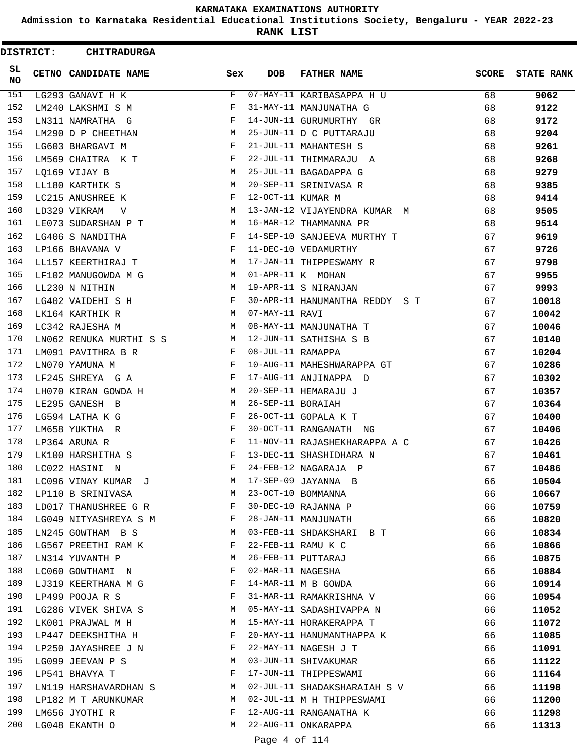**Admission to Karnataka Residential Educational Institutions Society, Bengaluru - YEAR 2022-23**

**RANK LIST**

 $\blacksquare$ 

| <b>DISTRICT:</b> | <b>CHITRADURGA</b>          |              |                   |                                |              |                   |
|------------------|-----------------------------|--------------|-------------------|--------------------------------|--------------|-------------------|
| SL.<br>NO.       | CETNO CANDIDATE NAME        | Sex          | <b>DOB</b>        | <b>FATHER NAME</b>             | <b>SCORE</b> | <b>STATE RANK</b> |
| 151              | LG293 GANAVI H K            | F            |                   | 07-MAY-11 KARIBASAPPA H U      | 68           | 9062              |
| 152              | LM240 LAKSHMI S M           | F            |                   | 31-MAY-11 MANJUNATHA G         | 68           | 9122              |
| 153              | LN311 NAMRATHA G            | F            |                   | 14-JUN-11 GURUMURTHY GR        | 68           | 9172              |
| 154              | LM290 D P CHEETHAN          | М            |                   | 25-JUN-11 D C PUTTARAJU        | 68           | 9204              |
| 155              | LG603 BHARGAVI M            | F            |                   | 21-JUL-11 MAHANTESH S          | 68           | 9261              |
| 156              | LM569 CHAITRA K T           | F            |                   | 22-JUL-11 THIMMARAJU A         | 68           | 9268              |
| 157              | LQ169 VIJAY B               | М            |                   | 25-JUL-11 BAGADAPPA G          | 68           | 9279              |
| 158              | LL180 KARTHIK S             | М            |                   | 20-SEP-11 SRINIVASA R          | 68           | 9385              |
| 159              | LC215 ANUSHREE K            | F            | 12-OCT-11 KUMAR M |                                | 68           | 9414              |
| 160              | LD329 VIKRAM<br>V           | M            |                   | 13-JAN-12 VIJAYENDRA KUMAR M   | 68           | 9505              |
| 161              | LE073 SUDARSHAN P T         | М            |                   | 16-MAR-12 THAMMANNA PR         | 68           | 9514              |
| 162              | LG406 S NANDITHA            | F            |                   | 14-SEP-10 SANJEEVA MURTHY T    | 67           | 9619              |
| 163              | LP166 BHAVANA V             | F            |                   | 11-DEC-10 VEDAMURTHY           | 67           | 9726              |
| 164              | LL157 KEERTHIRAJ T          | М            |                   | 17-JAN-11 THIPPESWAMY R        | 67           | 9798              |
| 165              | LF102 MANUGOWDA M G         | M            |                   | 01-APR-11 K MOHAN              | 67           | 9955              |
| 166              | LL230 N NITHIN              | М            |                   | 19-APR-11 S NIRANJAN           | 67           | 9993              |
| 167              | LG402 VAIDEHI S H           | F            |                   | 30-APR-11 HANUMANTHA REDDY S T | 67           | 10018             |
| 168              | LK164 KARTHIK R             | M            | 07-MAY-11 RAVI    |                                | 67           | 10042             |
| 169              | LC342 RAJESHA M             | M            |                   | 08-MAY-11 MANJUNATHA T         | 67           | 10046             |
| 170              | LN062 RENUKA MURTHI S S     | M            |                   | 12-JUN-11 SATHISHA S B         | 67           | 10140             |
| 171              | LM091 PAVITHRA B R          | F            | 08-JUL-11 RAMAPPA |                                | 67           | 10204             |
| 172              | LN070 YAMUNA M              | F            |                   | 10-AUG-11 MAHESHWARAPPA GT     | 67           | 10286             |
| 173              | LF245 SHREYA G A            | F            |                   | 17-AUG-11 ANJINAPPA D          | 67           | 10302             |
| 174              | LH070 KIRAN GOWDA H         | M            |                   | 20-SEP-11 HEMARAJU J           | 67           | 10357             |
| 175              | LE295 GANESH B              | M            | 26-SEP-11 BORAIAH |                                | 67           | 10364             |
| 176              | LG594 LATHA K G             | F            |                   | 26-OCT-11 GOPALA K T           | 67           | 10400             |
| 177              | LM658 YUKTHA R              | F            |                   | 30-OCT-11 RANGANATH NG         | 67           | 10406             |
| 178              | LP364 ARUNA R               | F            |                   | 11-NOV-11 RAJASHEKHARAPPA A C  | 67           | 10426             |
| 179              | LK100 HARSHITHA S           | F            |                   | 13-DEC-11 SHASHIDHARA N        | 67           | 10461             |
| 180              | LC022 HASINI<br>$\mathbb N$ | F            |                   | 24-FEB-12 NAGARAJA P           | 67           | 10486             |
| 181              | LC096 VINAY KUMAR J         | M            |                   | 17-SEP-09 JAYANNA B            | 66           | 10504             |
| 182              | LP110 B SRINIVASA           | M            |                   | 23-OCT-10 BOMMANNA             | 66           | 10667             |
| 183              | LD017 THANUSHREE G R        | F            |                   | 30-DEC-10 RAJANNA P            | 66           | 10759             |
| 184              | LG049 NITYASHREYA S M       | $\mathbf{F}$ |                   | 28-JAN-11 MANJUNATH            | 66           | 10820             |
| 185              | LN245 GOWTHAM B S           | <b>M</b>     |                   | 03-FEB-11 SHDAKSHARI B T       | 66           | 10834             |
| 186              | LG567 PREETHI RAM K         | F            |                   | 22-FEB-11 RAMU K C             | 66           | 10866             |
| 187              | LN314 YUVANTH P             | M            |                   | 26-FEB-11 PUTTARAJ             | 66           | 10875             |
| 188              | LC060 GOWTHAMI N            | F            | 02-MAR-11 NAGESHA |                                | 66           | 10884             |
| 189              | LJ319 KEERTHANA M G         | F            |                   | 14-MAR-11 M B GOWDA            | 66           | 10914             |
| 190              | LP499 POOJA R S             | F            |                   | 31-MAR-11 RAMAKRISHNA V        | 66           | 10954             |
| 191              | LG286 VIVEK SHIVA S         | M            |                   | 05-MAY-11 SADASHIVAPPA N       | 66           | 11052             |
| 192              | LK001 PRAJWAL M H           | М            |                   | 15-MAY-11 HORAKERAPPA T        | 66           | 11072             |
| 193              | LP447 DEEKSHITHA H          | F            |                   | 20-MAY-11 HANUMANTHAPPA K      | 66           | 11085             |
| 194              | LP250 JAYASHREE J N         | F            |                   | 22-MAY-11 NAGESH J T           | 66           | 11091             |
| 195              | LG099 JEEVAN P S            | M            |                   | 03-JUN-11 SHIVAKUMAR           | 66           | 11122             |
| 196              | LP541 BHAVYA T              | F            |                   | 17-JUN-11 THIPPESWAMI          | 66           | 11164             |
| 197              | LN119 HARSHAVARDHAN S       | M            |                   | 02-JUL-11 SHADAKSHARAIAH S V   | 66           | 11198             |
| 198              | LP182 M T ARUNKUMAR         | M            |                   | 02-JUL-11 M H THIPPESWAMI      | 66           | 11200             |
| 199              | LM656 JYOTHI R              | F            |                   | 12-AUG-11 RANGANATHA K         | 66           | 11298             |
| 200              | LG048 EKANTH O              | М            |                   | 22-AUG-11 ONKARAPPA            | 66           | 11313             |
|                  |                             |              |                   |                                |              |                   |

# Page 4 of 114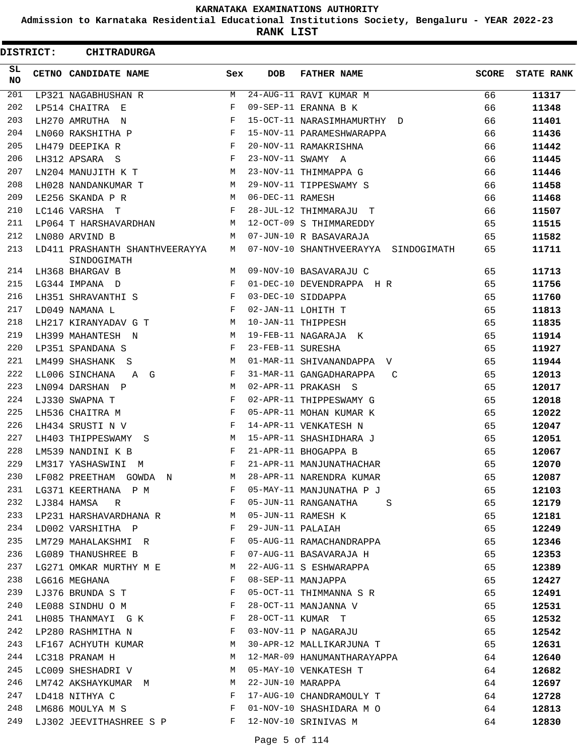**Admission to Karnataka Residential Educational Institutions Society, Bengaluru - YEAR 2022-23**

**RANK LIST**

| <b>DISTRICT:</b> | <b>CHITRADURGA</b>                            |     |                   |                                      |              |                   |
|------------------|-----------------------------------------------|-----|-------------------|--------------------------------------|--------------|-------------------|
| SL.<br>NO.       | CETNO CANDIDATE NAME                          | Sex | <b>DOB</b>        | <b>FATHER NAME</b>                   | <b>SCORE</b> | <b>STATE RANK</b> |
| 201              | LP321 NAGABHUSHAN R                           | М   |                   | 24-AUG-11 RAVI KUMAR M               | 66           | 11317             |
| 202              | LP514 CHAITRA E                               | F   |                   | 09-SEP-11 ERANNA B K                 | 66           | 11348             |
| 203              | LH270 AMRUTHA N                               | F   |                   | 15-OCT-11 NARASIMHAMURTHY D          | 66           | 11401             |
| 204              | LN060 RAKSHITHA P                             | F   |                   | 15-NOV-11 PARAMESHWARAPPA            | 66           | 11436             |
| 205              | LH479 DEEPIKA R                               | F   |                   | 20-NOV-11 RAMAKRISHNA                | 66           | 11442             |
| 206              | LH312 APSARA S                                | F   |                   | 23-NOV-11 SWAMY A                    | 66           | 11445             |
| 207              | LN204 MANUJITH K T                            | M   |                   | 23-NOV-11 THIMMAPPA G                | 66           | 11446             |
| 208              | LH028 NANDANKUMAR T                           | M   |                   | 29-NOV-11 TIPPESWAMY S               | 66           | 11458             |
| 209              | LE256 SKANDA P R                              | M   | 06-DEC-11 RAMESH  |                                      | 66           | 11468             |
| 210              | LC146 VARSHA T                                | F   |                   | 28-JUL-12 THIMMARAJU T               | 66           | 11507             |
| 211              | LP064 T HARSHAVARDHAN                         | М   |                   | 12-OCT-09 S THIMMAREDDY              | 65           | 11515             |
| 212              | LN080 ARVIND B                                | М   |                   | 07-JUN-10 R BASAVARAJA               | 65           | 11582             |
| 213              | LD411 PRASHANTH SHANTHVEERAYYA<br>SINDOGIMATH | M   |                   | 07-NOV-10 SHANTHVEERAYYA SINDOGIMATH | 65           | 11711             |
| 214              | LH368 BHARGAV B                               | M   |                   | 09-NOV-10 BASAVARAJU C               | 65           | 11713             |
| 215              | LG344 IMPANA D                                | F   |                   | 01-DEC-10 DEVENDRAPPA H R            | 65           | 11756             |
| 216              | LH351 SHRAVANTHI S                            | F   |                   | 03-DEC-10 SIDDAPPA                   | 65           | 11760             |
| 217              | LD049 NAMANA L                                | F   |                   | 02-JAN-11 LOHITH T                   | 65           | 11813             |
| 218              | LH217 KIRANYADAV G T                          | М   |                   | 10-JAN-11 THIPPESH                   | 65           | 11835             |
| 219              | LH399 MAHANTESH N                             | М   |                   | 19-FEB-11 NAGARAJA K                 | 65           | 11914             |
| 220              | LP351 SPANDANA S                              | F   | 23-FEB-11 SURESHA |                                      | 65           | 11927             |
| 221              | LM499 SHASHANK<br>-S                          | М   |                   | 01-MAR-11 SHIVANANDAPPA V            | 65           | 11944             |
| 222              | LL006 SINCHANA<br>A G                         | F   |                   | 31-MAR-11 GANGADHARAPPA<br>C         | 65           | 12013             |
| 223              | LN094 DARSHAN P                               | М   |                   | 02-APR-11 PRAKASH S                  | 65           | 12017             |
| 224              | LJ330 SWAPNA T                                | F   |                   | 02-APR-11 THIPPESWAMY G              | 65           | 12018             |
| 225              | LH536 CHAITRA M                               | F   |                   | 05-APR-11 MOHAN KUMAR K              | 65           | 12022             |
| 226              | LH434 SRUSTI N V                              | F   |                   | 14-APR-11 VENKATESH N                | 65           | 12047             |
| 227              | LH403 THIPPESWAMY<br>S.                       | M   |                   | 15-APR-11 SHASHIDHARA J              | 65           | 12051             |
| 228              | LM539 NANDINI K B                             | F   |                   | 21-APR-11 BHOGAPPA B                 | 65           | 12067             |
| 229              | LM317 YASHASWINI<br>M                         | F   |                   | 21-APR-11 MANJUNATHACHAR             | 65           | 12070             |
| 230              | LF082 PREETHAM GOWDA N                        | М   |                   | 28-APR-11 NARENDRA KUMAR             | 65           | 12087             |
| 231              | LG371 KEERTHANA P M                           | F   |                   | 05-MAY-11 MANJUNATHA P J             | 65           | 12103             |
| 232              | LJ384 HAMSA<br>R                              | F   |                   | 05-JUN-11 RANGANATHA<br>S            | 65           | 12179             |
| 233              | LP231 HARSHAVARDHANA R                        | М   |                   | 05-JUN-11 RAMESH K                   | 65           | 12181             |
| 234              | LD002 VARSHITHA P                             | F   | 29-JUN-11 PALAIAH |                                      | 65           | 12249             |
| 235              | LM729 MAHALAKSHMI R                           | F   |                   | 05-AUG-11 RAMACHANDRAPPA             | 65           | 12346             |
| 236              | LG089 THANUSHREE B                            | F   |                   | 07-AUG-11 BASAVARAJA H               | 65           | 12353             |
| 237              | LG271 OMKAR MURTHY M E                        | M   |                   | 22-AUG-11 S ESHWARAPPA               | 65           | 12389             |
| 238              | LG616 MEGHANA                                 | F   |                   | 08-SEP-11 MANJAPPA                   | 65           | 12427             |
| 239              | LJ376 BRUNDA S T                              | F   |                   | 05-OCT-11 THIMMANNA S R              | 65           | 12491             |
| 240              | LE088 SINDHU O M                              | F   |                   | 28-OCT-11 MANJANNA V                 | 65           | 12531             |
| 241              | LH085 THANMAYI G K                            | F   |                   | 28-OCT-11 KUMAR T                    | 65           | 12532             |
| 242              | LP280 RASHMITHA N                             | F   |                   | 03-NOV-11 P NAGARAJU                 | 65           | 12542             |
| 243              | LF167 ACHYUTH KUMAR                           | М   |                   | 30-APR-12 MALLIKARJUNA T             | 65           | 12631             |
| 244              | LC318 PRANAM H                                | М   |                   | 12-MAR-09 HANUMANTHARAYAPPA          | 64           | 12640             |
| 245              | LC009 SHESHADRI V                             | M   |                   | 05-MAY-10 VENKATESH T                | 64           | 12682             |
| 246              | LM742 AKSHAYKUMAR M                           | M   | 22-JUN-10 MARAPPA |                                      | 64           | 12697             |
| 247              | LD418 NITHYA C                                | F   |                   | 17-AUG-10 CHANDRAMOULY T             | 64           | 12728             |
| 248              | LM686 MOULYA M S                              | F   |                   | 01-NOV-10 SHASHIDARA M O             | 64           | 12813             |
| 249              | LJ302 JEEVITHASHREE S P                       | F   |                   | 12-NOV-10 SRINIVAS M                 | 64           | 12830             |
|                  |                                               |     |                   |                                      |              |                   |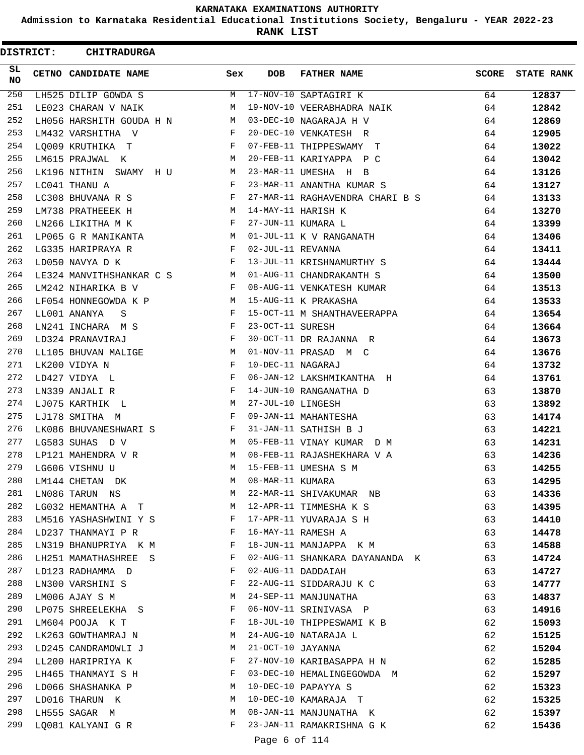**Admission to Karnataka Residential Educational Institutions Society, Bengaluru - YEAR 2022-23**

**RANK LIST**

| <b>DISTRICT:</b> | <b>CHITRADURGA</b>       |     |                   |                                 |       |                   |
|------------------|--------------------------|-----|-------------------|---------------------------------|-------|-------------------|
| SL.<br>NO.       | CETNO CANDIDATE NAME     | Sex | <b>DOB</b>        | <b>FATHER NAME</b>              | SCORE | <b>STATE RANK</b> |
| 250              | LH525 DILIP GOWDA S      | М   |                   | 17-NOV-10 SAPTAGIRI K           | 64    | 12837             |
| 251              | LE023 CHARAN V NAIK      | М   |                   | 19-NOV-10 VEERABHADRA NAIK      | 64    | 12842             |
| 252              | LH056 HARSHITH GOUDA H N | M   |                   | 03-DEC-10 NAGARAJA H V          | 64    | 12869             |
| 253              | LM432 VARSHITHA V        | F   |                   | 20-DEC-10 VENKATESH R           | 64    | 12905             |
| 254              | LQ009 KRUTHIKA T         | F   |                   | 07-FEB-11 THIPPESWAMY T         | 64    | 13022             |
| 255              | LM615 PRAJWAL K          | М   |                   | 20-FEB-11 KARIYAPPA P C         | 64    | 13042             |
| 256              | LK196 NITHIN SWAMY HU    | M   |                   | 23-MAR-11 UMESHA H B            | 64    | 13126             |
| 257              | LC041 THANU A            | F   |                   | 23-MAR-11 ANANTHA KUMAR S       | 64    | 13127             |
| 258              | LC308 BHUVANA R S        | F   |                   | 27-MAR-11 RAGHAVENDRA CHARI B S | 64    | 13133             |
| 259              | LM738 PRATHEEEK H        | М   |                   | 14-MAY-11 HARISH K              | 64    | 13270             |
| 260              | LN266 LIKITHA M K        | F   |                   | 27-JUN-11 KUMARA L              | 64    | 13399             |
| 261              | LP065 G R MANIKANTA      | М   |                   | 01-JUL-11 K V RANGANATH         | 64    | 13406             |
| 262              | LG335 HARIPRAYA R        | F   | 02-JUL-11 REVANNA |                                 | 64    | 13411             |
| 263              | LD050 NAVYA D K          | F   |                   | 13-JUL-11 KRISHNAMURTHY S       | 64    | 13444             |
| 264              | LE324 MANVITHSHANKAR C S | M   |                   | 01-AUG-11 CHANDRAKANTH S        | 64    | 13500             |
| 265              | LM242 NIHARIKA B V       | F   |                   | 08-AUG-11 VENKATESH KUMAR       | 64    | 13513             |
| 266              | LF054 HONNEGOWDA K P     | М   |                   | 15-AUG-11 K PRAKASHA            | 64    | 13533             |
| 267              | LL001 ANANYA<br>S        | F   |                   | 15-OCT-11 M SHANTHAVEERAPPA     | 64    | 13654             |
| 268              | LN241 INCHARA M S        | F   | 23-OCT-11 SURESH  |                                 | 64    | 13664             |
| 269              | LD324 PRANAVIRAJ         | F   |                   | 30-OCT-11 DR RAJANNA R          | 64    | 13673             |
| 270              | LL105 BHUVAN MALIGE      | М   |                   | 01-NOV-11 PRASAD M C            | 64    | 13676             |
| 271              | LK200 VIDYA N            | F   | 10-DEC-11 NAGARAJ |                                 | 64    | 13732             |
| 272              | LD427 VIDYA L            | F   |                   | 06-JAN-12 LAKSHMIKANTHA H       | 64    | 13761             |
| 273              | LN339 ANJALI R           | F   |                   | 14-JUN-10 RANGANATHA D          | 63    | 13870             |
| 274              | LJ075 KARTHIK L          | М   | 27-JUL-10 LINGESH |                                 | 63    | 13892             |
| 275              | LJ178 SMITHA M           | F   |                   | 09-JAN-11 MAHANTESHA            | 63    | 14174             |
| 276              | LK086 BHUVANESHWARI S    | F   |                   | 31-JAN-11 SATHISH B J           | 63    | 14221             |
| 277              | LG583 SUHAS D V          | M   |                   | 05-FEB-11 VINAY KUMAR D M       | 63    | 14231             |
| 278              | LP121 MAHENDRA V R       | М   |                   | 08-FEB-11 RAJASHEKHARA V A      | 63    | 14236             |
| 279              | LG606 VISHNU U           | М   |                   | 15-FEB-11 UMESHA S M            | 63    | 14255             |
| 280              | LM144 CHETAN DK          | М   | 08-MAR-11 KUMARA  |                                 | 63    | 14295             |
| 281              | LN086 TARUN NS           | M   |                   | 22-MAR-11 SHIVAKUMAR NB         | 63    | 14336             |
| 282              | LG032 HEMANTHA A T       | М   |                   | 12-APR-11 TIMMESHA K S          | 63    | 14395             |
| 283              | LM516 YASHASHWINI Y S    | F   |                   | 17-APR-11 YUVARAJA S H          | 63    | 14410             |
| 284              | LD237 THANMAYI P R       | F   |                   | 16-MAY-11 RAMESH A              | 63    | 14478             |
| 285              | LN319 BHANUPRIYA K M     | F   |                   | 18-JUN-11 MANJAPPA K M          | 63    | 14588             |
| 286              | LH251 MAMATHASHREE S     | F   |                   | 02-AUG-11 SHANKARA DAYANANDA K  | 63    | 14724             |
| 287              | LD123 RADHAMMA D         | F   |                   | 02-AUG-11 DADDAIAH              | 63    | 14727             |
| 288              | LN300 VARSHINI S         | F   |                   | 22-AUG-11 SIDDARAJU K C         | 63    | 14777             |
| 289              | LM006 AJAY S M           | M   |                   | 24-SEP-11 MANJUNATHA            | 63    | 14837             |
| 290              | LP075 SHREELEKHA S       | F   |                   | 06-NOV-11 SRINIVASA P           | 63    | 14916             |
| 291              | LM604 POOJA K T          | F   |                   | 18-JUL-10 THIPPESWAMI K B       | 62    | 15093             |
| 292              | LK263 GOWTHAMRAJ N       | М   |                   | 24-AUG-10 NATARAJA L            | 62    | 15125             |
| 293              | LD245 CANDRAMOWLI J      | M   | 21-OCT-10 JAYANNA |                                 | 62    | 15204             |
| 294              | LL200 HARIPRIYA K        | F   |                   | 27-NOV-10 KARIBASAPPA H N       | 62    | 15285             |
| 295              | LH465 THANMAYI S H       | F   |                   | 03-DEC-10 HEMALINGEGOWDA M      | 62    | 15297             |
| 296              | LD066 SHASHANKA P        | М   |                   | 10-DEC-10 PAPAYYA S             | 62    | 15323             |
| 297              | LD016 THARUN K           | M   |                   | 10-DEC-10 KAMARAJA T            | 62    | 15325             |
| 298              | LH555 SAGAR M            | М   |                   | 08-JAN-11 MANJUNATHA K          | 62    | 15397             |
| 299              | LQ081 KALYANI G R        | F   |                   | 23-JAN-11 RAMAKRISHNA G K       | 62    | 15436             |
|                  |                          |     |                   |                                 |       |                   |

Page 6 of 114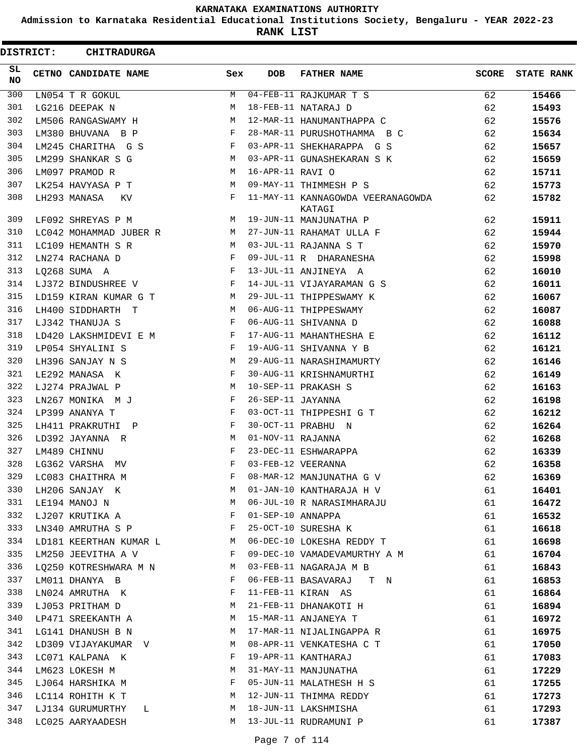**Admission to Karnataka Residential Educational Institutions Society, Bengaluru - YEAR 2022-23**

**RANK LIST**

| <b>DISTRICT:</b> | <b>CHITRADURGA</b>     |     |                   |                                             |              |                   |
|------------------|------------------------|-----|-------------------|---------------------------------------------|--------------|-------------------|
| SL<br>NO.        | CETNO CANDIDATE NAME   | Sex | <b>DOB</b>        | <b>FATHER NAME</b>                          | <b>SCORE</b> | <b>STATE RANK</b> |
| 300              | LN054 T R GOKUL        | M   |                   | 04-FEB-11 RAJKUMAR T S                      | 62           | 15466             |
| 301              | LG216 DEEPAK N         | М   |                   | 18-FEB-11 NATARAJ D                         | 62           | 15493             |
| 302              | LM506 RANGASWAMY H     | М   |                   | 12-MAR-11 HANUMANTHAPPA C                   | 62           | 15576             |
| 303              | LM380 BHUVANA B P      | F   |                   | 28-MAR-11 PURUSHOTHAMMA B C                 | 62           | 15634             |
| 304              | LM245 CHARITHA G S     | F   |                   | 03-APR-11 SHEKHARAPPA G S                   | 62           | 15657             |
| 305              | LM299 SHANKAR S G      | M   |                   | 03-APR-11 GUNASHEKARAN S K                  | 62           | 15659             |
| 306              | LM097 PRAMOD R         | М   | 16-APR-11 RAVI O  |                                             | 62           | 15711             |
| 307              | LK254 HAVYASA P T      | М   |                   | 09-MAY-11 THIMMESH P S                      | 62           | 15773             |
| 308              | LH293 MANASA<br>KV     | F   |                   | 11-MAY-11 KANNAGOWDA VEERANAGOWDA<br>KATAGI | 62           | 15782             |
| 309              | LF092 SHREYAS P M      | M   |                   | 19-JUN-11 MANJUNATHA P                      | 62           | 15911             |
| 310              | LC042 MOHAMMAD JUBER R | M   |                   | 27-JUN-11 RAHAMAT ULLA F                    | 62           | 15944             |
| 311              | LC109 HEMANTH S R      | М   |                   | 03-JUL-11 RAJANNA S T                       | 62           | 15970             |
| 312              | LN274 RACHANA D        | F   |                   | 09-JUL-11 R DHARANESHA                      | 62           | 15998             |
| 313              | LQ268 SUMA A           | F   |                   | 13-JUL-11 ANJINEYA A                        | 62           | 16010             |
| 314              | LJ372 BINDUSHREE V     | F   |                   | 14-JUL-11 VIJAYARAMAN G S                   | 62           | 16011             |
| 315              | LD159 KIRAN KUMAR G T  | М   |                   | 29-JUL-11 THIPPESWAMY K                     | 62           | 16067             |
| 316              | LH400 SIDDHARTH T      | М   |                   | 06-AUG-11 THIPPESWAMY                       | 62           | 16087             |
| 317              | LJ342 THANUJA S        | F   |                   | 06-AUG-11 SHIVANNA D                        | 62           | 16088             |
| 318              | LD420 LAKSHMIDEVI E M  | F   |                   | 17-AUG-11 MAHANTHESHA E                     | 62           | 16112             |
| 319              | LP054 SHYALINI S       | F   |                   | 19-AUG-11 SHIVANNA Y B                      | 62           | 16121             |
| 320              | LH396 SANJAY N S       | М   |                   | 29-AUG-11 NARASHIMAMURTY                    | 62           | 16146             |
| 321              | LE292 MANASA K         | F   |                   | 30-AUG-11 KRISHNAMURTHI                     | 62           | 16149             |
| 322              | LJ274 PRAJWAL P        | М   |                   | 10-SEP-11 PRAKASH S                         | 62           | 16163             |
| 323              | LN267 MONIKA M J       | F   | 26-SEP-11 JAYANNA |                                             | 62           | 16198             |
| 324              | LP399 ANANYA T         | F   |                   | 03-OCT-11 THIPPESHI G T                     | 62           | 16212             |
| 325              | LH411 PRAKRUTHI P      | F   |                   | 30-OCT-11 PRABHU N                          | 62           | 16264             |
| 326              | LD392 JAYANNA R        | М   | 01-NOV-11 RAJANNA |                                             | 62           | 16268             |
| 327              | LM489 CHINNU           | F   |                   | 23-DEC-11 ESHWARAPPA                        | 62           | 16339             |
| 328              | LG362 VARSHA<br>MV     | F   |                   | 03-FEB-12 VEERANNA                          | 62           | 16358             |
| 329              | LC083 CHAITHRA M       | F   |                   | 08-MAR-12 MANJUNATHA G V                    | 62           | 16369             |
| 330              | LH206 SANJAY K         | М   |                   | 01-JAN-10 KANTHARAJA H V                    | 61           | 16401             |
| 331              | LE194 MANOJ N          | М   |                   | 06-JUL-10 R NARASIMHARAJU                   | 61           | 16472             |
| 332              | LJ207 KRUTIKA A        | F   | 01-SEP-10 ANNAPPA |                                             | 61           | 16532             |
| 333              | LN340 AMRUTHA S P      | F   |                   | 25-OCT-10 SURESHA K                         | 61           | 16618             |
| 334              | LD181 KEERTHAN KUMAR L | M   |                   | 06-DEC-10 LOKESHA REDDY T                   | 61           | 16698             |
| 335              | LM250 JEEVITHA A V     | F   |                   | 09-DEC-10 VAMADEVAMURTHY A M                | 61           | 16704             |
| 336              | LQ250 KOTRESHWARA M N  | M   |                   | 03-FEB-11 NAGARAJA M B                      | 61           | 16843             |
| 337              | LM011 DHANYA B         | F   |                   | 06-FEB-11 BASAVARAJ<br>T N                  | 61           | 16853             |
| 338              | LN024 AMRUTHA K        | F   |                   | 11-FEB-11 KIRAN AS                          | 61           | 16864             |
| 339              | LJ053 PRITHAM D        | М   |                   | 21-FEB-11 DHANAKOTI H                       | 61           | 16894             |
| 340              | LP471 SREEKANTH A      | M   |                   | 15-MAR-11 ANJANEYA T                        | 61           | 16972             |
| 341              | LG141 DHANUSH B N      | M   |                   | 17-MAR-11 NIJALINGAPPA R                    | 61           | 16975             |
| 342              | LD309 VIJAYAKUMAR V    | M   |                   | 08-APR-11 VENKATESHA C T                    | 61           | 17050             |
| 343              | LC071 KALPANA K        | F   |                   | 19-APR-11 KANTHARAJ                         | 61           | 17083             |
| 344              | LM623 LOKESH M         | М   |                   | 31-MAY-11 MANJUNATHA                        | 61           | 17229             |
| 345              | LJ064 HARSHIKA M       | F   |                   | 05-JUN-11 MALATHESH H S                     | 61           | 17255             |
| 346              | LC114 ROHITH K T       | М   |                   | 12-JUN-11 THIMMA REDDY                      | 61           | 17273             |
| 347              | LJ134 GURUMURTHY<br>L. | M   |                   | 18-JUN-11 LAKSHMISHA                        | 61           | 17293             |
| 348              | LC025 AARYAADESH       | М   |                   | 13-JUL-11 RUDRAMUNI P                       | 61           | 17387             |
|                  |                        |     |                   |                                             |              |                   |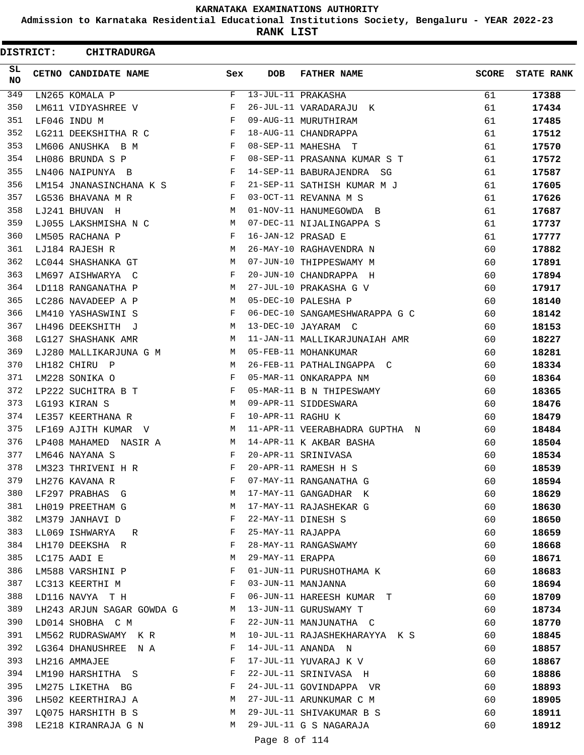**Admission to Karnataka Residential Educational Institutions Society, Bengaluru - YEAR 2022-23**

**RANK LIST**

 $\blacksquare$ 

| <b>DISTRICT:</b> | <b>CHITRADURGA</b>        |     |                   |                                |              |                   |
|------------------|---------------------------|-----|-------------------|--------------------------------|--------------|-------------------|
| SL.<br>NO.       | CETNO CANDIDATE NAME      | Sex | <b>DOB</b>        | <b>FATHER NAME</b>             | <b>SCORE</b> | <b>STATE RANK</b> |
| 349              | LN265 KOMALA P            | F   |                   | 13-JUL-11 PRAKASHA             | 61           | 17388             |
| 350              | LM611 VIDYASHREE V        | F   |                   | 26-JUL-11 VARADARAJU K         | 61           | 17434             |
| 351              | LF046 INDU M              | F   |                   | 09-AUG-11 MURUTHIRAM           | 61           | 17485             |
| 352              | LG211 DEEKSHITHA R C      | F   |                   | 18-AUG-11 CHANDRAPPA           | 61           | 17512             |
| 353              | LM606 ANUSHKA B M         | F   |                   | 08-SEP-11 MAHESHA T            | 61           | 17570             |
| 354              | LH086 BRUNDA S P          | F   |                   | 08-SEP-11 PRASANNA KUMAR S T   | 61           | 17572             |
| 355              | LN406 NAIPUNYA B          | F   |                   | 14-SEP-11 BABURAJENDRA SG      | 61           | 17587             |
| 356              | LM154 JNANASINCHANA K S   | F   |                   | 21-SEP-11 SATHISH KUMAR M J    | 61           | 17605             |
| 357              | LG536 BHAVANA M R         | F   |                   | 03-OCT-11 REVANNA M S          | 61           | 17626             |
| 358              | LJ241 BHUVAN H            | M   |                   | 01-NOV-11 HANUMEGOWDA B        | 61           | 17687             |
| 359              | LJ055 LAKSHMISHA N C      | М   |                   | 07-DEC-11 NIJALINGAPPA S       | 61           | 17737             |
| 360              | LM505 RACHANA P           | F   |                   | 16-JAN-12 PRASAD E             | 61           | 17777             |
| 361              | LJ184 RAJESH R            | М   |                   | 26-MAY-10 RAGHAVENDRA N        | 60           | 17882             |
| 362              | LC044 SHASHANKA GT        | M   |                   | 07-JUN-10 THIPPESWAMY M        | 60           | 17891             |
| 363              | LM697 AISHWARYA C         | F   |                   | 20-JUN-10 CHANDRAPPA H         | 60           | 17894             |
| 364              | LD118 RANGANATHA P        | М   |                   | 27-JUL-10 PRAKASHA G V         | 60           | 17917             |
| 365              | LC286 NAVADEEP A P        | M   |                   | 05-DEC-10 PALESHA P            | 60           | 18140             |
| 366              | LM410 YASHASWINI S        | F   |                   | 06-DEC-10 SANGAMESHWARAPPA G C | 60           | 18142             |
| 367              | LH496 DEEKSHITH J         | М   |                   | 13-DEC-10 JAYARAM C            | 60           | 18153             |
| 368              | LG127 SHASHANK AMR        | M   |                   | 11-JAN-11 MALLIKARJUNAIAH AMR  | 60           | 18227             |
| 369              | LJ280 MALLIKARJUNA G M    | M   |                   | 05-FEB-11 MOHANKUMAR           | 60           | 18281             |
| 370              | LH182 CHIRU P             | M   |                   | 26-FEB-11 PATHALINGAPPA C      | 60           | 18334             |
| 371              | LM228 SONIKA O            | F   |                   | 05-MAR-11 ONKARAPPA NM         | 60           | 18364             |
| 372              | LP222 SUCHITRA B T        | F   |                   | 05-MAR-11 B N THIPESWAMY       | 60           | 18365             |
| 373              | LG193 KIRAN S             | М   |                   | 09-APR-11 SIDDESWARA           | 60           | 18476             |
| 374              | LE357 KEERTHANA R         | F   | 10-APR-11 RAGHU K |                                | 60           | 18479             |
| 375              | LF169 AJITH KUMAR V       | М   |                   | 11-APR-11 VEERABHADRA GUPTHA N | 60           | 18484             |
| 376              | LP408 MAHAMED NASIR A     | M   |                   | 14-APR-11 K AKBAR BASHA        | 60           | 18504             |
| 377              | LM646 NAYANA S            | F   |                   | 20-APR-11 SRINIVASA            | 60           | 18534             |
| 378              | LM323 THRIVENI H R        | F   |                   | 20-APR-11 RAMESH H S           | 60           | 18539             |
| 379              | LH276 KAVANA R            | F   |                   | 07-MAY-11 RANGANATHA G         | 60           | 18594             |
| 380              | LF297 PRABHAS G           | M   |                   | 17-MAY-11 GANGADHAR K          | 60           | 18629             |
| 381              | LH019 PREETHAM G          | M   |                   | 17-MAY-11 RAJASHEKAR G         | 60           | 18630             |
| 382              | LM379 JANHAVI D           | F   |                   | 22-MAY-11 DINESH S             | 60           | 18650             |
| 383              | LL069 ISHWARYA R          | F   | 25-MAY-11 RAJAPPA |                                | 60           | 18659             |
| 384              | LH170 DEEKSHA R           | F   |                   | 28-MAY-11 RANGASWAMY           | 60           | 18668             |
| 385              | LC175 AADI E              | М   | 29-MAY-11 ERAPPA  |                                | 60           | 18671             |
| 386              | LM588 VARSHINI P          | F   |                   | 01-JUN-11 PURUSHOTHAMA K       | 60           | 18683             |
| 387              | LC313 KEERTHI M           | F   |                   | 03-JUN-11 MANJANNA             | 60           | 18694             |
| 388              | LD116 NAVYA T H           | F   |                   | 06-JUN-11 HAREESH KUMAR T      | 60           | 18709             |
| 389              | LH243 ARJUN SAGAR GOWDA G | M   |                   | 13-JUN-11 GURUSWAMY T          | 60           | 18734             |
| 390              | LD014 SHOBHA C M          | F   |                   | 22-JUN-11 MANJUNATHA C         | 60           | 18770             |
| 391              | LM562 RUDRASWAMY KR       | M   |                   | 10-JUL-11 RAJASHEKHARAYYA K S  | 60           | 18845             |
| 392              | LG364 DHANUSHREE N A      | F   |                   | 14-JUL-11 ANANDA N             | 60           | 18857             |
| 393              | LH216 AMMAJEE             | F   |                   | 17-JUL-11 YUVARAJ K V          | 60           | 18867             |
| 394              | LM190 HARSHITHA S         | F   |                   | 22-JUL-11 SRINIVASA H          | 60           | 18886             |
| 395              | LM275 LIKETHA BG          | F   |                   | 24-JUL-11 GOVINDAPPA VR        | 60           | 18893             |
| 396              | LH502 KEERTHIRAJ A        | M   |                   | 27-JUL-11 ARUNKUMAR C M        | 60           | 18905             |
| 397              | LQ075 HARSHITH B S        | M   |                   | 29-JUL-11 SHIVAKUMAR B S       | 60           | 18911             |
| 398              | LE218 KIRANRAJA G N       | М   |                   | 29-JUL-11 G S NAGARAJA         | 60           | 18912             |
|                  |                           |     |                   |                                |              |                   |

Page 8 of 114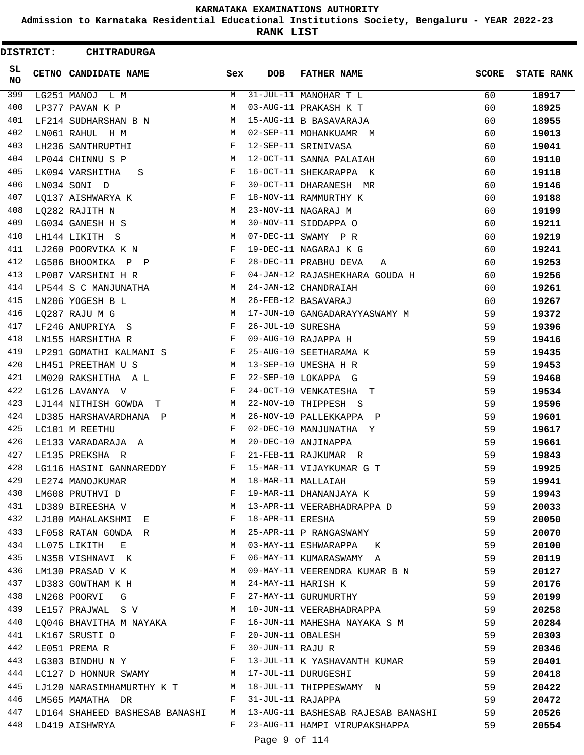**Admission to Karnataka Residential Educational Institutions Society, Bengaluru - YEAR 2022-23**

**RANK LIST**

| <b>DISTRICT:</b> | <b>CHITRADURGA</b>                                                  |              |                   |                                                                        |              |                   |
|------------------|---------------------------------------------------------------------|--------------|-------------------|------------------------------------------------------------------------|--------------|-------------------|
| SL.<br>NO        | CETNO CANDIDATE NAME                                                | Sex          | <b>DOB</b>        | <b>FATHER NAME</b>                                                     | <b>SCORE</b> | <b>STATE RANK</b> |
| 399              | LG251 MANOJ L M                                                     | M            |                   | 31-JUL-11 MANOHAR T L                                                  | 60           | 18917             |
| 400              | LP377 PAVAN K P                                                     | М            |                   | 03-AUG-11 PRAKASH K T                                                  | 60           | 18925             |
| 401              | LF214 SUDHARSHAN B N                                                | M            |                   | 15-AUG-11 B BASAVARAJA                                                 | 60           | 18955             |
| 402              | LN061 RAHUL H M                                                     | M            |                   | 02-SEP-11 MOHANKUAMR M                                                 | 60           | 19013             |
| 403              | LH236 SANTHRUPTHI                                                   | F            |                   | 12-SEP-11 SRINIVASA                                                    | 60           | 19041             |
| 404              | LP044 CHINNU S P                                                    | M            |                   | 12-OCT-11 SANNA PALAIAH                                                | 60           | 19110             |
| 405              | LK094 VARSHITHA<br>S                                                | F            |                   | 16-OCT-11 SHEKARAPPA K                                                 | 60           | 19118             |
| 406              | LN034 SONI D                                                        | F            |                   | 30-OCT-11 DHARANESH MR                                                 | 60           | 19146             |
| 407              | LQ137 AISHWARYA K                                                   | F            |                   | 18-NOV-11 RAMMURTHY K                                                  | 60           | 19188             |
| 408              | LQ282 RAJITH N<br>M <sub>N</sub>                                    |              |                   | 23-NOV-11 NAGARAJ M                                                    | 60           | 19199             |
| 409              | LG034 GANESH H S                                                    | M            |                   | 30-NOV-11 SIDDAPPA O                                                   | 60           | 19211             |
| 410              | LH144 LIKITH S                                                      | M            |                   | 07-DEC-11 SWAMY P R                                                    | 60           | 19219             |
| 411              | LJ260 POORVIKA K N                                                  | F            |                   | 19-DEC-11 NAGARAJ K G                                                  | 60           | 19241             |
| 412              | LG586 BHOOMIKA P P                                                  | F            |                   | 28-DEC-11 PRABHU DEVA<br>A                                             | 60           | 19253             |
| 413              | LP087 VARSHINI H R                                                  | F            |                   | 04-JAN-12 RAJASHEKHARA GOUDA H                                         | 60           | 19256             |
| 414              | LP544 S C MANJUNATHA                                                | M            |                   | 24-JAN-12 CHANDRAIAH                                                   | 60           | 19261             |
| 415              | LN206 YOGESH B L                                                    | M            |                   | 26-FEB-12 BASAVARAJ                                                    | 60           | 19267             |
| 416              | LQ287 RAJU M G                                                      | M            |                   | 17-JUN-10 GANGADARAYYASWAMY M                                          | 59           | 19372             |
| 417              | LF246 ANUPRIYA S                                                    | F            | 26-JUL-10 SURESHA |                                                                        | 59           | 19396             |
| 418              | LN155 HARSHITHA R                                                   | $\mathbf{F}$ |                   | 09-AUG-10 RAJAPPA H                                                    | 59           | 19416             |
| 419              | LP291 GOMATHI KALMANI S                                             | $\mathbf{F}$ |                   | 25-AUG-10 SEETHARAMA K                                                 | 59           | 19435             |
| 420              | LH451 PREETHAM U S                                                  | M            |                   | 13-SEP-10 UMESHA H R                                                   | 59           | 19453             |
| 421              | LM020 RAKSHITHA A L                                                 | F            |                   | 22-SEP-10 LOKAPPA G                                                    | 59           | 19468             |
| 422              | LG126 LAVANYA V                                                     | F            |                   | 24-OCT-10 VENKATESHA T                                                 | 59           | 19534             |
| 423              | LJ144 NITHISH GOWDA T                                               | M            |                   | 22-NOV-10 THIPPESH S                                                   | 59           | 19596             |
| 424              | LD385 HARSHAVARDHANA P                                              | M            |                   | 26-NOV-10 PALLEKKAPPA P                                                | 59           | 19601             |
| 425              | LC101 M REETHU                                                      | F            |                   | 02-DEC-10 MANJUNATHA Y                                                 | 59           | 19617             |
| 426              | LE133 VARADARAJA A                                                  | M            |                   | 20-DEC-10 ANJINAPPA                                                    | 59           | 19661             |
| 427              | LE135 PREKSHA R                                                     | F            |                   | 21-FEB-11 RAJKUMAR R                                                   | 59           | 19843             |
| 428              | LG116 HASINI GANNAREDDY                                             | F            |                   | 15-MAR-11 VIJAYKUMAR G T                                               | 59           | 19925             |
| 429              | LE274 MANOJKUMAR                                                    | M            |                   | 18-MAR-11 MALLAIAH                                                     | 59           | 19941             |
| 430              | LM608 PRUTHVI D                                                     | F            |                   | 19-MAR-11 DHANANJAYA K                                                 | 59           | 19943             |
| 431              | LD389 BIREESHA V                                                    | М            |                   | 13-APR-11 VEERABHADRAPPA D                                             | 59           | 20033             |
| 432              | LJ180 MAHALAKSHMI E                                                 | F            | 18-APR-11 ERESHA  |                                                                        | 59           | 20050             |
| 433              | LF058 RATAN GOWDA R                                                 | M            |                   | 25-APR-11 P RANGASWAMY                                                 | 59           | 20070             |
| 434              | LL075 LIKITH<br>Е                                                   | M            |                   | 03-MAY-11 ESHWARAPPA K                                                 | 59           | 20100             |
| 435              | LN358 VISHNAVI K                                                    | F            |                   | 06-MAY-11 KUMARASWAMY A                                                | 59           | 20119             |
| 436              | LM130 PRASAD V K                                                    | M            |                   | 09-MAY-11 VEERENDRA KUMAR B N                                          | 59           | 20127             |
| 437              | LD383 GOWTHAM K H                                                   | M            |                   | 24-MAY-11 HARISH K                                                     | 59           | 20176             |
| 438              | $\mathbf{F}$ and $\mathbf{F}$ and $\mathbf{F}$<br>LN268 POORVI<br>G |              |                   | 27-MAY-11 GURUMURTHY                                                   | 59           | 20199             |
| 439              | LE157 PRAJWAL SV                                                    | M            |                   | 10-JUN-11 VEERABHADRAPPA                                               | 59           | 20258             |
| 440              | LQ046 BHAVITHA M NAYAKA F                                           |              |                   | 16-JUN-11 MAHESHA NAYAKA S M                                           | 59           | 20284             |
| 441              | LK167 SRUSTI O                                                      | $_{\rm F}$   | 20-JUN-11 OBALESH |                                                                        | 59           | 20303             |
| 442              | LE051 PREMA R                                                       | F            | 30-JUN-11 RAJU R  |                                                                        | 59           | 20346             |
| 443              | LG303 BINDHU N Y $F$                                                |              |                   | 13-JUL-11 K YASHAVANTH KUMAR                                           | 59           | 20401             |
| 444              | LC127 D HONNUR SWAMY M                                              |              |                   | 17-JUL-11 DURUGESHI                                                    | 59           | 20418             |
| 445              |                                                                     |              |                   | LJ120 NARASIMHAMURTHY K T M 18-JUL-11 THIPPESWAMY N                    | 59           | 20422             |
| 446              | $\mathbf{F}$ and the set of $\mathbf{F}$<br>LM565 MAMATHA DR        |              | 31-JUL-11 RAJAPPA |                                                                        | 59           |                   |
| 447              |                                                                     |              |                   |                                                                        |              | 20472             |
| 448              | LD164 SHAHEED BASHESAB BANASHI M<br>LD419 AISHWRYA                  | F            |                   | 13-AUG-11 BASHESAB RAJESAB BANASHI 59<br>23-AUG-11 HAMPI VIRUPAKSHAPPA | 59           | 20526<br>20554    |
|                  |                                                                     |              |                   |                                                                        |              |                   |
|                  |                                                                     |              | Page 9 of 114     |                                                                        |              |                   |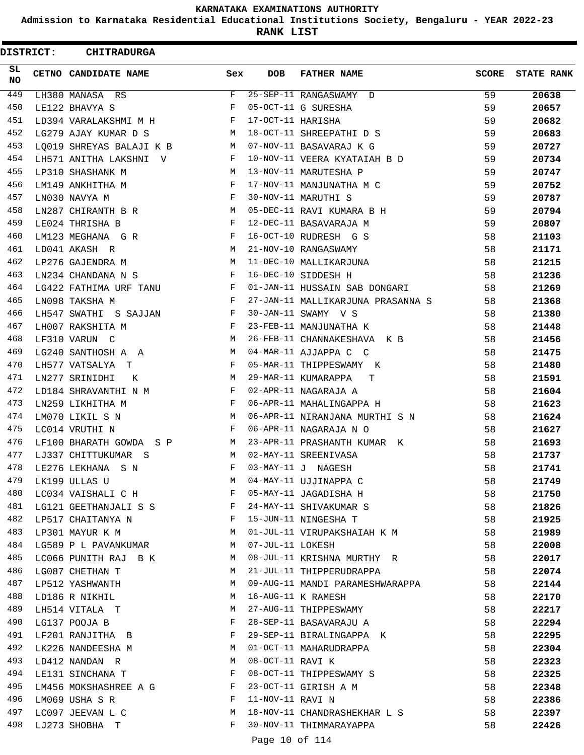**Admission to Karnataka Residential Educational Institutions Society, Bengaluru - YEAR 2022-23**

**RANK LIST**

ı

|                 | <b>DISTRICT:</b> | <b>CHITRADURGA</b>                   |              |                   |                                   |              |                   |
|-----------------|------------------|--------------------------------------|--------------|-------------------|-----------------------------------|--------------|-------------------|
| SL<br><b>NO</b> |                  | CETNO CANDIDATE NAME                 | Sex          | <b>DOB</b>        | <b>FATHER NAME</b>                | <b>SCORE</b> | <b>STATE RANK</b> |
| 449             |                  | LH380 MANASA RS                      | F            |                   | 25-SEP-11 RANGASWAMY D            | 59           | 20638             |
| 450             |                  | LE122 BHAVYA S                       | F            |                   | 05-OCT-11 G SURESHA               | 59           | 20657             |
| 451             |                  | LD394 VARALAKSHMI M H                | F            | 17-OCT-11 HARISHA |                                   | 59           | 20682             |
| 452             |                  | LG279 AJAY KUMAR D S                 | M            |                   | 18-OCT-11 SHREEPATHI D S          | 59           | 20683             |
| 453             |                  | LO019 SHREYAS BALAJI K B             | М            |                   | 07-NOV-11 BASAVARAJ K G           | 59           | 20727             |
| 454             |                  | LH571 ANITHA LAKSHNI<br>$\mathbf{V}$ | F            |                   | 10-NOV-11 VEERA KYATAIAH B D      | 59           | 20734             |
| 455             |                  | LP310 SHASHANK M                     | М            |                   | 13-NOV-11 MARUTESHA P             | 59           | 20747             |
| 456             |                  | LM149 ANKHITHA M                     | F            |                   | 17-NOV-11 MANJUNATHA M C          | 59           | 20752             |
| 457             |                  | LN030 NAVYA M                        | F            |                   | 30-NOV-11 MARUTHI S               | 59           | 20787             |
| 458             |                  | LN287 CHIRANTH B R                   | М            |                   | 05-DEC-11 RAVI KUMARA B H         | 59           | 20794             |
| 459             |                  | LE024 THRISHA B                      | F            |                   | 12-DEC-11 BASAVARAJA M            | 59           | 20807             |
| 460             |                  | LM123 MEGHANA G R                    | F            |                   | 16-OCT-10 RUDRESH G S             | 58           | 21103             |
| 461             |                  | LD041 AKASH R                        | M            |                   | 21-NOV-10 RANGASWAMY              | 58           | 21171             |
| 462             |                  | LP276 GAJENDRA M                     | М            |                   | 11-DEC-10 MALLIKARJUNA            | 58           | 21215             |
| 463             |                  | LN234 CHANDANA N S                   | F            |                   | 16-DEC-10 SIDDESH H               | 58           | 21236             |
| 464             |                  | LG422 FATHIMA URF TANU               | F            |                   | 01-JAN-11 HUSSAIN SAB DONGARI     | 58           | 21269             |
| 465             |                  | LN098 TAKSHA M                       | F            |                   | 27-JAN-11 MALLIKARJUNA PRASANNA S | 58           | 21368             |
| 466             |                  | LH547 SWATHI S SAJJAN                | F            |                   | 30-JAN-11 SWAMY V S               | 58           | 21380             |
| 467             |                  | LH007 RAKSHITA M                     | F            |                   | 23-FEB-11 MANJUNATHA K            | 58           | 21448             |
| 468             |                  | LF310 VARUN C                        | М            |                   | 26-FEB-11 CHANNAKESHAVA K B       | 58           | 21456             |
| 469             |                  | LG240 SANTHOSH A A                   | М            |                   | 04-MAR-11 AJJAPPA C C             | 58           | 21475             |
| 470             |                  | LH577 VATSALYA<br>т                  | F            |                   | 05-MAR-11 THIPPESWAMY K           | 58           | 21480             |
| 471             |                  | LN277 SRINIDHI                       | М            |                   | 29-MAR-11 KUMARAPPA               | 58           | 21591             |
| 472             |                  | Κ                                    | F            |                   | т<br>02-APR-11 NAGARAJA A         |              |                   |
| 473             |                  | LD184 SHRAVANTHI N M                 | F            |                   |                                   | 58           | 21604             |
| 474             |                  | LN259 LIKHITHA M                     | M            |                   | 06-APR-11 MAHALINGAPPA H          | 58           | 21623             |
|                 |                  | LM070 LIKIL S N                      |              |                   | 06-APR-11 NIRANJANA MURTHI S N    | 58           | 21624             |
| 475             |                  | LC014 VRUTHI N                       | F            |                   | 06-APR-11 NAGARAJA N O            | 58           | 21627             |
| 476             |                  | LF100 BHARATH GOWDA S P              | M            |                   | 23-APR-11 PRASHANTH KUMAR K       | 58           | 21693             |
| 477             |                  | LJ337 CHITTUKUMAR S                  | M            |                   | 02-MAY-11 SREENIVASA              | 58           | 21737             |
| 478             |                  | LE276 LEKHANA S N                    |              |                   | 03-MAY-11 J NAGESH                | 58           | 21741             |
| 479             |                  | LK199 ULLAS U                        | М            |                   | 04-MAY-11 UJJINAPPA C             | 58           | 21749             |
| 480             |                  | LC034 VAISHALI C H F                 |              |                   | 05-MAY-11 JAGADISHA H             | 58           | 21750             |
| 481             |                  | LG121 GEETHANJALI S S F              |              |                   | 24-MAY-11 SHIVAKUMAR S            | 58           | 21826             |
| 482             |                  | LP517 CHAITANYA N                    | $\mathbf{F}$ |                   | 15-JUN-11 NINGESHA T              | 58           | 21925             |
| 483             |                  | LP301 MAYUR K M                      | M            |                   | 01-JUL-11 VIRUPAKSHAIAH K M       | 58           | 21989             |
| 484             |                  | LG589 P L PAVANKUMAR                 | M            | 07-JUL-11 LOKESH  |                                   | 58           | 22008             |
| 485             |                  | LC066 PUNITH RAJ B K                 | M            |                   | 08-JUL-11 KRISHNA MURTHY R        | 58           | 22017             |
| 486             |                  | LG087 CHETHAN T                      | М            |                   | 21-JUL-11 THIPPERUDRAPPA          | 58           | 22074             |
| 487             |                  | LP512 YASHWANTH                      | М            |                   | 09-AUG-11 MANDI PARAMESHWARAPPA   | 58           | 22144             |
| 488             |                  | LD186 R NIKHIL                       | М            |                   | 16-AUG-11 K RAMESH                | 58           | 22170             |
| 489             |                  | LH514 VITALA T                       | M            |                   | 27-AUG-11 THIPPESWAMY             | 58           | 22217             |
| 490             |                  | LG137 POOJA B                        | F            |                   | 28-SEP-11 BASAVARAJU A            | 58           | 22294             |
| 491             |                  | LF201 RANJITHA B                     | F            |                   | 29-SEP-11 BIRALINGAPPA K          | 58           | 22295             |
| 492             |                  | LK226 NANDEESHA M                    | M            |                   | 01-OCT-11 MAHARUDRAPPA            | 58           | 22304             |
| 493             |                  | LD412 NANDAN R                       | M            | 08-OCT-11 RAVI K  |                                   | 58           | 22323             |
| 494             |                  | LE131 SINCHANA T                     | F            |                   | 08-OCT-11 THIPPESWAMY S           | 58           | 22325             |
| 495             |                  | LM456 MOKSHASHREE A G                | F            |                   | 23-OCT-11 GIRISH A M              | 58           | 22348             |
| 496             |                  | LM069 USHA S R                       | F            | 11-NOV-11 RAVI N  |                                   | 58           | 22386             |
| 497             |                  | LC097 JEEVAN L C                     | М            |                   | 18-NOV-11 CHANDRASHEKHAR L S      | 58           | 22397             |
| 498             |                  | LJ273 SHOBHA T                       | F            |                   | 30-NOV-11 THIMMARAYAPPA           | 58           | 22426             |
|                 |                  |                                      |              | Page 10 of 114    |                                   |              |                   |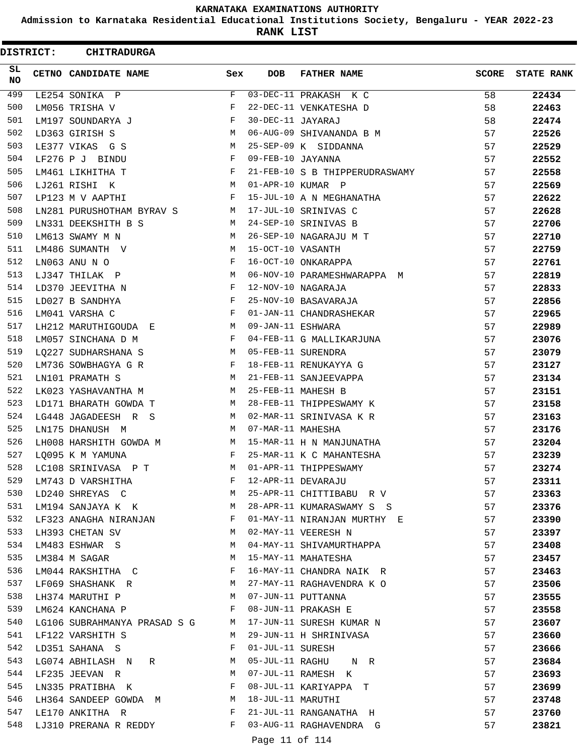**Admission to Karnataka Residential Educational Institutions Society, Bengaluru - YEAR 2022-23**

**RANK LIST**

ı

| <b>DISTRICT:</b> | <b>CHITRADURGA</b>                               |        |                   |                                                 |          |                   |
|------------------|--------------------------------------------------|--------|-------------------|-------------------------------------------------|----------|-------------------|
| SL.<br>NO        | CETNO CANDIDATE NAME                             | Sex    | <b>DOB</b>        | <b>FATHER NAME</b>                              | SCORE    | <b>STATE RANK</b> |
| 499              | LE254 SONIKA P                                   | F      |                   | $03-\overline{\text{DEC}-11}$ PRAKASH K C       | 58       | 22434             |
| 500              | LM056 TRISHA V                                   | F      |                   | 22-DEC-11 VENKATESHA D                          | 58       | 22463             |
| 501              | LM197 SOUNDARYA J                                | F      | 30-DEC-11 JAYARAJ |                                                 | 58       | 22474             |
| 502              | LD363 GIRISH S                                   | M      |                   | 06-AUG-09 SHIVANANDA B M                        | 57       | 22526             |
| 503              | LE377 VIKAS G S                                  | M      |                   | 25-SEP-09 K SIDDANNA                            | 57       | 22529             |
| 504              | LF276 P J BINDU                                  | F      | 09-FEB-10 JAYANNA |                                                 | 57       | 22552             |
| 505              | LM461 LIKHITHA T                                 | F      |                   | 21-FEB-10 S B THIPPERUDRASWAMY                  | 57       | 22558             |
| 506              | LJ261 RISHI K                                    | M      |                   | 01-APR-10 KUMAR P                               | 57       | 22569             |
| 507              | LP123 M V AAPTHI                                 | F      |                   | 15-JUL-10 A N MEGHANATHA                        | 57       | 22622             |
| 508              | LN281 PURUSHOTHAM BYRAV S                        | M      |                   | 17-JUL-10 SRINIVAS C                            | 57       | 22628             |
| 509              | LN331 DEEKSHITH B S                              | M      |                   | 24-SEP-10 SRINIVAS B                            | 57       | 22706             |
| 510              | LM613 SWAMY M N                                  | M      |                   | 26-SEP-10 NAGARAJU M T                          | 57       | 22710             |
| 511              | LM486 SUMANTH V                                  | M      | 15-OCT-10 VASANTH |                                                 | 57       | 22759             |
| 512              | LN063 ANU N O                                    | F      |                   | 16-OCT-10 ONKARAPPA                             | 57       | 22761             |
| 513              | LJ347 THILAK P                                   | M      |                   | 06-NOV-10 PARAMESHWARAPPA M                     | 57       | 22819             |
| 514              | LD370 JEEVITHA N                                 | F      |                   | 12-NOV-10 NAGARAJA                              | 57       | 22833             |
| 515              | LD027 B SANDHYA                                  | F      |                   | 25-NOV-10 BASAVARAJA                            | 57       | 22856             |
| 516              | LM041 VARSHA C                                   | F      |                   | 01-JAN-11 CHANDRASHEKAR                         | 57       | 22965             |
| 517              | LH212 MARUTHIGOUDA E                             | M      | 09-JAN-11 ESHWARA |                                                 | 57       | 22989             |
| 518              | LM057 SINCHANA D M                               | F      |                   | 04-FEB-11 G MALLIKARJUNA                        | 57       | 23076             |
| 519              | LQ227 SUDHARSHANA S                              | M      |                   | 05-FEB-11 SURENDRA                              | 57       | 23079             |
| 520              | LM736 SOWBHAGYA G R                              | F      |                   | 18-FEB-11 RENUKAYYA G                           | 57       | 23127             |
| 521              | LN101 PRAMATH S                                  | M      |                   | 21-FEB-11 SANJEEVAPPA                           | 57       | 23134             |
| 522              | LK023 YASHAVANTHA M                              | M      |                   | 25-FEB-11 MAHESH B                              | 57       | 23151             |
| 523              | LD171 BHARATH GOWDA T                            | M      |                   | 28-FEB-11 THIPPESWAMY K                         | 57       | 23158             |
| 524              | LG448 JAGADEESH R S                              | M      |                   | 02-MAR-11 SRINIVASA K R                         | 57       | 23163             |
| 525              | LN175 DHANUSH M                                  | M      | 07-MAR-11 MAHESHA |                                                 | 57       | 23176             |
| 526              | LH008 HARSHITH GOWDA M                           | M      |                   | 15-MAR-11 H N MANJUNATHA                        | 57       | 23204             |
| 527              | LO095 K M YAMUNA                                 | F      |                   | 25-MAR-11 K C MAHANTESHA                        | 57       | 23239             |
| 528              | LC108 SRINIVASA P T                              | M      |                   | 01-APR-11 THIPPESWAMY                           | 57       | 23274             |
| 529              | LM743 D VARSHITHA                                | F      |                   | 12-APR-11 DEVARAJU                              | 57       | 23311             |
| 530              | LD240 SHREYAS C                                  | M      |                   | 25-APR-11 CHITTIBABU R V                        | 57       | 23363             |
| 531              | LM194 SANJAYA KAK                                | M      |                   | 28-APR-11 KUMARASWAMY S S                       | 57       | 23376             |
| 532              | LF323 ANAGHA NIRANJAN                            | F      |                   | 01-MAY-11 NIRANJAN MURTHY E                     | 57       | 23390             |
| 533              | LH393 CHETAN SV                                  | M      |                   | 02-MAY-11 VEERESH N                             | 57       | 23397             |
| 534<br>535       | LM483 ESHWAR S                                   | M<br>М |                   | 04-MAY-11 SHIVAMURTHAPPA<br>15-MAY-11 MAHATESHA | 57       | 23408             |
| 536              | LM384 M SAGAR                                    | F      |                   | 16-MAY-11 CHANDRA NAIK R                        | 57<br>57 | 23457<br>23463    |
| 537              | LM044 RAKSHITHA C                                | M      |                   | 27-MAY-11 RAGHAVENDRA K O                       | 57       |                   |
| 538              | LF069 SHASHANK R<br>LH374 MARUTHI P              | M      |                   | 07-JUN-11 PUTTANNA                              | 57       | 23506             |
| 539              | LM624 KANCHANA P                                 | F      |                   | 08-JUN-11 PRAKASH E                             | 57       | 23555             |
| 540              |                                                  | M      |                   | 17-JUN-11 SURESH KUMAR N                        | 57       | 23558             |
| 541              | LG106 SUBRAHMANYA PRASAD S G<br>LF122 VARSHITH S | M      |                   | 29-JUN-11 H SHRINIVASA                          | 57       | 23607<br>23660    |
| 542              |                                                  | F      | 01-JUL-11 SURESH  |                                                 | 57       |                   |
| 543              | LD351 SAHANA S<br>LG074 ABHILASH N<br>R          | M      |                   | 05-JUL-11 RAGHU N R                             | 57       | 23666<br>23684    |
| 544              | LF235 JEEVAN R                                   | M      |                   | 07-JUL-11 RAMESH K                              | 57       | 23693             |
| 545              | LN335 PRATIBHA K                                 | F      |                   | 08-JUL-11 KARIYAPPA T                           | 57       | 23699             |
| 546              | LH364 SANDEEP GOWDA M                            | M      | 18-JUL-11 MARUTHI |                                                 | 57       | 23748             |
| 547              | LE170 ANKITHA R                                  | F      |                   | 21-JUL-11 RANGANATHA H                          | 57       | 23760             |
| 548              | LJ310 PRERANA R REDDY                            | F      |                   | 03-AUG-11 RAGHAVENDRA G                         | 57       | 23821             |
|                  |                                                  |        | Page 11 of 114    |                                                 |          |                   |
|                  |                                                  |        |                   |                                                 |          |                   |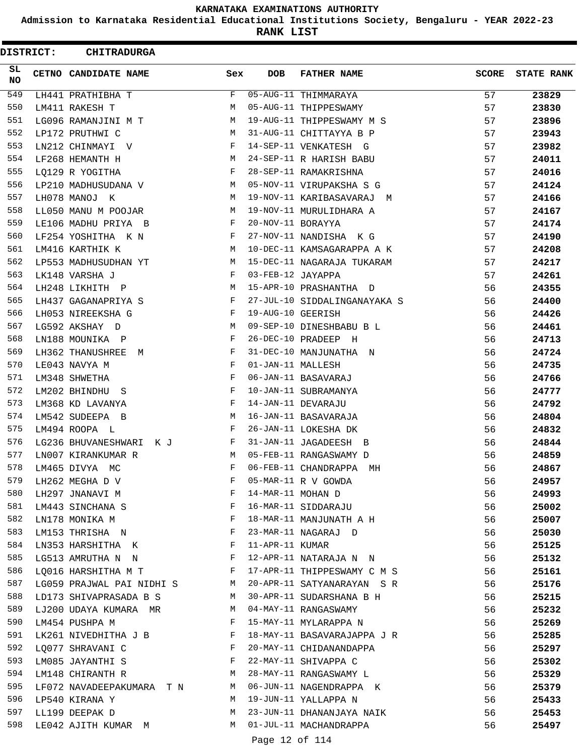**Admission to Karnataka Residential Educational Institutions Society, Bengaluru - YEAR 2022-23**

**RANK LIST**

ı

| <b>DISTRICT:</b> | <b>CHITRADURGA</b>                                                              |                       |                   |                              |              |                   |
|------------------|---------------------------------------------------------------------------------|-----------------------|-------------------|------------------------------|--------------|-------------------|
| SL.<br>NO        | CETNO CANDIDATE NAME                                                            | Sex                   | <b>DOB</b>        | <b>FATHER NAME</b>           | <b>SCORE</b> | <b>STATE RANK</b> |
| 549              | LH441 PRATHIBHA T                                                               | F                     |                   | 05-AUG-11 THIMMARAYA         | 57           | 23829             |
| 550              | LM411 RAKESH T                                                                  | M                     |                   | 05-AUG-11 THIPPESWAMY        | 57           | 23830             |
| 551              | LG096 RAMANJINI M T                                                             | М                     |                   | 19-AUG-11 THIPPESWAMY M S    | 57           | 23896             |
| 552              | LP172 PRUTHWI C                                                                 | M                     |                   | 31-AUG-11 CHITTAYYA B P      | 57           | 23943             |
| 553              | LN212 CHINMAYI V                                                                | F                     |                   | 14-SEP-11 VENKATESH G        | 57           | 23982             |
| 554              | LF268 HEMANTH H                                                                 | M                     |                   | 24-SEP-11 R HARISH BABU      | 57           | 24011             |
| 555              | LO129 R YOGITHA                                                                 | F                     |                   | 28-SEP-11 RAMAKRISHNA        | 57           | 24016             |
| 556              | LP210 MADHUSUDANA V                                                             | M                     |                   | 05-NOV-11 VIRUPAKSHA S G     | 57           | 24124             |
| 557              | LH078 MANOJ K                                                                   | М                     |                   | 19-NOV-11 KARIBASAVARAJ M    | 57           | 24166             |
| 558              | LL050 MANU M POOJAR                                                             | М                     |                   | 19-NOV-11 MURULIDHARA A      | 57           | 24167             |
| 559              | LE106 MADHU PRIYA B                                                             | F                     | 20-NOV-11 BORAYYA |                              | 57           | 24174             |
| 560              | LF254 YOSHITHA K N                                                              | F                     |                   | 27-NOV-11 NANDISHA KG        | 57           | 24190             |
| 561              | LM416 KARTHIK K                                                                 | М                     |                   | 10-DEC-11 KAMSAGARAPPA A K   | 57           | 24208             |
| 562              | LP553 MADHUSUDHAN YT                                                            | M                     |                   | 15-DEC-11 NAGARAJA TUKARAM   | 57           | 24217             |
| 563              | LK148 VARSHA J                                                                  | F                     | 03-FEB-12 JAYAPPA |                              | 57           | 24261             |
| 564              | LH248 LIKHITH P                                                                 | M                     |                   | 15-APR-10 PRASHANTHA D       | 56           | 24355             |
| 565              | LH437 GAGANAPRIYA S                                                             | F                     |                   | 27-JUL-10 SIDDALINGANAYAKA S | 56           | 24400             |
| 566              | LH053 NIREEKSHA G                                                               | F                     | 19-AUG-10 GEERISH |                              | 56           | 24426             |
| 567              | LG592 AKSHAY D                                                                  | М                     |                   | 09-SEP-10 DINESHBABU B L     | 56           | 24461             |
| 568              | LN188 MOUNIKA P                                                                 | F                     |                   | 26-DEC-10 PRADEEP H          | 56           | 24713             |
| 569              | LH362 THANUSHREE M                                                              | F                     |                   | 31-DEC-10 MANJUNATHA N       | 56           | 24724             |
| 570              | LE043 NAVYA M                                                                   | F                     | 01-JAN-11 MALLESH |                              | 56           | 24735             |
| 571              | LM348 SHWETHA                                                                   | F                     |                   | 06-JAN-11 BASAVARAJ          | 56           | 24766             |
| 572              | LM202 BHINDHU S                                                                 | F                     |                   | 10-JAN-11 SUBRAMANYA         | 56           | 24777             |
| 573              | LM368 KD LAVANYA                                                                | F                     |                   | 14-JAN-11 DEVARAJU           | 56           | 24792             |
| 574              | LM542 SUDEEPA B                                                                 | М                     |                   | 16-JAN-11 BASAVARAJA         | 56           | 24804             |
| 575              | LM494 ROOPA L                                                                   | F                     |                   | 26-JAN-11 LOKESHA DK         | 56           | 24832             |
| 576              | LG236 BHUVANESHWARI K J                                                         | F                     |                   | 31-JAN-11 JAGADEESH B        | 56           | 24844             |
| 577              | LN007 KIRANKUMAR R                                                              | М                     |                   | 05-FEB-11 RANGASWAMY D       | 56           | 24859             |
| 578              | LM465 DIVYA MC                                                                  | $\mathbf F$           |                   | 06-FEB-11 CHANDRAPPA MH      | 56           | 24867             |
| 579              | LH262 MEGHA D V                                                                 | F                     |                   | 05-MAR-11 R V GOWDA          | 56           | 24957             |
| 580              | LH297 JNANAVI M                                                                 | F                     | 14-MAR-11 MOHAN D |                              | 56           | 24993             |
| 581              | $\mathbf{F}$ and $\mathbf{F}$ and $\mathbf{F}$<br>LM443 SINCHANA S              |                       |                   | 16-MAR-11 SIDDARAJU          | 56           | 25002             |
| 582              | LN178 MONIKA M                                                                  | $\mathbb{F}$          |                   | 18-MAR-11 MANJUNATH A H      | 56           | 25007             |
| 583              | LM153 THRISHA N                                                                 | $\mathbb{F}^{\times}$ |                   | 23-MAR-11 NAGARAJ D          | 56           | 25030             |
| 584              | LN353 HARSHITHA K F                                                             |                       | 11-APR-11 KUMAR   |                              | 56           | 25125             |
| 585              | $\mathbf{F}$ and $\mathbf{F}$<br>LG513 AMRUTHA N N                              |                       |                   | 12-APR-11 NATARAJA N N       | 56           | 25132             |
| 586              | LO016 HARSHITHA M T                                                             | $\mathbf{F}$          |                   | 17-APR-11 THIPPESWAMY C M S  | 56           | 25161             |
| 587              | LG059 PRAJWAL PAI NIDHI S M                                                     |                       |                   | 20-APR-11 SATYANARAYAN S R   | 56           | 25176             |
| 588              | LD173 SHIVAPRASADA B S                                                          | M                     |                   | 30-APR-11 SUDARSHANA B H     | 56           | 25215             |
| 589              | LJ200 UDAYA KUMARA MR                                                           | <b>M</b>              |                   | 04-MAY-11 RANGASWAMY         | 56           | 25232             |
| 590              | LM454 PUSHPA M                                                                  | F                     |                   | 15-MAY-11 MYLARAPPA N        | 56           | 25269             |
| 591              | LK261 NIVEDHITHA J B F                                                          |                       |                   | 18-MAY-11 BASAVARAJAPPA J R  | 56           | 25285             |
| 592              | LQ077 SHRAVANI C<br>$\mathbf{F}$ . The contract of the contract of $\mathbf{F}$ |                       |                   | 20-MAY-11 CHIDANANDAPPA      | 56           | 25297             |
| 593              | $\mathbf{F}$ and $\mathbf{F}$ and $\mathbf{F}$<br>LM085 JAYANTHI S              |                       |                   | 22-MAY-11 SHIVAPPA C         | 56           | 25302             |
| 594              | LM148 CHIRANTH R                                                                | M                     |                   | 28-MAY-11 RANGASWAMY L       | 56           | 25329             |
| 595              | LF072 NAVADEEPAKUMARA T N                                                       | M                     |                   | 06-JUN-11 NAGENDRAPPA K      | 56           | 25379             |
| 596              | LP540 KIRANA Y                                                                  | M                     |                   | 19-JUN-11 YALLAPPA N         | 56           | 25433             |
| 597              | LL199 DEEPAK D                                                                  | M                     |                   | 23-JUN-11 DHANANJAYA NAIK    | 56           | 25453             |
| 598              | LE042 AJITH KUMAR M                                                             | M                     |                   | 01-JUL-11 MACHANDRAPPA       | 56           | 25497             |
|                  |                                                                                 |                       | Page 12 of 114    |                              |              |                   |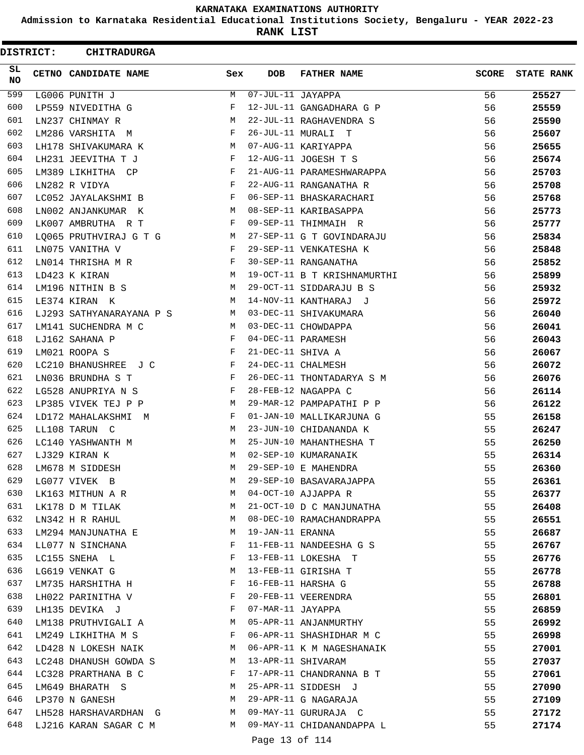**Admission to Karnataka Residential Educational Institutions Society, Bengaluru - YEAR 2022-23**

**RANK LIST**

| <b>DISTRICT:</b> | <b>CHITRADURGA</b>       |              |                   |                             |              |                   |
|------------------|--------------------------|--------------|-------------------|-----------------------------|--------------|-------------------|
| SL.<br>NO.       | CETNO CANDIDATE NAME     | Sex          | <b>DOB</b>        | <b>FATHER NAME</b>          | <b>SCORE</b> | <b>STATE RANK</b> |
| 599              | LG006 PUNITH J           | M            | 07-JUL-11 JAYAPPA |                             | 56           | 25527             |
| 600              | LP559 NIVEDITHA G        | F            |                   | 12-JUL-11 GANGADHARA G P    | 56           | 25559             |
| 601              | LN237 CHINMAY R          | М            |                   | 22-JUL-11 RAGHAVENDRA S     | 56           | 25590             |
| 602              | LM286 VARSHITA M         | F            |                   | 26-JUL-11 MURALI T          | 56           | 25607             |
| 603              | LH178 SHIVAKUMARA K      | М            |                   | 07-AUG-11 KARIYAPPA         | 56           | 25655             |
| 604              | LH231 JEEVITHA T J       | F            |                   | 12-AUG-11 JOGESH T S        | 56           | 25674             |
| 605              | LM389 LIKHITHA CP        | F            |                   | 21-AUG-11 PARAMESHWARAPPA   | 56           | 25703             |
| 606              | LN282 R VIDYA            | F            |                   | 22-AUG-11 RANGANATHA R      | 56           | 25708             |
| 607              | LC052 JAYALAKSHMI B      | F            |                   | 06-SEP-11 BHASKARACHARI     | 56           | 25768             |
| 608              | LN002 ANJANKUMAR K       | М            |                   | 08-SEP-11 KARIBASAPPA       | 56           | 25773             |
| 609              | LK007 AMBRUTHA R T       | F            |                   | 09-SEP-11 THIMMAIH R        | 56           | 25777             |
| 610              | LQ065 PRUTHVIRAJ G T G   | М            |                   | 27-SEP-11 G T GOVINDARAJU   | 56           | 25834             |
| 611              | LN075 VANITHA V          | F            |                   | 29-SEP-11 VENKATESHA K      | 56           | 25848             |
| 612              | LN014 THRISHA M R        | F            |                   | 30-SEP-11 RANGANATHA        | 56           | 25852             |
| 613              | LD423 K KIRAN            | M            |                   | 19-OCT-11 B T KRISHNAMURTHI | 56           | 25899             |
| 614              | LM196 NITHIN B S         | М            |                   | 29-OCT-11 SIDDARAJU B S     | 56           | 25932             |
| 615              | LE374 KIRAN K            | M            |                   | 14-NOV-11 KANTHARAJ J       | 56           | 25972             |
| 616              | LJ293 SATHYANARAYANA P S | M            |                   | 03-DEC-11 SHIVAKUMARA       | 56           | 26040             |
| 617              | LM141 SUCHENDRA M C      | M            |                   | 03-DEC-11 CHOWDAPPA         | 56           | 26041             |
| 618              | LJ162 SAHANA P           | F            |                   | 04-DEC-11 PARAMESH          | 56           | 26043             |
| 619              | LM021 ROOPA S            | F            | 21-DEC-11 SHIVA A |                             | 56           | 26067             |
| 620              | LC210 BHANUSHREE J C     | F            |                   | 24-DEC-11 CHALMESH          | 56           | 26072             |
| 621              | LN036 BRUNDHA S T        | F            |                   | 26-DEC-11 THONTADARYA S M   | 56           | 26076             |
| 622              | LG528 ANUPRIYA N S       | F            |                   | 28-FEB-12 NAGAPPA C         | 56           | 26114             |
| 623              | LP385 VIVEK TEJ P P      | M            |                   | 29-MAR-12 PAMPAPATHI P P    | 56           | 26122             |
| 624              | LD172 MAHALAKSHMI M      | F            |                   | 01-JAN-10 MALLIKARJUNA G    | 55           | 26158             |
| 625              | LL108 TARUN C            | М            |                   | 23-JUN-10 CHIDANANDA K      | 55           | 26247             |
| 626              | LC140 YASHWANTH M        | M            |                   | 25-JUN-10 MAHANTHESHA T     | 55           | 26250             |
| 627              | LJ329 KIRAN K            | M            |                   | 02-SEP-10 KUMARANAIK        | 55           | 26314             |
| 628              | LM678 M SIDDESH          | M            |                   | 29-SEP-10 E MAHENDRA        | 55           | 26360             |
| 629              | LG077 VIVEK B            | М            |                   | 29-SEP-10 BASAVARAJAPPA     | 55           | 26361             |
| 630              | LK163 MITHUN A R         | M            |                   | 04-OCT-10 AJJAPPA R         | 55           | 26377             |
| 631              | LK178 D M TILAK          | M            |                   | 21-OCT-10 D C MANJUNATHA    | 55           | 26408             |
| 632              | LN342 H R RAHUL          | M            |                   | 08-DEC-10 RAMACHANDRAPPA    | 55           | 26551             |
| 633              | LM294 MANJUNATHA E       | M            | 19-JAN-11 ERANNA  |                             | 55           | 26687             |
| 634              | LL077 N SINCHANA         | F            |                   | 11-FEB-11 NANDEESHA G S     | 55           | 26767             |
| 635              | LC155 SNEHA L            | F            |                   | 13-FEB-11 LOKESHA T         | 55           | 26776             |
| 636              | LG619 VENKAT G           | М            |                   | 13-FEB-11 GIRISHA T         | 55           | 26778             |
| 637              | LM735 HARSHITHA H        | F            |                   | 16-FEB-11 HARSHA G          | 55           | 26788             |
| 638              | LH022 PARINITHA V        | F            |                   | 20-FEB-11 VEERENDRA         | 55           | 26801             |
| 639              | LH135 DEVIKA J           | $\mathbf{F}$ | 07-MAR-11 JAYAPPA |                             | 55           | 26859             |
| 640              | LM138 PRUTHVIGALI A      | M            |                   | 05-APR-11 ANJANMURTHY       | 55           | 26992             |
| 641              | LM249 LIKHITHA M S       | F            |                   | 06-APR-11 SHASHIDHAR M C    | 55           | 26998             |
| 642              | LD428 N LOKESH NAIK      | M            |                   | 06-APR-11 K M NAGESHANAIK   | 55           | 27001             |
| 643              | LC248 DHANUSH GOWDA S    | M            |                   | 13-APR-11 SHIVARAM          | 55           | 27037             |
| 644              | LC328 PRARTHANA B C      | F            |                   | 17-APR-11 CHANDRANNA B T    | 55           | 27061             |
| 645              | LM649 BHARATH S          | M            |                   | 25-APR-11 SIDDESH J         | 55           | 27090             |
| 646              | LP370 N GANESH           | M            |                   | 29-APR-11 G NAGARAJA        | 55           | 27109             |
| 647              | LH528 HARSHAVARDHAN G    | M            |                   | 09-MAY-11 GURURAJA C        | 55           | 27172             |
| 648              | LJ216 KARAN SAGAR C M    | M            |                   | 09-MAY-11 CHIDANANDAPPA L   | 55           | 27174             |
|                  |                          |              | Page 13 of 114    |                             |              |                   |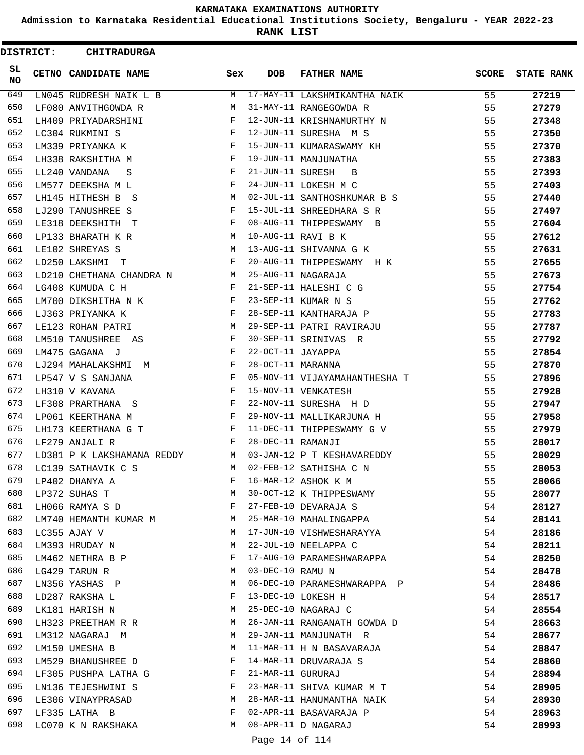**Admission to Karnataka Residential Educational Institutions Society, Bengaluru - YEAR 2022-23**

**RANK LIST**

| <b>DISTRICT:</b> | <b>CHITRADURGA</b>            |                   |                   |                               |              |                   |
|------------------|-------------------------------|-------------------|-------------------|-------------------------------|--------------|-------------------|
| SL.<br><b>NO</b> | CETNO CANDIDATE NAME          | Sex               | <b>DOB</b>        | <b>FATHER NAME</b>            | <b>SCORE</b> | <b>STATE RANK</b> |
| 649              | LN045 RUDRESH NAIK L B        | м                 |                   | 17-MAY-11 LAKSHMIKANTHA NAIK  | 55           | 27219             |
| 650              | LF080 ANVITHGOWDA R           | М                 |                   | 31-MAY-11 RANGEGOWDA R        | 55           | 27279             |
| 651              | LH409 PRIYADARSHINI           | F                 |                   | 12-JUN-11 KRISHNAMURTHY N     | 55           | 27348             |
| 652              | LC304 RUKMINI S               | F                 |                   | 12-JUN-11 SURESHA M S         | 55           | 27350             |
| 653              | LM339 PRIYANKA K              | $_{\rm F}$        |                   | 15-JUN-11 KUMARASWAMY KH      | 55           | 27370             |
| 654              | LH338 RAKSHITHA M             | F                 |                   | 19-JUN-11 MANJUNATHA          | 55           | 27383             |
| 655              | LL240 VANDANA<br>S            | F                 | 21-JUN-11 SURESH  | $\overline{B}$                | 55           | 27393             |
| 656              | LM577 DEEKSHA M L             | F                 |                   | 24-JUN-11 LOKESH M C          | 55           | 27403             |
| 657              | LH145 HITHESH B S             | М                 |                   | 02-JUL-11 SANTHOSHKUMAR B S   | 55           | 27440             |
| 658              | LJ290 TANUSHREE S             | F                 |                   | 15-JUL-11 SHREEDHARA S R      | 55           | 27497             |
| 659              | LE318 DEEKSHITH T             | $\mathbf{F}$      |                   | 08-AUG-11 THIPPESWAMY B       | 55           | 27604             |
| 660              | LP133 BHARATH K R             | M                 |                   | 10-AUG-11 RAVI B K            | 55           | 27612             |
| 661              | LE102 SHREYAS S               | м                 |                   | 13-AUG-11 SHIVANNA G K        | 55           | 27631             |
| 662              | LD250 LAKSHMI<br>$\mathbf{T}$ | F                 |                   | 20-AUG-11 THIPPESWAMY H K     | 55           | 27655             |
| 663              | LD210 CHETHANA CHANDRA N      | M                 |                   | 25-AUG-11 NAGARAJA            | 55           | 27673             |
| 664              | LG408 KUMUDA C H              | $\mathbf{F}$      |                   | 21-SEP-11 HALESHI C G         | 55           | 27754             |
| 665              | LM700 DIKSHITHA N K           | F                 |                   | 23-SEP-11 KUMAR N S           | 55           | 27762             |
| 666              | LJ363 PRIYANKA K              | F                 |                   | 28-SEP-11 KANTHARAJA P        | 55           | 27783             |
| 667              | LE123 ROHAN PATRI             | M                 |                   | 29-SEP-11 PATRI RAVIRAJU      | 55           | 27787             |
| 668              | LM510 TANUSHREE AS            | F                 |                   | 30-SEP-11 SRINIVAS R          | 55           | 27792             |
| 669              | LM475 GAGANA J                | F                 | 22-OCT-11 JAYAPPA |                               | 55           | 27854             |
| 670              | LJ294 MAHALAKSHMI M           | F                 | 28-OCT-11 MARANNA |                               | 55           | 27870             |
| 671              | LP547 V S SANJANA             | $_{\rm F}$        |                   | 05-NOV-11 VIJAYAMAHANTHESHA T | 55           | 27896             |
| 672              | LH310 V KAVANA                | F                 |                   | 15-NOV-11 VENKATESH           | 55           | 27928             |
| 673              | LF308 PRARTHANA S             | F                 |                   | 22-NOV-11 SURESHA H D         | 55           | 27947             |
| 674              | LP061 KEERTHANA M             | F                 |                   | 29-NOV-11 MALLIKARJUNA H      | 55           | 27958             |
| 675              | LH173 KEERTHANA G T           | F                 |                   | 11-DEC-11 THIPPESWAMY G V     | 55           | 27979             |
| 676              | LF279 ANJALI R                | F                 | 28-DEC-11 RAMANJI |                               | 55           | 28017             |
| 677              | LD381 P K LAKSHAMANA REDDY    | <b>Example 19</b> |                   | 03-JAN-12 P T KESHAVAREDDY    | 55           | 28029             |
| 678              | LC139 SATHAVIK C S            | M                 |                   | 02-FEB-12 SATHISHA C N        | 55           | 28053             |
| 679              | LP402 DHANYA A                | F                 |                   | 16-MAR-12 ASHOK K M           | 55           | 28066             |
| 680              | LP372 SUHAS T                 | М                 |                   | 30-OCT-12 K THIPPESWAMY       | 55           | 28077             |
| 681              | LH066 RAMYA S D               | F                 |                   | 27-FEB-10 DEVARAJA S          | 54           | 28127             |
| 682              | LM740 HEMANTH KUMAR M         |                   |                   | 25-MAR-10 MAHALINGAPPA        | 54           | 28141             |
| 683              | LC355 AJAY V                  | M                 |                   | 17-JUN-10 VISHWESHARAYYA      | 54           | 28186             |
| 684              | LM393 HRUDAY N                | М                 |                   | 22-JUL-10 NEELAPPA C          | 54           | 28211             |
| 685              | LM462 NETHRA B P              | F                 |                   | 17-AUG-10 PARAMESHWARAPPA     | 54           | 28250             |
| 686              | LG429 TARUN R                 | M                 | 03-DEC-10 RAMU N  |                               | 54           | 28478             |
| 687              | LN356 YASHAS P                | M                 |                   | 06-DEC-10 PARAMESHWARAPPA P   | 54           | 28486             |
| 688              | LD287 RAKSHA L                | $\mathbf{F}$      |                   | 13-DEC-10 LOKESH H            | 54           | 28517             |
| 689              | LK181 HARISH N                | M                 |                   | 25-DEC-10 NAGARAJ C           | 54           | 28554             |
| 690              | LH323 PREETHAM R R            | M                 |                   | 26-JAN-11 RANGANATH GOWDA D   | 54           | 28663             |
| 691              | LM312 NAGARAJ M               | M                 |                   | 29-JAN-11 MANJUNATH R         | 54           | 28677             |
| 692              | LM150 UMESHA B                | М                 |                   | 11-MAR-11 H N BASAVARAJA      | 54           | 28847             |
| 693              | LM529 BHANUSHREE D            | F                 |                   | 14-MAR-11 DRUVARAJA S         | 54           | 28860             |
| 694              | LF305 PUSHPA LATHA G          | F                 | 21-MAR-11 GURURAJ |                               | 54           | 28894             |
| 695              | LN136 TEJESHWINI S            | F                 |                   | 23-MAR-11 SHIVA KUMAR M T     | 54           | 28905             |
| 696              | LE306 VINAYPRASAD             | M                 |                   | 28-MAR-11 HANUMANTHA NAIK     | 54           | 28930             |
| 697              | LF335 LATHA B                 | F                 |                   | 02-APR-11 BASAVARAJA P        | 54           | 28963             |
| 698              | LC070 K N RAKSHAKA            | M                 |                   | 08-APR-11 D NAGARAJ           | 54           | 28993             |
|                  |                               |                   |                   |                               |              |                   |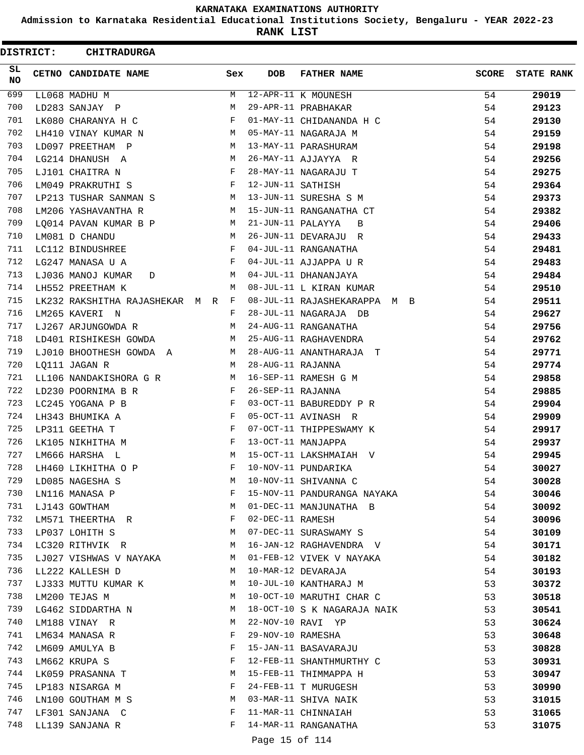**Admission to Karnataka Residential Educational Institutions Society, Bengaluru - YEAR 2022-23**

**RANK LIST**

ı

| <b>DISTRICT:</b> | <b>CHITRADURGA</b>                |            |                   |                              |              |                   |
|------------------|-----------------------------------|------------|-------------------|------------------------------|--------------|-------------------|
| SL.<br>NO        | CETNO CANDIDATE NAME              | Sex        | <b>DOB</b>        | <b>FATHER NAME</b>           | <b>SCORE</b> | <b>STATE RANK</b> |
| 699              | LL068 MADHU M                     | M          |                   | 12-APR-11 K MOUNESH          | 54           | 29019             |
| 700              | LD283 SANJAY P                    | M          |                   | 29-APR-11 PRABHAKAR          | 54           | 29123             |
| 701              | LK080 CHARANYA H C                | F          |                   | 01-MAY-11 CHIDANANDA H C     | 54           | 29130             |
| 702              | LH410 VINAY KUMAR N               | M          |                   | 05-MAY-11 NAGARAJA M         | 54           | 29159             |
| 703              | LD097 PREETHAM P                  | M          |                   | 13-MAY-11 PARASHURAM         | 54           | 29198             |
| 704              | LG214 DHANUSH A                   | M          |                   | 26-MAY-11 AJJAYYA R          | 54           | 29256             |
| 705              | LJ101 CHAITRA N                   | F          |                   | 28-MAY-11 NAGARAJU T         | 54           | 29275             |
| 706              | LM049 PRAKRUTHI S                 | F          | 12-JUN-11 SATHISH |                              | 54           | 29364             |
| 707              | LP213 TUSHAR SANMAN S             | M          |                   | 13-JUN-11 SURESHA S M        | 54           | 29373             |
| 708              | LM206 YASHAVANTHA R               | M          |                   | 15-JUN-11 RANGANATHA CT      | 54           | 29382             |
| 709              | LQ014 PAVAN KUMAR B P             | М          | 21-JUN-11 PALAYYA | B                            | 54           | 29406             |
| 710              | LM081 D CHANDU                    | M          |                   | 26-JUN-11 DEVARAJU R         | 54           | 29433             |
| 711              | LC112 BINDUSHREE                  | F          |                   | 04-JUL-11 RANGANATHA         | 54           | 29481             |
| 712              | LG247 MANASA U A                  | F          |                   | 04-JUL-11 AJJAPPA U R        | 54           | 29483             |
| 713              | LJ036 MANOJ KUMAR<br>D            | М          |                   | 04-JUL-11 DHANANJAYA         | 54           | 29484             |
| 714              | LH552 PREETHAM K                  | M          |                   | 08-JUL-11 L KIRAN KUMAR      | 54           | 29510             |
| 715              | LK232 RAKSHITHA RAJASHEKAR M R F  |            |                   | 08-JUL-11 RAJASHEKARAPPA M B | 54           | 29511             |
| 716              | LM265 KAVERI N                    | F          |                   | 28-JUL-11 NAGARAJA DB        | 54           | 29627             |
| 717              | LJ267 ARJUNGOWDA R                | М          |                   | 24-AUG-11 RANGANATHA         | 54           | 29756             |
| 718              | LD401 RISHIKESH GOWDA             | M          |                   | 25-AUG-11 RAGHAVENDRA        | 54           | 29762             |
| 719              | LJ010 BHOOTHESH GOWDA A           | M          |                   | 28-AUG-11 ANANTHARAJA T      | 54           | 29771             |
| 720              | LQ111 JAGAN R                     | M          | 28-AUG-11 RAJANNA |                              | 54           | 29774             |
| 721              | LL106 NANDAKISHORA G R            | M          |                   | 16-SEP-11 RAMESH G M         | 54           | 29858             |
| 722              | LD230 POORNIMA B R                | F          | 26-SEP-11 RAJANNA |                              | 54           | 29885             |
| 723              | LC245 YOGANA P B                  | F          |                   | 03-OCT-11 BABUREDDY P R      | 54           | 29904             |
| 724              | LH343 BHUMIKA A                   | $_{\rm F}$ |                   | 05-OCT-11 AVINASH R          | 54           | 29909             |
| 725              | LP311 GEETHA T                    | F          |                   | 07-OCT-11 THIPPESWAMY K      | 54           | 29917             |
| 726              | LK105 NIKHITHA M                  | F          |                   | 13-OCT-11 MANJAPPA           | 54           | 29937             |
| 727              | LM666 HARSHA L                    | M          |                   | 15-OCT-11 LAKSHMAIAH V       | 54           | 29945             |
| 728              | LH460 LIKHITHA O P                | F          |                   | 10-NOV-11 PUNDARIKA          | 54           | 30027             |
| 729              | LD085 NAGESHA S                   | М          |                   | 10-NOV-11 SHIVANNA C         | 54           | 30028             |
| 730              | LN116 MANASA P                    | F          |                   | 15-NOV-11 PANDURANGA NAYAKA  | 54           | 30046             |
| 731<br>732       | LJ143 GOWTHAM                     | М          |                   | 01-DEC-11 MANJUNATHA B       | 54           | 30092             |
| 733              | LM571 THEERTHA R                  | F<br>М     | 02-DEC-11 RAMESH  | 07-DEC-11 SURASWAMY S        | 54           | 30096             |
| 734              | LP037 LOHITH S<br>LC320 RITHVIK R | M          |                   | 16-JAN-12 RAGHAVENDRA V      | 54<br>54     | 30109             |
| 735              | LJ027 VISHWAS V NAYAKA            | M          |                   | 01-FEB-12 VIVEK V NAYAKA     | 54           | 30171             |
| 736              | LL222 KALLESH D                   | М          |                   | 10-MAR-12 DEVARAJA           | 54           | 30182<br>30193    |
| 737              | LJ333 MUTTU KUMAR K               | М          |                   | 10-JUL-10 KANTHARAJ M        | 53           | 30372             |
| 738              | LM200 TEJAS M                     | M          |                   | 10-OCT-10 MARUTHI CHAR C     | 53           | 30518             |
| 739              | LG462 SIDDARTHA N                 | М          |                   | 18-OCT-10 S K NAGARAJA NAIK  | 53           | 30541             |
| 740              | LM188 VINAY R                     | М          |                   | 22-NOV-10 RAVI YP            | 53           | 30624             |
| 741              | LM634 MANASA R                    | F          | 29-NOV-10 RAMESHA |                              | 53           | 30648             |
| 742              | LM609 AMULYA B                    | F          |                   | 15-JAN-11 BASAVARAJU         | 53           | 30828             |
| 743              | LM662 KRUPA S                     | F          |                   | 12-FEB-11 SHANTHMURTHY C     | 53           | 30931             |
| 744              | LK059 PRASANNA T                  | М          |                   | 15-FEB-11 THIMMAPPA H        | 53           | 30947             |
| 745              | LP183 NISARGA M                   | F          |                   | 24-FEB-11 T MURUGESH         | 53           | 30990             |
| 746              | LN100 GOUTHAM M S                 | M          |                   | 03-MAR-11 SHIVA NAIK         | 53           | 31015             |
| 747              | LF301 SANJANA C                   | F          |                   | 11-MAR-11 CHINNAIAH          | 53           | 31065             |
| 748              | LL139 SANJANA R                   | F          |                   | 14-MAR-11 RANGANATHA         | 53           | 31075             |
|                  |                                   |            | Page 15 of 114    |                              |              |                   |
|                  |                                   |            |                   |                              |              |                   |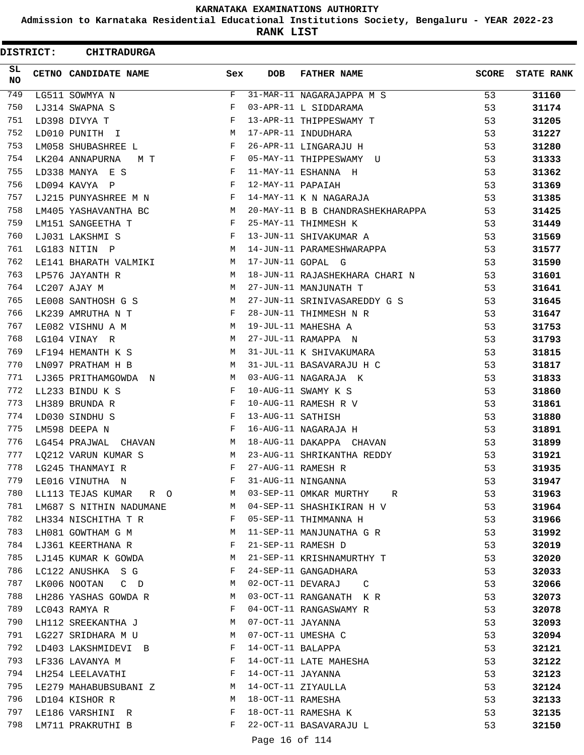**Admission to Karnataka Residential Educational Institutions Society, Bengaluru - YEAR 2022-23**

**RANK LIST**

 $\blacksquare$ 

| <b>DISTRICT:</b> | <b>CHITRADURGA</b>      |     |                   |                                  |       |                   |
|------------------|-------------------------|-----|-------------------|----------------------------------|-------|-------------------|
| SL.<br>NO        | CETNO CANDIDATE NAME    | Sex | <b>DOB</b>        | <b>FATHER NAME</b>               | SCORE | <b>STATE RANK</b> |
| 749              | LG511 SOWMYA N          | F   |                   | 31-MAR-11 NAGARAJAPPA M S        | 53    | 31160             |
| 750              | LJ314 SWAPNA S          | F   |                   | 03-APR-11 L SIDDARAMA            | 53    | 31174             |
| 751              | LD398 DIVYA T           | F   |                   | 13-APR-11 THIPPESWAMY T          | 53    | 31205             |
| 752              | LD010 PUNITH I          | М   |                   | 17-APR-11 INDUDHARA              | 53    | 31227             |
| 753              | LM058 SHUBASHREE L      | F   |                   | 26-APR-11 LINGARAJU H            | 53    | 31280             |
| 754              | LK204 ANNAPURNA<br>МТ   | F   |                   | 05-MAY-11 THIPPESWAMY U          | 53    | 31333             |
| 755              | LD338 MANYA E S         | F   |                   | 11-MAY-11 ESHANNA H              | 53    | 31362             |
| 756              | LD094 KAVYA P           | F   | 12-MAY-11 PAPAIAH |                                  | 53    | 31369             |
| 757              | LJ215 PUNYASHREE M N    | F   |                   | 14-MAY-11 K N NAGARAJA           | 53    | 31385             |
| 758              | LM405 YASHAVANTHA BC    | M   |                   | 20-MAY-11 B B CHANDRASHEKHARAPPA | 53    | 31425             |
| 759              | LM151 SANGEETHA T       | F   |                   | 25-MAY-11 THIMMESH K             | 53    | 31449             |
| 760              | LJ031 LAKSHMI S         | F   |                   | 13-JUN-11 SHIVAKUMAR A           | 53    | 31569             |
| 761              | LG183 NITIN P           | M   |                   | 14-JUN-11 PARAMESHWARAPPA        | 53    | 31577             |
| 762              | LE141 BHARATH VALMIKI   | M   |                   | 17-JUN-11 GOPAL G                | 53    | 31590             |
| 763              | LP576 JAYANTH R         | M   |                   | 18-JUN-11 RAJASHEKHARA CHARI N   | 53    | 31601             |
| 764              | LC207 AJAY M            | М   |                   | 27-JUN-11 MANJUNATH T            | 53    | 31641             |
| 765              | LE008 SANTHOSH G S      | M   |                   | 27-JUN-11 SRINIVASAREDDY G S     | 53    | 31645             |
| 766              | LK239 AMRUTHA N T       | F   |                   | 28-JUN-11 THIMMESH N R           | 53    | 31647             |
| 767              | LE082 VISHNU A M        | М   |                   | 19-JUL-11 MAHESHA A              | 53    | 31753             |
| 768              | LG104 VINAY R           | М   |                   | 27-JUL-11 RAMAPPA N              | 53    | 31793             |
| 769              | LF194 HEMANTH K S       | M   |                   | 31-JUL-11 K SHIVAKUMARA          | 53    | 31815             |
| 770              | LN097 PRATHAM H B       | M   |                   | 31-JUL-11 BASAVARAJU H C         | 53    | 31817             |
| 771              | LJ365 PRITHAMGOWDA N    | M   |                   | 03-AUG-11 NAGARAJA K             | 53    | 31833             |
| 772              | LL233 BINDU K S         | F   |                   | 10-AUG-11 SWAMY K S              | 53    | 31860             |
| 773              | LH389 BRUNDA R          | F   |                   | 10-AUG-11 RAMESH R V             | 53    | 31861             |
| 774              | LD030 SINDHU S          | F   | 13-AUG-11 SATHISH |                                  | 53    | 31880             |
| 775              | LM598 DEEPA N           | F   |                   | 16-AUG-11 NAGARAJA H             | 53    | 31891             |
| 776              | LG454 PRAJWAL<br>CHAVAN | M   |                   | 18-AUG-11 DAKAPPA CHAVAN         | 53    | 31899             |
| 777              | LQ212 VARUN KUMAR S     | М   |                   | 23-AUG-11 SHRIKANTHA REDDY       | 53    | 31921             |
| 778              | LG245 THANMAYI R        | F   |                   | 27-AUG-11 RAMESH R               | 53    | 31935             |
| 779              | LE016 VINUTHA N         | F   |                   | 31-AUG-11 NINGANNA               | 53    | 31947             |
| 780              | LL113 TEJAS KUMAR R O   | M   |                   | 03-SEP-11 OMKAR MURTHY R         | 53    | 31963             |
| 781              | LM687 S NITHIN NADUMANE | M   |                   | 04-SEP-11 SHASHIKIRAN H V        | 53    | 31964             |
| 782              | LH334 NISCHITHA T R     | F   |                   | 05-SEP-11 THIMMANNA H            | 53    | 31966             |
| 783              | LH081 GOWTHAM G M       | M   |                   | 11-SEP-11 MANJUNATHA G R         | 53    | 31992             |
| 784              | LJ361 KEERTHANA R       | F   |                   | 21-SEP-11 RAMESH D               | 53    | 32019             |
| 785              | LJ145 KUMAR K GOWDA     | М   |                   | 21-SEP-11 KRISHNAMURTHY T        | 53    | 32020             |
| 786              | LC122 ANUSHKA S G       | F   |                   | 24-SEP-11 GANGADHARA             | 53    | 32033             |
| 787              | LK006 NOOTAN<br>$C$ D   | M   |                   | 02-OCT-11 DEVARAJ C              | 53    | 32066             |
| 788              | LH286 YASHAS GOWDA R    | M   |                   | 03-OCT-11 RANGANATH K R          | 53    | 32073             |
| 789              | LC043 RAMYA R           | F   |                   | 04-OCT-11 RANGASWAMY R           | 53    | 32078             |
| 790              | LH112 SREEKANTHA J      | M   | 07-OCT-11 JAYANNA |                                  | 53    | 32093             |
| 791              | LG227 SRIDHARA M U      | М   |                   | 07-OCT-11 UMESHA C               | 53    | 32094             |
| 792              | LD403 LAKSHMIDEVI B     | F   | 14-OCT-11 BALAPPA |                                  | 53    | 32121             |
| 793              | LF336 LAVANYA M         | F   |                   | 14-OCT-11 LATE MAHESHA           | 53    | 32122             |
| 794              | LH254 LEELAVATHI        | F   | 14-OCT-11 JAYANNA |                                  | 53    | 32123             |
| 795              | LE279 MAHABUBSUBANI Z   | M   |                   | 14-OCT-11 ZIYAULLA               | 53    | 32124             |
| 796              | LD104 KISHOR R          | M   | 18-OCT-11 RAMESHA |                                  | 53    | 32133             |
| 797              | LE186 VARSHINI R        | F   |                   | 18-OCT-11 RAMESHA K              | 53    | 32135             |
| 798              | LM711 PRAKRUTHI B       | F   |                   | 22-OCT-11 BASAVARAJU L           | 53    | 32150             |
|                  |                         |     |                   |                                  |       |                   |

Page 16 of 114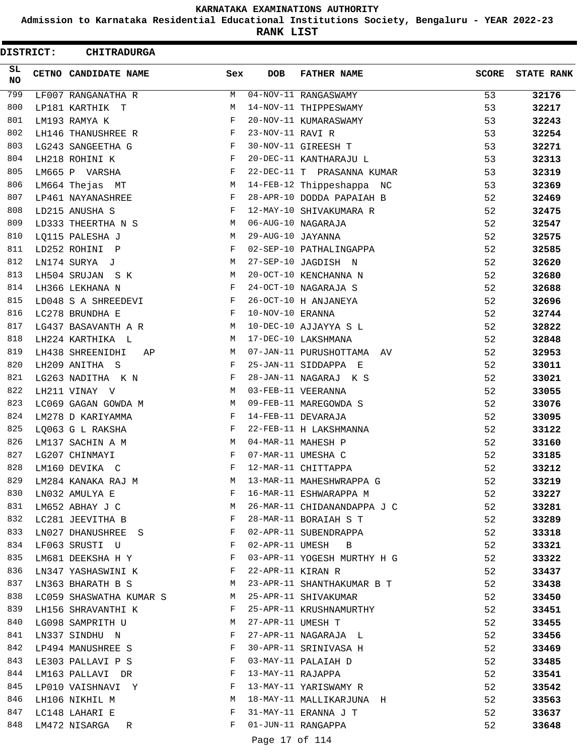**Admission to Karnataka Residential Educational Institutions Society, Bengaluru - YEAR 2022-23**

**RANK LIST**

ı

 $\blacksquare$ 

| <b>DISTRICT:</b> | <b>CHITRADURGA</b>                                                                                                                   |              |                   |                             |              |                   |
|------------------|--------------------------------------------------------------------------------------------------------------------------------------|--------------|-------------------|-----------------------------|--------------|-------------------|
| SL.<br><b>NO</b> | CETNO CANDIDATE NAME                                                                                                                 | Sex          | <b>DOB</b>        | <b>FATHER NAME</b>          | <b>SCORE</b> | <b>STATE RANK</b> |
| 799              | LF007 RANGANATHA R                                                                                                                   | M            |                   | 04-NOV-11 RANGASWAMY        | 53           | 32176             |
| 800              | LP181 KARTHIK T                                                                                                                      | M            |                   | 14-NOV-11 THIPPESWAMY       | 53           | 32217             |
| 801              | LM193 RAMYA K                                                                                                                        | F            |                   | 20-NOV-11 KUMARASWAMY       | 53           | 32243             |
| 802              | LH146 THANUSHREE R                                                                                                                   | F            | 23-NOV-11 RAVI R  |                             | 53           | 32254             |
| 803              | LG243 SANGEETHA G                                                                                                                    | F            |                   | 30-NOV-11 GIREESH T         | 53           | 32271             |
| 804              | LH218 ROHINI K                                                                                                                       | F            |                   | 20-DEC-11 KANTHARAJU L      | 53           | 32313             |
| 805              | LM665 P VARSHA                                                                                                                       | F            |                   | 22-DEC-11 T PRASANNA KUMAR  | 53           | 32319             |
| 806              | LM664 Thejas MT                                                                                                                      | М            |                   | 14-FEB-12 Thippeshappa NC   | 53           | 32369             |
| 807              | LP461 NAYANASHREE                                                                                                                    | F            |                   | 28-APR-10 DODDA PAPAIAH B   | 52           | 32469             |
| 808              | LD215 ANUSHA S                                                                                                                       | F            |                   | 12-MAY-10 SHIVAKUMARA R     | 52           | 32475             |
| 809              | LD333 THEERTHA N S                                                                                                                   | M            |                   | 06-AUG-10 NAGARAJA          | 52           | 32547             |
| 810              | LQ115 PALESHA J                                                                                                                      | М            | 29-AUG-10 JAYANNA |                             | 52           | 32575             |
| 811              | LD252 ROHINI P                                                                                                                       | F            |                   | 02-SEP-10 PATHALINGAPPA     | 52           | 32585             |
| 812              | LN174 SURYA J                                                                                                                        | M            |                   | 27-SEP-10 JAGDISH N         | 52           | 32620             |
| 813              | LH504 SRUJAN S K                                                                                                                     | М            |                   | 20-OCT-10 KENCHANNA N       | 52           | 32680             |
| 814              | LH366 LEKHANA N                                                                                                                      | F            |                   | 24-OCT-10 NAGARAJA S        | 52           | 32688             |
| 815              | LD048 S A SHREEDEVI                                                                                                                  | F            |                   | 26-OCT-10 H ANJANEYA        | 52           | 32696             |
| 816              | LC278 BRUNDHA E                                                                                                                      | F            | 10-NOV-10 ERANNA  |                             | 52           | 32744             |
| 817              | LG437 BASAVANTH A R                                                                                                                  | М            |                   | 10-DEC-10 AJJAYYA S L       | 52           | 32822             |
| 818              | LH224 KARTHIKA L                                                                                                                     | М            |                   | 17-DEC-10 LAKSHMANA         | 52           | 32848             |
| 819              | LH438 SHREENIDHI<br>ΑP                                                                                                               | M            |                   | 07-JAN-11 PURUSHOTTAMA AV   | 52           | 32953             |
| 820              | LH209 ANITHA S                                                                                                                       | F            |                   | 25-JAN-11 SIDDAPPA E        | 52           | 33011             |
| 821              | LG263 NADITHA K N                                                                                                                    | F            |                   | 28-JAN-11 NAGARAJ K S       | 52           | 33021             |
| 822              | LH211 VINAY V                                                                                                                        | M            |                   | 03-FEB-11 VEERANNA          | 52           | 33055             |
| 823              | LC069 GAGAN GOWDA M                                                                                                                  | M            |                   | 09-FEB-11 MAREGOWDA S       | 52           | 33076             |
| 824              | LM278 D KARIYAMMA                                                                                                                    | F            |                   | 14-FEB-11 DEVARAJA          | 52           | 33095             |
| 825              | LQ063 G L RAKSHA                                                                                                                     | F            |                   | 22-FEB-11 H LAKSHMANNA      | 52           | 33122             |
| 826              | LM137 SACHIN A M                                                                                                                     | M            |                   | 04-MAR-11 MAHESH P          | 52           | 33160             |
| 827              | LG207 CHINMAYI                                                                                                                       | F            |                   | 07-MAR-11 UMESHA C          | 52           |                   |
| 828              | LM160 DEVIKA C                                                                                                                       | F            |                   | 12-MAR-11 CHITTAPPA         | 52           | 33185<br>33212    |
| 829              |                                                                                                                                      |              |                   | 13-MAR-11 MAHESHWRAPPA G    |              |                   |
|                  | LM284 KANAKA RAJ M                                                                                                                   | M            |                   |                             | 52           | 33219             |
| 830              | LN032 AMULYA E<br>$M_{\rm H}$ and $M_{\rm H}$                                                                                        | F            |                   | 16-MAR-11 ESHWARAPPA M      | 52           | 33227             |
| 831              | LM652 ABHAY J C                                                                                                                      |              |                   | 26-MAR-11 CHIDANANDAPPA J C | 52           | 33281             |
| 832              | LC281 JEEVITHA B                                                                                                                     | F            |                   | 28-MAR-11 BORAIAH S T       | 52           | 33289             |
| 833              | LN027 DHANUSHREE S                                                                                                                   | $\mathbf{F}$ |                   | 02-APR-11 SUBENDRAPPA       | 52           | 33318             |
| 834              | LF063 SRUSTI U                                                                                                                       | $\mathbf{F}$ |                   | 02-APR-11 UMESH B           | 52           | 33321             |
| 835              | $\mathbf{F}$ and the set of $\mathbf{F}$<br>LM681 DEEKSHA H Y                                                                        |              |                   | 03-APR-11 YOGESH MURTHY H G | 52           | 33322             |
| 836              | $\mathbf{F}$ . The set of $\mathbf{F}$<br>LN347 YASHASWINI K                                                                         |              | 22-APR-11 KIRAN R |                             | 52           | 33437             |
| 837              | LN363 BHARATH B S                                                                                                                    | M            |                   | 23-APR-11 SHANTHAKUMAR B T  | 52           | 33438             |
| 838              | LC059 SHASWATHA KUMAR S M                                                                                                            |              |                   | 25-APR-11 SHIVAKUMAR        | 52           | 33450             |
| 839              | LH156 SHRAVANTHI K<br>in the state of the state of the state of the state of the state of the state of the state of the state of the |              |                   | 25-APR-11 KRUSHNAMURTHY     | 52           | 33451             |
| 840              | LG098 SAMPRITH U                                                                                                                     | M            | 27-APR-11 UMESH T |                             | 52           | 33455             |
| 841              | LN337 SINDHU N                                                                                                                       | F            |                   | 27-APR-11 NAGARAJA L        | 52           | 33456             |
| 842              | LP494 MANUSHREE S<br><b>Example 2</b> F                                                                                              |              |                   | 30-APR-11 SRINIVASA H       | 52           | 33469             |
| 843              | $\mathbf{F}$ . The contract of the contract of $\mathbf{F}$<br>LE303 PALLAVI P S                                                     |              |                   | 03-MAY-11 PALAIAH D         | 52           | 33485             |
| 844              | LM163 PALLAVI DR                                                                                                                     | $\mathbf{F}$ | 13-MAY-11 RAJAPPA |                             | 52           | 33541             |
| 845              | LP010 VAISHNAVI Y                                                                                                                    | F            |                   | 13-MAY-11 YARISWAMY R       | 52           | 33542             |
| 846              | LH106 NIKHIL M                                                                                                                       | <b>N</b>     |                   | 18-MAY-11 MALLIKARJUNA H    | 52           | 33563             |
| 847              | LC148 LAHARI E                                                                                                                       | $\mathbf{F}$ |                   | 31-MAY-11 ERANNA J T        | 52           | 33637             |
| 848              | LM472 NISARGA R                                                                                                                      | F            |                   | 01-JUN-11 RANGAPPA          | 52           | 33648             |
|                  |                                                                                                                                      |              |                   |                             |              |                   |

Page 17 of 114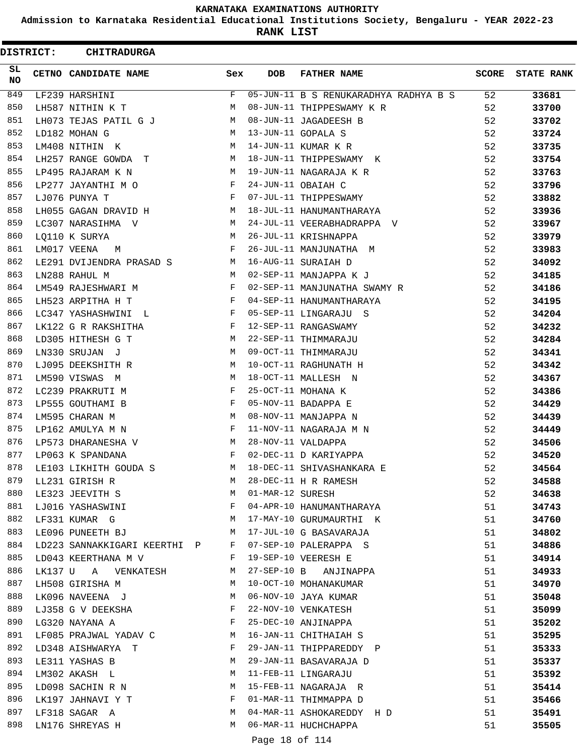**Admission to Karnataka Residential Educational Institutions Society, Bengaluru - YEAR 2022-23**

**RANK LIST**

| <b>DISTRICT:</b> | <b>CHITRADURGA</b>                                                                |              |                  |                                          |    |                         |
|------------------|-----------------------------------------------------------------------------------|--------------|------------------|------------------------------------------|----|-------------------------|
| SL.<br>NO        | CETNO CANDIDATE NAME                                                              | Sex          | DOB              | <b>FATHER NAME</b>                       |    | <b>SCORE</b> STATE RANK |
| 849              | LF239 HARSHINI                                                                    | F            |                  | 05-JUN-11 B S RENUKARADHYA RADHYA B S 52 |    | 33681                   |
| 850              | LH587 NITHIN K T                                                                  | M            |                  | 08-JUN-11 THIPPESWAMY K R                | 52 | 33700                   |
| 851              | LH073 TEJAS PATIL G J                                                             | M            |                  | 08-JUN-11 JAGADEESH B                    | 52 | 33702                   |
| 852              | LD182 MOHAN G                                                                     | M            |                  | 13-JUN-11 GOPALA S                       | 52 | 33724                   |
| 853              | LM408 NITHIN K                                                                    |              |                  | M 14-JUN-11 KUMAR K R                    | 52 | 33735                   |
| 854              | LH257 RANGE GOWDA T M 18-JUN-11 THIPPESWAMY K                                     |              |                  |                                          | 52 | 33754                   |
| 855              | LP495 RAJARAM K N                                                                 |              |                  | M 19-JUN-11 NAGARAJA K R                 | 52 | 33763                   |
| 856              | LP277 JAYANTHI M O                                                                | F            |                  | 24-JUN-11 OBAIAH C                       | 52 | 33796                   |
| 857              | LJ076 PUNYA T                                                                     | F            |                  | 07-JUL-11 THIPPESWAMY                    | 52 | 33882                   |
| 858              | LH055 GAGAN DRAVID H                                                              |              |                  | 18-JUL-11 HANUMANTHARAYA                 | 52 | 33936                   |
| 859              | LC307 NARASIHMA V<br>$M_{\rm}$                                                    |              |                  | 24-JUL-11 VEERABHADRAPPA V               | 52 | 33967                   |
| 860              | M<br>LQ110 K SURYA                                                                |              |                  | 26-JUL-11 KRISHNAPPA                     | 52 | 33979                   |
| 861              | LM017 VEENA<br>M                                                                  | $\mathbf{F}$ |                  | 26-JUL-11 MANJUNATHA M                   | 52 | 33983                   |
| 862              | LE291 DVIJENDRA PRASAD S M 16-AUG-11 SURAIAH D                                    |              |                  |                                          | 52 | 34092                   |
| 863              | LN288 RAHUL M                                                                     |              |                  | M 02-SEP-11 MANJAPPA K J                 | 52 | 34185                   |
| 864              | $\mathbf{F}$<br>LM549 RAJESHWARI M                                                |              |                  | 02-SEP-11 MANJUNATHA SWAMY R             | 52 | 34186                   |
| 865              | LH523 ARPITHA H T                                                                 | $\mathbf{F}$ |                  | 04-SEP-11 HANUMANTHARAYA                 | 52 | 34195                   |
| 866              | LC347 YASHASHWINI L F                                                             |              |                  | 05-SEP-11 LINGARAJU S                    | 52 | 34204                   |
| 867              | LK122 G R RAKSHITHA<br>$\mathbf{F}$ and the set of $\mathbf{F}$                   |              |                  | 12-SEP-11 RANGASWAMY                     | 52 | 34232                   |
| 868              | <b>M</b><br>LD305 HITHESH G T                                                     |              |                  | 22-SEP-11 THIMMARAJU                     | 52 | 34284                   |
| 869              | LN330 SRUJAN J                                                                    |              |                  | M 09-OCT-11 THIMMARAJU                   | 52 | 34341                   |
| 870              | LJ095 DEEKSHITH R                                                                 | M            |                  | 10-OCT-11 RAGHUNATH H                    | 52 | 34342                   |
| 871              | LM590 VISWAS M                                                                    | M            |                  | 18-OCT-11 MALLESH N                      | 52 | 34367                   |
| 872              | LC239 PRAKRUTI M                                                                  | F            |                  | 25-OCT-11 MOHANA K                       | 52 | 34386                   |
| 873              | LP555 GOUTHAMI B                                                                  | F            |                  | 05-NOV-11 BADAPPA E                      | 52 | 34429                   |
| 874              | LM595 CHARAN M                                                                    | $M_{\odot}$  |                  | 08-NOV-11 MANJAPPA N                     | 52 | 34439                   |
| 875              | $\mathbf{F}$ and the contract of the contract of $\mathbf{F}$<br>LP162 AMULYA M N |              |                  | 11-NOV-11 NAGARAJA M N                   | 52 | 34449                   |
| 876              | M <sub>1</sub><br>LP573 DHARANESHA V                                              |              |                  | 28-NOV-11 VALDAPPA                       | 52 | 34506                   |
| 877              | LP063 K SPANDANA                                                                  | $\mathbf{F}$ |                  | 02-DEC-11 D KARIYAPPA                    | 52 | 34520                   |
| 878              | LE103 LIKHITH GOUDA S                                                             | M            |                  | 18-DEC-11 SHIVASHANKARA E                | 52 | 34564                   |
| 879              | LL231 GIRISH R                                                                    | M            |                  | 28-DEC-11 H R RAMESH                     | 52 | 34588                   |
| 880              | LE323 JEEVITH S                                                                   | M            | 01-MAR-12 SURESH |                                          | 52 | 34638                   |
| 881              | LJ016 YASHASWINI                                                                  | F            |                  | 04-APR-10 HANUMANTHARAYA                 | 51 | 34743                   |
| 882              | LF331 KUMAR G                                                                     | M            |                  | 17-MAY-10 GURUMAURTHI K                  | 51 | 34760                   |
| 883              | LE096 PUNEETH BJ                                                                  | M            |                  | 17-JUL-10 G BASAVARAJA                   | 51 | 34802                   |
| 884              | LD223 SANNAKKIGARI KEERTHI P                                                      | F            |                  | 07-SEP-10 PALERAPPA S                    | 51 | 34886                   |
| 885              | LD043 KEERTHANA M V                                                               | F            |                  | 19-SEP-10 VEERESH E                      | 51 | 34914                   |
| 886              | LK137 U A VENKATESH                                                               | М            |                  | 27-SEP-10 B ANJINAPPA                    | 51 | 34933                   |
| 887              | LH508 GIRISHA M                                                                   | M            |                  | 10-OCT-10 MOHANAKUMAR                    | 51 | 34970                   |
| 888              | LK096 NAVEENA J                                                                   | M            |                  | 06-NOV-10 JAYA KUMAR                     | 51 | 35048                   |
| 889              | LJ358 G V DEEKSHA                                                                 | F            |                  | 22-NOV-10 VENKATESH                      | 51 | 35099                   |
| 890              | LG320 NAYANA A                                                                    | F            |                  | 25-DEC-10 ANJINAPPA                      | 51 | 35202                   |
| 891              | LF085 PRAJWAL YADAV C                                                             | М            |                  | 16-JAN-11 CHITHAIAH S                    | 51 | 35295                   |
| 892              | LD348 AISHWARYA T                                                                 | F            |                  | 29-JAN-11 THIPPAREDDY P                  | 51 | 35333                   |
| 893              | LE311 YASHAS B                                                                    | М            |                  | 29-JAN-11 BASAVARAJA D                   | 51 | 35337                   |
| 894              | LM302 AKASH L                                                                     | M            |                  | 11-FEB-11 LINGARAJU                      | 51 | 35392                   |
| 895              | LD098 SACHIN R N                                                                  | M            |                  | 15-FEB-11 NAGARAJA R                     | 51 | 35414                   |
| 896              | LK197 JAHNAVI Y T                                                                 | F            |                  | 01-MAR-11 THIMMAPPA D                    | 51 | 35466                   |
| 897              | LF318 SAGAR A                                                                     | M            |                  | 04-MAR-11 ASHOKAREDDY H D                | 51 | 35491                   |
| 898              | LN176 SHREYAS H                                                                   | M            |                  | 06-MAR-11 HUCHCHAPPA                     | 51 | 35505                   |
|                  |                                                                                   |              |                  |                                          |    |                         |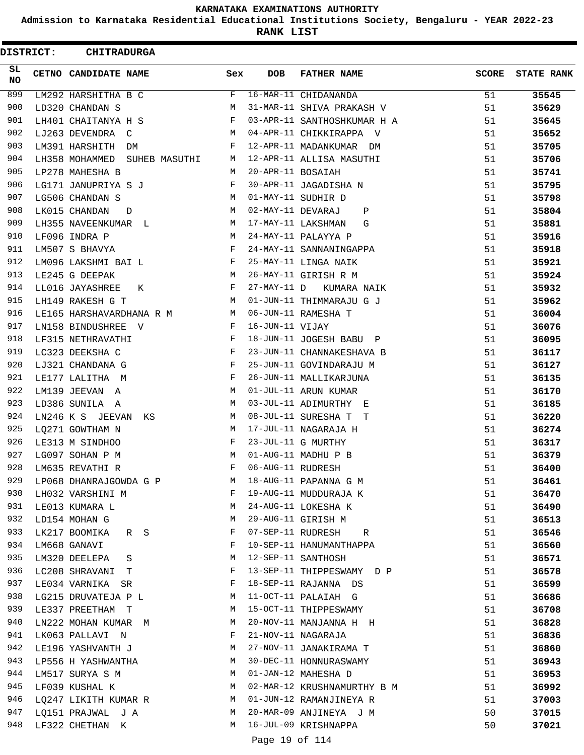**Admission to Karnataka Residential Educational Institutions Society, Bengaluru - YEAR 2022-23**

**RANK LIST**

ı

| <b>DISTRICT:</b> | <b>CHITRADURGA</b>              |     |                   |                             |              |                   |
|------------------|---------------------------------|-----|-------------------|-----------------------------|--------------|-------------------|
| SL<br>NO.        | CETNO CANDIDATE NAME            | Sex | <b>DOB</b>        | <b>FATHER NAME</b>          | <b>SCORE</b> | <b>STATE RANK</b> |
| 899              | LM292 HARSHITHA B C             | F   |                   | 16-MAR-11 CHIDANANDA        | 51           | 35545             |
| 900              | LD320 CHANDAN S                 | M   |                   | 31-MAR-11 SHIVA PRAKASH V   | 51           | 35629             |
| 901              | LH401 CHAITANYA H S             | F   |                   | 03-APR-11 SANTHOSHKUMAR H A | 51           | 35645             |
| 902              | LJ263 DEVENDRA<br>$\mathbb{C}$  | M   |                   | 04-APR-11 CHIKKIRAPPA V     | 51           | 35652             |
| 903              | LM391 HARSHITH<br>DM            | F   |                   | 12-APR-11 MADANKUMAR DM     | 51           | 35705             |
| 904              | LH358 MOHAMMED<br>SUHEB MASUTHI | М   |                   | 12-APR-11 ALLISA MASUTHI    | 51           | 35706             |
| 905              | LP278 MAHESHA B                 | M   | 20-APR-11 BOSAIAH |                             | 51           | 35741             |
| 906              | LG171 JANUPRIYA S J             | F   |                   | 30-APR-11 JAGADISHA N       | 51           | 35795             |
| 907              | LG506 CHANDAN S                 | М   |                   | 01-MAY-11 SUDHIR D          | 51           | 35798             |
| 908              | LK015 CHANDAN<br>D              | М   |                   | 02-MAY-11 DEVARAJ<br>Ρ      | 51           | 35804             |
| 909              | LH355 NAVEENKUMAR L             | М   |                   | 17-MAY-11 LAKSHMAN<br>G     | 51           | 35881             |
| 910              | LF096 INDRA P                   | M   |                   | 24-MAY-11 PALAYYA P         | 51           | 35916             |
| 911              | LM507 S BHAVYA                  | F   |                   | 24-MAY-11 SANNANINGAPPA     | 51           | 35918             |
| 912              | LM096 LAKSHMI BAI L             | F   |                   | 25-MAY-11 LINGA NAIK        | 51           | 35921             |
| 913              | LE245 G DEEPAK                  | M   |                   | 26-MAY-11 GIRISH R M        | 51           | 35924             |
| 914              | LL016 JAYASHREE<br>К            | F   | 27-MAY-11 D       | KUMARA NAIK                 | 51           | 35932             |
| 915              | LH149 RAKESH G T                | М   |                   | 01-JUN-11 THIMMARAJU G J    | 51           | 35962             |
| 916              | LE165 HARSHAVARDHANA R M        | M   |                   | 06-JUN-11 RAMESHA T         | 51           | 36004             |
| 917              | LN158 BINDUSHREE V              | F   | 16-JUN-11 VIJAY   |                             | 51           | 36076             |
| 918              | LF315 NETHRAVATHI               | F   |                   | 18-JUN-11 JOGESH BABU P     | 51           | 36095             |
| 919              | LC323 DEEKSHA C                 | F   |                   | 23-JUN-11 CHANNAKESHAVA B   | 51           | 36117             |
| 920              | LJ321 CHANDANA G                | F   |                   | 25-JUN-11 GOVINDARAJU M     | 51           | 36127             |
| 921              | LE177 LALITHA M                 | F   |                   | 26-JUN-11 MALLIKARJUNA      | 51           | 36135             |
| 922              | LM139 JEEVAN<br>A               | М   |                   | 01-JUL-11 ARUN KUMAR        | 51           | 36170             |
| 923              | LD386 SUNILA A                  | М   |                   | 03-JUL-11 ADIMURTHY E       | 51           | 36185             |
| 924              | LN246 K S JEEVAN<br>КS          | М   |                   | 08-JUL-11 SURESHA T T       | 51           | 36220             |
| 925              | LQ271 GOWTHAM N                 | M   |                   | 17-JUL-11 NAGARAJA H        | 51           | 36274             |
| 926              | LE313 M SINDHOO                 | F   |                   | 23-JUL-11 G MURTHY          | 51           | 36317             |
| 927              | LG097 SOHAN P M                 | M   |                   | 01-AUG-11 MADHU P B         | 51           | 36379             |
| 928              | LM635 REVATHI R                 | F   | 06-AUG-11 RUDRESH |                             | 51           | 36400             |
| 929              | LP068 DHANRAJGOWDA G P          | М   |                   | 18-AUG-11 PAPANNA G M       | 51           | 36461             |
| 930              | LH032 VARSHINI M                | F   |                   | 19-AUG-11 MUDDURAJA K       | 51           | 36470             |
| 931              | LE013 KUMARA L                  | M   |                   | 24-AUG-11 LOKESHA K         | 51           | 36490             |
| 932              | LD154 MOHAN G                   | М   |                   | 29-AUG-11 GIRISH M          | 51           | 36513             |
| 933              | LK217 BOOMIKA R S               | F   |                   | 07-SEP-11 RUDRESH<br>R      | 51           | 36546             |
| 934              | LM668 GANAVI                    | F   |                   | 10-SEP-11 HANUMANTHAPPA     | 51           | 36560             |
| 935              | LM320 DEELEPA S                 | М   |                   | 12-SEP-11 SANTHOSH          | 51           | 36571             |
| 936              | LC208 SHRAVANI T                | F   |                   | 13-SEP-11 THIPPESWAMY D P   | 51           | 36578             |
| 937              | LE034 VARNIKA SR                | F   |                   | 18-SEP-11 RAJANNA DS        | 51           | 36599             |
| 938              | LG215 DRUVATEJA P L             | M   |                   | 11-OCT-11 PALAIAH G         | 51           | 36686             |
| 939              | LE337 PREETHAM T                | M   |                   | 15-OCT-11 THIPPESWAMY       | 51           | 36708             |
| 940              | LN222 MOHAN KUMAR M             | M   |                   | 20-NOV-11 MANJANNA H H      | 51           | 36828             |
| 941              | LK063 PALLAVI N                 | F   |                   | 21-NOV-11 NAGARAJA          | 51           | 36836             |
| 942              | LE196 YASHVANTH J               | М   |                   | 27-NOV-11 JANAKIRAMA T      | 51           | 36860             |
| 943              | LP556 H YASHWANTHA              | М   |                   | 30-DEC-11 HONNURASWAMY      | 51           | 36943             |
| 944              | LM517 SURYA S M                 | М   |                   | 01-JAN-12 MAHESHA D         | 51           | 36953             |
| 945              | LF039 KUSHAL K                  | M   |                   | 02-MAR-12 KRUSHNAMURTHY B M | 51           | 36992             |
| 946              | LQ247 LIKITH KUMAR R            | M   |                   | 01-JUN-12 RAMANJINEYA R     | 51           | 37003             |
| 947              | LQ151 PRAJWAL J A               | M   |                   | 20-MAR-09 ANJINEYA J M      | 50           | 37015             |
| 948              | LF322 CHETHAN K                 | М   |                   | 16-JUL-09 KRISHNAPPA        | 50           | 37021             |
|                  |                                 |     | Page 19 of 114    |                             |              |                   |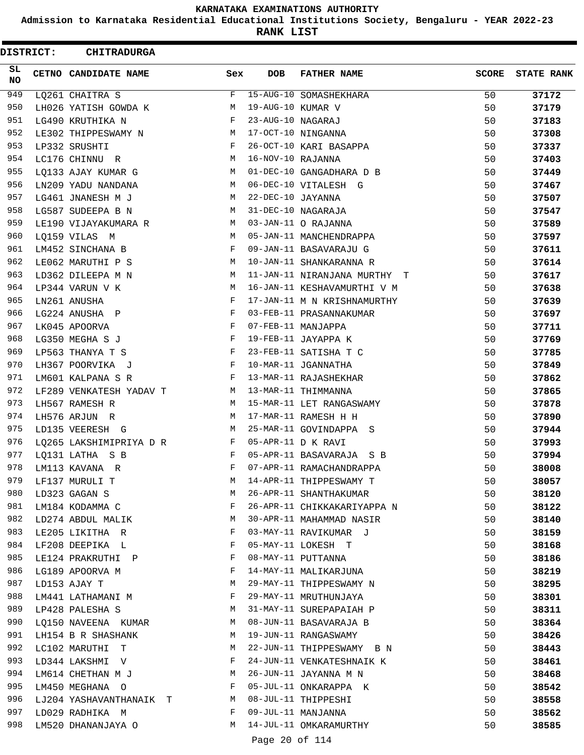**Admission to Karnataka Residential Educational Institutions Society, Bengaluru - YEAR 2022-23**

**RANK LIST**

| <b>DISTRICT:</b> | <b>CHITRADURGA</b>      |     |                   |                              |              |                   |
|------------------|-------------------------|-----|-------------------|------------------------------|--------------|-------------------|
| SL.<br>NO.       | CETNO CANDIDATE NAME    | Sex | <b>DOB</b>        | <b>FATHER NAME</b>           | <b>SCORE</b> | <b>STATE RANK</b> |
| 949              | LQ261 CHAITRA S         | F   |                   | 15-AUG-10 SOMASHEKHARA       | 50           | 37172             |
| 950              | LH026 YATISH GOWDA K    | М   | 19-AUG-10 KUMAR V |                              | 50           | 37179             |
| 951              | LG490 KRUTHIKA N        | F   | 23-AUG-10 NAGARAJ |                              | 50           | 37183             |
| 952              | LE302 THIPPESWAMY N     | М   |                   | 17-OCT-10 NINGANNA           | 50           | 37308             |
| 953              | LP332 SRUSHTI           | F   |                   | 26-OCT-10 KARI BASAPPA       | 50           | 37337             |
| 954              | LC176 CHINNU R          | М   | 16-NOV-10 RAJANNA |                              | 50           | 37403             |
| 955              | LQ133 AJAY KUMAR G      | M   |                   | 01-DEC-10 GANGADHARA D B     | 50           | 37449             |
| 956              | LN209 YADU NANDANA      | М   |                   | 06-DEC-10 VITALESH G         | 50           | 37467             |
| 957              | LG461 JNANESH M J       | М   | 22-DEC-10 JAYANNA |                              | 50           | 37507             |
| 958              | LG587 SUDEEPA B N       | М   |                   | 31-DEC-10 NAGARAJA           | 50           | 37547             |
| 959              | LE190 VIJAYAKUMARA R    | M   |                   | 03-JAN-11 O RAJANNA          | 50           | 37589             |
| 960              | LQ159 VILAS M           | M   |                   | 05-JAN-11 MANCHENDRAPPA      | 50           | 37597             |
| 961              | LM452 SINCHANA B        | F   |                   | 09-JAN-11 BASAVARAJU G       | 50           | 37611             |
| 962              | LE062 MARUTHI P S       | М   |                   | 10-JAN-11 SHANKARANNA R      | 50           | 37614             |
| 963              | LD362 DILEEPA M N       | М   |                   | 11-JAN-11 NIRANJANA MURTHY T | 50           | 37617             |
| 964              | LP344 VARUN V K         | М   |                   | 16-JAN-11 KESHAVAMURTHI V M  | 50           | 37638             |
| 965              | LN261 ANUSHA            | F   |                   | 17-JAN-11 M N KRISHNAMURTHY  | 50           | 37639             |
| 966              | LG224 ANUSHA P          | F   |                   | 03-FEB-11 PRASANNAKUMAR      | 50           | 37697             |
| 967              | LK045 APOORVA           | F   |                   | 07-FEB-11 MANJAPPA           | 50           | 37711             |
| 968              | LG350 MEGHA S J         | F   |                   | 19-FEB-11 JAYAPPA K          | 50           | 37769             |
| 969              | LP563 THANYA T S        | F   |                   | 23-FEB-11 SATISHA T C        | 50           | 37785             |
| 970              | LH367 POORVIKA J        | F   |                   | 10-MAR-11 JGANNATHA          | 50           | 37849             |
| 971              | LM601 KALPANA S R       | F   |                   | 13-MAR-11 RAJASHEKHAR        | 50           | 37862             |
| 972              | LF289 VENKATESH YADAV T | М   |                   | 13-MAR-11 THIMMANNA          | 50           | 37865             |
| 973              | LH567 RAMESH R          | М   |                   | 15-MAR-11 LET RANGASWAMY     | 50           | 37878             |
| 974              | LH576 ARJUN R           | М   |                   | 17-MAR-11 RAMESH H H         | 50           | 37890             |
| 975              | LD135 VEERESH G         | М   |                   | 25-MAR-11 GOVINDAPPA S       | 50           | 37944             |
| 976              | LQ265 LAKSHIMIPRIYA D R | F   |                   | 05-APR-11 D K RAVI           | 50           | 37993             |
| 977              | LQ131 LATHA S B         | F   |                   | 05-APR-11 BASAVARAJA S B     | 50           | 37994             |
| 978              | LM113 KAVANA R          | F   |                   | 07-APR-11 RAMACHANDRAPPA     | 50           | 38008             |
| 979              | LF137 MURULI T          | M   |                   | 14-APR-11 THIPPESWAMY T      | 50           | 38057             |
| 980              | LD323 GAGAN S           | М   |                   | 26-APR-11 SHANTHAKUMAR       | 50           | 38120             |
| 981              | LM184 KODAMMA C         | F   |                   | 26-APR-11 CHIKKAKARIYAPPA N  | 50           | 38122             |
| 982              | LD274 ABDUL MALIK       | M   |                   | 30-APR-11 MAHAMMAD NASIR     | 50           | 38140             |
| 983              | LE205 LIKITHA R         | F   |                   | 03-MAY-11 RAVIKUMAR J        | 50           | 38159             |
| 984              | LF208 DEEPIKA L         | F   |                   | 05-MAY-11 LOKESH T           | 50           | 38168             |
| 985              | LE124 PRAKRUTHI P       | F   |                   | 08-MAY-11 PUTTANNA           | 50           | 38186             |
| 986              | LG189 APOORVA M         | F   |                   | 14-MAY-11 MALIKARJUNA        | 50           | 38219             |
| 987              | LD153 AJAY T            | M   |                   | 29-MAY-11 THIPPESWAMY N      | 50           | 38295             |
| 988              | LM441 LATHAMANI M       | F   |                   | 29-MAY-11 MRUTHUNJAYA        | 50           | 38301             |
| 989              | LP428 PALESHA S         | M   |                   | 31-MAY-11 SUREPAPAIAH P      | 50           | 38311             |
| 990              | LQ150 NAVEENA KUMAR     | M   |                   | 08-JUN-11 BASAVARAJA B       | 50           | 38364             |
| 991              | LH154 B R SHASHANK      | M   |                   | 19-JUN-11 RANGASWAMY         | 50           | 38426             |
| 992              | LC102 MARUTHI T         | M   |                   | 22-JUN-11 THIPPESWAMY B N    | 50           | 38443             |
| 993              | LD344 LAKSHMI V         | F   |                   | 24-JUN-11 VENKATESHNAIK K    | 50           | 38461             |
| 994              | LM614 CHETHAN M J       | M   |                   | 26-JUN-11 JAYANNA M N        | 50           | 38468             |
| 995              | LM450 MEGHANA O         | F   |                   | 05-JUL-11 ONKARAPPA K        | 50           | 38542             |
| 996              | LJ204 YASHAVANTHANAIK T | M   |                   | 08-JUL-11 THIPPESHI          | 50           | 38558             |
| 997              | LD029 RADHIKA M         | F   |                   | 09-JUL-11 MANJANNA           | 50           | 38562             |
| 998              | LM520 DHANANJAYA O      | М   |                   | 14-JUL-11 OMKARAMURTHY       | 50           | 38585             |
|                  |                         |     | Page 20 of 114    |                              |              |                   |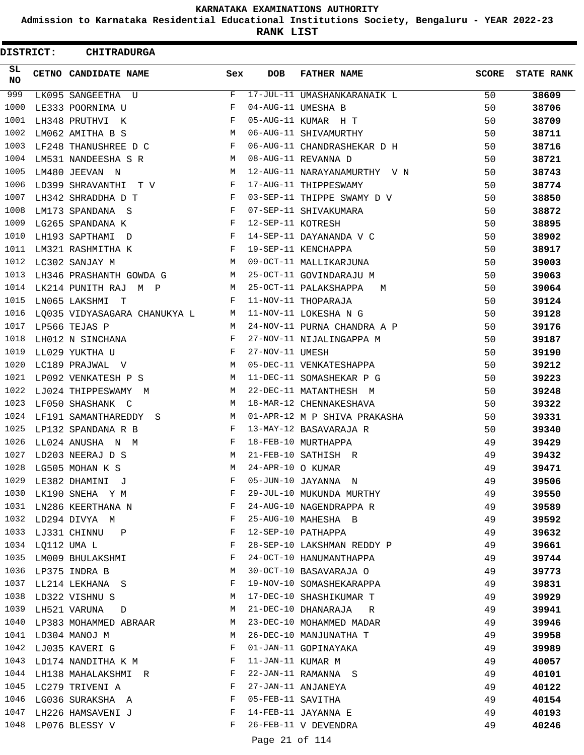**Admission to Karnataka Residential Educational Institutions Society, Bengaluru - YEAR 2022-23**

**RANK LIST**

| <b>DISTRICT:</b> |                  | <b>CHITRADURGA</b>            |     |                   |                              |              |                   |
|------------------|------------------|-------------------------------|-----|-------------------|------------------------------|--------------|-------------------|
| SL<br>NO         |                  | CETNO CANDIDATE NAME          | Sex | <b>DOB</b>        | <b>FATHER NAME</b>           | <b>SCORE</b> | <b>STATE RANK</b> |
| 999              |                  | LK095 SANGEETHA U             | F   |                   | 17-JUL-11 UMASHANKARANAIK L  | 50           | 38609             |
| 1000             |                  | LE333 POORNIMA U              | F   |                   | 04-AUG-11 UMESHA B           | 50           | 38706             |
| 1001             |                  | LH348 PRUTHVI K               | F   |                   | 05-AUG-11 KUMAR H T          | 50           | 38709             |
| 1002             |                  | LM062 AMITHA B S              | М   |                   | 06-AUG-11 SHIVAMURTHY        | 50           | 38711             |
| 1003             |                  | LF248 THANUSHREE D C          | F   |                   | 06-AUG-11 CHANDRASHEKAR D H  | 50           | 38716             |
| 1004             |                  | LM531 NANDEESHA S R           | М   |                   | 08-AUG-11 REVANNA D          | 50           | 38721             |
| 1005             |                  | LM480 JEEVAN N                | M   |                   | 12-AUG-11 NARAYANAMURTHY V N | 50           | 38743             |
| 1006             |                  | LD399 SHRAVANTHI<br>T V       | F   |                   | 17-AUG-11 THIPPESWAMY        | 50           | 38774             |
| 1007             |                  | LH342 SHRADDHA D T            | F   |                   | 03-SEP-11 THIPPE SWAMY D V   | 50           | 38850             |
| 1008             |                  | LM173 SPANDANA S              | F   |                   | 07-SEP-11 SHIVAKUMARA        | 50           | 38872             |
| 1009             |                  | LG265 SPANDANA K              | F   | 12-SEP-11 KOTRESH |                              | 50           | 38895             |
| 1010             |                  | LH193 SAPTHAMI D              | F   |                   | 14-SEP-11 DAYANANDA V C      | 50           | 38902             |
| 1011             |                  | LM321 RASHMITHA K             | F   |                   | 19-SEP-11 KENCHAPPA          | 50           | 38917             |
| 1012             |                  | LC302 SANJAY M                | М   |                   | 09-OCT-11 MALLIKARJUNA       | 50           | 39003             |
| 1013             |                  | LH346 PRASHANTH GOWDA G       | M   |                   | 25-OCT-11 GOVINDARAJU M      | 50           | 39063             |
| 1014             |                  | LK214 PUNITH RAJ<br>M P       | М   |                   | 25-OCT-11 PALAKSHAPPA<br>М   | 50           | 39064             |
| 1015             |                  | LN065 LAKSHMI<br>$\mathbb{T}$ | F   |                   | 11-NOV-11 THOPARAJA          | 50           | 39124             |
| 1016             |                  | LO035 VIDYASAGARA CHANUKYA L  | М   |                   | 11-NOV-11 LOKESHA N G        | 50           | 39128             |
| 1017             |                  | LP566 TEJAS P                 | M   |                   | 24-NOV-11 PURNA CHANDRA A P  | 50           | 39176             |
| 1018             |                  | LH012 N SINCHANA              | F   |                   | 27-NOV-11 NIJALINGAPPA M     | 50           | 39187             |
| 1019             |                  | LL029 YUKTHA U                | F   | 27-NOV-11 UMESH   |                              | 50           | 39190             |
| 1020             |                  | LC189 PRAJWAL V               | М   |                   | 05-DEC-11 VENKATESHAPPA      | 50           | 39212             |
| 1021             |                  | LP092 VENKATESH P S           | M   |                   | 11-DEC-11 SOMASHEKAR P G     | 50           | 39223             |
| 1022             |                  | LJ024 THIPPESWAMY<br>M        | М   |                   | 22-DEC-11 MATANTHESH M       | 50           | 39248             |
| 1023             |                  | LF050 SHASHANK C              | M   |                   | 18-MAR-12 CHENNAKESHAVA      | 50           | 39322             |
| 1024             |                  | LF191 SAMANTHAREDDY           | М   |                   | 01-APR-12 M P SHIVA PRAKASHA | 50           | 39331             |
| 1025             |                  | -S<br>LP132 SPANDANA R B      | F   |                   | 13-MAY-12 BASAVARAJA R       | 50           | 39340             |
| 1026             |                  | LL024 ANUSHA N M              | F   |                   | 18-FEB-10 MURTHAPPA          | 49           | 39429             |
| 1027             |                  |                               | M   |                   | 21-FEB-10 SATHISH R          |              |                   |
| 1028             |                  | LD203 NEERAJ D S              |     | 24-APR-10 O KUMAR |                              | 49           | 39432             |
|                  |                  | LG505 MOHAN K S               | М   |                   |                              | 49           | 39471             |
| 1029             |                  | LE382 DHAMINI J               | F   |                   | 05-JUN-10 JAYANNA N          | 49           | 39506             |
| 1030             |                  | LK190 SNEHA Y M               | F   |                   | 29-JUL-10 MUKUNDA MURTHY     | 49           | 39550             |
| 1031             |                  | LN286 KEERTHANA N             | F   |                   | 24-AUG-10 NAGENDRAPPA R      | 49           | 39589             |
| 1032             |                  | LD294 DIVYA M                 | F   |                   | 25-AUG-10 MAHESHA B          | 49           | 39592             |
| 1033             |                  | LJ331 CHINNU<br>P             | F   |                   | 12-SEP-10 PATHAPPA           | 49           | 39632             |
|                  | 1034 LQ112 UMA L |                               | F   |                   | 28-SEP-10 LAKSHMAN REDDY P   | 49           | 39661             |
| 1035             |                  | LM009 BHULAKSHMI              | F   |                   | 24-OCT-10 HANUMANTHAPPA      | 49           | 39744             |
| 1036             |                  | LP375 INDRA B                 | М   |                   | 30-OCT-10 BASAVARAJA O       | 49           | 39773             |
| 1037             |                  | LL214 LEKHANA S               | F   |                   | 19-NOV-10 SOMASHEKARAPPA     | 49           | 39831             |
| 1038             |                  | LD322 VISHNU S                | М   |                   | 17-DEC-10 SHASHIKUMAR T      | 49           | 39929             |
| 1039             |                  | LH521 VARUNA<br>D             | M   |                   | 21-DEC-10 DHANARAJA<br>R     | 49           | 39941             |
| 1040             |                  | LP383 MOHAMMED ABRAAR         | M   |                   | 23-DEC-10 MOHAMMED MADAR     | 49           | 39946             |
| 1041             |                  | LD304 MANOJ M                 | М   |                   | 26-DEC-10 MANJUNATHA T       | 49           | 39958             |
| 1042             |                  | LJ035 KAVERI G                | F   |                   | 01-JAN-11 GOPINAYAKA         | 49           | 39989             |
| 1043             |                  | LD174 NANDITHA K M            | F   | 11-JAN-11 KUMAR M |                              | 49           | 40057             |
| 1044             |                  | LH138 MAHALAKSHMI R           | F   |                   | 22-JAN-11 RAMANNA S          | 49           | 40101             |
| 1045             |                  | LC279 TRIVENI A               | F   |                   | 27-JAN-11 ANJANEYA           | 49           | 40122             |
| 1046             |                  | LG036 SURAKSHA A              | F   | 05-FEB-11 SAVITHA |                              | 49           | 40154             |
| 1047             |                  | LH226 HAMSAVENI J             | F   |                   | 14-FEB-11 JAYANNA E          | 49           | 40193             |
| 1048             |                  | LP076 BLESSY V                | F   |                   | 26-FEB-11 V DEVENDRA         | 49           | 40246             |
|                  |                  |                               |     | Page 21 of 114    |                              |              |                   |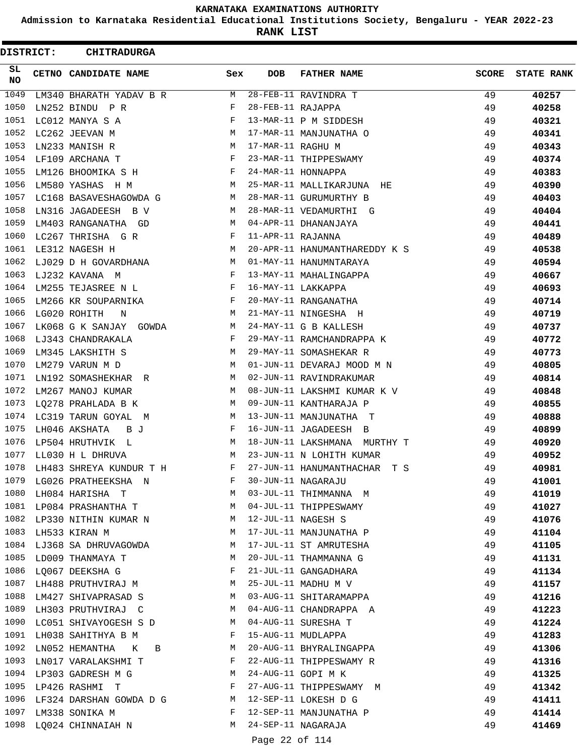**Admission to Karnataka Residential Educational Institutions Society, Bengaluru - YEAR 2022-23**

**RANK LIST**

|          | <b>DISTRICT:</b> | <b>CHITRADURGA</b>       |              |                   |                               |              |                   |
|----------|------------------|--------------------------|--------------|-------------------|-------------------------------|--------------|-------------------|
| SL<br>NO |                  | CETNO CANDIDATE NAME     | Sex          | <b>DOB</b>        | <b>FATHER NAME</b>            | <b>SCORE</b> | <b>STATE RANK</b> |
| 1049     |                  | LM340 BHARATH YADAV B R  | <b>M</b>     |                   | 28-FEB-11 RAVINDRA T          | 49           | 40257             |
| 1050     |                  | LN252 BINDU P R          | F            | 28-FEB-11 RAJAPPA |                               | 49           | 40258             |
| 1051     |                  | LC012 MANYA S A          | $_{\rm F}$   |                   | 13-MAR-11 P M SIDDESH         | 49           | 40321             |
| 1052     |                  | LC262 JEEVAN M           | М            |                   | 17-MAR-11 MANJUNATHA O        | 49           | 40341             |
| 1053     |                  | LN233 MANISH R           | М            | 17-MAR-11 RAGHU M |                               | 49           | 40343             |
| 1054     |                  | LF109 ARCHANA T          | F            |                   | 23-MAR-11 THIPPESWAMY         | 49           | 40374             |
| 1055     |                  | LM126 BHOOMIKA S H       | F            |                   | 24-MAR-11 HONNAPPA            | 49           | 40383             |
| 1056     |                  | LM580 YASHAS H M         | М            |                   | 25-MAR-11 MALLIKARJUNA HE     | 49           | 40390             |
| 1057     |                  | LC168 BASAVESHAGOWDA G   | М            |                   | 28-MAR-11 GURUMURTHY B        | 49           | 40403             |
| 1058     |                  | LN316 JAGADEESH B V      | М            |                   | 28-MAR-11 VEDAMURTHI G        | 49           | 40404             |
| 1059     |                  | LM403 RANGANATHA GD      | М            |                   | 04-APR-11 DHANANJAYA          | 49           | 40441             |
| 1060     |                  | LC267 THRISHA G R        | F            | 11-APR-11 RAJANNA |                               | 49           | 40489             |
| 1061     |                  | LE312 NAGESH H           | М            |                   | 20-APR-11 HANUMANTHAREDDY K S | 49           | 40538             |
| 1062     |                  | LJ029 D H GOVARDHANA     | М            |                   | 01-MAY-11 HANUMNTARAYA        | 49           | 40594             |
| 1063     |                  | LJ232 KAVANA M           | F            |                   | 13-MAY-11 MAHALINGAPPA        | 49           | 40667             |
| 1064     |                  | LM255 TEJASREE N L       | $\mathbf{F}$ |                   | 16-MAY-11 LAKKAPPA            | 49           | 40693             |
| 1065     |                  | LM266 KR SOUPARNIKA      | F            |                   | 20-MAY-11 RANGANATHA          | 49           | 40714             |
| 1066     |                  | LG020 ROHITH<br>N        | М            |                   | 21-MAY-11 NINGESHA H          | 49           | 40719             |
| 1067     |                  | LK068 G K SANJAY GOWDA   | M            |                   | 24-MAY-11 G B KALLESH         | 49           | 40737             |
| 1068     |                  | LJ343 CHANDRAKALA        | F            |                   | 29-MAY-11 RAMCHANDRAPPA K     | 49           | 40772             |
| 1069     |                  | LM345 LAKSHITH S         | М            |                   | 29-MAY-11 SOMASHEKAR R        | 49           | 40773             |
| 1070     |                  | LM279 VARUN M D          | М            |                   | 01-JUN-11 DEVARAJ MOOD M N    | 49           | 40805             |
| 1071     |                  | LN192 SOMASHEKHAR R      | M            |                   | 02-JUN-11 RAVINDRAKUMAR       | 49           | 40814             |
| 1072     |                  | LM267 MANOJ KUMAR        | М            |                   | 08-JUN-11 LAKSHMI KUMAR K V   | 49           | 40848             |
| 1073     |                  | LQ278 PRAHLADA B K       | М            |                   | 09-JUN-11 KANTHARAJA P        | 49           | 40855             |
| 1074     |                  | LC319 TARUN GOYAL<br>M   | М            |                   | 13-JUN-11 MANJUNATHA T        | 49           | 40888             |
| 1075     |                  | LH046 AKSHATA<br>B J     | F            |                   | 16-JUN-11 JAGADEESH B         | 49           | 40899             |
| 1076     |                  | LP504 HRUTHVIK L         | М            |                   | 18-JUN-11 LAKSHMANA MURTHY T  | 49           | 40920             |
|          |                  | 1077 LL030 H L DHRUVA    | М            |                   | 23-JUN-11 N LOHITH KUMAR      | 49           | 40952             |
| 1078     |                  | LH483 SHREYA KUNDUR T H  | $\mathbf{F}$ |                   | 27-JUN-11 HANUMANTHACHAR T S  | 49           | 40981             |
| 1079     |                  | LG026 PRATHEEKSHA N      | F            |                   | 30-JUN-11 NAGARAJU            | 49           | 41001             |
| 1080     |                  | LH084 HARISHA T          | М            |                   | 03-JUL-11 THIMMANNA M         | 49           | 41019             |
| 1081     |                  | LP084 PRASHANTHA T       | M            |                   | 04-JUL-11 THIPPESWAMY         | 49           | 41027             |
| 1082     |                  | LP330 NITHIN KUMAR N     | M            |                   | 12-JUL-11 NAGESH S            | 49           | 41076             |
| 1083     |                  | LH533 KIRAN M            | M            |                   | 17-JUL-11 MANJUNATHA P        | 49           | 41104             |
| 1084     |                  | LJ368 SA DHRUVAGOWDA     | M            |                   | 17-JUL-11 ST AMRUTESHA        | 49           | 41105             |
| 1085     |                  | LD009 THANMAYA T         | M            |                   | 20-JUL-11 THAMMANNA G         | 49           | 41131             |
| 1086     |                  | LQ067 DEEKSHA G          | F            |                   | 21-JUL-11 GANGADHARA          | 49           | 41134             |
| 1087     |                  | LH488 PRUTHVIRAJ M       | M            |                   | 25-JUL-11 MADHU M V           | 49           | 41157             |
| 1088     |                  | LM427 SHIVAPRASAD S      | M            |                   | 03-AUG-11 SHITARAMAPPA        | 49           | 41216             |
| 1089     |                  | LH303 PRUTHVIRAJ C       | M            |                   | 04-AUG-11 CHANDRAPPA A        | 49           | 41223             |
| 1090     |                  | LC051 SHIVAYOGESH S D    | M            |                   | 04-AUG-11 SURESHA T           | 49           | 41224             |
| 1091     |                  | LH038 SAHITHYA B M       | F            |                   | 15-AUG-11 MUDLAPPA            | 49           | 41283             |
| 1092     |                  | LN052 HEMANTHA<br>K<br>B | M            |                   | 20-AUG-11 BHYRALINGAPPA       | 49           | 41306             |
| 1093     |                  | LN017 VARALAKSHMI T      | F            |                   | 22-AUG-11 THIPPESWAMY R       | 49           | 41316             |
| 1094     |                  | LP303 GADRESH M G        | M            |                   | 24-AUG-11 GOPI M K            | 49           | 41325             |
| 1095     |                  | LP426 RASHMI T           | F            |                   | 27-AUG-11 THIPPESWAMY M       | 49           | 41342             |
| 1096     |                  | LF324 DARSHAN GOWDA D G  | M            |                   | 12-SEP-11 LOKESH D G          | 49           | 41411             |
| 1097     |                  | LM338 SONIKA M           | F            |                   | 12-SEP-11 MANJUNATHA P        | 49           | 41414             |
| 1098     |                  | LQ024 CHINNAIAH N        | M            |                   | 24-SEP-11 NAGARAJA            | 49           | 41469             |
|          |                  |                          |              |                   |                               |              |                   |
|          |                  |                          |              | Page 22 of 114    |                               |              |                   |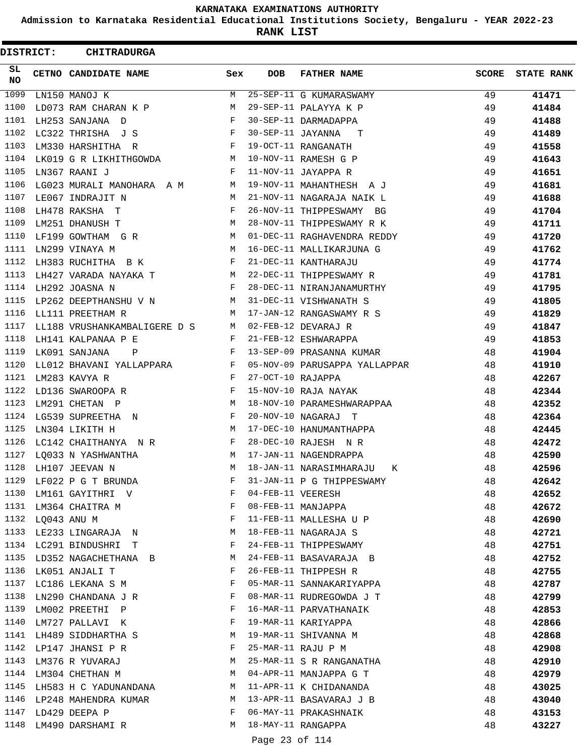**Admission to Karnataka Residential Educational Institutions Society, Bengaluru - YEAR 2022-23**

**RANK LIST**

 $\blacksquare$ 

| <b>DISTRICT:</b> |                  | <b>CHITRADURGA</b>           |              |                   |                               |              |                   |
|------------------|------------------|------------------------------|--------------|-------------------|-------------------------------|--------------|-------------------|
| SL.<br>NO.       |                  | CETNO CANDIDATE NAME         | Sex          | <b>DOB</b>        | <b>FATHER NAME</b>            | <b>SCORE</b> | <b>STATE RANK</b> |
| 1099             |                  | LN150 MANOJ K                | M            |                   | 25-SEP-11 G KUMARASWAMY       | 49           | 41471             |
| 1100             |                  | LD073 RAM CHARAN K P         | М            |                   | 29-SEP-11 PALAYYA K P         | 49           | 41484             |
| 1101             |                  | LH253 SANJANA D              | F            |                   | 30-SEP-11 DARMADAPPA          | 49           | 41488             |
| 1102             |                  | LC322 THRISHA J S            | F            | 30-SEP-11 JAYANNA | T                             | 49           | 41489             |
| 1103             |                  | LM330 HARSHITHA R            | F            |                   | 19-OCT-11 RANGANATH           | 49           | 41558             |
| 1104             |                  | LK019 G R LIKHITHGOWDA       | M            |                   | 10-NOV-11 RAMESH G P          | 49           | 41643             |
| 1105             |                  | LN367 RAANI J                | F            |                   | 11-NOV-11 JAYAPPA R           | 49           | 41651             |
| 1106             |                  | LG023 MURALI MANOHARA A M    | М            |                   | 19-NOV-11 MAHANTHESH A J      | 49           | 41681             |
| 1107             |                  | LE067 INDRAJIT N             | M            |                   | 21-NOV-11 NAGARAJA NAIK L     | 49           | 41688             |
| 1108             |                  | LH478 RAKSHA T               | F            |                   | 26-NOV-11 THIPPESWAMY<br>BG   | 49           | 41704             |
| 1109             |                  | LM251 DHANUSH T              | М            |                   | 28-NOV-11 THIPPESWAMY R K     | 49           | 41711             |
| 1110             |                  | LF199 GOWTHAM G R            | M            |                   | 01-DEC-11 RAGHAVENDRA REDDY   | 49           | 41720             |
| 1111             |                  | LN299 VINAYA M               | M            |                   | 16-DEC-11 MALLIKARJUNA G      | 49           | 41762             |
| 1112             |                  | LH383 RUCHITHA B K           | F            |                   | 21-DEC-11 KANTHARAJU          | 49           | 41774             |
| 1113             |                  | LH427 VARADA NAYAKA T        | M            |                   | 22-DEC-11 THIPPESWAMY R       | 49           | 41781             |
| 1114             |                  | LH292 JOASNA N               | F            |                   | 28-DEC-11 NIRANJANAMURTHY     | 49           | 41795             |
| 1115             |                  | LP262 DEEPTHANSHU V N        | M            |                   | 31-DEC-11 VISHWANATH S        | 49           | 41805             |
| 1116             |                  | LL111 PREETHAM R             | М            |                   | 17-JAN-12 RANGASWAMY R S      | 49           | 41829             |
| 1117             |                  | LL188 VRUSHANKAMBALIGERE D S | M            |                   | 02-FEB-12 DEVARAJ R           | 49           | 41847             |
| 1118             |                  | LH141 KALPANAA P E           | F            |                   | 21-FEB-12 ESHWARAPPA          | 49           | 41853             |
| 1119             |                  | LK091 SANJANA<br>Ρ           | F            |                   | 13-SEP-09 PRASANNA KUMAR      | 48           | 41904             |
| 1120             |                  | LL012 BHAVANI YALLAPPARA     | $\mathbf{F}$ |                   | 05-NOV-09 PARUSAPPA YALLAPPAR | 48           | 41910             |
| 1121             |                  | LM283 KAVYA R                | F            | 27-OCT-10 RAJAPPA |                               | 48           | 42267             |
| 1122             |                  | LD136 SWAROOPA R             | F            |                   | 15-NOV-10 RAJA NAYAK          | 48           | 42344             |
| 1123             |                  | LM291 CHETAN P               | M            |                   | 18-NOV-10 PARAMESHWARAPPAA    | 48           | 42352             |
| 1124             |                  | LG539 SUPREETHA N            | F            |                   | 20-NOV-10 NAGARAJ T           | 48           | 42364             |
| 1125             |                  | LN304 LIKITH H               | M            |                   | 17-DEC-10 HANUMANTHAPPA       | 48           | 42445             |
| 1126             |                  | LC142 CHAITHANYA N R         | F            |                   | 28-DEC-10 RAJESH N R          | 48           | 42472             |
| 1127             |                  | LO033 N YASHWANTHA           | M            |                   | 17-JAN-11 NAGENDRAPPA         | 48           | 42590             |
| 1128             |                  | LH107 JEEVAN N               | М            |                   | 18-JAN-11 NARASIMHARAJU<br>К  | 48           | 42596             |
| 1129             |                  | LF022 P G T BRUNDA           | F            |                   | 31-JAN-11 P G THIPPESWAMY     | 48           | 42642             |
| 1130             |                  | LM161 GAYITHRI V             | F            | 04-FEB-11 VEERESH |                               | 48           | 42652             |
|                  |                  | 1131 LM364 CHAITRA M         | F            |                   | 08-FEB-11 MANJAPPA            | 48           | 42672             |
|                  | 1132 LQ043 ANU M |                              | F            |                   | 11-FEB-11 MALLESHA U P        | 48           | 42690             |
| 1133             |                  | LE233 LINGARAJA N            | M            |                   | 18-FEB-11 NAGARAJA S          | 48           | 42721             |
|                  |                  | 1134 LC291 BINDUSHRI T       | F            |                   | 24-FEB-11 THIPPESWAMY         | 48           | 42751             |
| 1135             |                  | LD352 NAGACHETHANA B         | M            |                   | 24-FEB-11 BASAVARAJA B        | 48           | 42752             |
| 1136             |                  | LK051 ANJALI T               | F            |                   | 26-FEB-11 THIPPESH R          | 48           | 42755             |
|                  |                  | 1137 LC186 LEKANA S M        | F            |                   | 05-MAR-11 SANNAKARIYAPPA      | 48           | 42787             |
| 1138             |                  | LN290 CHANDANA J R           | F            |                   | 08-MAR-11 RUDREGOWDA J T      | 48           | 42799             |
| 1139             |                  | LM002 PREETHI P              | F            |                   | 16-MAR-11 PARVATHANAIK        | 48           | 42853             |
| 1140             |                  | LM727 PALLAVI K              | F            |                   | 19-MAR-11 KARIYAPPA           | 48           | 42866             |
|                  |                  | 1141 LH489 SIDDHARTHA S      | M            |                   | 19-MAR-11 SHIVANNA M          | 48           | 42868             |
| 1142             |                  | LP147 JHANSI P R             | F            |                   | 25-MAR-11 RAJU P M            | 48           | 42908             |
| 1143             |                  | LM376 R YUVARAJ              | M            |                   | 25-MAR-11 S R RANGANATHA      | 48           | 42910             |
|                  |                  | 1144 LM304 CHETHAN M         | M            |                   | 04-APR-11 MANJAPPA G T        | 48           | 42979             |
| 1145             |                  | LH583 H C YADUNANDANA        | M            |                   | 11-APR-11 K CHIDANANDA        | 48           | 43025             |
| 1146             |                  | LP248 MAHENDRA KUMAR         | M            |                   | 13-APR-11 BASAVARAJ J B       | 48           | 43040             |
| 1147             |                  | LD429 DEEPA P                | F            |                   | 06-MAY-11 PRAKASHNAIK         | 48           | 43153             |
|                  |                  | 1148 LM490 DARSHAMI R        | M            |                   | 18-MAY-11 RANGAPPA            | 48           | 43227             |
|                  |                  |                              |              |                   |                               |              |                   |

Page 23 of 114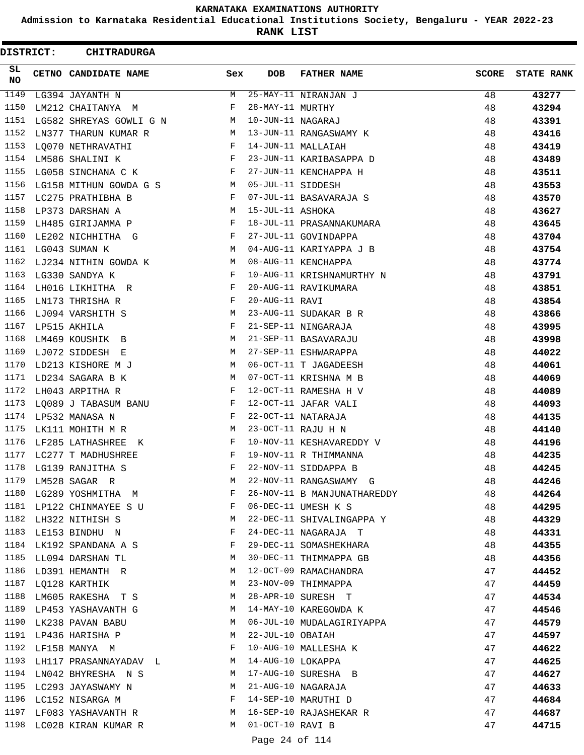**Admission to Karnataka Residential Educational Institutions Society, Bengaluru - YEAR 2022-23**

**RANK LIST**

| DISTRICT: | <b>CHITRADURGA</b>                                                                                     |              |                   |                                                         |              |                   |
|-----------|--------------------------------------------------------------------------------------------------------|--------------|-------------------|---------------------------------------------------------|--------------|-------------------|
| SL<br>NO  | <b>CETNO CANDIDATE NAME</b>                                                                            | Sex          | DOB               | <b>FATHER NAME</b>                                      | <b>SCORE</b> | <b>STATE RANK</b> |
| 1149      | LG394 JAYANTH N                                                                                        | M            |                   | 25-MAY-11 NIRANJAN J                                    | 48           | 43277             |
| 1150      | LM212 CHAITANYA M                                                                                      | F            | 28-MAY-11 MURTHY  |                                                         | 48           | 43294             |
| 1151      | LG582 SHREYAS GOWLI G N                                                                                | M            | 10-JUN-11 NAGARAJ |                                                         | 48           | 43391             |
| 1152      | LN377 THARUN KUMAR R                                                                                   | M            |                   | 13-JUN-11 RANGASWAMY K                                  | 48           | 43416             |
| 1153      | LQ070 NETHRAVATHI                                                                                      | F            |                   | 14-JUN-11 MALLAIAH                                      | 48           | 43419             |
| 1154      | LM586 SHALINI K                                                                                        | $\mathbf{F}$ |                   | 23-JUN-11 KARIBASAPPA D                                 | 48           | 43489             |
| 1155      | LG058 SINCHANA C K                                                                                     | F            |                   | 27-JUN-11 KENCHAPPA H                                   | 48           | 43511             |
| 1156      | LG158 MITHUN GOWDA G S M                                                                               |              | 05-JUL-11 SIDDESH |                                                         | 48           | 43553             |
| 1157      | LC275 PRATHIBHA B                                                                                      | F            |                   | 07-JUL-11 BASAVARAJA S                                  | 48           | 43570             |
| 1158      | LP373 DARSHAN A                                                                                        | M            | 15-JUL-11 ASHOKA  |                                                         | 48           | 43627             |
| 1159      | LH485 GIRIJAMMA P                                                                                      | F            |                   | 18-JUL-11 PRASANNAKUMARA                                | 48           | 43645             |
| 1160      | LE202 NICHHITHA G                                                                                      | F            |                   | 27-JUL-11 GOVINDAPPA                                    | 48           | 43704             |
| 1161      | LG043 SUMAN K                                                                                          | M            |                   | 04-AUG-11 KARIYAPPA J B                                 | 48           | 43754             |
| 1162      | LJ234 NITHIN GOWDA K                                                                                   | M            |                   | 08-AUG-11 KENCHAPPA                                     | 48           | 43774             |
| 1163      | LG330 SANDYA K                                                                                         | F            |                   | 10-AUG-11 KRISHNAMURTHY N                               | 48           | 43791             |
| 1164      | LH016 LIKHITHA R                                                                                       | F            |                   | 20-AUG-11 RAVIKUMARA                                    | 48           | 43851             |
| 1165      | LN173 THRISHA R                                                                                        | F            | 20-AUG-11 RAVI    |                                                         | 48           | 43854             |
| 1166      | LJ094 VARSHITH S                                                                                       | M            |                   | 23-AUG-11 SUDAKAR B R                                   | 48           | 43866             |
| 1167      | LP515 AKHILA                                                                                           | $\mathbf{F}$ |                   | 21-SEP-11 NINGARAJA                                     | 48           | 43995             |
| 1168      | LM469 KOUSHIK B                                                                                        | M            |                   | 21-SEP-11 BASAVARAJU                                    | 48           | 43998             |
| 1169      | LJ072 SIDDESH E                                                                                        | M            |                   | 27-SEP-11 ESHWARAPPA                                    | 48           | 44022             |
| 1170      | LD213 KISHORE M J                                                                                      | M            |                   | 06-OCT-11 T JAGADEESH                                   | 48           | 44061             |
| 1171      | LD234 SAGARA B K                                                                                       | M            |                   | 07-OCT-11 KRISHNA M B                                   | 48           | 44069             |
| 1172      | LH043 ARPITHA R                                                                                        | F            |                   | 12-OCT-11 RAMESHA H V                                   | 48           | 44089             |
| 1173      | LQ089 J TABASUM BANU                                                                                   | F            |                   | 12-OCT-11 JAFAR VALI                                    | 48           | 44093             |
|           | 1174 LP532 MANASA N                                                                                    | F            |                   | 22-OCT-11 NATARAJA                                      | 48           | 44135             |
| 1175      | LK111 MOHITH M R                                                                                       | M            |                   | 23-OCT-11 RAJU H N                                      | 48           | 44140             |
| 1176      | LF285 LATHASHREE K                                                                                     | F            |                   | 10-NOV-11 KESHAVAREDDY V                                | 48           | 44196             |
| 1177      | LC277 T MADHUSHREE                                                                                     | F            |                   | 19-NOV-11 R THIMMANNA                                   | 48           | 44235             |
|           | 1178 LG139 RANJITHA S                                                                                  | F            |                   | 22-NOV-11 SIDDAPPA B                                    | 48           | 44245             |
|           | 1179 LM528 SAGAR R                                                                                     |              |                   | M 22-NOV-11 RANGASWAMY G                                | 48           | 44246             |
|           |                                                                                                        |              |                   | 1180 LG289 YOSHMITHA M<br>F 26-NOV-11 B MANJUNATHAREDDY | 48           | 44264             |
|           | 1181 LP122 CHINMAYEE S U F 06-DEC-11 UMESH K S                                                         |              |                   |                                                         | 48           | 44295             |
|           |                                                                                                        |              |                   | 1182 LH322 NITHISH S M 22-DEC-11 SHIVALINGAPPA Y 48     |              | 44329             |
|           | 1183 LE153 BINDHU N F                                                                                  |              |                   | 24-DEC-11 NAGARAJA T                                    | 48           | 44331             |
|           | 1184 LK192 SPANDANA A S $\hbox{\tt F}$ 29-DEC-11 SOMASHEKHARA                                          |              |                   |                                                         |              |                   |
|           |                                                                                                        |              |                   |                                                         | 48           | 44355             |
|           | 1185 LL094 DARSHAN TL M 30-DEC-11 THIMMAPPA GB                                                         |              |                   |                                                         | 48           | 44356             |
|           | 1186 LD391 HEMANTH R M 12-OCT-09 RAMACHANDRA                                                           |              |                   |                                                         | 47           | 44452             |
|           | 1187 LQ128 KARTHIK                                                                                     |              |                   | M 23-NOV-09 THIMMAPPA                                   | 47           | 44459             |
|           | 1188 LM605 RAKESHA T S M 28-APR-10 SURESH T                                                            |              |                   |                                                         | 47           | 44534             |
|           | 1189 LP453 YASHAVANTH G M 14-MAY-10 KAREGOWDA K                                                        |              |                   |                                                         | 47           | 44546             |
|           | 1190 LK238 PAVAN BABU M 06-JUL-10 MUDALAGIRIYAPPA                                                      |              |                   | 47                                                      |              | 44579             |
|           | 1191 LP436 HARISHA P                                                                                   |              |                   | M 22-JUL-10 OBAIAH                                      | 47           | 44597             |
|           | 1192 LF158 MANYA M                                                                                     |              |                   | F 10-AUG-10 MALLESHA K                                  | 47           | 44622             |
|           | 1193 LH117 PRASANNAYADAV L M 14-AUG-10 LOKAPPA                                                         |              |                   |                                                         | 47           | 44625             |
|           | 1194 LN042 BHYRESHA N S $M$ 17-AUG-10 SURESHA B                                                        |              |                   |                                                         | 47           | 44627             |
|           | 1195 LC293 JAYASWAMY N M 21-AUG-10 NAGARAJA                                                            |              |                   |                                                         | 47           | 44633             |
|           | 1196 LC152 NISARGA M<br>1197 LF083 YASHAVANTH R<br>1197 LF083 YASHAVANTH R<br>M 16-SEP-10 RAJASHEKAR R |              |                   |                                                         | 47           | 44684             |
|           |                                                                                                        |              |                   |                                                         | 47           | 44687             |
|           | 1198 LC028 KIRAN KUMAR R M 01-OCT-10 RAVI B                                                            |              |                   |                                                         | 47           | 44715             |
|           |                                                                                                        |              | Page 24 of 114    |                                                         |              |                   |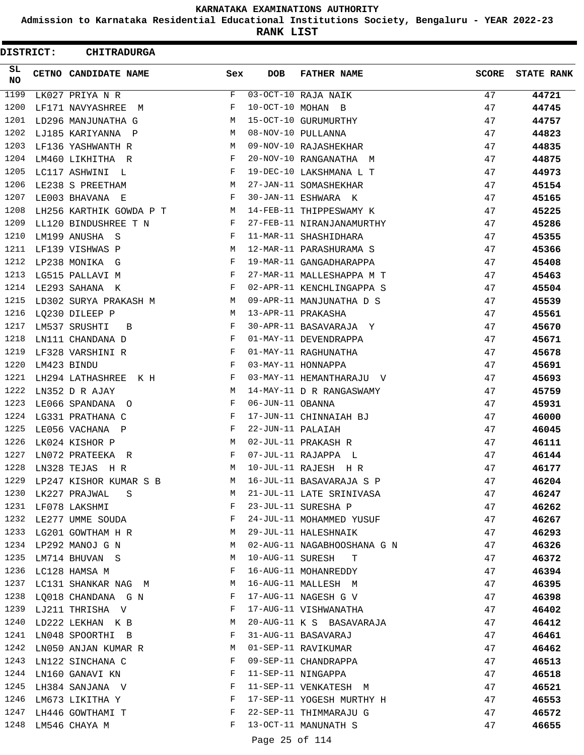**Admission to Karnataka Residential Educational Institutions Society, Bengaluru - YEAR 2022-23**

**RANK LIST**

 $\blacksquare$ 

| <b>DISTRICT:</b> | <b>CHITRADURGA</b>        |     |                   |                                  |              |                   |
|------------------|---------------------------|-----|-------------------|----------------------------------|--------------|-------------------|
| SL.<br><b>NO</b> | CETNO CANDIDATE NAME      | Sex | DOB               | <b>FATHER NAME</b>               | <b>SCORE</b> | <b>STATE RANK</b> |
| 1199             | LK027 PRIYA N R           | F   |                   | $\overline{03-OCT}-10$ RAJA NAIK | 47           | 44721             |
| 1200             | LF171 NAVYASHREE M        | F   |                   | 10-OCT-10 MOHAN B                | 47           | 44745             |
| 1201             | LD296 MANJUNATHA G        | M   |                   | 15-OCT-10 GURUMURTHY             | 47           | 44757             |
| 1202             | LJ185 KARIYANNA P         | M   |                   | 08-NOV-10 PULLANNA               | 47           | 44823             |
| 1203             | LF136 YASHWANTH R         | M   |                   | 09-NOV-10 RAJASHEKHAR            | 47           | 44835             |
| 1204             | LM460 LIKHITHA R          | F   |                   | 20-NOV-10 RANGANATHA M           | 47           | 44875             |
| 1205             | LC117 ASHWINI L           | F   |                   | 19-DEC-10 LAKSHMANA L T          | 47           | 44973             |
| 1206             | LE238 S PREETHAM          | М   |                   | 27-JAN-11 SOMASHEKHAR            | 47           | 45154             |
| 1207             | LE003 BHAVANA E           | F   |                   | 30-JAN-11 ESHWARA K              | 47           | 45165             |
| 1208             | LH256 KARTHIK GOWDA P T M |     |                   | 14-FEB-11 THIPPESWAMY K          | 47           | 45225             |
| 1209             | LL120 BINDUSHREE T N      | F   |                   | 27-FEB-11 NIRANJANAMURTHY        | 47           | 45286             |
| 1210             | LM199 ANUSHA S            | F   |                   | 11-MAR-11 SHASHIDHARA            | 47           | 45355             |
| 1211             | LF139 VISHWAS P           | М   |                   | 12-MAR-11 PARASHURAMA S          | 47           | 45366             |
| 1212             | LP238 MONIKA G            | F   |                   | 19-MAR-11 GANGADHARAPPA          | 47           | 45408             |
| 1213             | LG515 PALLAVI M           | F   |                   | 27-MAR-11 MALLESHAPPA M T        | 47           | 45463             |
| 1214             | LE293 SAHANA K            | F   |                   | 02-APR-11 KENCHLINGAPPA S        | 47           | 45504             |
| 1215             | LD302 SURYA PRAKASH M     | M   |                   | 09-APR-11 MANJUNATHA D S         | 47           | 45539             |
| 1216             | LQ230 DILEEP P            | M   |                   | 13-APR-11 PRAKASHA               | 47           | 45561             |
| 1217             | LM537 SRUSHTI<br>B        | F   |                   | 30-APR-11 BASAVARAJA Y           | 47           | 45670             |
| 1218             | LN111 CHANDANA D          | F   |                   | 01-MAY-11 DEVENDRAPPA            | 47           | 45671             |
| 1219             | LF328 VARSHINI R          | F   |                   | 01-MAY-11 RAGHUNATHA             | 47           | 45678             |
| 1220             | LM423 BINDU               | F   |                   | 03-MAY-11 HONNAPPA               | 47           | 45691             |
| 1221             | LH294 LATHASHREE K H      | F   |                   | 03-MAY-11 HEMANTHARAJU V         | 47           | 45693             |
| 1222             | LN352 D R AJAY            | M   |                   | 14-MAY-11 D R RANGASWAMY         | 47           | 45759             |
| 1223             | LE066 SPANDANA O          | F   | 06-JUN-11 OBANNA  |                                  | 47           | 45931             |
| 1224             | LG331 PRATHANA C          | F   |                   | 17-JUN-11 CHINNAIAH BJ           | 47           | 46000             |
| 1225             | LE056 VACHANA P           | F   | 22-JUN-11 PALAIAH |                                  | 47           | 46045             |
| 1226             | LK024 KISHOR P            | M   |                   | 02-JUL-11 PRAKASH R              | 47           | 46111             |
| 1227             | LN072 PRATEEKA R          | F   |                   | 07-JUL-11 RAJAPPA L              | 47           | 46144             |
| 1228             | LN328 TEJAS H R           | M   |                   | 10-JUL-11 RAJESH H R             | 47           | 46177             |
| 1229             | LP247 KISHOR KUMAR S B    | M   |                   | 16-JUL-11 BASAVARAJA S P         | 47           | 46204             |
| 1230             | LK227 PRAJWAL<br>S S      | M   |                   | 21-JUL-11 LATE SRINIVASA         | 47           | 46247             |
|                  | 1231 LF078 LAKSHMI        | F   |                   | 23-JUL-11 SURESHA P              | 47           | 46262             |
| 1232             | LE277 UMME SOUDA          | F   |                   | 24-JUL-11 MOHAMMED YUSUF         | 47           | 46267             |
| 1233             | LG201 GOWTHAM H R         | M   |                   | 29-JUL-11 HALESHNAIK             | 47           | 46293             |
| 1234             | LP292 MANOJ G N           | М   |                   | 02-AUG-11 NAGABHOOSHANA G N      | 47           | 46326             |
| 1235             | LM714 BHUVAN S            | М   |                   | 10-AUG-11 SURESH<br>T            | 47           | 46372             |
| 1236             | LC128 HAMSA M             | F   |                   | 16-AUG-11 MOHANREDDY             | 47           | 46394             |
| 1237             | LC131 SHANKAR NAG M       | M   |                   | 16-AUG-11 MALLESH M              | 47           | 46395             |
| 1238             | LQ018 CHANDANA G N        | F   |                   | 17-AUG-11 NAGESH G V             | 47           | 46398             |
|                  | 1239 LJ211 THRISHA V      | F   |                   | 17-AUG-11 VISHWANATHA            | 47           | 46402             |
| 1240             | LD222 LEKHAN K B          | M   |                   | 20-AUG-11 K S BASAVARAJA         | 47           | 46412             |
| 1241             | LN048 SPOORTHI B          | F   |                   | 31-AUG-11 BASAVARAJ              | 47           | 46461             |
| 1242             | LN050 ANJAN KUMAR R       | M   |                   | 01-SEP-11 RAVIKUMAR              | 47           | 46462             |
| 1243             | LN122 SINCHANA C          | F   |                   | 09-SEP-11 CHANDRAPPA             | 47           | 46513             |
| 1244             | LN160 GANAVI KN           | F   |                   | 11-SEP-11 NINGAPPA               | 47           | 46518             |
| 1245             | LH384 SANJANA V           | F   |                   | 11-SEP-11 VENKATESH M            | 47           | 46521             |
| 1246             | LM673 LIKITHA Y           | F   |                   | 17-SEP-11 YOGESH MURTHY H        | 47           | 46553             |
| 1247             | LH446 GOWTHAMI T          | F   |                   | 22-SEP-11 THIMMARAJU G           | 47           | 46572             |
| 1248             |                           | F   |                   | 13-OCT-11 MANUNATH S             | 47           |                   |
|                  | LM546 CHAYA M             |     |                   |                                  |              | 46655             |

Page 25 of 114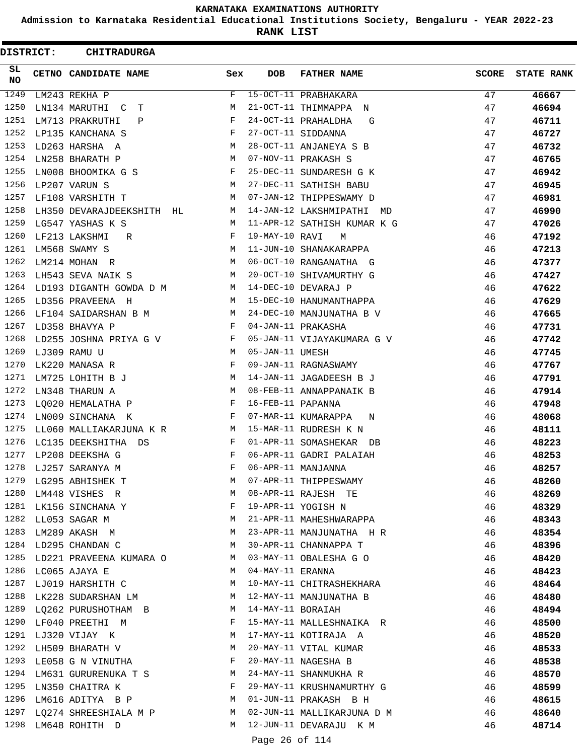**Admission to Karnataka Residential Educational Institutions Society, Bengaluru - YEAR 2022-23**

**RANK LIST**

ı

| <b>DISTRICT:</b> | <b>CHITRADURGA</b>                                                      |                             |                   |                             |              |                   |
|------------------|-------------------------------------------------------------------------|-----------------------------|-------------------|-----------------------------|--------------|-------------------|
| SL.<br>NO.       | CETNO CANDIDATE NAME                                                    | Sex                         | <b>DOB</b>        | <b>FATHER NAME</b>          | <b>SCORE</b> | <b>STATE RANK</b> |
| 1249             | LM243 REKHA P                                                           | F                           |                   | 15-OCT-11 PRABHAKARA        | 47           | 46667             |
| 1250             | LN134 MARUTHI C<br>т                                                    | M                           |                   | 21-OCT-11 THIMMAPPA N       | 47           | 46694             |
| 1251             | LM713 PRAKRUTHI<br>Ρ                                                    | F                           |                   | 24-OCT-11 PRAHALDHA<br>G    | 47           | 46711             |
| 1252             | LP135 KANCHANA S                                                        | F                           |                   | 27-OCT-11 SIDDANNA          | 47           | 46727             |
| 1253             | LD263 HARSHA A                                                          | М                           |                   | 28-OCT-11 ANJANEYA S B      | 47           | 46732             |
| 1254             | LN258 BHARATH P                                                         | M                           |                   | 07-NOV-11 PRAKASH S         | 47           | 46765             |
| 1255             | LN008 BHOOMIKA G S                                                      | $\mathbf{F}$                |                   | 25-DEC-11 SUNDARESH G K     | 47           | 46942             |
| 1256             | LP207 VARUN S                                                           | M                           |                   | 27-DEC-11 SATHISH BABU      | 47           | 46945             |
| 1257             | LF108 VARSHITH T                                                        | M                           |                   | 07-JAN-12 THIPPESWAMY D     | 47           | 46981             |
| 1258             | LH350 DEVARAJDEEKSHITH HL                                               | M                           |                   | 14-JAN-12 LAKSHMIPATHI MD   | 47           | 46990             |
| 1259             | LG547 YASHAS K S                                                        | M                           |                   | 11-APR-12 SATHISH KUMAR K G | 47           | 47026             |
| 1260             | LF213 LAKSHMI<br>R                                                      | F                           | 19-MAY-10 RAVI    | M                           | 46           | 47192             |
| 1261             | LM568 SWAMY S                                                           | $M_{\rm H}$ and $M_{\rm H}$ |                   | 11-JUN-10 SHANAKARAPPA      | 46           | 47213             |
| 1262             | LM214 MOHAN R                                                           | M                           |                   | 06-OCT-10 RANGANATHA G      | 46           | 47377             |
| 1263             | LH543 SEVA NAIK S                                                       | M                           |                   | 20-OCT-10 SHIVAMURTHY G     | 46           | 47427             |
| 1264             | LD193 DIGANTH GOWDA D M                                                 | M                           |                   | 14-DEC-10 DEVARAJ P         | 46           | 47622             |
| 1265             | LD356 PRAVEENA H                                                        | M                           |                   | 15-DEC-10 HANUMANTHAPPA     | 46           | 47629             |
| 1266             | LF104 SAIDARSHAN B M                                                    | M                           |                   | 24-DEC-10 MANJUNATHA B V    | 46           | 47665             |
| 1267             | LD358 BHAVYA P                                                          | $\mathbf{F}$                |                   | 04-JAN-11 PRAKASHA          | 46           | 47731             |
| 1268             | LD255 JOSHNA PRIYA G V                                                  | F                           |                   | 05-JAN-11 VIJAYAKUMARA G V  | 46           | 47742             |
| 1269             | LJ309 RAMU U                                                            | <b>Example 1 M</b>          | 05-JAN-11 UMESH   |                             | 46           | 47745             |
| 1270             | LK220 MANASA R                                                          | F                           |                   | 09-JAN-11 RAGNASWAMY        | 46           | 47767             |
| 1271             | LM725 LOHITH B J                                                        | M                           |                   | 14-JAN-11 JAGADEESH B J     | 46           | 47791             |
| 1272             | LN348 THARUN A                                                          | M                           |                   | 08-FEB-11 ANNAPPANAIK B     | 46           | 47914             |
| 1273             | LQ020 HEMALATHA P                                                       | $\mathbf{F}$                | 16-FEB-11 PAPANNA |                             | 46           | 47948             |
| 1274             | LN009 SINCHANA K                                                        | F                           |                   | 07-MAR-11 KUMARAPPA<br>N    | 46           | 48068             |
| 1275             | LL060 MALLIAKARJUNA K R M                                               |                             |                   | 15-MAR-11 RUDRESH K N       | 46           | 48111             |
| 1276             | LC135 DEEKSHITHA DS                                                     | F                           |                   | 01-APR-11 SOMASHEKAR DB     | 46           | 48223             |
| 1277             | LP208 DEEKSHA G                                                         | F                           |                   | 06-APR-11 GADRI PALAIAH     | 46           | 48253             |
| 1278             | LJ257 SARANYA M                                                         | F                           |                   | 06-APR-11 MANJANNA          | 46           | 48257             |
|                  | 1279 LG295 ABHISHEK T                                                   | M                           |                   | 07-APR-11 THIPPESWAMY       | 46           | 48260             |
| 1280             | LM448 VISHES R                                                          | M                           |                   | 08-APR-11 RAJESH TE         | 46           | 48269             |
|                  | $\mathbf{F}$ and $\mathbf{F}$ and $\mathbf{F}$<br>1281 LK156 SINCHANA Y |                             |                   | 19-APR-11 YOGISH N          | 46           | 48329             |
|                  | 1282 LL053 SAGAR M                                                      | M                           |                   | 21-APR-11 MAHESHWARAPPA     | 46           | 48343             |
|                  | 1283 LM289 AKASH M                                                      | M                           |                   | 23-APR-11 MANJUNATHA H R    | 46           | 48354             |
|                  | 1284 LD295 CHANDAN C<br><b>M</b>                                        |                             |                   | 30-APR-11 CHANNAPPA T       | 46           | 48396             |
| 1285             | LD221 PRAVEENA KUMARA O M                                               |                             |                   | 03-MAY-11 OBALESHA G O      | 46           | 48420             |
|                  | 1286 LC065 AJAYA E                                                      | M                           | 04-MAY-11 ERANNA  |                             | 46           | 48423             |
|                  | 1287 LJ019 HARSHITH C                                                   | M                           |                   | 10-MAY-11 CHITRASHEKHARA    | 46           | 48464             |
|                  | 1288 LK228 SUDARSHAN LM M 12-MAY-11 MANJUNATHA B                        |                             |                   |                             | 46           | 48480             |
|                  | 1289 LQ262 PURUSHOTHAM B M 14-MAY-11 BORAIAH                            |                             |                   |                             | 46           | 48494             |
|                  | 1290 LF040 PREETHI M                                                    | F                           |                   | 15-MAY-11 MALLESHNAIKA R    | 46           | 48500             |
|                  | 1291 LJ320 VIJAY K                                                      | M                           |                   | 17-MAY-11 KOTIRAJA A        | 46           | 48520             |
| 1292             | LH509 BHARATH V                                                         | <b>M</b>                    |                   | 20-MAY-11 VITAL KUMAR       | 46           | 48533             |
| 1293             | LE058 G N VINUTHA F                                                     |                             |                   | 20-MAY-11 NAGESHA B         | 46           | 48538             |
|                  | 1294 LM631 GURURENUKA T S M                                             |                             |                   | 24-MAY-11 SHANMUKHA R       | 46           | 48570             |
|                  | 1295 LN350 CHAITRA K                                                    | F                           |                   | 29-MAY-11 KRUSHNAMURTHY G   | 46           | 48599             |
| 1296             | LM616 ADITYA B P M                                                      |                             |                   | 01-JUN-11 PRAKASH B H       | - 46         | 48615             |
|                  | 1297 LQ274 SHREESHIALA M P M                                            |                             |                   | 02-JUN-11 MALLIKARJUNA D M  | 46           | 48640             |
|                  | 1298 LM648 ROHITH D                                                     | M                           |                   | 12-JUN-11 DEVARAJU K M      | 46           | 48714             |
|                  |                                                                         |                             | Page 26 of 114    |                             |              |                   |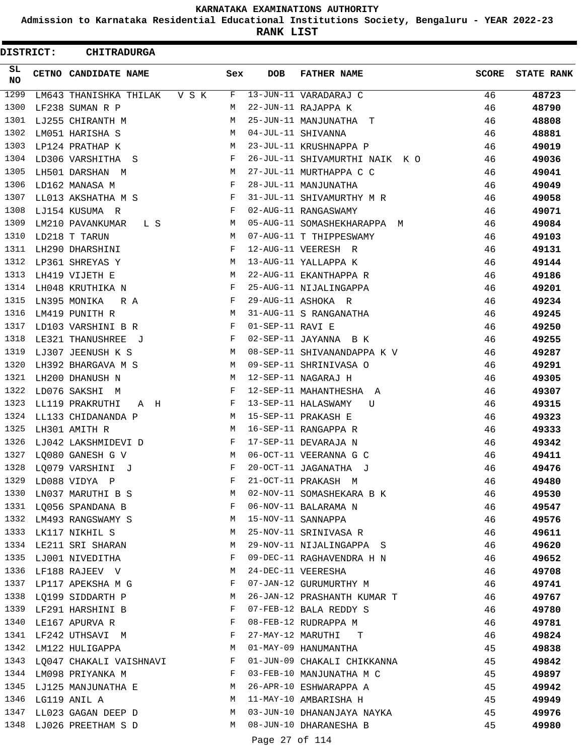**Admission to Karnataka Residential Educational Institutions Society, Bengaluru - YEAR 2022-23**

**RANK LIST**

| <b>DISTRICT:</b> | <b>CHITRADURGA</b>           |     |                  |                               |              |                   |
|------------------|------------------------------|-----|------------------|-------------------------------|--------------|-------------------|
| SL<br>NO         | CETNO CANDIDATE NAME         | Sex | <b>DOB</b>       | <b>FATHER NAME</b>            | <b>SCORE</b> | <b>STATE RANK</b> |
| 1299             | LM643 THANISHKA THILAK V S K | F   |                  | 13-JUN-11 VARADARAJ C         | 46           | 48723             |
| 1300             | LF238 SUMAN R P              | M   |                  | 22-JUN-11 RAJAPPA K           | 46           | 48790             |
| 1301             | LJ255 CHIRANTH M             | M   |                  | 25-JUN-11 MANJUNATHA T        | 46           | 48808             |
| 1302             | LM051 HARISHA S              | M   |                  | 04-JUL-11 SHIVANNA            | 46           | 48881             |
| 1303             | LP124 PRATHAP K              | M   |                  | 23-JUL-11 KRUSHNAPPA P        | 46           | 49019             |
| 1304             | LD306 VARSHITHA S            | F   |                  | 26-JUL-11 SHIVAMURTHI NAIK KO | 46           | 49036             |
| 1305             | LH501 DARSHAN M              | М   |                  | 27-JUL-11 MURTHAPPA C C       | 46           | 49041             |
| 1306             | LD162 MANASA M               | F   |                  | 28-JUL-11 MANJUNATHA          | 46           | 49049             |
| 1307             | LL013 AKSHATHA M S           | F   |                  | 31-JUL-11 SHIVAMURTHY M R     | 46           | 49058             |
| 1308             | LJ154 KUSUMA R               | F   |                  | 02-AUG-11 RANGASWAMY          | 46           | 49071             |
| 1309             | LM210 PAVANKUMAR<br>L S      | М   |                  | 05-AUG-11 SOMASHEKHARAPPA M   | 46           | 49084             |
| 1310             | LD218 T TARUN                | М   |                  | 07-AUG-11 T THIPPESWAMY       | 46           | 49103             |
| 1311             | LH290 DHARSHINI              | F   |                  | 12-AUG-11 VEERESH R           | 46           | 49131             |
| 1312             | LP361 SHREYAS Y              | М   |                  | 13-AUG-11 YALLAPPA K          | 46           | 49144             |
| 1313             | LH419 VIJETH E               | M   |                  | 22-AUG-11 EKANTHAPPA R        | 46           | 49186             |
| 1314             | LH048 KRUTHIKA N             | F   |                  | 25-AUG-11 NIJALINGAPPA        | 46           | 49201             |
| 1315             | LN395 MONIKA<br>R A          | F   |                  | 29-AUG-11 ASHOKA R            | 46           | 49234             |
| 1316             | LM419 PUNITH R               | M   |                  | 31-AUG-11 S RANGANATHA        | 46           | 49245             |
| 1317             | LD103 VARSHINI B R           | F   | 01-SEP-11 RAVI E |                               | 46           | 49250             |
| 1318             | LE321 THANUSHREE J           | F   |                  | 02-SEP-11 JAYANNA B K         | 46           | 49255             |
| 1319             | LJ307 JEENUSH K S            | М   |                  | 08-SEP-11 SHIVANANDAPPA K V   | 46           | 49287             |
| 1320             | LH392 BHARGAVA M S           | М   |                  | 09-SEP-11 SHRINIVASA O        | 46           | 49291             |
| 1321             | LH200 DHANUSH N              | M   |                  | 12-SEP-11 NAGARAJ H           | 46           | 49305             |
| 1322             | LD076 SAKSHI<br>M            | F   |                  | 12-SEP-11 MAHANTHESHA A       | 46           | 49307             |
| 1323             | LL119 PRAKRUTHI<br>A H       | F   |                  | 13-SEP-11 HALASWAMY<br>U      | 46           | 49315             |
| 1324             | LL133 CHIDANANDA P           | M   |                  | 15-SEP-11 PRAKASH E           | 46           | 49323             |
| 1325             | LH301 AMITH R                | M   |                  | 16-SEP-11 RANGAPPA R          | 46           | 49333             |
| 1326             | LJ042 LAKSHMIDEVI D          | F   |                  | 17-SEP-11 DEVARAJA N          | 46           | 49342             |
|                  | 1327 LO080 GANESH G V        | M   |                  | 06-OCT-11 VEERANNA G C        | 46           | 49411             |
|                  | 1328 LQ079 VARSHINI J        |     |                  | F 20-OCT-11 JAGANATHA J       | 46           | 49476             |
| 1329             | LD088 VIDYA P                | F   |                  | 21-OCT-11 PRAKASH M           | 46           | 49480             |
| 1330             | LN037 MARUTHI B S            | М   |                  | 02-NOV-11 SOMASHEKARA B K     | 46           | 49530             |
|                  | 1331 LQ056 SPANDANA B        | F   |                  | 06-NOV-11 BALARAMA N          | 46           | 49547             |
| 1332             | LM493 RANGSWAMY S            | M   |                  | 15-NOV-11 SANNAPPA            | 46           | 49576             |
| 1333             | LK117 NIKHIL S               | М   |                  | 25-NOV-11 SRINIVASA R         | 46           | 49611             |
| 1334             | LE211 SRI SHARAN             | М   |                  | 29-NOV-11 NIJALINGAPPA S      | 46           | 49620             |
|                  | 1335 LJ001 NIVEDITHA         | F   |                  | 09-DEC-11 RAGHAVENDRA H N     | 46           | 49652             |
| 1336             | LF188 RAJEEV V               | M   |                  | 24-DEC-11 VEERESHA            | 46           | 49708             |
| 1337             | LP117 APEKSHA M G            | F   |                  | 07-JAN-12 GURUMURTHY M        | 46           | 49741             |
| 1338             | LQ199 SIDDARTH P             | M   |                  | 26-JAN-12 PRASHANTH KUMAR T   | 46           | 49767             |
|                  | 1339 LF291 HARSHINI B        | F   |                  | 07-FEB-12 BALA REDDY S        | 46           | 49780             |
| 1340             | LE167 APURVA R               | F   |                  | 08-FEB-12 RUDRAPPA M          | 46           | 49781             |
| 1341             | LF242 UTHSAVI M              | F   |                  | 27-MAY-12 MARUTHI T           | 46           | 49824             |
| 1342             | LM122 HULIGAPPA              | M   |                  | 01-MAY-09 HANUMANTHA          | 45           | 49838             |
|                  | 1343 LQ047 CHAKALI VAISHNAVI | F   |                  | 01-JUN-09 CHAKALI CHIKKANNA   | 45           | 49842             |
| 1344             | LM098 PRIYANKA M             | F   |                  | 03-FEB-10 MANJUNATHA M C      | 45           | 49897             |
| 1345             | LJ125 MANJUNATHA E           | М   |                  | 26-APR-10 ESHWARAPPA A        | 45           | 49942             |
| 1346             | LG119 ANIL A                 | М   |                  | 11-MAY-10 AMBARISHA H         | 45           | 49949             |
| 1347             | LL023 GAGAN DEEP D           | M   |                  | 03-JUN-10 DHANANJAYA NAYKA    | 45           | 49976             |
| 1348             | LJ026 PREETHAM S D           | М   |                  | 08-JUN-10 DHARANESHA B        | 45           | 49980             |
|                  |                              |     | Page 27 of 114   |                               |              |                   |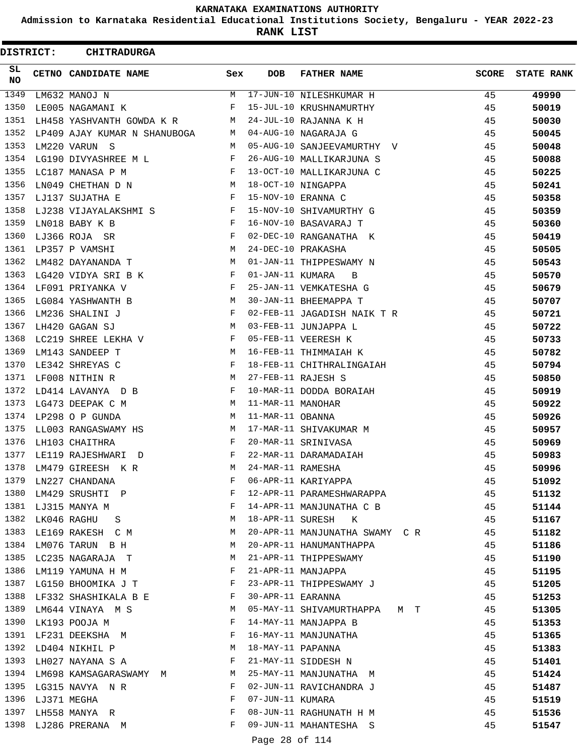**Admission to Karnataka Residential Educational Institutions Society, Bengaluru - YEAR 2022-23**

**RANK LIST**

|              | <b>DISTRICT:</b> | <b>CHITRADURGA</b>           |        |                   |                                |              |                   |
|--------------|------------------|------------------------------|--------|-------------------|--------------------------------|--------------|-------------------|
| SL<br>NO     |                  | CETNO CANDIDATE NAME         | Sex    | <b>DOB</b>        | <b>FATHER NAME</b>             | <b>SCORE</b> | <b>STATE RANK</b> |
| 1349         |                  | LM632 MANOJ N                | M      |                   | 17-JUN-10 NILESHKUMAR H        | 45           | 49990             |
| 1350         |                  | LE005 NAGAMANI K             | F      |                   | 15-JUL-10 KRUSHNAMURTHY        | 45           | 50019             |
| 1351         |                  | LH458 YASHVANTH GOWDA K R    | М      |                   | 24-JUL-10 RAJANNA K H          | 45           | 50030             |
| 1352         |                  | LP409 AJAY KUMAR N SHANUBOGA | М      |                   | 04-AUG-10 NAGARAJA G           | 45           | 50045             |
| 1353         |                  | LM220 VARUN S                | M      |                   | 05-AUG-10 SANJEEVAMURTHY V     | 45           | 50048             |
| 1354         |                  | LG190 DIVYASHREE M L         | F      |                   | 26-AUG-10 MALLIKARJUNA S       | 45           | 50088             |
| 1355         |                  | LC187 MANASA P M             | F      |                   | 13-OCT-10 MALLIKARJUNA C       | 45           | 50225             |
| 1356         |                  | LN049 CHETHAN D N            | M      |                   | 18-OCT-10 NINGAPPA             | 45           | 50241             |
| 1357         |                  | LJ137 SUJATHA E              | F      |                   | 15-NOV-10 ERANNA C             | 45           | 50358             |
| 1358         |                  | LJ238 VIJAYALAKSHMI S        | F      |                   | 15-NOV-10 SHIVAMURTHY G        | 45           | 50359             |
| 1359         |                  | LN018 BABY K B               | F      |                   | 16-NOV-10 BASAVARAJ T          | 45           | 50360             |
| 1360         |                  | LJ366 ROJA SR                | F      |                   | 02-DEC-10 RANGANATHA K         | 45           | 50419             |
| 1361         |                  | LP357 P VAMSHI               | M      |                   | 24-DEC-10 PRAKASHA             | 45           | 50505             |
| 1362         |                  | LM482 DAYANANDA T            | М      |                   | 01-JAN-11 THIPPESWAMY N        | 45           | 50543             |
| 1363         |                  | LG420 VIDYA SRI B K          | F      | 01-JAN-11 KUMARA  | B                              | 45           | 50570             |
| 1364         |                  | LF091 PRIYANKA V             | F      |                   | 25-JAN-11 VEMKATESHA G         | 45           | 50679             |
| 1365         |                  | LG084 YASHWANTH B            | М      |                   | 30-JAN-11 BHEEMAPPA T          | 45           | 50707             |
| 1366         |                  | LM236 SHALINI J              | F      |                   | 02-FEB-11 JAGADISH NAIK T R    | 45           | 50721             |
| 1367         |                  | LH420 GAGAN SJ               | М      |                   | 03-FEB-11 JUNJAPPA L           | 45           | 50722             |
| 1368         |                  | LC219 SHREE LEKHA V          | F      |                   | 05-FEB-11 VEERESH K            | 45           | 50733             |
| 1369         |                  | LM143 SANDEEP T              | М      |                   | 16-FEB-11 THIMMAIAH K          | 45           | 50782             |
| 1370         |                  | LE342 SHREYAS C              | F      |                   | 18-FEB-11 CHITHRALINGAIAH      | 45           | 50794             |
| 1371         |                  | LF008 NITHIN R               | М      |                   | 27-FEB-11 RAJESH S             | 45           | 50850             |
| 1372         |                  | LD414 LAVANYA D B            | F      |                   | 10-MAR-11 DODDA BORAIAH        | 45           | 50919             |
| 1373         |                  | LG473 DEEPAK C M             | M      | 11-MAR-11 MANOHAR |                                | 45           | 50922             |
| 1374         |                  | LP298 O P GUNDA              | М      | 11-MAR-11 OBANNA  |                                | 45           | 50926             |
| 1375         |                  | LL003 RANGASWAMY HS          | М      |                   | 17-MAR-11 SHIVAKUMAR M         | 45           | 50957             |
| 1376         |                  | LH103 CHAITHRA               | F      |                   | 20-MAR-11 SRINIVASA            | 45           | 50969             |
| 1377         |                  | LE119 RAJESHWARI<br>$\Box$   | F      |                   | 22-MAR-11 DARAMADAIAH          | 45           | 50983             |
| 1378         |                  | LM479 GIREESH K R            | М      | 24-MAR-11 RAMESHA |                                | 45           | 50996             |
| 1379         |                  | LN227 CHANDANA               | F      |                   | 06-APR-11 KARIYAPPA            | 45           | 51092             |
| 1380         |                  | LM429 SRUSHTI P              | F      |                   | 12-APR-11 PARAMESHWARAPPA      | 45           | 51132             |
| 1381         |                  | LJ315 MANYA M                | F      |                   | 14-APR-11 MANJUNATHA C B       | 45           | 51144             |
| 1382         | LK046 RAGHU      | -S                           | M      |                   | 18-APR-11 SURESH K             | 45           | 51167             |
| 1383         |                  | LE169 RAKESH C M             | M      |                   | 20-APR-11 MANJUNATHA SWAMY C R | 45           | 51182             |
| 1384         |                  | LM076 TARUN B H              | M      |                   | 20-APR-11 HANUMANTHAPPA        | 45           | 51186             |
| 1385         |                  | LC235 NAGARAJA T             | M      |                   | 21-APR-11 THIPPESWAMY          | 45           | 51190             |
| 1386         |                  | LM119 YAMUNA H M             | F      |                   | 21-APR-11 MANJAPPA             | 45           | 51195             |
| 1387         |                  | LG150 BHOOMIKA J T           | F      |                   |                                | 45           |                   |
| 1388         |                  | LF332 SHASHIKALA B E         | F      | 30-APR-11 EARANNA | 23-APR-11 THIPPESWAMY J        | 45           | 51205<br>51253    |
| 1389         |                  |                              | M      |                   | 05-MAY-11 SHIVAMURTHAPPA M T   | 45           |                   |
| 1390         |                  | LM644 VINAYA M S             | F      |                   |                                |              | 51305             |
|              |                  | LK193 POOJA M                |        |                   | 14-MAY-11 MANJAPPA B           | 45           | 51353             |
| 1391<br>1392 |                  | LF231 DEEKSHA M              | F<br>M | 18-MAY-11 PAPANNA | 16-MAY-11 MANJUNATHA           | 45           | 51365             |
| 1393         |                  | LD404 NIKHIL P               | F      |                   |                                | 45           | 51383             |
| 1394         |                  | LH027 NAYANA S A             |        |                   | 21-MAY-11 SIDDESH N            | 45           | 51401             |
| 1395         |                  | LM698 KAMSAGARASWAMY M       | M<br>F |                   | 25-MAY-11 MANJUNATHA M         | 45           | 51424             |
| 1396         |                  | LG315 NAVYA NR               | F      | 07-JUN-11 KUMARA  | 02-JUN-11 RAVICHANDRA J        | 45           | 51487             |
| 1397         | LJ371 MEGHA      |                              | F      |                   | 08-JUN-11 RAGHUNATH H M        | 45<br>45     | 51519             |
| 1398         |                  | LH558 MANYA R                | F      |                   | 09-JUN-11 MAHANTESHA S         | 45           | 51536             |
|              |                  | LJ286 PRERANA M              |        |                   |                                |              | 51547             |
|              |                  |                              |        | Page 28 of 114    |                                |              |                   |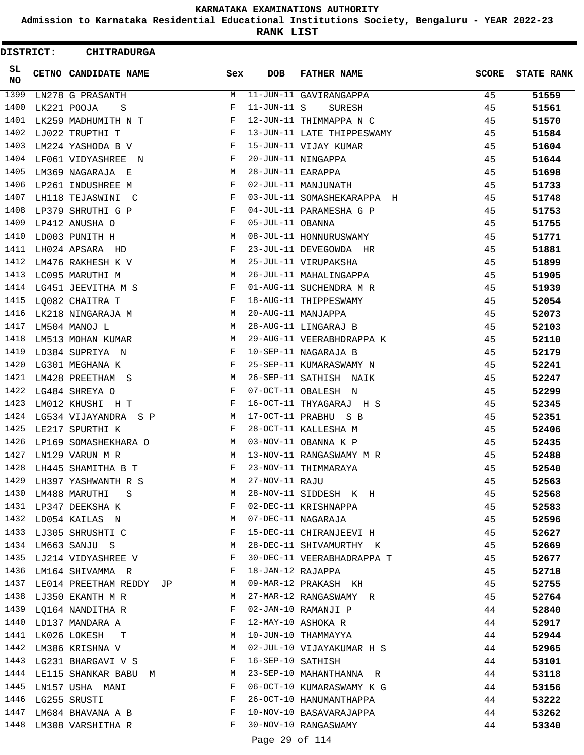**Admission to Karnataka Residential Educational Institutions Society, Bengaluru - YEAR 2022-23**

**RANK LIST**

ı

| DISTRICT: | <b>CHITRADURGA</b>             |                               |                   |                            |              |                   |
|-----------|--------------------------------|-------------------------------|-------------------|----------------------------|--------------|-------------------|
| SL.<br>NO | CETNO CANDIDATE NAME           | Sex                           | <b>DOB</b>        | <b>FATHER NAME</b>         | <b>SCORE</b> | <b>STATE RANK</b> |
| 1399      | LN278 G PRASANTH               | М                             |                   | 11-JUN-11 GAVIRANGAPPA     | 45           | 51559             |
| 1400      | LK221 POOJA<br>S               | F                             | $11 - JUN - 11 S$ | SURESH                     | 45           | 51561             |
| 1401      | LK259 MADHUMITH N T            | F                             |                   | 12-JUN-11 THIMMAPPA N C    | 45           | 51570             |
| 1402      | LJ022 TRUPTHI T                | F                             |                   | 13-JUN-11 LATE THIPPESWAMY | 45           | 51584             |
| 1403      | LM224 YASHODA B V              | F                             |                   | 15-JUN-11 VIJAY KUMAR      | 45           | 51604             |
| 1404      | LF061 VIDYASHREE N             | F                             |                   | 20-JUN-11 NINGAPPA         | 45           | 51644             |
| 1405      | LM369 NAGARAJA E               | M                             | 28-JUN-11 EARAPPA |                            | 45           | 51698             |
| 1406      | LP261 INDUSHREE M              | F                             |                   | 02-JUL-11 MANJUNATH        | 45           | 51733             |
| 1407      | LH118 TEJASWINI C              | F                             |                   | 03-JUL-11 SOMASHEKARAPPA H | 45           | 51748             |
| 1408      | LP379 SHRUTHI G P              | F                             |                   | 04-JUL-11 PARAMESHA G P    | 45           | 51753             |
| 1409      | LP412 ANUSHA O                 | F                             | 05-JUL-11 OBANNA  |                            | 45           | 51755             |
| 1410      | LD003 PUNITH H                 | М                             |                   | 08-JUL-11 HONNURUSWAMY     | 45           | 51771             |
| 1411      | LH024 APSARA HD                | F                             |                   | 23-JUL-11 DEVEGOWDA HR     | 45           | 51881             |
| 1412      | LM476 RAKHESH K V              | M                             |                   | 25-JUL-11 VIRUPAKSHA       | 45           | 51899             |
| 1413      | LC095 MARUTHI M                | M                             |                   | 26-JUL-11 MAHALINGAPPA     | 45           | 51905             |
| 1414      | LG451 JEEVITHA M S             | F                             |                   | 01-AUG-11 SUCHENDRA M R    | 45           | 51939             |
| 1415      | LQ082 CHAITRA T                | F                             |                   | 18-AUG-11 THIPPESWAMY      | 45           | 52054             |
| 1416      | LK218 NINGARAJA M              | М                             |                   | 20-AUG-11 MANJAPPA         | 45           | 52073             |
| 1417      | LM504 MANOJ L                  | М                             |                   | 28-AUG-11 LINGARAJ B       | 45           | 52103             |
| 1418      | LM513 MOHAN KUMAR              | M                             |                   | 29-AUG-11 VEERABHDRAPPA K  | 45           | 52110             |
| 1419      | LD384 SUPRIYA N                | F                             |                   | 10-SEP-11 NAGARAJA B       | 45           | 52179             |
| 1420      | LG301 MEGHANA K                | F                             |                   | 25-SEP-11 KUMARASWAMY N    | 45           | 52241             |
| 1421      | LM428 PREETHAM S               | М                             |                   | 26-SEP-11 SATHISH NAIK     | 45           | 52247             |
| 1422      | LG484 SHREYA O                 | F                             |                   | 07-OCT-11 OBALESH N        | 45           | 52299             |
| 1423      | LM012 KHUSHI H T               | F                             |                   | 16-OCT-11 THYAGARAJ H S    | 45           | 52345             |
| 1424      | LG534 VIJAYANDRA S P           | М                             |                   | 17-OCT-11 PRABHU S B       | 45           | 52351             |
| 1425      | LE217 SPURTHI K                | F                             |                   | 28-OCT-11 KALLESHA M       | 45           | 52406             |
| 1426      | LP169 SOMASHEKHARA O           | M                             |                   | 03-NOV-11 OBANNA K P       | 45           | 52435             |
| 1427      | LN129 VARUN M R                | M                             |                   | 13-NOV-11 RANGASWAMY M R   | 45           | 52488             |
| 1428      | LH445 SHAMITHA B T             | F                             |                   | 23-NOV-11 THIMMARAYA       | 45           | 52540             |
| 1429      | LH397 YASHWANTH R S            | М                             | 27-NOV-11 RAJU    |                            | 45           | 52563             |
| 1430      | LM488 MARUTHI S                | M                             |                   | 28-NOV-11 SIDDESH K H      | 45           | 52568             |
|           | 1431 LP347 DEEKSHA K           | $\mathbf{F}$                  |                   | 02-DEC-11 KRISHNAPPA       | 45           | 52583             |
|           | 1432 LD054 KAILAS N            | M                             |                   | 07-DEC-11 NAGARAJA         | 45           | 52596             |
| 1433      | LJ305 SHRUSHTI C               | $\mathbf{F}$                  |                   | 15-DEC-11 CHIRANJEEVI H    | 45           | 52627             |
| 1434      | LM663 SANJU S                  | <b>M</b>                      |                   | 28-DEC-11 SHIVAMURTHY K    | 45           | 52669             |
| 1435      | LJ214 VIDYASHREE V F           |                               |                   | 30-DEC-11 VEERABHADRAPPA T | 45           | 52677             |
|           | 1436 LM164 SHIVAMMA R          | $\mathbf{F}$ and $\mathbf{F}$ |                   | 18-JAN-12 RAJAPPA          | 45           | 52718             |
|           | 1437 LE014 PREETHAM REDDY JP M |                               |                   | 09-MAR-12 PRAKASH KH       | 45           | 52755             |
|           | 1438 LJ350 EKANTH M R          | M                             |                   | 27-MAR-12 RANGASWAMY R     | 45           | 52764             |
|           | 1439 LQ164 NANDITHA R          | F                             |                   | 02-JAN-10 RAMANJI P        | 44           | 52840             |
|           | 1440 LD137 MANDARA A           | $\mathbf{F}$                  |                   | 12-MAY-10 ASHOKA R         | 44           | 52917             |
|           | 1441 LK026 LOKESH T            | M                             |                   | 10-JUN-10 THAMMAYYA        | 44           | 52944             |
| 1442      | LM386 KRISHNA V                | M                             |                   | 02-JUL-10 VIJAYAKUMAR H S  | 44           | 52965             |
| 1443      | LG231 BHARGAVI V S             | F                             |                   | 16-SEP-10 SATHISH          | 44           | 53101             |
| 1444      | LE115 SHANKAR BABU M           | M                             |                   | 23-SEP-10 MAHANTHANNA R    | 44           | 53118             |
| 1445      | LN157 USHA MANI                | F                             |                   | 06-OCT-10 KUMARASWAMY K G  | 44           | 53156             |
|           | 1446 LG255 SRUSTI              | F                             |                   | 26-OCT-10 HANUMANTHAPPA    | 44           | 53222             |
| 1447      |                                |                               |                   | 10-NOV-10 BASAVARAJAPPA    | 44           | 53262             |
| 1448      | LM308 VARSHITHA R              | $_{\rm F}$                    |                   | 30-NOV-10 RANGASWAMY       | 44           | 53340             |
|           |                                |                               | Page 29 of 114    |                            |              |                   |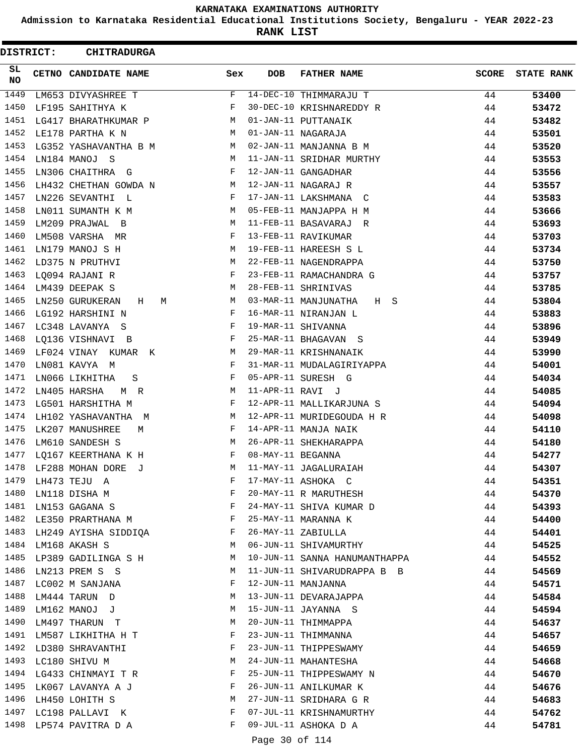**Admission to Karnataka Residential Educational Institutions Society, Bengaluru - YEAR 2022-23**

**RANK LIST**

| DISTRICT: | <b>CHITRADURGA</b>        |     |                   |                               |              |                   |
|-----------|---------------------------|-----|-------------------|-------------------------------|--------------|-------------------|
| SL<br>NO. | CETNO CANDIDATE NAME      | Sex | <b>DOB</b>        | <b>FATHER NAME</b>            | <b>SCORE</b> | <b>STATE RANK</b> |
| 1449      | LM653 DIVYASHREE T        | F   |                   | 14-DEC-10 THIMMARAJU T        | 44           | 53400             |
| 1450      | LF195 SAHITHYA K          | F   |                   | 30-DEC-10 KRISHNAREDDY R      | 44           | 53472             |
| 1451      | LG417 BHARATHKUMAR P      | M   |                   | 01-JAN-11 PUTTANAIK           | 44           | 53482             |
| 1452      | LE178 PARTHA K N          | M   |                   | 01-JAN-11 NAGARAJA            | 44           | 53501             |
| 1453      | LG352 YASHAVANTHA B M     | M   |                   | 02-JAN-11 MANJANNA B M        | 44           | 53520             |
| 1454      | LN184 MANOJ S             | М   |                   | 11-JAN-11 SRIDHAR MURTHY      | 44           | 53553             |
| 1455      | LN306 CHAITHRA G          | F   |                   | 12-JAN-11 GANGADHAR           | 44           | 53556             |
| 1456      | LH432 CHETHAN GOWDA N     | M   |                   | 12-JAN-11 NAGARAJ R           | 44           | 53557             |
| 1457      | LN226 SEVANTHI L          | F   |                   | 17-JAN-11 LAKSHMANA C         | 44           | 53583             |
| 1458      | LN011 SUMANTH K M         | M   |                   | 05-FEB-11 MANJAPPA H M        | 44           | 53666             |
| 1459      | LM209 PRAJWAL<br>$\Box$   | М   |                   | 11-FEB-11 BASAVARAJ R         | 44           | 53693             |
| 1460      | LM508 VARSHA MR           | F   |                   | 13-FEB-11 RAVIKUMAR           | 44           | 53703             |
| 1461      | LN179 MANOJ S H           | M   |                   | 19-FEB-11 HAREESH S L         | 44           | 53734             |
| 1462      | LD375 N PRUTHVI           | M   |                   | 22-FEB-11 NAGENDRAPPA         | 44           | 53750             |
| 1463      | LQ094 RAJANI R            | F   |                   | 23-FEB-11 RAMACHANDRA G       | 44           | 53757             |
| 1464      | LM439 DEEPAK S            | М   |                   | 28-FEB-11 SHRINIVAS           | 44           | 53785             |
| 1465      | LN250 GURUKERAN<br>Н<br>М | M   |                   | 03-MAR-11 MANJUNATHA<br>H S   | 44           | 53804             |
| 1466      | LG192 HARSHINI N          | F   |                   | 16-MAR-11 NIRANJAN L          | 44           | 53883             |
| 1467      | LC348 LAVANYA S           | F   |                   | 19-MAR-11 SHIVANNA            | 44           | 53896             |
| 1468      | LQ136 VISHNAVI B          | F   |                   | 25-MAR-11 BHAGAVAN<br>- S     | 44           | 53949             |
| 1469      | LF024 VINAY KUMAR<br>K    | M   |                   | 29-MAR-11 KRISHNANAIK         | 44           | 53990             |
| 1470      | LN081 KAVYA M             | F   |                   | 31-MAR-11 MUDALAGIRIYAPPA     | 44           | 54001             |
| 1471      | LN066 LIKHITHA<br>S       | F   |                   | 05-APR-11 SURESH G            | 44           | 54034             |
| 1472      | LN405 HARSHA<br>M R       | М   | 11-APR-11 RAVI J  |                               | 44           | 54085             |
| 1473      | LG501 HARSHITHA M         | F   |                   | 12-APR-11 MALLIKARJUNA S      | 44           | 54094             |
| 1474      | LH102 YASHAVANTHA M       | М   |                   | 12-APR-11 MURIDEGOUDA H R     | 44           | 54098             |
| 1475      | LK207 MANUSHREE<br>M      | F   |                   | 14-APR-11 MANJA NAIK          | 44           | 54110             |
| 1476      | LM610 SANDESH S           | M   |                   | 26-APR-11 SHEKHARAPPA         | 44           | 54180             |
| 1477      | LQ167 KEERTHANA K H       | F   | 08-MAY-11 BEGANNA |                               | 44           | 54277             |
| 1478      | LF288 MOHAN DORE<br>ਾਹ    | M   |                   | 11-MAY-11 JAGALURAIAH         | 44           | 54307             |
| 1479      | LH473 TEJU A              | F   |                   | 17-MAY-11 ASHOKA C            | 44           | 54351             |
| 1480      | LN118 DISHA M             | F   |                   | 20-MAY-11 R MARUTHESH         | 44           | 54370             |
|           | 1481 LN153 GAGANA S       | F   |                   | 24-MAY-11 SHIVA KUMAR D       | 44           | 54393             |
|           | 1482 LE350 PRARTHANA M    | F   |                   | 25-MAY-11 MARANNA K           | 44           | 54400             |
|           | 1483 LH249 AYISHA SIDDIQA | F   |                   | 26-MAY-11 ZABIULLA            | 44           |                   |
| 1484      | LM168 AKASH S             | М   |                   | 06-JUN-11 SHIVAMURTHY         | 44           | 54401             |
| 1485      | LP389 GADILINGA S H       | M   |                   | 10-JUN-11 SANNA HANUMANTHAPPA | 44           | 54525             |
| 1486      |                           |     |                   |                               |              | 54552             |
|           | LN213 PREM S S            | M   |                   | 11-JUN-11 SHIVARUDRAPPA B B   | 44           | 54569             |
|           | 1487 LC002 M SANJANA      | F   |                   | 12-JUN-11 MANJANNA            | 44           | 54571             |
| 1488      | LM444 TARUN D             | M   |                   | 13-JUN-11 DEVARAJAPPA         | 44           | 54584             |
| 1489      | LM162 MANOJ J             | M   |                   | 15-JUN-11 JAYANNA S           | 44           | 54594             |
|           | 1490 LM497 THARUN T       | M   |                   | 20-JUN-11 THIMMAPPA           | 44           | 54637             |
|           | 1491 LM587 LIKHITHA H T   | F   |                   | 23-JUN-11 THIMMANNA           | 44           | 54657             |
| 1492      | LD380 SHRAVANTHI          | F   |                   | 23-JUN-11 THIPPESWAMY         | 44           | 54659             |
| 1493      | LC180 SHIVU M             | М   |                   | 24-JUN-11 MAHANTESHA          | 44           | 54668             |
|           | 1494 LG433 CHINMAYI T R   | F   |                   | 25-JUN-11 THIPPESWAMY N       | 44           | 54670             |
|           | 1495 LK067 LAVANYA A J    | F   |                   | 26-JUN-11 ANILKUMAR K         | 44           | 54676             |
| 1496      | LH450 LOHITH S            | М   |                   | 27-JUN-11 SRIDHARA G R        | 44           | 54683             |
|           | 1497 LC198 PALLAVI K      | F   |                   | 07-JUL-11 KRISHNAMURTHY       | 44           | 54762             |
|           | 1498 LP574 PAVITRA D A    | F   |                   | 09-JUL-11 ASHOKA D A          | 44           | 54781             |
|           |                           |     | Page 30 of 114    |                               |              |                   |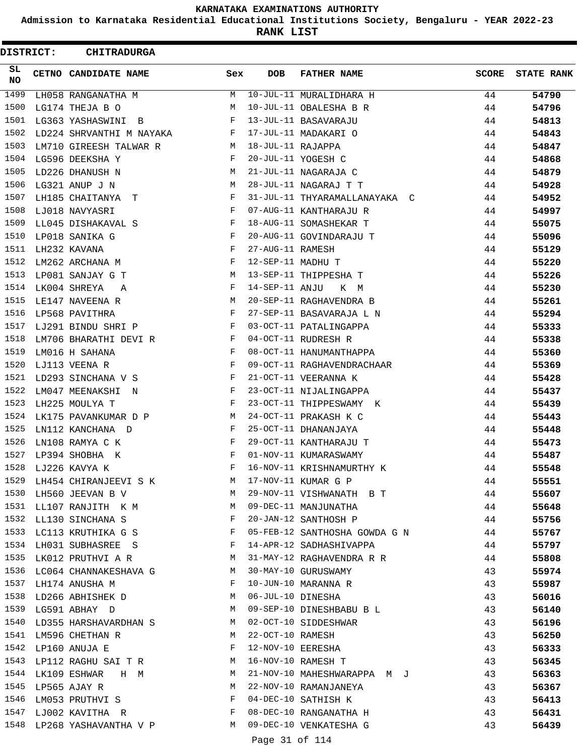**Admission to Karnataka Residential Educational Institutions Society, Bengaluru - YEAR 2022-23**

**RANK LIST**

ı

| DISTRICT:  | <b>CHITRADURGA</b>                      |              |                   |                                  |              |                   |
|------------|-----------------------------------------|--------------|-------------------|----------------------------------|--------------|-------------------|
| SL.<br>NO. | CETNO CANDIDATE NAME                    | Sex          | <b>DOB</b>        | <b>FATHER NAME</b>               | <b>SCORE</b> | <b>STATE RANK</b> |
| 1499       | LH058 RANGANATHA M                      | M            |                   | 10-JUL-11 MURALIDHARA H          | 44           | 54790             |
| 1500       | LG174 THEJA B O                         | М            |                   | 10-JUL-11 OBALESHA B R           | 44           | 54796             |
| 1501       | LG363 YASHASWINI B                      | F            |                   | 13-JUL-11 BASAVARAJU             | 44           | 54813             |
| 1502       | LD224 SHRVANTHI M NAYAKA                | F            |                   | 17-JUL-11 MADAKARI O             | 44           | 54843             |
| 1503       | LM710 GIREESH TALWAR R                  | M            | 18-JUL-11 RAJAPPA |                                  | 44           | 54847             |
| 1504       | LG596 DEEKSHA Y                         | F            |                   | 20-JUL-11 YOGESH C               | 44           | 54868             |
| 1505       | LD226 DHANUSH N                         | М            |                   | 21-JUL-11 NAGARAJA C             | 44           | 54879             |
| 1506       | LG321 ANUP J N                          | М            |                   | 28-JUL-11 NAGARAJ T T            | 44           | 54928             |
| 1507       | LH185 CHAITANYA T                       | F            |                   | 31-JUL-11 THYARAMALLANAYAKA C    | 44           | 54952             |
| 1508       | LJ018 NAVYASRI                          | F            |                   | 07-AUG-11 KANTHARAJU R           | 44           | 54997             |
| 1509       | LL045 DISHAKAVAL S                      | F            |                   | 18-AUG-11 SOMASHEKAR T           | 44           | 55075             |
| 1510       | LP018 SANIKA G                          | F            |                   | 20-AUG-11 GOVINDARAJU T          | 44           | 55096             |
| 1511       | LH232 KAVANA                            | F            | 27-AUG-11 RAMESH  |                                  | 44           | 55129             |
| 1512       | LM262 ARCHANA M                         | $-F$         | 12-SEP-11 MADHU T |                                  | 44           | 55220             |
| 1513       | LP081 SANJAY G T                        | M            |                   | 13-SEP-11 THIPPESHA T            | 44           | 55226             |
| 1514       | LK004 SHREYA<br>A                       | F            | 14-SEP-11 ANJU    | K M                              | 44           | 55230             |
| 1515       | LE147 NAVEENA R                         | М            |                   | 20-SEP-11 RAGHAVENDRA B          | 44           | 55261             |
| 1516       | LP568 PAVITHRA                          | F            |                   | 27-SEP-11 BASAVARAJA L N         | 44           | 55294             |
| 1517       | LJ291 BINDU SHRI P                      | F            |                   | 03-OCT-11 PATALINGAPPA           | 44           | 55333             |
| 1518       | LM706 BHARATHI DEVI R                   | F            |                   | 04-OCT-11 RUDRESH R              | 44           | 55338             |
| 1519       | LM016 H SAHANA                          | F            |                   | 08-OCT-11 HANUMANTHAPPA          | 44           | 55360             |
| 1520       | LJ113 VEENA R                           | $\mathbf{F}$ |                   | 09-OCT-11 RAGHAVENDRACHAAR       | 44           | 55369             |
| 1521       | LD293 SINCHANA V S                      | F            |                   | 21-OCT-11 VEERANNA K             | 44           | 55428             |
| 1522       | LM047 MEENAKSHI N                       | F            |                   | 23-OCT-11 NIJALINGAPPA           | 44           | 55437             |
| 1523       | LH225 MOULYA T                          | F            |                   | 23-OCT-11 THIPPESWAMY K          | 44           | 55439             |
| 1524       | LK175 PAVANKUMAR D P                    | M            |                   | 24-OCT-11 PRAKASH K C            | 44           | 55443             |
| 1525       | LN112 KANCHANA D                        | F            |                   | 25-OCT-11 DHANANJAYA             | 44           | 55448             |
| 1526       | LN108 RAMYA C K                         | F            |                   | 29-OCT-11 KANTHARAJU T           | 44           | 55473             |
| 1527       | LP394 SHOBHA K                          | F            |                   | 01-NOV-11 KUMARASWAMY            | 44           | 55487             |
| 1528       | LJ226 KAVYA K                           | F            |                   | 16-NOV-11 KRISHNAMURTHY K        | 44           | 55548             |
|            | 1529 LH454 CHIRANJEEVI S K              |              |                   | M 17-NOV-11 KUMAR G P            | 44           | 55551             |
|            | 1530 LH560 JEEVAN B V<br>M <sub>1</sub> |              |                   | 29-NOV-11 VISHWANATH B T         | 44           | 55607             |
|            | 1531 LL107 RANJITH K M                  |              |                   | 09-DEC-11 MANJUNATHA             | 44           | 55648             |
|            | 1532 LL130 SINCHANA S                   | $\mathbf{F}$ |                   | 20-JAN-12 SANTHOSH P             | 44           | 55756             |
|            | 1533 LC113 KRUTHIKA G S                 | $\mathbf{F}$ |                   | 05-FEB-12 SANTHOSHA GOWDA G N 44 |              | 55767             |
|            | 1534 LH031 SUBHASREE S                  |              |                   | 14-APR-12 SADHASHIVAPPA          | 44           | 55797             |
| 1535       | LK012 PRUTHVI A R M                     |              |                   | 31-MAY-12 RAGHAVENDRA R R        | 44           | 55808             |
|            | 1536 LC064 CHANNAKESHAVA G M            |              |                   | 30-MAY-10 GURUSWAMY              | 43           | 55974             |
|            | 1537 LH174 ANUSHA M                     | $\mathbf{F}$ |                   | 10-JUN-10 MARANNA R              | 43           | 55987             |
|            | 1538 LD266 ABHISHEK D M                 |              | 06-JUL-10 DINESHA |                                  | 43           | 56016             |
|            | 1539 LG591 ABHAY D<br>$M_{\odot}$       |              |                   | 09-SEP-10 DINESHBABU B L         | 43           | 56140             |
|            | 1540 LD355 HARSHAVARDHAN S M            |              |                   | 02-OCT-10 SIDDESHWAR             | 43           | 56196             |
|            | 1541 LM596 CHETHAN R                    | M            | 22-OCT-10 RAMESH  |                                  | 43           | 56250             |
|            | 1542 LP160 ANUJA E                      | F            |                   | 12-NOV-10 EERESHA                | 43           | 56333             |
| 1543       | LP112 RAGHU SAI T R                     | M            |                   | 16-NOV-10 RAMESH T               | 43           | 56345             |
|            | 1544 LK109 ESHWAR H M                   | M            |                   | 21-NOV-10 MAHESHWARAPPA M J      | 43           | 56363             |
|            | 1545 LP565 AJAY R                       | M            |                   | 22-NOV-10 RAMANJANEYA            | 43           | 56367             |
|            | 1546 LM053 PRUTHVI S                    |              |                   | 04-DEC-10 SATHISH K              | 43           | 56413             |
|            | 1547 LJ002 KAVITHA R F                  |              |                   | 08-DEC-10 RANGANATHA H           | 43           | 56431             |
|            | 1548 LP268 YASHAVANTHA V P M            |              |                   | 09-DEC-10 VENKATESHA G           | 43           | 56439             |
|            |                                         |              | Page 31 of 114    |                                  |              |                   |
|            |                                         |              |                   |                                  |              |                   |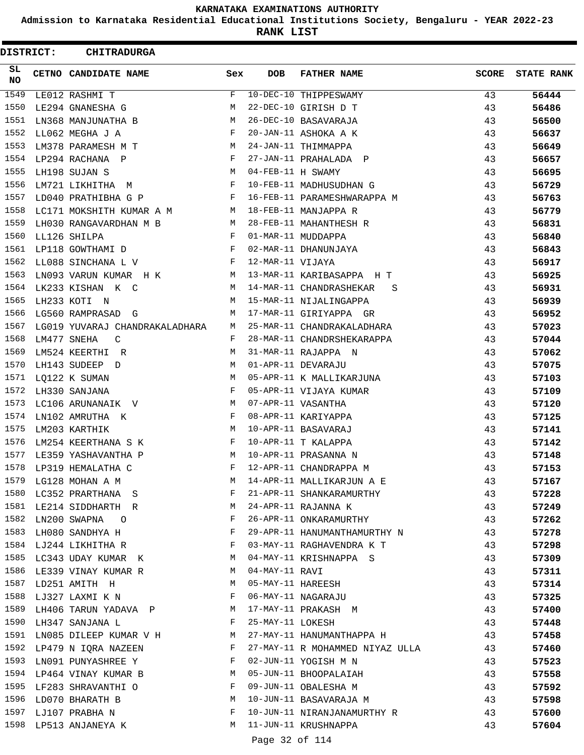**Admission to Karnataka Residential Educational Institutions Society, Bengaluru - YEAR 2022-23**

**RANK LIST**

| <b>DISTRICT:</b> | <b>CHITRADURGA</b>                                                                                                                                                                                                                                    |              |                   |                                 |              |                   |
|------------------|-------------------------------------------------------------------------------------------------------------------------------------------------------------------------------------------------------------------------------------------------------|--------------|-------------------|---------------------------------|--------------|-------------------|
| SL.<br><b>NO</b> | CETNO CANDIDATE NAME                                                                                                                                                                                                                                  | Sex          | DOB               | <b>FATHER NAME</b>              | <b>SCORE</b> | <b>STATE RANK</b> |
| 1549             | LE012 RASHMI T                                                                                                                                                                                                                                        | F            |                   | 10-DEC-10 THIPPESWAMY           | 43           | 56444             |
| 1550             | LE294 GNANESHA G                                                                                                                                                                                                                                      | М            |                   | 22-DEC-10 GIRISH D T            | 43           | 56486             |
| 1551             | LN368 MANJUNATHA B M                                                                                                                                                                                                                                  |              |                   | 26-DEC-10 BASAVARAJA            | 43           | 56500             |
| 1552             | LL062 MEGHA J A                                                                                                                                                                                                                                       | F            |                   | 20-JAN-11 ASHOKA A K            | 43           | 56637             |
| 1553             | LM378 PARAMESH M T                                                                                                                                                                                                                                    | M            |                   | 24-JAN-11 THIMMAPPA             | 43           | 56649             |
| 1554             | LP294 RACHANA P                                                                                                                                                                                                                                       | F            |                   | 27-JAN-11 PRAHALADA P           | 43           | 56657             |
| 1555             | LH198 SUJAN S<br><b>M</b>                                                                                                                                                                                                                             |              | 04-FEB-11 H SWAMY |                                 | 43           | 56695             |
| 1556             | LM721 LIKHITHA M<br>the contract of the contract of the Property of the Property of the Property of the Property of the Property of the Property of the Property of the Property of the Property of the Property of the Property of the Property o    |              |                   | 10-FEB-11 MADHUSUDHAN G         | 43           | 56729             |
| 1557             | LD040 PRATHIBHA G P                                                                                                                                                                                                                                   | F            |                   | 16-FEB-11 PARAMESHWARAPPA M     | 43           | 56763             |
| 1558             | LC171 MOKSHITH KUMAR A M M                                                                                                                                                                                                                            |              |                   | 18-FEB-11 MANJAPPA R            | 43           | 56779             |
| 1559             | LH030 RANGAVARDHAN M B<br><b>M</b>                                                                                                                                                                                                                    |              |                   | 28-FEB-11 MAHANTHESH R          | 43           | 56831             |
| 1560             | LL126 SHILPA<br>in the state of the Fig.                                                                                                                                                                                                              |              |                   | 01-MAR-11 MUDDAPPA              | 43           | 56840             |
| 1561             | LP118 GOWTHAMI D                                                                                                                                                                                                                                      | F            |                   | 02-MAR-11 DHANUNJAYA            | 43           | 56843             |
| 1562             | LL088 SINCHANA L V                                                                                                                                                                                                                                    | F            | 12-MAR-11 VIJAYA  |                                 | 43           | 56917             |
| 1563             | LN093 VARUN KUMAR H K M                                                                                                                                                                                                                               |              |                   | 13-MAR-11 KARIBASAPPA H T       | 43           | 56925             |
| 1564             | LK233 KISHAN K C<br>$\mathbb{M}$                                                                                                                                                                                                                      |              |                   | 14-MAR-11 CHANDRASHEKAR<br>S    | 43           | 56931             |
| 1565             | LH233 KOTI N                                                                                                                                                                                                                                          | M            |                   | 15-MAR-11 NIJALINGAPPA          | 43           | 56939             |
| 1566             | LG560 RAMPRASAD G                                                                                                                                                                                                                                     | M            |                   | 17-MAR-11 GIRIYAPPA GR          | 43           | 56952             |
| 1567             | LG019 YUVARAJ CHANDRAKALADHARA                                                                                                                                                                                                                        | M            |                   | 25-MAR-11 CHANDRAKALADHARA      | 43           | 57023             |
| 1568             | LM477 SNEHA<br>C                                                                                                                                                                                                                                      | F            |                   | 28-MAR-11 CHANDRSHEKARAPPA      | 43           | 57044             |
| 1569             | LM524 KEERTHI R                                                                                                                                                                                                                                       | M            |                   | 31-MAR-11 RAJAPPA N             | 43           | 57062             |
| 1570             | LH143 SUDEEP D                                                                                                                                                                                                                                        | M            |                   | 01-APR-11 DEVARAJU              | 43           | 57075             |
| 1571             | LQ122 K SUMAN<br><u>Market and the set of the set of the set of the set of the set of the set of the set of the set of the set of the set of the set of the set of the set of the set of the set of the set of the set of the set of the set of t</u> |              |                   | 05-APR-11 K MALLIKARJUNA        | 43           | 57103             |
| 1572             | LH330 SANJANA                                                                                                                                                                                                                                         | $\mathbf{F}$ |                   | 05-APR-11 VIJAYA KUMAR          | 43           | 57109             |
| 1573             | LC106 ARUNANAIK V                                                                                                                                                                                                                                     | M            |                   | 07-APR-11 VASANTHA              | 43           | 57120             |
| 1574             | LN102 AMRUTHA K                                                                                                                                                                                                                                       | F            |                   | 08-APR-11 KARIYAPPA             | 43           | 57125             |
| 1575             | LM203 KARTHIK<br><b>Solution</b> M                                                                                                                                                                                                                    |              |                   | 10-APR-11 BASAVARAJ             | 43           | 57141             |
| 1576             | $\mathbf{F}$ and the state $\mathbf{F}$<br>LM254 KEERTHANA S K                                                                                                                                                                                        |              |                   | 10-APR-11 T KALAPPA             | 43           | 57142             |
| 1577             | LE359 YASHAVANTHA P                                                                                                                                                                                                                                   | M            |                   | 10-APR-11 PRASANNA N            | 43           | 57148             |
| 1578             | LP319 HEMALATHA C                                                                                                                                                                                                                                     | $\mathbf{F}$ |                   | 12-APR-11 CHANDRAPPA M          | 43           | 57153             |
| 1579             | LG128 MOHAN A M                                                                                                                                                                                                                                       | M            |                   | 14-APR-11 MALLIKARJUN A E       | 43           | 57167             |
|                  | 1580 LC352 PRARTHANA S                                                                                                                                                                                                                                | F            |                   | 21-APR-11 SHANKARAMURTHY        | 43           | 57228             |
|                  | 1581 LE214 SIDDHARTH R                                                                                                                                                                                                                                | M            |                   | 24-APR-11 RAJANNA K             | 43           | 57249             |
|                  | 1582 LN200 SWAPNA 0                                                                                                                                                                                                                                   | F            |                   | 26-APR-11 ONKARAMURTHY          | 43           | 57262             |
| 1583             | LH080 SANDHYA H                                                                                                                                                                                                                                       | F            |                   | 29-APR-11 HANUMANTHAMURTHY N    | 43           | 57278             |
|                  | 1584 LJ244 LIKHITHA R                                                                                                                                                                                                                                 | F            |                   | 03-MAY-11 RAGHAVENDRA K T       | 43           | 57298             |
|                  | 1585 LC343 UDAY KUMAR K                                                                                                                                                                                                                               | M            |                   | 04-MAY-11 KRISHNAPPA S          | 43           | 57309             |
|                  | 1586 LE339 VINAY KUMAR R                                                                                                                                                                                                                              | M            | 04-MAY-11 RAVI    |                                 | 43           | 57311             |
|                  | 1587 LD251 AMITH H                                                                                                                                                                                                                                    | M            |                   | 05-MAY-11 HAREESH               | 43           | 57314             |
|                  | 1588 LJ327 LAXMI K N<br>$\mathbf{F}$ and $\mathbf{F}$ and $\mathbf{F}$                                                                                                                                                                                |              |                   | 06-MAY-11 NAGARAJU              | 43           | 57325             |
|                  | 1589 LH406 TARUN YADAVA P M                                                                                                                                                                                                                           |              |                   | 17-MAY-11 PRAKASH M             | 43           | 57400             |
|                  | 1590 LH347 SANJANA L                                                                                                                                                                                                                                  | F            | 25-MAY-11 LOKESH  |                                 | 43           | 57448             |
| 1591             | LN085 DILEEP KUMAR V H                                                                                                                                                                                                                                |              |                   | 27-MAY-11 HANUMANTHAPPA H       | 43           | 57458             |
|                  | 1592 LP479 N IQRA NAZEEN F                                                                                                                                                                                                                            |              |                   | 27-MAY-11 R MOHAMMED NIYAZ ULLA | 43           | 57460             |
|                  | 1593 LN091 PUNYASHREE Y                                                                                                                                                                                                                               | F            |                   | 02-JUN-11 YOGISH M N            | 43           | 57523             |
|                  | 1594 LP464 VINAY KUMAR B                                                                                                                                                                                                                              | M            |                   | 05-JUN-11 BHOOPALAIAH           | 43           | 57558             |
|                  | 1595 LF283 SHRAVANTHI O                                                                                                                                                                                                                               | F            |                   | 09-JUN-11 OBALESHA M            | 43           | 57592             |
|                  | 1596 LD070 BHARATH B                                                                                                                                                                                                                                  | M            |                   | 10-JUN-11 BASAVARAJA M          | 43           | 57598             |
|                  | 1597 LJ107 PRABHA N                                                                                                                                                                                                                                   | F            |                   | 10-JUN-11 NIRANJANAMURTHY R     | 43           | 57600             |
| 1598             | LP513 ANJANEYA K                                                                                                                                                                                                                                      | M            |                   | 11-JUN-11 KRUSHNAPPA            | 43           | 57604             |
|                  |                                                                                                                                                                                                                                                       |              | Page 32 of 114    |                                 |              |                   |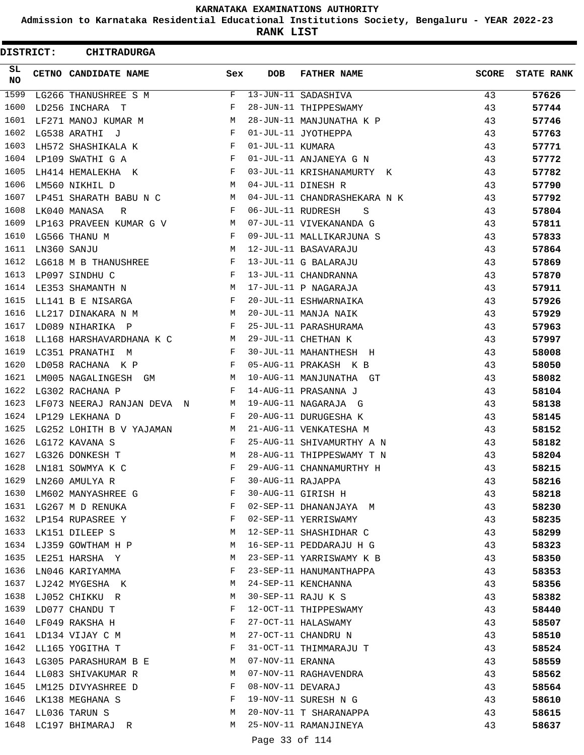**Admission to Karnataka Residential Educational Institutions Society, Bengaluru - YEAR 2022-23**

**RANK LIST**

ı

| <b>DISTRICT:</b> | <b>CHITRADURGA</b>         |              |                   |                              |              |                   |
|------------------|----------------------------|--------------|-------------------|------------------------------|--------------|-------------------|
| SL.<br><b>NO</b> | CETNO CANDIDATE NAME       | Sex          | <b>DOB</b>        | <b>FATHER NAME</b>           | <b>SCORE</b> | <b>STATE RANK</b> |
| 1599             | LG266 THANUSHREE S M       | F            |                   | 13-JUN-11 SADASHIVA          | 43           | 57626             |
| 1600             | LD256 INCHARA T            | F            |                   | 28-JUN-11 THIPPESWAMY        | 43           | 57744             |
| 1601             | LF271 MANOJ KUMAR M        | M            |                   | 28-JUN-11 MANJUNATHA K P     | 43           | 57746             |
| 1602             | LG538 ARATHI J             | F            |                   | 01-JUL-11 JYOTHEPPA          | 43           | 57763             |
| 1603             | LH572 SHASHIKALA K         | F            | 01-JUL-11 KUMARA  |                              | 43           | 57771             |
| 1604             | LP109 SWATHI G A           | F            |                   | 01-JUL-11 ANJANEYA G N       | 43           | 57772             |
| 1605             | LH414 HEMALEKHA K          | F            |                   | 03-JUL-11 KRISHANAMURTY K    | 43           | 57782             |
| 1606             | LM560 NIKHIL D             | М            |                   | 04-JUL-11 DINESH R           | 43           | 57790             |
| 1607             | LP451 SHARATH BABU N C     | M            |                   | 04-JUL-11 CHANDRASHEKARA N K | 43           | 57792             |
| 1608             | LK040 MANASA<br>R          | F            | 06-JUL-11 RUDRESH | S                            | 43           | 57804             |
| 1609             | LP163 PRAVEEN KUMAR G V    | M            |                   | 07-JUL-11 VIVEKANANDA G      | 43           | 57811             |
| 1610             | LG566 THANU M              | F            |                   | 09-JUL-11 MALLIKARJUNA S     | 43           | 57833             |
| 1611             | LN360 SANJU                | M            |                   | 12-JUL-11 BASAVARAJU         | 43           | 57864             |
| 1612             | LG618 M B THANUSHREE       | $\mathbf{F}$ |                   | 13-JUL-11 G BALARAJU         | 43           | 57869             |
| 1613             | LP097 SINDHU C             | F            |                   | 13-JUL-11 CHANDRANNA         | 43           | 57870             |
| 1614             | LE353 SHAMANTH N           | М            |                   | 17-JUL-11 P NAGARAJA         | 43           | 57911             |
| 1615             | LL141 B E NISARGA          | F            |                   | 20-JUL-11 ESHWARNAIKA        | 43           | 57926             |
| 1616             | LL217 DINAKARA N M         | М            |                   | 20-JUL-11 MANJA NAIK         | 43           | 57929             |
| 1617             | LD089 NIHARIKA P           | F            |                   | 25-JUL-11 PARASHURAMA        | 43           | 57963             |
| 1618             | LL168 HARSHAVARDHANA K C   | M            |                   | 29-JUL-11 CHETHAN K          | 43           | 57997             |
| 1619             | LC351 PRANATHI M           | $\mathbf{F}$ |                   | 30-JUL-11 MAHANTHESH H       | 43           | 58008             |
| 1620             | LD058 RACHANA K P          | F            |                   | 05-AUG-11 PRAKASH K B        | 43           | 58050             |
| 1621             | LM005 NAGALINGESH GM       | M            |                   | 10-AUG-11 MANJUNATHA GT      | 43           | 58082             |
| 1622             | LG302 RACHANA P            | F            |                   | 14-AUG-11 PRASANNA J         | 43           | 58104             |
| 1623             | LF073 NEERAJ RANJAN DEVA N | М            |                   | 19-AUG-11 NAGARAJA G         | 43           | 58138             |
| 1624             | LP129 LEKHANA D            | F            |                   | 20-AUG-11 DURUGESHA K        | 43           | 58145             |
| 1625             | LG252 LOHITH B V YAJAMAN   | M            |                   | 21-AUG-11 VENKATESHA M       | 43           | 58152             |
| 1626             | LG172 KAVANA S             | F            |                   | 25-AUG-11 SHIVAMURTHY A N    | 43           | 58182             |
| 1627             | LG326 DONKESH T            | М            |                   | 28-AUG-11 THIPPESWAMY T N    | 43           | 58204             |
| 1628             | LN181 SOWMYA K C           | F            |                   | 29-AUG-11 CHANNAMURTHY H     | 43           | 58215             |
| 1629             | LN260 AMULYA R             | F            | 30-AUG-11 RAJAPPA |                              | 43           | 58216             |
| 1630             | LM602 MANYASHREE G         | F            |                   | 30-AUG-11 GIRISH H           | 43           | 58218             |
| 1631             | LG267 M D RENUKA           | F            |                   | 02-SEP-11 DHANANJAYA M       | 43           | 58230             |
| 1632             | LP154 RUPASREE Y           | F            |                   | 02-SEP-11 YERRISWAMY         | 43           | 58235             |
| 1633             | LK151 DILEEP S             | М            |                   | 12-SEP-11 SHASHIDHAR C       | 43           | 58299             |
| 1634             | LJ359 GOWTHAM H P          | М            |                   | 16-SEP-11 PEDDARAJU H G      | 43           | 58323             |
| 1635             | LE251 HARSHA Y             | М            |                   | 23-SEP-11 YARRISWAMY K B     | 43           | 58350             |
| 1636             | LN046 KARIYAMMA            | F            |                   | 23-SEP-11 HANUMANTHAPPA      | 43           | 58353             |
| 1637             | LJ242 MYGESHA K            | M            |                   | 24-SEP-11 KENCHANNA          | 43           | 58356             |
| 1638             | LJ052 CHIKKU R             | M            |                   | 30-SEP-11 RAJU K S           | 43           | 58382             |
| 1639             | LD077 CHANDU T             | F            |                   | 12-OCT-11 THIPPESWAMY        | 43           | 58440             |
| 1640             | LF049 RAKSHA H             | F            |                   | 27-OCT-11 HALASWAMY          | 43           | 58507             |
| 1641             | LD134 VIJAY C M            | М            |                   | 27-OCT-11 CHANDRU N          | 43           | 58510             |
| 1642             | LL165 YOGITHA T            | F            |                   | 31-OCT-11 THIMMARAJU T       | 43           | 58524             |
| 1643             | LG305 PARASHURAM B E       | M            | 07-NOV-11 ERANNA  |                              | 43           | 58559             |
| 1644             | LL083 SHIVAKUMAR R         | М            |                   | 07-NOV-11 RAGHAVENDRA        | 43           | 58562             |
| 1645             | LM125 DIVYASHREE D         | F            | 08-NOV-11 DEVARAJ |                              | 43           | 58564             |
| 1646             | LK138 MEGHANA S            | F            |                   | 19-NOV-11 SURESH N G         | 43           | 58610             |
| 1647             | LL036 TARUN S              | М            |                   | 20-NOV-11 T SHARANAPPA       | 43           | 58615             |
| 1648             | LC197 BHIMARAJ R           | M            |                   | 25-NOV-11 RAMANJINEYA        | 43           | 58637             |
|                  |                            |              |                   |                              |              |                   |
|                  |                            |              | Page 33 of 114    |                              |              |                   |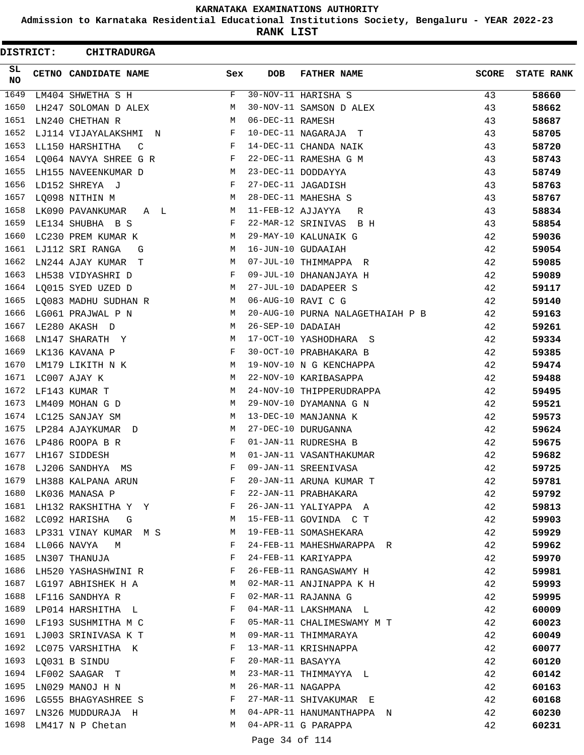**Admission to Karnataka Residential Educational Institutions Society, Bengaluru - YEAR 2022-23**

**RANK LIST**

 $\blacksquare$ 

| DISTRICT: | <b>CHITRADURGA</b>         |     |                   |                                  |              |                   |
|-----------|----------------------------|-----|-------------------|----------------------------------|--------------|-------------------|
| SL<br>NO. | CETNO CANDIDATE NAME       | Sex | <b>DOB</b>        | <b>FATHER NAME</b>               | <b>SCORE</b> | <b>STATE RANK</b> |
| 1649      | LM404 SHWETHA S H          | F   |                   | 30-NOV-11 HARISHA S              | 43           | 58660             |
| 1650      | LH247 SOLOMAN D ALEX       | М   |                   | 30-NOV-11 SAMSON D ALEX          | 43           | 58662             |
| 1651      | LN240 CHETHAN R            | М   | 06-DEC-11 RAMESH  |                                  | 43           | 58687             |
| 1652      | LJ114 VIJAYALAKSHMI N      | F   |                   | 10-DEC-11 NAGARAJA T             | 43           | 58705             |
| 1653      | LL150 HARSHITHA<br>C       | F   |                   | 14-DEC-11 CHANDA NAIK            | 43           | 58720             |
| 1654      | LQ064 NAVYA SHREE G R      | F   |                   | 22-DEC-11 RAMESHA G M            | 43           | 58743             |
| 1655      | LH155 NAVEENKUMAR D        | M   |                   | 23-DEC-11 DODDAYYA               | 43           | 58749             |
| 1656      | LD152 SHREYA J             | F   |                   | 27-DEC-11 JAGADISH               | 43           | 58763             |
| 1657      | LQ098 NITHIN M             | М   |                   | 28-DEC-11 MAHESHA S              | 43           | 58767             |
| 1658      | LK090 PAVANKUMAR<br>A L    | М   | 11-FEB-12 AJJAYYA | R                                | 43           | 58834             |
| 1659      | LE134 SHUBHA B S           | F   |                   | 22-MAR-12 SRINIVAS<br>B H        | 43           | 58854             |
| 1660      | LC230 PREM KUMAR K         | M   |                   | 29-MAY-10 KALUNAIK G             | 42           | 59036             |
| 1661      | LJ112 SRI RANGA<br>G       | М   |                   | 16-JUN-10 GUDAAIAH               | 42           | 59054             |
| 1662      | LN244 AJAY KUMAR T         | М   |                   | 07-JUL-10 THIMMAPPA R            | 42           | 59085             |
| 1663      | LH538 VIDYASHRI D          | F   |                   | 09-JUL-10 DHANANJAYA H           | 42           | 59089             |
| 1664      | LQ015 SYED UZED D          | M   |                   | 27-JUL-10 DADAPEER S             | 42           | 59117             |
| 1665      | LQ083 MADHU SUDHAN R       | М   |                   | 06-AUG-10 RAVI C G               | 42           | 59140             |
| 1666      | LG061 PRAJWAL P N          | М   |                   | 20-AUG-10 PURNA NALAGETHAIAH P B | 42           | 59163             |
| 1667      | LE280 AKASH D              | М   | 26-SEP-10 DADAIAH |                                  | 42           | 59261             |
| 1668      | LN147 SHARATH Y            | М   |                   | 17-OCT-10 YASHODHARA S           | 42           | 59334             |
| 1669      | LK136 KAVANA P             | F   |                   | 30-OCT-10 PRABHAKARA B           | 42           | 59385             |
| 1670      | LM179 LIKITH N K           | М   |                   | 19-NOV-10 N G KENCHAPPA          | 42           | 59474             |
| 1671      | LC007 AJAY K               | M   |                   | 22-NOV-10 KARIBASAPPA            | 42           | 59488             |
| 1672      | LF143 KUMAR T              | М   |                   | 24-NOV-10 THIPPERUDRAPPA         | 42           | 59495             |
| 1673      | LM409 MOHAN G D            | М   |                   | 29-NOV-10 DYAMANNA G N           | 42           | 59521             |
| 1674      | LC125 SANJAY SM            | М   |                   | 13-DEC-10 MANJANNA K             | 42           | 59573             |
| 1675      | LP284 AJAYKUMAR D          | М   |                   | 27-DEC-10 DURUGANNA              | 42           | 59624             |
| 1676      | LP486 ROOPA B R            | F   |                   | 01-JAN-11 RUDRESHA B             | 42           | 59675             |
| 1677      | LH167 SIDDESH              | M   |                   | 01-JAN-11 VASANTHAKUMAR          | 42           | 59682             |
| 1678      | LJ206 SANDHYA<br>MS        | F   |                   | 09-JAN-11 SREENIVASA             | 42           | 59725             |
|           | 1679 LH388 KALPANA ARUN    | F   |                   | 20-JAN-11 ARUNA KUMAR T          | 42           | 59781             |
| 1680      | LK036 MANASA P             | F   |                   | 22-JAN-11 PRABHAKARA             | 42           | 59792             |
|           | 1681 LH132 RAKSHITHA Y Y   | F   |                   | 26-JAN-11 YALIYAPPA A            | 42           | 59813             |
|           | 1682 LC092 HARISHA G       | М   |                   | 15-FEB-11 GOVINDA C T            | 42           | 59903             |
|           | 1683 LP331 VINAY KUMAR M S | M   |                   | 19-FEB-11 SOMASHEKARA            | 42           | 59929             |
| 1684      | LL066 NAVYA<br>M           | F   |                   | 24-FEB-11 MAHESHWARAPPA R        | 42           | 59962             |
| 1685      | LN307 THANUJA              | F   |                   | 24-FEB-11 KARIYAPPA              | 42           | 59970             |
|           | 1686 LH520 YASHASHWINI R   | F   |                   | 26-FEB-11 RANGASWAMY H           | 42           | 59981             |
|           | 1687 LG197 ABHISHEK H A    | M   |                   | 02-MAR-11 ANJINAPPA K H          | 42           | 59993             |
| 1688      | LF116 SANDHYA R            | F   |                   | 02-MAR-11 RAJANNA G              | 42           | 59995             |
|           | 1689 LP014 HARSHITHA L     | F   |                   | 04-MAR-11 LAKSHMANA L            | 42           | 60009             |
|           | 1690 LF193 SUSHMITHA M C   | F   |                   | 05-MAR-11 CHALIMESWAMY M T       | 42           | 60023             |
|           | 1691 LJ003 SRINIVASA K T   | M   |                   | 09-MAR-11 THIMMARAYA             | 42           | 60049             |
| 1692      | LC075 VARSHITHA K          | F   |                   | 13-MAR-11 KRISHNAPPA             | 42           | 60077             |
| 1693      | LQ031 B SINDU              | F   | 20-MAR-11 BASAYYA |                                  | 42           | 60120             |
| 1694      | LF002 SAAGAR T             | М   |                   | 23-MAR-11 THIMMAYYA L            | 42           | 60142             |
|           | 1695 LN029 MANOJ H N       | М   | 26-MAR-11 NAGAPPA |                                  | 42           | 60163             |
|           | 1696 LG555 BHAGYASHREE S   | F   |                   | 27-MAR-11 SHIVAKUMAR E           | 42           | 60168             |
| 1697      | LN326 MUDDURAJA H          | M   |                   | 04-APR-11 HANUMANTHAPPA N        | 42           | 60230             |
|           | 1698 LM417 N P Chetan      | М   |                   | 04-APR-11 G PARAPPA              | 42           | 60231             |
|           |                            |     |                   |                                  |              |                   |

Page 34 of 114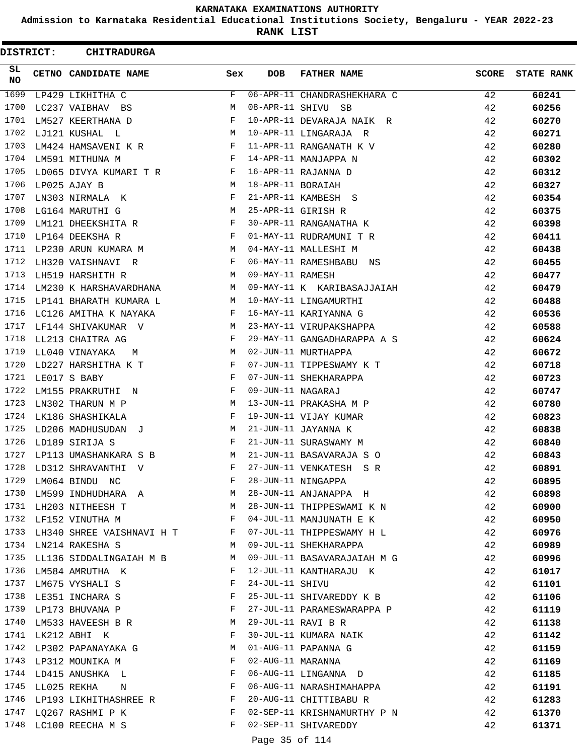**Admission to Karnataka Residential Educational Institutions Society, Bengaluru - YEAR 2022-23**

**RANK LIST**

| SL.<br><b>SCORE</b><br><b>CETNO CANDIDATE NAME</b><br>Sex<br><b>DOB</b><br><b>FATHER NAME</b><br><b>STATE RANK</b><br><b>NO</b><br>1699<br>06-APR-11 CHANDRASHEKHARA C<br>LP429 LIKHITHA C<br>F<br>42<br>60241<br>1700<br>М<br>08-APR-11 SHIVU SB<br>42<br>60256<br>LC237 VAIBHAV BS<br>1701<br>$\mathbf{F}$<br>10-APR-11 DEVARAJA NAIK R<br>42<br>LM527 KEERTHANA D<br>60270<br>1702<br>LJ121 KUSHAL L<br>M<br>10-APR-11 LINGARAJA R<br>42<br>60271<br>1703<br>$\mathbf{F}$<br>11-APR-11 RANGANATH K V<br>42<br>LM424 HAMSAVENI K R<br>60280<br>1704<br>14-APR-11 MANJAPPA N<br>42<br>LM591 MITHUNA M<br>F<br>60302<br>1705<br>LD065 DIVYA KUMARI T R<br>F<br>16-APR-11 RAJANNA D<br>42<br>60312<br>1706<br>$M_{\odot}$<br>18-APR-11 BORAIAH<br>LP025 AJAY B<br>42<br>60327<br>1707<br>F<br>21-APR-11 KAMBESH S<br>42<br>LN303 NIRMALA K<br>60354<br>1708<br><b>M</b><br>25-APR-11 GIRISH R<br>42<br>LG164 MARUTHI G<br>60375<br>LM121 DHEEKSHITA R<br>1709<br>F<br>30-APR-11 RANGANATHA K<br>42<br>60398<br>1710<br>LP164 DEEKSHA R<br>F<br>01-MAY-11 RUDRAMUNI T R<br>42<br>60411<br>1711 LP230 ARUN KUMARA M<br>M<br>04-MAY-11 MALLESHI M<br>42<br>60438<br>1712<br>06-MAY-11 RAMESHBABU NS<br>42<br>LH320 VAISHNAVI R<br>F<br>60455<br>1713<br>LH519 HARSHITH R<br>09-MAY-11 RAMESH<br>42<br>M<br>60477<br>1714<br>LM230 K HARSHAVARDHANA M<br>09-MAY-11 K KARIBASAJJAIAH<br>42<br>60479<br>1715<br>M<br>10-MAY-11 LINGAMURTHI<br>42<br>LP141 BHARATH KUMARA L<br>60488<br>1716<br>16-MAY-11 KARIYANNA G<br>42<br>LC126 AMITHA K NAYAKA<br>F<br>60536<br>1717<br>LF144 SHIVAKUMAR V<br>23-MAY-11 VIRUPAKSHAPPA<br>42<br>M<br>60588<br>1718<br>LL213 CHAITRA AG<br>$\mathbf{F}$<br>29-MAY-11 GANGADHARAPPA A S<br>42<br>60624<br>1719<br>M<br>02-JUN-11 MURTHAPPA<br>42<br>LL040 VINAYAKA<br>60672<br>M<br>1720<br>LD227 HARSHITHA K T<br>07-JUN-11 TIPPESWAMY K T<br>42<br>$\mathbf{F}$<br>60718<br>1721<br>07-JUN-11 SHEKHARAPPA<br>LE017 S BABY<br>F<br>42<br>60723<br>1722<br>09-JUN-11 NAGARAJ<br>42<br>LM155 PRAKRUTHI N<br>F<br>60747<br>1723<br>М<br>13-JUN-11 PRAKASHA M P<br>42<br>LN302 THARUN M P<br>60780<br>1724<br>F<br>19-JUN-11 VIJAY KUMAR<br>42<br>LK186 SHASHIKALA<br>60823<br>1725<br>LD206 MADHUSUDAN J<br>21-JUN-11 JAYANNA K<br>M<br>42<br>60838<br>1726<br>LD189 SIRIJA S<br>$\mathbf{F}$<br>21-JUN-11 SURASWAMY M<br>42<br>60840<br>1727<br>21-JUN-11 BASAVARAJA S O<br>LP113 UMASHANKARA S B<br>M<br>42<br>60843<br>1728<br>F<br>27-JUN-11 VENKATESH S R<br>42<br>LD312 SHRAVANTHI V<br>60891<br>1729<br>28-JUN-11 NINGAPPA<br>LM064 BINDU NC<br>F<br>42<br>60895<br>1730 LM599 INDHUDHARA A<br>28-JUN-11 ANJANAPPA H<br>M<br>42<br>60898<br>1731 LH203 NITHEESH T<br>28-JUN-11 THIPPESWAMI K N<br>M<br>42<br>60900<br>1732<br>04-JUL-11 MANJUNATH E K<br>42<br>LF152 VINUTHA M<br>$\mathbf{F}$<br>60950<br>1733<br>LH340 SHREE VAISHNAVI H T<br>07-JUL-11 THIPPESWAMY H L<br>F<br>42<br>60976<br>1734<br>09-JUL-11 SHEKHARAPPA<br>LN214 RAKESHA S<br>М<br>42<br>60989<br>1735 LL136 SIDDALINGAIAH M B<br>09-JUL-11 BASAVARAJAIAH M G<br>M<br>42<br>60996<br>1736<br>42<br>12-JUL-11 KANTHARAJU K<br>61017<br>LM584 AMRUTHA K<br>F<br>1737 LM675 VYSHALI S<br>24-JUL-11 SHIVU<br>F<br>42<br>61101<br>1738 LE351 INCHARA S<br>25-JUL-11 SHIVAREDDY K B<br>F<br>42<br>61106<br>1739 LP173 BHUVANA P<br>F<br>27-JUL-11 PARAMESWARAPPA P<br>42<br>61119<br>1740<br>29-JUL-11 RAVI B R<br>LM533 HAVEESH B R<br>М<br>42<br>61138<br>1741<br>30-JUL-11 KUMARA NAIK<br>LK212 ABHI K<br>F<br>42<br>61142<br>1742<br>01-AUG-11 PAPANNA G<br>42<br>LP302 PAPANAYAKA G<br>М<br>61159<br>1743 LP312 MOUNIKA M<br>02-AUG-11 MARANNA<br>F<br>42<br>61169<br>1744 LD415 ANUSHKA L<br>06-AUG-11 LINGANNA D<br>F<br>42<br>61185<br>06-AUG-11 NARASHIMAHAPPA<br>1745 LL025 REKHA<br>F<br>42<br>61191<br>N<br>1746 LP193 LIKHITHASHREE R F<br>20-AUG-11 CHITTIBABU R<br>42<br>61283<br>1747 LQ267 RASHMI P K<br>F<br>02-SEP-11 KRISHNAMURTHY P N<br>42<br>61370<br>1748<br>02-SEP-11 SHIVAREDDY<br>F<br>42<br>61371<br>LC100 REECHA M S<br>Page 35 of 114 | DISTRICT: | <b>CHITRADURGA</b> |  |  |  |
|----------------------------------------------------------------------------------------------------------------------------------------------------------------------------------------------------------------------------------------------------------------------------------------------------------------------------------------------------------------------------------------------------------------------------------------------------------------------------------------------------------------------------------------------------------------------------------------------------------------------------------------------------------------------------------------------------------------------------------------------------------------------------------------------------------------------------------------------------------------------------------------------------------------------------------------------------------------------------------------------------------------------------------------------------------------------------------------------------------------------------------------------------------------------------------------------------------------------------------------------------------------------------------------------------------------------------------------------------------------------------------------------------------------------------------------------------------------------------------------------------------------------------------------------------------------------------------------------------------------------------------------------------------------------------------------------------------------------------------------------------------------------------------------------------------------------------------------------------------------------------------------------------------------------------------------------------------------------------------------------------------------------------------------------------------------------------------------------------------------------------------------------------------------------------------------------------------------------------------------------------------------------------------------------------------------------------------------------------------------------------------------------------------------------------------------------------------------------------------------------------------------------------------------------------------------------------------------------------------------------------------------------------------------------------------------------------------------------------------------------------------------------------------------------------------------------------------------------------------------------------------------------------------------------------------------------------------------------------------------------------------------------------------------------------------------------------------------------------------------------------------------------------------------------------------------------------------------------------------------------------------------------------------------------------------------------------------------------------------------------------------------------------------------------------------------------------------------------------------------------------------------------------------------------------------------------------------------------------------------------------------------------------------------------------------------------------------------------------------------------------------------------------------------------------------------------------------------------------------------------------------------------------------------------------------------------------------------------------------------------------------------------------------------------------------------------|-----------|--------------------|--|--|--|
|                                                                                                                                                                                                                                                                                                                                                                                                                                                                                                                                                                                                                                                                                                                                                                                                                                                                                                                                                                                                                                                                                                                                                                                                                                                                                                                                                                                                                                                                                                                                                                                                                                                                                                                                                                                                                                                                                                                                                                                                                                                                                                                                                                                                                                                                                                                                                                                                                                                                                                                                                                                                                                                                                                                                                                                                                                                                                                                                                                                                                                                                                                                                                                                                                                                                                                                                                                                                                                                                                                                                                                                                                                                                                                                                                                                                                                                                                                                                                                                                                                                                      |           |                    |  |  |  |
|                                                                                                                                                                                                                                                                                                                                                                                                                                                                                                                                                                                                                                                                                                                                                                                                                                                                                                                                                                                                                                                                                                                                                                                                                                                                                                                                                                                                                                                                                                                                                                                                                                                                                                                                                                                                                                                                                                                                                                                                                                                                                                                                                                                                                                                                                                                                                                                                                                                                                                                                                                                                                                                                                                                                                                                                                                                                                                                                                                                                                                                                                                                                                                                                                                                                                                                                                                                                                                                                                                                                                                                                                                                                                                                                                                                                                                                                                                                                                                                                                                                                      |           |                    |  |  |  |
|                                                                                                                                                                                                                                                                                                                                                                                                                                                                                                                                                                                                                                                                                                                                                                                                                                                                                                                                                                                                                                                                                                                                                                                                                                                                                                                                                                                                                                                                                                                                                                                                                                                                                                                                                                                                                                                                                                                                                                                                                                                                                                                                                                                                                                                                                                                                                                                                                                                                                                                                                                                                                                                                                                                                                                                                                                                                                                                                                                                                                                                                                                                                                                                                                                                                                                                                                                                                                                                                                                                                                                                                                                                                                                                                                                                                                                                                                                                                                                                                                                                                      |           |                    |  |  |  |
|                                                                                                                                                                                                                                                                                                                                                                                                                                                                                                                                                                                                                                                                                                                                                                                                                                                                                                                                                                                                                                                                                                                                                                                                                                                                                                                                                                                                                                                                                                                                                                                                                                                                                                                                                                                                                                                                                                                                                                                                                                                                                                                                                                                                                                                                                                                                                                                                                                                                                                                                                                                                                                                                                                                                                                                                                                                                                                                                                                                                                                                                                                                                                                                                                                                                                                                                                                                                                                                                                                                                                                                                                                                                                                                                                                                                                                                                                                                                                                                                                                                                      |           |                    |  |  |  |
|                                                                                                                                                                                                                                                                                                                                                                                                                                                                                                                                                                                                                                                                                                                                                                                                                                                                                                                                                                                                                                                                                                                                                                                                                                                                                                                                                                                                                                                                                                                                                                                                                                                                                                                                                                                                                                                                                                                                                                                                                                                                                                                                                                                                                                                                                                                                                                                                                                                                                                                                                                                                                                                                                                                                                                                                                                                                                                                                                                                                                                                                                                                                                                                                                                                                                                                                                                                                                                                                                                                                                                                                                                                                                                                                                                                                                                                                                                                                                                                                                                                                      |           |                    |  |  |  |
|                                                                                                                                                                                                                                                                                                                                                                                                                                                                                                                                                                                                                                                                                                                                                                                                                                                                                                                                                                                                                                                                                                                                                                                                                                                                                                                                                                                                                                                                                                                                                                                                                                                                                                                                                                                                                                                                                                                                                                                                                                                                                                                                                                                                                                                                                                                                                                                                                                                                                                                                                                                                                                                                                                                                                                                                                                                                                                                                                                                                                                                                                                                                                                                                                                                                                                                                                                                                                                                                                                                                                                                                                                                                                                                                                                                                                                                                                                                                                                                                                                                                      |           |                    |  |  |  |
|                                                                                                                                                                                                                                                                                                                                                                                                                                                                                                                                                                                                                                                                                                                                                                                                                                                                                                                                                                                                                                                                                                                                                                                                                                                                                                                                                                                                                                                                                                                                                                                                                                                                                                                                                                                                                                                                                                                                                                                                                                                                                                                                                                                                                                                                                                                                                                                                                                                                                                                                                                                                                                                                                                                                                                                                                                                                                                                                                                                                                                                                                                                                                                                                                                                                                                                                                                                                                                                                                                                                                                                                                                                                                                                                                                                                                                                                                                                                                                                                                                                                      |           |                    |  |  |  |
|                                                                                                                                                                                                                                                                                                                                                                                                                                                                                                                                                                                                                                                                                                                                                                                                                                                                                                                                                                                                                                                                                                                                                                                                                                                                                                                                                                                                                                                                                                                                                                                                                                                                                                                                                                                                                                                                                                                                                                                                                                                                                                                                                                                                                                                                                                                                                                                                                                                                                                                                                                                                                                                                                                                                                                                                                                                                                                                                                                                                                                                                                                                                                                                                                                                                                                                                                                                                                                                                                                                                                                                                                                                                                                                                                                                                                                                                                                                                                                                                                                                                      |           |                    |  |  |  |
|                                                                                                                                                                                                                                                                                                                                                                                                                                                                                                                                                                                                                                                                                                                                                                                                                                                                                                                                                                                                                                                                                                                                                                                                                                                                                                                                                                                                                                                                                                                                                                                                                                                                                                                                                                                                                                                                                                                                                                                                                                                                                                                                                                                                                                                                                                                                                                                                                                                                                                                                                                                                                                                                                                                                                                                                                                                                                                                                                                                                                                                                                                                                                                                                                                                                                                                                                                                                                                                                                                                                                                                                                                                                                                                                                                                                                                                                                                                                                                                                                                                                      |           |                    |  |  |  |
|                                                                                                                                                                                                                                                                                                                                                                                                                                                                                                                                                                                                                                                                                                                                                                                                                                                                                                                                                                                                                                                                                                                                                                                                                                                                                                                                                                                                                                                                                                                                                                                                                                                                                                                                                                                                                                                                                                                                                                                                                                                                                                                                                                                                                                                                                                                                                                                                                                                                                                                                                                                                                                                                                                                                                                                                                                                                                                                                                                                                                                                                                                                                                                                                                                                                                                                                                                                                                                                                                                                                                                                                                                                                                                                                                                                                                                                                                                                                                                                                                                                                      |           |                    |  |  |  |
|                                                                                                                                                                                                                                                                                                                                                                                                                                                                                                                                                                                                                                                                                                                                                                                                                                                                                                                                                                                                                                                                                                                                                                                                                                                                                                                                                                                                                                                                                                                                                                                                                                                                                                                                                                                                                                                                                                                                                                                                                                                                                                                                                                                                                                                                                                                                                                                                                                                                                                                                                                                                                                                                                                                                                                                                                                                                                                                                                                                                                                                                                                                                                                                                                                                                                                                                                                                                                                                                                                                                                                                                                                                                                                                                                                                                                                                                                                                                                                                                                                                                      |           |                    |  |  |  |
|                                                                                                                                                                                                                                                                                                                                                                                                                                                                                                                                                                                                                                                                                                                                                                                                                                                                                                                                                                                                                                                                                                                                                                                                                                                                                                                                                                                                                                                                                                                                                                                                                                                                                                                                                                                                                                                                                                                                                                                                                                                                                                                                                                                                                                                                                                                                                                                                                                                                                                                                                                                                                                                                                                                                                                                                                                                                                                                                                                                                                                                                                                                                                                                                                                                                                                                                                                                                                                                                                                                                                                                                                                                                                                                                                                                                                                                                                                                                                                                                                                                                      |           |                    |  |  |  |
|                                                                                                                                                                                                                                                                                                                                                                                                                                                                                                                                                                                                                                                                                                                                                                                                                                                                                                                                                                                                                                                                                                                                                                                                                                                                                                                                                                                                                                                                                                                                                                                                                                                                                                                                                                                                                                                                                                                                                                                                                                                                                                                                                                                                                                                                                                                                                                                                                                                                                                                                                                                                                                                                                                                                                                                                                                                                                                                                                                                                                                                                                                                                                                                                                                                                                                                                                                                                                                                                                                                                                                                                                                                                                                                                                                                                                                                                                                                                                                                                                                                                      |           |                    |  |  |  |
|                                                                                                                                                                                                                                                                                                                                                                                                                                                                                                                                                                                                                                                                                                                                                                                                                                                                                                                                                                                                                                                                                                                                                                                                                                                                                                                                                                                                                                                                                                                                                                                                                                                                                                                                                                                                                                                                                                                                                                                                                                                                                                                                                                                                                                                                                                                                                                                                                                                                                                                                                                                                                                                                                                                                                                                                                                                                                                                                                                                                                                                                                                                                                                                                                                                                                                                                                                                                                                                                                                                                                                                                                                                                                                                                                                                                                                                                                                                                                                                                                                                                      |           |                    |  |  |  |
|                                                                                                                                                                                                                                                                                                                                                                                                                                                                                                                                                                                                                                                                                                                                                                                                                                                                                                                                                                                                                                                                                                                                                                                                                                                                                                                                                                                                                                                                                                                                                                                                                                                                                                                                                                                                                                                                                                                                                                                                                                                                                                                                                                                                                                                                                                                                                                                                                                                                                                                                                                                                                                                                                                                                                                                                                                                                                                                                                                                                                                                                                                                                                                                                                                                                                                                                                                                                                                                                                                                                                                                                                                                                                                                                                                                                                                                                                                                                                                                                                                                                      |           |                    |  |  |  |
|                                                                                                                                                                                                                                                                                                                                                                                                                                                                                                                                                                                                                                                                                                                                                                                                                                                                                                                                                                                                                                                                                                                                                                                                                                                                                                                                                                                                                                                                                                                                                                                                                                                                                                                                                                                                                                                                                                                                                                                                                                                                                                                                                                                                                                                                                                                                                                                                                                                                                                                                                                                                                                                                                                                                                                                                                                                                                                                                                                                                                                                                                                                                                                                                                                                                                                                                                                                                                                                                                                                                                                                                                                                                                                                                                                                                                                                                                                                                                                                                                                                                      |           |                    |  |  |  |
|                                                                                                                                                                                                                                                                                                                                                                                                                                                                                                                                                                                                                                                                                                                                                                                                                                                                                                                                                                                                                                                                                                                                                                                                                                                                                                                                                                                                                                                                                                                                                                                                                                                                                                                                                                                                                                                                                                                                                                                                                                                                                                                                                                                                                                                                                                                                                                                                                                                                                                                                                                                                                                                                                                                                                                                                                                                                                                                                                                                                                                                                                                                                                                                                                                                                                                                                                                                                                                                                                                                                                                                                                                                                                                                                                                                                                                                                                                                                                                                                                                                                      |           |                    |  |  |  |
|                                                                                                                                                                                                                                                                                                                                                                                                                                                                                                                                                                                                                                                                                                                                                                                                                                                                                                                                                                                                                                                                                                                                                                                                                                                                                                                                                                                                                                                                                                                                                                                                                                                                                                                                                                                                                                                                                                                                                                                                                                                                                                                                                                                                                                                                                                                                                                                                                                                                                                                                                                                                                                                                                                                                                                                                                                                                                                                                                                                                                                                                                                                                                                                                                                                                                                                                                                                                                                                                                                                                                                                                                                                                                                                                                                                                                                                                                                                                                                                                                                                                      |           |                    |  |  |  |
|                                                                                                                                                                                                                                                                                                                                                                                                                                                                                                                                                                                                                                                                                                                                                                                                                                                                                                                                                                                                                                                                                                                                                                                                                                                                                                                                                                                                                                                                                                                                                                                                                                                                                                                                                                                                                                                                                                                                                                                                                                                                                                                                                                                                                                                                                                                                                                                                                                                                                                                                                                                                                                                                                                                                                                                                                                                                                                                                                                                                                                                                                                                                                                                                                                                                                                                                                                                                                                                                                                                                                                                                                                                                                                                                                                                                                                                                                                                                                                                                                                                                      |           |                    |  |  |  |
|                                                                                                                                                                                                                                                                                                                                                                                                                                                                                                                                                                                                                                                                                                                                                                                                                                                                                                                                                                                                                                                                                                                                                                                                                                                                                                                                                                                                                                                                                                                                                                                                                                                                                                                                                                                                                                                                                                                                                                                                                                                                                                                                                                                                                                                                                                                                                                                                                                                                                                                                                                                                                                                                                                                                                                                                                                                                                                                                                                                                                                                                                                                                                                                                                                                                                                                                                                                                                                                                                                                                                                                                                                                                                                                                                                                                                                                                                                                                                                                                                                                                      |           |                    |  |  |  |
|                                                                                                                                                                                                                                                                                                                                                                                                                                                                                                                                                                                                                                                                                                                                                                                                                                                                                                                                                                                                                                                                                                                                                                                                                                                                                                                                                                                                                                                                                                                                                                                                                                                                                                                                                                                                                                                                                                                                                                                                                                                                                                                                                                                                                                                                                                                                                                                                                                                                                                                                                                                                                                                                                                                                                                                                                                                                                                                                                                                                                                                                                                                                                                                                                                                                                                                                                                                                                                                                                                                                                                                                                                                                                                                                                                                                                                                                                                                                                                                                                                                                      |           |                    |  |  |  |
|                                                                                                                                                                                                                                                                                                                                                                                                                                                                                                                                                                                                                                                                                                                                                                                                                                                                                                                                                                                                                                                                                                                                                                                                                                                                                                                                                                                                                                                                                                                                                                                                                                                                                                                                                                                                                                                                                                                                                                                                                                                                                                                                                                                                                                                                                                                                                                                                                                                                                                                                                                                                                                                                                                                                                                                                                                                                                                                                                                                                                                                                                                                                                                                                                                                                                                                                                                                                                                                                                                                                                                                                                                                                                                                                                                                                                                                                                                                                                                                                                                                                      |           |                    |  |  |  |
|                                                                                                                                                                                                                                                                                                                                                                                                                                                                                                                                                                                                                                                                                                                                                                                                                                                                                                                                                                                                                                                                                                                                                                                                                                                                                                                                                                                                                                                                                                                                                                                                                                                                                                                                                                                                                                                                                                                                                                                                                                                                                                                                                                                                                                                                                                                                                                                                                                                                                                                                                                                                                                                                                                                                                                                                                                                                                                                                                                                                                                                                                                                                                                                                                                                                                                                                                                                                                                                                                                                                                                                                                                                                                                                                                                                                                                                                                                                                                                                                                                                                      |           |                    |  |  |  |
|                                                                                                                                                                                                                                                                                                                                                                                                                                                                                                                                                                                                                                                                                                                                                                                                                                                                                                                                                                                                                                                                                                                                                                                                                                                                                                                                                                                                                                                                                                                                                                                                                                                                                                                                                                                                                                                                                                                                                                                                                                                                                                                                                                                                                                                                                                                                                                                                                                                                                                                                                                                                                                                                                                                                                                                                                                                                                                                                                                                                                                                                                                                                                                                                                                                                                                                                                                                                                                                                                                                                                                                                                                                                                                                                                                                                                                                                                                                                                                                                                                                                      |           |                    |  |  |  |
|                                                                                                                                                                                                                                                                                                                                                                                                                                                                                                                                                                                                                                                                                                                                                                                                                                                                                                                                                                                                                                                                                                                                                                                                                                                                                                                                                                                                                                                                                                                                                                                                                                                                                                                                                                                                                                                                                                                                                                                                                                                                                                                                                                                                                                                                                                                                                                                                                                                                                                                                                                                                                                                                                                                                                                                                                                                                                                                                                                                                                                                                                                                                                                                                                                                                                                                                                                                                                                                                                                                                                                                                                                                                                                                                                                                                                                                                                                                                                                                                                                                                      |           |                    |  |  |  |
|                                                                                                                                                                                                                                                                                                                                                                                                                                                                                                                                                                                                                                                                                                                                                                                                                                                                                                                                                                                                                                                                                                                                                                                                                                                                                                                                                                                                                                                                                                                                                                                                                                                                                                                                                                                                                                                                                                                                                                                                                                                                                                                                                                                                                                                                                                                                                                                                                                                                                                                                                                                                                                                                                                                                                                                                                                                                                                                                                                                                                                                                                                                                                                                                                                                                                                                                                                                                                                                                                                                                                                                                                                                                                                                                                                                                                                                                                                                                                                                                                                                                      |           |                    |  |  |  |
|                                                                                                                                                                                                                                                                                                                                                                                                                                                                                                                                                                                                                                                                                                                                                                                                                                                                                                                                                                                                                                                                                                                                                                                                                                                                                                                                                                                                                                                                                                                                                                                                                                                                                                                                                                                                                                                                                                                                                                                                                                                                                                                                                                                                                                                                                                                                                                                                                                                                                                                                                                                                                                                                                                                                                                                                                                                                                                                                                                                                                                                                                                                                                                                                                                                                                                                                                                                                                                                                                                                                                                                                                                                                                                                                                                                                                                                                                                                                                                                                                                                                      |           |                    |  |  |  |
|                                                                                                                                                                                                                                                                                                                                                                                                                                                                                                                                                                                                                                                                                                                                                                                                                                                                                                                                                                                                                                                                                                                                                                                                                                                                                                                                                                                                                                                                                                                                                                                                                                                                                                                                                                                                                                                                                                                                                                                                                                                                                                                                                                                                                                                                                                                                                                                                                                                                                                                                                                                                                                                                                                                                                                                                                                                                                                                                                                                                                                                                                                                                                                                                                                                                                                                                                                                                                                                                                                                                                                                                                                                                                                                                                                                                                                                                                                                                                                                                                                                                      |           |                    |  |  |  |
|                                                                                                                                                                                                                                                                                                                                                                                                                                                                                                                                                                                                                                                                                                                                                                                                                                                                                                                                                                                                                                                                                                                                                                                                                                                                                                                                                                                                                                                                                                                                                                                                                                                                                                                                                                                                                                                                                                                                                                                                                                                                                                                                                                                                                                                                                                                                                                                                                                                                                                                                                                                                                                                                                                                                                                                                                                                                                                                                                                                                                                                                                                                                                                                                                                                                                                                                                                                                                                                                                                                                                                                                                                                                                                                                                                                                                                                                                                                                                                                                                                                                      |           |                    |  |  |  |
|                                                                                                                                                                                                                                                                                                                                                                                                                                                                                                                                                                                                                                                                                                                                                                                                                                                                                                                                                                                                                                                                                                                                                                                                                                                                                                                                                                                                                                                                                                                                                                                                                                                                                                                                                                                                                                                                                                                                                                                                                                                                                                                                                                                                                                                                                                                                                                                                                                                                                                                                                                                                                                                                                                                                                                                                                                                                                                                                                                                                                                                                                                                                                                                                                                                                                                                                                                                                                                                                                                                                                                                                                                                                                                                                                                                                                                                                                                                                                                                                                                                                      |           |                    |  |  |  |
|                                                                                                                                                                                                                                                                                                                                                                                                                                                                                                                                                                                                                                                                                                                                                                                                                                                                                                                                                                                                                                                                                                                                                                                                                                                                                                                                                                                                                                                                                                                                                                                                                                                                                                                                                                                                                                                                                                                                                                                                                                                                                                                                                                                                                                                                                                                                                                                                                                                                                                                                                                                                                                                                                                                                                                                                                                                                                                                                                                                                                                                                                                                                                                                                                                                                                                                                                                                                                                                                                                                                                                                                                                                                                                                                                                                                                                                                                                                                                                                                                                                                      |           |                    |  |  |  |
|                                                                                                                                                                                                                                                                                                                                                                                                                                                                                                                                                                                                                                                                                                                                                                                                                                                                                                                                                                                                                                                                                                                                                                                                                                                                                                                                                                                                                                                                                                                                                                                                                                                                                                                                                                                                                                                                                                                                                                                                                                                                                                                                                                                                                                                                                                                                                                                                                                                                                                                                                                                                                                                                                                                                                                                                                                                                                                                                                                                                                                                                                                                                                                                                                                                                                                                                                                                                                                                                                                                                                                                                                                                                                                                                                                                                                                                                                                                                                                                                                                                                      |           |                    |  |  |  |
|                                                                                                                                                                                                                                                                                                                                                                                                                                                                                                                                                                                                                                                                                                                                                                                                                                                                                                                                                                                                                                                                                                                                                                                                                                                                                                                                                                                                                                                                                                                                                                                                                                                                                                                                                                                                                                                                                                                                                                                                                                                                                                                                                                                                                                                                                                                                                                                                                                                                                                                                                                                                                                                                                                                                                                                                                                                                                                                                                                                                                                                                                                                                                                                                                                                                                                                                                                                                                                                                                                                                                                                                                                                                                                                                                                                                                                                                                                                                                                                                                                                                      |           |                    |  |  |  |
|                                                                                                                                                                                                                                                                                                                                                                                                                                                                                                                                                                                                                                                                                                                                                                                                                                                                                                                                                                                                                                                                                                                                                                                                                                                                                                                                                                                                                                                                                                                                                                                                                                                                                                                                                                                                                                                                                                                                                                                                                                                                                                                                                                                                                                                                                                                                                                                                                                                                                                                                                                                                                                                                                                                                                                                                                                                                                                                                                                                                                                                                                                                                                                                                                                                                                                                                                                                                                                                                                                                                                                                                                                                                                                                                                                                                                                                                                                                                                                                                                                                                      |           |                    |  |  |  |
|                                                                                                                                                                                                                                                                                                                                                                                                                                                                                                                                                                                                                                                                                                                                                                                                                                                                                                                                                                                                                                                                                                                                                                                                                                                                                                                                                                                                                                                                                                                                                                                                                                                                                                                                                                                                                                                                                                                                                                                                                                                                                                                                                                                                                                                                                                                                                                                                                                                                                                                                                                                                                                                                                                                                                                                                                                                                                                                                                                                                                                                                                                                                                                                                                                                                                                                                                                                                                                                                                                                                                                                                                                                                                                                                                                                                                                                                                                                                                                                                                                                                      |           |                    |  |  |  |
|                                                                                                                                                                                                                                                                                                                                                                                                                                                                                                                                                                                                                                                                                                                                                                                                                                                                                                                                                                                                                                                                                                                                                                                                                                                                                                                                                                                                                                                                                                                                                                                                                                                                                                                                                                                                                                                                                                                                                                                                                                                                                                                                                                                                                                                                                                                                                                                                                                                                                                                                                                                                                                                                                                                                                                                                                                                                                                                                                                                                                                                                                                                                                                                                                                                                                                                                                                                                                                                                                                                                                                                                                                                                                                                                                                                                                                                                                                                                                                                                                                                                      |           |                    |  |  |  |
|                                                                                                                                                                                                                                                                                                                                                                                                                                                                                                                                                                                                                                                                                                                                                                                                                                                                                                                                                                                                                                                                                                                                                                                                                                                                                                                                                                                                                                                                                                                                                                                                                                                                                                                                                                                                                                                                                                                                                                                                                                                                                                                                                                                                                                                                                                                                                                                                                                                                                                                                                                                                                                                                                                                                                                                                                                                                                                                                                                                                                                                                                                                                                                                                                                                                                                                                                                                                                                                                                                                                                                                                                                                                                                                                                                                                                                                                                                                                                                                                                                                                      |           |                    |  |  |  |
|                                                                                                                                                                                                                                                                                                                                                                                                                                                                                                                                                                                                                                                                                                                                                                                                                                                                                                                                                                                                                                                                                                                                                                                                                                                                                                                                                                                                                                                                                                                                                                                                                                                                                                                                                                                                                                                                                                                                                                                                                                                                                                                                                                                                                                                                                                                                                                                                                                                                                                                                                                                                                                                                                                                                                                                                                                                                                                                                                                                                                                                                                                                                                                                                                                                                                                                                                                                                                                                                                                                                                                                                                                                                                                                                                                                                                                                                                                                                                                                                                                                                      |           |                    |  |  |  |
|                                                                                                                                                                                                                                                                                                                                                                                                                                                                                                                                                                                                                                                                                                                                                                                                                                                                                                                                                                                                                                                                                                                                                                                                                                                                                                                                                                                                                                                                                                                                                                                                                                                                                                                                                                                                                                                                                                                                                                                                                                                                                                                                                                                                                                                                                                                                                                                                                                                                                                                                                                                                                                                                                                                                                                                                                                                                                                                                                                                                                                                                                                                                                                                                                                                                                                                                                                                                                                                                                                                                                                                                                                                                                                                                                                                                                                                                                                                                                                                                                                                                      |           |                    |  |  |  |
|                                                                                                                                                                                                                                                                                                                                                                                                                                                                                                                                                                                                                                                                                                                                                                                                                                                                                                                                                                                                                                                                                                                                                                                                                                                                                                                                                                                                                                                                                                                                                                                                                                                                                                                                                                                                                                                                                                                                                                                                                                                                                                                                                                                                                                                                                                                                                                                                                                                                                                                                                                                                                                                                                                                                                                                                                                                                                                                                                                                                                                                                                                                                                                                                                                                                                                                                                                                                                                                                                                                                                                                                                                                                                                                                                                                                                                                                                                                                                                                                                                                                      |           |                    |  |  |  |
|                                                                                                                                                                                                                                                                                                                                                                                                                                                                                                                                                                                                                                                                                                                                                                                                                                                                                                                                                                                                                                                                                                                                                                                                                                                                                                                                                                                                                                                                                                                                                                                                                                                                                                                                                                                                                                                                                                                                                                                                                                                                                                                                                                                                                                                                                                                                                                                                                                                                                                                                                                                                                                                                                                                                                                                                                                                                                                                                                                                                                                                                                                                                                                                                                                                                                                                                                                                                                                                                                                                                                                                                                                                                                                                                                                                                                                                                                                                                                                                                                                                                      |           |                    |  |  |  |
|                                                                                                                                                                                                                                                                                                                                                                                                                                                                                                                                                                                                                                                                                                                                                                                                                                                                                                                                                                                                                                                                                                                                                                                                                                                                                                                                                                                                                                                                                                                                                                                                                                                                                                                                                                                                                                                                                                                                                                                                                                                                                                                                                                                                                                                                                                                                                                                                                                                                                                                                                                                                                                                                                                                                                                                                                                                                                                                                                                                                                                                                                                                                                                                                                                                                                                                                                                                                                                                                                                                                                                                                                                                                                                                                                                                                                                                                                                                                                                                                                                                                      |           |                    |  |  |  |
|                                                                                                                                                                                                                                                                                                                                                                                                                                                                                                                                                                                                                                                                                                                                                                                                                                                                                                                                                                                                                                                                                                                                                                                                                                                                                                                                                                                                                                                                                                                                                                                                                                                                                                                                                                                                                                                                                                                                                                                                                                                                                                                                                                                                                                                                                                                                                                                                                                                                                                                                                                                                                                                                                                                                                                                                                                                                                                                                                                                                                                                                                                                                                                                                                                                                                                                                                                                                                                                                                                                                                                                                                                                                                                                                                                                                                                                                                                                                                                                                                                                                      |           |                    |  |  |  |
|                                                                                                                                                                                                                                                                                                                                                                                                                                                                                                                                                                                                                                                                                                                                                                                                                                                                                                                                                                                                                                                                                                                                                                                                                                                                                                                                                                                                                                                                                                                                                                                                                                                                                                                                                                                                                                                                                                                                                                                                                                                                                                                                                                                                                                                                                                                                                                                                                                                                                                                                                                                                                                                                                                                                                                                                                                                                                                                                                                                                                                                                                                                                                                                                                                                                                                                                                                                                                                                                                                                                                                                                                                                                                                                                                                                                                                                                                                                                                                                                                                                                      |           |                    |  |  |  |
|                                                                                                                                                                                                                                                                                                                                                                                                                                                                                                                                                                                                                                                                                                                                                                                                                                                                                                                                                                                                                                                                                                                                                                                                                                                                                                                                                                                                                                                                                                                                                                                                                                                                                                                                                                                                                                                                                                                                                                                                                                                                                                                                                                                                                                                                                                                                                                                                                                                                                                                                                                                                                                                                                                                                                                                                                                                                                                                                                                                                                                                                                                                                                                                                                                                                                                                                                                                                                                                                                                                                                                                                                                                                                                                                                                                                                                                                                                                                                                                                                                                                      |           |                    |  |  |  |
|                                                                                                                                                                                                                                                                                                                                                                                                                                                                                                                                                                                                                                                                                                                                                                                                                                                                                                                                                                                                                                                                                                                                                                                                                                                                                                                                                                                                                                                                                                                                                                                                                                                                                                                                                                                                                                                                                                                                                                                                                                                                                                                                                                                                                                                                                                                                                                                                                                                                                                                                                                                                                                                                                                                                                                                                                                                                                                                                                                                                                                                                                                                                                                                                                                                                                                                                                                                                                                                                                                                                                                                                                                                                                                                                                                                                                                                                                                                                                                                                                                                                      |           |                    |  |  |  |
|                                                                                                                                                                                                                                                                                                                                                                                                                                                                                                                                                                                                                                                                                                                                                                                                                                                                                                                                                                                                                                                                                                                                                                                                                                                                                                                                                                                                                                                                                                                                                                                                                                                                                                                                                                                                                                                                                                                                                                                                                                                                                                                                                                                                                                                                                                                                                                                                                                                                                                                                                                                                                                                                                                                                                                                                                                                                                                                                                                                                                                                                                                                                                                                                                                                                                                                                                                                                                                                                                                                                                                                                                                                                                                                                                                                                                                                                                                                                                                                                                                                                      |           |                    |  |  |  |
|                                                                                                                                                                                                                                                                                                                                                                                                                                                                                                                                                                                                                                                                                                                                                                                                                                                                                                                                                                                                                                                                                                                                                                                                                                                                                                                                                                                                                                                                                                                                                                                                                                                                                                                                                                                                                                                                                                                                                                                                                                                                                                                                                                                                                                                                                                                                                                                                                                                                                                                                                                                                                                                                                                                                                                                                                                                                                                                                                                                                                                                                                                                                                                                                                                                                                                                                                                                                                                                                                                                                                                                                                                                                                                                                                                                                                                                                                                                                                                                                                                                                      |           |                    |  |  |  |
|                                                                                                                                                                                                                                                                                                                                                                                                                                                                                                                                                                                                                                                                                                                                                                                                                                                                                                                                                                                                                                                                                                                                                                                                                                                                                                                                                                                                                                                                                                                                                                                                                                                                                                                                                                                                                                                                                                                                                                                                                                                                                                                                                                                                                                                                                                                                                                                                                                                                                                                                                                                                                                                                                                                                                                                                                                                                                                                                                                                                                                                                                                                                                                                                                                                                                                                                                                                                                                                                                                                                                                                                                                                                                                                                                                                                                                                                                                                                                                                                                                                                      |           |                    |  |  |  |
|                                                                                                                                                                                                                                                                                                                                                                                                                                                                                                                                                                                                                                                                                                                                                                                                                                                                                                                                                                                                                                                                                                                                                                                                                                                                                                                                                                                                                                                                                                                                                                                                                                                                                                                                                                                                                                                                                                                                                                                                                                                                                                                                                                                                                                                                                                                                                                                                                                                                                                                                                                                                                                                                                                                                                                                                                                                                                                                                                                                                                                                                                                                                                                                                                                                                                                                                                                                                                                                                                                                                                                                                                                                                                                                                                                                                                                                                                                                                                                                                                                                                      |           |                    |  |  |  |
|                                                                                                                                                                                                                                                                                                                                                                                                                                                                                                                                                                                                                                                                                                                                                                                                                                                                                                                                                                                                                                                                                                                                                                                                                                                                                                                                                                                                                                                                                                                                                                                                                                                                                                                                                                                                                                                                                                                                                                                                                                                                                                                                                                                                                                                                                                                                                                                                                                                                                                                                                                                                                                                                                                                                                                                                                                                                                                                                                                                                                                                                                                                                                                                                                                                                                                                                                                                                                                                                                                                                                                                                                                                                                                                                                                                                                                                                                                                                                                                                                                                                      |           |                    |  |  |  |
|                                                                                                                                                                                                                                                                                                                                                                                                                                                                                                                                                                                                                                                                                                                                                                                                                                                                                                                                                                                                                                                                                                                                                                                                                                                                                                                                                                                                                                                                                                                                                                                                                                                                                                                                                                                                                                                                                                                                                                                                                                                                                                                                                                                                                                                                                                                                                                                                                                                                                                                                                                                                                                                                                                                                                                                                                                                                                                                                                                                                                                                                                                                                                                                                                                                                                                                                                                                                                                                                                                                                                                                                                                                                                                                                                                                                                                                                                                                                                                                                                                                                      |           |                    |  |  |  |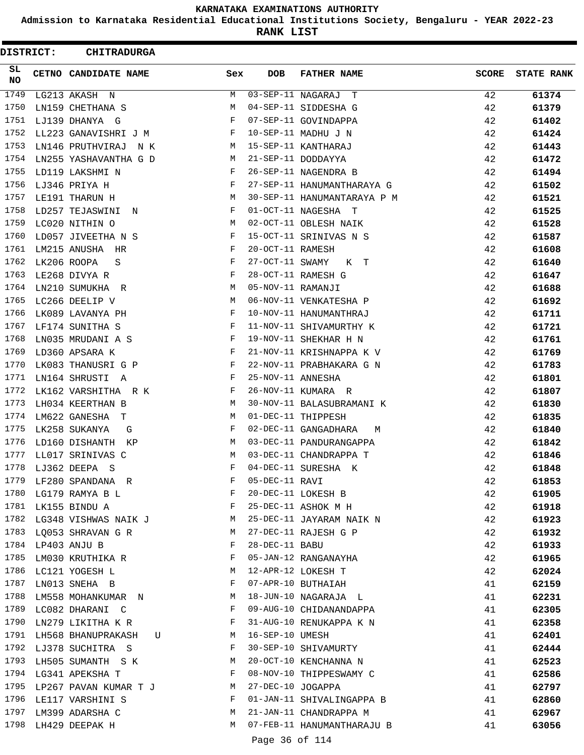**Admission to Karnataka Residential Educational Institutions Society, Bengaluru - YEAR 2022-23**

**RANK LIST**

 $\blacksquare$ 

| DISTRICT: | <b>CHITRADURGA</b>           |              |                   |                                  |              |                   |
|-----------|------------------------------|--------------|-------------------|----------------------------------|--------------|-------------------|
| SL<br>NO. | CETNO CANDIDATE NAME         | Sex          | <b>DOB</b>        | <b>FATHER NAME</b>               | <b>SCORE</b> | <b>STATE RANK</b> |
| 1749      | LG213 AKASH N                | M            |                   | $\overline{03-SEP-11}$ NAGARAJ T | 42           | 61374             |
| 1750      | LN159 CHETHANA S             | М            |                   | 04-SEP-11 SIDDESHA G             | 42           | 61379             |
| 1751      | LJ139 DHANYA G               | F            |                   | 07-SEP-11 GOVINDAPPA             | 42           | 61402             |
| 1752      | LL223 GANAVISHRI J M         | F            |                   | 10-SEP-11 MADHU J N              | 42           | 61424             |
| 1753      | LN146 PRUTHVIRAJ<br>N K      | M            |                   | 15-SEP-11 KANTHARAJ              | 42           | 61443             |
| 1754      | LN255 YASHAVANTHA G D        | M            |                   | 21-SEP-11 DODDAYYA               | 42           | 61472             |
| 1755      | LD119 LAKSHMI N              | F            |                   | 26-SEP-11 NAGENDRA B             | 42           | 61494             |
| 1756      | LJ346 PRIYA H                | F            |                   | 27-SEP-11 HANUMANTHARAYA G       | 42           | 61502             |
| 1757      | LE191 THARUN H               | М            |                   | 30-SEP-11 HANUMANTARAYA P M      | 42           | 61521             |
| 1758      | LD257 TEJASWINI N            | F            |                   | 01-OCT-11 NAGESHA T              | 42           | 61525             |
| 1759      | LC020 NITHIN O               | М            |                   | 02-OCT-11 OBLESH NAIK            | 42           | 61528             |
| 1760      | LD057 JIVEETHA N S           | F            |                   | 15-OCT-11 SRINIVAS N S           | 42           | 61587             |
| 1761      | LM215 ANUSHA HR              | F            | 20-OCT-11 RAMESH  |                                  | 42           | 61608             |
| 1762      | LK206 ROOPA<br>S             | F            | 27-OCT-11 SWAMY   | K T                              | 42           | 61640             |
| 1763      | LE268 DIVYA R                | F            |                   | 28-OCT-11 RAMESH G               | 42           | 61647             |
| 1764      | LN210 SUMUKHA R              | М            | 05-NOV-11 RAMANJI |                                  | 42           | 61688             |
| 1765      | LC266 DEELIP V               | М            |                   | 06-NOV-11 VENKATESHA P           | 42           | 61692             |
| 1766      | LK089 LAVANYA PH             | F            |                   | 10-NOV-11 HANUMANTHRAJ           | 42           | 61711             |
| 1767      | LF174 SUNITHA S              | F            |                   | 11-NOV-11 SHIVAMURTHY K          | 42           | 61721             |
| 1768      | LN035 MRUDANI A S            | F            |                   | 19-NOV-11 SHEKHAR H N            | 42           | 61761             |
| 1769      | LD360 APSARA K               | F            |                   | 21-NOV-11 KRISHNAPPA K V         | 42           | 61769             |
| 1770      | LK083 THANUSRI G P           | F            |                   | 22-NOV-11 PRABHAKARA G N         | 42           | 61783             |
| 1771      | LN164 SHRUSTI A              | F            | 25-NOV-11 ANNESHA |                                  | 42           | 61801             |
| 1772      | LK162 VARSHITHA R K          | F            |                   | 26-NOV-11 KUMARA R               | 42           | 61807             |
| 1773      | LH034 KEERTHAN B             | M            |                   | 30-NOV-11 BALASUBRAMANI K        | 42           | 61830             |
| 1774      | LM622 GANESHA T              | М            |                   | 01-DEC-11 THIPPESH               | 42           | 61835             |
| 1775      | LK258 SUKANYA<br>G           | F            |                   | 02-DEC-11 GANGADHARA<br>M        | 42           | 61840             |
| 1776      | LD160 DISHANTH<br>KP         | M            |                   | 03-DEC-11 PANDURANGAPPA          | 42           | 61842             |
| 1777      | LL017 SRINIVAS C             | М            |                   | 03-DEC-11 CHANDRAPPA T           | 42           | 61846             |
| 1778      | LJ362 DEEPA S                | F            |                   | 04-DEC-11 SURESHA K              | 42           | 61848             |
| 1779      | LF280 SPANDANA R             | F            | 05-DEC-11 RAVI    |                                  | 42           | 61853             |
| 1780      | LG179 RAMYA B L              | F            |                   | 20-DEC-11 LOKESH B               | 42           | 61905             |
|           | 1781 LK155 BINDU A           | F            |                   | 25-DEC-11 ASHOK M H              | 42           | 61918             |
|           | 1782 LG348 VISHWAS NAIK J    | M            |                   | 25-DEC-11 JAYARAM NAIK N         | 42           | 61923             |
|           | 1783 LQ053 SHRAVAN G R       | M            |                   | 27-DEC-11 RAJESH G P             | 42           | 61932             |
|           | 1784 LP403 ANJU B            | F            | 28-DEC-11 BABU    |                                  | 42           | 61933             |
| 1785      | LM030 KRUTHIKA R             | F            |                   | 05-JAN-12 RANGANAYHA             | 42           | 61965             |
|           | 1786 LC121 YOGESH L          | M            |                   | 12-APR-12 LOKESH T               | 42           | 62024             |
|           | 1787 LN013 SNEHA B           | F            |                   | 07-APR-10 BUTHAIAH               | 41           | 62159             |
| 1788      | LM558 MOHANKUMAR N           | M            |                   | 18-JUN-10 NAGARAJA L             | 41           | 62231             |
|           | 1789 LC082 DHARANI C         | $\mathbf{F}$ |                   | 09-AUG-10 CHIDANANDAPPA          | 41           | 62305             |
|           | 1790 LN279 LIKITHA K R       | F            |                   | 31-AUG-10 RENUKAPPA K N          | 41           | 62358             |
|           | 1791 LH568 BHANUPRAKASH<br>U | M            | 16-SEP-10 UMESH   |                                  | 41           | 62401             |
| 1792      | LJ378 SUCHITRA S             | F            |                   | 30-SEP-10 SHIVAMURTY             | 41           | 62444             |
| 1793      | LH505 SUMANTH S K            | М            |                   | 20-OCT-10 KENCHANNA N            | 41           | 62523             |
|           | 1794 LG341 APEKSHA T         | F            |                   | 08-NOV-10 THIPPESWAMY C          | 41           | 62586             |
|           | 1795 LP267 PAVAN KUMAR T J   | M            | 27-DEC-10 JOGAPPA |                                  | 41           | 62797             |
| 1796      | LE117 VARSHINI S             | F            |                   | 01-JAN-11 SHIVALINGAPPA B        | 41           | 62860             |
|           | 1797 LM399 ADARSHA C         | M            |                   | 21-JAN-11 CHANDRAPPA M           | 41           | 62967             |
|           | 1798 LH429 DEEPAK H          | M            |                   | 07-FEB-11 HANUMANTHARAJU B       | 41           | 63056             |
|           |                              |              |                   |                                  |              |                   |

Page 36 of 114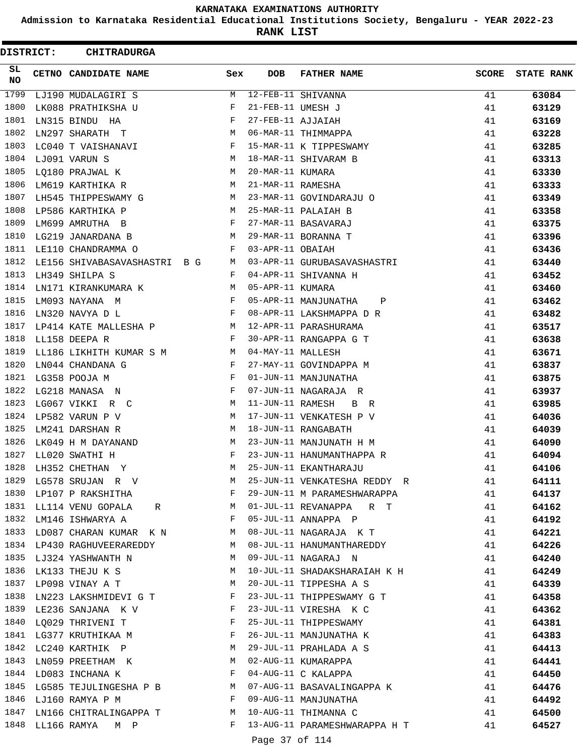**Admission to Karnataka Residential Educational Institutions Society, Bengaluru - YEAR 2022-23**

**RANK LIST**

| <b>DISTRICT:</b> |                  | <b>CHITRADURGA</b>                                                 |                               |                   |                                      |              |                   |
|------------------|------------------|--------------------------------------------------------------------|-------------------------------|-------------------|--------------------------------------|--------------|-------------------|
| SL<br>NO         |                  | CETNO CANDIDATE NAME                                               | Sex                           | <b>DOB</b>        | <b>FATHER NAME</b>                   | <b>SCORE</b> | <b>STATE RANK</b> |
| 1799             |                  | LJ190 MUDALAGIRI S                                                 | М                             |                   | 12-FEB-11 SHIVANNA                   | 41           | 63084             |
| 1800             |                  | LK088 PRATHIKSHA U                                                 | F                             | 21-FEB-11 UMESH J |                                      | 41           | 63129             |
| 1801             |                  | LN315 BINDU HA                                                     | F                             | 27-FEB-11 AJJAIAH |                                      | 41           | 63169             |
| 1802             |                  | LN297 SHARATH T                                                    | М                             |                   | 06-MAR-11 THIMMAPPA                  | 41           | 63228             |
| 1803             |                  | LC040 T VAISHANAVI                                                 | F                             |                   | 15-MAR-11 K TIPPESWAMY               | 41           | 63285             |
| 1804             |                  | LJ091 VARUN S                                                      | М                             |                   | 18-MAR-11 SHIVARAM B                 | 41           | 63313             |
| 1805             |                  | LQ180 PRAJWAL K                                                    | М                             | 20-MAR-11 KUMARA  |                                      | 41           | 63330             |
| 1806             |                  | LM619 KARTHIKA R                                                   | М                             | 21-MAR-11 RAMESHA |                                      | 41           | 63333             |
| 1807             |                  | LH545 THIPPESWAMY G                                                | М                             |                   | 23-MAR-11 GOVINDARAJU O              | 41           | 63349             |
| 1808             |                  | LP586 KARTHIKA P                                                   | М                             |                   | 25-MAR-11 PALAIAH B                  | 41           | 63358             |
| 1809             |                  | LM699 AMRUTHA B                                                    | F                             |                   | 27-MAR-11 BASAVARAJ                  | 41           | 63375             |
| 1810             |                  | LG219 JANARDANA B                                                  | М                             |                   | 29-MAR-11 BORANNA T                  | 41           | 63396             |
| 1811             |                  | LE110 CHANDRAMMA O                                                 | F                             | 03-APR-11 OBAIAH  |                                      | 41           | 63436             |
| 1812             |                  | LE156 SHIVABASAVASHASTRI B G                                       | M                             |                   | 03-APR-11 GURUBASAVASHASTRI          | 41           | 63440             |
| 1813             |                  | LH349 SHILPA S                                                     | F                             |                   | 04-APR-11 SHIVANNA H                 | 41           | 63452             |
| 1814             |                  | LN171 KIRANKUMARA K                                                | М                             | 05-APR-11 KUMARA  |                                      | 41           | 63460             |
| 1815             |                  | LM093 NAYANA M                                                     | F                             |                   | 05-APR-11 MANJUNATHA<br>$\mathbf{P}$ | 41           | 63462             |
| 1816             |                  | LN320 NAVYA D L                                                    | F                             |                   | 08-APR-11 LAKSHMAPPA D R             | 41           | 63482             |
| 1817             |                  | LP414 KATE MALLESHA P                                              | М                             |                   | 12-APR-11 PARASHURAMA                | 41           | 63517             |
| 1818             |                  | LL158 DEEPA R                                                      | $_{\rm F}$                    |                   | 30-APR-11 RANGAPPA G T               | 41           | 63638             |
| 1819             |                  | LL186 LIKHITH KUMAR S M                                            | М                             | 04-MAY-11 MALLESH |                                      | 41           | 63671             |
| 1820             |                  | LN044 CHANDANA G                                                   | F                             |                   | 27-MAY-11 GOVINDAPPA M               | 41           | 63837             |
| 1821             |                  | LG358 POOJA M                                                      | F                             |                   | 01-JUN-11 MANJUNATHA                 | 41           | 63875             |
| 1822             |                  | LG218 MANASA N                                                     | F                             |                   | 07-JUN-11 NAGARAJA R                 | 41           | 63937             |
| 1823             |                  | LG067 VIKKI<br>R C                                                 | М                             | 11-JUN-11 RAMESH  | B<br>R                               | 41           | 63985             |
| 1824             |                  | LP582 VARUN P V                                                    | М                             |                   | 17-JUN-11 VENKATESH P V              | 41           | 64036             |
| 1825             |                  | LM241 DARSHAN R                                                    | М                             |                   | 18-JUN-11 RANGABATH                  | 41           | 64039             |
| 1826             |                  | LK049 H M DAYANAND                                                 | М                             |                   | 23-JUN-11 MANJUNATH H M              | 41           | 64090             |
| 1827             |                  | LL020 SWATHI H                                                     | F                             |                   | 23-JUN-11 HANUMANTHAPPA R            | 41           | 64094             |
| 1828             |                  | LH352 CHETHAN Y                                                    | М                             |                   | 25-JUN-11 EKANTHARAJU                | 41           | 64106             |
| 1829             |                  | LG578 SRUJAN R V                                                   | M                             |                   | 25-JUN-11 VENKATESHA REDDY R         | 41           | 64111             |
| 1830             |                  | $\mathbb F$ . The set of $\mathbb F$<br>LP107 P RAKSHITHA          |                               |                   | 29-JUN-11 M PARAMESHWARAPPA          | 41           | 64137             |
|                  |                  | 1831 LL114 VENU GOPALA R                                           |                               |                   | 01-JUL-11 REVANAPPA R T              | 41           | 64162             |
|                  |                  | 1832 LM146 ISHWARYA A                                              | F                             |                   | 05-JUL-11 ANNAPPA P                  | 41           | 64192             |
|                  |                  | 1833 LD087 CHARAN KUMAR K N M                                      |                               |                   | 08-JUL-11 NAGARAJA K T               | 41           | 64221             |
|                  |                  | <b>M</b><br>1834 LP430 RAGHUVEERAREDDY                             |                               |                   | 08-JUL-11 HANUMANTHAREDDY            | 41           | 64226             |
|                  |                  | 1835 LJ324 YASHWANTH N                                             | M                             |                   | 09-JUL-11 NAGARAJ N                  | 41           | 64240             |
| 1836             |                  | LK133 THEJU K S                                                    | М                             |                   | 10-JUL-11 SHADAKSHARAIAH K H         | 41           | 64249             |
| 1837             |                  | LP098 VINAY A T                                                    | М                             |                   | 20-JUL-11 TIPPESHA A S               | 41           | 64339             |
|                  |                  | 1838 LN223 LAKSHMIDEVI G T F                                       |                               |                   | 23-JUL-11 THIPPESWAMY G T            | 41           | 64358             |
|                  |                  | 1839 LE236 SANJANA K V                                             | $\mathbb{F}$                  |                   | 23-JUL-11 VIRESHA K C                | 41           | 64362             |
| 1840             |                  | LQ029 THRIVENI T<br>$\mathbf{F}$ and $\mathbf{F}$ and $\mathbf{F}$ |                               |                   | 25-JUL-11 THIPPESWAMY                | 41           | 64381             |
|                  |                  | 1841 LG377 KRUTHIKAA M                                             |                               |                   | 26-JUL-11 MANJUNATHA K               | 41           | 64383             |
|                  |                  | M<br>1842 LC240 KARTHIK P                                          |                               |                   | 29-JUL-11 PRAHLADA A S               | 41           | 64413             |
| 1843             |                  | LN059 PREETHAM K                                                   | M                             |                   | 02-AUG-11 KUMARAPPA                  | 41           | 64441             |
| 1844             |                  | LD083 INCHANA K                                                    | $\mathbf{F}$ and $\mathbf{F}$ |                   | 04-AUG-11 C KALAPPA                  | 41           | 64450             |
| 1845             |                  | LG585 TEJULINGESHA P B M                                           |                               |                   | 07-AUG-11 BASAVALINGAPPA K           | 41           | 64476             |
|                  |                  | $\mathbf{F}$<br>1846 LJ160 RAMYA P M                               |                               |                   | 09-AUG-11 MANJUNATHA                 | 41           | 64492             |
|                  |                  | 1847 LN166 CHITRALINGAPPA T M                                      |                               |                   | 10-AUG-11 THIMANNA C                 | 41           | 64500             |
|                  | 1848 LL166 RAMYA | M P                                                                | F                             |                   | 13-AUG-11 PARAMESHWARAPPA H T        | 41           | 64527             |
|                  |                  |                                                                    |                               | Page 37 of 114    |                                      |              |                   |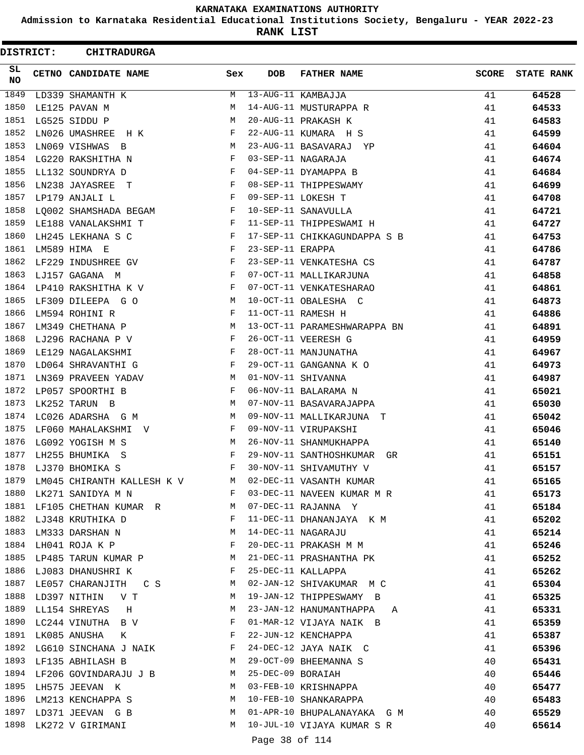**Admission to Karnataka Residential Educational Institutions Society, Bengaluru - YEAR 2022-23**

**RANK LIST**

 $\blacksquare$ 

| DISTRICT: | <b>CHITRADURGA</b>                                                                                                                    |                           |                   |                               |              |                   |
|-----------|---------------------------------------------------------------------------------------------------------------------------------------|---------------------------|-------------------|-------------------------------|--------------|-------------------|
| SL.<br>NO | CETNO CANDIDATE NAME                                                                                                                  | Sex                       | <b>DOB</b>        | <b>FATHER NAME</b>            | <b>SCORE</b> | <b>STATE RANK</b> |
| 1849      | LD339 SHAMANTH K                                                                                                                      | M                         |                   | 13-AUG-11 KAMBAJJA            | 41           | 64528             |
| 1850      | LE125 PAVAN M                                                                                                                         | M                         |                   | 14-AUG-11 MUSTURAPPA R        | 41           | 64533             |
| 1851      | LG525 SIDDU P                                                                                                                         | M                         |                   | 20-AUG-11 PRAKASH K           | 41           | 64583             |
| 1852      | LN026 UMASHREE H K                                                                                                                    | $\mathbf{F}$              |                   | 22-AUG-11 KUMARA H S          | 41           | 64599             |
| 1853      | LN069 VISHWAS B                                                                                                                       | M                         |                   | 23-AUG-11 BASAVARAJ YP        | 41           | 64604             |
| 1854      | LG220 RAKSHITHA N                                                                                                                     | $\mathbf{F}$              |                   | 03-SEP-11 NAGARAJA            | 41           | 64674             |
| 1855      | LL132 SOUNDRYA D                                                                                                                      | F                         |                   | 04-SEP-11 DYAMAPPA B          | 41           | 64684             |
| 1856      | LN238 JAYASREE T                                                                                                                      | F                         |                   | 08-SEP-11 THIPPESWAMY         | 41           | 64699             |
| 1857      | LP179 ANJALI L                                                                                                                        | $\mathbf{F}$              |                   | 09-SEP-11 LOKESH T            | 41           | 64708             |
| 1858      | LQ002 SHAMSHADA BEGAM F                                                                                                               |                           |                   | 10-SEP-11 SANAVULLA           | 41           | 64721             |
| 1859      | LE188 VANALAKSHMI T<br>and the contract of the Property of the Property of the Property of the Property of the Property of the Proper |                           |                   | 11-SEP-11 THIPPESWAMI H       | 41           | 64727             |
| 1860      | $\mathbf{F}$ and $\mathbf{F}$<br>LH245 LEKHANA S C                                                                                    |                           |                   | 17-SEP-11 CHIKKAGUNDAPPA S B  | 41           | 64753             |
| 1861      | LM589 HIMA E                                                                                                                          | $\mathbf{F}$              | 23-SEP-11 ERAPPA  |                               | 41           | 64786             |
| 1862      | LF229 INDUSHREE GV                                                                                                                    | $\mathbf{F}$              |                   | 23-SEP-11 VENKATESHA CS       | 41           | 64787             |
| 1863      | LJ157 GAGANA M                                                                                                                        | $\mathbf{F}$              |                   | 07-OCT-11 MALLIKARJUNA        | 41           | 64858             |
| 1864      | LP410 RAKSHITHA K V                                                                                                                   | $\mathbf{F}$              |                   | 07-OCT-11 VENKATESHARAO       | 41           | 64861             |
| 1865      | LF309 DILEEPA GO                                                                                                                      | M                         |                   | 10-OCT-11 OBALESHA C          | 41           | 64873             |
| 1866      | LM594 ROHINI R                                                                                                                        | F                         |                   | 11-OCT-11 RAMESH H            | 41           | 64886             |
| 1867      | LM349 CHETHANA P                                                                                                                      | M                         |                   | 13-OCT-11 PARAMESHWARAPPA BN  | 41           | 64891             |
| 1868      | LJ296 RACHANA P V F                                                                                                                   |                           |                   | 26-OCT-11 VEERESH G           | 41           | 64959             |
| 1869      | LE129 NAGALAKSHMI                                                                                                                     | $\mathbf{F}$              |                   | 28-OCT-11 MANJUNATHA          | 41           | 64967             |
| 1870      | LD064 SHRAVANTHI G                                                                                                                    | $\mathbf{F}$              |                   | 29-OCT-11 GANGANNA K O        | 41           | 64973             |
| 1871      | LN369 PRAVEEN YADAV                                                                                                                   | M                         |                   | 01-NOV-11 SHIVANNA            | 41           | 64987             |
| 1872      | LP057 SPOORTHI B                                                                                                                      | F                         |                   | 06-NOV-11 BALARAMA N          | 41           | 65021             |
| 1873      | LK252 TARUN B                                                                                                                         | M                         |                   | 07-NOV-11 BASAVARAJAPPA       | 41           | 65030             |
| 1874      | LC026 ADARSHA G M                                                                                                                     | M                         |                   | 09-NOV-11 MALLIKARJUNA T      | 41           | 65042             |
| 1875      | LF060 MAHALAKSHMI V                                                                                                                   | F                         |                   | 09-NOV-11 VIRUPAKSHI          | 41           | 65046             |
| 1876      | LG092 YOGISH M S                                                                                                                      | M                         |                   | 26-NOV-11 SHANMUKHAPPA        | 41           | 65140             |
| 1877      | LH255 BHUMIKA S                                                                                                                       | F                         |                   | 29-NOV-11 SANTHOSHKUMAR GR    | 41           | 65151             |
| 1878      | LJ370 BHOMIKA S                                                                                                                       | F                         |                   | 30-NOV-11 SHIVAMUTHY V        | 41           | 65157             |
| 1879      | LM045 CHIRANTH KALLESH K V M                                                                                                          |                           |                   | 02-DEC-11 VASANTH KUMAR       | 41           | 65165             |
|           | 1880 LK271 SANIDYA M N                                                                                                                | <b>Expanding Property</b> |                   | 03-DEC-11 NAVEEN KUMAR M R    | 41           | 65173             |
|           | 1881 LF105 CHETHAN KUMAR R M 07-DEC-11 RAJANNA Y                                                                                      |                           |                   |                               | 41           | 65184             |
| 1882      | LJ348 KRUTHIKA D<br>$\mathbf{F}$                                                                                                      |                           |                   | 11-DEC-11 DHANANJAYA K M      | 41           | 65202             |
| 1883      | LM333 DARSHAN N                                                                                                                       | М                         |                   | 14-DEC-11 NAGARAJU            | 41           | 65214             |
| 1884      | LH041 ROJA K P                                                                                                                        | F                         |                   | 20-DEC-11 PRAKASH M M         | 41           | 65246             |
|           | 1885 LP485 TARUN KUMAR P M                                                                                                            |                           |                   | 21-DEC-11 PRASHANTHA PK       | 41           | 65252             |
|           | 1886 LJ083 DHANUSHRI K F                                                                                                              |                           |                   | 25-DEC-11 KALLAPPA            | 41           | 65262             |
| 1887      | LE057 CHARANJITH C S M 02-JAN-12 SHIVAKUMAR M C                                                                                       |                           |                   |                               | 41           | 65304             |
| 1888      | <b>M</b><br>LD397 NITHIN V T                                                                                                          |                           |                   | 19-JAN-12 THIPPESWAMY B       | 41           | 65325             |
|           | 1889 LL154 SHREYAS H                                                                                                                  | M                         |                   | 23-JAN-12 HANUMANTHAPPA A     | 41           | 65331             |
| 1890      | LC244 VINUTHA B V F                                                                                                                   |                           |                   | 01-MAR-12 VIJAYA NAIK B       | 41           | 65359             |
| 1891      | LK085 ANUSHA K F                                                                                                                      |                           |                   | 22-JUN-12 KENCHAPPA           | 41           | 65387             |
| 1892      | LG610 SINCHANA J NAIK F                                                                                                               |                           |                   | 24-DEC-12 JAYA NAIK C         | 41           | 65396             |
|           | M<br>1893 LF135 ABHILASH B                                                                                                            |                           |                   | 29-OCT-09 BHEEMANNA S         | 40           | 65431             |
|           | 1894 LF206 GOVINDARAJU J B M                                                                                                          |                           | 25-DEC-09 BORAIAH |                               | 40           | 65446             |
| 1895      | <b>M</b><br>LH575 JEEVAN K                                                                                                            |                           |                   | 03-FEB-10 KRISHNAPPA          | 40           | 65477             |
| 1896      | LM213 KENCHAPPA S M                                                                                                                   |                           |                   | 10-FEB-10 SHANKARAPPA         | 40           | 65483             |
| 1897      | LD371 JEEVAN G B                                                                                                                      |                           |                   | M 01-APR-10 BHUPALANAYAKA G M | 40           | 65529             |
| 1898      | LK272 V GIRIMANI                                                                                                                      | M                         |                   | 10-JUL-10 VIJAYA KUMAR S R    | 40           | 65614             |
|           |                                                                                                                                       |                           |                   |                               |              |                   |

Page 38 of 114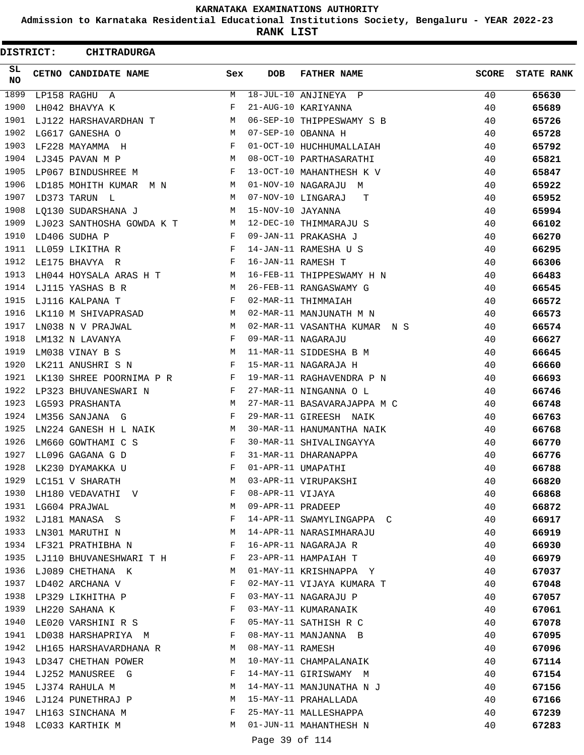**Admission to Karnataka Residential Educational Institutions Society, Bengaluru - YEAR 2022-23**

**RANK LIST**

ı

| DISTRICT:  | <b>CHITRADURGA</b>                   |              |                   |                                                   |              |                   |
|------------|--------------------------------------|--------------|-------------------|---------------------------------------------------|--------------|-------------------|
| SL.<br>NO. | CETNO CANDIDATE NAME                 | Sex          | <b>DOB</b>        | <b>FATHER NAME</b>                                | <b>SCORE</b> | <b>STATE RANK</b> |
| 1899       | LP158 RAGHU A                        | M            |                   | 18-JUL-10 ANJINEYA P                              | 40           | 65630             |
| 1900       | LH042 BHAVYA K                       | F            |                   | 21-AUG-10 KARIYANNA                               | 40           | 65689             |
| 1901       | LJ122 HARSHAVARDHAN T                | M            |                   | 06-SEP-10 THIPPESWAMY S B                         | 40           | 65726             |
| 1902       | LG617 GANESHA O                      | M            |                   | 07-SEP-10 OBANNA H                                | 40           | 65728             |
| 1903       | LF228 MAYAMMA H                      | F            |                   | 01-OCT-10 HUCHHUMALLAIAH                          | 40           | 65792             |
| 1904       | LJ345 PAVAN M P                      | M            |                   | 08-OCT-10 PARTHASARATHI                           | 40           | 65821             |
| 1905       | LP067 BINDUSHREE M                   | F            |                   | 13-OCT-10 MAHANTHESH K V                          | 40           | 65847             |
| 1906       | LD185 MOHITH KUMAR M N               | M            |                   | 01-NOV-10 NAGARAJU<br>M                           | 40           | 65922             |
| 1907       | LD373 TARUN L                        | M            |                   | 07-NOV-10 LINGARAJ<br>т                           | 40           | 65952             |
| 1908       | LQ130 SUDARSHANA J                   | М            | 15-NOV-10 JAYANNA |                                                   | 40           | 65994             |
| 1909       | LJ023 SANTHOSHA GOWDA K T            | M            |                   | 12-DEC-10 THIMMARAJU S                            | 40           | 66102             |
| 1910       | LD406 SUDHA P                        | F            |                   | 09-JAN-11 PRAKASHA J                              | 40           | 66270             |
| 1911       | LL059 LIKITHA R                      | F            |                   | 14-JAN-11 RAMESHA U S                             | 40           | 66295             |
| 1912       | LE175 BHAVYA R                       | $-F$         |                   | 16-JAN-11 RAMESH T                                | 40           | 66306             |
| 1913       | LH044 HOYSALA ARAS H T               | M            |                   | 16-FEB-11 THIPPESWAMY H N                         | 40           | 66483             |
| 1914       | LJ115 YASHAS B R                     | M            |                   | 26-FEB-11 RANGASWAMY G                            | 40           | 66545             |
| 1915       | LJ116 KALPANA T                      | F            |                   | 02-MAR-11 THIMMAIAH                               | 40           | 66572             |
| 1916       | LK110 M SHIVAPRASAD                  | M            |                   | 02-MAR-11 MANJUNATH M N                           | 40           | 66573             |
| 1917       | LN038 N V PRAJWAL                    | M            |                   | 02-MAR-11 VASANTHA KUMAR N S                      | 40           | 66574             |
| 1918       | LM132 N LAVANYA                      | F            |                   | 09-MAR-11 NAGARAJU                                | 40           | 66627             |
| 1919       | LM038 VINAY B S                      | M            |                   | 11-MAR-11 SIDDESHA B M                            | 40           | 66645             |
| 1920       | LK211 ANUSHRI S N                    | F            |                   | 15-MAR-11 NAGARAJA H                              | 40           | 66660             |
| 1921       | LK130 SHREE POORNIMA P R             | F            |                   | 19-MAR-11 RAGHAVENDRA P N                         | 40           | 66693             |
| 1922       | LP323 BHUVANESWARI N                 | F            |                   | 27-MAR-11 NINGANNA O L                            | 40           | 66746             |
| 1923       | LG593 PRASHANTA                      | M            |                   | 27-MAR-11 BASAVARAJAPPA M C                       | 40           | 66748             |
| 1924       | LM356 SANJANA G                      | F            |                   | 29-MAR-11 GIREESH NAIK                            | 40           | 66763             |
| 1925       | LN224 GANESH H L NAIK                | M            |                   | 30-MAR-11 HANUMANTHA NAIK                         | 40           | 66768             |
| 1926       | LM660 GOWTHAMI C S                   | F            |                   | 30-MAR-11 SHIVALINGAYYA                           | 40           | 66770             |
| 1927       | LL096 GAGANA G D                     | F            |                   | 31-MAR-11 DHARANAPPA                              | 40           | 66776             |
| 1928       | LK230 DYAMAKKA U                     | F            |                   | 01-APR-11 UMAPATHI                                | 40           | 66788             |
| 1929       | LC151 V SHARATH                      | М            |                   | 03-APR-11 VIRUPAKSHI                              | 40           | 66820             |
| 1930       | LH180 VEDAVATHI V                    | F            | 08-APR-11 VIJAYA  |                                                   | 40           | 66868             |
|            | 1931 LG604 PRAJWAL                   | M            | 09-APR-11 PRADEEP |                                                   | 40           | 66872             |
|            | 1932 LJ181 MANASA S                  | F            |                   | 14-APR-11 SWAMYLINGAPPA C                         | 40           | 66917             |
| 1933       |                                      | M            |                   | 14-APR-11 NARASIMHARAJU                           | 40           |                   |
| 1934       | LN301 MARUTHI N<br>LF321 PRATHIBHA N | F            |                   | 16-APR-11 NAGARAJA R                              | 40           | 66919<br>66930    |
| 1935       | LJ110 BHUVANESHWARI T H              | F            |                   | 23-APR-11 HAMPAIAH T                              | 40           |                   |
|            | 1936 LJ089 CHETHANA K                | M            |                   | 01-MAY-11 KRISHNAPPA Y                            |              | 66979             |
|            | 1937 LD402 ARCHANA V                 | F            |                   |                                                   | 40           | 67037             |
| 1938       |                                      | F            |                   | 02-MAY-11 VIJAYA KUMARA T<br>03-MAY-11 NAGARAJU P | 40           | 67048             |
|            | LP329 LIKHITHA P                     |              |                   |                                                   | 40           | 67057             |
| 1939       | LH220 SAHANA K                       | F            |                   | 03-MAY-11 KUMARANAIK                              | 40           | 67061             |
|            | 1940 LE020 VARSHINI R S              | $\mathbf{F}$ |                   | 05-MAY-11 SATHISH R C                             | 40           | 67078             |
|            | 1941 LD038 HARSHAPRIYA M             | F            |                   | 08-MAY-11 MANJANNA B                              | 40           | 67095             |
| 1942       | LH165 HARSHAVARDHANA R               | M            | 08-MAY-11 RAMESH  |                                                   | 40           | 67096             |
| 1943       | LD347 CHETHAN POWER                  | М            |                   | 10-MAY-11 CHAMPALANAIK                            | 40           | 67114             |
|            | 1944 LJ252 MANUSREE G                | F            |                   | 14-MAY-11 GIRISWAMY M                             | 40           | 67154             |
| 1945       | LJ374 RAHULA M                       | M            |                   | 14-MAY-11 MANJUNATHA N J                          | 40           | 67156             |
| 1946       | LJ124 PUNETHRAJ P                    | M            |                   | 15-MAY-11 PRAHALLADA                              | 40           | 67166             |
| 1947       | LH163 SINCHANA M                     | F            |                   | 25-MAY-11 MALLESHAPPA                             | 40           | 67239             |
|            | 1948 LC033 KARTHIK M                 | M            |                   | 01-JUN-11 MAHANTHESH N                            | 40           | 67283             |
|            |                                      |              | Page 39 of 114    |                                                   |              |                   |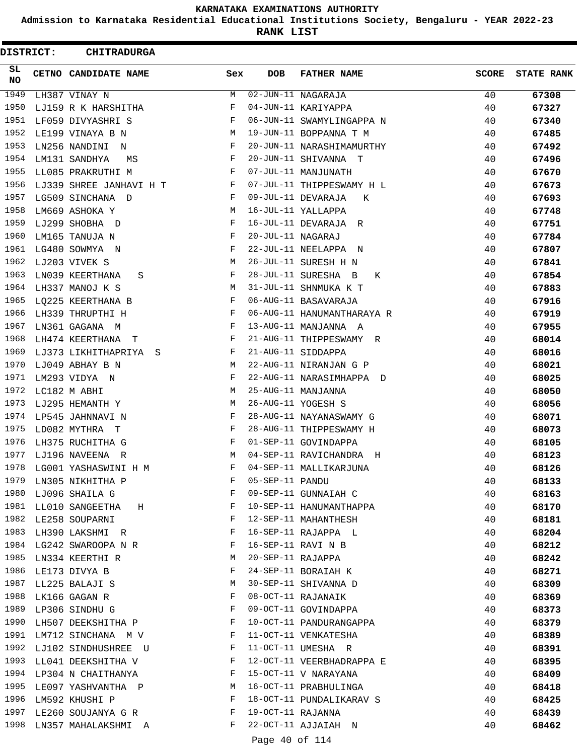**Admission to Karnataka Residential Educational Institutions Society, Bengaluru - YEAR 2022-23**

**RANK LIST**

 $\blacksquare$ 

| DISTRICT:        | <b>CHITRADURGA</b>           |     |                   |                            |              |                   |
|------------------|------------------------------|-----|-------------------|----------------------------|--------------|-------------------|
| SL.<br><b>NO</b> | CETNO CANDIDATE NAME         | Sex | <b>DOB</b>        | <b>FATHER NAME</b>         | <b>SCORE</b> | <b>STATE RANK</b> |
| 1949             | LH387 VINAY N                | M   |                   | 02-JUN-11 NAGARAJA         | 40           | 67308             |
| 1950             | LJ159 R K HARSHITHA          | F   |                   | 04-JUN-11 KARIYAPPA        | 40           | 67327             |
| 1951             | LF059 DIVYASHRI S            | F   |                   | 06-JUN-11 SWAMYLINGAPPA N  | 40           | 67340             |
| 1952             | LE199 VINAYA B N             | М   |                   | 19-JUN-11 BOPPANNA T M     | 40           | 67485             |
| 1953             | LN256 NANDINI<br>$\mathbb N$ | F   |                   | 20-JUN-11 NARASHIMAMURTHY  | 40           | 67492             |
| 1954             | LM131 SANDHYA<br>MS          | F   |                   | 20-JUN-11 SHIVANNA T       | 40           | 67496             |
| 1955             | LL085 PRAKRUTHI M            | F   |                   | 07-JUL-11 MANJUNATH        | 40           | 67670             |
| 1956             | LJ339 SHREE JANHAVI H T      | F   |                   | 07-JUL-11 THIPPESWAMY H L  | 40           | 67673             |
| 1957             | LG509 SINCHANA D             | F   |                   | 09-JUL-11 DEVARAJA<br>К    | 40           | 67693             |
| 1958             | LM669 ASHOKA Y               | М   |                   | 16-JUL-11 YALLAPPA         | 40           | 67748             |
| 1959             | LJ299 SHOBHA D               | F   |                   | 16-JUL-11 DEVARAJA R       | 40           | 67751             |
| 1960             | LM165 TANUJA N               | F   | 20-JUL-11 NAGARAJ |                            | 40           | 67784             |
| 1961             | LG480 SOWMYA N               | F   |                   | 22-JUL-11 NEELAPPA N       | 40           | 67807             |
| 1962             | LJ203 VIVEK S                | М   |                   | 26-JUL-11 SURESH H N       | 40           | 67841             |
| 1963             | LN039 KEERTHANA<br>S         | F   |                   | 28-JUL-11 SURESHA B<br>К   | 40           | 67854             |
| 1964             | LH337 MANOJ K S              | М   |                   | 31-JUL-11 SHNMUKA K T      | 40           | 67883             |
| 1965             | LQ225 KEERTHANA B            | F   |                   | 06-AUG-11 BASAVARAJA       | 40           | 67916             |
| 1966             | LH339 THRUPTHI H             | F   |                   | 06-AUG-11 HANUMANTHARAYA R | 40           | 67919             |
| 1967             | LN361 GAGANA M               | F   |                   | 13-AUG-11 MANJANNA A       | 40           | 67955             |
| 1968             | LH474 KEERTHANA<br>- T       | F   |                   | 21-AUG-11 THIPPESWAMY R    | 40           | 68014             |
| 1969             | LJ373 LIKHITHAPRIYA S        | F   |                   | 21-AUG-11 SIDDAPPA         | 40           | 68016             |
| 1970             | LJ049 ABHAY B N              | М   |                   | 22-AUG-11 NIRANJAN G P     | 40           | 68021             |
| 1971             | LM293 VIDYA N                | F   |                   | 22-AUG-11 NARASIMHAPPA D   | 40           | 68025             |
| 1972             | LC182 M ABHI                 | М   |                   | 25-AUG-11 MANJANNA         | 40           | 68050             |
| 1973             | LJ295 HEMANTH Y              | М   |                   | 26-AUG-11 YOGESH S         | 40           | 68056             |
| 1974             | LP545 JAHNNAVI N             | F   |                   | 28-AUG-11 NAYANASWAMY G    | 40           | 68071             |
| 1975             | LD082 MYTHRA T               | F   |                   | 28-AUG-11 THIPPESWAMY H    | 40           | 68073             |
| 1976             | LH375 RUCHITHA G             | F   |                   | 01-SEP-11 GOVINDAPPA       | 40           | 68105             |
| 1977             | LJ196 NAVEENA R              | М   |                   | 04-SEP-11 RAVICHANDRA H    | 40           | 68123             |
| 1978             | LG001 YASHASWINI H M         | F   |                   | 04-SEP-11 MALLIKARJUNA     | 40           | 68126             |
| 1979             | LN305 NIKHITHA P             | F   | 05-SEP-11 PANDU   |                            | 40           | 68133             |
| 1980             | LJ096 SHAILA G               | F   |                   | 09-SEP-11 GUNNAIAH C       | 40           | 68163             |
| 1981             | LL010 SANGEETHA<br>H         | F   |                   | 10-SEP-11 HANUMANTHAPPA    | 40           | 68170             |
|                  | 1982 LE258 SOUPARNI          | F   |                   | 12-SEP-11 MAHANTHESH       | 40           | 68181             |
| 1983             | LH390 LAKSHMI R              | F   |                   | 16-SEP-11 RAJAPPA L        | 40           | 68204             |
| 1984             | LG242 SWAROOPA N R           | F   |                   | 16-SEP-11 RAVI N B         | 40           | 68212             |
| 1985             | LN334 KEERTHI R              | М   | 20-SEP-11 RAJAPPA |                            | 40           | 68242             |
| 1986             | LE173 DIVYA B                | F   |                   | 24-SEP-11 BORAIAH K        | 40           | 68271             |
| 1987             | LL225 BALAJI S               | М   |                   | 30-SEP-11 SHIVANNA D       | 40           | 68309             |
| 1988             | LK166 GAGAN R                | F   |                   | 08-OCT-11 RAJANAIK         | 40           | 68369             |
| 1989             | LP306 SINDHU G               | F   |                   | 09-OCT-11 GOVINDAPPA       | 40           | 68373             |
| 1990             | LH507 DEEKSHITHA P           | F   |                   | 10-OCT-11 PANDURANGAPPA    | 40           | 68379             |
| 1991             | LM712 SINCHANA M V           | F   |                   | 11-OCT-11 VENKATESHA       | 40           | 68389             |
| 1992             | LJ102 SINDHUSHREE U          | F   |                   | 11-OCT-11 UMESHA R         | 40           | 68391             |
| 1993             | LL041 DEEKSHITHA V           | F   |                   | 12-OCT-11 VEERBHADRAPPA E  | 40           | 68395             |
|                  | 1994 LP304 N CHAITHANYA      | F   |                   | 15-OCT-11 V NARAYANA       | 40           | 68409             |
| 1995             | LE097 YASHVANTHA P           | М   |                   | 16-OCT-11 PRABHULINGA      | 40           | 68418             |
| 1996             | LM592 KHUSHI P               | F   |                   | 18-OCT-11 PUNDALIKARAV S   | 40           | 68425             |
| 1997             | LE260 SOUJANYA G R           | F   | 19-OCT-11 RAJANNA |                            | 40           | 68439             |
| 1998             | LN357 MAHALAKSHMI A          | F   |                   | 22-OCT-11 AJJAIAH N        | 40           | 68462             |
|                  |                              |     |                   |                            |              |                   |

Page 40 of 114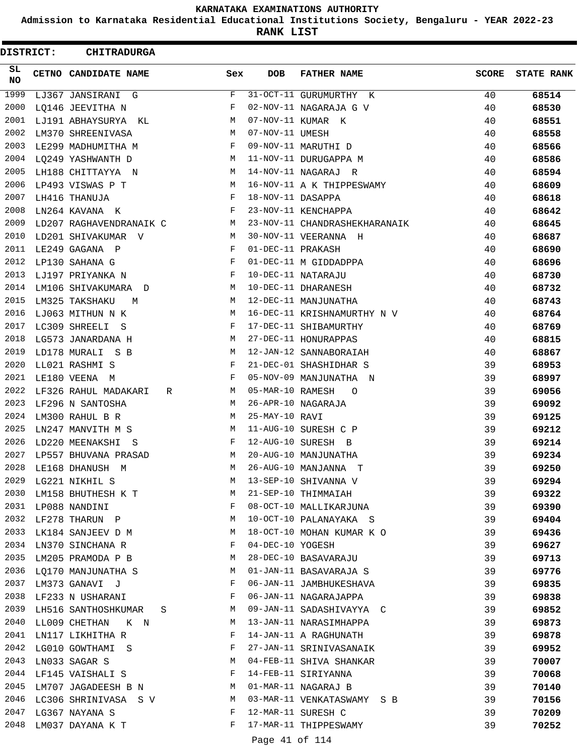**Admission to Karnataka Residential Educational Institutions Society, Bengaluru - YEAR 2022-23**

**RANK LIST**

| DISTRICT:  | <b>CHITRADURGA</b>        |        |                   |                               |              |                   |
|------------|---------------------------|--------|-------------------|-------------------------------|--------------|-------------------|
| SL.<br>NO. | CETNO CANDIDATE NAME      | Sex    | <b>DOB</b>        | <b>FATHER NAME</b>            | <b>SCORE</b> | <b>STATE RANK</b> |
| 1999       | LJ367 JANSIRANI G         | F      |                   | 31-OCT-11 GURUMURTHY K        | 40           | 68514             |
| 2000       | LQ146 JEEVITHA N          | F      |                   | 02-NOV-11 NAGARAJA G V        | 40           | 68530             |
| 2001       | LJ191 ABHAYSURYA KL       | М      |                   | 07-NOV-11 KUMAR K             | 40           | 68551             |
| 2002       | LM370 SHREENIVASA         | М      | 07-NOV-11 UMESH   |                               | 40           | 68558             |
| 2003       | LE299 MADHUMITHA M        | F      |                   | 09-NOV-11 MARUTHI D           | 40           | 68566             |
| 2004       | LQ249 YASHWANTH D         | М      |                   | 11-NOV-11 DURUGAPPA M         | 40           | 68586             |
| 2005       | LH188 CHITTAYYA N         | М      |                   | 14-NOV-11 NAGARAJ R           | 40           | 68594             |
| 2006       | LP493 VISWAS P T          | М      |                   | 16-NOV-11 A K THIPPESWAMY     | 40           | 68609             |
| 2007       | LH416 THANUJA             | F      | 18-NOV-11 DASAPPA |                               | 40           | 68618             |
| 2008       | LN264 KAVANA K            | F      |                   | 23-NOV-11 KENCHAPPA           | 40           | 68642             |
| 2009       | LD207 RAGHAVENDRANAIK C   | М      |                   | 23-NOV-11 CHANDRASHEKHARANAIK | 40           | 68645             |
| 2010       | LD201 SHIVAKUMAR V        | М      |                   | 30-NOV-11 VEERANNA H          | 40           | 68687             |
| 2011       | LE249 GAGANA P            | F      | 01-DEC-11 PRAKASH |                               | 40           | 68690             |
| 2012       | LP130 SAHANA G            | F      |                   | 01-DEC-11 M GIDDADPPA         | 40           | 68696             |
| 2013       | LJ197 PRIYANKA N          | F      |                   | 10-DEC-11 NATARAJU            | 40           | 68730             |
| 2014       | LM106 SHIVAKUMARA D       | М      |                   | 10-DEC-11 DHARANESH           | 40           | 68732             |
| 2015       | LM325 TAKSHAKU<br>M       | М      |                   | 12-DEC-11 MANJUNATHA          | 40           | 68743             |
| 2016       | LJ063 MITHUN N K          | М      |                   | 16-DEC-11 KRISHNAMURTHY N V   | 40           | 68764             |
| 2017       | LC309 SHREELI<br>- S      | F      |                   | 17-DEC-11 SHIBAMURTHY         | 40           | 68769             |
| 2018       | LG573 JANARDANA H         | М      |                   | 27-DEC-11 HONURAPPAS          | 40           | 68815             |
| 2019       | LD178 MURALI S B          | M      |                   | 12-JAN-12 SANNABORAIAH        | 40           | 68867             |
| 2020       | LL021 RASHMI S            | F      |                   | 21-DEC-01 SHASHIDHAR S        | 39           | 68953             |
| 2021       | LE180 VEENA M             | F      |                   | 05-NOV-09 MANJUNATHA N        | 39           | 68997             |
| 2022       | LF326 RAHUL MADAKARI      | R<br>М | 05-MAR-10 RAMESH  | $\circ$                       | 39           | 69056             |
| 2023       | LF296 N SANTOSHA          | М      |                   | 26-APR-10 NAGARAJA            | 39           | 69092             |
| 2024       | LM300 RAHUL B R           | М      | 25-MAY-10 RAVI    |                               | 39           | 69125             |
| 2025       | LN247 MANVITH M S         | М      |                   | 11-AUG-10 SURESH C P          | 39           | 69212             |
| 2026       | LD220 MEENAKSHI S         | F      |                   | 12-AUG-10 SURESH B            | 39           | 69214             |
| 2027       | LP557 BHUVANA PRASAD      | М      |                   | 20-AUG-10 MANJUNATHA          | 39           | 69234             |
| 2028       | LE168 DHANUSH M           | M      |                   | 26-AUG-10 MANJANNA<br>т       | 39           | 69250             |
| 2029       | LG221 NIKHIL S            | М      |                   | 13-SEP-10 SHIVANNA V          | 39           | 69294             |
| 2030       | LM158 BHUTHESH K T        | М      |                   | 21-SEP-10 THIMMAIAH           | 39           | 69322             |
|            | 2031 LP088 NANDINI        | F      |                   | 08-OCT-10 MALLIKARJUNA        | 39           | 69390             |
|            | 2032 LF278 THARUN P       | М      |                   | 10-OCT-10 PALANAYAKA S        | 39           | 69404             |
| 2033       | LK184 SANJEEV D M         | M      |                   | 18-OCT-10 MOHAN KUMAR K O     | 39           | 69436             |
| 2034       | LN370 SINCHANA R          | F      | 04-DEC-10 YOGESH  |                               | 39           |                   |
| 2035       | LM205 PRAMODA P B         | М      |                   | 28-DEC-10 BASAVARAJU          | 39           | 69627             |
|            |                           | М      |                   |                               |              | 69713             |
|            | 2036 LQ170 MANJUNATHA S   |        |                   | 01-JAN-11 BASAVARAJA S        | 39           | 69776             |
|            | 2037 LM373 GANAVI J       | F      |                   | 06-JAN-11 JAMBHUKESHAVA       | 39           | 69835             |
|            | 2038 LF233 N USHARANI     | F      |                   | 06-JAN-11 NAGARAJAPPA         | 39           | 69838             |
| 2039       | LH516 SANTHOSHKUMAR       | M<br>S |                   | 09-JAN-11 SADASHIVAYYA C      | 39           | 69852             |
|            | 2040 LL009 CHETHAN K N    | M      |                   | 13-JAN-11 NARASIMHAPPA        | 39           | 69873             |
| 2041       | LN117 LIKHITHA R          | F      |                   | 14-JAN-11 A RAGHUNATH         | 39           | 69878             |
| 2042       | LG010 GOWTHAMI S          | F      |                   | 27-JAN-11 SRINIVASANAIK       | 39           | 69952             |
| 2043       | LN033 SAGAR S             | M      |                   | 04-FEB-11 SHIVA SHANKAR       | 39           | 70007             |
| 2044       | LF145 VAISHALI S          | F      |                   | 14-FEB-11 SIRIYANNA           | 39           | 70068             |
| 2045       | LM707 JAGADEESH B N       | М      |                   | 01-MAR-11 NAGARAJ B           | 39           | 70140             |
|            | 2046 LC306 SHRINIVASA S V | M      |                   | 03-MAR-11 VENKATASWAMY S B    | 39           | 70156             |
| 2047       | LG367 NAYANA S            | F      |                   | 12-MAR-11 SURESH C            | 39           | 70209             |
| 2048       | LM037 DAYANA K T          | F      |                   | 17-MAR-11 THIPPESWAMY         | 39           | 70252             |
|            |                           |        | Page 41 of 114    |                               |              |                   |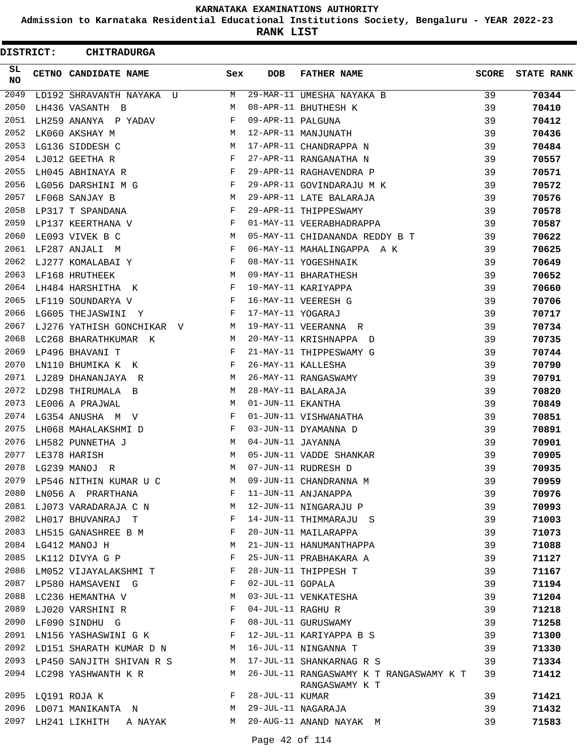**Admission to Karnataka Residential Educational Institutions Society, Bengaluru - YEAR 2022-23**

**RANK LIST**

Е

| <b>DISTRICT:</b> | <b>CHITRADURGA</b>                                       |                                                |     |                   |                                                                |              |                   |
|------------------|----------------------------------------------------------|------------------------------------------------|-----|-------------------|----------------------------------------------------------------|--------------|-------------------|
| SL<br>NO         | CETNO CANDIDATE NAME                                     |                                                | Sex | DOB               | <b>FATHER NAME</b>                                             | <b>SCORE</b> | <b>STATE RANK</b> |
| 2049             | LD192 SHRAVANTH NAYAKA U                                 |                                                | M   |                   | 29-MAR-11 UMESHA NAYAKA B                                      | 39           | 70344             |
| 2050             | LH436 VASANTH B                                          |                                                | М   |                   | 08-APR-11 BHUTHESH K                                           | 39           | 70410             |
| 2051             | LH259 ANANYA P YADAV                                     |                                                | F   | 09-APR-11 PALGUNA |                                                                | 39           | 70412             |
| 2052             | LK060 AKSHAY M                                           |                                                | M   |                   | 12-APR-11 MANJUNATH                                            | 39           | 70436             |
| 2053             | LG136 SIDDESH C                                          |                                                | М   |                   | 17-APR-11 CHANDRAPPA N                                         | 39           | 70484             |
| 2054             | LJ012 GEETHA R                                           |                                                | F   |                   | 27-APR-11 RANGANATHA N                                         | 39           | 70557             |
| 2055             | LH045 ABHINAYA R                                         |                                                | F   |                   | 29-APR-11 RAGHAVENDRA P                                        | 39           | 70571             |
| 2056             | LG056 DARSHINI M G                                       |                                                | F   |                   | 29-APR-11 GOVINDARAJU M K                                      | 39           | 70572             |
| 2057             | LF068 SANJAY B                                           |                                                | М   |                   | 29-APR-11 LATE BALARAJA                                        | 39           | 70576             |
| 2058             | LP317 T SPANDANA                                         |                                                | F   |                   | 29-APR-11 THIPPESWAMY                                          | 39           | 70578             |
| 2059             | LP137 KEERTHANA V                                        |                                                | F   |                   | 01-MAY-11 VEERABHADRAPPA                                       | 39           | 70587             |
| 2060             | LE093 VIVEK B C                                          |                                                | M   |                   | 05-MAY-11 CHIDANANDA REDDY B T                                 | 39           | 70622             |
| 2061             | LF287 ANJALI M                                           |                                                | F   |                   | 06-MAY-11 MAHALINGAPPA A K                                     | 39           | 70625             |
| 2062             | LJ277 KOMALABAI Y                                        |                                                | F   |                   | 08-MAY-11 YOGESHNAIK                                           | 39           | 70649             |
| 2063             | LF168 HRUTHEEK                                           |                                                | M   |                   | 09-MAY-11 BHARATHESH                                           | 39           | 70652             |
| 2064             | LH484 HARSHITHA K                                        |                                                | F   |                   | 10-MAY-11 KARIYAPPA                                            | 39           | 70660             |
| 2065             | LF119 SOUNDARYA V                                        |                                                | F   |                   | 16-MAY-11 VEERESH G                                            | 39           | 70706             |
| 2066             | LG605 THEJASWINI Y                                       |                                                | F   | 17-MAY-11 YOGARAJ |                                                                | 39           | 70717             |
| 2067             | LJ276 YATHISH GONCHIKAR V                                |                                                | M   |                   | 19-MAY-11 VEERANNA R                                           | 39           | 70734             |
| 2068             | LC268 BHARATHKUMAR K                                     |                                                | M   |                   | 20-MAY-11 KRISHNAPPA D                                         | 39           | 70735             |
| 2069             | LP496 BHAVANI T                                          |                                                | F   |                   | 21-MAY-11 THIPPESWAMY G                                        | 39           |                   |
| 2070             |                                                          |                                                | F   |                   | 26-MAY-11 KALLESHA                                             |              | 70744             |
| 2071             | LN110 BHUMIKA K K                                        |                                                |     |                   |                                                                | 39           | 70790             |
|                  | LJ289 DHANANJAYA R                                       |                                                | M   |                   | 26-MAY-11 RANGASWAMY                                           | 39           | 70791             |
| 2072             | LD298 THIRUMALA B                                        |                                                | M   |                   | 28-MAY-11 BALARAJA                                             | 39           | 70820             |
| 2073             | LE006 A PRAJWAL                                          |                                                | М   | 01-JUN-11 EKANTHA |                                                                | 39           | 70849             |
| 2074             | LG354 ANUSHA M V                                         |                                                | F   |                   | 01-JUN-11 VISHWANATHA                                          | 39           | 70851             |
| 2075             | LH068 MAHALAKSHMI D                                      |                                                | F   |                   | 03-JUN-11 DYAMANNA D                                           | 39           | 70891             |
| 2076             | LH582 PUNNETHA J                                         |                                                | М   | 04-JUN-11 JAYANNA |                                                                | 39           | 70901             |
| 2077             | LE378 HARISH                                             |                                                | M   |                   | 05-JUN-11 VADDE SHANKAR                                        | 39           | 70905             |
|                  | 2078 LG239 MANOJ R                                       |                                                | M   |                   | 07-JUN-11 RUDRESH D                                            | 39           | 70935             |
|                  | 2079 LP546 NITHIN KUMAR U C $M$ 09-JUN-11 CHANDRANNA M   |                                                |     |                   |                                                                | 39           | 70959             |
|                  | 2080 LN056 A PRARTHANA                                   |                                                |     |                   | F 11-JUN-11 ANJANAPPA                                          | 39           | 70976             |
|                  | 2081 LJ073 VARADARAJA C N M 12-JUN-11 NINGARAJU P        |                                                |     |                   |                                                                | 39           | 70993             |
| 2082             | LH017 BHUVANRAJ T F                                      |                                                |     |                   | 14-JUN-11 THIMMARAJU S                                         | 39           | 71003             |
| 2083             | LH515 GANASHREE B M                                      | $\mathbf{F}$ and $\mathbf{F}$ and $\mathbf{F}$ |     |                   | 20-JUN-11 MAILARAPPA                                           | 39           | 71073             |
|                  | 2084 LG412 MANOJ H                                       |                                                | M   |                   | 21-JUN-11 HANUMANTHAPPA                                        | 39           | 71088             |
| 2085             | LK112 DIVYA G P                                          |                                                | F   |                   | 25-JUN-11 PRABHAKARA A                                         | 39           | 71127             |
|                  | 2086 LM052 VIJAYALAKSHMI T                               |                                                |     |                   | 28-JUN-11 THIPPESH T                                           | 39           | 71167             |
|                  | 2087 LP580 HAMSAVENI G                                   | $\mathbf{F}$ and $\mathbf{F}$                  |     | 02-JUL-11 GOPALA  |                                                                | 39           | 71194             |
|                  | 2088 LC236 HEMANTHA V                                    |                                                |     |                   | M 03-JUL-11 VENKATESHA                                         | 39           | 71204             |
|                  | 2089 LJ020 VARSHINI R F 04-JUL-11 RAGHU R                |                                                |     |                   |                                                                | 39           | 71218             |
| 2090             | LF090 SINDHU G F                                         |                                                |     |                   | 08-JUL-11 GURUSWAMY                                            | 39           | 71258             |
| 2091             | LN156 YASHASWINI G K F                                   |                                                |     |                   | 12-JUL-11 KARIYAPPA B S                                        | 39           | 71300             |
|                  | 2092 LD151 SHARATH KUMAR D N M 16-JUL-11 NINGANNA T      |                                                |     |                   |                                                                | 39           | 71330             |
|                  | 2093 LP450 SANJITH SHIVAN R S M 17-JUL-11 SHANKARNAG R S |                                                |     |                   |                                                                | 39           | 71334             |
|                  | 2094 LC298 YASHWANTH K R                                 |                                                |     |                   | M 26-JUL-11 RANGASWAMY K T RANGASWAMY K T 39<br>RANGASWAMY K T |              | 71412             |
|                  | 2095 LQ191 ROJA K                                        |                                                |     | F 28-JUL-11 KUMAR |                                                                | 39           | 71421             |
|                  |                                                          |                                                |     |                   | 2096 LD071 MANIKANTA N M 29-JUL-11 NAGARAJA                    | 39           | 71432             |
|                  |                                                          |                                                |     |                   | 2097 LH241 LIKHITH A NAYAK M 20-AUG-11 ANAND NAYAK M           | 39           | 71583             |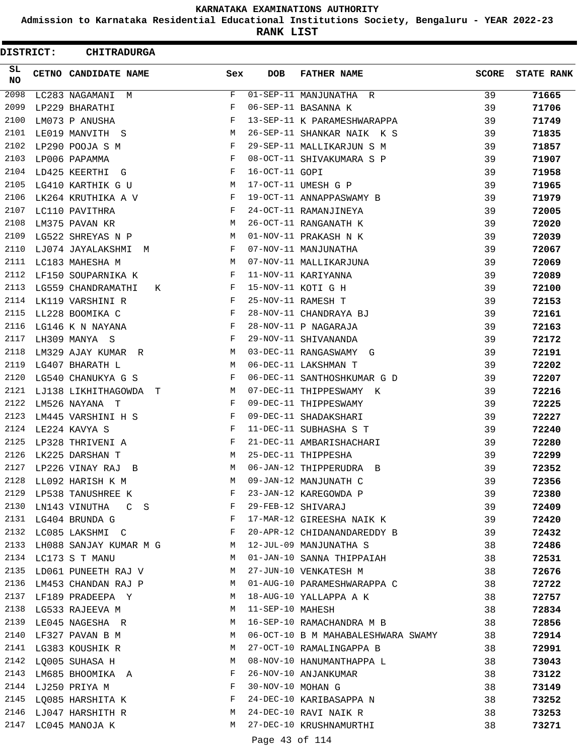**Admission to Karnataka Residential Educational Institutions Society, Bengaluru - YEAR 2022-23**

**RANK LIST**

| <b>DISTRICT:</b> | <b>CHITRADURGA</b>       |     |                   |                                    |              |                   |
|------------------|--------------------------|-----|-------------------|------------------------------------|--------------|-------------------|
| SL.<br><b>NO</b> | CETNO CANDIDATE NAME     | Sex | <b>DOB</b>        | <b>FATHER NAME</b>                 | <b>SCORE</b> | <b>STATE RANK</b> |
| 2098             | LC283 NAGAMANI<br>M      | F   |                   | 01-SEP-11 MANJUNATHA R             | 39           | 71665             |
| 2099             | LP229 BHARATHI           | F   |                   | 06-SEP-11 BASANNA K                | 39           | 71706             |
| 2100             | LM073 P ANUSHA           | F   |                   | 13-SEP-11 K PARAMESHWARAPPA        | 39           | 71749             |
| 2101             | LE019 MANVITH S          | М   |                   | 26-SEP-11 SHANKAR NAIK K S         | 39           | 71835             |
| 2102             | LP290 POOJA S M          | F   |                   | 29-SEP-11 MALLIKARJUN S M          | 39           | 71857             |
| 2103             | LP006 PAPAMMA            | F   |                   | 08-OCT-11 SHIVAKUMARA S P          | 39           | 71907             |
| 2104             | LD425 KEERTHI<br>G       | F   | 16-OCT-11 GOPI    |                                    | 39           | 71958             |
| 2105             | LG410 KARTHIK G U        | М   |                   | 17-OCT-11 UMESH G P                | 39           | 71965             |
| 2106             | LK264 KRUTHIKA A V       | F   |                   | 19-OCT-11 ANNAPPASWAMY B           | 39           | 71979             |
| 2107             | LC110 PAVITHRA           | F   |                   | 24-OCT-11 RAMANJINEYA              | 39           | 72005             |
| 2108             | LM375 PAVAN KR           | М   |                   | 26-OCT-11 RANGANATH K              | 39           | 72020             |
| 2109             | LG522 SHREYAS N P        | М   |                   | 01-NOV-11 PRAKASH N K              | 39           | 72039             |
| 2110             | LJ074 JAYALAKSHMI M      | F   |                   | 07-NOV-11 MANJUNATHA               | 39           | 72067             |
| 2111             | LC183 MAHESHA M          | М   |                   | 07-NOV-11 MALLIKARJUNA             | 39           | 72069             |
| 2112             | LF150 SOUPARNIKA K       | F   |                   | 11-NOV-11 KARIYANNA                | 39           | 72089             |
| 2113             | LG559 CHANDRAMATHI<br>К  | F   |                   | 15-NOV-11 KOTI G H                 | 39           | 72100             |
| 2114             | LK119 VARSHINI R         | F   |                   | 25-NOV-11 RAMESH T                 | 39           | 72153             |
| 2115             | LL228 BOOMIKA C          | F   |                   | 28-NOV-11 CHANDRAYA BJ             | 39           | 72161             |
| 2116             | LG146 K N NAYANA         | F   |                   | 28-NOV-11 P NAGARAJA               | 39           | 72163             |
| 2117             | LH309 MANYA S            | F   |                   | 29-NOV-11 SHIVANANDA               | 39           | 72172             |
| 2118             | LM329 AJAY KUMAR R       | М   |                   | 03-DEC-11 RANGASWAMY G             | 39           | 72191             |
| 2119             | LG407 BHARATH L          | M   |                   | 06-DEC-11 LAKSHMAN T               | 39           | 72202             |
| 2120             | LG540 CHANUKYA G S       | F   |                   | 06-DEC-11 SANTHOSHKUMAR G D        | 39           | 72207             |
| 2121             | LJ138 LIKHITHAGOWDA<br>т | М   |                   | 07-DEC-11 THIPPESWAMY K            | 39           | 72216             |
| 2122             | LM526 NAYANA T           | F   |                   | 09-DEC-11 THIPPESWAMY              | 39           | 72225             |
| 2123             | LM445 VARSHINI H S       | F   |                   | 09-DEC-11 SHADAKSHARI              | 39           | 72227             |
| 2124             | LE224 KAVYA S            | F   |                   | 11-DEC-11 SUBHASHA S T             | 39           | 72240             |
| 2125             | LP328 THRIVENI A         | F   |                   | 21-DEC-11 AMBARISHACHARI           | 39           | 72280             |
| 2126             | LK225 DARSHAN T          | M   |                   | 25-DEC-11 THIPPESHA                | 39           | 72299             |
| 2127             | LP226 VINAY RAJ<br>B     | M   |                   | 06-JAN-12 THIPPERUDRA B            | 39           | 72352             |
| 2128             | LL092 HARISH K M         | M   |                   | 09-JAN-12 MANJUNATH C              | 39           | 72356             |
| 2129             | LP538 TANUSHREE K        | F   |                   | 23-JAN-12 KAREGOWDA P              | 39           | 72380             |
| 2130             | LN143 VINUTHA CCS        | F   |                   | 29-FEB-12 SHIVARAJ                 | 39           | 72409             |
|                  | 2131 LG404 BRUNDA G      | F   |                   | 17-MAR-12 GIREESHA NAIK K          | 39           | 72420             |
|                  | 2132 LC085 LAKSHMI C     | F   |                   | 20-APR-12 CHIDANANDAREDDY B        | 39           | 72432             |
| 2133             | LH088 SANJAY KUMAR M G   | M   |                   | 12-JUL-09 MANJUNATHA S             | 38           | 72486             |
| 2134             | LC173 S T MANU           | M   |                   | 01-JAN-10 SANNA THIPPAIAH          | 38           | 72531             |
| 2135             | LD061 PUNEETH RAJ V      | М   |                   | 27-JUN-10 VENKATESH M              | 38           | 72676             |
|                  | 2136 LM453 CHANDAN RAJ P | M   |                   | 01-AUG-10 PARAMESHWARAPPA C        | 38           | 72722             |
|                  | 2137 LF189 PRADEEPA Y    | M   |                   | 18-AUG-10 YALLAPPA A K             | 38           | 72757             |
|                  | 2138 LG533 RAJEEVA M     | M   | 11-SEP-10 MAHESH  |                                    | 38           | 72834             |
| 2139             | LE045 NAGESHA R          | M   |                   | 16-SEP-10 RAMACHANDRA M B          | 38           | 72856             |
| 2140             | LF327 PAVAN B M          | M   |                   | 06-OCT-10 B M MAHABALESHWARA SWAMY | 38           | 72914             |
| 2141             | LG383 KOUSHIK R          | M   |                   | 27-OCT-10 RAMALINGAPPA B           | 38           | 72991             |
| 2142             | LQ005 SUHASA H           | М   |                   | 08-NOV-10 HANUMANTHAPPA L          | 38           | 73043             |
| 2143             | LM685 BHOOMIKA A         | F   |                   | 26-NOV-10 ANJANKUMAR               | 38           | 73122             |
|                  | 2144 LJ250 PRIYA M       | F   | 30-NOV-10 MOHAN G |                                    | 38           | 73149             |
| 2145             | LQ085 HARSHITA K         | F   |                   | 24-DEC-10 KARIBASAPPA N            | 38           | 73252             |
|                  | 2146 LJ047 HARSHITH R    | M   |                   | 24-DEC-10 RAVI NAIK R              | 38           | 73253             |
|                  | 2147 LC045 MANOJA K      | M   |                   | 27-DEC-10 KRUSHNAMURTHI            | 38           | 73271             |
|                  |                          |     |                   |                                    |              |                   |

Page 43 of 114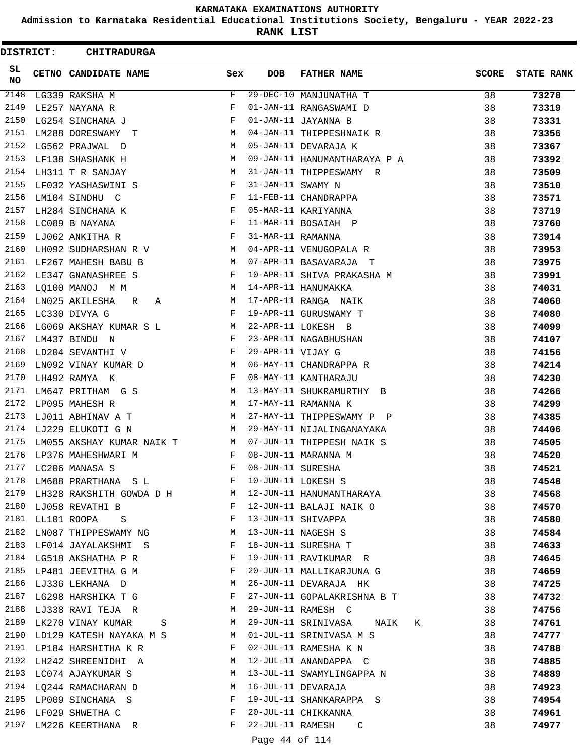**Admission to Karnataka Residential Educational Institutions Society, Bengaluru - YEAR 2022-23**

**RANK LIST**

ı

| DISTRICT:  |                  | <b>CHITRADURGA</b>                       |              |                   |                              |              |                   |
|------------|------------------|------------------------------------------|--------------|-------------------|------------------------------|--------------|-------------------|
| SL.<br>NO. |                  | CETNO CANDIDATE NAME                     | Sex          | <b>DOB</b>        | <b>FATHER NAME</b>           | <b>SCORE</b> | <b>STATE RANK</b> |
| 2148       |                  | LG339 RAKSHA M                           | F            |                   | 29-DEC-10 MANJUNATHA T       | 38           | 73278             |
| 2149       |                  | LE257 NAYANA R                           | F            |                   | 01-JAN-11 RANGASWAMI D       | 38           | 73319             |
| 2150       |                  | LG254 SINCHANA J                         | F            |                   | 01-JAN-11 JAYANNA B          | 38           | 73331             |
| 2151       |                  | LM288 DORESWAMY T                        | М            |                   | 04-JAN-11 THIPPESHNAIK R     | 38           | 73356             |
| 2152       |                  | LG562 PRAJWAL D                          | M            |                   | 05-JAN-11 DEVARAJA K         | 38           | 73367             |
| 2153       |                  | LF138 SHASHANK H                         | М            |                   | 09-JAN-11 HANUMANTHARAYA P A | 38           | 73392             |
| 2154       |                  | LH311 T R SANJAY                         | М            |                   | 31-JAN-11 THIPPESWAMY R      | 38           | 73509             |
| 2155       |                  | LF032 YASHASWINI S                       | F            | 31-JAN-11 SWAMY N |                              | 38           | 73510             |
| 2156       |                  | LM104 SINDHU C                           | F            |                   | 11-FEB-11 CHANDRAPPA         | 38           | 73571             |
| 2157       |                  | LH284 SINCHANA K                         | $\mathbf{F}$ |                   | 05-MAR-11 KARIYANNA          | 38           | 73719             |
| 2158       |                  | LC089 B NAYANA                           | F            |                   | 11-MAR-11 BOSAIAH P          | 38           | 73760             |
| 2159       |                  | LJ062 ANKITHA R                          | F            | 31-MAR-11 RAMANNA |                              | 38           | 73914             |
| 2160       |                  | LH092 SUDHARSHAN R V                     | M            |                   | 04-APR-11 VENUGOPALA R       | 38           | 73953             |
| 2161       |                  | LF267 MAHESH BABU B                      | M            |                   | 07-APR-11 BASAVARAJA T       | 38           | 73975             |
| 2162       |                  | LE347 GNANASHREE S                       | F            |                   | 10-APR-11 SHIVA PRAKASHA M   | 38           | 73991             |
| 2163       |                  | LQ100 MANOJ M M                          | M            |                   | 14-APR-11 HANUMAKKA          | 38           | 74031             |
| 2164       |                  | LN025 AKILESHA<br>R<br>A                 | М            |                   | 17-APR-11 RANGA NAIK         | 38           | 74060             |
| 2165       |                  | LC330 DIVYA G                            | F            |                   | 19-APR-11 GURUSWAMY T        | 38           | 74080             |
| 2166       |                  | LG069 AKSHAY KUMAR S L<br>M <sub>N</sub> |              |                   | 22-APR-11 LOKESH B           | 38           | 74099             |
| 2167       |                  | LM437 BINDU N                            | $\mathbf{F}$ |                   | 23-APR-11 NAGABHUSHAN        | 38           | 74107             |
| 2168       |                  | LD204 SEVANTHI V                         | $\mathbf{F}$ | 29-APR-11 VIJAY G |                              | 38           | 74156             |
| 2169       |                  | LN092 VINAY KUMAR D                      | M            |                   | 06-MAY-11 CHANDRAPPA R       | 38           | 74214             |
| 2170       |                  | LH492 RAMYA K                            | F            |                   | 08-MAY-11 KANTHARAJU         | 38           | 74230             |
| 2171       |                  | LM647 PRITHAM G S                        | M            |                   | 13-MAY-11 SHUKRAMURTHY B     | 38           | 74266             |
| 2172       |                  | LP095 MAHESH R                           | M            |                   | 17-MAY-11 RAMANNA K          | 38           | 74299             |
| 2173       |                  | LJ011 ABHINAV A T                        | M            |                   | 27-MAY-11 THIPPESWAMY P P    | 38           | 74385             |
| 2174       |                  | LJ229 ELUKOTI G N                        | M            |                   | 29-MAY-11 NIJALINGANAYAKA    | 38           | 74406             |
| 2175       |                  | LM055 AKSHAY KUMAR NAIK T                | M            |                   | 07-JUN-11 THIPPESH NAIK S    | 38           | 74505             |
| 2176       |                  | LP376 MAHESHWARI M                       | F            |                   | 08-JUN-11 MARANNA M          | 38           | 74520             |
| 2177       |                  | LC206 MANASA S                           | F            | 08-JUN-11 SURESHA |                              | 38           | 74521             |
| 2178       |                  | LM688 PRARTHANA SL                       | F            |                   | 10-JUN-11 LOKESH S           | 38           | 74548             |
| 2179       |                  | LH328 RAKSHITH GOWDA D H M               |              |                   | 12-JUN-11 HANUMANTHARAYA     | 38           | 74568             |
|            |                  | 2180 LJ058 REVATHI B                     | $\mathbf{F}$ |                   | 12-JUN-11 BALAJI NAIK O      | 38           | 74570             |
|            | 2181 LL101 ROOPA | $\mathbf S$                              | $\mathbf{F}$ |                   | 13-JUN-11 SHIVAPPA           | 38           | 74580             |
| 2182       |                  | LN087 THIPPESWAMY NG M                   |              |                   | 13-JUN-11 NAGESH S           | 38           | 74584             |
| 2183       |                  | LF014 JAYALAKSHMI S                      | F            |                   | 18-JUN-11 SURESHA T          | 38           | 74633             |
| 2184       |                  | LG518 AKSHATHA P R                       | F            |                   | 19-JUN-11 RAVIKUMAR R        | 38           | 74645             |
|            |                  | 2185 LP481 JEEVITHA G M                  | F            |                   | 20-JUN-11 MALLIKARJUNA G     | 38           | 74659             |
| 2186       |                  | LJ336 LEKHANA D                          | M            |                   | 26-JUN-11 DEVARAJA HK        | 38           | 74725             |
| 2187       |                  | LG298 HARSHIKA T G                       | F            |                   | 27-JUN-11 GOPALAKRISHNA B T  | 38           | 74732             |
| 2188       |                  | LJ338 RAVI TEJA R                        | M            |                   | 29-JUN-11 RAMESH C           | 38           | 74756             |
|            |                  | 2189 LK270 VINAY KUMAR<br>S              | M            |                   | 29-JUN-11 SRINIVASA NAIK K   | 38           | 74761             |
| 2190       |                  | LD129 KATESH NAYAKA M S                  | M            |                   | 01-JUL-11 SRINIVASA M S      | 38           | 74777             |
| 2191       |                  | LP184 HARSHITHA K R                      | F            |                   | 02-JUL-11 RAMESHA K N        | 38           | 74788             |
| 2192       |                  | LH242 SHREENIDHI A                       | М            |                   | 12-JUL-11 ANANDAPPA C        | 38           | 74885             |
|            |                  | 2193 LC074 AJAYKUMAR S                   | М            |                   | 13-JUL-11 SWAMYLINGAPPA N    | 38           | 74889             |
|            |                  | 2194 LQ244 RAMACHARAN D                  | М            |                   | 16-JUL-11 DEVARAJA           | 38           | 74923             |
| 2195       |                  | LP009 SINCHANA S                         | F            |                   | 19-JUL-11 SHANKARAPPA S      | 38           | 74954             |
| 2196       |                  | LF029 SHWETHA C                          | F            |                   | 20-JUL-11 CHIKKANNA          | 38           | 74961             |
| 2197       |                  | LM226 KEERTHANA R                        | F            | 22-JUL-11 RAMESH  | C                            | 38           | 74977             |
|            |                  |                                          |              | Page 44 of 114    |                              |              |                   |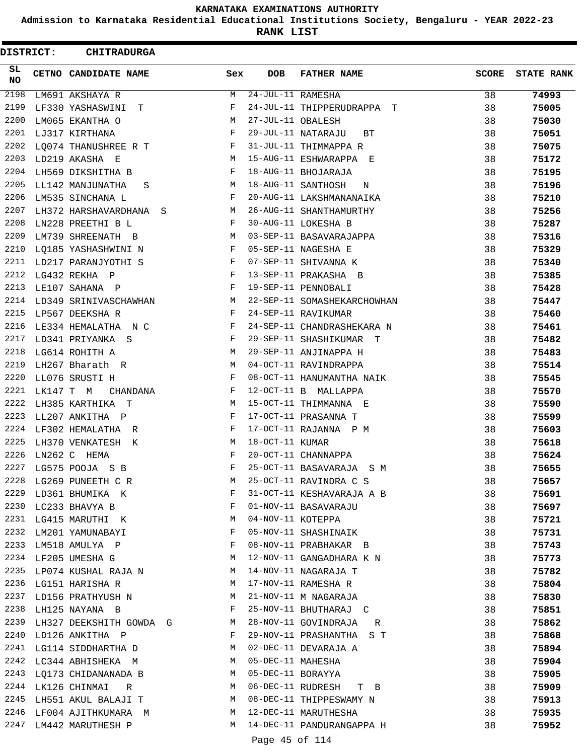**Admission to Karnataka Residential Educational Institutions Society, Bengaluru - YEAR 2022-23**

**RANK LIST**

| DISTRICT:       |           | <b>CHITRADURGA</b>             |                               |                   |                             |              |                   |
|-----------------|-----------|--------------------------------|-------------------------------|-------------------|-----------------------------|--------------|-------------------|
| SL<br><b>NO</b> |           | CETNO CANDIDATE NAME           | Sex                           | <b>DOB</b>        | <b>FATHER NAME</b>          | <b>SCORE</b> | <b>STATE RANK</b> |
| 2198            |           | LM691 AKSHAYA R                | М                             | 24-JUL-11 RAMESHA |                             | 38           | 74993             |
| 2199            |           | LF330 YASHASWINI T             | F                             |                   | 24-JUL-11 THIPPERUDRAPPA T  | 38           | 75005             |
| 2200            |           | LM065 EKANTHA O                | М                             | 27-JUL-11 OBALESH |                             | 38           | 75030             |
| 2201            |           | LJ317 KIRTHANA                 | F                             |                   | 29-JUL-11 NATARAJU<br>ВT    | 38           | 75051             |
| 2202            |           | LO074 THANUSHREE R T           | F                             |                   | 31-JUL-11 THIMMAPPA R       | 38           | 75075             |
| 2203            |           | LD219 AKASHA E                 | М                             |                   | 15-AUG-11 ESHWARAPPA E      | 38           | 75172             |
| 2204            |           | LH569 DIKSHITHA B              | F                             |                   | 18-AUG-11 BHOJARAJA         | 38           | 75195             |
| 2205            |           | LL142 MANJUNATHA<br>S          | М                             |                   | 18-AUG-11 SANTHOSH<br>N     | 38           | 75196             |
| 2206            |           | LM535 SINCHANA L               | F                             |                   | 20-AUG-11 LAKSHMANANAIKA    | 38           | 75210             |
| 2207            |           | LH372 HARSHAVARDHANA S         | М                             |                   | 26-AUG-11 SHANTHAMURTHY     | 38           | 75256             |
| 2208            |           | LN228 PREETHI B L              | F                             |                   | 30-AUG-11 LOKESHA B         | 38           | 75287             |
| 2209            |           | LM739 SHREENATH B              | М                             |                   | 03-SEP-11 BASAVARAJAPPA     | 38           | 75316             |
| 2210            |           | LQ185 YASHASHWINI N            | F                             |                   | 05-SEP-11 NAGESHA E         | 38           | 75329             |
| 2211            |           | LD217 PARANJYOTHI S            | F                             |                   | 07-SEP-11 SHIVANNA K        | 38           | 75340             |
| 2212            |           | LG432 REKHA P                  | F                             |                   | 13-SEP-11 PRAKASHA B        | 38           | 75385             |
| 2213            |           | LE107 SAHANA P                 | F                             |                   | 19-SEP-11 PENNOBALI         | 38           | 75428             |
| 2214            |           | LD349 SRINIVASCHAWHAN          | М                             |                   | 22-SEP-11 SOMASHEKARCHOWHAN | 38           | 75447             |
| 2215            |           | LP567 DEEKSHA R                | F                             |                   | 24-SEP-11 RAVIKUMAR         | 38           | 75460             |
| 2216            |           | LE334 HEMALATHA N C            | F                             |                   | 24-SEP-11 CHANDRASHEKARA N  | 38           | 75461             |
| 2217            |           | LD341 PRIYANKA S               | F                             |                   | 29-SEP-11 SHASHIKUMAR T     | 38           | 75482             |
| 2218            |           | LG614 ROHITH A                 | М                             |                   | 29-SEP-11 ANJINAPPA H       | 38           | 75483             |
| 2219            |           | LH267 Bharath R                | М                             |                   | 04-OCT-11 RAVINDRAPPA       | 38           | 75514             |
| 2220            |           | LL076 SRUSTI H                 | F                             |                   | 08-OCT-11 HANUMANTHA NAIK   | 38           | 75545             |
| 2221            | LK147 T M | CHANDANA                       | F                             |                   | 12-OCT-11 B MALLAPPA        | 38           | 75570             |
| 2222            |           | LH385 KARTHIKA T               | М                             |                   | 15-OCT-11 THIMMANNA E       | 38           | 75590             |
| 2223            |           | LL207 ANKITHA P                | F                             |                   | 17-OCT-11 PRASANNA T        | 38           | 75599             |
| 2224            |           | LF302 HEMALATHA R              | F                             |                   | 17-OCT-11 RAJANNA P M       | 38           | 75603             |
| 2225            |           | LH370 VENKATESH K              | M                             | 18-OCT-11 KUMAR   |                             | 38           | 75618             |
| 2226            |           | LN262 C HEMA                   | F                             |                   | 20-OCT-11 CHANNAPPA         | 38           | 75624             |
| 2227            |           | LG575 POOJA S B                | F                             |                   | 25-OCT-11 BASAVARAJA<br>S M | 38           | 75655             |
| 2228            |           | LG269 PUNEETH C R              | М                             |                   | 25-OCT-11 RAVINDRA C S      | 38           | 75657             |
| 2229            |           | LD361 BHUMIKA K                | F                             |                   | 31-OCT-11 KESHAVARAJA A B   | 38           | 75691             |
|                 |           | 2230 LC233 BHAVYA B            | F                             |                   | 01-NOV-11 BASAVARAJU        | 38           | 75697             |
|                 |           | 2231 LG415 MARUTHI K           | M                             | 04-NOV-11 KOTEPPA |                             | 38           | 75721             |
| 2232            |           | LM201 YAMUNABAYI               | F                             |                   | 05-NOV-11 SHASHINAIK        | 38           | 75731             |
| 2233            |           | LM518 AMULYA P                 | F                             |                   | 08-NOV-11 PRABHAKAR B       | 38           | 75743             |
| 2234            |           | LF205 UMESHA G                 | M                             |                   | 12-NOV-11 GANGADHARA K N    | 38           | 75773             |
|                 |           | 2235 LP074 KUSHAL RAJA N       | M                             |                   | 14-NOV-11 NAGARAJA T        | 38           | 75782             |
|                 |           | 2236 LG151 HARISHA R           | M                             |                   | 17-NOV-11 RAMESHA R         | 38           | 75804             |
|                 |           | 2237 LD156 PRATHYUSH N         | M                             |                   | 21-NOV-11 M NAGARAJA        | 38           | 75830             |
|                 |           | 2238 LH125 NAYANA B            | $\mathbf{F}$ and $\mathbf{F}$ |                   | 25-NOV-11 BHUTHARAJ C       | 38           | 75851             |
|                 |           | 2239 LH327 DEEKSHITH GOWDA G M |                               |                   | 28-NOV-11 GOVINDRAJA R      | 38           | 75862             |
| 2240            |           | LD126 ANKITHA P                | $\mathbf{F}$                  |                   | 29-NOV-11 PRASHANTHA S T    | 38           | 75868             |
| 2241            |           | LG114 SIDDHARTHA D             | M                             |                   | 02-DEC-11 DEVARAJA A        | 38           | 75894             |
| 2242            |           | LC344 ABHISHEKA M              | M                             | 05-DEC-11 MAHESHA |                             | 38           | 75904             |
|                 |           | 2243 LQ173 CHIDANANADA B       | М                             | 05-DEC-11 BORAYYA |                             | 38           | 75905             |
|                 |           | 2244 LK126 CHINMAI R           | M                             |                   | 06-DEC-11 RUDRESH T B       | 38           | 75909             |
|                 |           | 2245 LH551 AKUL BALAJI T       | M                             |                   | 08-DEC-11 THIPPESWAMY N     | 38           | 75913             |
|                 |           | 2246 LF004 AJITHKUMARA M       | M                             |                   | 12-DEC-11 MARUTHESHA        | 38           | 75935             |
|                 |           | 2247 LM442 MARUTHESH P         | М                             |                   | 14-DEC-11 PANDURANGAPPA H   | 38           | 75952             |
|                 |           |                                |                               | Page 45 of 114    |                             |              |                   |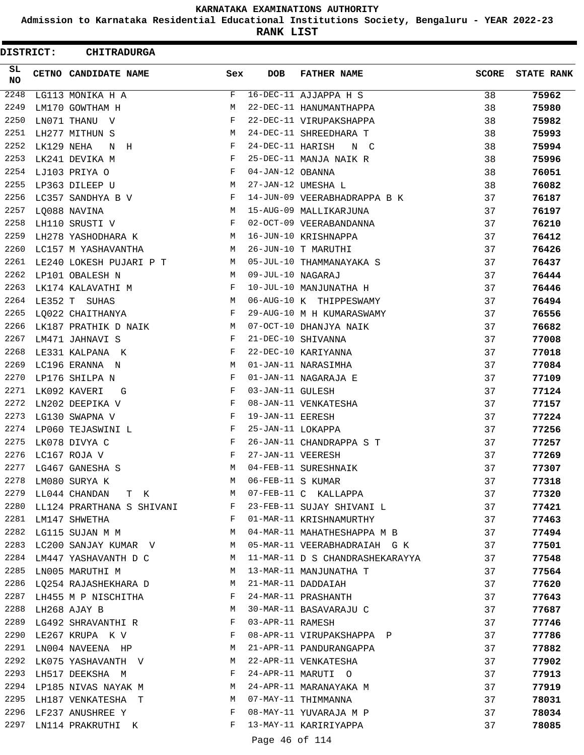**Admission to Karnataka Residential Educational Institutions Society, Bengaluru - YEAR 2022-23**

**RANK LIST**

 $\blacksquare$ 

| DISTRICT: |            | <b>CHITRADURGA</b>             |            |                   |                                 |              |                   |
|-----------|------------|--------------------------------|------------|-------------------|---------------------------------|--------------|-------------------|
| SL.<br>NO |            | CETNO CANDIDATE NAME           | Sex        | <b>DOB</b>        | <b>FATHER NAME</b>              | <b>SCORE</b> | <b>STATE RANK</b> |
| 2248      |            | LG113 MONIKA H A               | F          |                   | 16-DEC-11 AJJAPPA H S           | 38           | 75962             |
| 2249      |            | LM170 GOWTHAM H                | М          |                   | 22-DEC-11 HANUMANTHAPPA         | 38           | 75980             |
| 2250      |            | LN071 THANU V                  | F          |                   | 22-DEC-11 VIRUPAKSHAPPA         | 38           | 75982             |
| 2251      |            | LH277 MITHUN S                 | М          |                   | 24-DEC-11 SHREEDHARA T          | 38           | 75993             |
| 2252      | LK129 NEHA | N H                            | F          | 24-DEC-11 HARISH  | N C                             | 38           | 75994             |
| 2253      |            | LK241 DEVIKA M                 | F          |                   | 25-DEC-11 MANJA NAIK R          | 38           | 75996             |
| 2254      |            | LJ103 PRIYA O                  | F          | 04-JAN-12 OBANNA  |                                 | 38           | 76051             |
| 2255      |            | LP363 DILEEP U                 | М          |                   | 27-JAN-12 UMESHA L              | 38           | 76082             |
| 2256      |            | LC357 SANDHYA B V              | F          |                   | 14-JUN-09 VEERABHADRAPPA B K    | 37           | 76187             |
| 2257      |            | LO088 NAVINA                   | М          |                   | 15-AUG-09 MALLIKARJUNA          | 37           | 76197             |
| 2258      |            | LH110 SRUSTI V                 | F          |                   | 02-OCT-09 VEERABANDANNA         | 37           | 76210             |
| 2259      |            | LH278 YASHODHARA K             | М          |                   | 16-JUN-10 KRISHNAPPA            | 37           | 76412             |
| 2260      |            | LC157 M YASHAVANTHA            | М          |                   | 26-JUN-10 T MARUTHI             | 37           | 76426             |
| 2261      |            | LE240 LOKESH PUJARI P T        | M          |                   | 05-JUL-10 THAMMANAYAKA S        | 37           | 76437             |
| 2262      |            | LP101 OBALESH N                | M          | 09-JUL-10 NAGARAJ |                                 | 37           | 76444             |
| 2263      |            | LK174 KALAVATHI M              | F          |                   | 10-JUL-10 MANJUNATHA H          | 37           | 76446             |
| 2264      |            | LE352 T SUHAS                  | М          |                   | 06-AUG-10 K THIPPESWAMY         | 37           | 76494             |
| 2265      |            | LQ022 CHAITHANYA               | $_{\rm F}$ |                   | 29-AUG-10 M H KUMARASWAMY       | 37           | 76556             |
| 2266      |            | LK187 PRATHIK D NAIK           | М          |                   | 07-OCT-10 DHANJYA NAIK          | 37           | 76682             |
| 2267      |            | LM471 JAHNAVI S                | F          |                   | 21-DEC-10 SHIVANNA              | 37           | 77008             |
| 2268      |            | LE331 KALPANA K                | F          |                   | 22-DEC-10 KARIYANNA             | 37           | 77018             |
| 2269      |            | LC196 ERANNA N                 | M          |                   | 01-JAN-11 NARASIMHA             | 37           | 77084             |
| 2270      |            | LP176 SHILPA N                 | F          |                   | 01-JAN-11 NAGARAJA E            | 37           | 77109             |
| 2271      |            | LK092 KAVERI<br>G              | F          | 03-JAN-11 GULESH  |                                 | 37           | 77124             |
| 2272      |            | LN202 DEEPIKA V                | F          |                   | 08-JAN-11 VENKATESHA            | 37           | 77157             |
| 2273      |            | LG130 SWAPNA V                 | F          | 19-JAN-11 EERESH  |                                 | 37           | 77224             |
| 2274      |            | LP060 TEJASWINI L              | F          | 25-JAN-11 LOKAPPA |                                 | 37           | 77256             |
| 2275      |            | LK078 DIVYA C                  | F          |                   | 26-JAN-11 CHANDRAPPA S T        | 37           | 77257             |
| 2276      |            | LC167 ROJA V                   | F          | 27-JAN-11 VEERESH |                                 | 37           | 77269             |
| 2277      |            | LG467 GANESHA S                | M          |                   | 04-FEB-11 SURESHNAIK            | 37           | 77307             |
| 2278      |            | LM080 SURYA K                  | М          | 06-FEB-11 S KUMAR |                                 | 37           | 77318             |
| 2279      |            | LL044 CHANDAN T K              | M          |                   | 07-FEB-11 C KALLAPPA            | 37           | 77320             |
|           |            | 2280 LL124 PRARTHANA S SHIVANI | F          |                   | 23-FEB-11 SUJAY SHIVANI L       | 37           | 77421             |
|           |            | 2281 LM147 SHWETHA             | F          |                   | 01-MAR-11 KRISHNAMURTHY         | 37           | 77463             |
| 2282      |            | LG115 SUJAN M M                | М          |                   | 04-MAR-11 MAHATHESHAPPA M B     | 37           | 77494             |
| 2283      |            | LC200 SANJAY KUMAR V           | М          |                   | 05-MAR-11 VEERABHADRAIAH G K    | 37           | 77501             |
| 2284      |            | LM447 YASHAVANTH D C           | M          |                   | 11-MAR-11 D S CHANDRASHEKARAYYA | 37           |                   |
| 2285      |            | LN005 MARUTHI M                | М          |                   | 13-MAR-11 MANJUNATHA T          | 37           | 77548             |
|           |            |                                | М          |                   | 21-MAR-11 DADDAIAH              |              | 77564             |
| 2287      |            | 2286 LQ254 RAJASHEKHARA D      | F          |                   |                                 | 37           | 77620             |
|           |            | LH455 M P NISCHITHA            |            |                   | 24-MAR-11 PRASHANTH             | 37           | 77643             |
| 2288      |            | LH268 AJAY B                   | М          |                   | 30-MAR-11 BASAVARAJU C          | 37           | 77687             |
|           |            | 2289 LG492 SHRAVANTHI R        | F          | 03-APR-11 RAMESH  |                                 | 37           | 77746             |
| 2290      |            | LE267 KRUPA K V                | F          |                   | 08-APR-11 VIRUPAKSHAPPA P       | 37           | 77786             |
| 2291      |            | LN004 NAVEENA HP               | M          |                   | 21-APR-11 PANDURANGAPPA         | 37           | 77882             |
| 2292      |            | LK075 YASHAVANTH V             | М          |                   | 22-APR-11 VENKATESHA            | 37           | 77902             |
| 2293      |            | LH517 DEEKSHA M                | F          |                   | 24-APR-11 MARUTI O              | 37           | 77913             |
|           |            | 2294 LP185 NIVAS NAYAK M       | М          |                   | 24-APR-11 MARANAYAKA M          | 37           | 77919             |
| 2295      |            | LH187 VENKATESHA T             | M          |                   | 07-MAY-11 THIMMANNA             | 37           | 78031             |
| 2296      |            | LF237 ANUSHREE Y               | F          |                   | 08-MAY-11 YUVARAJA M P          | 37           | 78034             |
| 2297      |            | LN114 PRAKRUTHI K              | F          |                   | 13-MAY-11 KARIRIYAPPA           | 37           | 78085             |

Page 46 of 114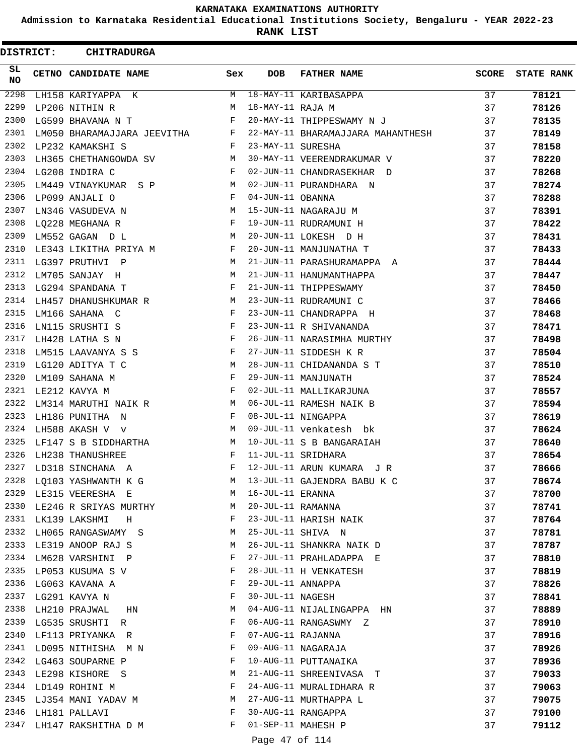**Admission to Karnataka Residential Educational Institutions Society, Bengaluru - YEAR 2022-23**

**RANK LIST**

ı

| <b>DISTRICT:</b> | <b>CHITRADURGA</b>          |            |                   |                                   |       |                   |
|------------------|-----------------------------|------------|-------------------|-----------------------------------|-------|-------------------|
| SL.<br><b>NO</b> | CETNO CANDIDATE NAME        | Sex        | <b>DOB</b>        | <b>FATHER NAME</b>                | SCORE | <b>STATE RANK</b> |
| 2298             | LH158 KARIYAPPA K           | M          |                   | 18-MAY-11 KARIBASAPPA             | 37    | 78121             |
| 2299             | LP206 NITHIN R              | M          | 18-MAY-11 RAJA M  |                                   | 37    | 78126             |
| 2300             | LG599 BHAVANA N T           | F          |                   | 20-MAY-11 THIPPESWAMY N J         | 37    | 78135             |
| 2301             | LM050 BHARAMAJJARA JEEVITHA | F          |                   | 22-MAY-11 BHARAMAJJARA MAHANTHESH | 37    | 78149             |
| 2302             | LP232 KAMAKSHI S            | F          | 23-MAY-11 SURESHA |                                   | 37    | 78158             |
| 2303             | LH365 CHETHANGOWDA SV       | M          |                   | 30-MAY-11 VEERENDRAKUMAR V        | 37    | 78220             |
| 2304             | LG208 INDIRA C              | F          |                   | 02-JUN-11 CHANDRASEKHAR D         | 37    | 78268             |
| 2305             | LM449 VINAYKUMAR S P        | М          |                   | 02-JUN-11 PURANDHARA N            | 37    | 78274             |
| 2306             | LP099 ANJALI O              | F          | 04-JUN-11 OBANNA  |                                   | 37    | 78288             |
| 2307             | LN346 VASUDEVA N            | M          |                   | 15-JUN-11 NAGARAJU M              | 37    | 78391             |
| 2308             | LQ228 MEGHANA R             | F          |                   | 19-JUN-11 RUDRAMUNI H             | 37    | 78422             |
| 2309             | LM552 GAGAN D L             | M          |                   | 20-JUN-11 LOKESH D H              | 37    | 78431             |
| 2310             | LE343 LIKITHA PRIYA M       | F          |                   | 20-JUN-11 MANJUNATHA T            | 37    | 78433             |
|                  | 2311 LG397 PRUTHVI P        | м          |                   | 21-JUN-11 PARASHURAMAPPA A        | 37    | 78444             |
| 2312             | LM705 SANJAY H              | M          |                   | 21-JUN-11 HANUMANTHAPPA           | 37    | 78447             |
| 2313             | LG294 SPANDANA T            | F          |                   | 21-JUN-11 THIPPESWAMY             | 37    | 78450             |
| 2314             | LH457 DHANUSHKUMAR R        | M          |                   | 23-JUN-11 RUDRAMUNI C             | 37    | 78466             |
| 2315             | LM166 SAHANA C              | $_{\rm F}$ |                   | 23-JUN-11 CHANDRAPPA H            | 37    | 78468             |
| 2316             | LN115 SRUSHTI S             | F          |                   | 23-JUN-11 R SHIVANANDA            | 37    | 78471             |
| 2317             | LH428 LATHA S N             | F          |                   | 26-JUN-11 NARASIMHA MURTHY        | 37    | 78498             |
| 2318             | LM515 LAAVANYA S S          | F          |                   | 27-JUN-11 SIDDESH K R             | 37    | 78504             |
| 2319             | LG120 ADITYA T C            | M          |                   | 28-JUN-11 CHIDANANDA S T          | 37    | 78510             |
| 2320             | LM109 SAHANA M              | F          |                   | 29-JUN-11 MANJUNATH               | 37    | 78524             |
| 2321             | LE212 KAVYA M               | F          |                   | 02-JUL-11 MALLIKARJUNA            | 37    | 78557             |
| 2322             | LM314 MARUTHI NAIK R        | M          |                   | 06-JUL-11 RAMESH NAIK B           | 37    | 78594             |
| 2323             | LH186 PUNITHA N             | F          |                   | 08-JUL-11 NINGAPPA                | 37    | 78619             |
| 2324             | LH588 AKASH V v             | М          |                   | 09-JUL-11 venkatesh bk            | 37    | 78624             |
| 2325             | LF147 S B SIDDHARTHA        | M          |                   | 10-JUL-11 S B BANGARAIAH          | 37    | 78640             |
| 2326             | LH238 THANUSHREE            | F          |                   | 11-JUL-11 SRIDHARA                | 37    | 78654             |
| 2327             | LD318 SINCHANA A            | F          |                   | 12-JUL-11 ARUN KUMARA J R         | 37    | 78666             |
| 2328             | LQ103 YASHWANTH K G         | M          |                   | 13-JUL-11 GAJENDRA BABU K C       | 37    | 78674             |
| 2329             | LE315 VEERESHA E            | M          | 16-JUL-11 ERANNA  |                                   | 37    | 78700             |
| 2330             | LE246 R SRIYAS MURTHY       | M          | 20-JUL-11 RAMANNA |                                   | 37    | 78741             |
|                  | 2331 LK139 LAKSHMI H        | F          |                   | 23-JUL-11 HARISH NAIK             | 37    |                   |
| 2332             | LH065 RANGASWAMY S          | M          |                   | 25-JUL-11 SHIVA N                 | 37    | 78764<br>78781    |
| 2333             |                             | М          |                   | 26-JUL-11 SHANKRA NAIK D          |       |                   |
| 2334             | LE319 ANOOP RAJ S           | F          |                   |                                   | 37    | 78787             |
|                  | LM628 VARSHINI P            |            |                   | 27-JUL-11 PRAHLADAPPA E           | 37    | 78810             |
|                  | 2335 LP053 KUSUMA S V       | F          |                   | 28-JUL-11 H VENKATESH             | 37    | 78819             |
| 2336             | LG063 KAVANA A              | F          | 29-JUL-11 ANNAPPA |                                   | 37    | 78826             |
| 2337             | LG291 KAVYA N               | F          | 30-JUL-11 NAGESH  |                                   | 37    | 78841             |
| 2338             | LH210 PRAJWAL HN            | М          |                   | 04-AUG-11 NIJALINGAPPA HN         | 37    | 78889             |
|                  | 2339 LG535 SRUSHTI R        | F          |                   | 06-AUG-11 RANGASWMY Z             | 37    | 78910             |
| 2340             | LF113 PRIYANKA R            | F          | 07-AUG-11 RAJANNA |                                   | 37    | 78916             |
| 2341             | LD095 NITHISHA M N          | F          |                   | 09-AUG-11 NAGARAJA                | 37    | 78926             |
| 2342             | LG463 SOUPARNE P            | F          |                   | 10-AUG-11 PUTTANAIKA              | 37    | 78936             |
| 2343             | LE298 KISHORE S             | М          |                   | 21-AUG-11 SHREENIVASA T           | 37    | 79033             |
|                  | 2344 LD149 ROHINI M         | F          |                   | 24-AUG-11 MURALIDHARA R           | 37    | 79063             |
|                  | 2345 LJ354 MANI YADAV M     | М          |                   | 27-AUG-11 MURTHAPPA L             | 37    | 79075             |
| 2346             | LH181 PALLAVI               | F          |                   | 30-AUG-11 RANGAPPA                | 37    | 79100             |
| 2347             | LH147 RAKSHITHA D M         | F          |                   | 01-SEP-11 MAHESH P                | 37    | 79112             |
|                  |                             |            | Page 47 of 114    |                                   |       |                   |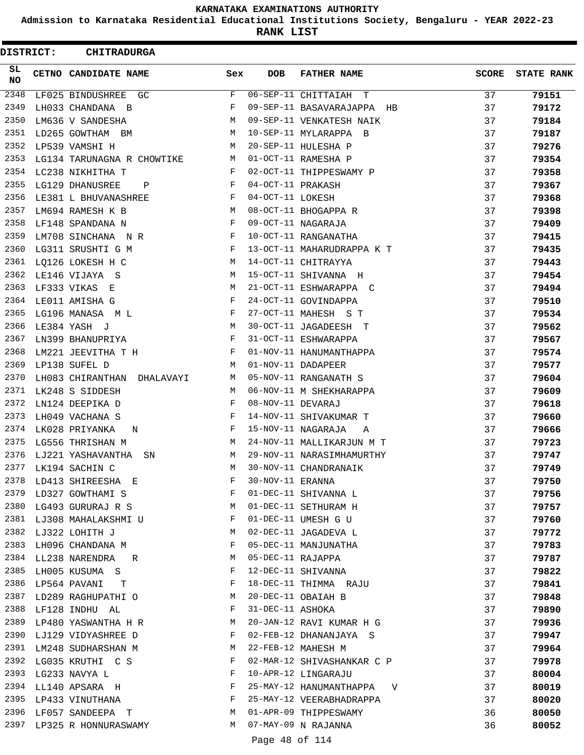**Admission to Karnataka Residential Educational Institutions Society, Bengaluru - YEAR 2022-23**

**RANK LIST**

Ξ

| <b>DISTRICT:</b> | <b>CHITRADURGA</b>                                             |              |                   |                                                     |              |                   |
|------------------|----------------------------------------------------------------|--------------|-------------------|-----------------------------------------------------|--------------|-------------------|
| SL<br><b>NO</b>  | CETNO CANDIDATE NAME                                           | Sex          | DOB               | <b>FATHER NAME</b>                                  | <b>SCORE</b> | <b>STATE RANK</b> |
| 2348             | LF025 BINDUSHREE GC                                            | F            |                   | 06-SEP-11 CHITTAIAH T                               | 37           | 79151             |
| 2349             | LH033 CHANDANA B                                               | F            |                   | 09-SEP-11 BASAVARAJAPPA HB                          | 37           | 79172             |
| 2350             | LM636 V SANDESHA                                               | M            |                   | 09-SEP-11 VENKATESH NAIK                            | 37           | 79184             |
| 2351             | LD265 GOWTHAM BM                                               | M            |                   | 10-SEP-11 MYLARAPPA B                               | 37           | 79187             |
| 2352             | LP539 VAMSHI H                                                 | M            |                   | 20-SEP-11 HULESHA P                                 | 37           | 79276             |
| 2353             | LG134 TARUNAGNA R CHOWTIKE                                     | M            |                   | 01-OCT-11 RAMESHA P                                 | 37           | 79354             |
| 2354             | LC238 NIKHITHA T                                               | F            |                   | 02-OCT-11 THIPPESWAMY P                             | 37           | 79358             |
| 2355             | LG129 DHANUSREE<br>$\mathbf{P}$                                | $\mathbf{F}$ | 04-OCT-11 PRAKASH |                                                     | 37           | 79367             |
| 2356             | LE381 L BHUVANASHREE<br>$\mathbf{F}$ . The set of $\mathbf{F}$ |              | 04-OCT-11 LOKESH  |                                                     | 37           | 79368             |
| 2357             | LM694 RAMESH K B                                               | M            |                   | 08-OCT-11 BHOGAPPA R                                | 37           | 79398             |
| 2358             | LF148 SPANDANA N                                               | F            |                   | 09-OCT-11 NAGARAJA                                  | 37           | 79409             |
| 2359             | LM708 SINCHANA N R                                             | F            |                   | 10-OCT-11 RANGANATHA                                | 37           | 79415             |
| 2360             | LG311 SRUSHTI G M                                              | F            |                   | 13-OCT-11 MAHARUDRAPPA K T                          | 37           | 79435             |
| 2361             | LQ126 LOKESH H C                                               | M            |                   | 14-OCT-11 CHITRAYYA                                 | 37           | 79443             |
| 2362             | LE146 VIJAYA S                                                 | М            |                   | 15-OCT-11 SHIVANNA H                                | 37           | 79454             |
| 2363             | LF333 VIKAS E                                                  | М            |                   | 21-OCT-11 ESHWARAPPA C                              | 37           | 79494             |
| 2364             | LE011 AMISHA G                                                 | F            |                   | 24-OCT-11 GOVINDAPPA                                | 37           | 79510             |
| 2365             | LG196 MANASA ML                                                | F            |                   | 27-OCT-11 MAHESH S T                                | 37           | 79534             |
| 2366             | $M_{\rm H}$<br>LE384 YASH J                                    |              |                   | 30-OCT-11 JAGADEESH T                               | 37           | 79562             |
| 2367             | LN399 BHANUPRIYA                                               | $\mathbf{F}$ |                   | 31-OCT-11 ESHWARAPPA                                | 37           | 79567             |
| 2368             | LM221 JEEVITHA T H                                             | F            |                   | 01-NOV-11 HANUMANTHAPPA                             | 37           | 79574             |
| 2369             | LP138 SUFEL D                                                  | M            |                   | 01-NOV-11 DADAPEER                                  | 37           | 79577             |
| 2370             | LH083 CHIRANTHAN DHALAVAYI                                     | M            |                   | 05-NOV-11 RANGANATH S                               | 37           | 79604             |
| 2371             | LK248 S SIDDESH                                                | M            |                   | 06-NOV-11 M SHEKHARAPPA                             | 37           | 79609             |
| 2372             | LN124 DEEPIKA D                                                | F            | 08-NOV-11 DEVARAJ |                                                     | 37           | 79618             |
| 2373             | LH049 VACHANA S                                                | F            |                   | 14-NOV-11 SHIVAKUMAR T                              | 37           | 79660             |
| 2374             | LK028 PRIYANKA<br>N                                            | F            |                   | 15-NOV-11 NAGARAJA<br>A                             | 37           | 79666             |
| 2375             | LG556 THRISHAN M                                               | M            |                   | 24-NOV-11 MALLIKARJUN M T                           | 37           | 79723             |
| 2376             | LJ221 YASHAVANTHA<br>SN                                        | M            |                   | 29-NOV-11 NARASIMHAMURTHY                           | 37           | 79747             |
|                  | 2377 LK194 SACHIN C                                            | M            |                   | 30-NOV-11 CHANDRANAIK                               | 37           | 79749             |
|                  | 2378 LD413 SHIREESHA E F 30-NOV-11 ERANNA                      |              |                   |                                                     | 37           | 79750             |
|                  | 2379 LD327 GOWTHAMI S                                          |              |                   | F 01-DEC-11 SHIVANNA L                              | 37           | 79756             |
|                  | 2380 LG493 GURURAJ R S M 01-DEC-11 SETHURAM H                  |              |                   |                                                     | 37           | 79757             |
|                  | 2381 LJ308 MAHALAKSHMI U F 01-DEC-11 UMESH G U                 |              |                   |                                                     | 37           | 79760             |
|                  | 2382 LJ322 LOHITH J<br><b>M</b>                                |              |                   | 02-DEC-11 JAGADEVA L                                | 37           | 79772             |
|                  | 2383 LH096 CHANDANA M                                          |              |                   | F 05-DEC-11 MANJUNATHA                              | 37           | 79783             |
|                  | 2384 LL238 NARENDRA R M 05-DEC-11 RAJAPPA                      |              |                   |                                                     | 37           | 79787             |
|                  | 2385 LH005 KUSUMA S                                            |              |                   | F 12-DEC-11 SHIVANNA                                | 37           |                   |
|                  | 2386 LP564 PAVANI T                                            |              |                   | F 18-DEC-11 THIMMA RAJU                             | 37           | 79822             |
|                  | 2387 LD289 RAGHUPATHI O                                        |              |                   |                                                     |              | 79841             |
|                  |                                                                |              |                   | M 20-DEC-11 OBAIAH B                                | 37           | 79848             |
|                  | 2388 LF128 INDHU AL F 31-DEC-11 ASHOKA                         |              |                   |                                                     | 37           | 79890             |
|                  | $\mathbf{F}$ and $\mathbf{F}$ and $\mathbf{F}$                 |              |                   | 2389 LP480 YASWANTHA H R M 20-JAN-12 RAVI KUMAR H G | 37           | 79936             |
|                  | 2390 LJ129 VIDYASHREE D                                        |              |                   | 02-FEB-12 DHANANJAYA S                              | 37           | 79947             |
|                  | 2391 LM248 SUDHARSHAN M                                        |              |                   | M 22-FEB-12 MAHESH M                                | 37           | 79964             |
|                  |                                                                |              |                   | 2392 LG035 KRUTHI C S F 02-MAR-12 SHIVASHANKAR C P  | 37           | 79978             |
|                  | 2393 LG233 NAVYA L                                             |              |                   | F 10-APR-12 LINGARAJU                               | 37           | 80004             |
|                  |                                                                |              |                   |                                                     | 37           | 80019             |
|                  | 2395 LP433 VINUTHANA                                           |              |                   | F 25-MAY-12 VEERABHADRAPPA                          | 37           | 80020             |
|                  | 2396 LF057 SANDEEPA T M 01-APR-09 THIPPESWAMY                  |              |                   |                                                     | 36           | 80050             |
|                  | 2397 LP325 R HONNURASWAMY M 07-MAY-09 N RAJANNA                |              |                   |                                                     | 36           | 80052             |
|                  |                                                                |              | Page 48 of 114    |                                                     |              |                   |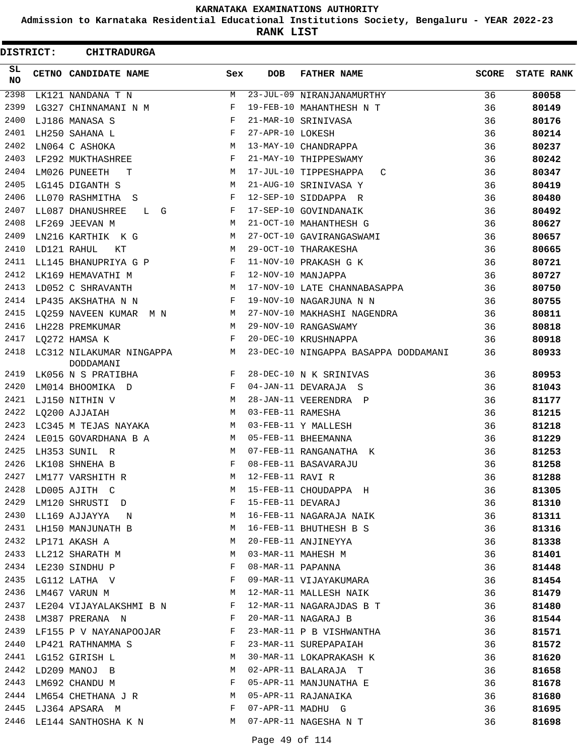**Admission to Karnataka Residential Educational Institutions Society, Bengaluru - YEAR 2022-23**

**RANK LIST**

| <b>DISTRICT:</b> |             | <b>CHITRADURGA</b>                    |            |                   |                                      |              |                   |
|------------------|-------------|---------------------------------------|------------|-------------------|--------------------------------------|--------------|-------------------|
| SL.<br><b>NO</b> |             | CETNO CANDIDATE NAME                  | Sex        | <b>DOB</b>        | <b>FATHER NAME</b>                   | <b>SCORE</b> | <b>STATE RANK</b> |
| 2398             |             | LK121 NANDANA T N                     | М          |                   | 23-JUL-09 NIRANJANAMURTHY            | 36           | 80058             |
| 2399             |             | LG327 CHINNAMANI N M                  | F          |                   | 19-FEB-10 MAHANTHESH N T             | 36           | 80149             |
| 2400             |             | LJ186 MANASA S                        | F          |                   | 21-MAR-10 SRINIVASA                  | 36           | 80176             |
| 2401             |             | LH250 SAHANA L                        | $_{\rm F}$ | 27-APR-10 LOKESH  |                                      | 36           | 80214             |
| 2402             |             | LN064 C ASHOKA                        | M          |                   | 13-MAY-10 CHANDRAPPA                 | 36           | 80237             |
| 2403             |             | LF292 MUKTHASHREE                     | F          |                   | 21-MAY-10 THIPPESWAMY                | 36           | 80242             |
| 2404             |             | LM026 PUNEETH<br>т                    | M          |                   | 17-JUL-10 TIPPESHAPPA<br>C           | 36           | 80347             |
| 2405             |             | LG145 DIGANTH S                       | М          |                   | 21-AUG-10 SRINIVASA Y                | 36           | 80419             |
| 2406             |             | LL070 RASHMITHA S                     | F          |                   | 12-SEP-10 SIDDAPPA R                 | 36           | 80480             |
| 2407             |             | LL087 DHANUSHREE<br>L G               | F          |                   | 17-SEP-10 GOVINDANAIK                | 36           | 80492             |
| 2408             |             | LF269 JEEVAN M                        | M          |                   | 21-OCT-10 MAHANTHESH G               | 36           | 80627             |
| 2409             |             | LN216 KARTHIK K G                     | М          |                   | 27-OCT-10 GAVIRANGASWAMI             | 36           | 80657             |
| 2410             | LD121 RAHUL | КT                                    | M          |                   | 29-OCT-10 THARAKESHA                 | 36           | 80665             |
| 2411             |             | LL145 BHANUPRIYA G P                  | F          |                   | 11-NOV-10 PRAKASH G K                | 36           | 80721             |
| 2412             |             | LK169 HEMAVATHI M                     | F          |                   | 12-NOV-10 MANJAPPA                   | 36           | 80727             |
| 2413             |             | LD052 C SHRAVANTH                     | М          |                   | 17-NOV-10 LATE CHANNABASAPPA         | 36           | 80750             |
| 2414             |             | LP435 AKSHATHA N N                    | F          |                   | 19-NOV-10 NAGARJUNA N N              | 36           | 80755             |
| 2415             |             | LQ259 NAVEEN KUMAR M N                | M          |                   | 27-NOV-10 MAKHASHI NAGENDRA          | 36           | 80811             |
| 2416             |             | LH228 PREMKUMAR                       | M          |                   | 29-NOV-10 RANGASWAMY                 | 36           | 80818             |
| 2417             |             | LQ272 HAMSA K                         | F          |                   | 20-DEC-10 KRUSHNAPPA                 | 36           | 80918             |
| 2418             |             | LC312 NILAKUMAR NINGAPPA<br>DODDAMANI | М          |                   | 23-DEC-10 NINGAPPA BASAPPA DODDAMANI | 36           | 80933             |
| 2419             |             | LK056 N S PRATIBHA                    | F          |                   | 28-DEC-10 N K SRINIVAS               | 36           | 80953             |
| 2420             |             | LM014 BHOOMIKA D                      | F          |                   | 04-JAN-11 DEVARAJA S                 | 36           | 81043             |
| 2421             |             | LJ150 NITHIN V                        | М          |                   | 28-JAN-11 VEERENDRA P                | 36           | 81177             |
| 2422             |             | LO200 AJJAIAH                         | M          | 03-FEB-11 RAMESHA |                                      | 36           | 81215             |
| 2423             |             | LC345 M TEJAS NAYAKA                  | M          |                   | 03-FEB-11 Y MALLESH                  | 36           | 81218             |
| 2424             |             | LE015 GOVARDHANA B A                  | M          |                   | 05-FEB-11 BHEEMANNA                  | 36           | 81229             |
| 2425             |             | LH353 SUNIL R                         | M          |                   | 07-FEB-11 RANGANATHA K               | 36           | 81253             |
| 2426             |             | LK108 SHNEHA B                        | F          |                   | 08-FEB-11 BASAVARAJU                 | 36           | 81258             |
| 2427             |             | LM177 VARSHITH R                      | М          | 12-FEB-11 RAVI R  |                                      | 36           | 81288             |
|                  |             | 2428 LD005 AJITH C                    | M          |                   | 15-FEB-11 CHOUDAPPA H                | 36           | 81305             |
| 2429             |             | LM120 SHRUSTI D                       | F          | 15-FEB-11 DEVARAJ |                                      | 36           | 81310             |
| 2430             |             | LL169 AJJAYYA N                       | M          |                   | 16-FEB-11 NAGARAJA NAIK              | 36           | 81311             |
|                  |             | 2431 LH150 MANJUNATH B                | M          |                   | 16-FEB-11 BHUTHESH B S               | 36           | 81316             |
|                  |             | 2432 LP171 AKASH A                    | М          |                   | 20-FEB-11 ANJINEYYA                  | 36           | 81338             |
| 2433             |             | LL212 SHARATH M                       | М          |                   | 03-MAR-11 MAHESH M                   | 36           | 81401             |
| 2434             |             | LE230 SINDHU P                        | F          |                   | 08-MAR-11 PAPANNA                    | 36           | 81448             |
| 2435             |             | LG112 LATHA V                         | F          |                   | 09-MAR-11 VIJAYAKUMARA               | 36           | 81454             |
| 2436             |             | LM467 VARUN M                         | М          |                   | 12-MAR-11 MALLESH NAIK               | 36           | 81479             |
| 2437             |             | LE204 VIJAYALAKSHMI B N               | F          |                   | 12-MAR-11 NAGARAJDAS B T             | 36           | 81480             |
|                  |             | 2438 LM387 PRERANA N                  | F          |                   | 20-MAR-11 NAGARAJ B                  | 36           | 81544             |
|                  |             | 2439 LF155 P V NAYANAPOOJAR           | F          |                   | 23-MAR-11 P B VISHWANTHA             | 36           | 81571             |
| 2440             |             | LP421 RATHNAMMA S                     | F          |                   | 23-MAR-11 SUREPAPAIAH                | 36           | 81572             |
| 2441             |             | LG152 GIRISH L                        | М          |                   | 30-MAR-11 LOKAPRAKASH K              | 36           | 81620             |
| 2442             |             | LD209 MANOJ B                         | М          |                   | 02-APR-11 BALARAJA T                 | 36           | 81658             |
| 2443             |             | LM692 CHANDU M                        | F          |                   | 05-APR-11 MANJUNATHA E               | 36           | 81678             |
|                  |             | 2444 LM654 CHETHANA J R               | M          |                   | 05-APR-11 RAJANAIKA                  | 36           | 81680             |
|                  |             | 2445 LJ364 APSARA M                   | F          |                   | 07-APR-11 MADHU G                    | 36           | 81695             |
|                  |             | 2446 LE144 SANTHOSHA K N              | M          |                   | 07-APR-11 NAGESHA N T                | 36           | 81698             |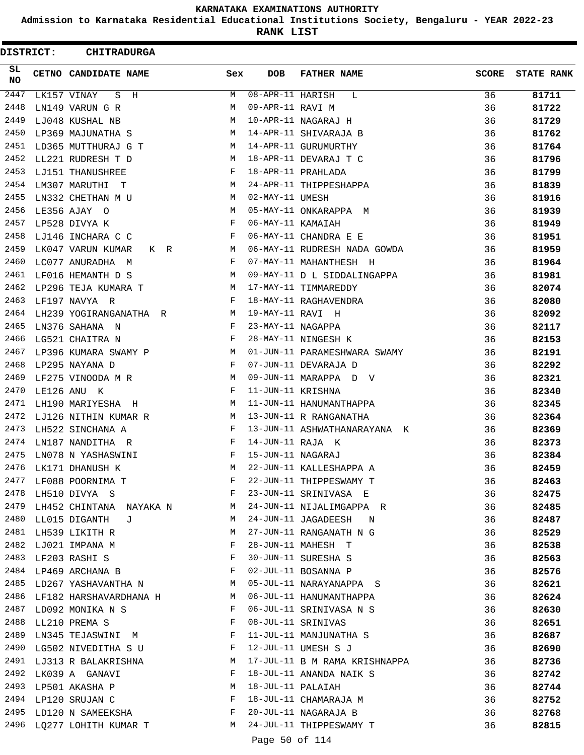**Admission to Karnataka Residential Educational Institutions Society, Bengaluru - YEAR 2022-23**

**RANK LIST**

 $\blacksquare$ 

| <b>DISTRICT:</b> | <b>CHITRADURGA</b>                 |              |                   |                                    |              |                   |
|------------------|------------------------------------|--------------|-------------------|------------------------------------|--------------|-------------------|
| SL.<br><b>NO</b> | CETNO CANDIDATE NAME               | Sex          | <b>DOB</b>        | <b>FATHER NAME</b>                 | <b>SCORE</b> | <b>STATE RANK</b> |
| 2447             | LK157 VINAY<br>S H                 | M            | 08-APR-11 HARISH  | L                                  | 36           | 81711             |
| 2448             | LN149 VARUN G R                    | M            | 09-APR-11 RAVI M  |                                    | 36           | 81722             |
| 2449             | LJ048 KUSHAL NB                    | M            |                   | 10-APR-11 NAGARAJ H                | 36           | 81729             |
| 2450             | LP369 MAJUNATHA S                  | M            |                   | 14-APR-11 SHIVARAJA B              | 36           | 81762             |
| 2451             | LD365 MUTTHURAJ G T                | M            |                   | 14-APR-11 GURUMURTHY               | 36           | 81764             |
| 2452             | LL221 RUDRESH T D                  | M            |                   | 18-APR-11 DEVARAJ T C              | 36           | 81796             |
| 2453             | LJ151 THANUSHREE                   | F            |                   | 18-APR-11 PRAHLADA                 | 36           | 81799             |
| 2454             | LM307 MARUTHI T                    | M            |                   | 24-APR-11 THIPPESHAPPA             | 36           | 81839             |
| 2455             | LN332 CHETHAN M U                  | M            | 02-MAY-11 UMESH   |                                    | 36           | 81916             |
| 2456             | LE356 AJAY O                       | M            |                   | 05-MAY-11 ONKARAPPA M              | 36           | 81939             |
| 2457             | LP528 DIVYA K                      | F            | 06-MAY-11 KAMAIAH |                                    | 36           | 81949             |
| 2458             | LJ146 INCHARA C C                  | $\mathbf{F}$ |                   | 06-MAY-11 CHANDRA E E              | 36           | 81951             |
| 2459             | LK047 VARUN KUMAR<br>K R           | M            |                   | 06-MAY-11 RUDRESH NADA GOWDA       | 36           | 81959             |
| 2460             | LC077 ANURADHA M                   | $\mathbf{F}$ |                   | 07-MAY-11 MAHANTHESH H             | 36           | 81964             |
| 2461             | LF016 HEMANTH D S                  | M            |                   | 09-MAY-11 D L SIDDALINGAPPA        | 36           | 81981             |
| 2462             | LP296 TEJA KUMARA T                | M            |                   | 17-MAY-11 TIMMAREDDY               | 36           | 82074             |
| 2463             | LF197 NAVYA R                      | F            |                   | 18-MAY-11 RAGHAVENDRA              | 36           | 82080             |
| 2464             | LH239 YOGIRANGANATHA R             | M            | 19-MAY-11 RAVI H  |                                    | 36           | 82092             |
| 2465             | LN376 SAHANA N                     | $\mathbf{F}$ | 23-MAY-11 NAGAPPA |                                    | 36           | 82117             |
| 2466             | LG521 CHAITRA N                    | F            |                   | 28-MAY-11 NINGESH K                | 36           | 82153             |
| 2467             | LP396 KUMARA SWAMY P               | M            |                   | 01-JUN-11 PARAMESHWARA SWAMY       | 36           | 82191             |
| 2468             | LP295 NAYANA D                     | F            |                   | 07-JUN-11 DEVARAJA D               | 36           | 82292             |
| 2469             | LF275 VINOODA M R                  | M            |                   | 09-JUN-11 MARAPPA D V              | 36           | 82321             |
| 2470             | LE126 ANU K                        | F            | 11-JUN-11 KRISHNA |                                    | 36           | 82340             |
| 2471             | LH190 MARIYESHA H                  | M            |                   | 11-JUN-11 HANUMANTHAPPA            | 36           | 82345             |
| 2472             | LJ126 NITHIN KUMAR R               | M            |                   | 13-JUN-11 R RANGANATHA             | 36           | 82364             |
| 2473             | LH522 SINCHANA A                   | F            |                   | 13-JUN-11 ASHWATHANARAYANA K       | 36           | 82369             |
| 2474             | LN187 NANDITHA R                   | F            | 14-JUN-11 RAJA K  |                                    | 36           | 82373             |
| 2475             | LN078 N YASHASWINI                 | F            | 15-JUN-11 NAGARAJ |                                    | 36           | 82384             |
| 2476             | LK171 DHANUSH K                    | M            |                   | 22-JUN-11 KALLESHAPPA A            | 36           | 82459             |
|                  | 2477 LF088 POORNIMA T              | F            |                   | 22-JUN-11 THIPPESWAMY T            | 36           | 82463             |
|                  | $\mathbf{F}$<br>2478 LH510 DIVYA S |              |                   | 23-JUN-11 SRINIVASA E              | 36           | 82475             |
| 2479             | LH452 CHINTANA NAYAKA N M          |              |                   | 24-JUN-11 NIJALIMGAPPA R           | 36           | 82485             |
| 2480             | LL015 DIGANTH J                    | M            |                   | 24-JUN-11 JAGADEESH<br>$\mathbb N$ | 36           | 82487             |
| 2481             | LH539 LIKITH R                     | М            |                   | 27-JUN-11 RANGANATH N G            | 36           | 82529             |
| 2482             | LJ021 IMPANA M                     | F            |                   | 28-JUN-11 MAHESH T                 | 36           | 82538             |
|                  | 2483 LF203 RASHI S                 | F            |                   | 30-JUN-11 SURESHA S                | 36           | 82563             |
|                  | 2484 LP469 ARCHANA B               | F            |                   | 02-JUL-11 BOSANNA P                | 36           | 82576             |
|                  | 2485 LD267 YASHAVANTHA N           | M            |                   | 05-JUL-11 NARAYANAPPA S            | 36           | 82621             |
|                  | 2486 LF182 HARSHAVARDHANA H        |              |                   | 06-JUL-11 HANUMANTHAPPA            | 36           | 82624             |
|                  | 2487 LD092 MONIKA N S              | F            |                   | 06-JUL-11 SRINIVASA N S            | 36           | 82630             |
| 2488             | LL210 PREMA S                      | F            |                   | 08-JUL-11 SRINIVAS                 | 36           | 82651             |
| 2489             | LN345 TEJASWINI M                  | F            |                   | 11-JUL-11 MANJUNATHA S             | 36           | 82687             |
| 2490             | LG502 NIVEDITHA S U                | F            |                   | 12-JUL-11 UMESH S J                | 36           | 82690             |
|                  | 2491 LJ313 R BALAKRISHNA           | M            |                   | 17-JUL-11 B M RAMA KRISHNAPPA      | 36           | 82736             |
| 2492             | LK039 A GANAVI                     | F            |                   | 18-JUL-11 ANANDA NAIK S            | 36           | 82742             |
|                  | 2493 LP501 AKASHA P                | M            | 18-JUL-11 PALAIAH |                                    | 36           | 82744             |
|                  | 2494 LP120 SRUJAN C                | $\mathbf{F}$ |                   | 18-JUL-11 CHAMARAJA M              | 36           | 82752             |
| 2495             | LD120 N SAMEEKSHA                  | F            |                   | 20-JUL-11 NAGARAJA B               | 36           | 82768             |
| 2496             | LQ277 LOHITH KUMAR T               |              |                   | M 24-JUL-11 THIPPESWAMY T          | 36           | 82815             |
|                  |                                    |              |                   |                                    |              |                   |

Page 50 of 114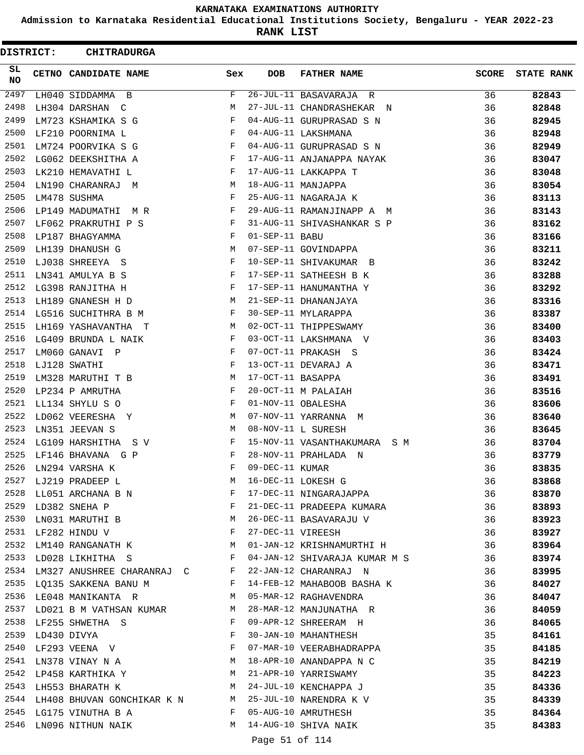**Admission to Karnataka Residential Educational Institutions Society, Bengaluru - YEAR 2022-23**

**RANK LIST**

Е

| <b>DISTRICT:</b> | <b>CHITRADURGA</b>                                                          |              |                   |                                                                                                                                                                                                                                |              |                   |
|------------------|-----------------------------------------------------------------------------|--------------|-------------------|--------------------------------------------------------------------------------------------------------------------------------------------------------------------------------------------------------------------------------|--------------|-------------------|
| SL.<br><b>NO</b> | <b>CETNO CANDIDATE NAME</b>                                                 | Sex          | <b>DOB</b>        | <b>FATHER NAME</b>                                                                                                                                                                                                             | <b>SCORE</b> | <b>STATE RANK</b> |
| 2497             | LH040 SIDDAMMA B                                                            | F            |                   | 26-JUL-11 BASAVARAJA R                                                                                                                                                                                                         | 36           | 82843             |
| 2498             | LH304 DARSHAN C                                                             | M            |                   | 27-JUL-11 CHANDRASHEKAR N                                                                                                                                                                                                      | 36           | 82848             |
| 2499             | LM723 KSHAMIKA S G                                                          | F            |                   | 04-AUG-11 GURUPRASAD S N                                                                                                                                                                                                       | 36           | 82945             |
| 2500             | LF210 POORNIMA L                                                            | F            |                   | 04-AUG-11 LAKSHMANA                                                                                                                                                                                                            | 36           | 82948             |
| 2501             | LM724 POORVIKA S G                                                          | F            |                   | 04-AUG-11 GURUPRASAD S N                                                                                                                                                                                                       | 36           | 82949             |
| 2502             | LG062 DEEKSHITHA A                                                          | F            |                   | 17-AUG-11 ANJANAPPA NAYAK                                                                                                                                                                                                      | 36           | 83047             |
| 2503             | LK210 HEMAVATHI L                                                           | F            |                   | 17-AUG-11 LAKKAPPA T                                                                                                                                                                                                           | 36           | 83048             |
| 2504             | LN190 CHARANRAJ M                                                           | M            |                   | 18-AUG-11 MANJAPPA                                                                                                                                                                                                             | 36           | 83054             |
| 2505             | LM478 SUSHMA                                                                | F            |                   | 25-AUG-11 NAGARAJA K                                                                                                                                                                                                           | 36           | 83113             |
| 2506             | LP149 MADUMATHI M R                                                         | F            |                   | 29-AUG-11 RAMANJINAPP A M                                                                                                                                                                                                      | 36           | 83143             |
| 2507             | $\mathbf{F}$<br>LF062 PRAKRUTHI P S                                         |              |                   | 31-AUG-11 SHIVASHANKAR S P                                                                                                                                                                                                     | 36           | 83162             |
| 2508             | LP187 BHAGYAMMA                                                             | F            | 01-SEP-11 BABU    |                                                                                                                                                                                                                                | 36           | 83166             |
| 2509             | LH139 DHANUSH G                                                             | M            |                   | 07-SEP-11 GOVINDAPPA                                                                                                                                                                                                           | 36           | 83211             |
| 2510             | LJ038 SHREEYA S                                                             | F            |                   | 10-SEP-11 SHIVAKUMAR B                                                                                                                                                                                                         | 36           | 83242             |
| 2511             | LN341 AMULYA B S                                                            | F            |                   | 17-SEP-11 SATHEESH B K                                                                                                                                                                                                         | 36           | 83288             |
| 2512             | LG398 RANJITHA H                                                            | F            |                   | 17-SEP-11 HANUMANTHA Y                                                                                                                                                                                                         | 36           | 83292             |
| 2513             | LH189 GNANESH H D                                                           | M            |                   | 21-SEP-11 DHANANJAYA                                                                                                                                                                                                           | 36           | 83316             |
| 2514             | LG516 SUCHITHRA B M                                                         | F            |                   | 30-SEP-11 MYLARAPPA                                                                                                                                                                                                            | 36           | 83387             |
| 2515             | LH169 YASHAVANTHA T                                                         | M            |                   | 02-OCT-11 THIPPESWAMY                                                                                                                                                                                                          | 36           | 83400             |
| 2516             | LG409 BRUNDA L NAIK                                                         | F            |                   | 03-OCT-11 LAKSHMANA V                                                                                                                                                                                                          | 36           | 83403             |
| 2517             | LM060 GANAVI P                                                              | F            |                   | 07-OCT-11 PRAKASH S                                                                                                                                                                                                            | 36           | 83424             |
| 2518             | LJ128 SWATHI                                                                | F            |                   | 13-OCT-11 DEVARAJ A                                                                                                                                                                                                            | 36           | 83471             |
| 2519             | M<br>LM328 MARUTHI T B                                                      |              | 17-OCT-11 BASAPPA |                                                                                                                                                                                                                                | 36           | 83491             |
| 2520             | LP234 P AMRUTHA                                                             | $_{\rm F}$   |                   | 20-OCT-11 M PALAIAH                                                                                                                                                                                                            | 36           | 83516             |
| 2521             | LL134 SHYLU S O                                                             | F            |                   | 01-NOV-11 OBALESHA                                                                                                                                                                                                             | 36           | 83606             |
| 2522             | LD062 VEERESHA Y                                                            | M            |                   | 07-NOV-11 YARRANNA M                                                                                                                                                                                                           | 36           | 83640             |
| 2523             | LN351 JEEVAN S                                                              | M            |                   | 08-NOV-11 L SURESH                                                                                                                                                                                                             | 36           | 83645             |
| 2524             | LG109 HARSHITHA  S V                                                        | F            |                   | 15-NOV-11 VASANTHAKUMARA S M                                                                                                                                                                                                   | 36           | 83704             |
| 2525             | LF146 BHAVANA G P                                                           | F            |                   | 28-NOV-11 PRAHLADA N                                                                                                                                                                                                           | 36           | 83779             |
|                  | 2526 LN294 VARSHA K                                                         | $\mathbf{F}$ | 09-DEC-11 KUMAR   |                                                                                                                                                                                                                                | 36           | 83835             |
|                  |                                                                             |              |                   | M 16-DEC-11 LOKESH G<br>2528 LL051 ARCHANA B N F 17-DEC-11 NINGARAJAPPA<br>2529 LD382 SNEHA P F 21-DEC-11 DRAFT----                                                                                                            | 36           | 83868             |
|                  |                                                                             |              |                   |                                                                                                                                                                                                                                | 36           | 83870             |
|                  |                                                                             |              |                   |                                                                                                                                                                                                                                |              | 83893             |
|                  |                                                                             |              |                   | 2530 LN031 MARUTHI B M 26-DEC-11 BASAVARAJU V 36                                                                                                                                                                               |              | 83923             |
|                  | 2531 LF282 HINDU V F 27-DEC-11 VIREESH                                      |              |                   |                                                                                                                                                                                                                                | 36           |                   |
|                  |                                                                             |              |                   |                                                                                                                                                                                                                                |              | 83927             |
|                  |                                                                             |              |                   | 2532 LM140 RANGANATH K                         M   01-JAN-12 KRISHNAMURTHI H                             36<br>2533 LD028 LIKHITHA   S                             F   04-JAN-12 SHIVARAJA KUMAR M  S                       36 |              | 83964             |
|                  |                                                                             |              |                   | 2534 LM327 ANUSHREE CHARANRAJ C F 22-JAN-12 CHARANRAJ N 36                                                                                                                                                                     |              | 83974             |
|                  |                                                                             |              |                   |                                                                                                                                                                                                                                |              | 83995             |
|                  | 2536 LE048 MANIKANTA R<br>2536 LE048 MANIKANTA R<br>M 05-MAR-12 RAGHAVENDRA |              |                   | 2535 LQ135 SAKKENA BANU M $F$ 14-FEB-12 MAHABOOB BASHA K 36                                                                                                                                                                    |              | 84027             |
|                  |                                                                             |              |                   |                                                                                                                                                                                                                                | 36           | 84047             |
|                  |                                                                             |              |                   | 2537 LD021 B M VATHSAN KUMAR M 28-MAR-12 MANJUNATHA R 36                                                                                                                                                                       |              | 84059             |
|                  |                                                                             |              |                   | 2538 LF255 SHWETHA S THE RESERVE SHREERAM H                                                                                                                                                                                    |              | 84065             |
|                  | 2539 LD430 DIVYA                                                            |              |                   | F 30-JAN-10 MAHANTHESH                                                                                                                                                                                                         | 35           | 84161             |
|                  |                                                                             |              |                   | 2540 LF293 VEENA V<br>F 07-MAR-10 VEERABHADRAPPA                                                                                                                                                                               | 35           | 84185             |
|                  |                                                                             |              |                   | 2541 LN378 VINAY N A 18-APR-10 ANANDAPPA N C 35                                                                                                                                                                                |              | 84219             |
|                  | 2542 LP458 KARTHIKA Y M 21-APR-10 YARRISWAMY                                |              |                   |                                                                                                                                                                                                                                | 35           | 84223             |
|                  | 2543 LH553 BHARATH K M 24-JUL-10 KENCHAPPA J                                |              |                   | 35                                                                                                                                                                                                                             |              | 84336             |
|                  |                                                                             |              |                   | 2544 LH408 BHUVAN GONCHIKAR K N M 25-JUL-10 NARENDRA K V                                                                                                                                                                       | 35           | 84339             |
|                  | 2545 LG175 VINUTHA B A B F 05-AUG-10 AMRUTHESH                              |              |                   |                                                                                                                                                                                                                                | 35           | 84364             |
|                  | 2546 LN096 NITHUN NAIK MARIK MARING-10 SHIVA NAIK                           |              |                   |                                                                                                                                                                                                                                | 35           | 84383             |

Page 51 of 114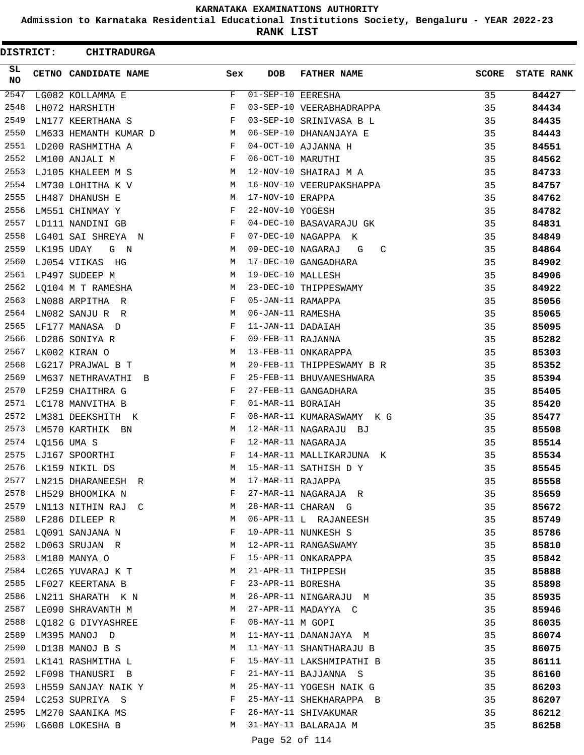**Admission to Karnataka Residential Educational Institutions Society, Bengaluru - YEAR 2022-23**

**RANK LIST**

| DISTRICT:        |             | <b>CHITRADURGA</b>          |     |                   |                           |              |                   |
|------------------|-------------|-----------------------------|-----|-------------------|---------------------------|--------------|-------------------|
| SL.<br><b>NO</b> |             | CETNO CANDIDATE NAME        | Sex | <b>DOB</b>        | <b>FATHER NAME</b>        | <b>SCORE</b> | <b>STATE RANK</b> |
| 2547             |             | LG082 KOLLAMMA E            | F   | 01-SEP-10 EERESHA |                           | 35           | 84427             |
| 2548             |             | LH072 HARSHITH              | F   |                   | 03-SEP-10 VEERABHADRAPPA  | 35           | 84434             |
| 2549             |             | LN177 KEERTHANA S           | F   |                   | 03-SEP-10 SRINIVASA B L   | 35           | 84435             |
| 2550             |             | LM633 HEMANTH KUMAR D       | M   |                   | 06-SEP-10 DHANANJAYA E    | 35           | 84443             |
| 2551             |             | LD200 RASHMITHA A           | F   |                   | 04-OCT-10 AJJANNA H       | 35           | 84551             |
| 2552             |             | LM100 ANJALI M              | F   | 06-OCT-10 MARUTHI |                           | 35           | 84562             |
| 2553             |             | LJ105 KHALEEM M S           | M   |                   | 12-NOV-10 SHAIRAJ M A     | 35           | 84733             |
| 2554             |             | LM730 LOHITHA K V           | M   |                   | 16-NOV-10 VEERUPAKSHAPPA  | 35           | 84757             |
| 2555             |             | LH487 DHANUSH E             | M   | 17-NOV-10 ERAPPA  |                           | 35           | 84762             |
| 2556             |             | LM551 CHINMAY Y             | F   | 22-NOV-10 YOGESH  |                           | 35           | 84782             |
| 2557             |             | LD111 NANDINI GB            | F   |                   | 04-DEC-10 BASAVARAJU GK   | 35           | 84831             |
| 2558             |             | LG401 SAI SHREYA N          | F   |                   | 07-DEC-10 NAGAPPA K       | 35           | 84849             |
| 2559             | LK195 UDAY  | G N                         | M   | 09-DEC-10 NAGARAJ | C<br>G                    | 35           | 84864             |
| 2560             |             | LJ054 VIIKAS<br>HG          | М   |                   | 17-DEC-10 GANGADHARA      | 35           | 84902             |
| 2561             |             | LP497 SUDEEP M              | M   | 19-DEC-10 MALLESH |                           | 35           | 84906             |
| 2562             |             | LQ104 M T RAMESHA           | M   |                   | 23-DEC-10 THIPPESWAMY     | 35           | 84922             |
| 2563             |             | LN088 ARPITHA R             | F   | 05-JAN-11 RAMAPPA |                           | 35           | 85056             |
| 2564             |             | LN082 SANJURR               | М   | 06-JAN-11 RAMESHA |                           | 35           | 85065             |
| 2565             |             | LF177 MANASA D              | F   | 11-JAN-11 DADAIAH |                           | 35           | 85095             |
| 2566             |             | LD286 SONIYA R              | F   | 09-FEB-11 RAJANNA |                           | 35           | 85282             |
| 2567             |             | LK002 KIRAN O               | М   |                   | 13-FEB-11 ONKARAPPA       | 35           | 85303             |
| 2568             |             | LG217 PRAJWAL B T           | М   |                   | 20-FEB-11 THIPPESWAMY B R | 35           | 85352             |
| 2569             |             | LM637 NETHRAVATHI<br>$\Box$ | F   |                   | 25-FEB-11 BHUVANESHWARA   | 35           | 85394             |
| 2570             |             | LF259 CHAITHRA G            | F   |                   | 27-FEB-11 GANGADHARA      | 35           | 85405             |
| 2571             |             | LC178 MANVITHA B            | F   | 01-MAR-11 BORAIAH |                           | 35           | 85420             |
| 2572             |             | LM381 DEEKSHITH K           | F   |                   | 08-MAR-11 KUMARASWAMY KG  | 35           | 85477             |
| 2573             |             | LM570 KARTHIK BN            | M   |                   | 12-MAR-11 NAGARAJU BJ     | 35           | 85508             |
| 2574             | LQ156 UMA S |                             | F   |                   | 12-MAR-11 NAGARAJA        | 35           | 85514             |
| 2575             |             | LJ167 SPOORTHI              | F   |                   | 14-MAR-11 MALLIKARJUNA K  | 35           | 85534             |
| 2576             |             | LK159 NIKIL DS              | M   |                   | 15-MAR-11 SATHISH D Y     | 35           | 85545             |
| 2577             |             | LN215 DHARANEESH R          | М   | 17-MAR-11 RAJAPPA |                           | 35           | 85558             |
| 2578             |             | LH529 BHOOMIKA N            | F   |                   | 27-MAR-11 NAGARAJA R      | 35           | 85659             |
| 2579             |             | LN113 NITHIN RAJ C          | M   |                   | 28-MAR-11 CHARAN G        | 35           | 85672             |
| 2580             |             | LF286 DILEEP R              | М   |                   | 06-APR-11 L RAJANEESH     | 35           | 85749             |
| 2581             |             | LQ091 SANJANA N             | F   |                   | 10-APR-11 NUNKESH S       | 35           | 85786             |
| 2582             |             | LD063 SRUJAN R              | М   |                   | 12-APR-11 RANGASWAMY      | 35           | 85810             |
| 2583             |             | LM180 MANYA O               | F   |                   | 15-APR-11 ONKARAPPA       | 35           | 85842             |
| 2584             |             | LC265 YUVARAJ K T           | M   |                   | 21-APR-11 THIPPESH        | 35           | 85888             |
|                  |             | 2585 LF027 KEERTANA B       | F   | 23-APR-11 BORESHA |                           | 35           | 85898             |
| 2586             |             | LN211 SHARATH K N           | M   |                   | 26-APR-11 NINGARAJU M     | 35           | 85935             |
| 2587             |             | LE090 SHRAVANTH M           | M   |                   | 27-APR-11 MADAYYA C       | 35           | 85946             |
|                  |             | 2588 LQ182 G DIVYASHREE     | F   | 08-MAY-11 M GOPI  |                           | 35           | 86035             |
| 2589             |             | LM395 MANOJ D               | М   |                   | 11-MAY-11 DANANJAYA M     | 35           | 86074             |
| 2590             |             | LD138 MANOJ B S             | М   |                   | 11-MAY-11 SHANTHARAJU B   | 35           | 86075             |
| 2591             |             | LK141 RASHMITHA L           | F   |                   | 15-MAY-11 LAKSHMIPATHI B  | 35           | 86111             |
| 2592             |             | LF098 THANUSRI B            | F   |                   | 21-MAY-11 BAJJANNA S      | 35           | 86160             |
| 2593             |             | LH559 SANJAY NAIK Y         | M   |                   | 25-MAY-11 YOGESH NAIK G   | 35           | 86203             |
| 2594             |             | LC253 SUPRIYA S             | F   |                   | 25-MAY-11 SHEKHARAPPA B   | 35           | 86207             |
| 2595             |             | LM270 SAANIKA MS            | F   |                   | 26-MAY-11 SHIVAKUMAR      | 35           | 86212             |
| 2596             |             | LG608 LOKESHA B             | М   |                   | 31-MAY-11 BALARAJA M      | 35           | 86258             |
|                  |             |                             |     |                   |                           |              |                   |

Page 52 of 114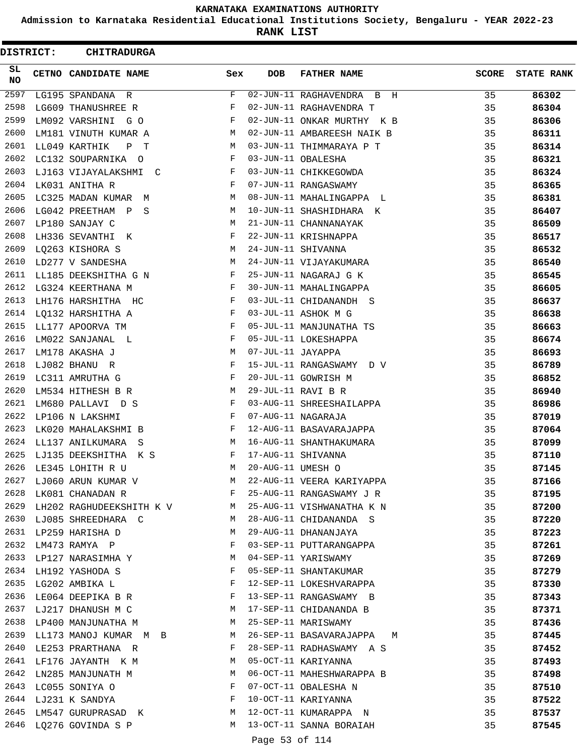**Admission to Karnataka Residential Educational Institutions Society, Bengaluru - YEAR 2022-23**

**RANK LIST**

 $\blacksquare$ 

| DISTRICT:        | <b>CHITRADURGA</b>                                                                                                                                                                                                                                     |     |                   |                                                           |              |                   |
|------------------|--------------------------------------------------------------------------------------------------------------------------------------------------------------------------------------------------------------------------------------------------------|-----|-------------------|-----------------------------------------------------------|--------------|-------------------|
| SL.<br><b>NO</b> | <b>CETNO CANDIDATE NAME</b>                                                                                                                                                                                                                            | Sex | DOB               | <b>FATHER NAME</b>                                        | <b>SCORE</b> | <b>STATE RANK</b> |
| 2597             | LG195 SPANDANA R                                                                                                                                                                                                                                       | F   |                   | 02-JUN-11 RAGHAVENDRA B H                                 | 35           | 86302             |
| 2598             | LG609 THANUSHREE R                                                                                                                                                                                                                                     | F   |                   | 02-JUN-11 RAGHAVENDRA T                                   | 35           | 86304             |
| 2599             | LM092 VARSHINI G O                                                                                                                                                                                                                                     | F   |                   | 02-JUN-11 ONKAR MURTHY K B                                | 35           | 86306             |
| 2600             | LM181 VINUTH KUMAR A                                                                                                                                                                                                                                   | M   |                   | 02-JUN-11 AMBAREESH NAIK B                                | 35           | 86311             |
| 2601             | LL049 KARTHIK<br>P T                                                                                                                                                                                                                                   | M   |                   | 03-JUN-11 THIMMARAYA P T                                  | 35           | 86314             |
| 2602             | LC132 SOUPARNIKA O                                                                                                                                                                                                                                     | F   |                   | 03-JUN-11 OBALESHA                                        | 35           | 86321             |
| 2603             | LJ163 VIJAYALAKSHMI C                                                                                                                                                                                                                                  | F   |                   | 03-JUN-11 CHIKKEGOWDA                                     | 35           | 86324             |
| 2604             | LK031 ANITHA R                                                                                                                                                                                                                                         | F   |                   | 07-JUN-11 RANGASWAMY                                      | 35           | 86365             |
| 2605             | LC325 MADAN KUMAR M                                                                                                                                                                                                                                    | M   |                   | 08-JUN-11 MAHALINGAPPA L                                  | 35           | 86381             |
| 2606             | LG042 PREETHAM P<br>S                                                                                                                                                                                                                                  | М   |                   | 10-JUN-11 SHASHIDHARA K                                   | 35           | 86407             |
| 2607             | LP180 SANJAY C                                                                                                                                                                                                                                         | M   |                   | 21-JUN-11 CHANNANAYAK                                     | 35           | 86509             |
| 2608             | LH336 SEVANTHI K                                                                                                                                                                                                                                       | F   |                   | 22-JUN-11 KRISHNAPPA                                      | 35           | 86517             |
| 2609             | LQ263 KISHORA S                                                                                                                                                                                                                                        | M   |                   | 24-JUN-11 SHIVANNA                                        | 35           | 86532             |
| 2610             | LD277 V SANDESHA                                                                                                                                                                                                                                       | М   |                   | 24-JUN-11 VIJAYAKUMARA                                    | 35           | 86540             |
| 2611             | LL185 DEEKSHITHA G N                                                                                                                                                                                                                                   | F   |                   | 25-JUN-11 NAGARAJ G K                                     | 35           | 86545             |
| 2612             | LG324 KEERTHANA M                                                                                                                                                                                                                                      | F   |                   | 30-JUN-11 MAHALINGAPPA                                    | 35           | 86605             |
| 2613             | LH176 HARSHITHA HC                                                                                                                                                                                                                                     | F   |                   | 03-JUL-11 CHIDANANDH S                                    | 35           | 86637             |
| 2614             | LQ132 HARSHITHA A                                                                                                                                                                                                                                      | F   |                   | 03-JUL-11 ASHOK M G                                       | 35           | 86638             |
| 2615             | LL177 APOORVA TM                                                                                                                                                                                                                                       | F   |                   | 05-JUL-11 MANJUNATHA TS                                   | 35           | 86663             |
| 2616             | LM022 SANJANAL L                                                                                                                                                                                                                                       | F   |                   | 05-JUL-11 LOKESHAPPA                                      | 35           | 86674             |
| 2617             | LM178 AKASHA J                                                                                                                                                                                                                                         | M   | 07-JUL-11 JAYAPPA |                                                           | 35           | 86693             |
| 2618             | LJ082 BHANU R                                                                                                                                                                                                                                          | F   |                   | 15-JUL-11 RANGASWAMY D V                                  | 35           | 86789             |
| 2619             | LC311 AMRUTHA G                                                                                                                                                                                                                                        | F   |                   | 20-JUL-11 GOWRISH M                                       | 35           | 86852             |
| 2620             | LM534 HITHESH B R                                                                                                                                                                                                                                      | М   |                   | 29-JUL-11 RAVI B R                                        | 35           | 86940             |
| 2621             | LM680 PALLAVI D S                                                                                                                                                                                                                                      | F   |                   | 03-AUG-11 SHREESHAILAPPA                                  | 35           | 86986             |
| 2622             | LP106 N LAKSHMI                                                                                                                                                                                                                                        | F   |                   | 07-AUG-11 NAGARAJA                                        | 35           | 87019             |
| 2623             | LK020 MAHALAKSHMI B                                                                                                                                                                                                                                    | F   |                   | 12-AUG-11 BASAVARAJAPPA                                   | 35           | 87064             |
| 2624             | LL137 ANILKUMARA S                                                                                                                                                                                                                                     | M   |                   | 16-AUG-11 SHANTHAKUMARA                                   | 35           | 87099             |
| 2625             | LJ135 DEEKSHITHA K S                                                                                                                                                                                                                                   | F   |                   | 17-AUG-11 SHIVANNA                                        | 35           | 87110             |
| 2626             | LE345 LOHITH R U                                                                                                                                                                                                                                       | M   | 20-AUG-11 UMESH O |                                                           | 35           | 87145             |
|                  | 2627 LJ060 ARUN KUMAR V                                                                                                                                                                                                                                | M   |                   | 22-AUG-11 VEERA KARIYAPPA                                 | 35           | 87166             |
| 2628             | $\mathbb F$ . The set of the set of the set of the set of the set of the set of the set of the set of the set of the set of the set of the set of the set of the set of the set of the set of the set of the set of the set of the<br>LK081 CHANADAN R |     |                   | 25-AUG-11 RANGASWAMY J R                                  | 35           | 87195             |
|                  |                                                                                                                                                                                                                                                        |     |                   | 2629 LH202 RAGHUDEEKSHITH K V M 25-AUG-11 VISHWANATHA K N | 35           | 87200             |
| 2630             | LJ085 SHREEDHARA C<br>M <sub>1</sub>                                                                                                                                                                                                                   |     |                   | 28-AUG-11 CHIDANANDA S                                    | 35           | 87220             |
| 2631             | LP259 HARISHA D                                                                                                                                                                                                                                        | M   |                   | 29-AUG-11 DHANANJAYA                                      | 35           |                   |
| 2632             | LM473 RAMYA P                                                                                                                                                                                                                                          | F   |                   | 03-SEP-11 PUTTARANGAPPA                                   | 35           | 87223<br>87261    |
|                  |                                                                                                                                                                                                                                                        | M   |                   | 04-SEP-11 YARISWAMY                                       |              |                   |
|                  | 2633 LP127 NARASIMHA Y                                                                                                                                                                                                                                 | F   |                   |                                                           | 35           | 87269             |
|                  | 2634 LH192 YASHODA S                                                                                                                                                                                                                                   |     |                   | 05-SEP-11 SHANTAKUMAR                                     | 35           | 87279             |
|                  | 2635 LG202 AMBIKA L<br>2636 LE064 DEEPIKA B R F                                                                                                                                                                                                        | F   |                   | 12-SEP-11 LOKESHVARAPPA                                   | 35           | 87330             |
|                  |                                                                                                                                                                                                                                                        |     |                   | 13-SEP-11 RANGASWAMY B                                    | 35           | 87343             |
|                  | 2637 LJ217 DHANUSH M C                                                                                                                                                                                                                                 |     |                   | M 17-SEP-11 CHIDANANDA B                                  | 35           | 87371             |
| 2638             | LP400 MANJUNATHA M<br>$\mathbb M$                                                                                                                                                                                                                      |     |                   | 25-SEP-11 MARISWAMY                                       | 35           | 87436             |
| 2639             | LL173 MANOJ KUMAR M B                                                                                                                                                                                                                                  | M   |                   | 26-SEP-11 BASAVARAJAPPA M                                 | 35           | 87445             |
| 2640             | LE253 PRARTHANA R                                                                                                                                                                                                                                      | F   |                   | 28-SEP-11 RADHASWAMY A S                                  | 35           | 87452             |
|                  | 2641 LF176 JAYANTH K M                                                                                                                                                                                                                                 | M   |                   | 05-OCT-11 KARIYANNA                                       | 35           | 87493             |
| 2642             | LN285 MANJUNATH M                                                                                                                                                                                                                                      | M   |                   | 06-OCT-11 MAHESHWARAPPA B                                 | 35           | 87498             |
|                  | 2643 LC055 SONIYA O                                                                                                                                                                                                                                    | F   |                   | 07-OCT-11 OBALESHA N                                      | 35           | 87510             |
|                  | $\mathbf{F}$ and $\mathbf{F}$ and $\mathbf{F}$<br>2644 LJ231 K SANDYA                                                                                                                                                                                  |     |                   | 10-OCT-11 KARIYANNA                                       | 35           | 87522             |
| 2645             | LM547 GURUPRASAD K                                                                                                                                                                                                                                     | M   |                   | 12-OCT-11 KUMARAPPA N                                     | 35           | 87537             |
| 2646             | LQ276 GOVINDA S P                                                                                                                                                                                                                                      | M   |                   | 13-OCT-11 SANNA BORAIAH                                   | 35           | 87545             |

Page 53 of 114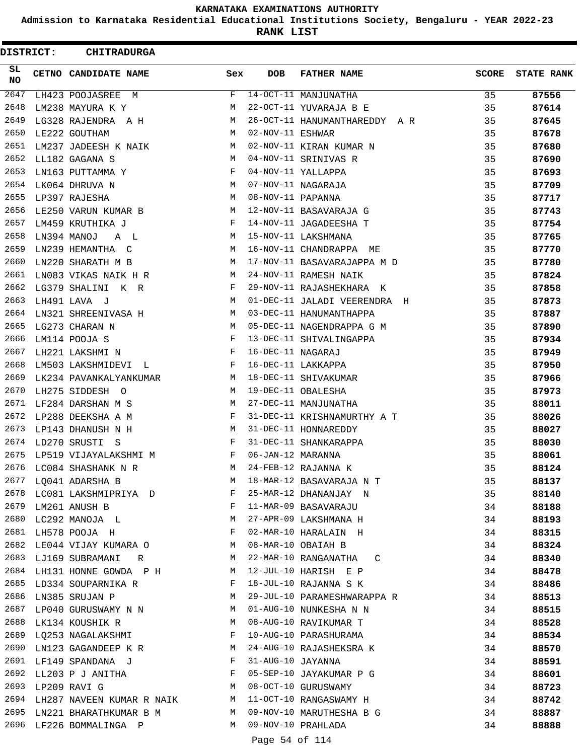**Admission to Karnataka Residential Educational Institutions Society, Bengaluru - YEAR 2022-23**

**RANK LIST**

ı

| DISTRICT:       | <b>CHITRADURGA</b>               |                               |                   |                               |              |                   |
|-----------------|----------------------------------|-------------------------------|-------------------|-------------------------------|--------------|-------------------|
| SL<br><b>NO</b> | CETNO CANDIDATE NAME             | Sex                           | <b>DOB</b>        | <b>FATHER NAME</b>            | <b>SCORE</b> | <b>STATE RANK</b> |
| 2647            | LH423 POOJASREE<br>M             | F                             |                   | 14-OCT-11 MANJUNATHA          | 35           | 87556             |
| 2648            | LM238 MAYURA K Y                 | M                             |                   | 22-OCT-11 YUVARAJA B E        | 35           | 87614             |
| 2649            | LG328 RAJENDRA A H               | M                             |                   | 26-OCT-11 HANUMANTHAREDDY A R | 35           | 87645             |
| 2650            | LE222 GOUTHAM                    | M                             | 02-NOV-11 ESHWAR  |                               | 35           | 87678             |
| 2651            | LM237 JADEESH K NAIK             | М                             |                   | 02-NOV-11 KIRAN KUMAR N       | 35           | 87680             |
| 2652            | LL182 GAGANA S                   | M                             |                   | 04-NOV-11 SRINIVAS R          | 35           | 87690             |
| 2653            | LN163 PUTTAMMA Y                 | F                             |                   | 04-NOV-11 YALLAPPA            | 35           | 87693             |
| 2654            | LK064 DHRUVA N                   | M                             |                   | 07-NOV-11 NAGARAJA            | 35           | 87709             |
| 2655            | LP397 RAJESHA                    | М                             | 08-NOV-11 PAPANNA |                               | 35           | 87717             |
| 2656            | LE250 VARUN KUMAR B              | M                             |                   | 12-NOV-11 BASAVARAJA G        | 35           | 87743             |
| 2657            | LM459 KRUTHIKA J                 | F                             |                   | 14-NOV-11 JAGADEESHA T        | 35           | 87754             |
| 2658            | LN394 MANOJ<br>A L               | M                             |                   | 15-NOV-11 LAKSHMANA           | 35           | 87765             |
| 2659            | LN239 HEMANTHA C                 | М                             |                   | 16-NOV-11 CHANDRAPPA ME       | 35           | 87770             |
| 2660            | LN220 SHARATH M B                | M                             |                   | 17-NOV-11 BASAVARAJAPPA M D   | 35           | 87780             |
| 2661            | LN083 VIKAS NAIK H R             | M                             |                   | 24-NOV-11 RAMESH NAIK         | 35           | 87824             |
| 2662            | LG379 SHALINI K R                | F                             |                   | 29-NOV-11 RAJASHEKHARA K      | 35           | 87858             |
| 2663            | LH491 LAVA J                     | М                             |                   | 01-DEC-11 JALADI VEERENDRA H  | 35           | 87873             |
| 2664            | LN321 SHREENIVASA H              | M                             |                   | 03-DEC-11 HANUMANTHAPPA       | 35           | 87887             |
| 2665            | LG273 CHARAN N                   | M                             |                   | 05-DEC-11 NAGENDRAPPA G M     | 35           | 87890             |
| 2666            | LM114 POOJA S                    | F                             |                   | 13-DEC-11 SHIVALINGAPPA       | 35           | 87934             |
| 2667            | LH221 LAKSHMI N                  | F                             | 16-DEC-11 NAGARAJ |                               | 35           | 87949             |
| 2668            | LM503 LAKSHMIDEVI L              | F                             |                   | 16-DEC-11 LAKKAPPA            | 35           | 87950             |
| 2669            | LK234 PAVANKALYANKUMAR           | M                             |                   | 18-DEC-11 SHIVAKUMAR          | 35           | 87966             |
| 2670            | LH275 SIDDESH O                  | M                             |                   | 19-DEC-11 OBALESHA            | 35           | 87973             |
| 2671            | LF284 DARSHAN M S                | М                             |                   | 27-DEC-11 MANJUNATHA          | 35           | 88011             |
| 2672            | LP288 DEEKSHA A M                | F                             |                   | 31-DEC-11 KRISHNAMURTHY A T   | 35           | 88026             |
| 2673            | LP143 DHANUSH N H                | M                             |                   | 31-DEC-11 HONNAREDDY          | 35           | 88027             |
| 2674            | LD270 SRUSTI S                   | F                             |                   | 31-DEC-11 SHANKARAPPA         | 35           | 88030             |
| 2675            | LP519 VIJAYALAKSHMI M            | F                             | 06-JAN-12 MARANNA |                               | 35           | 88061             |
| 2676            | LC084 SHASHANK N R               | M                             |                   | 24-FEB-12 RAJANNA K           | 35           | 88124             |
| 2677            | LQ041 ADARSHA B                  | М                             |                   | 18-MAR-12 BASAVARAJA N T      | 35           | 88137             |
|                 | 2678 LC081 LAKSHMIPRIYA D        | F                             |                   | 25-MAR-12 DHANANJAY N         | 35           | 88140             |
| 2679            | LM261 ANUSH B                    | $\mathbf{F}$ and $\mathbf{F}$ |                   | 11-MAR-09 BASAVARAJU          | 34           | 88188             |
|                 | 2680 LC292 MANOJA L              | M                             |                   | 27-APR-09 LAKSHMANA H         | 34           | 88193             |
| 2681            | LH578 POOJA H                    | $\mathbb{F}$ .                |                   | 02-MAR-10 HARALAIN H          | 34           | 88315             |
| 2682            | LE044 VIJAY KUMARA O M           |                               |                   | 08-MAR-10 OBAIAH B            | 34           | 88324             |
| 2683            | LJ169 SUBRAMANI<br>R             | M                             |                   | 22-MAR-10 RANGANATHA C        | 34           | 88340             |
|                 | 2684 LH131 HONNE GOWDA P H M     |                               |                   | 12-JUL-10 HARISH E P          | 34           | 88478             |
|                 | 2685 LD334 SOUPARNIKA R F        |                               |                   | 18-JUL-10 RAJANNA S K         | 34           | 88486             |
| 2686            | LN385 SRUJAN P                   | M                             |                   | 29-JUL-10 PARAMESHWARAPPA R   | 34           | 88513             |
| 2687            | LP040 GURUSWAMY N N W M          |                               |                   | 01-AUG-10 NUNKESHA N N        | 34           | 88515             |
|                 | 2688 LK134 KOUSHIK R             | M                             |                   | 08-AUG-10 RAVIKUMAR T         | 34           | 88528             |
| 2689            | LQ253 NAGALAKSHMI                | F                             |                   | 10-AUG-10 PARASHURAMA         | 34           | 88534             |
| 2690            | LN123 GAGANDEEP K R              | М                             |                   | 24-AUG-10 RAJASHEKSRA K       | 34           | 88570             |
| 2691            | LF149 SPANDANA J F               |                               | 31-AUG-10 JAYANNA |                               | 34           | 88591             |
|                 | 2692 LL203 P J ANITHA F          |                               |                   | 05-SEP-10 JAYAKUMAR P G       | 34           | 88601             |
| 2693            | LP209 RAVI G<br>M <sub>N</sub>   |                               |                   | 08-OCT-10 GURUSWAMY           | 34           | 88723             |
|                 | 2694 LH287 NAVEEN KUMAR R NAIK M |                               |                   | 11-OCT-10 RANGASWAMY H        | 34           | 88742             |
| 2695            | LN221 BHARATHKUMAR B M M         |                               |                   | 09-NOV-10 MARUTHESHA B G      | 34           | 88887             |
|                 | 2696 LF226 BOMMALINGA P          | M                             |                   | 09-NOV-10 PRAHLADA            | 34           | 88888             |
|                 |                                  |                               | Page 54 of 114    |                               |              |                   |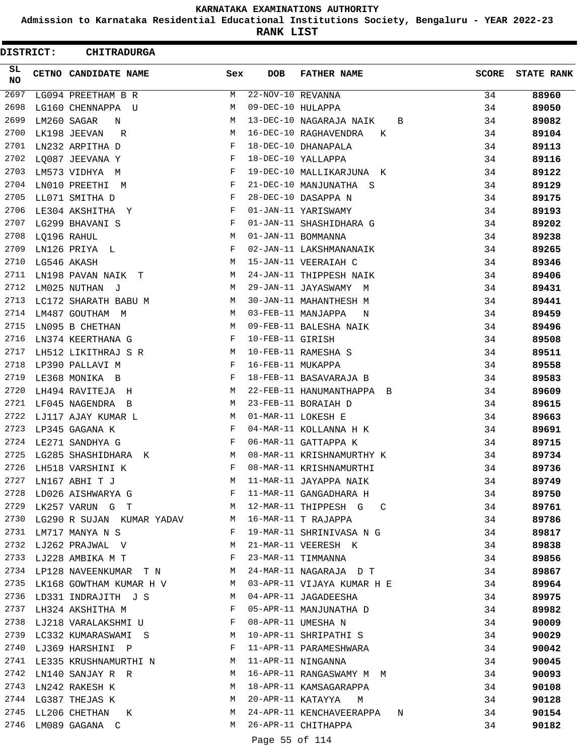**Admission to Karnataka Residential Educational Institutions Society, Bengaluru - YEAR 2022-23**

**RANK LIST**

|          | DISTRICT: | <b>CHITRADURGA</b>        |     |                     |                              |              |                   |
|----------|-----------|---------------------------|-----|---------------------|------------------------------|--------------|-------------------|
| SL<br>NO |           | CETNO CANDIDATE NAME      | Sex | <b>DOB</b>          | <b>FATHER NAME</b>           | <b>SCORE</b> | <b>STATE RANK</b> |
| 2697     |           | LG094 PREETHAM B R        | M   | $22-NOV-10$ REVANNA |                              | 34           | 88960             |
| 2698     |           | LG160 CHENNAPPA U         | M   | 09-DEC-10 HULAPPA   |                              | 34           | 89050             |
| 2699     |           | LM260 SAGAR<br>N          | M   |                     | 13-DEC-10 NAGARAJA NAIK<br>B | 34           | 89082             |
| 2700     |           | LK198 JEEVAN<br>R         | М   |                     | 16-DEC-10 RAGHAVENDRA<br>К   | 34           | 89104             |
| 2701     |           | LN232 ARPITHA D           | F   |                     | 18-DEC-10 DHANAPALA          | 34           | 89113             |
| 2702     |           | LO087 JEEVANA Y           | F   |                     | 18-DEC-10 YALLAPPA           | 34           | 89116             |
| 2703     |           | LM573 VIDHYA M            | F   |                     | 19-DEC-10 MALLIKARJUNA K     | 34           | 89122             |
| 2704     |           | LN010 PREETHI<br>M        | F   |                     | 21-DEC-10 MANJUNATHA S       | 34           | 89129             |
| 2705     |           | LL071 SMITHA D            | F   |                     | 28-DEC-10 DASAPPA N          | 34           | 89175             |
| 2706     |           | LE304 AKSHITHA Y          | F   |                     | 01-JAN-11 YARISWAMY          | 34           | 89193             |
| 2707     |           | LG299 BHAVANI S           | F   |                     | 01-JAN-11 SHASHIDHARA G      | 34           | 89202             |
| 2708     |           | LQ196 RAHUL               | М   |                     | 01-JAN-11 BOMMANNA           | 34           | 89238             |
| 2709     |           | LN126 PRIYA L             | F   |                     | 02-JAN-11 LAKSHMANANAIK      | 34           | 89265             |
| 2710     |           | LG546 AKASH               | М   |                     | 15-JAN-11 VEERAIAH C         | 34           | 89346             |
| 2711     |           | LN198 PAVAN NAIK T        | M   |                     | 24-JAN-11 THIPPESH NAIK      | 34           | 89406             |
| 2712     |           | LM025 NUTHAN J            | М   |                     | 29-JAN-11 JAYASWAMY M        | 34           | 89431             |
| 2713     |           | LC172 SHARATH BABU M      | M   |                     | 30-JAN-11 MAHANTHESH M       | 34           | 89441             |
| 2714     |           | LM487 GOUTHAM M           | М   |                     | 03-FEB-11 MANJAPPA<br>N      | 34           | 89459             |
| 2715     |           | LN095 B CHETHAN           | М   |                     | 09-FEB-11 BALESHA NAIK       | 34           | 89496             |
| 2716     |           | LN374 KEERTHANA G         | F   | 10-FEB-11 GIRISH    |                              | 34           | 89508             |
| 2717     |           | LH512 LIKITHRAJ S R       | М   |                     | 10-FEB-11 RAMESHA S          | 34           | 89511             |
| 2718     |           | LP390 PALLAVI M           | F   | 16-FEB-11 MUKAPPA   |                              | 34           | 89558             |
| 2719     |           | LE368 MONIKA B            | F   |                     | 18-FEB-11 BASAVARAJA B       | 34           | 89583             |
| 2720     |           | LH494 RAVITEJA H          | М   |                     | 22-FEB-11 HANUMANTHAPPA B    | 34           | 89609             |
| 2721     |           | LF045 NAGENDRA B          | M   |                     | 23-FEB-11 BORAIAH D          | 34           | 89615             |
| 2722     |           | LJ117 AJAY KUMAR L        | M   |                     | 01-MAR-11 LOKESH E           | 34           | 89663             |
| 2723     |           | LP345 GAGANA K            | F   |                     | 04-MAR-11 KOLLANNA H K       | 34           | 89691             |
| 2724     |           | LE271 SANDHYA G           | F   |                     | 06-MAR-11 GATTAPPA K         | 34           | 89715             |
| 2725     |           | LG285 SHASHIDHARA K       | М   |                     | 08-MAR-11 KRISHNAMURTHY K    | 34           | 89734             |
| 2726     |           | LH518 VARSHINI K          | F   |                     | 08-MAR-11 KRISHNAMURTHI      | 34           | 89736             |
| 2727     |           | LN167 ABHI T J            | М   |                     | 11-MAR-11 JAYAPPA NAIK       | 34           | 89749             |
| 2728     |           | LD026 AISHWARYA G         | F   |                     | 11-MAR-11 GANGADHARA H       | 34           | 89750             |
| 2729     |           | LK257 VARUNG T            | M   |                     | 12-MAR-11 THIPPESH G C       | 34           | 89761             |
| 2730     |           | LG290 R SUJAN KUMAR YADAV | M   |                     | 16-MAR-11 T RAJAPPA          | 34           | 89786             |
| 2731     |           | LM717 MANYA N S           | F   |                     | 19-MAR-11 SHRINIVASA N G     | 34           | 89817             |
| 2732     |           | LJ262 PRAJWAL V           | M   |                     | 21-MAR-11 VEERESH K          | 34           | 89838             |
| 2733     |           | LJ228 AMBIKA M T          | F   |                     | 23-MAR-11 TIMMANNA           | 34           | 89856             |
| 2734     |           | LP128 NAVEENKUMAR T N     | M   |                     | 24-MAR-11 NAGARAJA D T       | 34           | 89867             |
| 2735     |           | LK168 GOWTHAM KUMAR H V   | M   |                     | 03-APR-11 VIJAYA KUMAR H E   | 34           | 89964             |
| 2736     |           | LD331 INDRAJITH J S       | M   |                     | 04-APR-11 JAGADEESHA         | 34           | 89975             |
| 2737     |           | LH324 AKSHITHA M          | F   |                     | 05-APR-11 MANJUNATHA D       | 34           | 89982             |
| 2738     |           | LJ218 VARALAKSHMI U       | F   |                     | 08-APR-11 UMESHA N           | 34           | 90009             |
| 2739     |           | LC332 KUMARASWAMI S       | M   |                     | 10-APR-11 SHRIPATHI S        | 34           | 90029             |
| 2740     |           | LJ369 HARSHINI P          | F   |                     | 11-APR-11 PARAMESHWARA       | 34           | 90042             |
| 2741     |           | LE335 KRUSHNAMURTHI N     | M   |                     | 11-APR-11 NINGANNA           | 34           | 90045             |
| 2742     |           | LN140 SANJAY R R          | M   |                     | 16-APR-11 RANGASWAMY M M     | 34           | 90093             |
| 2743     |           | LN242 RAKESH K            | M   |                     | 18-APR-11 KAMSAGARAPPA       | 34           | 90108             |
| 2744     |           | LG387 THEJAS K            | М   |                     | 20-APR-11 KATAYYA M          | 34           |                   |
| 2745     |           |                           | М   |                     | 24-APR-11 KENCHAVEERAPPA     |              | 90128             |
| 2746     |           | LL206 CHETHAN K           | M   |                     | N<br>26-APR-11 CHITHAPPA     | 34           | 90154             |
|          |           | LM089 GAGANA C            |     |                     |                              | 34           | 90182             |
|          |           |                           |     | Page 55 of 114      |                              |              |                   |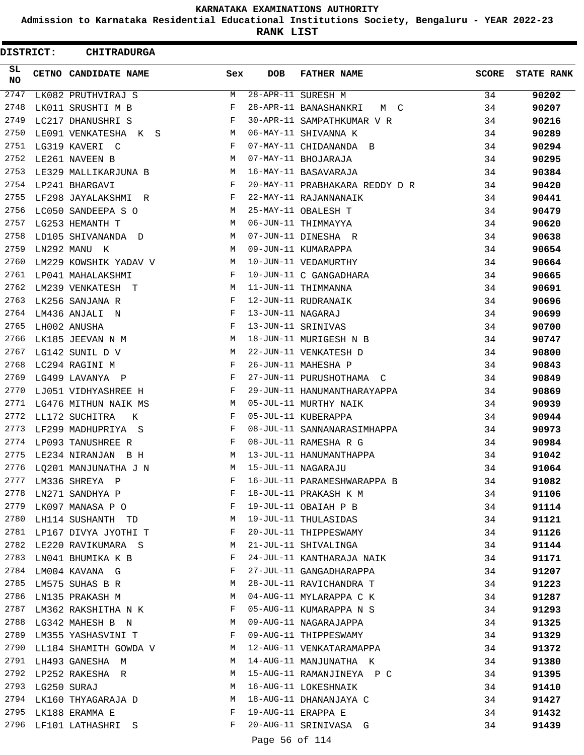**Admission to Karnataka Residential Educational Institutions Society, Bengaluru - YEAR 2022-23**

**RANK LIST**

 $\blacksquare$ 

| <b>DISTRICT:</b> | <b>CHITRADURGA</b>        |     |                   |                                |              |                   |
|------------------|---------------------------|-----|-------------------|--------------------------------|--------------|-------------------|
| SL<br>NO.        | CETNO CANDIDATE NAME      | Sex | <b>DOB</b>        | <b>FATHER NAME</b>             | <b>SCORE</b> | <b>STATE RANK</b> |
| 2747             | LK082 PRUTHVIRAJ S        | М   |                   | 28-APR-11 SURESH M             | 34           | 90202             |
| 2748             | LK011 SRUSHTI M B         | F   |                   | 28-APR-11 BANASHANKRI<br>M C   | 34           | 90207             |
| 2749             | LC217 DHANUSHRI S         | F   |                   | 30-APR-11 SAMPATHKUMAR V R     | 34           | 90216             |
| 2750             | LE091 VENKATESHA K S      | M   |                   | 06-MAY-11 SHIVANNA K           | 34           | 90289             |
| 2751             | LG319 KAVERI C            | F   |                   | 07-MAY-11 CHIDANANDA B         | 34           | 90294             |
| 2752             | LE261 NAVEEN B            | М   |                   | 07-MAY-11 BHOJARAJA            | 34           | 90295             |
| 2753             | LE329 MALLIKARJUNA B      | M   |                   | 16-MAY-11 BASAVARAJA           | 34           | 90384             |
| 2754             | LP241 BHARGAVI            | F   |                   | 20-MAY-11 PRABHAKARA REDDY D R | 34           | 90420             |
| 2755             | LF298 JAYALAKSHMI R       | F   |                   | 22-MAY-11 RAJANNANAIK          | 34           | 90441             |
| 2756             | LC050 SANDEEPA S O        | М   |                   | 25-MAY-11 OBALESH T            | 34           | 90479             |
| 2757             | LG253 HEMANTH T           | M   |                   | 06-JUN-11 THIMMAYYA            | 34           | 90620             |
| 2758             | LD105 SHIVANANDA D        | M   |                   | 07-JUN-11 DINESHA R            | 34           | 90638             |
| 2759             | LN292 MANU K              | М   |                   | 09-JUN-11 KUMARAPPA            | 34           | 90654             |
| 2760             | LM229 KOWSHIK YADAV V     | М   |                   | 10-JUN-11 VEDAMURTHY           | 34           | 90664             |
| 2761             | LP041 MAHALAKSHMI         | F   |                   | 10-JUN-11 C GANGADHARA         | 34           | 90665             |
| 2762             | LM239 VENKATESH T         | М   |                   | 11-JUN-11 THIMMANNA            | 34           | 90691             |
| 2763             | LK256 SANJANA R           | F   |                   | 12-JUN-11 RUDRANAIK            | 34           | 90696             |
| 2764             | LM436 ANJALI N            | F   | 13-JUN-11 NAGARAJ |                                | 34           | 90699             |
| 2765             | LH002 ANUSHA              | F   |                   | 13-JUN-11 SRINIVAS             | 34           | 90700             |
| 2766             | LK185 JEEVAN N M          | М   |                   | 18-JUN-11 MURIGESH N B         | 34           | 90747             |
| 2767             | LG142 SUNIL D V           | M   |                   | 22-JUN-11 VENKATESH D          | 34           | 90800             |
| 2768             | LC294 RAGINI M            | F   |                   | 26-JUN-11 MAHESHA P            | 34           | 90843             |
| 2769             | LG499 LAVANYA P           | F   |                   | 27-JUN-11 PURUSHOTHAMA C       | 34           | 90849             |
| 2770             | LJ051 VIDHYASHREE H       | F   |                   | 29-JUN-11 HANUMANTHARAYAPPA    | 34           | 90869             |
| 2771             | LG476 MITHUN NAIK MS      | M   |                   | 05-JUL-11 MURTHY NAIK          | 34           | 90939             |
| 2772             | LL172 SUCHITRA<br>K       | F   |                   | 05-JUL-11 KUBERAPPA            | 34           | 90944             |
| 2773             | LF299 MADHUPRIYA S        | F   |                   | 08-JUL-11 SANNANARASIMHAPPA    | 34           | 90973             |
| 2774             | LP093 TANUSHREE R         | F   |                   | 08-JUL-11 RAMESHA R G          | 34           | 90984             |
| 2775             | LE234 NIRANJAN B H        | М   |                   | 13-JUL-11 HANUMANTHAPPA        | 34           | 91042             |
| 2776             | LO201 MANJUNATHA J N      | M   |                   | 15-JUL-11 NAGARAJU             | 34           | 91064             |
| 2777             | LM336 SHREYA P            | F   |                   | 16-JUL-11 PARAMESHWARAPPA B    | 34           | 91082             |
| 2778             | LN271 SANDHYA P           | F   |                   | 18-JUL-11 PRAKASH K M          | 34           | 91106             |
| 2779             | LK097 MANASA P O          | F   |                   | 19-JUL-11 OBAIAH P B           | 34           | 91114             |
| 2780             | LH114 SUSHANTH TD         | M   |                   | 19-JUL-11 THULASIDAS           | 34           | 91121             |
|                  | 2781 LP167 DIVYA JYOTHI T | F   |                   | 20-JUL-11 THIPPESWAMY          | 34           | 91126             |
| 2782             | LE220 RAVIKUMARA S        | М   |                   | 21-JUL-11 SHIVALINGA           | 34           | 91144             |
| 2783             | LN041 BHUMIKA K B         | F   |                   | 24-JUL-11 KANTHARAJA NAIK      | 34           | 91171             |
| 2784             | LM004 KAVANA G            | F   |                   | 27-JUL-11 GANGADHARAPPA        | 34           | 91207             |
| 2785             | LM575 SUHAS B R           | M   |                   | 28-JUL-11 RAVICHANDRA T        | 34           | 91223             |
| 2786             | LN135 PRAKASH M           | M   |                   | 04-AUG-11 MYLARAPPA C K        | 34           | 91287             |
| 2787             | LM362 RAKSHITHA N K       | F   |                   | 05-AUG-11 KUMARAPPA N S        | 34           | 91293             |
|                  | 2788 LG342 MAHESH B N     | M   |                   | 09-AUG-11 NAGARAJAPPA          | 34           | 91325             |
| 2789             | LM355 YASHASVINI T        | F   |                   | 09-AUG-11 THIPPESWAMY          | 34           | 91329             |
| 2790             | LL184 SHAMITH GOWDA V     | M   |                   | 12-AUG-11 VENKATARAMAPPA       | 34           | 91372             |
| 2791             | LH493 GANESHA M           | M   |                   | 14-AUG-11 MANJUNATHA K         | 34           | 91380             |
| 2792             | LP252 RAKESHA R           | M   |                   | 15-AUG-11 RAMANJINEYA P C      | 34           | 91395             |
| 2793             | LG250 SURAJ               | M   |                   | 16-AUG-11 LOKESHNAIK           | 34           | 91410             |
| 2794             | LK160 THYAGARAJA D        | M   |                   | 18-AUG-11 DHANANJAYA C         | 34           | 91427             |
| 2795             | LK188 ERAMMA E            | F   |                   | 19-AUG-11 ERAPPA E             | 34           | 91432             |
| 2796             | LF101 LATHASHRI S         | F   |                   | 20-AUG-11 SRINIVASA G          | 34           | 91439             |
|                  |                           |     |                   |                                |              |                   |

Page 56 of 114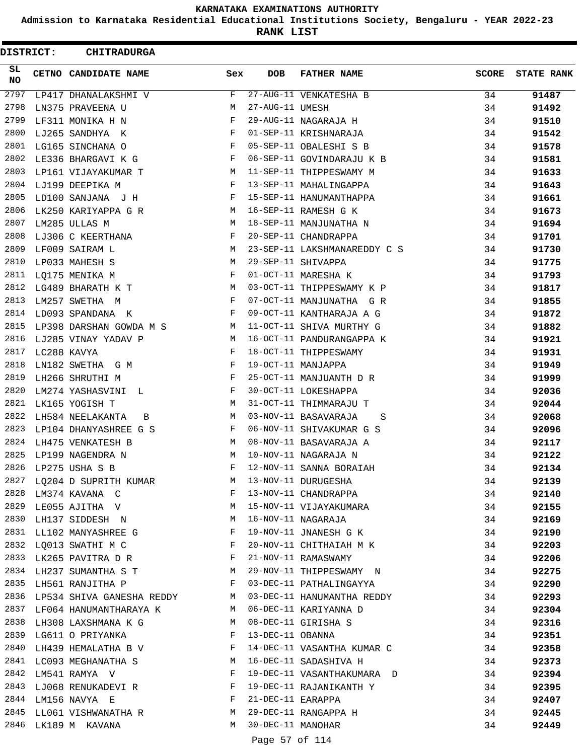**Admission to Karnataka Residential Educational Institutions Society, Bengaluru - YEAR 2022-23**

**RANK LIST**

|          | <b>DISTRICT:</b> | <b>CHITRADURGA</b>                     |                               |                   |                              |              |                   |
|----------|------------------|----------------------------------------|-------------------------------|-------------------|------------------------------|--------------|-------------------|
| SL<br>NO |                  | CETNO CANDIDATE NAME                   | Sex                           | <b>DOB</b>        | <b>FATHER NAME</b>           | <b>SCORE</b> | <b>STATE RANK</b> |
| 2797     |                  | LP417 DHANALAKSHMI V                   | F                             |                   | 27-AUG-11 VENKATESHA B       | 34           | 91487             |
| 2798     |                  | LN375 PRAVEENA U                       | М                             | 27-AUG-11 UMESH   |                              | 34           | 91492             |
| 2799     |                  | LF311 MONIKA H N                       | F                             |                   | 29-AUG-11 NAGARAJA H         | 34           | 91510             |
| 2800     |                  | LJ265 SANDHYA K                        | $_{\rm F}$                    |                   | 01-SEP-11 KRISHNARAJA        | 34           | 91542             |
| 2801     |                  | LG165 SINCHANA O                       | F                             |                   | 05-SEP-11 OBALESHI S B       | 34           | 91578             |
| 2802     |                  | LE336 BHARGAVI K G                     | F                             |                   | 06-SEP-11 GOVINDARAJU K B    | 34           | 91581             |
| 2803     |                  | LP161 VIJAYAKUMAR T                    | М                             |                   | 11-SEP-11 THIPPESWAMY M      | 34           | 91633             |
| 2804     |                  | LJ199 DEEPIKA M                        | F                             |                   | 13-SEP-11 MAHALINGAPPA       | 34           | 91643             |
| 2805     |                  | LD100 SANJANA J H                      | F                             |                   | 15-SEP-11 HANUMANTHAPPA      | 34           | 91661             |
| 2806     |                  | LK250 KARIYAPPA G R                    | М                             |                   | 16-SEP-11 RAMESH G K         | 34           | 91673             |
| 2807     |                  | LM285 ULLAS M                          | M                             |                   | 18-SEP-11 MANJUNATHA N       | 34           | 91694             |
| 2808     |                  | LJ306 C KEERTHANA                      | F                             |                   | 20-SEP-11 CHANDRAPPA         | 34           | 91701             |
| 2809     |                  | LF009 SAIRAM L                         | М                             |                   | 23-SEP-11 LAKSHMANAREDDY C S | 34           | 91730             |
| 2810     |                  | LP033 MAHESH S                         | М                             |                   | 29-SEP-11 SHIVAPPA           | 34           | 91775             |
| 2811     |                  | LQ175 MENIKA M                         | F                             |                   | 01-OCT-11 MARESHA K          | 34           | 91793             |
| 2812     |                  | LG489 BHARATH K T                      | M                             |                   | 03-OCT-11 THIPPESWAMY K P    | 34           | 91817             |
| 2813     |                  | LM257 SWETHA M                         | F                             |                   | 07-OCT-11 MANJUNATHA G R     | 34           | 91855             |
| 2814     |                  | LD093 SPANDANA K                       | F                             |                   | 09-OCT-11 KANTHARAJA A G     | 34           | 91872             |
| 2815     |                  | LP398 DARSHAN GOWDA M S                | $\mathbb{M}$ and $\mathbb{M}$ |                   | 11-OCT-11 SHIVA MURTHY G     | 34           | 91882             |
| 2816     |                  | LJ285 VINAY YADAV P                    | M                             |                   | 16-OCT-11 PANDURANGAPPA K    | 34           | 91921             |
| 2817     |                  |                                        | F                             |                   |                              |              |                   |
|          |                  | LC288 KAVYA                            |                               |                   | 18-OCT-11 THIPPESWAMY        | 34           | 91931             |
| 2818     |                  | LN182 SWETHA G M                       | $_{\rm F}$                    |                   | 19-OCT-11 MANJAPPA           | 34           | 91949             |
| 2819     |                  | LH266 SHRUTHI M                        | F                             |                   | 25-OCT-11 MANJUANTH D R      | 34           | 91999             |
| 2820     |                  | LM274 YASHASVINI L                     | F                             |                   | 30-OCT-11 LOKESHAPPA         | 34           | 92036             |
| 2821     |                  | LK165 YOGISH T                         | M                             |                   | 31-OCT-11 THIMMARAJU T       | 34           | 92044             |
| 2822     |                  | LH584 NEELAKANTA<br>B                  | М                             |                   | 03-NOV-11 BASAVARAJA<br>S    | 34           | 92068             |
| 2823     |                  | LP104 DHANYASHREE G S                  | F                             |                   | 06-NOV-11 SHIVAKUMAR G S     | 34           | 92096             |
| 2824     |                  | LH475 VENKATESH B                      | М                             |                   | 08-NOV-11 BASAVARAJA A       | 34           | 92117             |
| 2825     |                  | LP199 NAGENDRA N                       | M                             |                   | 10-NOV-11 NAGARAJA N         | 34           | 92122             |
| 2826     |                  | LP275 USHA S B                         |                               |                   | 12-NOV-11 SANNA BORAIAH      | 34           | 92134             |
| 2827     |                  | LQ204 D SUPRITH KUMAR                  | M                             |                   | 13-NOV-11 DURUGESHA          | 34           | 92139             |
| 2828     |                  | LM374 KAVANA C                         | $\mathbf{F}$                  |                   | 13-NOV-11 CHANDRAPPA         | 34           | 92140             |
| 2829     |                  | LE055 AJITHA V                         | M <sub>N</sub>                |                   | 15-NOV-11 VIJAYAKUMARA       | 34           | 92155             |
| 2830     |                  | LH137 SIDDESH N<br><b>Example 19</b> M |                               |                   | 16-NOV-11 NAGARAJA           | 34           | 92169             |
| 2831     |                  | LL102 MANYASHREE G                     | F                             |                   | 19-NOV-11 JNANESH G K        | 34           | 92190             |
|          |                  | 2832 LQ013 SWATHI M C                  | $\mathbf{F}$                  |                   | 20-NOV-11 CHITHAIAH M K      | 34           | 92203             |
| 2833     |                  | LK265 PAVITRA D R                      | $\mathbf{F}$                  |                   | 21-NOV-11 RAMASWAMY          | 34           | 92206             |
| 2834     |                  | LH237 SUMANTHA S T M                   |                               |                   | 29-NOV-11 THIPPESWAMY N      | 34           | 92275             |
| 2835     |                  | LH561 RANJITHA P                       | F                             |                   | 03-DEC-11 PATHALINGAYYA      | 34           | 92290             |
| 2836     |                  | LP534 SHIVA GANESHA REDDY M            |                               |                   | 03-DEC-11 HANUMANTHA REDDY   | 34           | 92293             |
|          |                  | 2837 LF064 HANUMANTHARAYA K M          |                               |                   | 06-DEC-11 KARIYANNA D        | 34           | 92304             |
| 2838     |                  | LH308 LAXSHMANA K G                    | M                             |                   | 08-DEC-11 GIRISHA S          | 34           | 92316             |
| 2839     |                  | LG611 O PRIYANKA                       | F                             | 13-DEC-11 OBANNA  |                              | 34           | 92351             |
| 2840     |                  | LH439 HEMALATHA B V                    | $\mathbf{F}$                  |                   | 14-DEC-11 VASANTHA KUMAR C   | 34           | 92358             |
|          |                  | 2841 LC093 MEGHANATHA S                | M                             |                   | 16-DEC-11 SADASHIVA H        | 34           | 92373             |
| 2842     |                  | LM541 RAMYA V                          | F                             |                   | 19-DEC-11 VASANTHAKUMARA D   | 34           | 92394             |
| 2843     |                  | LJ068 RENUKADEVI R                     | F                             |                   | 19-DEC-11 RAJANIKANTH Y      | 34           | 92395             |
|          |                  | 2844 LM156 NAVYA E                     | F                             | 21-DEC-11 EARAPPA |                              | 34           | 92407             |
| 2845     |                  | LL061 VISHWANATHA R                    | M                             |                   | 29-DEC-11 RANGAPPA H         | 34           | 92445             |
| 2846     |                  | LK189 M KAVANA                         | M                             | 30-DEC-11 MANOHAR |                              | 34           | 92449             |
|          |                  |                                        |                               |                   |                              |              |                   |
|          |                  |                                        |                               | Page 57 of 114    |                              |              |                   |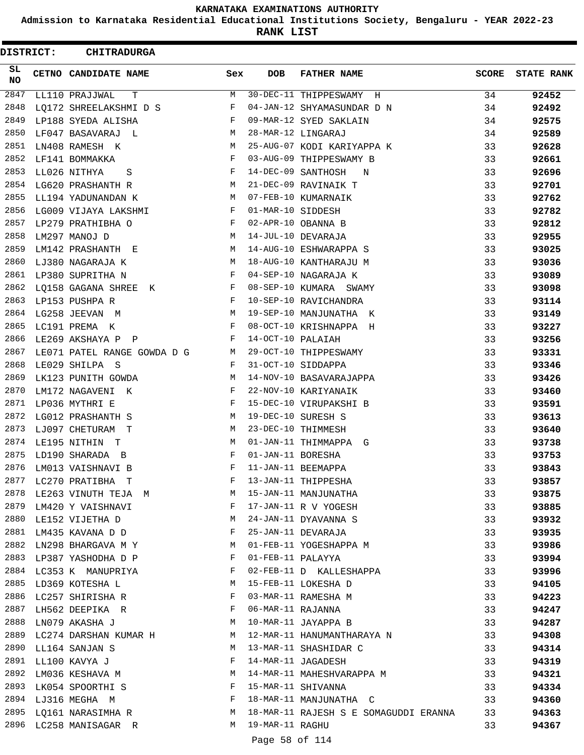**Admission to Karnataka Residential Educational Institutions Society, Bengaluru - YEAR 2022-23**

**RANK LIST**

ı

 $\blacksquare$ 

| DISTRICT:  | <b>CHITRADURGA</b>          |              |                   |                                          |              |                   |
|------------|-----------------------------|--------------|-------------------|------------------------------------------|--------------|-------------------|
| SL.<br>NO. | CETNO CANDIDATE NAME        | Sex          | <b>DOB</b>        | <b>FATHER NAME</b>                       | <b>SCORE</b> | <b>STATE RANK</b> |
| 2847       | LL110 PRAJJWAL<br>т         | М            |                   | 30-DEC-11 THIPPESWAMY H                  | 34           | 92452             |
| 2848       | LQ172 SHREELAKSHMI D S      | F            |                   | 04-JAN-12 SHYAMASUNDAR D N               | 34           | 92492             |
| 2849       | LP188 SYEDA ALISHA          | F            |                   | 09-MAR-12 SYED SAKLAIN                   | 34           | 92575             |
| 2850       | LF047 BASAVARAJ L           | М            |                   | 28-MAR-12 LINGARAJ                       | 34           | 92589             |
| 2851       | LN408 RAMESH K              | М            |                   | 25-AUG-07 KODI KARIYAPPA K               | 33           | 92628             |
| 2852       | LF141 BOMMAKKA              | F            |                   | 03-AUG-09 THIPPESWAMY B                  | 33           | 92661             |
| 2853       | LL026 NITHYA<br>S           | F            |                   | 14-DEC-09 SANTHOSH<br>N                  | 33           | 92696             |
| 2854       | LG620 PRASHANTH R           | М            |                   | 21-DEC-09 RAVINAIK T                     | 33           | 92701             |
| 2855       | LL194 YADUNANDAN K          | M            |                   | 07-FEB-10 KUMARNAIK                      | 33           | 92762             |
| 2856       | LG009 VIJAYA LAKSHMI        | F            | 01-MAR-10 SIDDESH |                                          | 33           | 92782             |
| 2857       | LP279 PRATHIBHA O           | F            |                   | 02-APR-10 OBANNA B                       | 33           | 92812             |
| 2858       | LM297 MANOJ D               | М            |                   | 14-JUL-10 DEVARAJA                       | 33           | 92955             |
| 2859       | LM142 PRASHANTH E           | М            |                   | 14-AUG-10 ESHWARAPPA S                   | 33           | 93025             |
| 2860       | LJ380 NAGARAJA K            | М            |                   | 18-AUG-10 KANTHARAJU M                   | 33           | 93036             |
| 2861       | LP380 SUPRITHA N            | F            |                   | 04-SEP-10 NAGARAJA K                     | 33           | 93089             |
| 2862       | LQ158 GAGANA SHREE K        | F            |                   | 08-SEP-10 KUMARA SWAMY                   | 33           | 93098             |
| 2863       | LP153 PUSHPA R              | F            |                   | 10-SEP-10 RAVICHANDRA                    | 33           | 93114             |
| 2864       | LG258 JEEVAN M              | М            |                   | 19-SEP-10 MANJUNATHA K                   | 33           | 93149             |
| 2865       | LC191 PREMA K               | F            |                   | 08-OCT-10 KRISHNAPPA H                   | 33           | 93227             |
| 2866       | LE269 AKSHAYA P P           | F            | 14-OCT-10 PALAIAH |                                          | 33           | 93256             |
| 2867       | LE071 PATEL RANGE GOWDA D G | M            |                   | 29-OCT-10 THIPPESWAMY                    | 33           | 93331             |
| 2868       | LE029 SHILPA S              | F            |                   | 31-OCT-10 SIDDAPPA                       | 33           | 93346             |
| 2869       | LK123 PUNITH GOWDA          | М            |                   | 14-NOV-10 BASAVARAJAPPA                  | 33           | 93426             |
| 2870       | LM172 NAGAVENI K            | F            |                   | 22-NOV-10 KARIYANAIK                     | 33           | 93460             |
| 2871       | LP036 MYTHRI E              | F            |                   | 15-DEC-10 VIRUPAKSHI B                   | 33           | 93591             |
| 2872       | LG012 PRASHANTH S           | М            |                   | 19-DEC-10 SURESH S                       | 33           | 93613             |
| 2873       | LJ097 CHETURAM T            | М            |                   | 23-DEC-10 THIMMESH                       | 33           | 93640             |
| 2874       | LE195 NITHIN T              | М            |                   | 01-JAN-11 THIMMAPPA G                    | 33           | 93738             |
| 2875       | LD190 SHARADA B             | F            | 01-JAN-11 BORESHA |                                          | 33           | 93753             |
| 2876       | LM013 VAISHNAVI B           | F            |                   | 11-JAN-11 BEEMAPPA                       | 33           | 93843             |
| 2877       | LC270 PRATIBHA T            | F            |                   | 13-JAN-11 THIPPESHA                      | 33           | 93857             |
|            | 2878 LE263 VINUTH TEJA M    | M            |                   | 15-JAN-11 MANJUNATHA                     | 33           | 93875             |
| 2879       | LM420 Y VAISHNAVI           | F            |                   | 17-JAN-11 R V YOGESH                     | 33           | 93885             |
|            | 2880 LE152 VIJETHA D        | M            |                   | 24-JAN-11 DYAVANNA S                     | 33           | 93932             |
| 2881       | LM435 KAVANA D D            | $\mathbf{F}$ |                   | 25-JAN-11 DEVARAJA                       | 33           | 93935             |
| 2882       | LN298 BHARGAVA M Y          | М            |                   | 01-FEB-11 YOGESHAPPA M                   | 33           | 93986             |
| 2883       | LP387 YASHODHA D P          | F            |                   | 01-FEB-11 PALAYYA                        | 33           | 93994             |
|            | 2884 LC353 K MANUPRIYA      | F            |                   | 02-FEB-11 D KALLESHAPPA                  | 33           | 93996             |
|            | 2885 LD369 KOTESHA L        | M            |                   | 15-FEB-11 LOKESHA D                      | 33           | 94105             |
|            | 2886 LC257 SHIRISHA R       | F            |                   | 03-MAR-11 RAMESHA M                      | 33           | 94223             |
| 2887       | LH562 DEEPIKA R             | F            | 06-MAR-11 RAJANNA |                                          | 33           | 94247             |
|            | 2888 LN079 AKASHA J         | M            |                   | 10-MAR-11 JAYAPPA B                      | 33           | 94287             |
|            | 2889 LC274 DARSHAN KUMAR H  | M            |                   | 12-MAR-11 HANUMANTHARAYA N               | 33           | 94308             |
| 2890       | LL164 SANJAN S              | М            |                   | 13-MAR-11 SHASHIDAR C                    | 33           | 94314             |
| 2891       | LL100 KAVYA J               | F            |                   | 14-MAR-11 JAGADESH                       | 33           | 94319             |
|            | 2892 LM036 KESHAVA M        | М            |                   | 14-MAR-11 MAHESHVARAPPA M                | 33           | 94321             |
|            | 2893 LK054 SPOORTHI S       | F            |                   | 15-MAR-11 SHIVANNA                       | 33           | 94334             |
|            | 2894 LJ316 MEGHA M          | F            |                   | 18-MAR-11 MANJUNATHA C                   | 33           | 94360             |
|            | 2895 LQ161 NARASIMHA R M    |              |                   | 18-MAR-11 RAJESH S E SOMAGUDDI ERANNA 33 |              | 94363             |
|            | 2896 LC258 MANISAGAR R      |              | M 19-MAR-11 RAGHU |                                          | 33           | 94367             |
|            |                             |              |                   |                                          |              |                   |

Page 58 of 114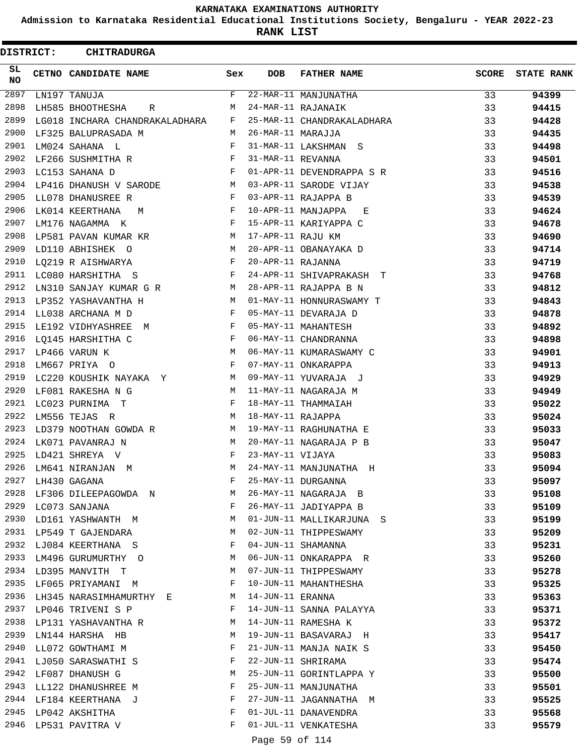**Admission to Karnataka Residential Educational Institutions Society, Bengaluru - YEAR 2022-23**

**RANK LIST**

 $\blacksquare$ 

| <b>DISTRICT:</b> | <b>CHITRADURGA</b>                       |              |                   |                            |       |                   |
|------------------|------------------------------------------|--------------|-------------------|----------------------------|-------|-------------------|
| SL.<br>NO.       | CETNO CANDIDATE NAME                     | Sex          | <b>DOB</b>        | <b>FATHER NAME</b>         | SCORE | <b>STATE RANK</b> |
| 2897             | LN197 TANUJA                             | F            |                   | 22-MAR-11 MANJUNATHA       | 33    | 94399             |
| 2898             | LH585 BHOOTHESHA<br>R                    | М            |                   | 24-MAR-11 RAJANAIK         | 33    | 94415             |
| 2899             | LG018 INCHARA CHANDRAKALADHARA           | F            |                   | 25-MAR-11 CHANDRAKALADHARA | 33    | 94428             |
| 2900             | LF325 BALUPRASADA M                      | M            | 26-MAR-11 MARAJJA |                            | 33    | 94435             |
| 2901             | LM024 SAHANA L                           | F            |                   | 31-MAR-11 LAKSHMAN S       | 33    | 94498             |
| 2902             | LF266 SUSHMITHA R                        | $\mathbf{F}$ | 31-MAR-11 REVANNA |                            | 33    | 94501             |
| 2903             | LC153 SAHANA D                           | F            |                   | 01-APR-11 DEVENDRAPPA S R  | 33    | 94516             |
| 2904             | LP416 DHANUSH V SARODE M                 |              |                   | 03-APR-11 SARODE VIJAY     | 33    | 94538             |
| 2905             | LL078 DHANUSREE R                        | $\mathbf{F}$ |                   | 03-APR-11 RAJAPPA B        | 33    | 94539             |
| 2906             | LK014 KEERTHANA<br>M                     | $\mathbf{F}$ |                   | 10-APR-11 MANJAPPA<br>Е    | 33    | 94624             |
| 2907             | LM176 NAGAMMA K                          | F            |                   | 15-APR-11 KARIYAPPA C      | 33    | 94678             |
| 2908             | LP581 PAVAN KUMAR KR<br><b>M</b>         |              | 17-APR-11 RAJU KM |                            | 33    | 94690             |
| 2909             | LD110 ABHISHEK O<br><b>M</b>             |              |                   | 20-APR-11 OBANAYAKA D      | 33    | 94714             |
| 2910             | LQ219 R AISHWARYA                        | $\mathbf{F}$ | 20-APR-11 RAJANNA |                            | 33    | 94719             |
| 2911             | LC080 HARSHITHA S                        | F            |                   | 24-APR-11 SHIVAPRAKASH T   | 33    | 94768             |
| 2912             | LN310 SANJAY KUMAR G R<br><b>M</b>       |              |                   | 28-APR-11 RAJAPPA B N      | 33    | 94812             |
| 2913             | LP352 YASHAVANTHA H<br>$\mathbf{M}$      |              |                   | 01-MAY-11 HONNURASWAMY T   | 33    | 94843             |
| 2914             | LL038 ARCHANA M D                        | $\mathbf{F}$ |                   | 05-MAY-11 DEVARAJA D       | 33    | 94878             |
| 2915             | LE192 VIDHYASHREE M                      | F            |                   | 05-MAY-11 MAHANTESH        | 33    | 94892             |
| 2916             | LQ145 HARSHITHA C<br>$\mathbf{F}$        |              |                   | 06-MAY-11 CHANDRANNA       | 33    | 94898             |
| 2917             | M<br>LP466 VARUN K                       |              |                   | 06-MAY-11 KUMARASWAMY C    | 33    | 94901             |
| 2918             | LM667 PRIYA O                            | $\mathbf{F}$ |                   | 07-MAY-11 ONKARAPPA        | 33    | 94913             |
| 2919             | LC220 KOUSHIK NAYAKA Y<br>M <sub>1</sub> |              |                   | 09-MAY-11 YUVARAJA J       | 33    | 94929             |
| 2920             | LF081 RAKESHA N G                        | M            |                   | 11-MAY-11 NAGARAJA M       | 33    | 94949             |
| 2921             | LC023 PURNIMA T                          | F            |                   | 18-MAY-11 THAMMAIAH        | 33    | 95022             |
| 2922             | LM556 TEJAS R                            | M            | 18-MAY-11 RAJAPPA |                            | 33    | 95024             |
| 2923             | LD379 NOOTHAN GOWDA R M                  |              |                   | 19-MAY-11 RAGHUNATHA E     | 33    | 95033             |
| 2924             | LK071 PAVANRAJ N                         | M            |                   | 20-MAY-11 NAGARAJA P B     | 33    | 95047             |
| 2925             | LD421 SHREYA V                           | F            | 23-MAY-11 VIJAYA  |                            | 33    | 95083             |
| 2926             | LM641 NIRANJAN M                         | M            |                   | 24-MAY-11 MANJUNATHA H     | 33    | 95094             |
| 2927             | LH430 GAGANA                             | F            |                   | 25-MAY-11 DURGANNA         | 33    | 95097             |
| 2928             | LF306 DILEEPAGOWDA N                     | М            |                   | 26-MAY-11 NAGARAJA B       | 33    | 95108             |
| 2929             | LC073 SANJANA                            | F            |                   | 26-MAY-11 JADIYAPPA B      | 33    | 95109             |
| 2930             | LD161 YASHWANTH M                        | М            |                   | 01-JUN-11 MALLIKARJUNA S   | 33    | 95199             |
| 2931             | LP549 T GAJENDARA                        | М            |                   | 02-JUN-11 THIPPESWAMY      | 33    | 95209             |
| 2932             | LJ084 KEERTHANA S                        | F            |                   | 04-JUN-11 SHAMANNA         | 33    | 95231             |
| 2933             | LM496 GURUMURTHY O                       | М            |                   | 06-JUN-11 ONKARAPPA R      | 33    | 95260             |
| 2934             | LD395 MANVITH T                          | М            |                   | 07-JUN-11 THIPPESWAMY      | 33    | 95278             |
| 2935             | LF065 PRIYAMANI M                        | F            |                   | 10-JUN-11 MAHANTHESHA      | 33    | 95325             |
| 2936             | LH345 NARASIMHAMURTHY E                  | M            | 14-JUN-11 ERANNA  |                            | 33    | 95363             |
| 2937             | LP046 TRIVENI S P                        | F            |                   | 14-JUN-11 SANNA PALAYYA    | 33    | 95371             |
| 2938             | LP131 YASHAVANTHA R                      | М            |                   | 14-JUN-11 RAMESHA K        | 33    | 95372             |
| 2939             | LN144 HARSHA HB                          | М            |                   | 19-JUN-11 BASAVARAJ H      | 33    | 95417             |
| 2940             | LL072 GOWTHAMI M                         | F            |                   | 21-JUN-11 MANJA NAIK S     | 33    | 95450             |
| 2941             | LJ050 SARASWATHI S                       | F            |                   | 22-JUN-11 SHRIRAMA         | 33    | 95474             |
| 2942             | LF087 DHANUSH G                          | М            |                   | 25-JUN-11 GORINTLAPPA Y    | 33    | 95500             |
| 2943             | LL122 DHANUSHREE M                       | F            |                   | 25-JUN-11 MANJUNATHA       | 33    | 95501             |
| 2944             | LF184 KEERTHANA J                        | F            |                   | 27-JUN-11 JAGANNATHA M     | 33    | 95525             |
| 2945             | LP042 AKSHITHA                           | F            |                   | 01-JUL-11 DANAVENDRA       | 33    | 95568             |
| 2946             | LP531 PAVITRA V                          | F            |                   | 01-JUL-11 VENKATESHA       | 33    | 95579             |
|                  |                                          |              |                   |                            |       |                   |

Page 59 of 114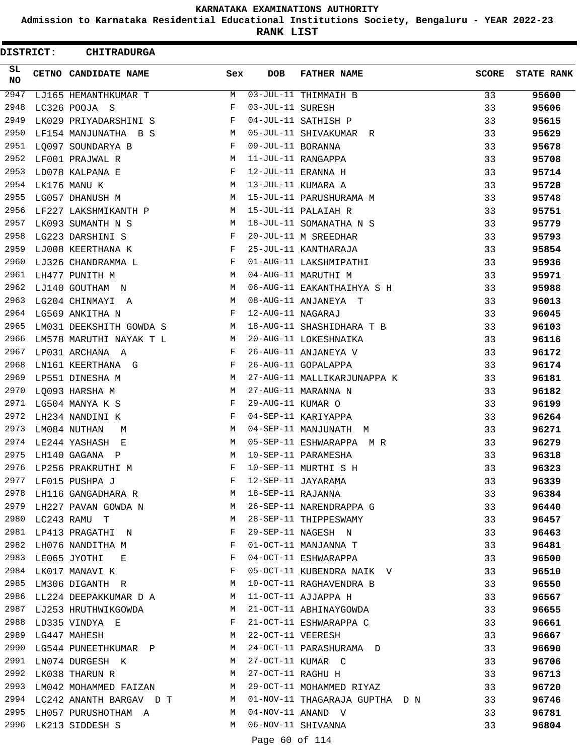**Admission to Karnataka Residential Educational Institutions Society, Bengaluru - YEAR 2022-23**

**RANK LIST**

| DISTRICT: | <b>CHITRADURGA</b>             |              |                   |                                |              |                   |
|-----------|--------------------------------|--------------|-------------------|--------------------------------|--------------|-------------------|
| SL<br>NO  | CETNO CANDIDATE NAME           | Sex          | <b>DOB</b>        | <b>FATHER NAME</b>             | <b>SCORE</b> | <b>STATE RANK</b> |
| 2947      | LJ165 HEMANTHKUMAR T           | М            |                   | 03-JUL-11 THIMMAIH B           | 33           | 95600             |
| 2948      | LC326 POOJA S                  | F            | 03-JUL-11 SURESH  |                                | 33           | 95606             |
| 2949      | LK029 PRIYADARSHINI S          | F            |                   | 04-JUL-11 SATHISH P            | 33           | 95615             |
| 2950      | LF154 MANJUNATHA B S           | М            |                   | 05-JUL-11 SHIVAKUMAR R         | 33           | 95629             |
| 2951      | LO097 SOUNDARYA B              | F            | 09-JUL-11 BORANNA |                                | 33           | 95678             |
| 2952      | LF001 PRAJWAL R                | М            |                   | 11-JUL-11 RANGAPPA             | 33           | 95708             |
| 2953      | LD078 KALPANA E                | F            |                   | 12-JUL-11 ERANNA H             | 33           | 95714             |
| 2954      | LK176 MANU K                   | М            |                   | 13-JUL-11 KUMARA A             | 33           | 95728             |
| 2955      | LG057 DHANUSH M                | М            |                   | 15-JUL-11 PARUSHURAMA M        | 33           | 95748             |
| 2956      | LF227 LAKSHMIKANTH P           | М            |                   | 15-JUL-11 PALAIAH R            | 33           | 95751             |
| 2957      | LK093 SUMANTH N S              | М            |                   | 18-JUL-11 SOMANATHA N S        | 33           | 95779             |
| 2958      | LG223 DARSHINI S               | F            |                   | 20-JUL-11 M SREEDHAR           | 33           | 95793             |
| 2959      | LJ008 KEERTHANA K              | F            |                   | 25-JUL-11 KANTHARAJA           | 33           | 95854             |
| 2960      | LJ326 CHANDRAMMA L             | F            |                   | 01-AUG-11 LAKSHMIPATHI         | 33           | 95936             |
| 2961      | LH477 PUNITH M                 | М            |                   | 04-AUG-11 MARUTHI M            | 33           | 95971             |
| 2962      | LJ140 GOUTHAM N                | М            |                   | 06-AUG-11 EAKANTHAIHYA S H     | 33           | 95988             |
| 2963      | LG204 CHINMAYI A               | М            |                   | 08-AUG-11 ANJANEYA T           | 33           | 96013             |
| 2964      | LG569 ANKITHA N                | F            | 12-AUG-11 NAGARAJ |                                | 33           | 96045             |
| 2965      | LM031 DEEKSHITH GOWDA S        | M            |                   | 18-AUG-11 SHASHIDHARA T B      | 33           | 96103             |
| 2966      | LM578 MARUTHI NAYAK T L        | М            |                   | 20-AUG-11 LOKESHNAIKA          | 33           | 96116             |
| 2967      | LP031 ARCHANA<br>A             | F            |                   | 26-AUG-11 ANJANEYA V           | 33           | 96172             |
| 2968      | LN161 KEERTHANA G              | F            |                   | 26-AUG-11 GOPALAPPA            | 33           | 96174             |
| 2969      | LP551 DINESHA M                | М            |                   | 27-AUG-11 MALLIKARJUNAPPA K    | 33           | 96181             |
| 2970      | LQ093 HARSHA M                 | М            |                   | 27-AUG-11 MARANNA N            | 33           | 96182             |
| 2971      | LG504 MANYA K S                | F            | 29-AUG-11 KUMAR O |                                | 33           | 96199             |
| 2972      | LH234 NANDINI K                | F            |                   | 04-SEP-11 KARIYAPPA            | 33           | 96264             |
| 2973      | LM084 NUTHAN<br>M              | М            |                   | 04-SEP-11 MANJUNATH M          | 33           | 96271             |
| 2974      | LE244 YASHASH<br>E             | М            |                   | 05-SEP-11 ESHWARAPPA MR        | 33           | 96279             |
| 2975      | LH140 GAGANA P                 | М            |                   | 10-SEP-11 PARAMESHA            | 33           | 96318             |
| 2976      | LP256 PRAKRUTHI M              |              |                   | 10-SEP-11 MURTHI S H           | 33           | 96323             |
| 2977      | LF015 PUSHPA J                 | F            |                   | 12-SEP-11 JAYARAMA             | 33           | 96339             |
| 2978      | LH116 GANGADHARA R             | М            | 18-SEP-11 RAJANNA |                                | 33           | 96384             |
| 2979      | LH227 PAVAN GOWDA N            | M            |                   | 26-SEP-11 NARENDRAPPA G        | 33           | 96440             |
| 2980      | LC243 RAMU T                   | М            |                   | 28-SEP-11 THIPPESWAMY          | 33           | 96457             |
| 2981      | LP413 PRAGATHI N               | F            |                   | 29-SEP-11 NAGESH N             | 33           | 96463             |
| 2982      | LH076 NANDITHA M               | $\mathbf{F}$ |                   | 01-OCT-11 MANJANNA T           | 33           | 96481             |
| 2983      | LE065 JYOTHI<br>E              | F            |                   | 04-OCT-11 ESHWARAPPA           | 33           | 96500             |
| 2984      | LK017 MANAVI K                 | F            |                   | 05-OCT-11 KUBENDRA NAIK V      | 33           | 96510             |
| 2985      | LM306 DIGANTH R                | М            |                   | 10-OCT-11 RAGHAVENDRA B        | 33           | 96550             |
|           | 2986 LL224 DEEPAKKUMAR D A     | M            |                   | 11-OCT-11 AJJAPPA H            | 33           | 96567             |
|           | 2987 LJ253 HRUTHWIKGOWDA       | M            |                   | 21-OCT-11 ABHINAYGOWDA         | 33           | 96655             |
| 2988      | LD335 VINDYA E                 | F            |                   | 21-OCT-11 ESHWARAPPA C         | 33           | 96661             |
| 2989      | LG447 MAHESH                   | M            | 22-OCT-11 VEERESH |                                | 33           | 96667             |
|           | 2990 LG544 PUNEETHKUMAR P M    |              |                   | 24-OCT-11 PARASHURAMA D        | 33           | 96690             |
| 2991      | LN074 DURGESH K                | M            |                   | 27-OCT-11 KUMAR C              | 33           | 96706             |
| 2992      | LK038 THARUN R                 | М            | 27-OCT-11 RAGHU H |                                | 33           | 96713             |
| 2993      | LM042 MOHAMMED FAIZAN          | М            |                   | 29-OCT-11 MOHAMMED RIYAZ       | 33           | 96720             |
|           | 2994 LC242 ANANTH BARGAV D T M |              |                   | 01-NOV-11 THAGARAJA GUPTHA D N | 33           | 96746             |
|           | 2995 LH057 PURUSHOTHAM A       | M            |                   | 04-NOV-11 ANAND V              | 33           | 96781             |
| 2996      | LK213 SIDDESH S                | M            |                   | 06-NOV-11 SHIVANNA             | 33           | 96804             |
|           |                                |              | Page 60 of 114    |                                |              |                   |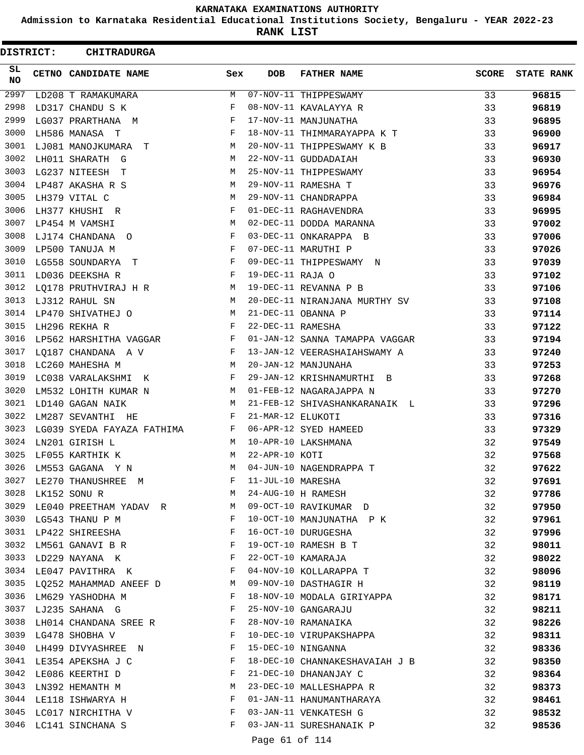**Admission to Karnataka Residential Educational Institutions Society, Bengaluru - YEAR 2022-23**

**RANK LIST**

| DISTRICT:    | <b>CHITRADURGA</b>                                                                |              |                   |                                               |              |                   |
|--------------|-----------------------------------------------------------------------------------|--------------|-------------------|-----------------------------------------------|--------------|-------------------|
| SL<br>NO.    | CETNO CANDIDATE NAME                                                              | Sex          | <b>DOB</b>        | <b>FATHER NAME</b>                            | <b>SCORE</b> | <b>STATE RANK</b> |
| 2997         | LD208 T RAMAKUMARA                                                                | M            |                   | 07-NOV-11 THIPPESWAMY                         | 33           | 96815             |
| 2998         | LD317 CHANDU S K                                                                  | F            |                   | 08-NOV-11 KAVALAYYA R                         | 33           | 96819             |
| 2999         | LG037 PRARTHANA M                                                                 | F            |                   | 17-NOV-11 MANJUNATHA                          | 33           | 96895             |
| 3000         | LH586 MANASA T                                                                    | F            |                   | 18-NOV-11 THIMMARAYAPPA K T                   | 33           | 96900             |
| 3001         | LJ081 MANOJKUMARA T                                                               | М            |                   | 20-NOV-11 THIPPESWAMY K B                     | 33           | 96917             |
| 3002         | LH011 SHARATH G                                                                   | М            |                   | 22-NOV-11 GUDDADAIAH                          | 33           | 96930             |
| 3003         | LG237 NITEESH<br>$\mathbf{T}$                                                     | M            |                   | 25-NOV-11 THIPPESWAMY                         | 33           | 96954             |
| 3004         | LP487 AKASHA R S                                                                  | М            |                   | 29-NOV-11 RAMESHA T                           | 33           | 96976             |
| 3005         | LH379 VITAL C                                                                     | М            |                   | 29-NOV-11 CHANDRAPPA                          | 33           | 96984             |
| 3006         | LH377 KHUSHI R                                                                    | F            |                   | 01-DEC-11 RAGHAVENDRA                         | 33           | 96995             |
| 3007         | LP454 M VAMSHI                                                                    | M            |                   | 02-DEC-11 DODDA MARANNA                       | 33           | 97002             |
| 3008         | LJ174 CHANDANA O                                                                  | F            |                   | 03-DEC-11 ONKARAPPA B                         | 33           | 97006             |
| 3009         | LP500 TANUJA M                                                                    | F            |                   | 07-DEC-11 MARUTHI P                           | 33           | 97026             |
| 3010         | LG558 SOUNDARYA<br>$\mathbf{T}$                                                   | $_{\rm F}$   |                   | 09-DEC-11 THIPPESWAMY N                       | 33           | 97039             |
| 3011         | LD036 DEEKSHA R                                                                   | F            | 19-DEC-11 RAJA O  |                                               | 33           | 97102             |
| 3012         | LQ178 PRUTHVIRAJ H R                                                              | M            |                   | 19-DEC-11 REVANNA P B                         | 33           | 97106             |
| 3013         | LJ312 RAHUL SN                                                                    | М            |                   | 20-DEC-11 NIRANJANA MURTHY SV                 | 33           | 97108             |
| 3014         | LP470 SHIVATHEJ O                                                                 | М            |                   | 21-DEC-11 OBANNA P                            | 33           | 97114             |
| 3015         | LH296 REKHA R                                                                     | F            | 22-DEC-11 RAMESHA |                                               | 33           | 97122             |
| 3016         | LP562 HARSHITHA VAGGAR                                                            | F            |                   | 01-JAN-12 SANNA TAMAPPA VAGGAR                | 33           | 97194             |
| 3017         | LQ187 CHANDANA A V                                                                | F            |                   | 13-JAN-12 VEERASHAIAHSWAMY A                  | 33           | 97240             |
| 3018         | LC260 MAHESHA M                                                                   | М            |                   | 20-JAN-12 MANJUNAHA                           | 33           | 97253             |
| 3019         | LC038 VARALAKSHMI K                                                               | F            |                   | 29-JAN-12 KRISHNAMURTHI B                     | 33           | 97268             |
| 3020         | LM532 LOHITH KUMAR N                                                              | М            |                   | 01-FEB-12 NAGARAJAPPA N                       | 33           | 97270             |
| 3021         | LD140 GAGAN NAIK                                                                  | М            |                   | 21-FEB-12 SHIVASHANKARANAIK L                 | 33           | 97296             |
| 3022         | LM287 SEVANTHI HE                                                                 | F            | 21-MAR-12 ELUKOTI |                                               | 33           | 97316             |
| 3023         | LG039 SYEDA FAYAZA FATHIMA                                                        | F            |                   | 06-APR-12 SYED HAMEED                         | 33           | 97329             |
| 3024         | LN201 GIRISH L                                                                    | M            |                   | 10-APR-10 LAKSHMANA                           | 32           | 97549             |
| 3025         | LF055 KARTHIK K                                                                   | М            | 22-APR-10 KOTI    |                                               | 32           | 97568             |
| 3026         | LM553 GAGANA Y N                                                                  | M            |                   | 04-JUN-10 NAGENDRAPPA T                       | 32           | 97622             |
| 3027         | LE270 THANUSHREE M                                                                | F            | 11-JUL-10 MARESHA |                                               | 32           | 97691             |
| 3028         | LK152 SONU R                                                                      | M            |                   | 24-AUG-10 H RAMESH                            | 32           | 97786             |
| 3029         | LE040 PREETHAM YADAV R M                                                          |              |                   | 09-OCT-10 RAVIKUMAR D                         | 32           | 97950             |
|              | 3030 LG543 THANU P M                                                              | $\mathbf{F}$ |                   | 10-OCT-10 MANJUNATHA P K                      | 32           | 97961             |
|              | 3031 LP422 SHIREESHA                                                              | F            |                   | 16-OCT-10 DURUGESHA                           | 32           | 97996             |
| 3032         | $\mathbf{F}$ and the contract of the contract of $\mathbf{F}$<br>LM561 GANAVI B R |              |                   | 19-OCT-10 RAMESH B T                          | 32           | 98011             |
| 3033         | LD229 NAYANA K                                                                    | F            |                   | 22-OCT-10 KAMARAJA                            | 32           | 98022             |
|              | $\mathbf{F}$<br>3034 LE047 PAVITHRA K                                             |              |                   | 04-NOV-10 KOLLARAPPA T                        | 32           | 98096             |
|              | 3035 LQ252 MAHAMMAD ANEEF D M                                                     |              |                   | 09-NOV-10 DASTHAGIR H                         | 32           | 98119             |
|              | 3036 LM629 YASHODHA M                                                             | $\mathbf{F}$ |                   | 18-NOV-10 MODALA GIRIYAPPA                    | 32           |                   |
|              | 3037 LJ235 SAHANA G<br>$\mathbf{F}$ and $\mathbf{F}$ and $\mathbf{F}$             |              |                   | 25-NOV-10 GANGARAJU                           | 32           | 98171             |
|              |                                                                                   |              |                   | 28-NOV-10 RAMANAIKA                           | 32           | 98211<br>98226    |
|              | 3038 LH014 CHANDANA SREE R F                                                      | F            |                   |                                               |              |                   |
| 3039<br>3040 | LG478 SHOBHA V<br>LH499 DIVYASHREE N                                              | F            |                   | 10-DEC-10 VIRUPAKSHAPPA<br>15-DEC-10 NINGANNA | 32           | 98311             |
|              |                                                                                   |              |                   |                                               | 32           | 98336             |
| 3041         | LE354 APEKSHA J C                                                                 | F            |                   | 18-DEC-10 CHANNAKESHAVAIAH J B                | 32           | 98350             |
| 3042         | LE086 KEERTHI D                                                                   | F            |                   | 21-DEC-10 DHANANJAY C                         | 32           | 98364             |
| 3043         | LN392 HEMANTH M                                                                   | М            |                   | 23-DEC-10 MALLESHAPPA R                       | 32           | 98373             |
|              | 3044 LE118 ISHWARYA H                                                             | F            |                   | 01-JAN-11 HANUMANTHARAYA                      | 32           | 98461             |
|              | 3045 LC017 NIRCHITHA V                                                            | $\mathbf{F}$ |                   | 03-JAN-11 VENKATESH G                         | 32           | 98532             |
|              | 3046 LC141 SINCHANA S                                                             | F            |                   | 03-JAN-11 SURESHANAIK P                       | 32           | 98536             |
|              |                                                                                   |              | Page 61 of 114    |                                               |              |                   |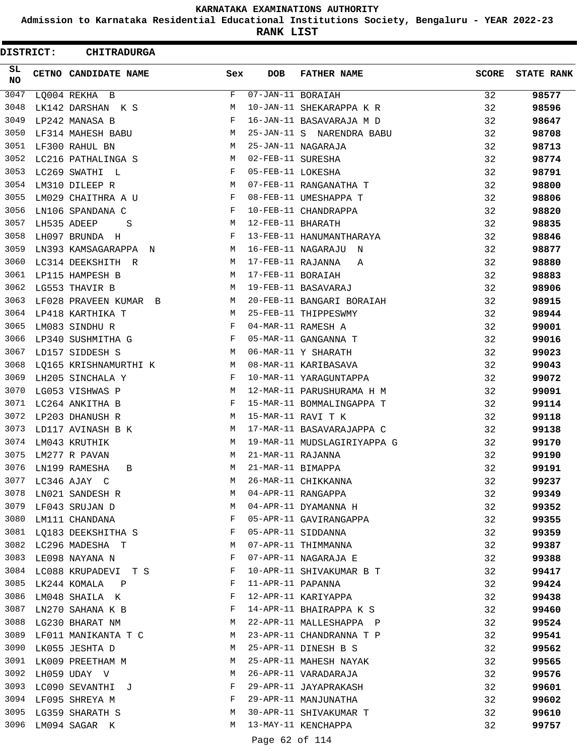**Admission to Karnataka Residential Educational Institutions Society, Bengaluru - YEAR 2022-23**

**RANK LIST**

| DISTRICT:        | <b>CHITRADURGA</b>       |     |                   |                             |              |                   |
|------------------|--------------------------|-----|-------------------|-----------------------------|--------------|-------------------|
| SL.<br><b>NO</b> | CETNO CANDIDATE NAME     | Sex | <b>DOB</b>        | <b>FATHER NAME</b>          | <b>SCORE</b> | <b>STATE RANK</b> |
| 3047             | LQ004 REKHA B            | F   | 07-JAN-11 BORAIAH |                             | 32           | 98577             |
| 3048             | LK142 DARSHAN K S        | М   |                   | 10-JAN-11 SHEKARAPPA K R    | 32           | 98596             |
| 3049             | LP242 MANASA B           | F   |                   | 16-JAN-11 BASAVARAJA M D    | 32           | 98647             |
| 3050             | LF314 MAHESH BABU        | М   |                   | 25-JAN-11 S NARENDRA BABU   | 32           | 98708             |
| 3051             | LF300 RAHUL BN           | M   |                   | 25-JAN-11 NAGARAJA          | 32           | 98713             |
| 3052             | LC216 PATHALINGA S       | М   | 02-FEB-11 SURESHA |                             | 32           | 98774             |
| 3053             | LC269 SWATHI L           | F   | 05-FEB-11 LOKESHA |                             | 32           | 98791             |
| 3054             | LM310 DILEEP R           | M   |                   | 07-FEB-11 RANGANATHA T      | 32           | 98800             |
| 3055             | LM029 CHAITHRA A U       | F   |                   | 08-FEB-11 UMESHAPPA T       | 32           | 98806             |
| 3056             | LN106 SPANDANA C         | F   |                   | 10-FEB-11 CHANDRAPPA        | 32           | 98820             |
| 3057             | LH535 ADEEP<br>S         | M   | 12-FEB-11 BHARATH |                             | 32           | 98835             |
| 3058             | LH097 BRUNDA H           | F   |                   | 13-FEB-11 HANUMANTHARAYA    | 32           | 98846             |
| 3059             | LN393 KAMSAGARAPPA N     | M   |                   | 16-FEB-11 NAGARAJU N        | 32           | 98877             |
| 3060             | LC314 DEEKSHITH R        | М   | 17-FEB-11 RAJANNA | Α                           | 32           | 98880             |
| 3061             | LP115 HAMPESH B          | M   | 17-FEB-11 BORAIAH |                             | 32           | 98883             |
| 3062             | LG553 THAVIR B           | М   |                   | 19-FEB-11 BASAVARAJ         | 32           | 98906             |
| 3063             | LF028 PRAVEEN KUMAR B    | М   |                   | 20-FEB-11 BANGARI BORAIAH   | 32           | 98915             |
| 3064             | LP418 KARTHIKA T         | M   |                   | 25-FEB-11 THIPPESWMY        | 32           | 98944             |
| 3065             | LM083 SINDHU R           | F   |                   | 04-MAR-11 RAMESH A          | 32           | 99001             |
| 3066             | LP340 SUSHMITHA G        | F   |                   | 05-MAR-11 GANGANNA T        | 32           | 99016             |
| 3067             | LD157 SIDDESH S          | M   |                   | 06-MAR-11 Y SHARATH         | 32           | 99023             |
| 3068             | LQ165 KRISHNAMURTHI K    | M   |                   | 08-MAR-11 KARIBASAVA        | 32           | 99043             |
| 3069             | LH205 SINCHALA Y         | F   |                   | 10-MAR-11 YARAGUNTAPPA      | 32           | 99072             |
| 3070             | LG053 VISHWAS P          | М   |                   | 12-MAR-11 PARUSHURAMA H M   | 32           | 99091             |
| 3071             | LC264 ANKITHA B          | F   |                   | 15-MAR-11 BOMMALINGAPPA T   | 32           | 99114             |
| 3072             | LP203 DHANUSH R          | М   |                   | 15-MAR-11 RAVI T K          | 32           | 99118             |
| 3073             | LD117 AVINASH B K        | M   |                   | 17-MAR-11 BASAVARAJAPPA C   | 32           | 99138             |
| 3074             | LM043 KRUTHIK            | М   |                   | 19-MAR-11 MUDSLAGIRIYAPPA G | 32           | 99170             |
| 3075             | LM277 R PAVAN            | М   | 21-MAR-11 RAJANNA |                             | 32           | 99190             |
| 3076             | LN199 RAMESHA<br>B       | M   | 21-MAR-11 BIMAPPA |                             | 32           | 99191             |
| 3077             | LC346 AJAY C             | М   |                   | 26-MAR-11 CHIKKANNA         | 32           | 99237             |
| 3078             | LN021 SANDESH R          | М   |                   | 04-APR-11 RANGAPPA          | 32           | 99349             |
| 3079             | LF043 SRUJAN D           | М   |                   | 04-APR-11 DYAMANNA H        | 32           | 99352             |
|                  | 3080 LM111 CHANDANA      | F   |                   | 05-APR-11 GAVIRANGAPPA      | 32           | 99355             |
|                  | 3081 LQ183 DEEKSHITHA S  | F   |                   | 05-APR-11 SIDDANNA          | 32           | 99359             |
| 3082             | LC296 MADESHA T          | M   |                   | 07-APR-11 THIMMANNA         | 32           | 99387             |
| 3083             | LE098 NAYANA N           | F   |                   | 07-APR-11 NAGARAJA E        | 32           | 99388             |
|                  | 3084 LC088 KRUPADEVI T S | F   |                   | 10-APR-11 SHIVAKUMAR B T    | 32           | 99417             |
| 3085             | LK244 KOMALA P           | F   | 11-APR-11 PAPANNA |                             | 32           | 99424             |
| 3086             | LM048 SHAILA K           | F   |                   | 12-APR-11 KARIYAPPA         | 32           | 99438             |
| 3087             | LN270 SAHANA K B         | F   |                   | 14-APR-11 BHAIRAPPA K S     | 32           | 99460             |
|                  | 3088 LG230 BHARAT NM     | M   |                   | 22-APR-11 MALLESHAPPA P     | 32           | 99524             |
| 3089             | LF011 MANIKANTA T C      | M   |                   | 23-APR-11 CHANDRANNA T P    | 32           | 99541             |
| 3090             | LK055 JESHTA D           | М   |                   | 25-APR-11 DINESH B S        | 32           | 99562             |
| 3091             | LK009 PREETHAM M         | М   |                   | 25-APR-11 MAHESH NAYAK      | 32           | 99565             |
| 3092             | LH059 UDAY V             | M   |                   | 26-APR-11 VARADARAJA        | 32           | 99576             |
| 3093             | LC090 SEVANTHI J         | F   |                   | 29-APR-11 JAYAPRAKASH       | 32           | 99601             |
| 3094             | LF095 SHREYA M           | F   |                   | 29-APR-11 MANJUNATHA        | 32           | 99602             |
|                  | 3095 LG359 SHARATH S     | М   |                   | 30-APR-11 SHIVAKUMAR T      | 32           | 99610             |
|                  | 3096 LM094 SAGAR K       | M   |                   | 13-MAY-11 KENCHAPPA         | 32           | 99757             |
|                  |                          |     |                   |                             |              |                   |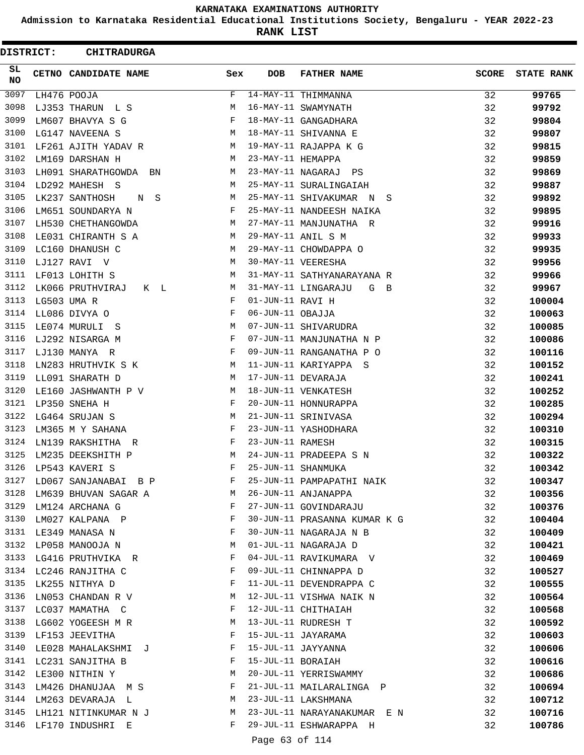**Admission to Karnataka Residential Educational Institutions Society, Bengaluru - YEAR 2022-23**

**RANK LIST**

ı

 $\blacksquare$ 

| <b>DISTRICT:</b> | <b>CHITRADURGA</b>      |     |                   |                              |              |                   |
|------------------|-------------------------|-----|-------------------|------------------------------|--------------|-------------------|
| SL<br><b>NO</b>  | CETNO CANDIDATE NAME    | Sex | <b>DOB</b>        | <b>FATHER NAME</b>           | <b>SCORE</b> | <b>STATE RANK</b> |
| 3097             | LH476 POOJA             | F   |                   | 14-MAY-11 THIMMANNA          | 32           | 99765             |
| 3098             | LJ353 THARUN L S        | М   |                   | 16-MAY-11 SWAMYNATH          | 32           | 99792             |
| 3099             | LM607 BHAVYA S G        | F   |                   | 18-MAY-11 GANGADHARA         | 32           | 99804             |
| 3100             | LG147 NAVEENA S         | M   |                   | 18-MAY-11 SHIVANNA E         | 32           | 99807             |
| 3101             | LF261 AJITH YADAV R     | M   |                   | 19-MAY-11 RAJAPPA K G        | 32           | 99815             |
| 3102             | LM169 DARSHAN H         | М   | 23-MAY-11 HEMAPPA |                              | 32           | 99859             |
| 3103             | LH091 SHARATHGOWDA BN   | М   |                   | 23-MAY-11 NAGARAJ PS         | 32           | 99869             |
| 3104             | LD292 MAHESH S          | М   |                   | 25-MAY-11 SURALINGAIAH       | 32           | 99887             |
| 3105             | LK237 SANTHOSH<br>N S   | М   |                   | 25-MAY-11 SHIVAKUMAR N S     | 32           | 99892             |
| 3106             | LM651 SOUNDARYA N       | F   |                   | 25-MAY-11 NANDEESH NAIKA     | 32           | 99895             |
| 3107             | LH530 CHETHANGOWDA      | M   |                   | 27-MAY-11 MANJUNATHA R       | 32           | 99916             |
| 3108             | LE031 CHIRANTH S A      | M   |                   | 29-MAY-11 ANIL S M           | 32           | 99933             |
| 3109             | LC160 DHANUSH C         | M   |                   | 29-MAY-11 CHOWDAPPA O        | 32           | 99935             |
| 3110             | LJ127 RAVI V            | М   |                   | 30-MAY-11 VEERESHA           | 32           | 99956             |
| 3111             | LF013 LOHITH S          | М   |                   | 31-MAY-11 SATHYANARAYANA R   | 32           | 99966             |
| 3112             | LK066 PRUTHVIRAJ<br>K L | М   |                   | 31-MAY-11 LINGARAJU<br>G B   | 32           | 99967             |
| 3113             | LG503 UMA R             | F   | 01-JUN-11 RAVI H  |                              | 32           | 100004            |
| 3114             | LL086 DIVYA O           | F   | 06-JUN-11 OBAJJA  |                              | 32           | 100063            |
| 3115             | LE074 MURULI S          | М   |                   | 07-JUN-11 SHIVARUDRA         | 32           | 100085            |
| 3116             | LJ292 NISARGA M         | F   |                   | 07-JUN-11 MANJUNATHA N P     | 32           | 100086            |
| 3117             | LJ130 MANYA R           | F   |                   | 09-JUN-11 RANGANATHA P O     | 32           | 100116            |
| 3118             | LN283 HRUTHVIK S K      | М   |                   | 11-JUN-11 KARIYAPPA S        | 32           | 100152            |
| 3119             | LL091 SHARATH D         | М   |                   | 17-JUN-11 DEVARAJA           | 32           | 100241            |
| 3120             | LE160 JASHWANTH P V     | М   |                   | 18-JUN-11 VENKATESH          | 32           | 100252            |
| 3121             | LP350 SNEHA H           | F   |                   | 20-JUN-11 HONNURAPPA         | 32           | 100285            |
| 3122             | LG464 SRUJAN S          | М   |                   | 21-JUN-11 SRINIVASA          | 32           | 100294            |
| 3123             | LM365 M Y SAHANA        | F   |                   | 23-JUN-11 YASHODHARA         | 32           | 100310            |
| 3124             | LN139 RAKSHITHA R       | F   | 23-JUN-11 RAMESH  |                              | 32           | 100315            |
| 3125             | LM235 DEEKSHITH P       | М   |                   | 24-JUN-11 PRADEEPA S N       | 32           | 100322            |
| 3126             | LP543 KAVERI S          | F   |                   | 25-JUN-11 SHANMUKA           | 32           | 100342            |
| 3127             | LD067 SANJANABAI B P    | F   |                   | 25-JUN-11 PAMPAPATHI NAIK    | 32           | 100347            |
| 3128             | LM639 BHUVAN SAGAR A    | M   |                   | 26-JUN-11 ANJANAPPA          | 32           | 100356            |
| 3129             | LM124 ARCHANA G         | F   |                   | 27-JUN-11 GOVINDARAJU        | 32           | 100376            |
| 3130             | LM027 KALPANA P         | F   |                   | 30-JUN-11 PRASANNA KUMAR K G | 32           | 100404            |
| 3131             | LE349 MANASA N          | F   |                   | 30-JUN-11 NAGARAJA N B       | 32           | 100409            |
| 3132             | LP058 MANOOJA N         | М   |                   | 01-JUL-11 NAGARAJA D         | 32           | 100421            |
| 3133             | LG416 PRUTHVIKA R       | F   |                   | 04-JUL-11 RAVIKUMARA V       | 32           | 100469            |
|                  | 3134 LC246 RANJITHA C   | F   |                   | 09-JUL-11 CHINNAPPA D        | 32           | 100527            |
| 3135             | LK255 NITHYA D          | F   |                   | 11-JUL-11 DEVENDRAPPA C      | 32           | 100555            |
| 3136             | LN053 CHANDAN R V       | M   |                   | 12-JUL-11 VISHWA NAIK N      | 32           | 100564            |
| 3137             | LC037 MAMATHA C         | F   |                   | 12-JUL-11 CHITHAIAH          | 32           | 100568            |
|                  | 3138 LG602 YOGEESH M R  | M   |                   | 13-JUL-11 RUDRESH T          | 32           | 100592            |
| 3139             | LF153 JEEVITHA          | F   |                   | 15-JUL-11 JAYARAMA           | 32           | 100603            |
| 3140             | LE028 MAHALAKSHMI J     | F   |                   | 15-JUL-11 JAYYANNA           | 32           | 100606            |
| 3141             | LC231 SANJITHA B        | F   | 15-JUL-11 BORAIAH |                              | 32           | 100616            |
| 3142             | LE300 NITHIN Y          | M   |                   | 20-JUL-11 YERRISWAMMY        | 32           | 100686            |
| 3143             | LM426 DHANUJAA M S      | F   |                   | 21-JUL-11 MAILARALINGA P     | 32           | 100694            |
| 3144             | LM263 DEVARAJA L        | M   |                   | 23-JUL-11 LAKSHMANA          | 32           | 100712            |
| 3145             | LH121 NITINKUMAR N J    | M   |                   | 23-JUL-11 NARAYANAKUMAR EN   | 32           | 100716            |
| 3146             | LF170 INDUSHRI E        | F   |                   | 29-JUL-11 ESHWARAPPA H       | 32           | 100786            |
|                  |                         |     |                   |                              |              |                   |

Page 63 of 114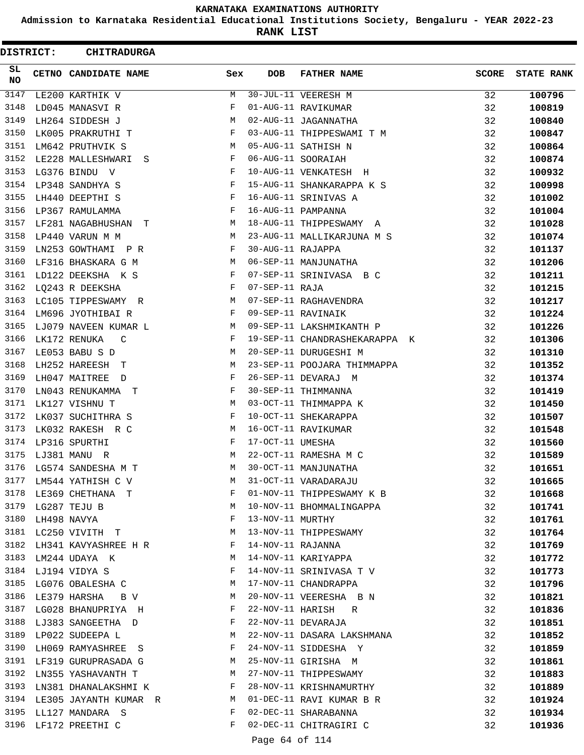**Admission to Karnataka Residential Educational Institutions Society, Bengaluru - YEAR 2022-23**

**RANK LIST**

ı

| DISTRICT:        |             | <b>CHITRADURGA</b>         |     |                   |                               |              |                   |
|------------------|-------------|----------------------------|-----|-------------------|-------------------------------|--------------|-------------------|
| SL.<br><b>NO</b> |             | CETNO CANDIDATE NAME       | Sex | <b>DOB</b>        | <b>FATHER NAME</b>            | <b>SCORE</b> | <b>STATE RANK</b> |
| 3147             |             | LE200 KARTHIK V            | M   |                   | 30-JUL-11 VEERESH M           | 32           | 100796            |
| 3148             |             | LD045 MANASVI R            | F   |                   | 01-AUG-11 RAVIKUMAR           | 32           | 100819            |
| 3149             |             | LH264 SIDDESH J            | М   |                   | 02-AUG-11 JAGANNATHA          | 32           | 100840            |
| 3150             |             | LK005 PRAKRUTHI T          | F   |                   | 03-AUG-11 THIPPESWAMI T M     | 32           | 100847            |
| 3151             |             | LM642 PRUTHVIK S           | M   |                   | 05-AUG-11 SATHISH N           | 32           | 100864            |
| 3152             |             | LE228 MALLESHWARI S        | F   |                   | 06-AUG-11 SOORAIAH            | 32           | 100874            |
| 3153             |             | LG376 BINDU V              | F   |                   | 10-AUG-11 VENKATESH H         | 32           | 100932            |
| 3154             |             | LP348 SANDHYA S            | F   |                   | 15-AUG-11 SHANKARAPPA K S     | 32           | 100998            |
| 3155             |             | LH440 DEEPTHI S            | F   |                   | 16-AUG-11 SRINIVAS A          | 32           | 101002            |
| 3156             |             | LP367 RAMULAMMA            | F   |                   | 16-AUG-11 PAMPANNA            | 32           | 101004            |
| 3157             |             | LF281 NAGABHUSHAN T        | M   |                   | 18-AUG-11 THIPPESWAMY A       | 32           | 101028            |
| 3158             |             | LP440 VARUN M M            | M   |                   | 23-AUG-11 MALLIKARJUNA M S    | 32           | 101074            |
| 3159             |             | LN253 GOWTHAMI P R         | F   | 30-AUG-11 RAJAPPA |                               | 32           | 101137            |
| 3160             |             | LF316 BHASKARA G M         | M   |                   | 06-SEP-11 MANJUNATHA          | 32           | 101206            |
| 3161             |             | LD122 DEEKSHA K S          | F   |                   | 07-SEP-11 SRINIVASA B C       | 32           | 101211            |
| 3162             |             | LQ243 R DEEKSHA            | F   | 07-SEP-11 RAJA    |                               | 32           | 101215            |
| 3163             |             | LC105 TIPPESWAMY R         | М   |                   | 07-SEP-11 RAGHAVENDRA         | 32           | 101217            |
| 3164             |             | LM696 JYOTHIBAI R          | F   |                   | 09-SEP-11 RAVINAIK            | 32           | 101224            |
| 3165             |             | LJ079 NAVEEN KUMAR L       | М   |                   | 09-SEP-11 LAKSHMIKANTH P      | 32           | 101226            |
| 3166             |             | LK172 RENUKA<br>C          | F   |                   | 19-SEP-11 CHANDRASHEKARAPPA K | 32           | 101306            |
| 3167             |             | LE053 BABU S D             | М   |                   | 20-SEP-11 DURUGESHI M         | 32           | 101310            |
| 3168             |             | LH252 HAREESH T            | M   |                   | 23-SEP-11 POOJARA THIMMAPPA   | 32           | 101352            |
| 3169             |             | LH047 MAITREE<br>$\Box$    | F   |                   | 26-SEP-11 DEVARAJ M           | 32           | 101374            |
| 3170             |             | LN043 RENUKAMMA T          | F   |                   | 30-SEP-11 THIMMANNA           | 32           | 101419            |
| 3171             |             | LK127 VISHNU T             | М   |                   | 03-OCT-11 THIMMAPPA K         | 32           | 101450            |
| 3172             |             | LK037 SUCHITHRA S          | F   |                   | 10-OCT-11 SHEKARAPPA          | 32           | 101507            |
| 3173             |             | LK032 RAKESH R C           | М   |                   | 16-OCT-11 RAVIKUMAR           | 32           | 101548            |
| 3174             |             | LP316 SPURTHI              | F   | 17-OCT-11 UMESHA  |                               | 32           | 101560            |
| 3175             |             | LJ381 MANU R               | M   |                   | 22-OCT-11 RAMESHA M C         | 32           | 101589            |
| 3176             |             | LG574 SANDESHA M T         | M   |                   | 30-OCT-11 MANJUNATHA          | 32           | 101651            |
| 3177             |             | LM544 YATHISH C V          | М   |                   | 31-OCT-11 VARADARAJU          | 32           | 101665            |
| 3178             |             | LE369 CHETHANA T           | F   |                   | 01-NOV-11 THIPPESWAMY K B     | 32           | 101668            |
| 3179             |             | LG287 TEJU B               | М   |                   | 10-NOV-11 BHOMMALINGAPPA      | 32           | 101741            |
| 3180             | LH498 NAVYA |                            | F   | 13-NOV-11 MURTHY  |                               | 32           | 101761            |
| 3181             |             | LC250 VIVITH T             | M   |                   | 13-NOV-11 THIPPESWAMY         | 32           | 101764            |
| 3182             |             | LH341 KAVYASHREE H R       | F   | 14-NOV-11 RAJANNA |                               | 32           | 101769            |
| 3183             |             | LM244 UDAYA K              | М   |                   | 14-NOV-11 KARIYAPPA           | 32           | 101772            |
|                  |             | 3184 LJ194 VIDYA S         | F   |                   | 14-NOV-11 SRINIVASA T V       | 32           | 101773            |
| 3185             |             | LG076 OBALESHA C           | M   |                   | 17-NOV-11 CHANDRAPPA          | 32           | 101796            |
| 3186             |             | LE379 HARSHA<br>B V        | М   |                   | 20-NOV-11 VEERESHA B N        | 32           | 101821            |
| 3187             |             | LG028 BHANUPRIYA H         | F   |                   | 22-NOV-11 HARISH R            | 32           | 101836            |
|                  |             | 3188 LJ383 SANGEETHA D     | F   |                   | 22-NOV-11 DEVARAJA            | 32           | 101851            |
| 3189             |             | LP022 SUDEEPA L            | M   |                   | 22-NOV-11 DASARA LAKSHMANA    | 32           | 101852            |
| 3190             |             | LH069 RAMYASHREE S         | F   |                   | 24-NOV-11 SIDDESHA Y          | 32           | 101859            |
| 3191             |             | LF319 GURUPRASADA G        | M   |                   | 25-NOV-11 GIRISHA M           | 32           | 101861            |
| 3192             |             | LN355 YASHAVANTH T         | М   |                   | 27-NOV-11 THIPPESWAMY         | 32           | 101883            |
| 3193             |             | LN381 DHANALAKSHMI K       | F   |                   | 28-NOV-11 KRISHNAMURTHY       | 32           | 101889            |
|                  |             | 3194 LE305 JAYANTH KUMAR R | M   |                   | 01-DEC-11 RAVI KUMAR B R      | 32           | 101924            |
| 3195             |             | LL127 MANDARA S            | F   |                   | 02-DEC-11 SHARABANNA          | 32           | 101934            |
| 3196             |             | LF172 PREETHI C            | F   |                   | 02-DEC-11 CHITRAGIRI C        | 32           | 101936            |
|                  |             |                            |     | Page 64 of 114    |                               |              |                   |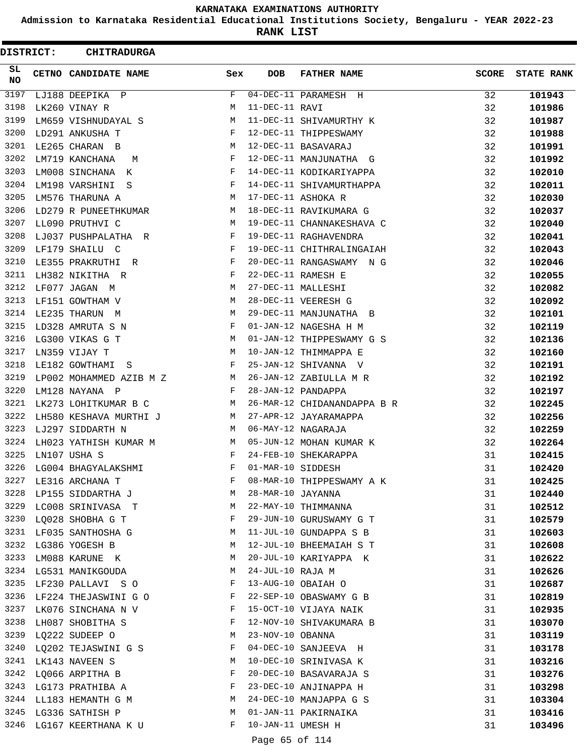**Admission to Karnataka Residential Educational Institutions Society, Bengaluru - YEAR 2022-23**

**RANK LIST**

ı

| <b>DISTRICT:</b> | <b>CHITRADURGA</b>      |             |                   |                             |              |                   |
|------------------|-------------------------|-------------|-------------------|-----------------------------|--------------|-------------------|
| SL<br><b>NO</b>  | CETNO CANDIDATE NAME    | Sex         | <b>DOB</b>        | <b>FATHER NAME</b>          | <b>SCORE</b> | <b>STATE RANK</b> |
| 3197             | LJ188 DEEPIKA P         | F           |                   | 04-DEC-11 PARAMESH H        | 32           | 101943            |
| 3198             | LK260 VINAY R           | M           | 11-DEC-11 RAVI    |                             | 32           | 101986            |
| 3199             | LM659 VISHNUDAYAL S     | М           |                   | 11-DEC-11 SHIVAMURTHY K     | 32           | 101987            |
| 3200             | LD291 ANKUSHA T         | F           |                   | 12-DEC-11 THIPPESWAMY       | 32           | 101988            |
| 3201             | LE265 CHARAN B          | М           |                   | 12-DEC-11 BASAVARAJ         | 32           | 101991            |
| 3202             | LM719 KANCHANA<br>M     | F           |                   | 12-DEC-11 MANJUNATHA G      | 32           | 101992            |
| 3203             | LM008 SINCHANA<br>K     | F           |                   | 14-DEC-11 KODIKARIYAPPA     | 32           | 102010            |
| 3204             | LM198 VARSHINI<br>- S   | F           |                   | 14-DEC-11 SHIVAMURTHAPPA    | 32           | 102011            |
| 3205             | LM576 THARUNA A         | М           |                   | 17-DEC-11 ASHOKA R          | 32           | 102030            |
| 3206             | LD279 R PUNEETHKUMAR    | M           |                   | 18-DEC-11 RAVIKUMARA G      | 32           | 102037            |
| 3207             | LL090 PRUTHVI C         | M           |                   | 19-DEC-11 CHANNAKESHAVA C   | 32           | 102040            |
| 3208             | LJ037 PUSHPALATHA R     | F           |                   | 19-DEC-11 RAGHAVENDRA       | 32           | 102041            |
| 3209             | LF179 SHAILU C          | F           |                   | 19-DEC-11 CHITHRALINGAIAH   | 32           | 102043            |
| 3210             | LE355 PRAKRUTHI R       | F           |                   | 20-DEC-11 RANGASWAMY N G    | 32           | 102046            |
| 3211             | LH382 NIKITHA R         | F           |                   | 22-DEC-11 RAMESH E          | 32           | 102055            |
| 3212             | LF077 JAGAN M           | М           |                   | 27-DEC-11 MALLESHI          | 32           | 102082            |
| 3213             | LF151 GOWTHAM V         | М           |                   | 28-DEC-11 VEERESH G         | 32           | 102092            |
| 3214             | LE235 THARUN M          | М           |                   | 29-DEC-11 MANJUNATHA B      | 32           | 102101            |
| 3215             | LD328 AMRUTA S N        | F           |                   | 01-JAN-12 NAGESHA H M       | 32           | 102119            |
| 3216             | LG300 VIKAS G T         | M           |                   | 01-JAN-12 THIPPESWAMY G S   | 32           | 102136            |
| 3217             | LN359 VIJAY T           | M           |                   | 10-JAN-12 THIMMAPPA E       | 32           | 102160            |
| 3218             | LE182 GOWTHAMI<br>- S   | F           |                   | 25-JAN-12 SHIVANNA V        | 32           | 102191            |
| 3219             | LP002 MOHAMMED AZIB M Z | M           |                   | 26-JAN-12 ZABIULLA M R      | 32           | 102192            |
| 3220             | LM128 NAYANA P          | F           |                   | 28-JAN-12 PANDAPPA          | 32           | 102197            |
| 3221             | LK273 LOHITKUMAR B C    | М           |                   | 26-MAR-12 CHIDANANDAPPA B R | 32           | 102245            |
| 3222             | LH580 KESHAVA MURTHI J  | M           |                   | 27-APR-12 JAYARAMAPPA       | 32           | 102256            |
| 3223             | LJ297 SIDDARTH N        | M           |                   | 06-MAY-12 NAGARAJA          | 32           | 102259            |
| 3224             | LH023 YATHISH KUMAR M   | M           |                   | 05-JUN-12 MOHAN KUMAR K     | 32           | 102264            |
| 3225             | LN107 USHA S            | F           |                   | 24-FEB-10 SHEKARAPPA        | 31           | 102415            |
| 3226             | LG004 BHAGYALAKSHMI     | $\mathbf F$ | 01-MAR-10 SIDDESH |                             | 31           | 102420            |
| 3227             | LE316 ARCHANA T         | F           |                   | 08-MAR-10 THIPPESWAMY A K   | 31           | 102425            |
| 3228             | LP155 SIDDARTHA J       | M           | 28-MAR-10 JAYANNA |                             | 31           | 102440            |
| 3229             | LC008 SRINIVASA T       | M           |                   | 22-MAY-10 THIMMANNA         | 31           | 102512            |
| 3230             | LQ028 SHOBHA G T        | F           |                   | 29-JUN-10 GURUSWAMY G T     | 31           | 102579            |
| 3231             | LF035 SANTHOSHA G       | M           |                   | 11-JUL-10 GUNDAPPA S B      | 31           | 102603            |
| 3232             | LG386 YOGESH B          | М           |                   | 12-JUL-10 BHEEMAIAH S T     | 31           | 102608            |
| 3233             | LM088 KARUNE K          | М           |                   | 20-JUL-10 KARIYAPPA K       | 31           | 102622            |
|                  | 3234 LG531 MANIKGOUDA   | M           | 24-JUL-10 RAJA M  |                             | 31           | 102626            |
| 3235             | LF230 PALLAVI SO        | F           |                   | 13-AUG-10 OBAIAH O          | 31           |                   |
| 3236             | LF224 THEJASWINI G O    | F           |                   | 22-SEP-10 OBASWAMY G B      | 31           | 102687            |
| 3237             | LK076 SINCHANA N V      | F           |                   | 15-OCT-10 VIJAYA NAIK       | 31           | 102819            |
| 3238             |                         | F           |                   | 12-NOV-10 SHIVAKUMARA B     |              | 102935            |
| 3239             | LH087 SHOBITHA S        |             | 23-NOV-10 OBANNA  |                             | 31           | 103070            |
|                  | LQ222 SUDEEP O          | M           |                   |                             | 31           | 103119            |
| 3240<br>3241     | LQ202 TEJASWINI G S     | F           |                   | 04-DEC-10 SANJEEVA H        | 31           | 103178            |
|                  | LK143 NAVEEN S          | М           |                   | 10-DEC-10 SRINIVASA K       | 31           | 103216            |
| 3242             | LQ066 ARPITHA B         | F           |                   | 20-DEC-10 BASAVARAJA S      | 31           | 103276            |
| 3243             | LG173 PRATHIBA A        | F           |                   | 23-DEC-10 ANJINAPPA H       | 31           | 103298            |
|                  | 3244 LL183 HEMANTH G M  | M           |                   | 24-DEC-10 MANJAPPA G S      | 31           | 103304            |
| 3245             | LG336 SATHISH P         | М           |                   | 01-JAN-11 PAKIRNAIKA        | 31           | 103416            |
| 3246             | LG167 KEERTHANA K U     | F           | 10-JAN-11 UMESH H |                             | 31           | 103496            |
|                  |                         |             | Page 65 of 114    |                             |              |                   |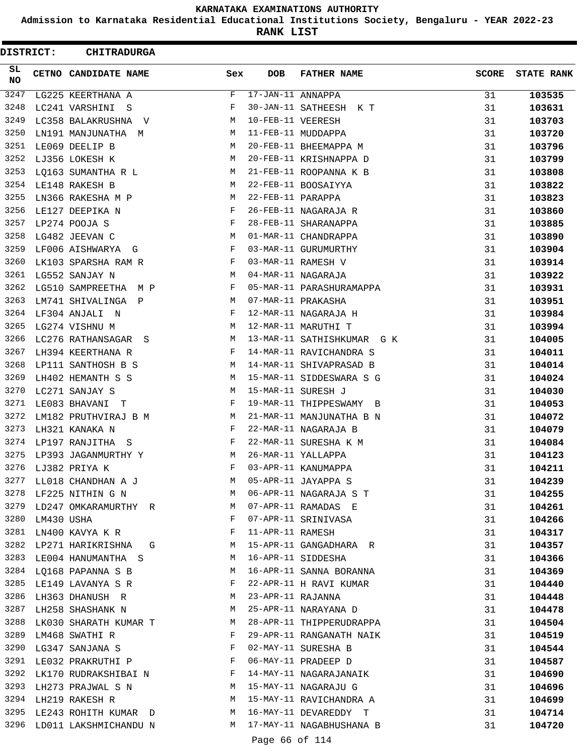**Admission to Karnataka Residential Educational Institutions Society, Bengaluru - YEAR 2022-23**

**RANK LIST**

ı

| <b>DISTRICT:</b> |                 | <b>CHITRADURGA</b>                                                                                  |                |                   |                            |              |                   |
|------------------|-----------------|-----------------------------------------------------------------------------------------------------|----------------|-------------------|----------------------------|--------------|-------------------|
| SL<br>NO         |                 | CETNO CANDIDATE NAME                                                                                | Sex            | <b>DOB</b>        | <b>FATHER NAME</b>         | <b>SCORE</b> | <b>STATE RANK</b> |
| 3247             |                 | LG225 KEERTHANA A                                                                                   | F              | 17-JAN-11 ANNAPPA |                            | 31           | 103535            |
| 3248             |                 | LC241 VARSHINI<br>- S                                                                               | F              |                   | 30-JAN-11 SATHEESH K T     | 31           | 103631            |
| 3249             |                 | LC358 BALAKRUSHNA V                                                                                 | М              | 10-FEB-11 VEERESH |                            | 31           | 103703            |
| 3250             |                 | LN191 MANJUNATHA M                                                                                  | M              |                   | 11-FEB-11 MUDDAPPA         | 31           | 103720            |
| 3251             |                 | LE069 DEELIP B                                                                                      | М              |                   | 20-FEB-11 BHEEMAPPA M      | 31           | 103796            |
| 3252             |                 | LJ356 LOKESH K                                                                                      | M              |                   | 20-FEB-11 KRISHNAPPA D     | 31           | 103799            |
| 3253             |                 | LQ163 SUMANTHA R L                                                                                  | M              |                   | 21-FEB-11 ROOPANNA K B     | 31           | 103808            |
| 3254             |                 | LE148 RAKESH B                                                                                      | М              |                   | 22-FEB-11 BOOSAIYYA        | 31           | 103822            |
| 3255             |                 | LN366 RAKESHA M P                                                                                   | M              | 22-FEB-11 PARAPPA |                            | 31           | 103823            |
| 3256             |                 | LE127 DEEPIKA N                                                                                     | F              |                   | 26-FEB-11 NAGARAJA R       | 31           | 103860            |
| 3257             |                 | LP274 POOJA S                                                                                       | F              |                   | 28-FEB-11 SHARANAPPA       | 31           | 103885            |
| 3258             |                 | LG482 JEEVAN C                                                                                      | М              |                   | 01-MAR-11 CHANDRAPPA       | 31           | 103890            |
| 3259             |                 | LF006 AISHWARYA G                                                                                   | F              |                   | 03-MAR-11 GURUMURTHY       | 31           | 103904            |
| 3260             |                 | LK103 SPARSHA RAM R                                                                                 | F              |                   | 03-MAR-11 RAMESH V         | 31           | 103914            |
| 3261             |                 | LG552 SANJAY N                                                                                      | М              |                   | 04-MAR-11 NAGARAJA         | 31           | 103922            |
| 3262             |                 | LG510 SAMPREETHA M P                                                                                | F              |                   | 05-MAR-11 PARASHURAMAPPA   | 31           | 103931            |
| 3263             |                 | LM741 SHIVALINGA P                                                                                  | M              |                   | 07-MAR-11 PRAKASHA         | 31           | 103951            |
| 3264             |                 | LF304 ANJALI N                                                                                      | F              |                   | 12-MAR-11 NAGARAJA H       | 31           | 103984            |
| 3265             |                 | LG274 VISHNU M                                                                                      | М              |                   | 12-MAR-11 MARUTHI T        | 31           | 103994            |
| 3266             |                 | LC276 RATHANSAGAR S                                                                                 | M              |                   | 13-MAR-11 SATHISHKUMAR G K | 31           | 104005            |
| 3267             |                 | LH394 KEERTHANA R                                                                                   | F              |                   | 14-MAR-11 RAVICHANDRA S    | 31           | 104011            |
| 3268             |                 | LP111 SANTHOSH B S                                                                                  | M              |                   | 14-MAR-11 SHIVAPRASAD B    | 31           | 104014            |
| 3269             |                 | LH402 HEMANTH S S                                                                                   | M              |                   | 15-MAR-11 SIDDESWARA S G   | 31           | 104024            |
| 3270             |                 | LC271 SANJAY S                                                                                      | М              |                   | 15-MAR-11 SURESH J         | 31           | 104030            |
| 3271             |                 | LE083 BHAVANI T                                                                                     | F              |                   | 19-MAR-11 THIPPESWAMY B    | 31           | 104053            |
| 3272             |                 | LM182 PRUTHVIRAJ B M                                                                                | M              |                   | 21-MAR-11 MANJUNATHA B N   | 31           | 104072            |
| 3273             |                 | LH321 KANAKA N                                                                                      | F              |                   | 22-MAR-11 NAGARAJA B       | 31           | 104079            |
| 3274             |                 | LP197 RANJITHA S                                                                                    | F              |                   | 22-MAR-11 SURESHA K M      | 31           | 104084            |
| 3275             |                 | LP393 JAGANMURTHY Y                                                                                 | M              |                   | 26-MAR-11 YALLAPPA         | 31           | 104123            |
| 3276             |                 | LJ382 PRIYA K                                                                                       | F              |                   | 03-APR-11 KANUMAPPA        | 31           | 104211            |
| 3277             |                 | LL018 CHANDHAN A J                                                                                  | M              |                   | 05-APR-11 JAYAPPA S        | 31           | 104239            |
| 3278             |                 | LF225 NITHIN G N                                                                                    | M              |                   | 06-APR-11 NAGARAJA S T     | 31           | 104255            |
| 3279             |                 | LD247 OMKARAMURTHY R                                                                                | M              |                   | 07-APR-11 RAMADAS E        | 31           | 104261            |
|                  | 3280 LM430 USHA |                                                                                                     | F              |                   | 07-APR-11 SRINIVASA        | 31           | 104266            |
| 3281             |                 | LN400 KAVYA K R                                                                                     | F              | 11-APR-11 RAMESH  |                            | 31           | 104317            |
| 3282             |                 | LP271 HARIKRISHNA G                                                                                 | M              |                   | 15-APR-11 GANGADHARA R     | 31           | 104357            |
| 3283             |                 | LE004 HANUMANTHA S                                                                                  | M              |                   | 16-APR-11 SIDDESHA         | 31           | 104366            |
|                  |                 | 3284 LQ168 PAPANNA S B                                                                              | M              |                   | 16-APR-11 SANNA BORANNA    | 31           | 104369            |
| 3285             |                 | LE149 LAVANYA S R                                                                                   | F              |                   | 22-APR-11 H RAVI KUMAR     | 31           | 104440            |
| 3286             |                 | LH363 DHANUSH R                                                                                     | M              | 23-APR-11 RAJANNA |                            | 31           | 104448            |
| 3287             |                 | LH258 SHASHANK N                                                                                    | <b>M</b>       |                   | 25-APR-11 NARAYANA D       | 31           | 104478            |
|                  |                 | 3288 LK030 SHARATH KUMAR T M                                                                        |                |                   | 28-APR-11 THIPPERUDRAPPA   | 31           | 104504            |
| 3289             |                 | LM468 SWATHI R                                                                                      | F              |                   | 29-APR-11 RANGANATH NAIK   | 31           | 104519            |
| 3290             |                 | LG347 SANJANA S                                                                                     | F              |                   | 02-MAY-11 SURESHA B        | 31           | 104544            |
| 3291             |                 | LE032 PRAKRUTHI P F                                                                                 |                |                   | 06-MAY-11 PRADEEP D        | 31           | 104587            |
| 3292             |                 | $\begin{array}{lll} \texttt{LK170 RUDRAKSHIBAI} & \texttt{N} & \end{array} \hspace{2cm} \texttt{F}$ |                |                   | 14-MAY-11 NAGARAJANAIK     | 31           | 104690            |
| 3293             |                 | LH273 PRAJWAL S N                                                                                   | M <sub>N</sub> |                   | 15-MAY-11 NAGARAJU G       | 31           | 104696            |
|                  |                 | 3294 LH219 RAKESH R                                                                                 | M              |                   | 15-MAY-11 RAVICHANDRA A    | 31           | 104699            |
| 3295             |                 | LE243 ROHITH KUMAR D                                                                                | M              |                   | 16-MAY-11 DEVAREDDY T      | 31           | 104714            |
| 3296             |                 | LD011 LAKSHMICHANDU N                                                                               | M              |                   | 17-MAY-11 NAGABHUSHANA B   | 31           | 104720            |
|                  |                 |                                                                                                     |                | Page 66 of 114    |                            |              |                   |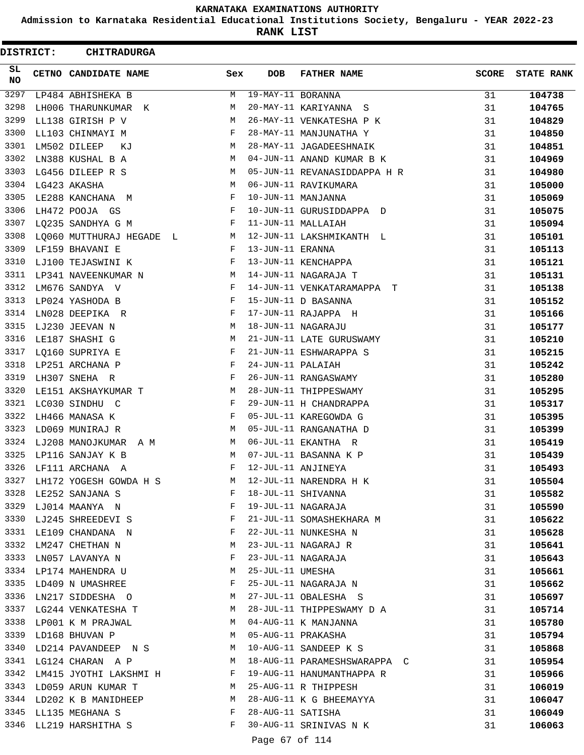**Admission to Karnataka Residential Educational Institutions Society, Bengaluru - YEAR 2022-23**

**RANK LIST**

ı

| DISTRICT:       | <b>CHITRADURGA</b>       |              |                   |                              |              |                   |
|-----------------|--------------------------|--------------|-------------------|------------------------------|--------------|-------------------|
| SL<br><b>NO</b> | CETNO CANDIDATE NAME     | Sex          | <b>DOB</b>        | <b>FATHER NAME</b>           | <b>SCORE</b> | <b>STATE RANK</b> |
| 3297            | LP484 ABHISHEKA B        | М            | 19-MAY-11 BORANNA |                              | 31           | 104738            |
| 3298            | LH006 THARUNKUMAR K      | M            |                   | 20-MAY-11 KARIYANNA S        | 31           | 104765            |
| 3299            | LL138 GIRISH P V         | М            |                   | 26-MAY-11 VENKATESHA P K     | 31           | 104829            |
| 3300            | LL103 CHINMAYI M         | F            |                   | 28-MAY-11 MANJUNATHA Y       | 31           | 104850            |
| 3301            | LM502 DILEEP<br>КJ       | M            |                   | 28-MAY-11 JAGADEESHNAIK      | 31           | 104851            |
| 3302            | LN388 KUSHAL B A         | M            |                   | 04-JUN-11 ANAND KUMAR B K    | 31           | 104969            |
| 3303            | LG456 DILEEP R S         | М            |                   | 05-JUN-11 REVANASIDDAPPA H R | 31           | 104980            |
| 3304            | LG423 AKASHA             | M            |                   | 06-JUN-11 RAVIKUMARA         | 31           | 105000            |
| 3305            | LE288 KANCHANA M         | F            |                   | 10-JUN-11 MANJANNA           | 31           | 105069            |
| 3306            | LH472 POOJA GS           | F            |                   | 10-JUN-11 GURUSIDDAPPA D     | 31           | 105075            |
| 3307            | LQ235 SANDHYA G M        | F            |                   | 11-JUN-11 MALLAIAH           | 31           | 105094            |
| 3308            | LQ060 MUTTHURAJ HEGADE L | M            |                   | 12-JUN-11 LAKSHMIKANTH L     | 31           | 105101            |
| 3309            | LF159 BHAVANI E          | F            | 13-JUN-11 ERANNA  |                              | 31           | 105113            |
| 3310            | LJ100 TEJASWINI K        | F            |                   | 13-JUN-11 KENCHAPPA          | 31           | 105121            |
| 3311            | LP341 NAVEENKUMAR N      | M            |                   | 14-JUN-11 NAGARAJA T         | 31           | 105131            |
| 3312            | LM676 SANDYA V           | F            |                   | 14-JUN-11 VENKATARAMAPPA T   | 31           | 105138            |
| 3313            | LP024 YASHODA B          | F            |                   | 15-JUN-11 D BASANNA          | 31           | 105152            |
| 3314            | LN028 DEEPIKA R          | F            |                   | 17-JUN-11 RAJAPPA H          | 31           | 105166            |
| 3315            | LJ230 JEEVAN N           | М            |                   | 18-JUN-11 NAGARAJU           | 31           | 105177            |
| 3316            | LE187 SHASHI G           | M            |                   | 21-JUN-11 LATE GURUSWAMY     | 31           | 105210            |
| 3317            | LQ160 SUPRIYA E          | F            |                   | 21-JUN-11 ESHWARAPPA S       | 31           | 105215            |
| 3318            | LP251 ARCHANA P          | F            | 24-JUN-11 PALAIAH |                              | 31           | 105242            |
| 3319            | LH307 SNEHA R            | F            |                   | 26-JUN-11 RANGASWAMY         | 31           | 105280            |
| 3320            | LE151 AKSHAYKUMAR T      | М            |                   | 28-JUN-11 THIPPESWAMY        | 31           | 105295            |
| 3321            | LC030 SINDHU C           | F            |                   | 29-JUN-11 H CHANDRAPPA       | 31           | 105317            |
| 3322            | LH466 MANASA K           | F            |                   | 05-JUL-11 KAREGOWDA G        | 31           | 105395            |
| 3323            | LD069 MUNIRAJ R          | М            |                   | 05-JUL-11 RANGANATHA D       | 31           | 105399            |
| 3324            | LJ208 MANOJKUMAR A M     | М            |                   | 06-JUL-11 EKANTHA R          | 31           | 105419            |
| 3325            | LP116 SANJAY K B         | M            |                   | 07-JUL-11 BASANNA K P        | 31           | 105439            |
| 3326            | LF111 ARCHANA A          | F            |                   | 12-JUL-11 ANJINEYA           | 31           | 105493            |
| 3327            | LH172 YOGESH GOWDA H S   | М            |                   | 12-JUL-11 NARENDRA H K       | 31           | 105504            |
| 3328            | LE252 SANJANA S          | F            |                   | 18-JUL-11 SHIVANNA           | 31           | 105582            |
| 3329            | LJ014 MAANYA N           | F            |                   | 19-JUL-11 NAGARAJA           | 31           | 105590            |
| 3330            | LJ245 SHREEDEVI S        | $\mathbf{F}$ |                   | 21-JUL-11 SOMASHEKHARA M     | 31           | 105622            |
| 3331            | LE109 CHANDANA N         | F            |                   | 22-JUL-11 NUNKESHA N         | 31           | 105628            |
| 3332            | LM247 CHETHAN N          | М            |                   | 23-JUL-11 NAGARAJ R          | 31           | 105641            |
| 3333            | LN057 LAVANYA N          | F            |                   | 23-JUL-11 NAGARAJA           | 31           | 105643            |
|                 | 3334 LP174 MAHENDRA U    | М            | 25-JUL-11 UMESHA  |                              | 31           | 105661            |
| 3335            | LD409 N UMASHREE         | F            |                   | 25-JUL-11 NAGARAJA N         | 31           | 105662            |
| 3336            | LN217 SIDDESHA O         | M            |                   | 27-JUL-11 OBALESHA S         | 31           | 105697            |
| 3337            | LG244 VENKATESHA T       | M            |                   | 28-JUL-11 THIPPESWAMY D A    | 31           | 105714            |
|                 | 3338 LP001 K M PRAJWAL   | M            |                   | 04-AUG-11 K MANJANNA         | 31           | 105780            |
| 3339            | LD168 BHUVAN P           | M            |                   | 05-AUG-11 PRAKASHA           | 31           | 105794            |
| 3340            | LD214 PAVANDEEP N S      | M            |                   | 10-AUG-11 SANDEEP K S        | 31           | 105868            |
| 3341            | LG124 CHARAN A P         | M            |                   | 18-AUG-11 PARAMESHSWARAPPA C | 31           | 105954            |
| 3342            | LM415 JYOTHI LAKSHMI H   | F            |                   | 19-AUG-11 HANUMANTHAPPA R    | 31           | 105966            |
| 3343            | LD059 ARUN KUMAR T       | M            |                   | 25-AUG-11 R THIPPESH         | 31           | 106019            |
| 3344            | LD202 K B MANIDHEEP      | M            |                   | 28-AUG-11 K G BHEEMAYYA      | 31           | 106047            |
| 3345            | LL135 MEGHANA S          | F            | 28-AUG-11 SATISHA |                              | 31           | 106049            |
| 3346            | LL219 HARSHITHA S        | F            |                   | 30-AUG-11 SRINIVAS N K       | 31           | 106063            |
|                 |                          |              | Page 67 of 114    |                              |              |                   |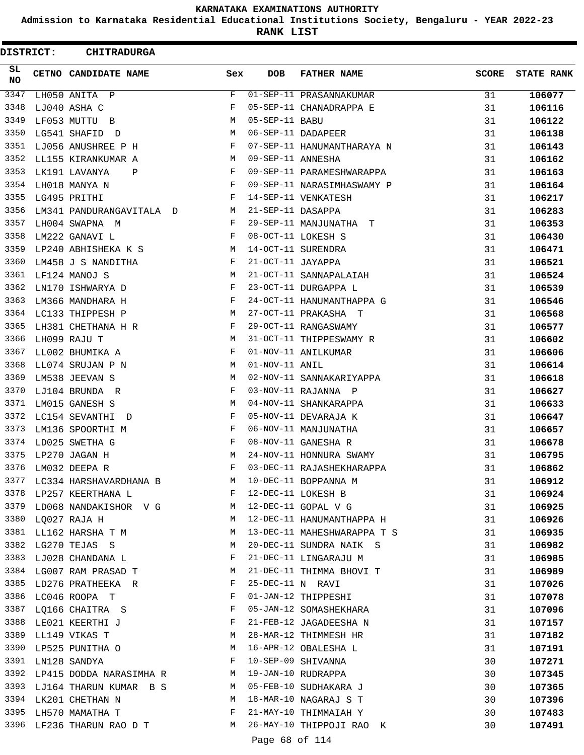**Admission to Karnataka Residential Educational Institutions Society, Bengaluru - YEAR 2022-23**

**RANK LIST**

 $\blacksquare$ 

| DISTRICT:        | <b>CHITRADURGA</b>          |            |                            |                             |              |                   |
|------------------|-----------------------------|------------|----------------------------|-----------------------------|--------------|-------------------|
| SL.<br><b>NO</b> | CETNO CANDIDATE NAME        | Sex        | <b>DOB</b>                 | <b>FATHER NAME</b>          | <b>SCORE</b> | <b>STATE RANK</b> |
| 3347             | LH050 ANITA P               | F          |                            | 01-SEP-11 PRASANNAKUMAR     | 31           | 106077            |
| 3348             | LJ040 ASHA C                | F          |                            | 05-SEP-11 CHANADRAPPA E     | 31           | 106116            |
| 3349             | LF053 MUTTU B               | M          | 05-SEP-11 BABU             |                             | 31           | 106122            |
| 3350             | LG541 SHAFID D              | М          |                            | 06-SEP-11 DADAPEER          | 31           | 106138            |
| 3351             | LJ056 ANUSHREE P H          | F          |                            | 07-SEP-11 HANUMANTHARAYA N  | 31           | 106143            |
| 3352             | LL155 KIRANKUMAR A          | М          | 09-SEP-11 ANNESHA          |                             | 31           | 106162            |
| 3353             | LK191 LAVANYA<br>Ρ          | F          |                            | 09-SEP-11 PARAMESHWARAPPA   | 31           | 106163            |
| 3354             | LH018 MANYA N               | F          |                            | 09-SEP-11 NARASIMHASWAMY P  | 31           | 106164            |
| 3355             | LG495 PRITHI                | F          |                            | 14-SEP-11 VENKATESH         | 31           | 106217            |
| 3356             | LM341 PANDURANGAVITALA D    | M          | 21-SEP-11 DASAPPA          |                             | 31           | 106283            |
| 3357             | LH004 SWAPNA M              | F          |                            | 29-SEP-11 MANJUNATHA T      | 31           | 106353            |
| 3358             | LM222 GANAVI L              | $_{\rm F}$ |                            | 08-OCT-11 LOKESH S          | 31           | 106430            |
| 3359             | LP240 ABHISHEKA K S         | М          |                            | 14-OCT-11 SURENDRA          | 31           | 106471            |
| 3360             | LM458 J S NANDITHA          | F          | 21-OCT-11 JAYAPPA          |                             | 31           | 106521            |
| 3361             | LF124 MANOJ S               | M          |                            | 21-OCT-11 SANNAPALAIAH      | 31           | 106524            |
| 3362             | LN170 ISHWARYA D            | F          |                            | 23-OCT-11 DURGAPPA L        | 31           | 106539            |
| 3363             | LM366 MANDHARA H            | F          |                            | 24-OCT-11 HANUMANTHAPPA G   | 31           | 106546            |
| 3364             | LC133 THIPPESH P            | М          |                            | 27-OCT-11 PRAKASHA T        | 31           | 106568            |
| 3365             | LH381 CHETHANA H R          | F          |                            | 29-OCT-11 RANGASWAMY        | 31           | 106577            |
| 3366             | LH099 RAJU T                | М          |                            | 31-OCT-11 THIPPESWAMY R     | 31           | 106602            |
| 3367             | LL002 BHUMIKA A             | F          |                            | 01-NOV-11 ANILKUMAR         | 31           | 106606            |
| 3368             | LL074 SRUJAN P N            | М          | 01-NOV-11 ANIL             |                             | 31           | 106614            |
| 3369             | LM538 JEEVAN S              | M          |                            | 02-NOV-11 SANNAKARIYAPPA    | 31           | 106618            |
| 3370             | LJ104 BRUNDA R              | F          |                            | 03-NOV-11 RAJANNA P         | 31           | 106627            |
| 3371             | LM015 GANESH S              | М          |                            | 04-NOV-11 SHANKARAPPA       | 31           | 106633            |
| 3372             | LC154 SEVANTHI<br>D         | F          |                            | 05-NOV-11 DEVARAJA K        | 31           | 106647            |
| 3373             | LM136 SPOORTHI M            | F          |                            | 06-NOV-11 MANJUNATHA        | 31           | 106657            |
| 3374             | LD025 SWETHA G              | F          |                            | 08-NOV-11 GANESHA R         | 31           | 106678            |
| 3375             | LP270 JAGAN H               | M          |                            | 24-NOV-11 HONNURA SWAMY     | 31           | 106795            |
| 3376             | LM032 DEEPA R               | F          |                            | 03-DEC-11 RAJASHEKHARAPPA   | 31           | 106862            |
| 3377             | LC334 HARSHAVARDHANA B      | M          |                            | 10-DEC-11 BOPPANNA M        | 31           | 106912            |
|                  | 3378 LP257 KEERTHANA L      | F          |                            | 12-DEC-11 LOKESH B          | 31           | 106924            |
| 3379             | LD068 NANDAKISHOR V G       | M          |                            | 12-DEC-11 GOPAL V G         | 31           | 106925            |
| 3380             | LQ027 RAJA H                | M          |                            | 12-DEC-11 HANUMANTHAPPA H   | 31           | 106926            |
|                  | 3381 LL162 HARSHA T M       | M          |                            | 13-DEC-11 MAHESHWARAPPA T S | 31           | 106935            |
| 3382             | LG270 TEJAS S               | M          |                            | 20-DEC-11 SUNDRA NAIK S     | 31           | 106982            |
| 3383             | LJ028 CHANDANA L            | F          |                            | 21-DEC-11 LINGARAJU M       | 31           | 106985            |
| 3384             | LG007 RAM PRASAD T          | M          |                            | 21-DEC-11 THIMMA BHOVI T    | 31           | 106989            |
| 3385             | LD276 PRATHEEKA R           | F          | 25-DEC-11 N RAVI           |                             | 31           | 107026            |
| 3386             | LC046 ROOPA T               | F          |                            | 01-JAN-12 THIPPESHI         | 31           | 107078            |
| 3387             | LQ166 CHAITRA S             | F          |                            | 05-JAN-12 SOMASHEKHARA      | 31           | 107096            |
| 3388             | LE021 KEERTHI J             | F          |                            | 21-FEB-12 JAGADEESHA N      | 31           | 107157            |
|                  | 3389 LL149 VIKAS T          | М          |                            | 28-MAR-12 THIMMESH HR       | 31           | 107182            |
| 3390             | LP525 PUNITHA O             | M          |                            | 16-APR-12 OBALESHA L        | 31           | 107191            |
| 3391             | LN128 SANDYA                | F          |                            | 10-SEP-09 SHIVANNA          | 30           | 107271            |
| 3392             | LP415 DODDA NARASIMHA R M   |            |                            | 19-JAN-10 RUDRAPPA          | 30           | 107345            |
|                  | 3393 LJ164 THARUN KUMAR B S | M          |                            | 05-FEB-10 SUDHAKARA J       | 30           | 107365            |
| 3394             | LK201 CHETHAN N             | M          |                            | 18-MAR-10 NAGARAJ S T       | 30           | 107396            |
| 3395             | LH570 MAMATHA T             | F          |                            | 21-MAY-10 THIMMAIAH Y       | 30           | 107483            |
| 3396             | LF236 THARUN RAO D T M      |            |                            | 26-MAY-10 THIPPOJI RAO K    | 30           | 107491            |
|                  |                             |            | $D = -2$ $C = 0$ $C = 114$ |                             |              |                   |

Page 68 of 114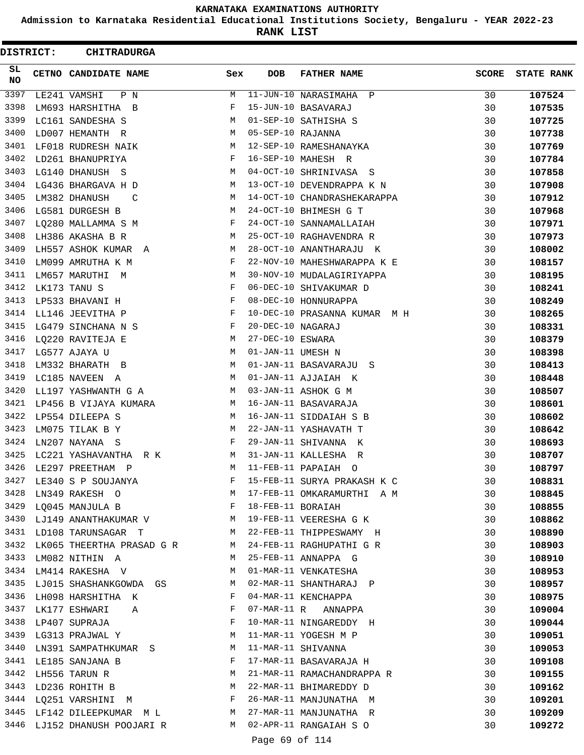**Admission to Karnataka Residential Educational Institutions Society, Bengaluru - YEAR 2022-23**

**RANK LIST**

 $\blacksquare$ 

| DISTRICT:       | <b>CHITRADURGA</b>                                                           |              |                   |                              |              |                   |
|-----------------|------------------------------------------------------------------------------|--------------|-------------------|------------------------------|--------------|-------------------|
| SL<br><b>NO</b> | CETNO CANDIDATE NAME                                                         | Sex          | <b>DOB</b>        | <b>FATHER NAME</b>           | <b>SCORE</b> | <b>STATE RANK</b> |
| 3397            | LE241 VAMSHI<br>P N                                                          | М            |                   | 11-JUN-10 NARASIMAHA P       | 30           | 107524            |
| 3398            | LM693 HARSHITHA B                                                            | F            |                   | 15-JUN-10 BASAVARAJ          | 30           | 107535            |
| 3399            | LC161 SANDESHA S                                                             | М            |                   | 01-SEP-10 SATHISHA S         | 30           | 107725            |
| 3400            | LD007 HEMANTH R                                                              | М            | 05-SEP-10 RAJANNA |                              | 30           | 107738            |
| 3401            | LF018 RUDRESH NAIK                                                           | М            |                   | 12-SEP-10 RAMESHANAYKA       | 30           | 107769            |
| 3402            | LD261 BHANUPRIYA                                                             | F            |                   | 16-SEP-10 MAHESH R           | 30           | 107784            |
| 3403            | LG140 DHANUSH S                                                              | М            |                   | 04-OCT-10 SHRINIVASA S       | 30           | 107858            |
| 3404            | LG436 BHARGAVA H D                                                           | M            |                   | 13-OCT-10 DEVENDRAPPA K N    | 30           | 107908            |
| 3405            | LM382 DHANUSH<br>C                                                           | М            |                   | 14-OCT-10 CHANDRASHEKARAPPA  | 30           | 107912            |
| 3406            | LG581 DURGESH B                                                              | М            |                   | 24-OCT-10 BHIMESH G T        | 30           | 107968            |
| 3407            | LQ280 MALLAMMA S M                                                           | F            |                   | 24-OCT-10 SANNAMALLAIAH      | 30           | 107971            |
| 3408            | LH386 AKASHA B R                                                             | М            |                   | 25-OCT-10 RAGHAVENDRA R      | 30           | 107973            |
| 3409            | LH557 ASHOK KUMAR A                                                          | М            |                   | 28-OCT-10 ANANTHARAJU K      | 30           | 108002            |
| 3410            | LM099 AMRUTHA K M                                                            | F            |                   | 22-NOV-10 MAHESHWARAPPA K E  | 30           | 108157            |
| 3411            | LM657 MARUTHI M                                                              | М            |                   | 30-NOV-10 MUDALAGIRIYAPPA    | 30           | 108195            |
| 3412            | LK173 TANU S                                                                 | F            |                   | 06-DEC-10 SHIVAKUMAR D       | 30           | 108241            |
| 3413            | LP533 BHAVANI H                                                              | F            |                   | 08-DEC-10 HONNURAPPA         | 30           | 108249            |
| 3414            | LL146 JEEVITHA P                                                             | F            |                   | 10-DEC-10 PRASANNA KUMAR M H | 30           | 108265            |
| 3415            | LG479 SINCHANA N S                                                           | F            | 20-DEC-10 NAGARAJ |                              | 30           | 108331            |
| 3416            | LQ220 RAVITEJA E                                                             | М            | 27-DEC-10 ESWARA  |                              | 30           | 108379            |
| 3417            | LG577 AJAYA U                                                                | М            | 01-JAN-11 UMESH N |                              | 30           | 108398            |
| 3418            | LM332 BHARATH B                                                              | M            |                   | 01-JAN-11 BASAVARAJU<br>S    | 30           | 108413            |
| 3419            | LC185 NAVEEN A                                                               | M            |                   | 01-JAN-11 AJJAIAH K          | 30           | 108448            |
| 3420            | LL197 YASHWANTH G A                                                          | М            |                   | 03-JAN-11 ASHOK G M          | 30           | 108507            |
| 3421            | LP456 B VIJAYA KUMARA                                                        | M            |                   | 16-JAN-11 BASAVARAJA         | 30           | 108601            |
| 3422            | LP554 DILEEPA S                                                              | M            |                   | 16-JAN-11 SIDDAIAH S B       | 30           | 108602            |
| 3423            | LM075 TILAK B Y                                                              | М            |                   | 22-JAN-11 YASHAVATH T        | 30           | 108642            |
| 3424            | LN207 NAYANA S                                                               | F            |                   | 29-JAN-11 SHIVANNA K         | 30           | 108693            |
| 3425            | LC221 YASHAVANTHA<br>R K                                                     | M            |                   | 31-JAN-11 KALLESHA<br>R      | 30           | 108707            |
| 3426            | LE297 PREETHAM P                                                             | M            |                   | 11-FEB-11 PAPAIAH O          | 30           | 108797            |
| 3427            | LE340 S P SOUJANYA                                                           | F            |                   | 15-FEB-11 SURYA PRAKASH K C  | 30           | 108831            |
| 3428            | M <sub>1</sub><br>LN349 RAKESH O                                             |              |                   | 17-FEB-11 OMKARAMURTHI A M   | 30           | 108845            |
| 3429            | $\mathbf{F}$ and $\mathbf{F}$ are the set of $\mathbf{F}$<br>LQ045 MANJULA B |              | 18-FEB-11 BORAIAH |                              | 30           | 108855            |
|                 | 3430 LJ149 ANANTHAKUMAR V M 19-FEB-11 VEERESHA G K                           |              |                   |                              | 30           | 108862            |
| 3431            | LD108 TARUNSAGAR T                                                           |              |                   | M 22-FEB-11 THIPPESWAMY H    | 30           | 108890            |
| 3432            | LK065 THEERTHA PRASAD G R M                                                  |              |                   | 24-FEB-11 RAGHUPATHI G R     | 30           | 108903            |
| 3433            | LM082 NITHIN A                                                               | M            |                   | 25-FEB-11 ANNAPPA G          | 30           | 108910            |
| 3434            | LM414 RAKESHA V                                                              | М            |                   | 01-MAR-11 VENKATESHA         | 30           | 108953            |
|                 | 3435 LJ015 SHASHANKGOWDA GS M                                                |              |                   | 02-MAR-11 SHANTHARAJ P       | 30           | 108957            |
| 3436            | LH098 HARSHITHA K                                                            | F            |                   | 04-MAR-11 KENCHAPPA          | 30           | 108975            |
| 3437            | LK177 ESHWARI A                                                              | F            |                   | 07-MAR-11 R ANNAPPA          | 30           | 109004            |
|                 | 3438 LP407 SUPRAJA                                                           | $\mathbf{F}$ |                   | 10-MAR-11 NINGAREDDY H       | 30           | 109044            |
| 3439            | LG313 PRAJWAL Y                                                              | M            |                   | 11-MAR-11 YOGESH M P         | 30           | 109051            |
| 3440            | LN391 SAMPATHKUMAR S                                                         | M            |                   | 11-MAR-11 SHIVANNA           | 30           | 109053            |
| 3441            | LE185 SANJANA B                                                              | F            |                   | 17-MAR-11 BASAVARAJA H       | 30           | 109108            |
| 3442            | LH556 TARUN R                                                                | M            |                   | 21-MAR-11 RAMACHANDRAPPA R   | 30           | 109155            |
| 3443            | LD236 ROHITH B                                                               | M            |                   | 22-MAR-11 BHIMAREDDY D       | 30           | 109162            |
| 3444            | LQ251 VARSHINI M                                                             |              |                   | 26-MAR-11 MANJUNATHA M       | 30           | 109201            |
| 3445            | LF142 DILEEPKUMAR M L M 27-MAR-11 MANJUNATHA R                               |              |                   |                              | 30           | 109209            |
|                 | 3446 LJ152 DHANUSH POOJARI R M 02-APR-11 RANGAIAH S O                        |              |                   |                              | 30           | 109272            |

Page 69 of 114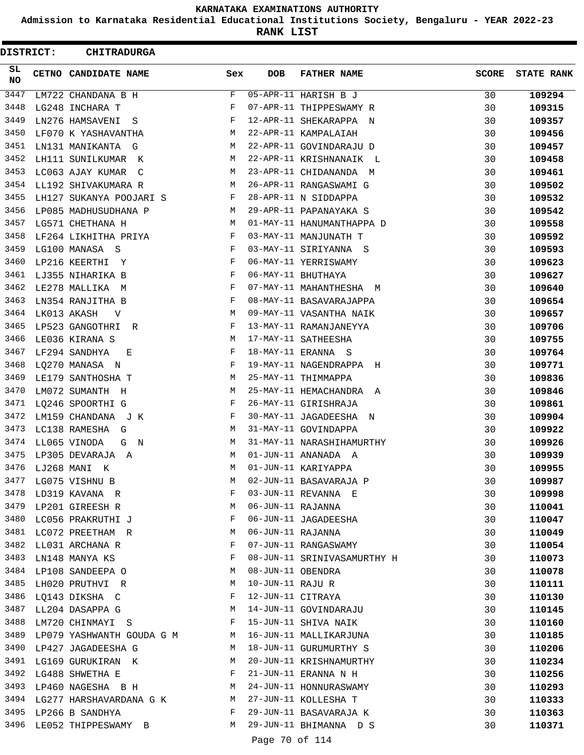**Admission to Karnataka Residential Educational Institutions Society, Bengaluru - YEAR 2022-23**

**RANK LIST**

| SL<br>CETNO CANDIDATE NAME<br>Sex<br><b>DOB</b><br><b>FATHER NAME</b><br><b>SCORE</b><br><b>STATE RANK</b><br>NO<br>3447<br>F<br>05-APR-11 HARISH B J<br>30<br>109294<br>LM722 CHANDANA B H<br>3448<br>07-APR-11 THIPPESWAMY R<br>30<br>LG248 INCHARA T<br>F<br>109315<br>3449<br>LN276 HAMSAVENI<br>F<br>12-APR-11 SHEKARAPPA N<br>30<br>109357<br>S<br>3450<br>22-APR-11 KAMPALAIAH<br>LF070 K YASHAVANTHA<br>М<br>30<br>109456<br>3451<br>М<br>22-APR-11 GOVINDARAJU D<br>30<br>LN131 MANIKANTA G<br>109457<br>3452<br>LH111 SUNILKUMAR K<br>М<br>22-APR-11 KRISHNANAIK L<br>30<br>109458<br>3453<br>LC063 AJAY KUMAR<br>М<br>23-APR-11 CHIDANANDA<br>30<br>109461<br>C<br>M<br>3454<br>26-APR-11 RANGASWAMI G<br>LL192 SHIVAKUMARA R<br>М<br>30<br>109502<br>3455<br>LH127 SUKANYA POOJARI S<br>F<br>28-APR-11 N SIDDAPPA<br>30<br>109532<br>3456<br>29-APR-11 PAPANAYAKA S<br>LP085 MADHUSUDHANA P<br>М<br>30<br>109542<br>3457<br>LG571 CHETHANA H<br>01-MAY-11 HANUMANTHAPPA D<br>30<br>109558<br>М<br>3458<br>03-MAY-11 MANJUNATH T<br>LF264 LIKHITHA PRIYA<br>F<br>30<br>109592<br>3459<br>F<br>LG100 MANASA S<br>03-MAY-11 SIRIYANNA S<br>30<br>109593<br>3460<br>LP216 KEERTHI<br>F<br>06-MAY-11 YERRISWAMY<br>30<br>109623<br>Y<br>3461<br>LJ355 NIHARIKA B<br>F<br>06-MAY-11 BHUTHAYA<br>30<br>109627<br>3462<br>07-MAY-11 MAHANTHESHA M<br>LE278 MALLIKA M<br>F<br>30<br>109640<br>3463<br>LN354 RANJITHA B<br>F<br>08-MAY-11 BASAVARAJAPPA<br>30<br>109654<br>3464<br>LK013 AKASH<br>М<br>09-MAY-11 VASANTHA NAIK<br>30<br>109657<br>V<br>3465<br>LP523 GANGOTHRI<br>F<br>13-MAY-11 RAMANJANEYYA<br>30<br>109706<br>R<br>3466<br>17-MAY-11 SATHEESHA<br>LE036 KIRANA S<br>М<br>30<br>109755<br>3467<br>LF294 SANDHYA<br>F<br>18-MAY-11 ERANNA S<br>30<br>Е<br>109764<br>3468<br>LQ270 MANASA N<br>F<br>19-MAY-11 NAGENDRAPPA H<br>30<br>109771<br>3469<br>LE179 SANTHOSHA T<br>М<br>25-MAY-11 THIMMAPPA<br>30<br>109836<br>3470<br>LM072 SUMANTH<br>М<br>25-MAY-11 HEMACHANDRA A<br>30<br>109846<br>H<br>3471<br>LQ246 SPOORTHI G<br>F<br>26-MAY-11 GIRISHRAJA<br>30<br>109861<br>3472<br>LM159 CHANDANA J K<br>F<br>30-MAY-11 JAGADEESHA N<br>30<br>109904<br>3473<br>LC138 RAMESHA G<br>М<br>31-MAY-11 GOVINDAPPA<br>30<br>109922<br>3474<br>LL065 VINODA<br>М<br>31-MAY-11 NARASHIHAMURTHY<br>30<br>109926<br>G<br>$\mathbb N$<br>3475<br>01-JUN-11 ANANADA A<br>LP305 DEVARAJA A<br>М<br>30<br>109939<br>01-JUN-11 KARIYAPPA<br>3476<br>LJ268 MANI K<br>М<br>30<br>109955<br>3477<br>02-JUN-11 BASAVARAJA P<br>LG075 VISHNU B<br>30<br>109987<br>М<br>3478<br>03-JUN-11 REVANNA E<br>30<br>LD319 KAVANA R<br>F<br>109998<br>3479<br>06-JUN-11 RAJANNA<br>LP201 GIREESH R<br>М<br>30<br>110041<br>3480<br>06-JUN-11 JAGADEESHA<br>LC056 PRAKRUTHI J<br>F<br>30<br>110047<br>3481<br>06-JUN-11 RAJANNA<br>LC072 PREETHAM R<br>30<br>M<br>110049<br>3482<br>07-JUN-11 RANGASWAMY<br>LL031 ARCHANA R<br>F<br>30<br>110054<br>3483<br>LN148 MANYA KS<br>F<br>08-JUN-11 SRINIVASAMURTHY H<br>30<br>110073<br>3484<br>08-JUN-11 OBENDRA<br>LP108 SANDEEPA O<br>М<br>30<br>110078<br>3485<br>10-JUN-11 RAJU R<br>LH020 PRUTHVI R<br>M<br>30<br>110111<br>3486<br>12-JUN-11 CITRAYA<br>LQ143 DIKSHA C<br>F<br>30<br>110130<br>3487<br>LL204 DASAPPA G<br>M<br>14-JUN-11 GOVINDARAJU<br>30<br>110145<br>3488<br>LM720 CHINMAYI S<br>F<br>15-JUN-11 SHIVA NAIK<br>30<br>110160<br>3489<br>16-JUN-11 MALLIKARJUNA<br>LP079 YASHWANTH GOUDA G M<br>30<br>M<br>110185<br>3490<br>LP427 JAGADEESHA G<br>M<br>18-JUN-11 GURUMURTHY S<br>30<br>110206<br>3491<br>LG169 GURUKIRAN K<br>20-JUN-11 KRISHNAMURTHY<br>30<br>M<br>110234<br>3492<br>21-JUN-11 ERANNA N H<br>LG488 SHWETHA E<br>F<br>30<br>110256<br>3493<br>24-JUN-11 HONNURASWAMY<br>LP460 NAGESHA B H<br>M<br>30<br>110293<br>3494<br>27-JUN-11 KOLLESHA T<br>LG277 HARSHAVARDANA G K<br>M<br>30<br>110333<br>3495<br>LP266 B SANDHYA<br>F<br>29-JUN-11 BASAVARAJA K<br>30<br>110363<br>3496<br>LE052 THIPPESWAMY B<br>M<br>29-JUN-11 BHIMANNA D S<br>30<br>110371<br>Page 70 of 114 | <b>DISTRICT:</b> | <b>CHITRADURGA</b> |  |  |  |
|----------------------------------------------------------------------------------------------------------------------------------------------------------------------------------------------------------------------------------------------------------------------------------------------------------------------------------------------------------------------------------------------------------------------------------------------------------------------------------------------------------------------------------------------------------------------------------------------------------------------------------------------------------------------------------------------------------------------------------------------------------------------------------------------------------------------------------------------------------------------------------------------------------------------------------------------------------------------------------------------------------------------------------------------------------------------------------------------------------------------------------------------------------------------------------------------------------------------------------------------------------------------------------------------------------------------------------------------------------------------------------------------------------------------------------------------------------------------------------------------------------------------------------------------------------------------------------------------------------------------------------------------------------------------------------------------------------------------------------------------------------------------------------------------------------------------------------------------------------------------------------------------------------------------------------------------------------------------------------------------------------------------------------------------------------------------------------------------------------------------------------------------------------------------------------------------------------------------------------------------------------------------------------------------------------------------------------------------------------------------------------------------------------------------------------------------------------------------------------------------------------------------------------------------------------------------------------------------------------------------------------------------------------------------------------------------------------------------------------------------------------------------------------------------------------------------------------------------------------------------------------------------------------------------------------------------------------------------------------------------------------------------------------------------------------------------------------------------------------------------------------------------------------------------------------------------------------------------------------------------------------------------------------------------------------------------------------------------------------------------------------------------------------------------------------------------------------------------------------------------------------------------------------------------------------------------------------------------------------------------------------------------------------------------------------------------------------------------------------------------------------------------------------------------------------------------------------------------------------------------------------------------------------------------------------------------------------------------------------------------------------------------------------------------------|------------------|--------------------|--|--|--|
|                                                                                                                                                                                                                                                                                                                                                                                                                                                                                                                                                                                                                                                                                                                                                                                                                                                                                                                                                                                                                                                                                                                                                                                                                                                                                                                                                                                                                                                                                                                                                                                                                                                                                                                                                                                                                                                                                                                                                                                                                                                                                                                                                                                                                                                                                                                                                                                                                                                                                                                                                                                                                                                                                                                                                                                                                                                                                                                                                                                                                                                                                                                                                                                                                                                                                                                                                                                                                                                                                                                                                                                                                                                                                                                                                                                                                                                                                                                                                                                                                                                    |                  |                    |  |  |  |
|                                                                                                                                                                                                                                                                                                                                                                                                                                                                                                                                                                                                                                                                                                                                                                                                                                                                                                                                                                                                                                                                                                                                                                                                                                                                                                                                                                                                                                                                                                                                                                                                                                                                                                                                                                                                                                                                                                                                                                                                                                                                                                                                                                                                                                                                                                                                                                                                                                                                                                                                                                                                                                                                                                                                                                                                                                                                                                                                                                                                                                                                                                                                                                                                                                                                                                                                                                                                                                                                                                                                                                                                                                                                                                                                                                                                                                                                                                                                                                                                                                                    |                  |                    |  |  |  |
|                                                                                                                                                                                                                                                                                                                                                                                                                                                                                                                                                                                                                                                                                                                                                                                                                                                                                                                                                                                                                                                                                                                                                                                                                                                                                                                                                                                                                                                                                                                                                                                                                                                                                                                                                                                                                                                                                                                                                                                                                                                                                                                                                                                                                                                                                                                                                                                                                                                                                                                                                                                                                                                                                                                                                                                                                                                                                                                                                                                                                                                                                                                                                                                                                                                                                                                                                                                                                                                                                                                                                                                                                                                                                                                                                                                                                                                                                                                                                                                                                                                    |                  |                    |  |  |  |
|                                                                                                                                                                                                                                                                                                                                                                                                                                                                                                                                                                                                                                                                                                                                                                                                                                                                                                                                                                                                                                                                                                                                                                                                                                                                                                                                                                                                                                                                                                                                                                                                                                                                                                                                                                                                                                                                                                                                                                                                                                                                                                                                                                                                                                                                                                                                                                                                                                                                                                                                                                                                                                                                                                                                                                                                                                                                                                                                                                                                                                                                                                                                                                                                                                                                                                                                                                                                                                                                                                                                                                                                                                                                                                                                                                                                                                                                                                                                                                                                                                                    |                  |                    |  |  |  |
|                                                                                                                                                                                                                                                                                                                                                                                                                                                                                                                                                                                                                                                                                                                                                                                                                                                                                                                                                                                                                                                                                                                                                                                                                                                                                                                                                                                                                                                                                                                                                                                                                                                                                                                                                                                                                                                                                                                                                                                                                                                                                                                                                                                                                                                                                                                                                                                                                                                                                                                                                                                                                                                                                                                                                                                                                                                                                                                                                                                                                                                                                                                                                                                                                                                                                                                                                                                                                                                                                                                                                                                                                                                                                                                                                                                                                                                                                                                                                                                                                                                    |                  |                    |  |  |  |
|                                                                                                                                                                                                                                                                                                                                                                                                                                                                                                                                                                                                                                                                                                                                                                                                                                                                                                                                                                                                                                                                                                                                                                                                                                                                                                                                                                                                                                                                                                                                                                                                                                                                                                                                                                                                                                                                                                                                                                                                                                                                                                                                                                                                                                                                                                                                                                                                                                                                                                                                                                                                                                                                                                                                                                                                                                                                                                                                                                                                                                                                                                                                                                                                                                                                                                                                                                                                                                                                                                                                                                                                                                                                                                                                                                                                                                                                                                                                                                                                                                                    |                  |                    |  |  |  |
|                                                                                                                                                                                                                                                                                                                                                                                                                                                                                                                                                                                                                                                                                                                                                                                                                                                                                                                                                                                                                                                                                                                                                                                                                                                                                                                                                                                                                                                                                                                                                                                                                                                                                                                                                                                                                                                                                                                                                                                                                                                                                                                                                                                                                                                                                                                                                                                                                                                                                                                                                                                                                                                                                                                                                                                                                                                                                                                                                                                                                                                                                                                                                                                                                                                                                                                                                                                                                                                                                                                                                                                                                                                                                                                                                                                                                                                                                                                                                                                                                                                    |                  |                    |  |  |  |
|                                                                                                                                                                                                                                                                                                                                                                                                                                                                                                                                                                                                                                                                                                                                                                                                                                                                                                                                                                                                                                                                                                                                                                                                                                                                                                                                                                                                                                                                                                                                                                                                                                                                                                                                                                                                                                                                                                                                                                                                                                                                                                                                                                                                                                                                                                                                                                                                                                                                                                                                                                                                                                                                                                                                                                                                                                                                                                                                                                                                                                                                                                                                                                                                                                                                                                                                                                                                                                                                                                                                                                                                                                                                                                                                                                                                                                                                                                                                                                                                                                                    |                  |                    |  |  |  |
|                                                                                                                                                                                                                                                                                                                                                                                                                                                                                                                                                                                                                                                                                                                                                                                                                                                                                                                                                                                                                                                                                                                                                                                                                                                                                                                                                                                                                                                                                                                                                                                                                                                                                                                                                                                                                                                                                                                                                                                                                                                                                                                                                                                                                                                                                                                                                                                                                                                                                                                                                                                                                                                                                                                                                                                                                                                                                                                                                                                                                                                                                                                                                                                                                                                                                                                                                                                                                                                                                                                                                                                                                                                                                                                                                                                                                                                                                                                                                                                                                                                    |                  |                    |  |  |  |
|                                                                                                                                                                                                                                                                                                                                                                                                                                                                                                                                                                                                                                                                                                                                                                                                                                                                                                                                                                                                                                                                                                                                                                                                                                                                                                                                                                                                                                                                                                                                                                                                                                                                                                                                                                                                                                                                                                                                                                                                                                                                                                                                                                                                                                                                                                                                                                                                                                                                                                                                                                                                                                                                                                                                                                                                                                                                                                                                                                                                                                                                                                                                                                                                                                                                                                                                                                                                                                                                                                                                                                                                                                                                                                                                                                                                                                                                                                                                                                                                                                                    |                  |                    |  |  |  |
|                                                                                                                                                                                                                                                                                                                                                                                                                                                                                                                                                                                                                                                                                                                                                                                                                                                                                                                                                                                                                                                                                                                                                                                                                                                                                                                                                                                                                                                                                                                                                                                                                                                                                                                                                                                                                                                                                                                                                                                                                                                                                                                                                                                                                                                                                                                                                                                                                                                                                                                                                                                                                                                                                                                                                                                                                                                                                                                                                                                                                                                                                                                                                                                                                                                                                                                                                                                                                                                                                                                                                                                                                                                                                                                                                                                                                                                                                                                                                                                                                                                    |                  |                    |  |  |  |
|                                                                                                                                                                                                                                                                                                                                                                                                                                                                                                                                                                                                                                                                                                                                                                                                                                                                                                                                                                                                                                                                                                                                                                                                                                                                                                                                                                                                                                                                                                                                                                                                                                                                                                                                                                                                                                                                                                                                                                                                                                                                                                                                                                                                                                                                                                                                                                                                                                                                                                                                                                                                                                                                                                                                                                                                                                                                                                                                                                                                                                                                                                                                                                                                                                                                                                                                                                                                                                                                                                                                                                                                                                                                                                                                                                                                                                                                                                                                                                                                                                                    |                  |                    |  |  |  |
|                                                                                                                                                                                                                                                                                                                                                                                                                                                                                                                                                                                                                                                                                                                                                                                                                                                                                                                                                                                                                                                                                                                                                                                                                                                                                                                                                                                                                                                                                                                                                                                                                                                                                                                                                                                                                                                                                                                                                                                                                                                                                                                                                                                                                                                                                                                                                                                                                                                                                                                                                                                                                                                                                                                                                                                                                                                                                                                                                                                                                                                                                                                                                                                                                                                                                                                                                                                                                                                                                                                                                                                                                                                                                                                                                                                                                                                                                                                                                                                                                                                    |                  |                    |  |  |  |
|                                                                                                                                                                                                                                                                                                                                                                                                                                                                                                                                                                                                                                                                                                                                                                                                                                                                                                                                                                                                                                                                                                                                                                                                                                                                                                                                                                                                                                                                                                                                                                                                                                                                                                                                                                                                                                                                                                                                                                                                                                                                                                                                                                                                                                                                                                                                                                                                                                                                                                                                                                                                                                                                                                                                                                                                                                                                                                                                                                                                                                                                                                                                                                                                                                                                                                                                                                                                                                                                                                                                                                                                                                                                                                                                                                                                                                                                                                                                                                                                                                                    |                  |                    |  |  |  |
|                                                                                                                                                                                                                                                                                                                                                                                                                                                                                                                                                                                                                                                                                                                                                                                                                                                                                                                                                                                                                                                                                                                                                                                                                                                                                                                                                                                                                                                                                                                                                                                                                                                                                                                                                                                                                                                                                                                                                                                                                                                                                                                                                                                                                                                                                                                                                                                                                                                                                                                                                                                                                                                                                                                                                                                                                                                                                                                                                                                                                                                                                                                                                                                                                                                                                                                                                                                                                                                                                                                                                                                                                                                                                                                                                                                                                                                                                                                                                                                                                                                    |                  |                    |  |  |  |
|                                                                                                                                                                                                                                                                                                                                                                                                                                                                                                                                                                                                                                                                                                                                                                                                                                                                                                                                                                                                                                                                                                                                                                                                                                                                                                                                                                                                                                                                                                                                                                                                                                                                                                                                                                                                                                                                                                                                                                                                                                                                                                                                                                                                                                                                                                                                                                                                                                                                                                                                                                                                                                                                                                                                                                                                                                                                                                                                                                                                                                                                                                                                                                                                                                                                                                                                                                                                                                                                                                                                                                                                                                                                                                                                                                                                                                                                                                                                                                                                                                                    |                  |                    |  |  |  |
|                                                                                                                                                                                                                                                                                                                                                                                                                                                                                                                                                                                                                                                                                                                                                                                                                                                                                                                                                                                                                                                                                                                                                                                                                                                                                                                                                                                                                                                                                                                                                                                                                                                                                                                                                                                                                                                                                                                                                                                                                                                                                                                                                                                                                                                                                                                                                                                                                                                                                                                                                                                                                                                                                                                                                                                                                                                                                                                                                                                                                                                                                                                                                                                                                                                                                                                                                                                                                                                                                                                                                                                                                                                                                                                                                                                                                                                                                                                                                                                                                                                    |                  |                    |  |  |  |
|                                                                                                                                                                                                                                                                                                                                                                                                                                                                                                                                                                                                                                                                                                                                                                                                                                                                                                                                                                                                                                                                                                                                                                                                                                                                                                                                                                                                                                                                                                                                                                                                                                                                                                                                                                                                                                                                                                                                                                                                                                                                                                                                                                                                                                                                                                                                                                                                                                                                                                                                                                                                                                                                                                                                                                                                                                                                                                                                                                                                                                                                                                                                                                                                                                                                                                                                                                                                                                                                                                                                                                                                                                                                                                                                                                                                                                                                                                                                                                                                                                                    |                  |                    |  |  |  |
|                                                                                                                                                                                                                                                                                                                                                                                                                                                                                                                                                                                                                                                                                                                                                                                                                                                                                                                                                                                                                                                                                                                                                                                                                                                                                                                                                                                                                                                                                                                                                                                                                                                                                                                                                                                                                                                                                                                                                                                                                                                                                                                                                                                                                                                                                                                                                                                                                                                                                                                                                                                                                                                                                                                                                                                                                                                                                                                                                                                                                                                                                                                                                                                                                                                                                                                                                                                                                                                                                                                                                                                                                                                                                                                                                                                                                                                                                                                                                                                                                                                    |                  |                    |  |  |  |
|                                                                                                                                                                                                                                                                                                                                                                                                                                                                                                                                                                                                                                                                                                                                                                                                                                                                                                                                                                                                                                                                                                                                                                                                                                                                                                                                                                                                                                                                                                                                                                                                                                                                                                                                                                                                                                                                                                                                                                                                                                                                                                                                                                                                                                                                                                                                                                                                                                                                                                                                                                                                                                                                                                                                                                                                                                                                                                                                                                                                                                                                                                                                                                                                                                                                                                                                                                                                                                                                                                                                                                                                                                                                                                                                                                                                                                                                                                                                                                                                                                                    |                  |                    |  |  |  |
|                                                                                                                                                                                                                                                                                                                                                                                                                                                                                                                                                                                                                                                                                                                                                                                                                                                                                                                                                                                                                                                                                                                                                                                                                                                                                                                                                                                                                                                                                                                                                                                                                                                                                                                                                                                                                                                                                                                                                                                                                                                                                                                                                                                                                                                                                                                                                                                                                                                                                                                                                                                                                                                                                                                                                                                                                                                                                                                                                                                                                                                                                                                                                                                                                                                                                                                                                                                                                                                                                                                                                                                                                                                                                                                                                                                                                                                                                                                                                                                                                                                    |                  |                    |  |  |  |
|                                                                                                                                                                                                                                                                                                                                                                                                                                                                                                                                                                                                                                                                                                                                                                                                                                                                                                                                                                                                                                                                                                                                                                                                                                                                                                                                                                                                                                                                                                                                                                                                                                                                                                                                                                                                                                                                                                                                                                                                                                                                                                                                                                                                                                                                                                                                                                                                                                                                                                                                                                                                                                                                                                                                                                                                                                                                                                                                                                                                                                                                                                                                                                                                                                                                                                                                                                                                                                                                                                                                                                                                                                                                                                                                                                                                                                                                                                                                                                                                                                                    |                  |                    |  |  |  |
|                                                                                                                                                                                                                                                                                                                                                                                                                                                                                                                                                                                                                                                                                                                                                                                                                                                                                                                                                                                                                                                                                                                                                                                                                                                                                                                                                                                                                                                                                                                                                                                                                                                                                                                                                                                                                                                                                                                                                                                                                                                                                                                                                                                                                                                                                                                                                                                                                                                                                                                                                                                                                                                                                                                                                                                                                                                                                                                                                                                                                                                                                                                                                                                                                                                                                                                                                                                                                                                                                                                                                                                                                                                                                                                                                                                                                                                                                                                                                                                                                                                    |                  |                    |  |  |  |
|                                                                                                                                                                                                                                                                                                                                                                                                                                                                                                                                                                                                                                                                                                                                                                                                                                                                                                                                                                                                                                                                                                                                                                                                                                                                                                                                                                                                                                                                                                                                                                                                                                                                                                                                                                                                                                                                                                                                                                                                                                                                                                                                                                                                                                                                                                                                                                                                                                                                                                                                                                                                                                                                                                                                                                                                                                                                                                                                                                                                                                                                                                                                                                                                                                                                                                                                                                                                                                                                                                                                                                                                                                                                                                                                                                                                                                                                                                                                                                                                                                                    |                  |                    |  |  |  |
|                                                                                                                                                                                                                                                                                                                                                                                                                                                                                                                                                                                                                                                                                                                                                                                                                                                                                                                                                                                                                                                                                                                                                                                                                                                                                                                                                                                                                                                                                                                                                                                                                                                                                                                                                                                                                                                                                                                                                                                                                                                                                                                                                                                                                                                                                                                                                                                                                                                                                                                                                                                                                                                                                                                                                                                                                                                                                                                                                                                                                                                                                                                                                                                                                                                                                                                                                                                                                                                                                                                                                                                                                                                                                                                                                                                                                                                                                                                                                                                                                                                    |                  |                    |  |  |  |
|                                                                                                                                                                                                                                                                                                                                                                                                                                                                                                                                                                                                                                                                                                                                                                                                                                                                                                                                                                                                                                                                                                                                                                                                                                                                                                                                                                                                                                                                                                                                                                                                                                                                                                                                                                                                                                                                                                                                                                                                                                                                                                                                                                                                                                                                                                                                                                                                                                                                                                                                                                                                                                                                                                                                                                                                                                                                                                                                                                                                                                                                                                                                                                                                                                                                                                                                                                                                                                                                                                                                                                                                                                                                                                                                                                                                                                                                                                                                                                                                                                                    |                  |                    |  |  |  |
|                                                                                                                                                                                                                                                                                                                                                                                                                                                                                                                                                                                                                                                                                                                                                                                                                                                                                                                                                                                                                                                                                                                                                                                                                                                                                                                                                                                                                                                                                                                                                                                                                                                                                                                                                                                                                                                                                                                                                                                                                                                                                                                                                                                                                                                                                                                                                                                                                                                                                                                                                                                                                                                                                                                                                                                                                                                                                                                                                                                                                                                                                                                                                                                                                                                                                                                                                                                                                                                                                                                                                                                                                                                                                                                                                                                                                                                                                                                                                                                                                                                    |                  |                    |  |  |  |
|                                                                                                                                                                                                                                                                                                                                                                                                                                                                                                                                                                                                                                                                                                                                                                                                                                                                                                                                                                                                                                                                                                                                                                                                                                                                                                                                                                                                                                                                                                                                                                                                                                                                                                                                                                                                                                                                                                                                                                                                                                                                                                                                                                                                                                                                                                                                                                                                                                                                                                                                                                                                                                                                                                                                                                                                                                                                                                                                                                                                                                                                                                                                                                                                                                                                                                                                                                                                                                                                                                                                                                                                                                                                                                                                                                                                                                                                                                                                                                                                                                                    |                  |                    |  |  |  |
|                                                                                                                                                                                                                                                                                                                                                                                                                                                                                                                                                                                                                                                                                                                                                                                                                                                                                                                                                                                                                                                                                                                                                                                                                                                                                                                                                                                                                                                                                                                                                                                                                                                                                                                                                                                                                                                                                                                                                                                                                                                                                                                                                                                                                                                                                                                                                                                                                                                                                                                                                                                                                                                                                                                                                                                                                                                                                                                                                                                                                                                                                                                                                                                                                                                                                                                                                                                                                                                                                                                                                                                                                                                                                                                                                                                                                                                                                                                                                                                                                                                    |                  |                    |  |  |  |
|                                                                                                                                                                                                                                                                                                                                                                                                                                                                                                                                                                                                                                                                                                                                                                                                                                                                                                                                                                                                                                                                                                                                                                                                                                                                                                                                                                                                                                                                                                                                                                                                                                                                                                                                                                                                                                                                                                                                                                                                                                                                                                                                                                                                                                                                                                                                                                                                                                                                                                                                                                                                                                                                                                                                                                                                                                                                                                                                                                                                                                                                                                                                                                                                                                                                                                                                                                                                                                                                                                                                                                                                                                                                                                                                                                                                                                                                                                                                                                                                                                                    |                  |                    |  |  |  |
|                                                                                                                                                                                                                                                                                                                                                                                                                                                                                                                                                                                                                                                                                                                                                                                                                                                                                                                                                                                                                                                                                                                                                                                                                                                                                                                                                                                                                                                                                                                                                                                                                                                                                                                                                                                                                                                                                                                                                                                                                                                                                                                                                                                                                                                                                                                                                                                                                                                                                                                                                                                                                                                                                                                                                                                                                                                                                                                                                                                                                                                                                                                                                                                                                                                                                                                                                                                                                                                                                                                                                                                                                                                                                                                                                                                                                                                                                                                                                                                                                                                    |                  |                    |  |  |  |
|                                                                                                                                                                                                                                                                                                                                                                                                                                                                                                                                                                                                                                                                                                                                                                                                                                                                                                                                                                                                                                                                                                                                                                                                                                                                                                                                                                                                                                                                                                                                                                                                                                                                                                                                                                                                                                                                                                                                                                                                                                                                                                                                                                                                                                                                                                                                                                                                                                                                                                                                                                                                                                                                                                                                                                                                                                                                                                                                                                                                                                                                                                                                                                                                                                                                                                                                                                                                                                                                                                                                                                                                                                                                                                                                                                                                                                                                                                                                                                                                                                                    |                  |                    |  |  |  |
|                                                                                                                                                                                                                                                                                                                                                                                                                                                                                                                                                                                                                                                                                                                                                                                                                                                                                                                                                                                                                                                                                                                                                                                                                                                                                                                                                                                                                                                                                                                                                                                                                                                                                                                                                                                                                                                                                                                                                                                                                                                                                                                                                                                                                                                                                                                                                                                                                                                                                                                                                                                                                                                                                                                                                                                                                                                                                                                                                                                                                                                                                                                                                                                                                                                                                                                                                                                                                                                                                                                                                                                                                                                                                                                                                                                                                                                                                                                                                                                                                                                    |                  |                    |  |  |  |
|                                                                                                                                                                                                                                                                                                                                                                                                                                                                                                                                                                                                                                                                                                                                                                                                                                                                                                                                                                                                                                                                                                                                                                                                                                                                                                                                                                                                                                                                                                                                                                                                                                                                                                                                                                                                                                                                                                                                                                                                                                                                                                                                                                                                                                                                                                                                                                                                                                                                                                                                                                                                                                                                                                                                                                                                                                                                                                                                                                                                                                                                                                                                                                                                                                                                                                                                                                                                                                                                                                                                                                                                                                                                                                                                                                                                                                                                                                                                                                                                                                                    |                  |                    |  |  |  |
|                                                                                                                                                                                                                                                                                                                                                                                                                                                                                                                                                                                                                                                                                                                                                                                                                                                                                                                                                                                                                                                                                                                                                                                                                                                                                                                                                                                                                                                                                                                                                                                                                                                                                                                                                                                                                                                                                                                                                                                                                                                                                                                                                                                                                                                                                                                                                                                                                                                                                                                                                                                                                                                                                                                                                                                                                                                                                                                                                                                                                                                                                                                                                                                                                                                                                                                                                                                                                                                                                                                                                                                                                                                                                                                                                                                                                                                                                                                                                                                                                                                    |                  |                    |  |  |  |
|                                                                                                                                                                                                                                                                                                                                                                                                                                                                                                                                                                                                                                                                                                                                                                                                                                                                                                                                                                                                                                                                                                                                                                                                                                                                                                                                                                                                                                                                                                                                                                                                                                                                                                                                                                                                                                                                                                                                                                                                                                                                                                                                                                                                                                                                                                                                                                                                                                                                                                                                                                                                                                                                                                                                                                                                                                                                                                                                                                                                                                                                                                                                                                                                                                                                                                                                                                                                                                                                                                                                                                                                                                                                                                                                                                                                                                                                                                                                                                                                                                                    |                  |                    |  |  |  |
|                                                                                                                                                                                                                                                                                                                                                                                                                                                                                                                                                                                                                                                                                                                                                                                                                                                                                                                                                                                                                                                                                                                                                                                                                                                                                                                                                                                                                                                                                                                                                                                                                                                                                                                                                                                                                                                                                                                                                                                                                                                                                                                                                                                                                                                                                                                                                                                                                                                                                                                                                                                                                                                                                                                                                                                                                                                                                                                                                                                                                                                                                                                                                                                                                                                                                                                                                                                                                                                                                                                                                                                                                                                                                                                                                                                                                                                                                                                                                                                                                                                    |                  |                    |  |  |  |
|                                                                                                                                                                                                                                                                                                                                                                                                                                                                                                                                                                                                                                                                                                                                                                                                                                                                                                                                                                                                                                                                                                                                                                                                                                                                                                                                                                                                                                                                                                                                                                                                                                                                                                                                                                                                                                                                                                                                                                                                                                                                                                                                                                                                                                                                                                                                                                                                                                                                                                                                                                                                                                                                                                                                                                                                                                                                                                                                                                                                                                                                                                                                                                                                                                                                                                                                                                                                                                                                                                                                                                                                                                                                                                                                                                                                                                                                                                                                                                                                                                                    |                  |                    |  |  |  |
|                                                                                                                                                                                                                                                                                                                                                                                                                                                                                                                                                                                                                                                                                                                                                                                                                                                                                                                                                                                                                                                                                                                                                                                                                                                                                                                                                                                                                                                                                                                                                                                                                                                                                                                                                                                                                                                                                                                                                                                                                                                                                                                                                                                                                                                                                                                                                                                                                                                                                                                                                                                                                                                                                                                                                                                                                                                                                                                                                                                                                                                                                                                                                                                                                                                                                                                                                                                                                                                                                                                                                                                                                                                                                                                                                                                                                                                                                                                                                                                                                                                    |                  |                    |  |  |  |
|                                                                                                                                                                                                                                                                                                                                                                                                                                                                                                                                                                                                                                                                                                                                                                                                                                                                                                                                                                                                                                                                                                                                                                                                                                                                                                                                                                                                                                                                                                                                                                                                                                                                                                                                                                                                                                                                                                                                                                                                                                                                                                                                                                                                                                                                                                                                                                                                                                                                                                                                                                                                                                                                                                                                                                                                                                                                                                                                                                                                                                                                                                                                                                                                                                                                                                                                                                                                                                                                                                                                                                                                                                                                                                                                                                                                                                                                                                                                                                                                                                                    |                  |                    |  |  |  |
|                                                                                                                                                                                                                                                                                                                                                                                                                                                                                                                                                                                                                                                                                                                                                                                                                                                                                                                                                                                                                                                                                                                                                                                                                                                                                                                                                                                                                                                                                                                                                                                                                                                                                                                                                                                                                                                                                                                                                                                                                                                                                                                                                                                                                                                                                                                                                                                                                                                                                                                                                                                                                                                                                                                                                                                                                                                                                                                                                                                                                                                                                                                                                                                                                                                                                                                                                                                                                                                                                                                                                                                                                                                                                                                                                                                                                                                                                                                                                                                                                                                    |                  |                    |  |  |  |
|                                                                                                                                                                                                                                                                                                                                                                                                                                                                                                                                                                                                                                                                                                                                                                                                                                                                                                                                                                                                                                                                                                                                                                                                                                                                                                                                                                                                                                                                                                                                                                                                                                                                                                                                                                                                                                                                                                                                                                                                                                                                                                                                                                                                                                                                                                                                                                                                                                                                                                                                                                                                                                                                                                                                                                                                                                                                                                                                                                                                                                                                                                                                                                                                                                                                                                                                                                                                                                                                                                                                                                                                                                                                                                                                                                                                                                                                                                                                                                                                                                                    |                  |                    |  |  |  |
|                                                                                                                                                                                                                                                                                                                                                                                                                                                                                                                                                                                                                                                                                                                                                                                                                                                                                                                                                                                                                                                                                                                                                                                                                                                                                                                                                                                                                                                                                                                                                                                                                                                                                                                                                                                                                                                                                                                                                                                                                                                                                                                                                                                                                                                                                                                                                                                                                                                                                                                                                                                                                                                                                                                                                                                                                                                                                                                                                                                                                                                                                                                                                                                                                                                                                                                                                                                                                                                                                                                                                                                                                                                                                                                                                                                                                                                                                                                                                                                                                                                    |                  |                    |  |  |  |
|                                                                                                                                                                                                                                                                                                                                                                                                                                                                                                                                                                                                                                                                                                                                                                                                                                                                                                                                                                                                                                                                                                                                                                                                                                                                                                                                                                                                                                                                                                                                                                                                                                                                                                                                                                                                                                                                                                                                                                                                                                                                                                                                                                                                                                                                                                                                                                                                                                                                                                                                                                                                                                                                                                                                                                                                                                                                                                                                                                                                                                                                                                                                                                                                                                                                                                                                                                                                                                                                                                                                                                                                                                                                                                                                                                                                                                                                                                                                                                                                                                                    |                  |                    |  |  |  |
|                                                                                                                                                                                                                                                                                                                                                                                                                                                                                                                                                                                                                                                                                                                                                                                                                                                                                                                                                                                                                                                                                                                                                                                                                                                                                                                                                                                                                                                                                                                                                                                                                                                                                                                                                                                                                                                                                                                                                                                                                                                                                                                                                                                                                                                                                                                                                                                                                                                                                                                                                                                                                                                                                                                                                                                                                                                                                                                                                                                                                                                                                                                                                                                                                                                                                                                                                                                                                                                                                                                                                                                                                                                                                                                                                                                                                                                                                                                                                                                                                                                    |                  |                    |  |  |  |
|                                                                                                                                                                                                                                                                                                                                                                                                                                                                                                                                                                                                                                                                                                                                                                                                                                                                                                                                                                                                                                                                                                                                                                                                                                                                                                                                                                                                                                                                                                                                                                                                                                                                                                                                                                                                                                                                                                                                                                                                                                                                                                                                                                                                                                                                                                                                                                                                                                                                                                                                                                                                                                                                                                                                                                                                                                                                                                                                                                                                                                                                                                                                                                                                                                                                                                                                                                                                                                                                                                                                                                                                                                                                                                                                                                                                                                                                                                                                                                                                                                                    |                  |                    |  |  |  |
|                                                                                                                                                                                                                                                                                                                                                                                                                                                                                                                                                                                                                                                                                                                                                                                                                                                                                                                                                                                                                                                                                                                                                                                                                                                                                                                                                                                                                                                                                                                                                                                                                                                                                                                                                                                                                                                                                                                                                                                                                                                                                                                                                                                                                                                                                                                                                                                                                                                                                                                                                                                                                                                                                                                                                                                                                                                                                                                                                                                                                                                                                                                                                                                                                                                                                                                                                                                                                                                                                                                                                                                                                                                                                                                                                                                                                                                                                                                                                                                                                                                    |                  |                    |  |  |  |
|                                                                                                                                                                                                                                                                                                                                                                                                                                                                                                                                                                                                                                                                                                                                                                                                                                                                                                                                                                                                                                                                                                                                                                                                                                                                                                                                                                                                                                                                                                                                                                                                                                                                                                                                                                                                                                                                                                                                                                                                                                                                                                                                                                                                                                                                                                                                                                                                                                                                                                                                                                                                                                                                                                                                                                                                                                                                                                                                                                                                                                                                                                                                                                                                                                                                                                                                                                                                                                                                                                                                                                                                                                                                                                                                                                                                                                                                                                                                                                                                                                                    |                  |                    |  |  |  |
|                                                                                                                                                                                                                                                                                                                                                                                                                                                                                                                                                                                                                                                                                                                                                                                                                                                                                                                                                                                                                                                                                                                                                                                                                                                                                                                                                                                                                                                                                                                                                                                                                                                                                                                                                                                                                                                                                                                                                                                                                                                                                                                                                                                                                                                                                                                                                                                                                                                                                                                                                                                                                                                                                                                                                                                                                                                                                                                                                                                                                                                                                                                                                                                                                                                                                                                                                                                                                                                                                                                                                                                                                                                                                                                                                                                                                                                                                                                                                                                                                                                    |                  |                    |  |  |  |
|                                                                                                                                                                                                                                                                                                                                                                                                                                                                                                                                                                                                                                                                                                                                                                                                                                                                                                                                                                                                                                                                                                                                                                                                                                                                                                                                                                                                                                                                                                                                                                                                                                                                                                                                                                                                                                                                                                                                                                                                                                                                                                                                                                                                                                                                                                                                                                                                                                                                                                                                                                                                                                                                                                                                                                                                                                                                                                                                                                                                                                                                                                                                                                                                                                                                                                                                                                                                                                                                                                                                                                                                                                                                                                                                                                                                                                                                                                                                                                                                                                                    |                  |                    |  |  |  |
|                                                                                                                                                                                                                                                                                                                                                                                                                                                                                                                                                                                                                                                                                                                                                                                                                                                                                                                                                                                                                                                                                                                                                                                                                                                                                                                                                                                                                                                                                                                                                                                                                                                                                                                                                                                                                                                                                                                                                                                                                                                                                                                                                                                                                                                                                                                                                                                                                                                                                                                                                                                                                                                                                                                                                                                                                                                                                                                                                                                                                                                                                                                                                                                                                                                                                                                                                                                                                                                                                                                                                                                                                                                                                                                                                                                                                                                                                                                                                                                                                                                    |                  |                    |  |  |  |
|                                                                                                                                                                                                                                                                                                                                                                                                                                                                                                                                                                                                                                                                                                                                                                                                                                                                                                                                                                                                                                                                                                                                                                                                                                                                                                                                                                                                                                                                                                                                                                                                                                                                                                                                                                                                                                                                                                                                                                                                                                                                                                                                                                                                                                                                                                                                                                                                                                                                                                                                                                                                                                                                                                                                                                                                                                                                                                                                                                                                                                                                                                                                                                                                                                                                                                                                                                                                                                                                                                                                                                                                                                                                                                                                                                                                                                                                                                                                                                                                                                                    |                  |                    |  |  |  |
|                                                                                                                                                                                                                                                                                                                                                                                                                                                                                                                                                                                                                                                                                                                                                                                                                                                                                                                                                                                                                                                                                                                                                                                                                                                                                                                                                                                                                                                                                                                                                                                                                                                                                                                                                                                                                                                                                                                                                                                                                                                                                                                                                                                                                                                                                                                                                                                                                                                                                                                                                                                                                                                                                                                                                                                                                                                                                                                                                                                                                                                                                                                                                                                                                                                                                                                                                                                                                                                                                                                                                                                                                                                                                                                                                                                                                                                                                                                                                                                                                                                    |                  |                    |  |  |  |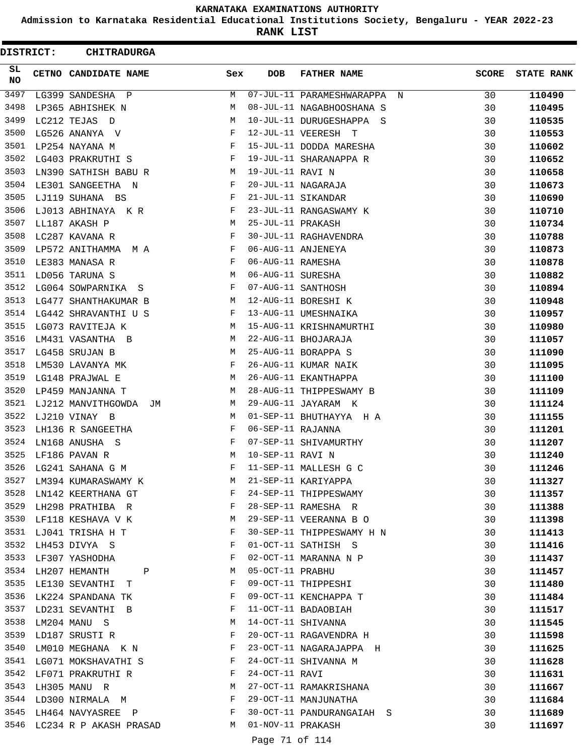**Admission to Karnataka Residential Educational Institutions Society, Bengaluru - YEAR 2022-23**

**RANK LIST**

| <b>DISTRICT:</b> | <b>CHITRADURGA</b>            |                                                |                   |                             |              |                   |
|------------------|-------------------------------|------------------------------------------------|-------------------|-----------------------------|--------------|-------------------|
| SL<br>NO.        | CETNO CANDIDATE NAME          | Sex                                            | <b>DOB</b>        | <b>FATHER NAME</b>          | <b>SCORE</b> | <b>STATE RANK</b> |
| 3497             | LG399 SANDESHA P              | М                                              |                   | 07-JUL-11 PARAMESHWARAPPA N | 30           | 110490            |
| 3498             | LP365 ABHISHEK N              | М                                              |                   | 08-JUL-11 NAGABHOOSHANA S   | 30           | 110495            |
| 3499             | LC212 TEJAS D                 | М                                              |                   | 10-JUL-11 DURUGESHAPPA S    | 30           | 110535            |
| 3500             | LG526 ANANYA V                | F                                              |                   | 12-JUL-11 VEERESH T         | 30           | 110553            |
| 3501             | LP254 NAYANA M                | F                                              |                   | 15-JUL-11 DODDA MARESHA     | 30           | 110602            |
| 3502             | LG403 PRAKRUTHI S             | F                                              |                   | 19-JUL-11 SHARANAPPA R      | 30           | 110652            |
| 3503             | LN390 SATHISH BABU R          | М                                              | 19-JUL-11 RAVI N  |                             | 30           | 110658            |
| 3504             | LE301 SANGEETHA N             | F                                              |                   | 20-JUL-11 NAGARAJA          | 30           | 110673            |
| 3505             | LJ119 SUHANA BS               | F                                              |                   | 21-JUL-11 SIKANDAR          | 30           | 110690            |
| 3506             | LJ013 ABHINAYA K R            | F                                              |                   | 23-JUL-11 RANGASWAMY K      | 30           | 110710            |
| 3507             | LL187 AKASH P                 | М                                              | 25-JUL-11 PRAKASH |                             | 30           | 110734            |
| 3508             | LC287 KAVANA R                | F                                              |                   | 30-JUL-11 RAGHAVENDRA       | 30           | 110788            |
| 3509             | LP572 ANITHAMMA M A           | F                                              |                   | 06-AUG-11 ANJENEYA          | 30           | 110873            |
| 3510             | LE383 MANASA R                | F                                              | 06-AUG-11 RAMESHA |                             | 30           | 110878            |
| 3511             | LD056 TARUNA S                | М                                              | 06-AUG-11 SURESHA |                             | 30           | 110882            |
| 3512             | LG064 SOWPARNIKA S            | F                                              |                   | 07-AUG-11 SANTHOSH          | 30           | 110894            |
| 3513             | LG477 SHANTHAKUMAR B          | М                                              |                   | 12-AUG-11 BORESHI K         | 30           | 110948            |
| 3514             | LG442 SHRAVANTHI U S          | F                                              |                   | 13-AUG-11 UMESHNAIKA        | 30           | 110957            |
| 3515             | LG073 RAVITEJA K              | М                                              |                   | 15-AUG-11 KRISHNAMURTHI     | 30           | 110980            |
| 3516             | LM431 VASANTHA B              | М                                              |                   | 22-AUG-11 BHOJARAJA         | 30           | 111057            |
| 3517             | LG458 SRUJAN B                | М                                              |                   | 25-AUG-11 BORAPPA S         | 30           | 111090            |
| 3518             | LM530 LAVANYA MK              | F                                              |                   | 26-AUG-11 KUMAR NAIK        | 30           | 111095            |
| 3519             | LG148 PRAJWAL E               | М                                              |                   | 26-AUG-11 EKANTHAPPA        | 30           | 111100            |
| 3520             | LP459 MANJANNA T              | М                                              |                   | 28-AUG-11 THIPPESWAMY B     | 30           | 111109            |
| 3521             | LJ212 MANVITHGOWDA<br>JM      | М                                              |                   | 29-AUG-11 JAYARAM K         | 30           | 111124            |
| 3522             | LJ210 VINAY B                 | М                                              |                   | 01-SEP-11 BHUTHAYYA H A     | 30           | 111155            |
| 3523             | LH136 R SANGEETHA             | F                                              | 06-SEP-11 RAJANNA |                             | 30           | 111201            |
| 3524             | LN168 ANUSHA S                | F                                              |                   | 07-SEP-11 SHIVAMURTHY       | 30           | 111207            |
| 3525             | LF186 PAVAN R                 | М                                              | 10-SEP-11 RAVI N  |                             | 30           | 111240            |
| 3526             | LG241 SAHANA G M              | F                                              |                   | 11-SEP-11 MALLESH G C       | 30           | 111246            |
|                  | 3527 LM394 KUMARASWAMY K      | M                                              |                   | 21-SEP-11 KARIYAPPA         | 30           | 111327            |
|                  | 3528 LN142 KEERTHANA GT       | F                                              |                   | 24-SEP-11 THIPPESWAMY       | 30           | 111357            |
|                  | 3529 LH298 PRATHIBA R         | $\mathbf{F}$ and $\mathbf{F}$ and $\mathbf{F}$ |                   | 28-SEP-11 RAMESHA R         | 30           | 111388            |
|                  | 3530 LF118 KESHAVA V K        | M                                              |                   | 29-SEP-11 VEERANNA B O      | 30           | 111398            |
|                  | 3531 LJ041 TRISHA H T         | F                                              |                   | 30-SEP-11 THIPPESWAMY H N   | 30           | 111413            |
| 3532             | LH453 DIVYA S                 | $\mathbf{F}$                                   |                   | 01-OCT-11 SATHISH S         | 30           | 111416            |
| 3533             | LF307 YASHODHA                | F                                              |                   | 02-OCT-11 MARANNA N P       | 30           | 111437            |
|                  | 3534 LH207 HEMANTH P          | M                                              | 05-OCT-11 PRABHU  |                             | 30           | 111457            |
|                  | 3535 LE130 SEVANTHI T         | $\mathbf{F}$                                   |                   | 09-OCT-11 THIPPESHI         | 30           | 111480            |
|                  | 3536 LK224 SPANDANA TK        | F                                              |                   | 09-OCT-11 KENCHAPPA T       | 30           | 111484            |
|                  | 3537 LD231 SEVANTHI B         | F                                              |                   | 11-OCT-11 BADAOBIAH         | 30           | 111517            |
|                  | 3538 LM204 MANU S             | M                                              |                   | 14-OCT-11 SHIVANNA          | 30           | 111545            |
|                  | 3539 LD187 SRUSTI R           | F                                              |                   | 20-OCT-11 RAGAVENDRA H      | 30           | 111598            |
| 3540             | LM010 MEGHANA K N             | F                                              |                   | 23-OCT-11 NAGARAJAPPA H     | 30           | 111625            |
| 3541             | LG071 MOKSHAVATHI S           | F                                              |                   | 24-OCT-11 SHIVANNA M        | 30           | 111628            |
|                  | 3542 LF071 PRAKRUTHI R        | $\mathbf{F}$                                   | 24-OCT-11 RAVI    |                             | 30           | 111631            |
|                  | 3543 LH305 MANU R             | M                                              |                   | 27-OCT-11 RAMAKRISHANA      | 30           | 111667            |
|                  | 3544 LD300 NIRMALA M          | F                                              |                   | 29-OCT-11 MANJUNATHA        | 30           | 111684            |
|                  | 3545 LH464 NAVYASREE P F      |                                                |                   | 30-OCT-11 PANDURANGAIAH S   | 30           | 111689            |
|                  | 3546 LC234 R P AKASH PRASAD M |                                                | 01-NOV-11 PRAKASH |                             | 30           | 111697            |
|                  |                               |                                                | Page 71 of 114    |                             |              |                   |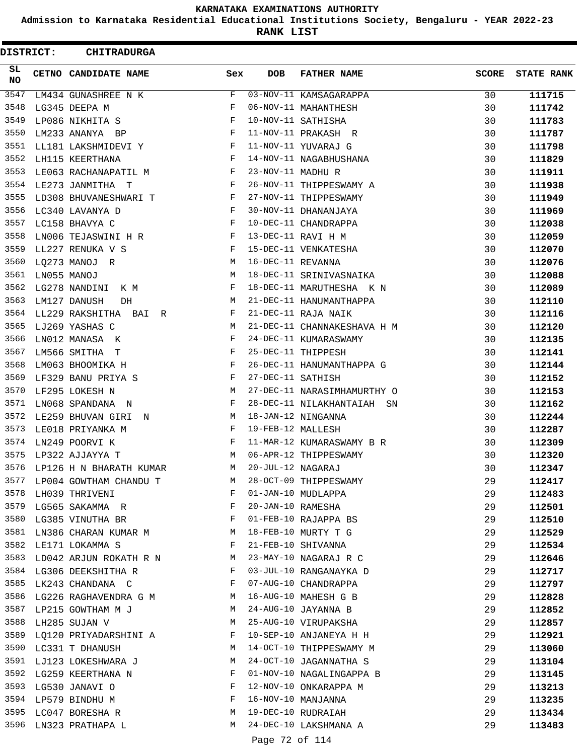**Admission to Karnataka Residential Educational Institutions Society, Bengaluru - YEAR 2022-23**

**RANK LIST**

ı

| DISTRICT:        |             | <b>CHITRADURGA</b>                                                               |                                                                  |                   |                             |              |                   |
|------------------|-------------|----------------------------------------------------------------------------------|------------------------------------------------------------------|-------------------|-----------------------------|--------------|-------------------|
| SL.<br><b>NO</b> |             | CETNO CANDIDATE NAME                                                             | Sex                                                              | <b>DOB</b>        | <b>FATHER NAME</b>          | <b>SCORE</b> | <b>STATE RANK</b> |
| 3547             |             | LM434 GUNASHREE N K                                                              | F                                                                |                   | 03-NOV-11 KAMSAGARAPPA      | 30           | 111715            |
| 3548             |             | LG345 DEEPA M                                                                    | F                                                                |                   | 06-NOV-11 MAHANTHESH        | 30           | 111742            |
| 3549             |             | LP086 NIKHITA S                                                                  | F                                                                |                   | 10-NOV-11 SATHISHA          | 30           | 111783            |
| 3550             |             | LM233 ANANYA BP                                                                  | F                                                                |                   | 11-NOV-11 PRAKASH R         | 30           | 111787            |
| 3551             |             | LL181 LAKSHMIDEVI Y                                                              | F                                                                |                   | 11-NOV-11 YUVARAJ G         | 30           | 111798            |
| 3552             |             | LH115 KEERTHANA                                                                  | F                                                                |                   | 14-NOV-11 NAGABHUSHANA      | 30           | 111829            |
| 3553             |             | LE063 RACHANAPATIL M                                                             | F                                                                | 23-NOV-11 MADHU R |                             | 30           | 111911            |
| 3554             |             | LE273 JANMITHA T                                                                 | F                                                                |                   | 26-NOV-11 THIPPESWAMY A     | 30           | 111938            |
| 3555             |             | LD308 BHUVANESHWARI T                                                            | F                                                                |                   | 27-NOV-11 THIPPESWAMY       | 30           | 111949            |
| 3556             |             | LC340 LAVANYA D                                                                  | F                                                                |                   | 30-NOV-11 DHANANJAYA        | 30           | 111969            |
| 3557             |             | LC158 BHAVYA C                                                                   | F                                                                |                   | 10-DEC-11 CHANDRAPPA        | 30           | 112038            |
| 3558             |             | LN006 TEJASWINI H R                                                              | F                                                                |                   | 13-DEC-11 RAVI H M          | 30           | 112059            |
| 3559             |             | LL227 RENUKA V S                                                                 | F                                                                |                   | 15-DEC-11 VENKATESHA        | 30           | 112070            |
| 3560             |             | LQ273 MANOJ R                                                                    | M                                                                | 16-DEC-11 REVANNA |                             | 30           | 112076            |
| 3561             | LN055 MANOJ |                                                                                  | М                                                                |                   | 18-DEC-11 SRINIVASNAIKA     | 30           | 112088            |
| 3562             |             | LG278 NANDINI K M                                                                | F                                                                |                   | 18-DEC-11 MARUTHESHA K N    | 30           | 112089            |
| 3563             |             | LM127 DANUSH<br>DH                                                               | М                                                                |                   | 21-DEC-11 HANUMANTHAPPA     | 30           | 112110            |
| 3564             |             | LL229 RAKSHITHA BAI R                                                            | F                                                                |                   | 21-DEC-11 RAJA NAIK         | 30           | 112116            |
| 3565             |             | LJ269 YASHAS C                                                                   | М                                                                |                   | 21-DEC-11 CHANNAKESHAVA H M | 30           | 112120            |
| 3566             |             | LN012 MANASA K                                                                   | F                                                                |                   | 24-DEC-11 KUMARASWAMY       | 30           | 112135            |
| 3567             |             | LM566 SMITHA T                                                                   | F                                                                |                   | 25-DEC-11 THIPPESH          | 30           | 112141            |
| 3568             |             | LM063 BHOOMIKA H                                                                 | F                                                                |                   | 26-DEC-11 HANUMANTHAPPA G   | 30           | 112144            |
| 3569             |             | LF329 BANU PRIYA S                                                               | F                                                                | 27-DEC-11 SATHISH |                             | 30           | 112152            |
| 3570             |             | LF295 LOKESH N                                                                   | М                                                                |                   | 27-DEC-11 NARASIMHAMURTHY O | 30           | 112153            |
| 3571             |             | LN068 SPANDANA N                                                                 | F                                                                |                   | 28-DEC-11 NILAKHANTAIAH SN  | 30           | 112162            |
| 3572             |             | LE259 BHUVAN GIRI N                                                              | M                                                                |                   | 18-JAN-12 NINGANNA          | 30           | 112244            |
| 3573             |             | LE018 PRIYANKA M                                                                 | F                                                                | 19-FEB-12 MALLESH |                             | 30           | 112287            |
| 3574             |             | LN249 POORVI K                                                                   | F                                                                |                   | 11-MAR-12 KUMARASWAMY B R   | 30           | 112309            |
| 3575             |             | LP322 AJJAYYA T                                                                  | M                                                                |                   | 06-APR-12 THIPPESWAMY       | 30           | 112320            |
| 3576             |             | LP126 H N BHARATH KUMAR                                                          | M                                                                | 20-JUL-12 NAGARAJ |                             | 30           | 112347            |
| 3577             |             | LP004 GOWTHAM CHANDU T                                                           | M                                                                |                   | 28-OCT-09 THIPPESWAMY       | 29           | 112417            |
|                  |             | 3578 LH039 THRIVENI                                                              | F                                                                |                   | 01-JAN-10 MUDLAPPA          | 29           | 112483            |
| 3579             |             | LG565 SAKAMMA R F                                                                |                                                                  | 20-JAN-10 RAMESHA |                             | 29           | 112501            |
| 3580             |             | LG385 VINUTHA BR                                                                 | $\mathbb{F}^{\mathbb{Z}}$ . The set of $\mathbb{F}^{\mathbb{Z}}$ |                   | 01-FEB-10 RAJAPPA BS        | 29           | 112510            |
| 3581             |             | LN386 CHARAN KUMAR M                                                             |                                                                  |                   | 18-FEB-10 MURTY T G         | 29           | 112529            |
| 3582             |             | LE171 LOKAMMA S<br>$\mathbf{F}$ and the contract of the contract of $\mathbf{F}$ |                                                                  |                   | 21-FEB-10 SHIVANNA          | 29           | 112534            |
| 3583             |             | LD042 ARJUN ROKATH R N M                                                         |                                                                  |                   | 23-MAY-10 NAGARAJ R C       | 29           | 112646            |
|                  |             | 3584 LG306 DEEKSHITHA R                                                          | F                                                                |                   | 03-JUL-10 RANGANAYKA D      | 29           | 112717            |
|                  |             | 3585 LK243 CHANDANA C                                                            | F                                                                |                   | 07-AUG-10 CHANDRAPPA        | 29           | 112797            |
| 3586             |             | LG226 RAGHAVENDRA G M M                                                          |                                                                  |                   | 16-AUG-10 MAHESH G B        | 29           | 112828            |
|                  |             | 3587 LP215 GOWTHAM M J                                                           | M                                                                |                   | 24-AUG-10 JAYANNA B         | 29           | 112852            |
|                  |             | 3588 LH285 SUJAN V                                                               | М                                                                |                   | 25-AUG-10 VIRUPAKSHA        | 29           | 112857            |
| 3589             |             | LQ120 PRIYADARSHINI A                                                            | F                                                                |                   | 10-SEP-10 ANJANEYA H H      | 29           | 112921            |
| 3590             |             | LC331 T DHANUSH                                                                  | M                                                                |                   | 14-OCT-10 THIPPESWAMY M     | 29           | 113060            |
| 3591             |             | LJ123 LOKESHWARA J                                                               | M                                                                |                   | 24-OCT-10 JAGANNATHA S      | 29           | 113104            |
|                  |             | 3592 LG259 KEERTHANA N                                                           | F                                                                |                   | 01-NOV-10 NAGALINGAPPA B    | 29           | 113145            |
|                  |             | 3593 LG530 JANAVI O                                                              | F                                                                |                   | 12-NOV-10 ONKARAPPA M       | 29           | 113213            |
|                  |             | 3594 LP579 BINDHU M                                                              | F                                                                |                   | 16-NOV-10 MANJANNA          | 29           | 113235            |
|                  |             | 3595 LC047 BORESHA R                                                             | M                                                                |                   | 19-DEC-10 RUDRAIAH          | 29           | 113434            |
| 3596             |             | LN323 PRATHAPA L                                                                 | M                                                                |                   | 24-DEC-10 LAKSHMANA A       | 29           | 113483            |
|                  |             |                                                                                  |                                                                  | Page 72 of 114    |                             |              |                   |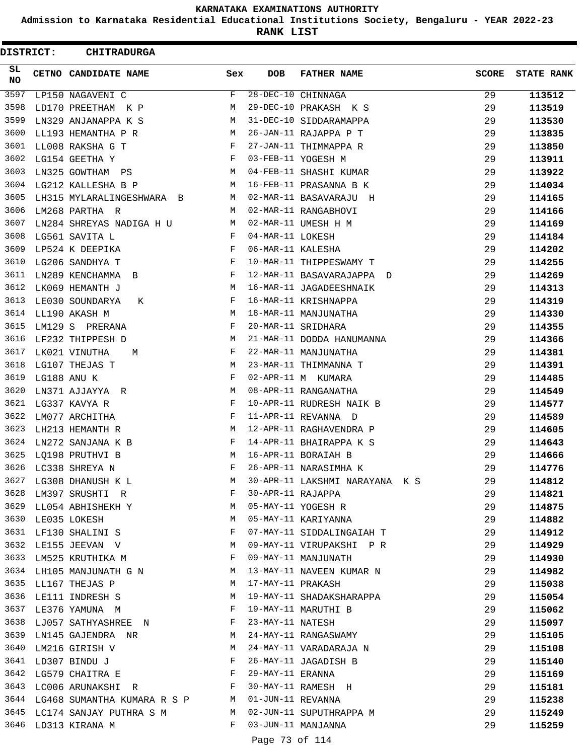**Admission to Karnataka Residential Educational Institutions Society, Bengaluru - YEAR 2022-23**

**RANK LIST**

| DISTRICT: | <b>CHITRADURGA</b>                                                                 |              |                   |                                |              |                   |
|-----------|------------------------------------------------------------------------------------|--------------|-------------------|--------------------------------|--------------|-------------------|
| SL.<br>NO | CETNO CANDIDATE NAME                                                               | Sex          | <b>DOB</b>        | <b>FATHER NAME</b>             | <b>SCORE</b> | <b>STATE RANK</b> |
| 3597      | LP150 NAGAVENI C                                                                   | F            |                   | 28-DEC-10 CHINNAGA             | 29           | 113512            |
| 3598      | LD170 PREETHAM K P                                                                 | М            |                   | 29-DEC-10 PRAKASH K S          | 29           | 113519            |
| 3599      | LN329 ANJANAPPA K S                                                                | М            |                   | 31-DEC-10 SIDDARAMAPPA         | 29           | 113530            |
| 3600      | LL193 HEMANTHA P R                                                                 | M            |                   | 26-JAN-11 RAJAPPA P T          | 29           | 113835            |
| 3601      | LL008 RAKSHA G T                                                                   | F            |                   | 27-JAN-11 THIMMAPPA R          | 29           | 113850            |
| 3602      | LG154 GEETHA Y                                                                     | F            |                   | 03-FEB-11 YOGESH M             | 29           | 113911            |
| 3603      | LN325 GOWTHAM PS                                                                   | M            |                   | 04-FEB-11 SHASHI KUMAR         | 29           | 113922            |
| 3604      | LG212 KALLESHA B P                                                                 | M            |                   | 16-FEB-11 PRASANNA B K         | 29           | 114034            |
| 3605      | LH315 MYLARALINGESHWARA B                                                          | M            |                   | 02-MAR-11 BASAVARAJU H         | 29           | 114165            |
| 3606      | LM268 PARTHA R                                                                     | M            |                   | 02-MAR-11 RANGABHOVI           | 29           | 114166            |
| 3607      | LN284 SHREYAS NADIGA H U                                                           | М            |                   | 02-MAR-11 UMESH H M            | 29           | 114169            |
| 3608      | LG561 SAVITA L                                                                     | F            | 04-MAR-11 LOKESH  |                                | 29           | 114184            |
| 3609      | LP524 K DEEPIKA                                                                    | F            | 06-MAR-11 KALESHA |                                | 29           | 114202            |
| 3610      | LG206 SANDHYA T                                                                    | F            |                   | 10-MAR-11 THIPPESWAMY T        | 29           | 114255            |
| 3611      | LN289 KENCHAMMA<br>$\Box$                                                          | F            |                   | 12-MAR-11 BASAVARAJAPPA D      | 29           | 114269            |
| 3612      | LK069 HEMANTH J                                                                    | M            |                   | 16-MAR-11 JAGADEESHNAIK        | 29           | 114313            |
| 3613      | LE030 SOUNDARYA<br>К                                                               | F            |                   | 16-MAR-11 KRISHNAPPA           | 29           | 114319            |
| 3614      | LL190 AKASH M                                                                      | М            |                   | 18-MAR-11 MANJUNATHA           | 29           | 114330            |
| 3615      | LM129 S PRERANA                                                                    | F            |                   | 20-MAR-11 SRIDHARA             | 29           | 114355            |
| 3616      | LF232 THIPPESH D                                                                   | М            |                   | 21-MAR-11 DODDA HANUMANNA      | 29           | 114366            |
| 3617      | LK021 VINUTHA<br>M                                                                 | F            |                   | 22-MAR-11 MANJUNATHA           | 29           | 114381            |
| 3618      | LG107 THEJAS T                                                                     | М            |                   | 23-MAR-11 THIMMANNA T          | 29           | 114391            |
| 3619      | LG188 ANU K                                                                        | F            |                   | 02-APR-11 M KUMARA             | 29           | 114485            |
| 3620      | LN371 AJJAYYA R                                                                    | М            |                   | 08-APR-11 RANGANATHA           | 29           | 114549            |
| 3621      | LG337 KAVYA R                                                                      | F            |                   | 10-APR-11 RUDRESH NAIK B       | 29           | 114577            |
| 3622      | LM077 ARCHITHA                                                                     | F            |                   | 11-APR-11 REVANNA D            | 29           | 114589            |
| 3623      | LH213 HEMANTH R                                                                    | М            |                   | 12-APR-11 RAGHAVENDRA P        | 29           | 114605            |
| 3624      | LN272 SANJANA K B                                                                  | F            |                   | 14-APR-11 BHAIRAPPA K S        | 29           | 114643            |
| 3625      | LQ198 PRUTHVI B                                                                    | M            |                   | 16-APR-11 BORAIAH B            | 29           | 114666            |
| 3626      | LC338 SHREYA N                                                                     | F            |                   | 26-APR-11 NARASIMHA K          | 29           | 114776            |
|           | 3627 LG308 DHANUSH K L                                                             | M            |                   | 30-APR-11 LAKSHMI NARAYANA K S | 29           | 114812            |
|           | 3628 LM397 SRUSHTI R                                                               | F            | 30-APR-11 RAJAPPA |                                | 29           | 114821            |
|           | 3629 LL054 ABHISHEKH Y M                                                           |              |                   | 05-MAY-11 YOGESH R             | 29           | 114875            |
|           | 3630 LE035 LOKESH                                                                  | M            |                   | 05-MAY-11 KARIYANNA            | 29           | 114882            |
|           | 3631 LF130 SHALINI S                                                               | $\mathbf{F}$ |                   | 07-MAY-11 SIDDALINGAIAH T      | 29           | 114912            |
| 3632      | LE155 JEEVAN V N                                                                   |              |                   | 09-MAY-11 VIRUPAKSHI P R       | 29           | 114929            |
| 3633      | LM525 KRUTHIKA M                                                                   | F            |                   | 09-MAY-11 MANJUNATH            | 29           | 114930            |
|           | 3634 LH105 MANJUNATH G N                                                           | M            |                   | 13-MAY-11 NAVEEN KUMAR N       | 29           | 114982            |
|           | 3635 LL167 THEJAS P                                                                | M            | 17-MAY-11 PRAKASH |                                | 29           | 115038            |
|           | 3636 LE111 INDRESH S                                                               | М            |                   | 19-MAY-11 SHADAKSHARAPPA       | 29           | 115054            |
|           | 3637 LE376 YAMUNA M<br>$\mathbf{F}$ . The contract of the contract of $\mathbf{F}$ |              |                   | 19-MAY-11 MARUTHI B            | 29           | 115062            |
|           | 3638 LJ057 SATHYASHREE N<br>$\mathbf{F}$ and $\mathbf{F}$ and $\mathbf{F}$         |              | 23-MAY-11 NATESH  |                                | 29           | 115097            |
|           | 3639 LN145 GAJENDRA NR                                                             | M            |                   | 24-MAY-11 RANGASWAMY           | 29           | 115105            |
| 3640      | LM216 GIRISH V                                                                     | M            |                   | 24-MAY-11 VARADARAJA N         | 29           | 115108            |
| 3641      | LD307 BINDU J                                                                      | F            |                   | 26-MAY-11 JAGADISH B           | 29           | 115140            |
|           | $\mathbf{F}$ and $\mathbf{F}$ and $\mathbf{F}$<br>3642 LG579 CHAITRA E             |              | 29-MAY-11 ERANNA  |                                | 29           | 115169            |
|           | 3643 LC006 ARUNAKSHI R                                                             | $\mathbb F$  |                   | $25 - 11$ RAMESH H             | 29           | 115181            |
|           | 3644 LG468 SUMANTHA KUMARA R S P M                                                 |              | 01-JUN-11 REVANNA |                                | 29           | 115238            |
|           | 3645 LC174 SANJAY PUTHRA S M M                                                     |              |                   | 02-JUN-11 SUPUTHRAPPA M        | 29           | 115249            |
|           | 3646 LD313 KIRANA M                                                                | $\mathbf{F}$ |                   | 03-JUN-11 MANJANNA             | 29           | 115259            |
|           |                                                                                    |              | Page 73 of 114    |                                |              |                   |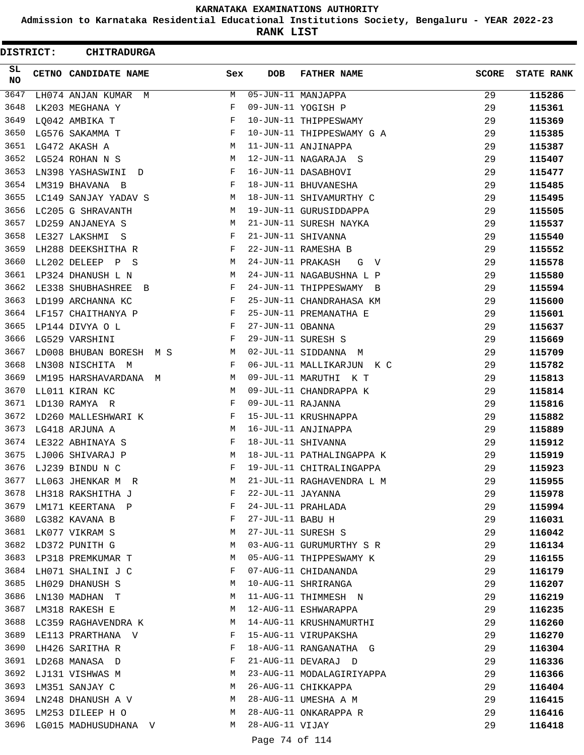**Admission to Karnataka Residential Educational Institutions Society, Bengaluru - YEAR 2022-23**

**RANK LIST**

| DISTRICT:        | <b>CHITRADURGA</b>          |              |                   |                           |              |                   |
|------------------|-----------------------------|--------------|-------------------|---------------------------|--------------|-------------------|
| SL.<br><b>NO</b> | <b>CETNO CANDIDATE NAME</b> | Sex          | DOB               | <b>FATHER NAME</b>        | <b>SCORE</b> | <b>STATE RANK</b> |
| 3647             | LH074 ANJAN KUMAR M         | M            |                   | 05-JUN-11 MANJAPPA        | 29           | 115286            |
| 3648             | LK203 MEGHANA Y             | F            |                   | 09-JUN-11 YOGISH P        | 29           | 115361            |
| 3649             | LQ042 AMBIKA T              | F            |                   | 10-JUN-11 THIPPESWAMY     | 29           | 115369            |
| 3650             | LG576 SAKAMMA T             | F            |                   | 10-JUN-11 THIPPESWAMY G A | 29           | 115385            |
| 3651             | LG472 AKASH A               | M            |                   | 11-JUN-11 ANJINAPPA       | 29           | 115387            |
| 3652             | LG524 ROHAN N S             | M            |                   | 12-JUN-11 NAGARAJA S      | 29           | 115407            |
| 3653             | LN398 YASHASWINI D          | F            |                   | 16-JUN-11 DASABHOVI       | 29           | 115477            |
| 3654             | LM319 BHAVANA B             | F            |                   | 18-JUN-11 BHUVANESHA      | 29           | 115485            |
| 3655             | LC149 SANJAY YADAV S        | M            |                   | 18-JUN-11 SHIVAMURTHY C   | 29           | 115495            |
| 3656             | LC205 G SHRAVANTH           | M            |                   | 19-JUN-11 GURUSIDDAPPA    | 29           | 115505            |
| 3657             | LD259 ANJANEYA S            | М            |                   | 21-JUN-11 SURESH NAYKA    | 29           | 115537            |
| 3658             | LE327 LAKSHMI<br>ဒ          | F            |                   | 21-JUN-11 SHIVANNA        | 29           | 115540            |
| 3659             | LH288 DEEKSHITHA R          | F            |                   | 22-JUN-11 RAMESHA B       | 29           | 115552            |
| 3660             | LL202 DELEEP P S            | M            | 24-JUN-11 PRAKASH | G V                       | 29           | 115578            |
| 3661             | LP324 DHANUSH L N           | М            |                   | 24-JUN-11 NAGABUSHNA L P  | 29           | 115580            |
| 3662             | LE338 SHUBHASHREE B         | F            |                   | 24-JUN-11 THIPPESWAMY B   | 29           | 115594            |
| 3663             | LD199 ARCHANNA KC           | F            |                   | 25-JUN-11 CHANDRAHASA KM  | 29           | 115600            |
| 3664             | LF157 CHAITHANYA P          | F            |                   | 25-JUN-11 PREMANATHA E    | 29           | 115601            |
| 3665             | LP144 DIVYA O L             | F            | 27-JUN-11 OBANNA  |                           | 29           | 115637            |
| 3666             | LG529 VARSHINI              | F            |                   | 29-JUN-11 SURESH S        | 29           | 115669            |
| 3667             | LD008 BHUBAN BORESH M S     | M            |                   | 02-JUL-11 SIDDANNA M      | 29           | 115709            |
| 3668             | LN308 NISCHITA M            | F            |                   | 06-JUL-11 MALLIKARJUN K C | 29           | 115782            |
| 3669             | LM195 HARSHAVARDANA M       | М            |                   | 09-JUL-11 MARUTHI K T     | 29           | 115813            |
| 3670             | LL011 KIRAN KC              | M            |                   | 09-JUL-11 CHANDRAPPA K    | 29           | 115814            |
| 3671             | LD130 RAMYA R               | F            | 09-JUL-11 RAJANNA |                           | 29           | 115816            |
| 3672             | LD260 MALLESHWARI K         | $\mathbf{F}$ |                   | 15-JUL-11 KRUSHNAPPA      | 29           | 115882            |
| 3673             | LG418 ARJUNA A              | М            |                   | 16-JUL-11 ANJINAPPA       | 29           | 115889            |
| 3674             | LE322 ABHINAYA S            | F            |                   | 18-JUL-11 SHIVANNA        | 29           | 115912            |
| 3675             | LJ006 SHIVARAJ P            | M            |                   | 18-JUL-11 PATHALINGAPPA K | 29           | 115919            |
| 3676             | LJ239 BINDU N C             | F            |                   | 19-JUL-11 CHITRALINGAPPA  | 29           | 115923            |
| 3677             | LL063 JHENKAR M R           | М            |                   | 21-JUL-11 RAGHAVENDRA L M | 29           | 115955            |
| 3678             | LH318 RAKSHITHA J           | F            | 22-JUL-11 JAYANNA |                           | 29           | 115978            |
| 3679             | LM171 KEERTANA P            | F            |                   | 24-JUL-11 PRAHLADA        | 29           | 115994            |
| 3680             | LG382 KAVANA B              | F            | 27-JUL-11 BABU H  |                           | 29           | 116031            |
| 3681             | LK077 VIKRAM S              | М            |                   | 27-JUL-11 SURESH S        | 29           | 116042            |
| 3682             | LD372 PUNITH G              | M            |                   | 03-AUG-11 GURUMURTHY S R  | 29           | 116134            |
| 3683             | LP318 PREMKUMAR T           | М            |                   | 05-AUG-11 THIPPESWAMY K   | 29           | 116155            |
| 3684             | LH071 SHALINI J C           | F            |                   | 07-AUG-11 CHIDANANDA      | 29           | 116179            |
| 3685             | LH029 DHANUSH S             | M            |                   | 10-AUG-11 SHRIRANGA       | 29           | 116207            |
| 3686             | LN130 MADHAN T              | М            |                   | 11-AUG-11 THIMMESH N      | 29           | 116219            |
| 3687             | LM318 RAKESH E              | M            |                   | 12-AUG-11 ESHWARAPPA      | 29           | 116235            |
| 3688             | LC359 RAGHAVENDRA K         | M            |                   | 14-AUG-11 KRUSHNAMURTHI   | 29           | 116260            |
| 3689             | LE113 PRARTHANA V           | F            |                   | 15-AUG-11 VIRUPAKSHA      | 29           | 116270            |
| 3690             | LH426 SARITHA R             | F            |                   | 18-AUG-11 RANGANATHA G    | 29           | 116304            |
| 3691             | LD268 MANASA D              | F            |                   | 21-AUG-11 DEVARAJ D       | 29           | 116336            |
| 3692             | LJ131 VISHWAS M             | M            |                   | 23-AUG-11 MODALAGIRIYAPPA | 29           | 116366            |
| 3693             | LM351 SANJAY C              | M            |                   | 26-AUG-11 CHIKKAPPA       | 29           | 116404            |
| 3694             | LN248 DHANUSH A V           | M            |                   | 28-AUG-11 UMESHA A M      | 29           | 116415            |
| 3695             | LM253 DILEEP H O            | М            |                   | 28-AUG-11 ONKARAPPA R     | 29           | 116416            |
| 3696             | LG015 MADHUSUDHANA V        | M            | 28-AUG-11 VIJAY   |                           | 29           | 116418            |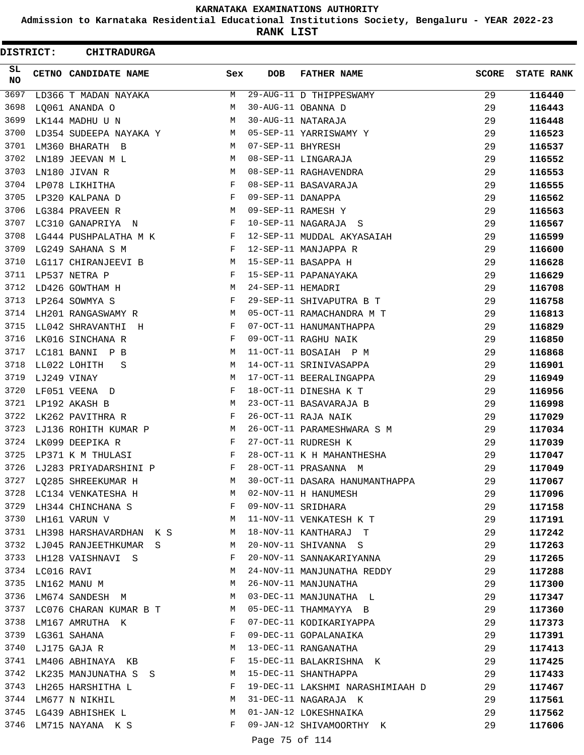**Admission to Karnataka Residential Educational Institutions Society, Bengaluru - YEAR 2022-23**

**RANK LIST**

 $\blacksquare$ 

| <b>DISTRICT:</b> |                 | <b>CHITRADURGA</b>                |              |                   |                                  |              |                   |
|------------------|-----------------|-----------------------------------|--------------|-------------------|----------------------------------|--------------|-------------------|
| SL.<br><b>NO</b> |                 | <b>CETNO CANDIDATE NAME</b>       | Sex          | <b>DOB</b>        | <b>FATHER NAME</b>               | <b>SCORE</b> | <b>STATE RANK</b> |
| 3697             |                 | LD366 T MADAN NAYAKA              | M            |                   | 29-AUG-11 D THIPPESWAMY          | 29           | 116440            |
| 3698             |                 | LQ061 ANANDA O                    | М            |                   | 30-AUG-11 OBANNA D               | 29           | 116443            |
| 3699             |                 | LK144 MADHU U N                   | M            |                   | 30-AUG-11 NATARAJA               | 29           | 116448            |
| 3700             |                 | LD354 SUDEEPA NAYAKA Y M          |              |                   | 05-SEP-11 YARRISWAMY Y           | 29           | 116523            |
| 3701             |                 | LM360 BHARATH B                   | M            | 07-SEP-11 BHYRESH |                                  | 29           | 116537            |
| 3702             |                 | LN189 JEEVAN M L                  | M            |                   | 08-SEP-11 LINGARAJA              | 29           | 116552            |
| 3703             |                 | LN180 JIVAN R                     | M            |                   | 08-SEP-11 RAGHAVENDRA            | 29           | 116553            |
| 3704             |                 | LP078 LIKHITHA                    | F            |                   | 08-SEP-11 BASAVARAJA             | 29           | 116555            |
| 3705             |                 | LP320 KALPANA D                   | F            | 09-SEP-11 DANAPPA |                                  | 29           | 116562            |
| 3706             |                 | LG384 PRAVEEN R<br>M <sub>1</sub> |              |                   | 09-SEP-11 RAMESH Y               | 29           | 116563            |
| 3707             |                 | LC310 GANAPRIYA N                 | F            |                   | 10-SEP-11 NAGARAJA S             | 29           | 116567            |
| 3708             |                 | $LG444$ PUSHPALATHA M K F         |              |                   | 12-SEP-11 MUDDAL AKYASAIAH       | 29           | 116599            |
| 3709             |                 | LG249 SAHANA S M                  | F            |                   | 12-SEP-11 MANJAPPA R             | 29           | 116600            |
| 3710             |                 | LG117 CHIRANJEEVI B M             |              |                   | 15-SEP-11 BASAPPA H              | 29           | 116628            |
| 3711             |                 | LP537 NETRA P                     | F            |                   | 15-SEP-11 PAPANAYAKA             | 29           | 116629            |
| 3712             |                 | LD426 GOWTHAM H                   | M            | 24-SEP-11 HEMADRI |                                  | 29           | 116708            |
|                  |                 | 3713 LP264 SOWMYA S               | F            |                   | 29-SEP-11 SHIVAPUTRA B T         | 29           | 116758            |
| 3714             |                 | LH201 RANGASWAMY R                | M            |                   | 05-OCT-11 RAMACHANDRA M T        | 29           | 116813            |
| 3715             |                 | LL042 SHRAVANTHI H                | F            |                   | 07-OCT-11 HANUMANTHAPPA          | 29           | 116829            |
| 3716             |                 | LK016 SINCHANA R                  | F            |                   | 09-OCT-11 RAGHU NAIK             | 29           | 116850            |
|                  |                 | 3717 LC181 BANNI P B              | М            |                   | 11-OCT-11 BOSAIAH P M            | 29           | 116868            |
| 3718             |                 | LL022 LOHITH<br>-S                | М            |                   | 14-OCT-11 SRINIVASAPPA           | 29           | 116901            |
| 3719             | LJ249 VINAY     |                                   | М            |                   | 17-OCT-11 BEERALINGAPPA          | 29           | 116949            |
| 3720             |                 | LF051 VEENA D                     | F            |                   | 18-OCT-11 DINESHA K T            | 29           | 116956            |
|                  |                 | 3721 LP192 AKASH B                | М            |                   | 23-OCT-11 BASAVARAJA B           | 29           | 116998            |
| 3722             |                 | LK262 PAVITHRA R                  | F            |                   | 26-OCT-11 RAJA NAIK              | 29           | 117029            |
| 3723             |                 | LJ136 ROHITH KUMAR P              | M            |                   | 26-OCT-11 PARAMESHWARA S M       | 29           | 117034            |
| 3724             |                 | LK099 DEEPIKA R                   | F            |                   | 27-OCT-11 RUDRESH K              | 29           | 117039            |
| 3725             |                 | LP371 K M THULASI                 | $\mathbf{F}$ |                   | 28-OCT-11 K H MAHANTHESHA        | 29           | 117047            |
| 3726             |                 | LJ283 PRIYADARSHINI P             | F            |                   | 28-OCT-11 PRASANNA M             | 29           | 117049            |
|                  |                 | 3727 LQ285 SHREEKUMAR H           | M            |                   | 30-OCT-11 DASARA HANUMANTHAPPA   | 29           | 117067            |
|                  |                 | 3728 LC134 VENKATESHA H           | M            |                   | 02-NOV-11 H HANUMESH             | 29           | 117096            |
|                  |                 | 3729 LH344 CHINCHANA S            | F            |                   | 09-NOV-11 SRIDHARA               | 29           | 117158            |
| 3730             |                 | LH161 VARUN V                     | М            |                   | 11-NOV-11 VENKATESH K T          | 29           | 117191            |
| 3731             |                 | LH398 HARSHAVARDHAN K S           | M            |                   | 18-NOV-11 KANTHARAJ T            | 29           | 117242            |
| 3732             |                 | LJ045 RANJEETHKUMAR S             | M            |                   | 20-NOV-11 SHIVANNA S             | 29           | 117263            |
|                  |                 | 3733 LH128 VAISHNAVI S            | F            |                   | 20-NOV-11 SANNAKARIYANNA         | 29           | 117265            |
|                  | 3734 LC016 RAVI |                                   | М            |                   | 24-NOV-11 MANJUNATHA REDDY       | 29           | 117288            |
| 3735             |                 | LN162 MANU M                      | М            |                   | 26-NOV-11 MANJUNATHA             | 29           | 117300            |
|                  |                 | 3736 LM674 SANDESH M              | M            |                   | 03-DEC-11 MANJUNATHA L           | 29           | 117347            |
|                  |                 | 3737 LC076 CHARAN KUMAR B T       | M            |                   | 05-DEC-11 THAMMAYYA B            | 29           | 117360            |
| 3738             |                 | LM167 AMRUTHA K                   | F            |                   | 07-DEC-11 KODIKARIYAPPA          | 29           | 117373            |
| 3739             |                 | LG361 SAHANA                      | F            |                   | 09-DEC-11 GOPALANAIKA            | 29           | 117391            |
| 3740             |                 | LJ175 GAJA R                      | М            |                   | 13-DEC-11 RANGANATHA             | 29           | 117413            |
|                  |                 | 3741 LM406 ABHINAYA KB            | F            |                   | 15-DEC-11 BALAKRISHNA K          | 29           | 117425            |
| 3742             |                 | LK235 MANJUNATHA S S              | M            |                   | 15-DEC-11 SHANTHAPPA             | 29           | 117433            |
|                  |                 | 3743 LH265 HARSHITHA L            | F            |                   | 19-DEC-11 LAKSHMI NARASHIMIAAH D | 29           | 117467            |
|                  |                 | 3744 LM677 N NIKHIL               | M            |                   | 31-DEC-11 NAGARAJA K             | 29           | 117561            |
|                  |                 | 3745 LG439 ABHISHEK L             | М            |                   | 01-JAN-12 LOKESHNAIKA            | 29           | 117562            |
| 3746             |                 | LM715 NAYANA K S                  | F            |                   | 09-JAN-12 SHIVAMOORTHY K         | 29           | 117606            |

Page 75 of 114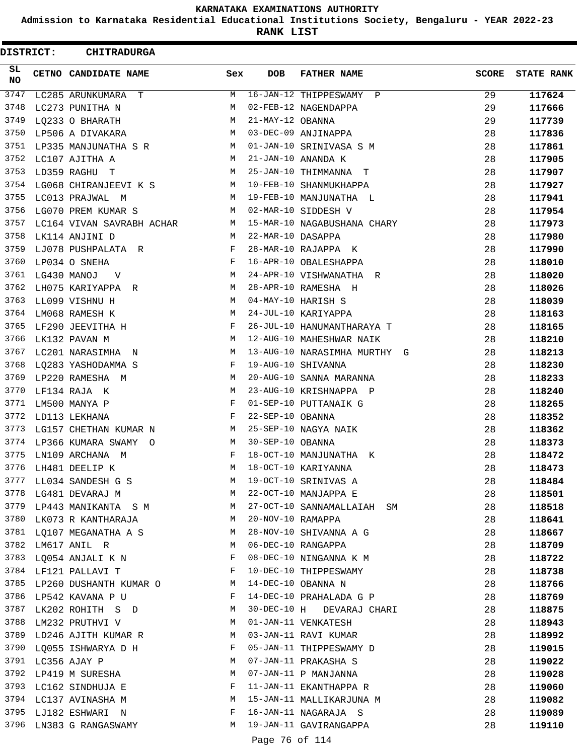**Admission to Karnataka Residential Educational Institutions Society, Bengaluru - YEAR 2022-23**

**RANK LIST**

| <b>DISTRICT:</b> | <b>CHITRADURGA</b>                                                  |              |                   |                              |              |                   |
|------------------|---------------------------------------------------------------------|--------------|-------------------|------------------------------|--------------|-------------------|
| SL<br><b>NO</b>  | CETNO CANDIDATE NAME                                                | Sex          | <b>DOB</b>        | <b>FATHER NAME</b>           | <b>SCORE</b> | <b>STATE RANK</b> |
| 3747             | LC285 ARUNKUMARA T                                                  | М            |                   | 16-JAN-12 THIPPESWAMY P      | 29           | 117624            |
| 3748             | LC273 PUNITHA N                                                     | М            |                   | 02-FEB-12 NAGENDAPPA         | 29           | 117666            |
| 3749             | LQ233 O BHARATH                                                     | М            | 21-MAY-12 OBANNA  |                              | 29           | 117739            |
| 3750             | LP506 A DIVAKARA                                                    | M            |                   | 03-DEC-09 ANJINAPPA          | 28           | 117836            |
| 3751             | LP335 MANJUNATHA S R                                                | M            |                   | 01-JAN-10 SRINIVASA S M      | 28           | 117861            |
| 3752             | LC107 AJITHA A                                                      | М            |                   | 21-JAN-10 ANANDA K           | 28           | 117905            |
| 3753             | LD359 RAGHU T                                                       | М            |                   | 25-JAN-10 THIMMANNA T        | 28           | 117907            |
| 3754             | LG068 CHIRANJEEVI K S                                               | M            |                   | 10-FEB-10 SHANMUKHAPPA       | 28           | 117927            |
| 3755             | LC013 PRAJWAL M                                                     | M            |                   | 19-FEB-10 MANJUNATHA L       | 28           | 117941            |
| 3756             | LG070 PREM KUMAR S                                                  | M            |                   | 02-MAR-10 SIDDESH V          | 28           | 117954            |
| 3757             | LC164 VIVAN SAVRABH ACHAR                                           | M            |                   | 15-MAR-10 NAGABUSHANA CHARY  | 28           | 117973            |
| 3758             | LK114 ANJINI D                                                      | M            | 22-MAR-10 DASAPPA |                              | 28           | 117980            |
| 3759             | LJ078 PUSHPALATA R                                                  | F            |                   | 28-MAR-10 RAJAPPA K          | 28           | 117990            |
| 3760             | LP034 O SNEHA                                                       | F            |                   | 16-APR-10 OBALESHAPPA        | 28           | 118010            |
| 3761             | LG430 MANOJ<br>$\mathbf V$                                          | M            |                   | 24-APR-10 VISHWANATHA R      | 28           | 118020            |
| 3762             | LH075 KARIYAPPA R                                                   | M            |                   | 28-APR-10 RAMESHA H          | 28           | 118026            |
| 3763             | LL099 VISHNU H                                                      | М            |                   | 04-MAY-10 HARISH S           | 28           | 118039            |
| 3764             | LM068 RAMESH K                                                      | M            |                   | 24-JUL-10 KARIYAPPA          | 28           | 118163            |
| 3765             | LF290 JEEVITHA H                                                    | F            |                   | 26-JUL-10 HANUMANTHARAYA T   | 28           | 118165            |
| 3766             | LK132 PAVAN M                                                       | M            |                   | 12-AUG-10 MAHESHWAR NAIK     | 28           | 118210            |
| 3767             | LC201 NARASIMHA N                                                   | М            |                   | 13-AUG-10 NARASIMHA MURTHY G | 28           | 118213            |
| 3768             | LQ283 YASHODAMMA S                                                  | F            |                   | 19-AUG-10 SHIVANNA           | 28           | 118230            |
| 3769             | LP220 RAMESHA M                                                     | М            |                   | 20-AUG-10 SANNA MARANNA      | 28           | 118233            |
| 3770             | LF134 RAJA K                                                        | М            |                   | 23-AUG-10 KRISHNAPPA P       | 28           | 118240            |
| 3771             | LM500 MANYA P                                                       | F            |                   | 01-SEP-10 PUTTANAIK G        | 28           | 118265            |
| 3772             | LD113 LEKHANA                                                       | F            | 22-SEP-10 OBANNA  |                              | 28           | 118352            |
| 3773             | LG157 CHETHAN KUMAR N                                               | M            |                   | 25-SEP-10 NAGYA NAIK         | 28           | 118362            |
| 3774             | LP366 KUMARA SWAMY O                                                | M            | 30-SEP-10 OBANNA  |                              | 28           | 118373            |
| 3775             | LN109 ARCHANA M                                                     | F            |                   | 18-OCT-10 MANJUNATHA K       | 28           | 118472            |
| 3776             | LH481 DEELIP K                                                      | M            |                   | 18-OCT-10 KARIYANNA          | 28           | 118473            |
| 3777             | LL034 SANDESH G S                                                   | M            |                   | 19-OCT-10 SRINIVAS A         | 28           | 118484            |
|                  | 3778 LG481 DEVARAJ M                                                | M            |                   | 22-OCT-10 MANJAPPA E         | 28           | 118501            |
|                  | 3779 LP443 MANIKANTA S M                                            |              |                   | 27-OCT-10 SANNAMALLAIAH SM   | 28           | 118518            |
|                  | 3780 LK073 R KANTHARAJA                                             | M            | 20-NOV-10 RAMAPPA |                              | 28           | 118641            |
| 3781             | LQ107 MEGANATHA A S                                                 | M            |                   | 28-NOV-10 SHIVANNA A G       | 28           | 118667            |
| 3782             | LM617 ANIL R                                                        | М            |                   | 06-DEC-10 RANGAPPA           | 28           | 118709            |
| 3783             | LQ054 ANJALI K N                                                    | F            |                   | 08-DEC-10 NINGANNA K M       | 28           | 118722            |
|                  | 3784 LF121 PALLAVI T                                                | $\mathbf{F}$ |                   | 10-DEC-10 THIPPESWAMY        | 28           | 118738            |
|                  | 3785 LP260 DUSHANTH KUMAR O M                                       |              |                   | 14-DEC-10 OBANNA N           | 28           | 118766            |
|                  | 3786 LP542 KAVANA P U<br>$\mathbf{F}$ and the set of $\mathbf{F}$ . |              |                   | 14-DEC-10 PRAHALADA G P      | 28           | 118769            |
|                  | $M_{\rm H}$<br>3787 LK202 ROHITH S D                                |              |                   | 30-DEC-10 H DEVARAJ CHARI    | 28           | 118875            |
|                  | 3788 LM232 PRUTHVI V                                                | M            |                   | 01-JAN-11 VENKATESH          | 28           | 118943            |
| 3789             | LD246 AJITH KUMAR R                                                 | M            |                   | 03-JAN-11 RAVI KUMAR         | 28           | 118992            |
| 3790             | LQ055 ISHWARYA D H                                                  | F            |                   | 05-JAN-11 THIPPESWAMY D      | 28           | 119015            |
|                  | 3791 LC356 AJAY P                                                   | М            |                   | 07-JAN-11 PRAKASHA S         | 28           | 119022            |
|                  | 3792 LP419 M SURESHA                                                | М            |                   | 07-JAN-11 P MANJANNA         | 28           | 119028            |
|                  | 3793 LC162 SINDHUJA E                                               | F            |                   | 11-JAN-11 EKANTHAPPA R       | 28           | 119060            |
|                  | 3794 LC137 AVINASHA M                                               | M            |                   | 15-JAN-11 MALLIKARJUNA M     | 28           | 119082            |
|                  | 3795 LJ182 ESHWARI N                                                | F            |                   | 16-JAN-11 NAGARAJA S         | 28           | 119089            |
| 3796             | LN383 G RANGASWAMY                                                  | M            |                   | 19-JAN-11 GAVIRANGAPPA       | 28           | 119110            |
|                  |                                                                     |              | Page 76 of 114    |                              |              |                   |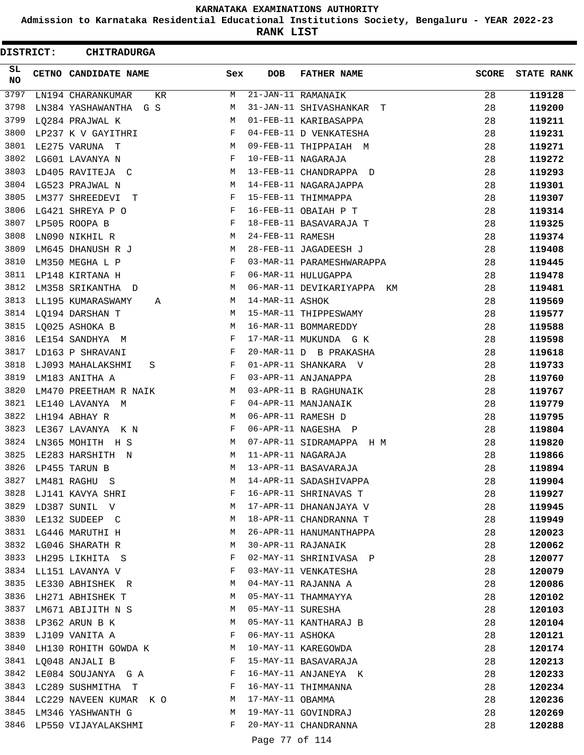**Admission to Karnataka Residential Educational Institutions Society, Bengaluru - YEAR 2022-23**

**RANK LIST**

ı

| SL<br>CETNO CANDIDATE NAME<br>Sex<br><b>DOB</b><br><b>FATHER NAME</b><br><b>SCORE</b><br><b>STATE RANK</b><br><b>NO</b><br>3797<br>21-JAN-11 RAMANAIK<br>LN194 CHARANKUMAR<br>M<br>28<br>119128<br>KR.<br>3798<br>31-JAN-11 SHIVASHANKAR T<br>28<br>M<br>119200<br>LN384 YASHAWANTHA G S<br>3799<br>28<br>01-FEB-11 KARIBASAPPA<br>119211<br>LQ284 PRAJWAL K<br>М<br>3800<br>F<br>LP237 K V GAYITHRI<br>04-FEB-11 D VENKATESHA<br>28<br>119231<br>3801<br>LE275 VARUNA T<br>М<br>09-FEB-11 THIPPAIAH M<br>28<br>119271<br>3802<br>LG601 LAVANYA N<br>F<br>10-FEB-11 NAGARAJA<br>28<br>119272<br>3803<br>28<br>LD405 RAVITEJA C<br>13-FEB-11 CHANDRAPPA D<br>119293<br>М<br>3804<br>LG523 PRAJWAL N<br>14-FEB-11 NAGARAJAPPA<br>28<br>119301<br>М<br>3805<br>15-FEB-11 THIMMAPPA<br>28<br>LM377 SHREEDEVI<br>F<br>119307<br>т<br>3806<br>LG421 SHREYA P O<br>F<br>16-FEB-11 OBAIAH P T<br>28<br>119314<br>3807<br>28<br>LP505 ROOPA B<br>F<br>18-FEB-11 BASAVARAJA T<br>119325<br>3808<br>LN090 NIKHIL R<br>M<br>24-FEB-11 RAMESH<br>28<br>119374<br>3809<br>LM645 DHANUSH R J<br>М<br>28-FEB-11 JAGADEESH J<br>28<br>119408<br>3810<br>LM350 MEGHA L P<br>F<br>03-MAR-11 PARAMESHWARAPPA<br>28<br>119445<br>3811<br>28<br>LP148 KIRTANA H<br>F<br>06-MAR-11 HULUGAPPA<br>119478<br>3812<br>06-MAR-11 DEVIKARIYAPPA KM<br>LM358 SRIKANTHA D<br>M<br>28<br>119481<br>3813<br>14-MAR-11 ASHOK<br>LL195 KUMARASWAMY<br>28<br>119569<br>М<br>A<br>3814<br>LQ194 DARSHAN T<br>M<br>15-MAR-11 THIPPESWAMY<br>28<br>119577<br>3815<br>28<br>LQ025 ASHOKA B<br>М<br>16-MAR-11 BOMMAREDDY<br>119588<br>3816<br>F<br>LE154 SANDHYA M<br>17-MAR-11 MUKUNDA G K<br>28<br>119598<br>3817<br>20-MAR-11 D B PRAKASHA<br>LD163 P SHRAVANI<br>F<br>28<br>119618<br>3818<br>01-APR-11 SHANKARA V<br>LJ093 MAHALAKSHMI<br>F<br>28<br>119733<br>S<br>3819<br>03-APR-11 ANJANAPPA<br>28<br>LM183 ANITHA A<br>F<br>119760<br>3820<br>03-APR-11 B RAGHUNAIK<br>LM470 PREETHAM R NAIK<br>28<br>119767<br>М<br>3821<br>04-APR-11 MANJANAIK<br>LE140 LAVANYA M<br>F<br>28<br>119779<br>3822<br>06-APR-11 RAMESH D<br>M<br>28<br>LH194 ABHAY R<br>119795<br>3823<br>06-APR-11 NAGESHA P<br>LE367 LAVANYA K N<br>F<br>28<br>119804<br>3824<br>LN365 MOHITH H S<br>07-APR-11 SIDRAMAPPA H M<br>М<br>28<br>119820<br>3825<br>11-APR-11 NAGARAJA<br>28<br>LE283 HARSHITH N<br>М<br>119866<br>3826<br>13-APR-11 BASAVARAJA<br>28<br>LP455 TARUN B<br>M<br>119894<br>3827<br>14-APR-11 SADASHIVAPPA<br>28<br>119904<br>LM481 RAGHU S<br>М<br>3828<br>16-APR-11 SHRINAVAS T<br>LJ141 KAVYA SHRI<br>28<br>F<br>119927<br>3829<br>17-APR-11 DHANANJAYA V<br>28<br>LD387 SUNIL V<br>М<br>119945<br>3830<br>18-APR-11 CHANDRANNA T<br>28<br>LE132 SUDEEP C<br>М<br>119949<br>3831<br>26-APR-11 HANUMANTHAPPA<br>28<br>LG446 MARUTHI H<br>М<br>120023<br>3832<br>30-APR-11 RAJANAIK<br>LG046 SHARATH R<br>28<br>120062<br>М<br>3833<br>02-MAY-11 SHRINIVASA P<br>28<br>LH295 LIKHITA S<br>F<br>120077<br>3834<br>03-MAY-11 VENKATESHA<br>LL151 LAVANYA V<br>F<br>28<br>120079<br>3835<br>28<br>LE330 ABHISHEK R<br>04-MAY-11 RAJANNA A<br>M<br>120086<br>3836<br>LH271 ABHISHEK T<br>05-MAY-11 THAMMAYYA<br>28<br>M<br>120102<br>3837<br>05-MAY-11 SURESHA<br>LM671 ABIJITH N S<br>28<br>M<br>120103<br>3838<br>05-MAY-11 KANTHARAJ B<br>LP362 ARUN B K<br>М<br>28<br>120104<br>3839<br>06-MAY-11 ASHOKA<br>28<br>LJ109 VANITA A<br>F<br>120121<br>3840<br>10-MAY-11 KAREGOWDA<br>LH130 ROHITH GOWDA K<br>28<br>120174<br>M<br>3841<br>15-MAY-11 BASAVARAJA<br>28<br>LQ048 ANJALI B<br>F<br>120213<br>3842<br>16-MAY-11 ANJANEYA K<br>LE084 SOUJANYA GA<br>F<br>28<br>120233<br>3843<br>LC289 SUSHMITHA T<br>16-MAY-11 THIMMANNA<br>28<br>F<br>120234<br>3844 LC229 NAVEEN KUMAR KO<br>17-MAY-11 OBAMMA<br>28<br>M<br>120236<br>3845<br>19-MAY-11 GOVINDRAJ<br>LM346 YASHWANTH G<br>28<br>M<br>120269<br>3846<br>20-MAY-11 CHANDRANNA<br>F<br>28<br>LP550 VIJAYALAKSHMI<br>120288<br>Page 77 of 114 | <b>DISTRICT:</b> | <b>CHITRADURGA</b> |  |  |  |
|-------------------------------------------------------------------------------------------------------------------------------------------------------------------------------------------------------------------------------------------------------------------------------------------------------------------------------------------------------------------------------------------------------------------------------------------------------------------------------------------------------------------------------------------------------------------------------------------------------------------------------------------------------------------------------------------------------------------------------------------------------------------------------------------------------------------------------------------------------------------------------------------------------------------------------------------------------------------------------------------------------------------------------------------------------------------------------------------------------------------------------------------------------------------------------------------------------------------------------------------------------------------------------------------------------------------------------------------------------------------------------------------------------------------------------------------------------------------------------------------------------------------------------------------------------------------------------------------------------------------------------------------------------------------------------------------------------------------------------------------------------------------------------------------------------------------------------------------------------------------------------------------------------------------------------------------------------------------------------------------------------------------------------------------------------------------------------------------------------------------------------------------------------------------------------------------------------------------------------------------------------------------------------------------------------------------------------------------------------------------------------------------------------------------------------------------------------------------------------------------------------------------------------------------------------------------------------------------------------------------------------------------------------------------------------------------------------------------------------------------------------------------------------------------------------------------------------------------------------------------------------------------------------------------------------------------------------------------------------------------------------------------------------------------------------------------------------------------------------------------------------------------------------------------------------------------------------------------------------------------------------------------------------------------------------------------------------------------------------------------------------------------------------------------------------------------------------------------------------------------------------------------------------------------------------------------------------------------------------------------------------------------------------------------------------------------------------------------------------------------------------------------------------------------------------------------------------------------------------------------------------------------------------------------------------------------------------------|------------------|--------------------|--|--|--|
|                                                                                                                                                                                                                                                                                                                                                                                                                                                                                                                                                                                                                                                                                                                                                                                                                                                                                                                                                                                                                                                                                                                                                                                                                                                                                                                                                                                                                                                                                                                                                                                                                                                                                                                                                                                                                                                                                                                                                                                                                                                                                                                                                                                                                                                                                                                                                                                                                                                                                                                                                                                                                                                                                                                                                                                                                                                                                                                                                                                                                                                                                                                                                                                                                                                                                                                                                                                                                                                                                                                                                                                                                                                                                                                                                                                                                                                                                                                                                             |                  |                    |  |  |  |
|                                                                                                                                                                                                                                                                                                                                                                                                                                                                                                                                                                                                                                                                                                                                                                                                                                                                                                                                                                                                                                                                                                                                                                                                                                                                                                                                                                                                                                                                                                                                                                                                                                                                                                                                                                                                                                                                                                                                                                                                                                                                                                                                                                                                                                                                                                                                                                                                                                                                                                                                                                                                                                                                                                                                                                                                                                                                                                                                                                                                                                                                                                                                                                                                                                                                                                                                                                                                                                                                                                                                                                                                                                                                                                                                                                                                                                                                                                                                                             |                  |                    |  |  |  |
|                                                                                                                                                                                                                                                                                                                                                                                                                                                                                                                                                                                                                                                                                                                                                                                                                                                                                                                                                                                                                                                                                                                                                                                                                                                                                                                                                                                                                                                                                                                                                                                                                                                                                                                                                                                                                                                                                                                                                                                                                                                                                                                                                                                                                                                                                                                                                                                                                                                                                                                                                                                                                                                                                                                                                                                                                                                                                                                                                                                                                                                                                                                                                                                                                                                                                                                                                                                                                                                                                                                                                                                                                                                                                                                                                                                                                                                                                                                                                             |                  |                    |  |  |  |
|                                                                                                                                                                                                                                                                                                                                                                                                                                                                                                                                                                                                                                                                                                                                                                                                                                                                                                                                                                                                                                                                                                                                                                                                                                                                                                                                                                                                                                                                                                                                                                                                                                                                                                                                                                                                                                                                                                                                                                                                                                                                                                                                                                                                                                                                                                                                                                                                                                                                                                                                                                                                                                                                                                                                                                                                                                                                                                                                                                                                                                                                                                                                                                                                                                                                                                                                                                                                                                                                                                                                                                                                                                                                                                                                                                                                                                                                                                                                                             |                  |                    |  |  |  |
|                                                                                                                                                                                                                                                                                                                                                                                                                                                                                                                                                                                                                                                                                                                                                                                                                                                                                                                                                                                                                                                                                                                                                                                                                                                                                                                                                                                                                                                                                                                                                                                                                                                                                                                                                                                                                                                                                                                                                                                                                                                                                                                                                                                                                                                                                                                                                                                                                                                                                                                                                                                                                                                                                                                                                                                                                                                                                                                                                                                                                                                                                                                                                                                                                                                                                                                                                                                                                                                                                                                                                                                                                                                                                                                                                                                                                                                                                                                                                             |                  |                    |  |  |  |
|                                                                                                                                                                                                                                                                                                                                                                                                                                                                                                                                                                                                                                                                                                                                                                                                                                                                                                                                                                                                                                                                                                                                                                                                                                                                                                                                                                                                                                                                                                                                                                                                                                                                                                                                                                                                                                                                                                                                                                                                                                                                                                                                                                                                                                                                                                                                                                                                                                                                                                                                                                                                                                                                                                                                                                                                                                                                                                                                                                                                                                                                                                                                                                                                                                                                                                                                                                                                                                                                                                                                                                                                                                                                                                                                                                                                                                                                                                                                                             |                  |                    |  |  |  |
|                                                                                                                                                                                                                                                                                                                                                                                                                                                                                                                                                                                                                                                                                                                                                                                                                                                                                                                                                                                                                                                                                                                                                                                                                                                                                                                                                                                                                                                                                                                                                                                                                                                                                                                                                                                                                                                                                                                                                                                                                                                                                                                                                                                                                                                                                                                                                                                                                                                                                                                                                                                                                                                                                                                                                                                                                                                                                                                                                                                                                                                                                                                                                                                                                                                                                                                                                                                                                                                                                                                                                                                                                                                                                                                                                                                                                                                                                                                                                             |                  |                    |  |  |  |
|                                                                                                                                                                                                                                                                                                                                                                                                                                                                                                                                                                                                                                                                                                                                                                                                                                                                                                                                                                                                                                                                                                                                                                                                                                                                                                                                                                                                                                                                                                                                                                                                                                                                                                                                                                                                                                                                                                                                                                                                                                                                                                                                                                                                                                                                                                                                                                                                                                                                                                                                                                                                                                                                                                                                                                                                                                                                                                                                                                                                                                                                                                                                                                                                                                                                                                                                                                                                                                                                                                                                                                                                                                                                                                                                                                                                                                                                                                                                                             |                  |                    |  |  |  |
|                                                                                                                                                                                                                                                                                                                                                                                                                                                                                                                                                                                                                                                                                                                                                                                                                                                                                                                                                                                                                                                                                                                                                                                                                                                                                                                                                                                                                                                                                                                                                                                                                                                                                                                                                                                                                                                                                                                                                                                                                                                                                                                                                                                                                                                                                                                                                                                                                                                                                                                                                                                                                                                                                                                                                                                                                                                                                                                                                                                                                                                                                                                                                                                                                                                                                                                                                                                                                                                                                                                                                                                                                                                                                                                                                                                                                                                                                                                                                             |                  |                    |  |  |  |
|                                                                                                                                                                                                                                                                                                                                                                                                                                                                                                                                                                                                                                                                                                                                                                                                                                                                                                                                                                                                                                                                                                                                                                                                                                                                                                                                                                                                                                                                                                                                                                                                                                                                                                                                                                                                                                                                                                                                                                                                                                                                                                                                                                                                                                                                                                                                                                                                                                                                                                                                                                                                                                                                                                                                                                                                                                                                                                                                                                                                                                                                                                                                                                                                                                                                                                                                                                                                                                                                                                                                                                                                                                                                                                                                                                                                                                                                                                                                                             |                  |                    |  |  |  |
|                                                                                                                                                                                                                                                                                                                                                                                                                                                                                                                                                                                                                                                                                                                                                                                                                                                                                                                                                                                                                                                                                                                                                                                                                                                                                                                                                                                                                                                                                                                                                                                                                                                                                                                                                                                                                                                                                                                                                                                                                                                                                                                                                                                                                                                                                                                                                                                                                                                                                                                                                                                                                                                                                                                                                                                                                                                                                                                                                                                                                                                                                                                                                                                                                                                                                                                                                                                                                                                                                                                                                                                                                                                                                                                                                                                                                                                                                                                                                             |                  |                    |  |  |  |
|                                                                                                                                                                                                                                                                                                                                                                                                                                                                                                                                                                                                                                                                                                                                                                                                                                                                                                                                                                                                                                                                                                                                                                                                                                                                                                                                                                                                                                                                                                                                                                                                                                                                                                                                                                                                                                                                                                                                                                                                                                                                                                                                                                                                                                                                                                                                                                                                                                                                                                                                                                                                                                                                                                                                                                                                                                                                                                                                                                                                                                                                                                                                                                                                                                                                                                                                                                                                                                                                                                                                                                                                                                                                                                                                                                                                                                                                                                                                                             |                  |                    |  |  |  |
|                                                                                                                                                                                                                                                                                                                                                                                                                                                                                                                                                                                                                                                                                                                                                                                                                                                                                                                                                                                                                                                                                                                                                                                                                                                                                                                                                                                                                                                                                                                                                                                                                                                                                                                                                                                                                                                                                                                                                                                                                                                                                                                                                                                                                                                                                                                                                                                                                                                                                                                                                                                                                                                                                                                                                                                                                                                                                                                                                                                                                                                                                                                                                                                                                                                                                                                                                                                                                                                                                                                                                                                                                                                                                                                                                                                                                                                                                                                                                             |                  |                    |  |  |  |
|                                                                                                                                                                                                                                                                                                                                                                                                                                                                                                                                                                                                                                                                                                                                                                                                                                                                                                                                                                                                                                                                                                                                                                                                                                                                                                                                                                                                                                                                                                                                                                                                                                                                                                                                                                                                                                                                                                                                                                                                                                                                                                                                                                                                                                                                                                                                                                                                                                                                                                                                                                                                                                                                                                                                                                                                                                                                                                                                                                                                                                                                                                                                                                                                                                                                                                                                                                                                                                                                                                                                                                                                                                                                                                                                                                                                                                                                                                                                                             |                  |                    |  |  |  |
|                                                                                                                                                                                                                                                                                                                                                                                                                                                                                                                                                                                                                                                                                                                                                                                                                                                                                                                                                                                                                                                                                                                                                                                                                                                                                                                                                                                                                                                                                                                                                                                                                                                                                                                                                                                                                                                                                                                                                                                                                                                                                                                                                                                                                                                                                                                                                                                                                                                                                                                                                                                                                                                                                                                                                                                                                                                                                                                                                                                                                                                                                                                                                                                                                                                                                                                                                                                                                                                                                                                                                                                                                                                                                                                                                                                                                                                                                                                                                             |                  |                    |  |  |  |
|                                                                                                                                                                                                                                                                                                                                                                                                                                                                                                                                                                                                                                                                                                                                                                                                                                                                                                                                                                                                                                                                                                                                                                                                                                                                                                                                                                                                                                                                                                                                                                                                                                                                                                                                                                                                                                                                                                                                                                                                                                                                                                                                                                                                                                                                                                                                                                                                                                                                                                                                                                                                                                                                                                                                                                                                                                                                                                                                                                                                                                                                                                                                                                                                                                                                                                                                                                                                                                                                                                                                                                                                                                                                                                                                                                                                                                                                                                                                                             |                  |                    |  |  |  |
|                                                                                                                                                                                                                                                                                                                                                                                                                                                                                                                                                                                                                                                                                                                                                                                                                                                                                                                                                                                                                                                                                                                                                                                                                                                                                                                                                                                                                                                                                                                                                                                                                                                                                                                                                                                                                                                                                                                                                                                                                                                                                                                                                                                                                                                                                                                                                                                                                                                                                                                                                                                                                                                                                                                                                                                                                                                                                                                                                                                                                                                                                                                                                                                                                                                                                                                                                                                                                                                                                                                                                                                                                                                                                                                                                                                                                                                                                                                                                             |                  |                    |  |  |  |
|                                                                                                                                                                                                                                                                                                                                                                                                                                                                                                                                                                                                                                                                                                                                                                                                                                                                                                                                                                                                                                                                                                                                                                                                                                                                                                                                                                                                                                                                                                                                                                                                                                                                                                                                                                                                                                                                                                                                                                                                                                                                                                                                                                                                                                                                                                                                                                                                                                                                                                                                                                                                                                                                                                                                                                                                                                                                                                                                                                                                                                                                                                                                                                                                                                                                                                                                                                                                                                                                                                                                                                                                                                                                                                                                                                                                                                                                                                                                                             |                  |                    |  |  |  |
|                                                                                                                                                                                                                                                                                                                                                                                                                                                                                                                                                                                                                                                                                                                                                                                                                                                                                                                                                                                                                                                                                                                                                                                                                                                                                                                                                                                                                                                                                                                                                                                                                                                                                                                                                                                                                                                                                                                                                                                                                                                                                                                                                                                                                                                                                                                                                                                                                                                                                                                                                                                                                                                                                                                                                                                                                                                                                                                                                                                                                                                                                                                                                                                                                                                                                                                                                                                                                                                                                                                                                                                                                                                                                                                                                                                                                                                                                                                                                             |                  |                    |  |  |  |
|                                                                                                                                                                                                                                                                                                                                                                                                                                                                                                                                                                                                                                                                                                                                                                                                                                                                                                                                                                                                                                                                                                                                                                                                                                                                                                                                                                                                                                                                                                                                                                                                                                                                                                                                                                                                                                                                                                                                                                                                                                                                                                                                                                                                                                                                                                                                                                                                                                                                                                                                                                                                                                                                                                                                                                                                                                                                                                                                                                                                                                                                                                                                                                                                                                                                                                                                                                                                                                                                                                                                                                                                                                                                                                                                                                                                                                                                                                                                                             |                  |                    |  |  |  |
|                                                                                                                                                                                                                                                                                                                                                                                                                                                                                                                                                                                                                                                                                                                                                                                                                                                                                                                                                                                                                                                                                                                                                                                                                                                                                                                                                                                                                                                                                                                                                                                                                                                                                                                                                                                                                                                                                                                                                                                                                                                                                                                                                                                                                                                                                                                                                                                                                                                                                                                                                                                                                                                                                                                                                                                                                                                                                                                                                                                                                                                                                                                                                                                                                                                                                                                                                                                                                                                                                                                                                                                                                                                                                                                                                                                                                                                                                                                                                             |                  |                    |  |  |  |
|                                                                                                                                                                                                                                                                                                                                                                                                                                                                                                                                                                                                                                                                                                                                                                                                                                                                                                                                                                                                                                                                                                                                                                                                                                                                                                                                                                                                                                                                                                                                                                                                                                                                                                                                                                                                                                                                                                                                                                                                                                                                                                                                                                                                                                                                                                                                                                                                                                                                                                                                                                                                                                                                                                                                                                                                                                                                                                                                                                                                                                                                                                                                                                                                                                                                                                                                                                                                                                                                                                                                                                                                                                                                                                                                                                                                                                                                                                                                                             |                  |                    |  |  |  |
|                                                                                                                                                                                                                                                                                                                                                                                                                                                                                                                                                                                                                                                                                                                                                                                                                                                                                                                                                                                                                                                                                                                                                                                                                                                                                                                                                                                                                                                                                                                                                                                                                                                                                                                                                                                                                                                                                                                                                                                                                                                                                                                                                                                                                                                                                                                                                                                                                                                                                                                                                                                                                                                                                                                                                                                                                                                                                                                                                                                                                                                                                                                                                                                                                                                                                                                                                                                                                                                                                                                                                                                                                                                                                                                                                                                                                                                                                                                                                             |                  |                    |  |  |  |
|                                                                                                                                                                                                                                                                                                                                                                                                                                                                                                                                                                                                                                                                                                                                                                                                                                                                                                                                                                                                                                                                                                                                                                                                                                                                                                                                                                                                                                                                                                                                                                                                                                                                                                                                                                                                                                                                                                                                                                                                                                                                                                                                                                                                                                                                                                                                                                                                                                                                                                                                                                                                                                                                                                                                                                                                                                                                                                                                                                                                                                                                                                                                                                                                                                                                                                                                                                                                                                                                                                                                                                                                                                                                                                                                                                                                                                                                                                                                                             |                  |                    |  |  |  |
|                                                                                                                                                                                                                                                                                                                                                                                                                                                                                                                                                                                                                                                                                                                                                                                                                                                                                                                                                                                                                                                                                                                                                                                                                                                                                                                                                                                                                                                                                                                                                                                                                                                                                                                                                                                                                                                                                                                                                                                                                                                                                                                                                                                                                                                                                                                                                                                                                                                                                                                                                                                                                                                                                                                                                                                                                                                                                                                                                                                                                                                                                                                                                                                                                                                                                                                                                                                                                                                                                                                                                                                                                                                                                                                                                                                                                                                                                                                                                             |                  |                    |  |  |  |
|                                                                                                                                                                                                                                                                                                                                                                                                                                                                                                                                                                                                                                                                                                                                                                                                                                                                                                                                                                                                                                                                                                                                                                                                                                                                                                                                                                                                                                                                                                                                                                                                                                                                                                                                                                                                                                                                                                                                                                                                                                                                                                                                                                                                                                                                                                                                                                                                                                                                                                                                                                                                                                                                                                                                                                                                                                                                                                                                                                                                                                                                                                                                                                                                                                                                                                                                                                                                                                                                                                                                                                                                                                                                                                                                                                                                                                                                                                                                                             |                  |                    |  |  |  |
|                                                                                                                                                                                                                                                                                                                                                                                                                                                                                                                                                                                                                                                                                                                                                                                                                                                                                                                                                                                                                                                                                                                                                                                                                                                                                                                                                                                                                                                                                                                                                                                                                                                                                                                                                                                                                                                                                                                                                                                                                                                                                                                                                                                                                                                                                                                                                                                                                                                                                                                                                                                                                                                                                                                                                                                                                                                                                                                                                                                                                                                                                                                                                                                                                                                                                                                                                                                                                                                                                                                                                                                                                                                                                                                                                                                                                                                                                                                                                             |                  |                    |  |  |  |
|                                                                                                                                                                                                                                                                                                                                                                                                                                                                                                                                                                                                                                                                                                                                                                                                                                                                                                                                                                                                                                                                                                                                                                                                                                                                                                                                                                                                                                                                                                                                                                                                                                                                                                                                                                                                                                                                                                                                                                                                                                                                                                                                                                                                                                                                                                                                                                                                                                                                                                                                                                                                                                                                                                                                                                                                                                                                                                                                                                                                                                                                                                                                                                                                                                                                                                                                                                                                                                                                                                                                                                                                                                                                                                                                                                                                                                                                                                                                                             |                  |                    |  |  |  |
|                                                                                                                                                                                                                                                                                                                                                                                                                                                                                                                                                                                                                                                                                                                                                                                                                                                                                                                                                                                                                                                                                                                                                                                                                                                                                                                                                                                                                                                                                                                                                                                                                                                                                                                                                                                                                                                                                                                                                                                                                                                                                                                                                                                                                                                                                                                                                                                                                                                                                                                                                                                                                                                                                                                                                                                                                                                                                                                                                                                                                                                                                                                                                                                                                                                                                                                                                                                                                                                                                                                                                                                                                                                                                                                                                                                                                                                                                                                                                             |                  |                    |  |  |  |
|                                                                                                                                                                                                                                                                                                                                                                                                                                                                                                                                                                                                                                                                                                                                                                                                                                                                                                                                                                                                                                                                                                                                                                                                                                                                                                                                                                                                                                                                                                                                                                                                                                                                                                                                                                                                                                                                                                                                                                                                                                                                                                                                                                                                                                                                                                                                                                                                                                                                                                                                                                                                                                                                                                                                                                                                                                                                                                                                                                                                                                                                                                                                                                                                                                                                                                                                                                                                                                                                                                                                                                                                                                                                                                                                                                                                                                                                                                                                                             |                  |                    |  |  |  |
|                                                                                                                                                                                                                                                                                                                                                                                                                                                                                                                                                                                                                                                                                                                                                                                                                                                                                                                                                                                                                                                                                                                                                                                                                                                                                                                                                                                                                                                                                                                                                                                                                                                                                                                                                                                                                                                                                                                                                                                                                                                                                                                                                                                                                                                                                                                                                                                                                                                                                                                                                                                                                                                                                                                                                                                                                                                                                                                                                                                                                                                                                                                                                                                                                                                                                                                                                                                                                                                                                                                                                                                                                                                                                                                                                                                                                                                                                                                                                             |                  |                    |  |  |  |
|                                                                                                                                                                                                                                                                                                                                                                                                                                                                                                                                                                                                                                                                                                                                                                                                                                                                                                                                                                                                                                                                                                                                                                                                                                                                                                                                                                                                                                                                                                                                                                                                                                                                                                                                                                                                                                                                                                                                                                                                                                                                                                                                                                                                                                                                                                                                                                                                                                                                                                                                                                                                                                                                                                                                                                                                                                                                                                                                                                                                                                                                                                                                                                                                                                                                                                                                                                                                                                                                                                                                                                                                                                                                                                                                                                                                                                                                                                                                                             |                  |                    |  |  |  |
|                                                                                                                                                                                                                                                                                                                                                                                                                                                                                                                                                                                                                                                                                                                                                                                                                                                                                                                                                                                                                                                                                                                                                                                                                                                                                                                                                                                                                                                                                                                                                                                                                                                                                                                                                                                                                                                                                                                                                                                                                                                                                                                                                                                                                                                                                                                                                                                                                                                                                                                                                                                                                                                                                                                                                                                                                                                                                                                                                                                                                                                                                                                                                                                                                                                                                                                                                                                                                                                                                                                                                                                                                                                                                                                                                                                                                                                                                                                                                             |                  |                    |  |  |  |
|                                                                                                                                                                                                                                                                                                                                                                                                                                                                                                                                                                                                                                                                                                                                                                                                                                                                                                                                                                                                                                                                                                                                                                                                                                                                                                                                                                                                                                                                                                                                                                                                                                                                                                                                                                                                                                                                                                                                                                                                                                                                                                                                                                                                                                                                                                                                                                                                                                                                                                                                                                                                                                                                                                                                                                                                                                                                                                                                                                                                                                                                                                                                                                                                                                                                                                                                                                                                                                                                                                                                                                                                                                                                                                                                                                                                                                                                                                                                                             |                  |                    |  |  |  |
|                                                                                                                                                                                                                                                                                                                                                                                                                                                                                                                                                                                                                                                                                                                                                                                                                                                                                                                                                                                                                                                                                                                                                                                                                                                                                                                                                                                                                                                                                                                                                                                                                                                                                                                                                                                                                                                                                                                                                                                                                                                                                                                                                                                                                                                                                                                                                                                                                                                                                                                                                                                                                                                                                                                                                                                                                                                                                                                                                                                                                                                                                                                                                                                                                                                                                                                                                                                                                                                                                                                                                                                                                                                                                                                                                                                                                                                                                                                                                             |                  |                    |  |  |  |
|                                                                                                                                                                                                                                                                                                                                                                                                                                                                                                                                                                                                                                                                                                                                                                                                                                                                                                                                                                                                                                                                                                                                                                                                                                                                                                                                                                                                                                                                                                                                                                                                                                                                                                                                                                                                                                                                                                                                                                                                                                                                                                                                                                                                                                                                                                                                                                                                                                                                                                                                                                                                                                                                                                                                                                                                                                                                                                                                                                                                                                                                                                                                                                                                                                                                                                                                                                                                                                                                                                                                                                                                                                                                                                                                                                                                                                                                                                                                                             |                  |                    |  |  |  |
|                                                                                                                                                                                                                                                                                                                                                                                                                                                                                                                                                                                                                                                                                                                                                                                                                                                                                                                                                                                                                                                                                                                                                                                                                                                                                                                                                                                                                                                                                                                                                                                                                                                                                                                                                                                                                                                                                                                                                                                                                                                                                                                                                                                                                                                                                                                                                                                                                                                                                                                                                                                                                                                                                                                                                                                                                                                                                                                                                                                                                                                                                                                                                                                                                                                                                                                                                                                                                                                                                                                                                                                                                                                                                                                                                                                                                                                                                                                                                             |                  |                    |  |  |  |
|                                                                                                                                                                                                                                                                                                                                                                                                                                                                                                                                                                                                                                                                                                                                                                                                                                                                                                                                                                                                                                                                                                                                                                                                                                                                                                                                                                                                                                                                                                                                                                                                                                                                                                                                                                                                                                                                                                                                                                                                                                                                                                                                                                                                                                                                                                                                                                                                                                                                                                                                                                                                                                                                                                                                                                                                                                                                                                                                                                                                                                                                                                                                                                                                                                                                                                                                                                                                                                                                                                                                                                                                                                                                                                                                                                                                                                                                                                                                                             |                  |                    |  |  |  |
|                                                                                                                                                                                                                                                                                                                                                                                                                                                                                                                                                                                                                                                                                                                                                                                                                                                                                                                                                                                                                                                                                                                                                                                                                                                                                                                                                                                                                                                                                                                                                                                                                                                                                                                                                                                                                                                                                                                                                                                                                                                                                                                                                                                                                                                                                                                                                                                                                                                                                                                                                                                                                                                                                                                                                                                                                                                                                                                                                                                                                                                                                                                                                                                                                                                                                                                                                                                                                                                                                                                                                                                                                                                                                                                                                                                                                                                                                                                                                             |                  |                    |  |  |  |
|                                                                                                                                                                                                                                                                                                                                                                                                                                                                                                                                                                                                                                                                                                                                                                                                                                                                                                                                                                                                                                                                                                                                                                                                                                                                                                                                                                                                                                                                                                                                                                                                                                                                                                                                                                                                                                                                                                                                                                                                                                                                                                                                                                                                                                                                                                                                                                                                                                                                                                                                                                                                                                                                                                                                                                                                                                                                                                                                                                                                                                                                                                                                                                                                                                                                                                                                                                                                                                                                                                                                                                                                                                                                                                                                                                                                                                                                                                                                                             |                  |                    |  |  |  |
|                                                                                                                                                                                                                                                                                                                                                                                                                                                                                                                                                                                                                                                                                                                                                                                                                                                                                                                                                                                                                                                                                                                                                                                                                                                                                                                                                                                                                                                                                                                                                                                                                                                                                                                                                                                                                                                                                                                                                                                                                                                                                                                                                                                                                                                                                                                                                                                                                                                                                                                                                                                                                                                                                                                                                                                                                                                                                                                                                                                                                                                                                                                                                                                                                                                                                                                                                                                                                                                                                                                                                                                                                                                                                                                                                                                                                                                                                                                                                             |                  |                    |  |  |  |
|                                                                                                                                                                                                                                                                                                                                                                                                                                                                                                                                                                                                                                                                                                                                                                                                                                                                                                                                                                                                                                                                                                                                                                                                                                                                                                                                                                                                                                                                                                                                                                                                                                                                                                                                                                                                                                                                                                                                                                                                                                                                                                                                                                                                                                                                                                                                                                                                                                                                                                                                                                                                                                                                                                                                                                                                                                                                                                                                                                                                                                                                                                                                                                                                                                                                                                                                                                                                                                                                                                                                                                                                                                                                                                                                                                                                                                                                                                                                                             |                  |                    |  |  |  |
|                                                                                                                                                                                                                                                                                                                                                                                                                                                                                                                                                                                                                                                                                                                                                                                                                                                                                                                                                                                                                                                                                                                                                                                                                                                                                                                                                                                                                                                                                                                                                                                                                                                                                                                                                                                                                                                                                                                                                                                                                                                                                                                                                                                                                                                                                                                                                                                                                                                                                                                                                                                                                                                                                                                                                                                                                                                                                                                                                                                                                                                                                                                                                                                                                                                                                                                                                                                                                                                                                                                                                                                                                                                                                                                                                                                                                                                                                                                                                             |                  |                    |  |  |  |
|                                                                                                                                                                                                                                                                                                                                                                                                                                                                                                                                                                                                                                                                                                                                                                                                                                                                                                                                                                                                                                                                                                                                                                                                                                                                                                                                                                                                                                                                                                                                                                                                                                                                                                                                                                                                                                                                                                                                                                                                                                                                                                                                                                                                                                                                                                                                                                                                                                                                                                                                                                                                                                                                                                                                                                                                                                                                                                                                                                                                                                                                                                                                                                                                                                                                                                                                                                                                                                                                                                                                                                                                                                                                                                                                                                                                                                                                                                                                                             |                  |                    |  |  |  |
|                                                                                                                                                                                                                                                                                                                                                                                                                                                                                                                                                                                                                                                                                                                                                                                                                                                                                                                                                                                                                                                                                                                                                                                                                                                                                                                                                                                                                                                                                                                                                                                                                                                                                                                                                                                                                                                                                                                                                                                                                                                                                                                                                                                                                                                                                                                                                                                                                                                                                                                                                                                                                                                                                                                                                                                                                                                                                                                                                                                                                                                                                                                                                                                                                                                                                                                                                                                                                                                                                                                                                                                                                                                                                                                                                                                                                                                                                                                                                             |                  |                    |  |  |  |
|                                                                                                                                                                                                                                                                                                                                                                                                                                                                                                                                                                                                                                                                                                                                                                                                                                                                                                                                                                                                                                                                                                                                                                                                                                                                                                                                                                                                                                                                                                                                                                                                                                                                                                                                                                                                                                                                                                                                                                                                                                                                                                                                                                                                                                                                                                                                                                                                                                                                                                                                                                                                                                                                                                                                                                                                                                                                                                                                                                                                                                                                                                                                                                                                                                                                                                                                                                                                                                                                                                                                                                                                                                                                                                                                                                                                                                                                                                                                                             |                  |                    |  |  |  |
|                                                                                                                                                                                                                                                                                                                                                                                                                                                                                                                                                                                                                                                                                                                                                                                                                                                                                                                                                                                                                                                                                                                                                                                                                                                                                                                                                                                                                                                                                                                                                                                                                                                                                                                                                                                                                                                                                                                                                                                                                                                                                                                                                                                                                                                                                                                                                                                                                                                                                                                                                                                                                                                                                                                                                                                                                                                                                                                                                                                                                                                                                                                                                                                                                                                                                                                                                                                                                                                                                                                                                                                                                                                                                                                                                                                                                                                                                                                                                             |                  |                    |  |  |  |
|                                                                                                                                                                                                                                                                                                                                                                                                                                                                                                                                                                                                                                                                                                                                                                                                                                                                                                                                                                                                                                                                                                                                                                                                                                                                                                                                                                                                                                                                                                                                                                                                                                                                                                                                                                                                                                                                                                                                                                                                                                                                                                                                                                                                                                                                                                                                                                                                                                                                                                                                                                                                                                                                                                                                                                                                                                                                                                                                                                                                                                                                                                                                                                                                                                                                                                                                                                                                                                                                                                                                                                                                                                                                                                                                                                                                                                                                                                                                                             |                  |                    |  |  |  |
|                                                                                                                                                                                                                                                                                                                                                                                                                                                                                                                                                                                                                                                                                                                                                                                                                                                                                                                                                                                                                                                                                                                                                                                                                                                                                                                                                                                                                                                                                                                                                                                                                                                                                                                                                                                                                                                                                                                                                                                                                                                                                                                                                                                                                                                                                                                                                                                                                                                                                                                                                                                                                                                                                                                                                                                                                                                                                                                                                                                                                                                                                                                                                                                                                                                                                                                                                                                                                                                                                                                                                                                                                                                                                                                                                                                                                                                                                                                                                             |                  |                    |  |  |  |
|                                                                                                                                                                                                                                                                                                                                                                                                                                                                                                                                                                                                                                                                                                                                                                                                                                                                                                                                                                                                                                                                                                                                                                                                                                                                                                                                                                                                                                                                                                                                                                                                                                                                                                                                                                                                                                                                                                                                                                                                                                                                                                                                                                                                                                                                                                                                                                                                                                                                                                                                                                                                                                                                                                                                                                                                                                                                                                                                                                                                                                                                                                                                                                                                                                                                                                                                                                                                                                                                                                                                                                                                                                                                                                                                                                                                                                                                                                                                                             |                  |                    |  |  |  |
|                                                                                                                                                                                                                                                                                                                                                                                                                                                                                                                                                                                                                                                                                                                                                                                                                                                                                                                                                                                                                                                                                                                                                                                                                                                                                                                                                                                                                                                                                                                                                                                                                                                                                                                                                                                                                                                                                                                                                                                                                                                                                                                                                                                                                                                                                                                                                                                                                                                                                                                                                                                                                                                                                                                                                                                                                                                                                                                                                                                                                                                                                                                                                                                                                                                                                                                                                                                                                                                                                                                                                                                                                                                                                                                                                                                                                                                                                                                                                             |                  |                    |  |  |  |
|                                                                                                                                                                                                                                                                                                                                                                                                                                                                                                                                                                                                                                                                                                                                                                                                                                                                                                                                                                                                                                                                                                                                                                                                                                                                                                                                                                                                                                                                                                                                                                                                                                                                                                                                                                                                                                                                                                                                                                                                                                                                                                                                                                                                                                                                                                                                                                                                                                                                                                                                                                                                                                                                                                                                                                                                                                                                                                                                                                                                                                                                                                                                                                                                                                                                                                                                                                                                                                                                                                                                                                                                                                                                                                                                                                                                                                                                                                                                                             |                  |                    |  |  |  |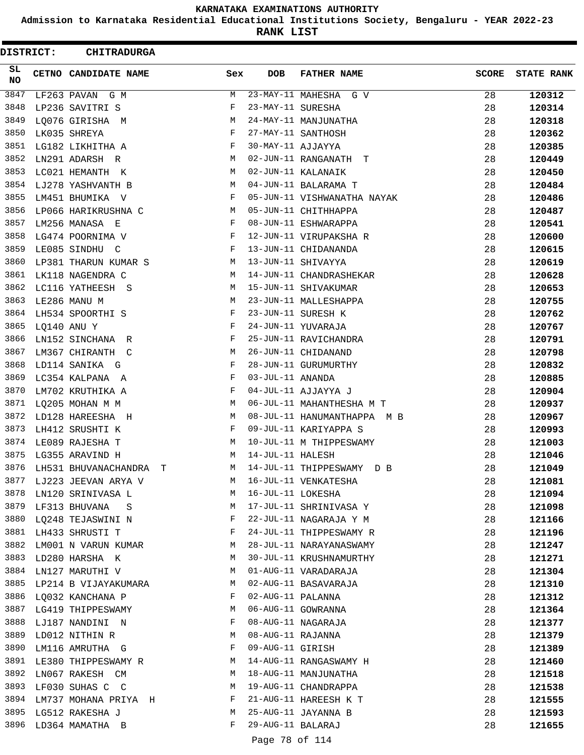**Admission to Karnataka Residential Educational Institutions Society, Bengaluru - YEAR 2022-23**

**RANK LIST**

| DISTRICT:       | <b>CHITRADURGA</b>                 |                               |                   |                             |              |                   |
|-----------------|------------------------------------|-------------------------------|-------------------|-----------------------------|--------------|-------------------|
| SL<br><b>NO</b> | <b>CETNO CANDIDATE NAME</b>        | Sex                           | DOB               | <b>FATHER NAME</b>          | <b>SCORE</b> | <b>STATE RANK</b> |
| 3847            | LF263 PAVAN G M                    | M                             |                   | 23-MAY-11 MAHESHA G V       | 28           | 120312            |
| 3848            | LP236 SAVITRI S                    | F                             | 23-MAY-11 SURESHA |                             | 28           | 120314            |
| 3849            | LQ076 GIRISHA M                    | M                             |                   | 24-MAY-11 MANJUNATHA        | 28           | 120318            |
| 3850            | LK035 SHREYA                       | F                             |                   | 27-MAY-11 SANTHOSH          | 28           | 120362            |
| 3851            | LG182 LIKHITHA A                   | F                             | 30-MAY-11 AJJAYYA |                             | 28           | 120385            |
| 3852            | LN291 ADARSH R                     | M                             |                   | 02-JUN-11 RANGANATH T       | 28           | 120449            |
| 3853            | LC021 HEMANTH K                    | М                             |                   | 02-JUN-11 KALANAIK          | 28           | 120450            |
| 3854            | LJ278 YASHVANTH B                  | M                             |                   | 04-JUN-11 BALARAMA T        | 28           | 120484            |
| 3855            | LM451 BHUMIKA V                    | F                             |                   | 05-JUN-11 VISHWANATHA NAYAK | 28           | 120486            |
| 3856            | LP066 HARIKRUSHNA C                | M                             |                   | 05-JUN-11 CHITHHAPPA        | 28           | 120487            |
| 3857            | LM256 MANASA E                     | F                             |                   | 08-JUN-11 ESHWARAPPA        | 28           | 120541            |
| 3858            | LG474 POORNIMA V                   | F                             |                   | 12-JUN-11 VIRUPAKSHA R      | 28           | 120600            |
| 3859            | LE085 SINDHU C                     | F                             |                   | 13-JUN-11 CHIDANANDA        | 28           | 120615            |
| 3860            | LP381 THARUN KUMAR S               | M                             |                   | 13-JUN-11 SHIVAYYA          | 28           | 120619            |
| 3861            | LK118 NAGENDRA C                   | M                             |                   | 14-JUN-11 CHANDRASHEKAR     | 28           | 120628            |
| 3862            | LC116 YATHEESH S                   | M                             |                   | 15-JUN-11 SHIVAKUMAR        | 28           | 120653            |
| 3863            | LE286 MANU M                       | M                             |                   | 23-JUN-11 MALLESHAPPA       | 28           | 120755            |
| 3864            | LH534 SPOORTHI S                   | F                             |                   | 23-JUN-11 SURESH K          | 28           | 120762            |
| 3865            | LQ140 ANU Y                        | F                             |                   | 24-JUN-11 YUVARAJA          | 28           | 120767            |
| 3866            | LN152 SINCHANA R                   | F                             |                   | 25-JUN-11 RAVICHANDRA       | 28           | 120791            |
| 3867            | LM367 CHIRANTH C                   | M                             |                   | 26-JUN-11 CHIDANAND         | 28           | 120798            |
| 3868            | LD114 SANIKA G                     | F                             |                   | 28-JUN-11 GURUMURTHY        | 28           | 120832            |
| 3869            | LC354 KALPANA A                    | F                             | 03-JUL-11 ANANDA  |                             | 28           | 120885            |
| 3870            | LM702 KRUTHIKA A                   | F                             |                   | 04-JUL-11 AJJAYYA J         | 28           | 120904            |
| 3871            | LQ205 MOHAN M M                    | M                             |                   | 06-JUL-11 MAHANTHESHA M T   | 28           | 120937            |
| 3872            | LD128 HAREESHA H                   | М                             |                   | 08-JUL-11 HANUMANTHAPPA M B | 28           | 120967            |
| 3873            | LH412 SRUSHTI K                    | F                             |                   | 09-JUL-11 KARIYAPPA S       | 28           | 120993            |
| 3874            | LE089 RAJESHA T                    | М                             |                   | 10-JUL-11 M THIPPESWAMY     | 28           | 121003            |
| 3875            | LG355 ARAVIND H                    | M                             | 14-JUL-11 HALESH  |                             | 28           | 121046            |
| 3876            | LH531 BHUVANACHANDRA<br>Т          | M                             |                   | 14-JUL-11 THIPPESWAMY D B   | 28           | 121049            |
| 3877            | LJ223 JEEVAN ARYA V                | M                             |                   | 16-JUL-11 VENKATESHA        | 28           | 121081            |
| 3878            | LN120 SRINIVASA L                  | M                             | 16-JUL-11 LOKESHA |                             | 28           | 121094            |
|                 | 3879 LF313 BHUVANA S               | M                             |                   | 17-JUL-11 SHRINIVASA Y      | 28           | 121098            |
| 3880            | LQ248 TEJASWINI N                  | $\mathbf{F}$                  |                   | 22-JUL-11 NAGARAJA Y M      | 28           | 121166            |
| 3881            | LH433 SHRUSTI T                    | F                             |                   | 24-JUL-11 THIPPESWAMY R     | 28           | 121196            |
| 3882            | LM001 N VARUN KUMAR                | M                             |                   | 28-JUL-11 NARAYANASWAMY     | 28           | 121247            |
| 3883            | LD280 HARSHA K                     | M                             |                   | 30-JUL-11 KRUSHNAMURTHY     | 28           | 121271            |
| 3884            | LN127 MARUTHI V                    | M                             |                   | 01-AUG-11 VARADARAJA        | 28           | 121304            |
| 3885            | LP214 B VIJAYAKUMARA               | M                             |                   | 02-AUG-11 BASAVARAJA        | 28           | 121310            |
| 3886            | LQ032 KANCHANA P                   | F                             | 02-AUG-11 PALANNA |                             | 28           | 121312            |
|                 | 3887 LG419 THIPPESWAMY             | M                             |                   | 06-AUG-11 GOWRANNA          | 28           | 121364            |
| 3888            | LJ187 NANDINI N                    | F                             |                   | 08-AUG-11 NAGARAJA          | 28           | 121377            |
| 3889            | LD012 NITHIN R                     | М                             | 08-AUG-11 RAJANNA |                             | 28           | 121379            |
| 3890            | LM116 AMRUTHA G                    | F                             | 09-AUG-11 GIRISH  |                             | 28           | 121389            |
| 3891            | LE380 THIPPESWAMY R                | М                             |                   | 14-AUG-11 RANGASWAMY H      | 28           | 121460            |
| 3892            | LN067 RAKESH CM                    | M                             |                   | 18-AUG-11 MANJUNATHA        | 28           |                   |
| 3893            | LF030 SUHAS C C                    | M                             |                   | 19-AUG-11 CHANDRAPPA        | 28           | 121518            |
| 3894            |                                    | $\mathbf{F}$ and $\mathbf{F}$ |                   | 21-AUG-11 HAREESH K T       | 28           | 121538            |
| 3895            | LM737 MOHANA PRIYA H               | M                             |                   | 25-AUG-11 JAYANNA B         | 28           | 121555            |
| 3896            | LG512 RAKESHA J<br>LD364 MAMATHA B | F                             | 29-AUG-11 BALARAJ |                             |              | 121593            |
|                 |                                    |                               |                   |                             | 28           | 121655            |
|                 |                                    |                               | Page 78 of 114    |                             |              |                   |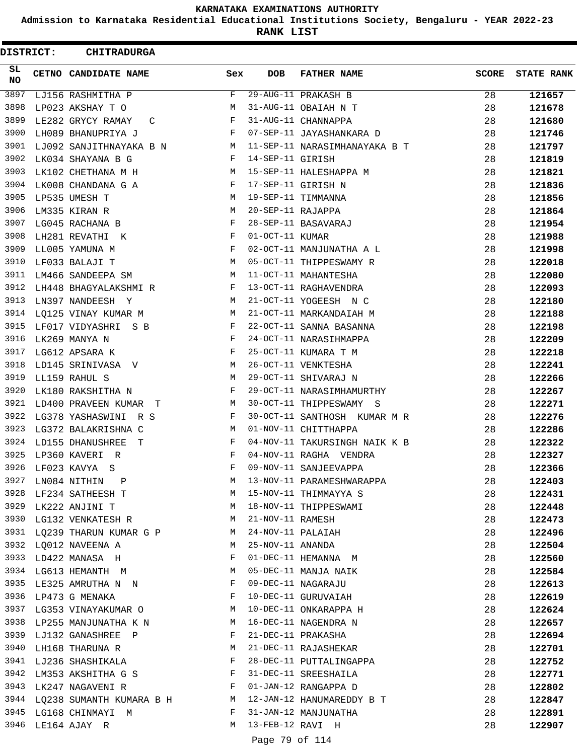**Admission to Karnataka Residential Educational Institutions Society, Bengaluru - YEAR 2022-23**

**RANK LIST**

 $\blacksquare$ 

| <b>DISTRICT:</b> | <b>CHITRADURGA</b>                                                                   |              |                   |                               |              |                   |
|------------------|--------------------------------------------------------------------------------------|--------------|-------------------|-------------------------------|--------------|-------------------|
| SL.<br><b>NO</b> | CETNO CANDIDATE NAME                                                                 | Sex          | <b>DOB</b>        | <b>FATHER NAME</b>            | <b>SCORE</b> | <b>STATE RANK</b> |
| 3897             | LJ156 RASHMITHA P                                                                    | F            |                   | 29-AUG-11 PRAKASH B           | 28           | 121657            |
| 3898             | LP023 AKSHAY T O                                                                     | М            |                   | 31-AUG-11 OBAIAH N T          | 28           | 121678            |
| 3899             | LE282 GRYCY RAMAY C                                                                  | F            |                   | 31-AUG-11 CHANNAPPA           | 28           | 121680            |
| 3900             | LH089 BHANUPRIYA J                                                                   | F            |                   | 07-SEP-11 JAYASHANKARA D      | 28           | 121746            |
| 3901             | LJ092 SANJITHNAYAKA B N M                                                            |              |                   | 11-SEP-11 NARASIMHANAYAKA B T | 28           | 121797            |
| 3902             | LK034 SHAYANA B G                                                                    | $\mathbf{F}$ | 14-SEP-11 GIRISH  |                               | 28           | 121819            |
| 3903             | LK102 CHETHANA M H                                                                   | M            |                   | 15-SEP-11 HALESHAPPA M        | 28           | 121821            |
| 3904             | LK008 CHANDANA G A                                                                   | F            |                   | 17-SEP-11 GIRISH N            | 28           | 121836            |
| 3905             | LP535 UMESH T                                                                        | М            |                   | 19-SEP-11 TIMMANNA            | 28           | 121856            |
| 3906             | LM335 KIRAN R                                                                        | М            | 20-SEP-11 RAJAPPA |                               | 28           | 121864            |
| 3907             | LG045 RACHANA B                                                                      | $_{\rm F}$   |                   | 28-SEP-11 BASAVARAJ           | 28           | 121954            |
| 3908             | LH281 REVATHI K                                                                      | F            | 01-OCT-11 KUMAR   |                               | 28           | 121988            |
| 3909             | LL005 YAMUNA M                                                                       | F            |                   | 02-OCT-11 MANJUNATHA A L      | 28           | 121998            |
| 3910             | LF033 BALAJI T                                                                       | M            |                   | 05-OCT-11 THIPPESWAMY R       | 28           | 122018            |
| 3911             | LM466 SANDEEPA SM                                                                    | М            |                   | 11-OCT-11 MAHANTESHA          | 28           | 122080            |
| 3912             | LH448 BHAGYALAKSHMI R                                                                | F            |                   | 13-OCT-11 RAGHAVENDRA         | 28           | 122093            |
| 3913             | LN397 NANDEESH Y                                                                     | М            |                   | 21-OCT-11 YOGEESH N C         | 28           | 122180            |
| 3914             | LQ125 VINAY KUMAR M                                                                  | М            |                   | 21-OCT-11 MARKANDAIAH M       | 28           | 122188            |
| 3915             | LF017 VIDYASHRI S B                                                                  | F            |                   | 22-OCT-11 SANNA BASANNA       | 28           | 122198            |
| 3916             | LK269 MANYA N                                                                        | F            |                   | 24-OCT-11 NARASIHMAPPA        | 28           | 122209            |
| 3917             | LG612 APSARA K                                                                       | F            |                   | 25-OCT-11 KUMARA T M          | 28           | 122218            |
| 3918             | LD145 SRINIVASA V                                                                    | М            |                   | 26-OCT-11 VENKTESHA           | 28           | 122241            |
| 3919             | LL159 RAHUL S                                                                        | M            |                   | 29-OCT-11 SHIVARAJ N          | 28           | 122266            |
| 3920             | LK180 RAKSHITHA N                                                                    | F            |                   | 29-OCT-11 NARASIMHAMURTHY     | 28           | 122267            |
| 3921             | LD400 PRAVEEN KUMAR T                                                                | М            |                   | 30-OCT-11 THIPPESWAMY S       | 28           | 122271            |
| 3922             | LG378 YASHASWINI R S                                                                 | F            |                   | 30-OCT-11 SANTHOSH KUMAR M R  | 28           | 122276            |
| 3923             | LG372 BALAKRISHNA C                                                                  | M            |                   | 01-NOV-11 CHITTHAPPA          | 28           | 122286            |
| 3924             | LD155 DHANUSHREE T                                                                   | F            |                   | 04-NOV-11 TAKURSINGH NAIK K B | 28           | 122322            |
| 3925             | LP360 KAVERI R                                                                       | F            |                   | 04-NOV-11 RAGHA VENDRA        | 28           | 122327            |
| 3926             | LF023 KAVYA S                                                                        | F            |                   | 09-NOV-11 SANJEEVAPPA         | 28           | 122366            |
| 3927             | LN084 NITHIN P                                                                       | М            |                   | 13-NOV-11 PARAMESHWARAPPA     | 28           | 122403            |
|                  | 3928 LF234 SATHEESH T                                                                | M            |                   | 15-NOV-11 THIMMAYYA S         | 28           | 122431            |
|                  | 3929 LK222 ANJINI T                                                                  | M            |                   | 18-NOV-11 THIPPESWAMI         | 28           | 122448            |
| 3930             | LG132 VENKATESH R                                                                    | M            | 21-NOV-11 RAMESH  |                               | 28           | 122473            |
| 3931             | LQ239 THARUN KUMAR G P                                                               | M            |                   | 24-NOV-11 PALAIAH             | 28           | 122496            |
| 3932             | LQ012 NAVEENA A                                                                      | М            | 25-NOV-11 ANANDA  |                               | 28           | 122504            |
|                  | 3933 LD422 MANASA H                                                                  | F            |                   | 01-DEC-11 HEMANNA M           | 28           | 122560            |
|                  | 3934 LG613 HEMANTH M                                                                 | M            |                   | 05-DEC-11 MANJA NAIK          | 28           | 122584            |
|                  | 3935 LE325 AMRUTHA N N                                                               | F            |                   | 09-DEC-11 NAGARAJU            | 28           | 122613            |
|                  | 3936 LP473 G MENAKA                                                                  | F            |                   | 10-DEC-11 GURUVAIAH           | 28           | 122619            |
|                  | 3937 LG353 VINAYAKUMAR O                                                             | M            |                   | 10-DEC-11 ONKARAPPA H         | 28           | 122624            |
| 3938             | LP255 MANJUNATHA K N                                                                 | M            |                   | 16-DEC-11 NAGENDRA N          | 28           | 122657            |
| 3939             | LJ132 GANASHREE P                                                                    | F            |                   | 21-DEC-11 PRAKASHA            | 28           | 122694            |
| 3940             | LH168 THARUNA R                                                                      | М            |                   | 21-DEC-11 RAJASHEKAR          | 28           | 122701            |
|                  | 3941 LJ236 SHASHIKALA                                                                | F            |                   | 28-DEC-11 PUTTALINGAPPA       | 28           | 122752            |
| 3942             | LM353 AKSHITHA G S                                                                   | F            |                   | 31-DEC-11 SREESHAILA          | 28           | 122771            |
|                  | 3943 LK247 NAGAVENI R<br>$\mathbf{F}$ . The contract of the contract of $\mathbf{F}$ |              |                   | 01-JAN-12 RANGAPPA D          | 28           | 122802            |
|                  | 3944 LQ238 SUMANTH KUMARA B H M                                                      |              |                   | 12-JAN-12 HANUMAREDDY B T     | 28           | 122847            |
|                  | 3945 LG168 CHINMAYI M                                                                | F            |                   | 31-JAN-12 MANJUNATHA          | 28           | 122891            |
| 3946             | LE164 AJAY R                                                                         | М            | 13-FEB-12 RAVI H  |                               | 28           | 122907            |
|                  |                                                                                      |              |                   |                               |              |                   |

# Page 79 of 114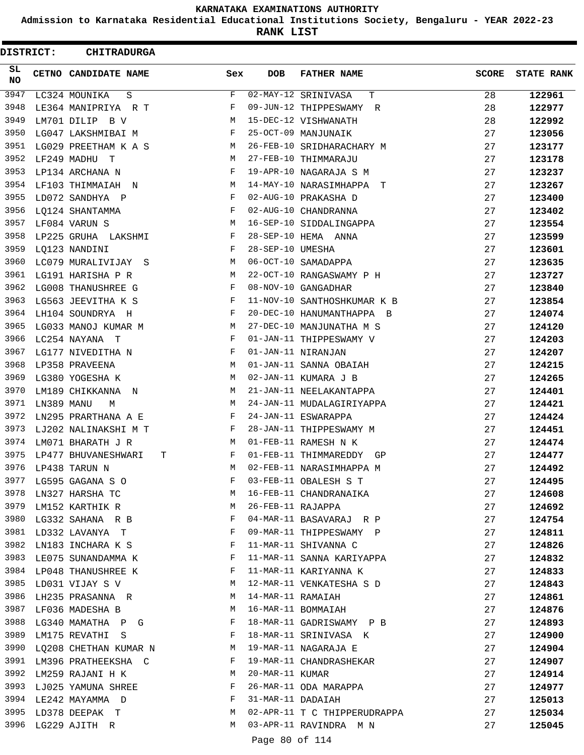**Admission to Karnataka Residential Educational Institutions Society, Bengaluru - YEAR 2022-23**

**RANK LIST**

 $\blacksquare$ 

| DISTRICT:        |            | <b>CHITRADURGA</b>             |              |                     |                              |              |                   |
|------------------|------------|--------------------------------|--------------|---------------------|------------------------------|--------------|-------------------|
| SL.<br><b>NO</b> |            | CETNO CANDIDATE NAME           | Sex          | <b>DOB</b>          | <b>FATHER NAME</b>           | <b>SCORE</b> | <b>STATE RANK</b> |
| 3947             |            | $\rm S$<br>LC324 MOUNIKA       | F            |                     | 02-MAY-12 SRINIVASA<br>т     | 28           | 122961            |
| 3948             |            | LE364 MANIPRIYA R T            | F            |                     | 09-JUN-12 THIPPESWAMY R      | 28           | 122977            |
| 3949             |            | LM701 DILIP B V                | М            |                     | 15-DEC-12 VISHWANATH         | 28           | 122992            |
| 3950             |            | LG047 LAKSHMIBAI M             | F            |                     | 25-OCT-09 MANJUNAIK          | 27           | 123056            |
| 3951             |            | LG029 PREETHAM K A S           | М            |                     | 26-FEB-10 SRIDHARACHARY M    | 27           | 123177            |
| 3952             |            | LF249 MADHU T                  | M            |                     | 27-FEB-10 THIMMARAJU         | 27           | 123178            |
| 3953             |            | LP134 ARCHANA N                | F            |                     | 19-APR-10 NAGARAJA S M       | 27           | 123237            |
| 3954             |            | LF103 THIMMAIAH N              | M            |                     | 14-MAY-10 NARASIMHAPPA T     | 27           | 123267            |
| 3955             |            | LD072 SANDHYA P                | F            |                     | 02-AUG-10 PRAKASHA D         | 27           | 123400            |
| 3956             |            | LO124 SHANTAMMA                | F            |                     | 02-AUG-10 CHANDRANNA         | 27           | 123402            |
| 3957             |            | LF084 VARUN S                  | М            |                     | 16-SEP-10 SIDDALINGAPPA      | 27           | 123554            |
| 3958             |            | LP225 GRUHA LAKSHMI            | F            |                     | 28-SEP-10 HEMA ANNA          | 27           | 123599            |
| 3959             |            | LQ123 NANDINI                  | F            | 28-SEP-10 UMESHA    |                              | 27           | 123601            |
| 3960             |            | LC079 MURALIVIJAY S            | М            |                     | 06-OCT-10 SAMADAPPA          | 27           | 123635            |
| 3961             |            | LG191 HARISHA P R              | M            |                     | 22-OCT-10 RANGASWAMY P H     | 27           | 123727            |
| 3962             |            | LG008 THANUSHREE G             | F            |                     | 08-NOV-10 GANGADHAR          | 27           | 123840            |
| 3963             |            | LG563 JEEVITHA K S             | F            |                     | 11-NOV-10 SANTHOSHKUMAR K B  | 27           | 123854            |
| 3964             |            | LH104 SOUNDRYA H               | F            |                     | 20-DEC-10 HANUMANTHAPPA B    | 27           | 124074            |
| 3965             |            | LG033 MANOJ KUMAR M            | M            |                     | 27-DEC-10 MANJUNATHA M S     | 27           | 124120            |
| 3966             |            | LC254 NAYANA T                 | F            |                     | 01-JAN-11 THIPPESWAMY V      | 27           | 124203            |
| 3967             |            | LG177 NIVEDITHA N              | F            | 01-JAN-11 NIRANJAN  |                              | 27           | 124207            |
| 3968             |            | LP358 PRAVEENA                 | M            |                     | 01-JAN-11 SANNA OBAIAH       | 27           | 124215            |
| 3969             |            | LG380 YOGESHA K                | M            |                     | 02-JAN-11 KUMARA J B         | 27           | 124265            |
| 3970             |            | LM189 CHIKKANNA<br>$\mathbb N$ | M            |                     | 21-JAN-11 NEELAKANTAPPA      | 27           | 124401            |
| 3971             | LN389 MANU | М                              | М            |                     | 24-JAN-11 MUDALAGIRIYAPPA    | 27           | 124421            |
| 3972             |            | LN295 PRARTHANA A E            | F            |                     | 24-JAN-11 ESWARAPPA          | 27           | 124424            |
| 3973             |            | LJ202 NALINAKSHI M T           | F            |                     | 28-JAN-11 THIPPESWAMY M      | 27           | 124451            |
| 3974             |            | LM071 BHARATH J R              | М            |                     | 01-FEB-11 RAMESH N K         | 27           | 124474            |
| 3975             |            | LP477 BHUVANESHWARI            | F<br>Т       |                     | 01-FEB-11 THIMMAREDDY GP     | 27           | 124477            |
| 3976             |            | LP438 TARUN N                  | М            |                     | 02-FEB-11 NARASIMHAPPA M     | 27           | 124492            |
|                  |            | 3977 LG595 GAGANA S O          | F            |                     | 03-FEB-11 OBALESH S T        | 27           | 124495            |
| 3978             |            | LN327 HARSHA TC                | M            |                     | 16-FEB-11 CHANDRANAIKA       | 27           | 124608            |
| 3979             |            | LM152 KARTHIK R                | M            | 26-FEB-11 RAJAPPA   |                              | 27           | 124692            |
|                  |            | 3980 LG332 SAHANA R B          | $\mathbf{F}$ |                     | 04-MAR-11 BASAVARAJ R P      | 27           | 124754            |
|                  |            | 3981 LD332 LAVANYA T           | F            |                     | 09-MAR-11 THIPPESWAMY P      | 27           | 124811            |
| 3982             |            | LN183 INCHARA K S              | F            |                     | 11-MAR-11 SHIVANNA C         | 27           | 124826            |
| 3983             |            | LE075 SUNANDAMMA K             | F            |                     | 11-MAR-11 SANNA KARIYAPPA    | 27           | 124832            |
|                  |            | 3984 LP048 THANUSHREE K        | F            |                     | 11-MAR-11 KARIYANNA K        | 27           | 124833            |
|                  |            | 3985 LD031 VIJAY S V           | M            |                     | 12-MAR-11 VENKATESHA S D     | 27           | 124843            |
| 3986             |            | LH235 PRASANNA R               | M            | 14-MAR-11 RAMAIAH   |                              | 27           | 124861            |
| 3987             |            | LF036 MADESHA B                | $M_{\rm H}$  |                     | 16-MAR-11 BOMMAIAH           | 27           | 124876            |
|                  |            | 3988 LG340 MAMATHA P G         | F            |                     | 18-MAR-11 GADRISWAMY P B     | 27           | 124893            |
| 3989             |            | LM175 REVATHI S                | $\mathbf{F}$ |                     | 18-MAR-11 SRINIVASA K        | 27           | 124900            |
| 3990             |            | LQ208 CHETHAN KUMAR N          | M            |                     | 19-MAR-11 NAGARAJA E         | 27           | 124904            |
| 3991             |            | LM396 PRATHEEKSHA C<br>F       |              |                     | 19-MAR-11 CHANDRASHEKAR      | 27           | 124907            |
| 3992             |            | LM259 RAJANI H K               | M            | 20-MAR-11 KUMAR     |                              | 27           | 124914            |
|                  |            | 3993 LJ025 YAMUNA SHREE        | F            |                     | 26-MAR-11 ODA MARAPPA        | 27           | 124977            |
|                  |            | 3994 LE242 MAYAMMA D           | $\mathbf{F}$ | 31-MAR-11 DADAIAH   |                              | 27           | 125013            |
| 3995             |            | LD378 DEEPAK T                 | M            |                     | 02-APR-11 T C THIPPERUDRAPPA | 27           | 125034            |
|                  |            | 3996 LG229 AJITH R             | M            |                     | 03-APR-11 RAVINDRA M N       | 27           | 125045            |
|                  |            |                                |              | $D = 00 - 00 + 114$ |                              |              |                   |

Page 80 of 114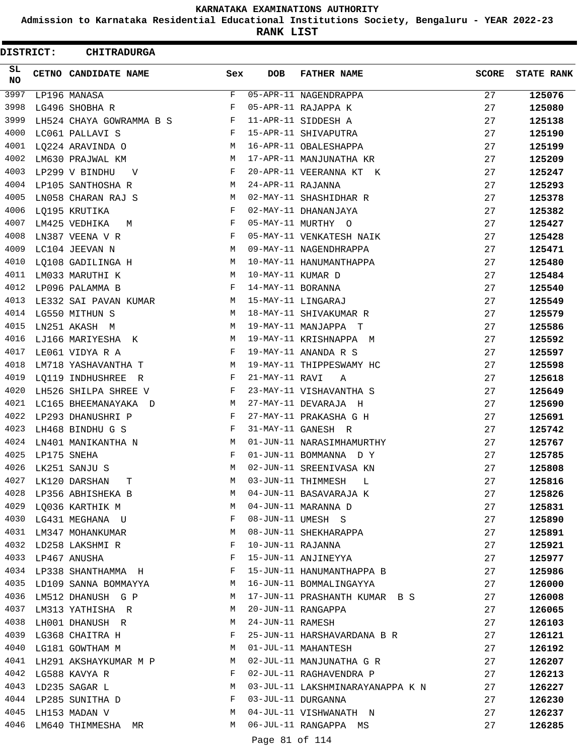**Admission to Karnataka Residential Educational Institutions Society, Bengaluru - YEAR 2022-23**

**RANK LIST**

ı

| DISTRICT:       |             | <b>CHITRADURGA</b>                       |     |                   |                                                 |              |                   |
|-----------------|-------------|------------------------------------------|-----|-------------------|-------------------------------------------------|--------------|-------------------|
| SL<br><b>NO</b> |             | CETNO CANDIDATE NAME                     | Sex | <b>DOB</b>        | <b>FATHER NAME</b>                              | <b>SCORE</b> | <b>STATE RANK</b> |
| 3997            |             | LP196 MANASA                             | F   |                   | 05-APR-11 NAGENDRAPPA                           | 27           | 125076            |
| 3998            |             | LG496 SHOBHA R                           | F   |                   | 05-APR-11 RAJAPPA K                             | 27           | 125080            |
| 3999            |             | LH524 CHAYA GOWRAMMA B S                 | F   |                   | 11-APR-11 SIDDESH A                             | 27           | 125138            |
| 4000            |             | LC061 PALLAVI S                          | F   |                   | 15-APR-11 SHIVAPUTRA                            | 27           | 125190            |
| 4001            |             | LQ224 ARAVINDA O                         | М   |                   | 16-APR-11 OBALESHAPPA                           | 27           | 125199            |
| 4002            |             | LM630 PRAJWAL KM                         | М   |                   | 17-APR-11 MANJUNATHA KR                         | 27           | 125209            |
| 4003            |             | LP299 V BINDHU<br>V                      | F   |                   | 20-APR-11 VEERANNA KT K                         | 27           | 125247            |
| 4004            |             | LP105 SANTHOSHA R                        | M   | 24-APR-11 RAJANNA |                                                 | 27           | 125293            |
| 4005            |             | LN058 CHARAN RAJ S                       | М   |                   | 02-MAY-11 SHASHIDHAR R                          | 27           | 125378            |
| 4006            |             | LQ195 KRUTIKA                            | F   |                   | 02-MAY-11 DHANANJAYA                            | 27           | 125382            |
| 4007            |             | LM425 VEDHIKA<br>M                       | F   |                   | 05-MAY-11 MURTHY O                              | 27           | 125427            |
| 4008            |             | LN387 VEENA V R                          | F   |                   | 05-MAY-11 VENKATESH NAIK                        | 27           | 125428            |
| 4009            |             | LC104 JEEVAN N                           | М   |                   | 09-MAY-11 NAGENDHRAPPA                          | 27           | 125471            |
| 4010            |             | LQ108 GADILINGA H                        | М   |                   | 10-MAY-11 HANUMANTHAPPA                         | 27           | 125480            |
| 4011            |             | LM033 MARUTHI K                          | М   | 10-MAY-11 KUMAR D |                                                 | 27           | 125484            |
| 4012            |             | LP096 PALAMMA B                          | F   | 14-MAY-11 BORANNA |                                                 | 27           | 125540            |
| 4013            |             | LE332 SAI PAVAN KUMAR                    | М   |                   | 15-MAY-11 LINGARAJ                              | 27           | 125549            |
| 4014            |             | LG550 MITHUN S                           | М   |                   | 18-MAY-11 SHIVAKUMAR R                          | 27           | 125579            |
| 4015            |             | LN251 AKASH M                            | М   |                   | 19-MAY-11 MANJAPPA T                            | 27           | 125586            |
| 4016            |             | LJ166 MARIYESHA K                        | M   |                   | 19-MAY-11 KRISHNAPPA M                          | 27           | 125592            |
| 4017            |             | LE061 VIDYA R A                          | F   |                   | 19-MAY-11 ANANDA R S                            | 27           | 125597            |
| 4018            |             | LM718 YASHAVANTHA T                      | М   |                   | 19-MAY-11 THIPPESWAMY HC                        | 27           | 125598            |
| 4019            |             | LQ119 INDHUSHREE R                       | F   | 21-MAY-11 RAVI    | A                                               | 27           | 125618            |
| 4020            |             | LH526 SHILPA SHREE V                     | F   |                   | 23-MAY-11 VISHAVANTHA S                         | 27           | 125649            |
| 4021            |             | LC165 BHEEMANAYAKA D                     | М   |                   | 27-MAY-11 DEVARAJA H                            | 27           | 125690            |
| 4022            |             | LP293 DHANUSHRI P                        | F   |                   | 27-MAY-11 PRAKASHA G H                          | 27           | 125691            |
| 4023            |             | LH468 BINDHU G S                         | F   |                   | 31-MAY-11 GANESH R                              | 27           | 125742            |
| 4024            |             | LN401 MANIKANTHA N                       | М   |                   | 01-JUN-11 NARASIMHAMURTHY                       | 27           | 125767            |
| 4025            | LP175 SNEHA |                                          | F   |                   | 01-JUN-11 BOMMANNA D Y                          | 27           | 125785            |
| 4026            |             | LK251 SANJU S                            | М   |                   | 02-JUN-11 SREENIVASA KN                         | 27           | 125808            |
| 4027            |             | LK120 DARSHAN T                          | M   |                   | 03-JUN-11 THIMMESH L                            | 27           | 125816            |
|                 |             | 4028 LP356 ABHISHEKA B                   | М   |                   | 04-JUN-11 BASAVARAJA K                          | 27           | 125826            |
|                 |             | 4029 LQ036 KARTHIK M                     | М   |                   | 04-JUN-11 MARANNA D                             | 27           | 125831            |
|                 |             | 4030 LG431 MEGHANA U                     | F   |                   | 08-JUN-11 UMESH S                               | 27           | 125890            |
|                 |             | 4031 LM347 MOHANKUMAR                    | М   |                   | 08-JUN-11 SHEKHARAPPA                           | 27           | 125891            |
| 4032            |             | LD258 LAKSHMI R                          | F   | 10-JUN-11 RAJANNA |                                                 | 27           | 125921            |
|                 |             | 4033 LP467 ANUSHA                        | F   |                   | 15-JUN-11 ANJINEYYA                             | 27           | 125977            |
|                 |             | 4034 LP338 SHANTHAMMA H                  | F   |                   | 15-JUN-11 HANUMANTHAPPA B                       | 27           | 125986            |
|                 |             | 4035 LD109 SANNA BOMMAYYA                | M   |                   | 16-JUN-11 BOMMALINGAYYA                         | 27           | 126000            |
|                 |             | 4036 LM512 DHANUSH G P                   | M   |                   | 17-JUN-11 PRASHANTH KUMAR B S                   | 27           | 126008            |
| 4037            |             | LM313 YATHISHA R                         | M   |                   | 20-JUN-11 RANGAPPA                              | 27           | 126065            |
|                 |             | 4038 LH001 DHANUSH R                     | М   | 24-JUN-11 RAMESH  |                                                 | 27           | 126103            |
|                 |             | 4039 LG368 CHAITRA H                     | F   |                   | 25-JUN-11 HARSHAVARDANA B R                     | 27           | 126121            |
| 4040            |             |                                          | М   |                   | 01-JUL-11 MAHANTESH                             | 27           |                   |
| 4041            |             | LG181 GOWTHAM M<br>LH291 AKSHAYKUMAR M P | M   |                   | 02-JUL-11 MANJUNATHA G R                        | 27           | 126192            |
|                 |             | 4042 LG588 KAVYA R                       | F   |                   | 02-JUL-11 RAGHAVENDRA P                         | 27           | 126207            |
|                 |             | 4043 LD235 SAGAR L                       | М   |                   |                                                 | 27           | 126213            |
|                 |             |                                          | F   |                   | 03-JUL-11 LAKSHMINARAYANAPPA K N                |              | 126227            |
|                 |             | 4044 LP285 SUNITHA D                     | M   |                   | 03-JUL-11 DURGANNA                              | 27           | 126230            |
|                 |             | 4045 LH153 MADAN V                       | М   |                   | 04-JUL-11 VISHWANATH N<br>06-JUL-11 RANGAPPA MS | 27           | 126237            |
|                 |             | 4046 LM640 THIMMESHA MR                  |     |                   |                                                 | 27           | 126285            |
|                 |             |                                          |     | Page 81 of 114    |                                                 |              |                   |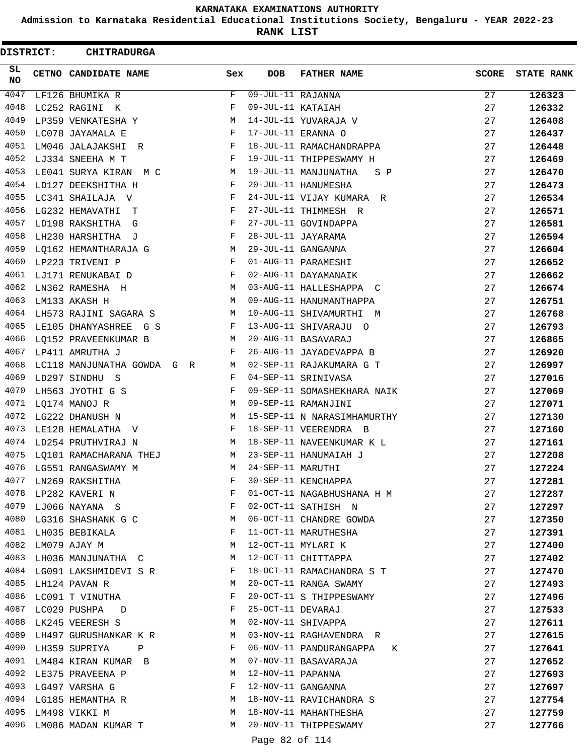**Admission to Karnataka Residential Educational Institutions Society, Bengaluru - YEAR 2022-23**

**RANK LIST**

ı

 $\blacksquare$ 

| <b>DISTRICT:</b> | <b>CHITRADURGA</b>         |     |                   |                             |              |                   |
|------------------|----------------------------|-----|-------------------|-----------------------------|--------------|-------------------|
| SL<br>NO.        | CETNO CANDIDATE NAME       | Sex | <b>DOB</b>        | <b>FATHER NAME</b>          | <b>SCORE</b> | <b>STATE RANK</b> |
| 4047             | LF126 BHUMIKA R            | F   | 09-JUL-11 RAJANNA |                             | 27           | 126323            |
| 4048             | LC252 RAGINI K             | F   | 09-JUL-11 KATAIAH |                             | 27           | 126332            |
| 4049             | LP359 VENKATESHA Y         | М   |                   | 14-JUL-11 YUVARAJA V        | 27           | 126408            |
| 4050             | LC078 JAYAMALA E           | F   |                   | 17-JUL-11 ERANNA O          | 27           | 126437            |
| 4051             | LM046 JALAJAKSHI R         | F   |                   | 18-JUL-11 RAMACHANDRAPPA    | 27           | 126448            |
| 4052             | LJ334 SNEEHA M T           | F   |                   | 19-JUL-11 THIPPESWAMY H     | 27           | 126469            |
| 4053             | LE041 SURYA KIRAN M C      | M   |                   | 19-JUL-11 MANJUNATHA<br>S P | 27           | 126470            |
| 4054             | LD127 DEEKSHITHA H         | F   |                   | 20-JUL-11 HANUMESHA         | 27           | 126473            |
| 4055             | LC341 SHAILAJA V           | F   |                   | 24-JUL-11 VIJAY KUMARA R    | 27           | 126534            |
| 4056             | LG232 HEMAVATHI T          | F   |                   | 27-JUL-11 THIMMESH R        | 27           | 126571            |
| 4057             | LD198 RAKSHITHA<br>G       | F   |                   | 27-JUL-11 GOVINDAPPA        | 27           | 126581            |
| 4058             | LH230 HARSHITHA J          | F   |                   | 28-JUL-11 JAYARAMA          | 27           | 126594            |
| 4059             | LQ162 HEMANTHARAJA G       | М   |                   | 29-JUL-11 GANGANNA          | 27           | 126604            |
| 4060             | LP223 TRIVENI P            | F   |                   | 01-AUG-11 PARAMESHI         | 27           | 126652            |
| 4061             | LJ171 RENUKABAI D          | F   |                   | 02-AUG-11 DAYAMANAIK        | 27           | 126662            |
| 4062             | LN362 RAMESHA H            | М   |                   | 03-AUG-11 HALLESHAPPA C     | 27           | 126674            |
| 4063             | LM133 AKASH H              | М   |                   | 09-AUG-11 HANUMANTHAPPA     | 27           | 126751            |
| 4064             | LH573 RAJINI SAGARA S      | М   |                   | 10-AUG-11 SHIVAMURTHI M     | 27           | 126768            |
| 4065             | LE105 DHANYASHREE G S      | F   |                   | 13-AUG-11 SHIVARAJU O       | 27           | 126793            |
| 4066             | LQ152 PRAVEENKUMAR B       | М   |                   | 20-AUG-11 BASAVARAJ         | 27           | 126865            |
| 4067             | LP411 AMRUTHA J            | F   |                   | 26-AUG-11 JAYADEVAPPA B     | 27           | 126920            |
| 4068             | LC118 MANJUNATHA GOWDA G R | M   |                   | 02-SEP-11 RAJAKUMARA G T    | 27           | 126997            |
| 4069             | LD297 SINDHU S             | F   |                   | 04-SEP-11 SRINIVASA         | 27           | 127016            |
| 4070             | LH563 JYOTHI G S           | F   |                   | 09-SEP-11 SOMASHEKHARA NAIK | 27           | 127069            |
| 4071             | LQ174 MANOJ R              | М   |                   | 09-SEP-11 RAMANJINI         | 27           | 127071            |
| 4072             | LG222 DHANUSH N            | М   |                   | 15-SEP-11 N NARASIMHAMURTHY | 27           | 127130            |
| 4073             | LE128 HEMALATHA V          | F   |                   | 18-SEP-11 VEERENDRA B       | 27           | 127160            |
| 4074             | LD254 PRUTHVIRAJ N         | M   |                   | 18-SEP-11 NAVEENKUMAR K L   | 27           | 127161            |
| 4075             | LQ101 RAMACHARANA THEJ     | М   |                   | 23-SEP-11 HANUMAIAH J       | 27           | 127208            |
| 4076             | LG551 RANGASWAMY M         | M   | 24-SEP-11 MARUTHI |                             | 27           | 127224            |
| 4077             | LN269 RAKSHITHA            | F   |                   | 30-SEP-11 KENCHAPPA         | 27           | 127281            |
| 4078             | LP282 KAVERI N             | F   |                   | 01-OCT-11 NAGABHUSHANA H M  | 27           | 127287            |
|                  | 4079 LJ066 NAYANA S        | F   |                   | 02-OCT-11 SATHISH N         | 27           | 127297            |
|                  | 4080 LG316 SHASHANK G C    | М   |                   | 06-OCT-11 CHANDRE GOWDA     | 27           | 127350            |
|                  | 4081 LH035 BEBIKALA        | F   |                   | 11-OCT-11 MARUTHESHA        | 27           | 127391            |
| 4082             | LM079 AJAY M               | М   |                   | 12-OCT-11 MYLARI K          | 27           | 127400            |
| 4083             | LH036 MANJUNATHA C         | M   |                   | 12-OCT-11 CHITTAPPA         | 27           | 127402            |
|                  | 4084 LG091 LAKSHMIDEVI S R | F   |                   | 18-OCT-11 RAMACHANDRA S T   | 27           | 127470            |
|                  | 4085 LH124 PAVAN R         | М   |                   | 20-OCT-11 RANGA SWAMY       | 27           | 127493            |
| 4086             | LC091 T VINUTHA            | F   |                   | 20-OCT-11 S THIPPESWAMY     | 27           | 127496            |
| 4087             | LC029 PUSHPA<br>$\Box$     | F   | 25-OCT-11 DEVARAJ |                             | 27           | 127533            |
|                  | 4088 LK245 VEERESH S       | M   |                   | 02-NOV-11 SHIVAPPA          | 27           | 127611            |
| 4089             | LH497 GURUSHANKAR K R      | M   |                   | 03-NOV-11 RAGHAVENDRA R     | 27           | 127615            |
| 4090             | LH359 SUPRIYA<br>Ρ         | F   |                   | 06-NOV-11 PANDURANGAPPA K   | 27           | 127641            |
| 4091             | LM484 KIRAN KUMAR B        | M   |                   | 07-NOV-11 BASAVARAJA        | 27           | 127652            |
|                  | 4092 LE375 PRAVEENA P      | М   | 12-NOV-11 PAPANNA |                             | 27           | 127693            |
|                  | 4093 LG497 VARSHA G        | F   |                   | 12-NOV-11 GANGANNA          | 27           | 127697            |
|                  | 4094 LG185 HEMANTHA R      | M   |                   | 18-NOV-11 RAVICHANDRA S     | 27           | 127754            |
| 4095             | LM498 VIKKI M              | M   |                   | 18-NOV-11 MAHANTHESHA       | 27           | 127759            |
| 4096             | LM086 MADAN KUMAR T        | М   |                   | 20-NOV-11 THIPPESWAMY       | 27           | 127766            |
|                  |                            |     |                   |                             |              |                   |

Page 82 of 114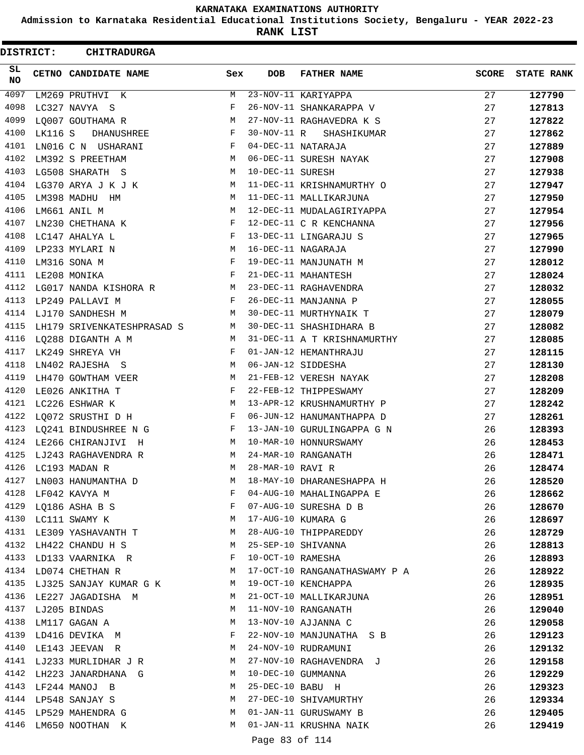**Admission to Karnataka Residential Educational Institutions Society, Bengaluru - YEAR 2022-23**

**RANK LIST**

 $\blacksquare$ 

| <b>DISTRICT:</b> |         | <b>CHITRADURGA</b>         |            |                   |                               |              |                   |
|------------------|---------|----------------------------|------------|-------------------|-------------------------------|--------------|-------------------|
| SL.<br><b>NO</b> |         | CETNO CANDIDATE NAME       | Sex        | <b>DOB</b>        | <b>FATHER NAME</b>            | <b>SCORE</b> | <b>STATE RANK</b> |
| 4097             |         | LM269 PRUTHVI K            | М          |                   | 23-NOV-11 KARIYAPPA           | 27           | 127790            |
| 4098             |         | LC327 NAVYA S              | F          |                   | 26-NOV-11 SHANKARAPPA V       | 27           | 127813            |
| 4099             |         | LO007 GOUTHAMA R           | M          |                   | 27-NOV-11 RAGHAVEDRA K S      | 27           | 127822            |
| 4100             | LK116 S | DHANUSHREE                 | F          | 30-NOV-11 R       | SHASHIKUMAR                   | 27           | 127862            |
| 4101             |         | LN016 C N USHARANI         | F          |                   | 04-DEC-11 NATARAJA            | 27           | 127889            |
| 4102             |         | LM392 S PREETHAM           | M          |                   | 06-DEC-11 SURESH NAYAK        | 27           | 127908            |
| 4103             |         | LG508 SHARATH S            | M          | 10-DEC-11 SURESH  |                               | 27           | 127938            |
| 4104             |         | LG370 ARYA J K J K         | М          |                   | 11-DEC-11 KRISHNAMURTHY O     | 27           | 127947            |
| 4105             |         | LM398 MADHU HM             | М          |                   | 11-DEC-11 MALLIKARJUNA        | 27           | 127950            |
| 4106             |         | LM661 ANIL M               | М          |                   | 12-DEC-11 MUDALAGIRIYAPPA     | 27           | 127954            |
| 4107             |         | LN230 CHETHANA K           | F          |                   | 12-DEC-11 C R KENCHANNA       | 27           | 127956            |
| 4108             |         | LC147 AHALYA L             | F          |                   | 13-DEC-11 LINGARAJU S         | 27           | 127965            |
| 4109             |         | LP233 MYLARI N             | М          |                   | 16-DEC-11 NAGARAJA            | 27           | 127990            |
| 4110             |         | LM316 SONA M               | F          |                   | 19-DEC-11 MANJUNATH M         | 27           | 128012            |
| 4111             |         | LE208 MONIKA               | F          |                   | 21-DEC-11 MAHANTESH           | 27           | 128024            |
| 4112             |         | LG017 NANDA KISHORA R      | M          |                   | 23-DEC-11 RAGHAVENDRA         | 27           | 128032            |
| 4113             |         | LP249 PALLAVI M            | F          |                   | 26-DEC-11 MANJANNA P          | 27           | 128055            |
| 4114             |         | LJ170 SANDHESH M           | М          |                   | 30-DEC-11 MURTHYNAIK T        | 27           | 128079            |
| 4115             |         | LH179 SRIVENKATESHPRASAD S | M          |                   | 30-DEC-11 SHASHIDHARA B       | 27           | 128082            |
| 4116             |         | LQ288 DIGANTH A M          | М          |                   | 31-DEC-11 A T KRISHNAMURTHY   | 27           | 128085            |
| 4117             |         | LK249 SHREYA VH            | F          |                   | 01-JAN-12 HEMANTHRAJU         | 27           | 128115            |
| 4118             |         | LN402 RAJESHA S            | М          |                   | 06-JAN-12 SIDDESHA            | 27           | 128130            |
| 4119             |         | LH470 GOWTHAM VEER         | M          |                   | 21-FEB-12 VERESH NAYAK        | 27           | 128208            |
| 4120             |         | LE026 ANKITHA T            | F          |                   | 22-FEB-12 THIPPESWAMY         | 27           | 128209            |
| 4121             |         | LC226 ESHWAR K             | М          |                   | 13-APR-12 KRUSHNAMURTHY P     | 27           | 128242            |
| 4122             |         | LQ072 SRUSTHI D H          | F          |                   | 06-JUN-12 HANUMANTHAPPA D     | 27           | 128261            |
| 4123             |         | LQ241 BINDUSHREE N G       | F          |                   | 13-JAN-10 GURULINGAPPA G N    | 26           | 128393            |
| 4124             |         | LE266 CHIRANJIVI H         | M          |                   | 10-MAR-10 HONNURSWAMY         | 26           | 128453            |
| 4125             |         | LJ243 RAGHAVENDRA R        | М          |                   | 24-MAR-10 RANGANATH           | 26           | 128471            |
| 4126             |         | LC193 MADAN R              | M          | 28-MAR-10 RAVI R  |                               | 26           | 128474            |
| 4127             |         | LN003 HANUMANTHA D         | М          |                   | 18-MAY-10 DHARANESHAPPA H     | 26           | 128520            |
| 4128             |         | LF042 KAVYA M              | F          |                   | 04-AUG-10 MAHALINGAPPA E      | 26           | 128662            |
| 4129             |         | LQ186 ASHA B S             | F          |                   | 07-AUG-10 SURESHA D B         | 26           | 128670            |
| 4130             |         | LC111 SWAMY K              | M          |                   | 17-AUG-10 KUMARA G            | 26           | 128697            |
|                  |         | 4131 LE309 YASHAVANTH T    | М          |                   | 28-AUG-10 THIPPAREDDY         | 26           | 128729            |
| 4132             |         | LH422 CHANDU H S           | М          |                   | 25-SEP-10 SHIVANNA            | 26           | 128813            |
| 4133             |         | LD133 VAARNIKA R           | F          | 10-OCT-10 RAMESHA |                               | 26           | 128893            |
| 4134             |         | LD074 CHETHAN R            | M          |                   | 17-OCT-10 RANGANATHASWAMY P A | 26           | 128922            |
| 4135             |         | LJ325 SANJAY KUMAR G K     | М          |                   | 19-OCT-10 KENCHAPPA           | 26           | 128935            |
| 4136             |         | LE227 JAGADISHA M          | M          |                   | 21-OCT-10 MALLIKARJUNA        | 26           | 128951            |
| 4137             |         | LJ205 BINDAS               | М          |                   | 11-NOV-10 RANGANATH           | 26           | 129040            |
| 4138             |         | LM117 GAGAN A              | M          |                   | 13-NOV-10 AJJANNA C           | 26           | 129058            |
| 4139             |         | LD416 DEVIKA M             | $_{\rm F}$ |                   | 22-NOV-10 MANJUNATHA S B      | 26           | 129123            |
| 4140             |         | LE143 JEEVAN R             | М          |                   | 24-NOV-10 RUDRAMUNI           | 26           | 129132            |
| 4141             |         | LJ233 MURLIDHAR J R        | М          |                   | 27-NOV-10 RAGHAVENDRA J       | 26           | 129158            |
| 4142             |         | LH223 JANARDHANA G         | M          |                   | 10-DEC-10 GUMMANNA            | 26           | 129229            |
| 4143             |         | LF244 MANOJ B              | М          | 25-DEC-10 BABU H  |                               | 26           | 129323            |
| 4144             |         | LP548 SANJAY S             | М          |                   | 27-DEC-10 SHIVAMURTHY         | 26           | 129334            |
| 4145             |         | LP529 MAHENDRA G           | М          |                   | 01-JAN-11 GURUSWAMY B         | 26           | 129405            |
| 4146             |         | LM650 NOOTHAN K            | М          |                   | 01-JAN-11 KRUSHNA NAIK        | 26           | 129419            |
|                  |         |                            |            |                   |                               |              |                   |

Page 83 of 114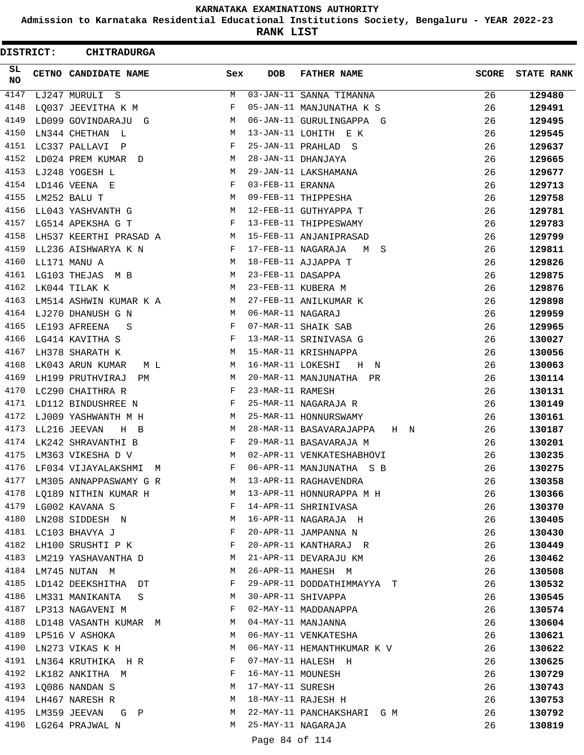**Admission to Karnataka Residential Educational Institutions Society, Bengaluru - YEAR 2022-23**

**RANK LIST**

 $\blacksquare$ 

| <b>DISTRICT:</b> | <b>CHITRADURGA</b>                   |                                                |                   |                                |              |                   |
|------------------|--------------------------------------|------------------------------------------------|-------------------|--------------------------------|--------------|-------------------|
| SL<br>NO.        | CETNO CANDIDATE NAME                 | Sex                                            | <b>DOB</b>        | <b>FATHER NAME</b>             | <b>SCORE</b> | <b>STATE RANK</b> |
| 4147             | LJ247 MURULI S                       | М                                              |                   | 03-JAN-11 SANNA TIMANNA        | 26           | 129480            |
| 4148             | LO037 JEEVITHA K M                   | F                                              |                   | 05-JAN-11 MANJUNATHA K S       | 26           | 129491            |
| 4149             | LD099 GOVINDARAJU G                  | М                                              |                   | 06-JAN-11 GURULINGAPPA G       | 26           | 129495            |
| 4150             | LN344 CHETHAN L                      | М                                              |                   | 13-JAN-11 LOHITH E K           | 26           | 129545            |
| 4151             | LC337 PALLAVI P                      | F                                              |                   | 25-JAN-11 PRAHLAD S            | 26           | 129637            |
| 4152             | LD024 PREM KUMAR D                   | М                                              |                   | 28-JAN-11 DHANJAYA             | 26           | 129665            |
| 4153             | LJ248 YOGESH L                       | М                                              |                   | 29-JAN-11 LAKSHAMANA           | 26           | 129677            |
| 4154             | LD146 VEENA E                        | F                                              | 03-FEB-11 ERANNA  |                                | 26           | 129713            |
| 4155             | LM252 BALU T                         | М                                              |                   | 09-FEB-11 THIPPESHA            | 26           | 129758            |
| 4156             | LL043 YASHVANTH G                    | M                                              |                   | 12-FEB-11 GUTHYAPPA T          | 26           | 129781            |
| 4157             | LG514 APEKSHA G T                    | F                                              |                   | 13-FEB-11 THIPPESWAMY          | 26           | 129783            |
| 4158             | LH537 KEERTHI PRASAD A               | M                                              |                   | 15-FEB-11 ANJANIPRASAD         | 26           | 129799            |
| 4159             | LL236 AISHWARYA K N                  | F                                              |                   | 17-FEB-11 NAGARAJA<br>M S      | 26           | 129811            |
| 4160             | LL171 MANU A                         | M                                              |                   | 18-FEB-11 AJJAPPA T            | 26           | 129826            |
| 4161             | LG103 THEJAS M B                     | М                                              | 23-FEB-11 DASAPPA |                                | 26           | 129875            |
| 4162             | LK044 TILAK K                        | М                                              |                   | 23-FEB-11 KUBERA M             | 26           | 129876            |
| 4163             | LM514 ASHWIN KUMAR K A               | M                                              |                   | 27-FEB-11 ANILKUMAR K          | 26           | 129898            |
| 4164             | LJ270 DHANUSH G N                    | M                                              | 06-MAR-11 NAGARAJ |                                | 26           | 129959            |
| 4165             | LE193 AFREENA<br>S                   | F                                              |                   | 07-MAR-11 SHAIK SAB            | 26           | 129965            |
| 4166             | LG414 KAVITHA S                      | F                                              |                   | 13-MAR-11 SRINIVASA G          | 26           | 130027            |
| 4167             | LH378 SHARATH K                      | М                                              |                   | 15-MAR-11 KRISHNAPPA           | 26           | 130056            |
| 4168             | LK043 ARUN KUMAR<br>M L              | М                                              | 16-MAR-11 LOKESHI | H N                            | 26           | 130063            |
| 4169             | LH199 PRUTHVIRAJ<br>PМ               | М                                              |                   | 20-MAR-11 MANJUNATHA PR        | 26           | 130114            |
| 4170             | LC290 CHAITHRA R                     | F                                              | 23-MAR-11 RAMESH  |                                | 26           | 130131            |
| 4171             | LD112 BINDUSHREE N                   | F                                              |                   | 25-MAR-11 NAGARAJA R           | 26           | 130149            |
| 4172             | LJ009 YASHWANTH M H                  | M                                              |                   | 25-MAR-11 HONNURSWAMY          | 26           | 130161            |
| 4173             | LL216 JEEVAN<br>$H$ B                | М                                              |                   | 28-MAR-11 BASAVARAJAPPA<br>H N | 26           | 130187            |
| 4174             | LK242 SHRAVANTHI B                   | F                                              |                   | 29-MAR-11 BASAVARAJA M         | 26           | 130201            |
| 4175             | LM363 VIKESHA D V                    | М                                              |                   | 02-APR-11 VENKATESHABHOVI      | 26           | 130235            |
| 4176             | LF034 VIJAYALAKSHMI M                | F                                              |                   | 06-APR-11 MANJUNATHA S B       | 26           | 130275            |
| 4177             | LM305 ANNAPPASWAMY G R               |                                                |                   | M 13-APR-11 RAGHAVENDRA        | 26           | 130358            |
| 4178             |                                      |                                                |                   |                                | 26           | 130366            |
|                  | 4179 LG002 KAVANA S                  | $\mathbf{F}$ and $\mathbf{F}$ and $\mathbf{F}$ |                   | 14-APR-11 SHRINIVASA           | 26           | 130370            |
|                  | 4180 LN208 SIDDESH N                 | M                                              |                   | 16-APR-11 NAGARAJA H           | 26           | 130405            |
|                  | 4181 LC103 BHAVYA J                  | F                                              |                   | 20-APR-11 JAMPANNA N           | 26           | 130430            |
| 4182             | LH100 SRUSHTI P K                    | F                                              |                   | 20-APR-11 KANTHARAJ R          | 26           | 130449            |
| 4183             | LM219 YASHAVANTHA D                  | M                                              |                   | 21-APR-11 DEVARAJU KM          | 26           | 130462            |
|                  | 4184 LM745 NUTAN M                   | М                                              |                   | 26-APR-11 MAHESH M             | 26           | 130508            |
|                  | 4185 LD142 DEEKSHITHA DT             | F                                              |                   | 29-APR-11 DODDATHIMMAYYA T     | 26           | 130532            |
| 4186             | LM331 MANIKANTA<br>$S \qquad \qquad$ | M                                              |                   | 30-APR-11 SHIVAPPA             | 26           | 130545            |
|                  | 4187 LP313 NAGAVENI M                | F                                              |                   | 02-MAY-11 MADDANAPPA           | 26           | 130574            |
|                  | 4188 LD148 VASANTH KUMAR M           |                                                |                   | 04-MAY-11 MANJANNA             | 26           | 130604            |
|                  | 4189 LP516 V ASHOKA                  | M                                              |                   | 06-MAY-11 VENKATESHA           | 26           | 130621            |
| 4190             | LN273 VIKAS K H                      | М                                              |                   | 06-MAY-11 HEMANTHKUMAR K V     | 26           | 130622            |
| 4191             | LN364 KRUTHIKA H R                   | F                                              |                   | 07-MAY-11 HALESH H             | 26           | 130625            |
| 4192             | LK182 ANKITHA M                      | F                                              | 16-MAY-11 MOUNESH |                                | 26           | 130729            |
|                  | 4193 LQ086 NANDAN S                  | M                                              | 17-MAY-11 SURESH  |                                | 26           | 130743            |
|                  | 4194 LH467 NARESH R                  | M                                              |                   | 18-MAY-11 RAJESH H             | 26           | 130753            |
|                  | 4195 LM359 JEEVAN G P                | M                                              |                   | 22-MAY-11 PANCHAKSHARI G M     | 26           | 130792            |
|                  | 4196 LG264 PRAJWAL N                 | M                                              |                   | 25-MAY-11 NAGARAJA             | 26           | 130819            |
|                  |                                      |                                                |                   |                                |              |                   |

Page 84 of 114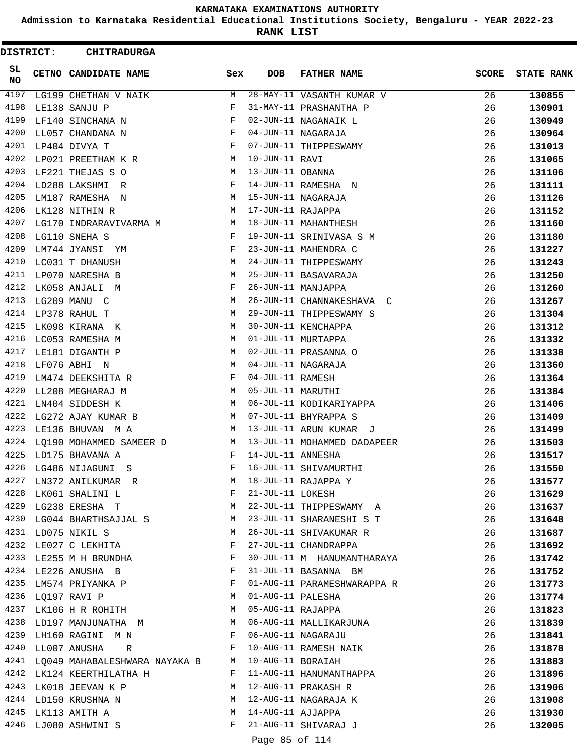**Admission to Karnataka Residential Educational Institutions Society, Bengaluru - YEAR 2022-23**

**RANK LIST**

| DISTRICT:        | <b>CHITRADURGA</b>                   |     |                   |                             |              |                   |
|------------------|--------------------------------------|-----|-------------------|-----------------------------|--------------|-------------------|
| SL.<br><b>NO</b> | CETNO CANDIDATE NAME                 | Sex | <b>DOB</b>        | <b>FATHER NAME</b>          | <b>SCORE</b> | <b>STATE RANK</b> |
| 4197             | LG199 CHETHAN V NAIK                 | M   |                   | 28-MAY-11 VASANTH KUMAR V   | 26           | 130855            |
| 4198             | LE138 SANJU P                        | F   |                   | 31-MAY-11 PRASHANTHA P      | 26           | 130901            |
| 4199             | LF140 SINCHANA N                     | F   |                   | 02-JUN-11 NAGANAIK L        | 26           | 130949            |
| 4200             | LL057 CHANDANA N                     | F   |                   | 04-JUN-11 NAGARAJA          | 26           | 130964            |
| 4201             | LP404 DIVYA T                        | F   |                   | 07-JUN-11 THIPPESWAMY       | 26           | 131013            |
| 4202             | LP021 PREETHAM K R                   | M   | 10-JUN-11 RAVI    |                             | 26           | 131065            |
| 4203             | LF221 THEJAS S O                     | M   | 13-JUN-11 OBANNA  |                             | 26           | 131106            |
| 4204             | LD288 LAKSHMI R                      | F   |                   | 14-JUN-11 RAMESHA N         | 26           | 131111            |
| 4205             | LM187 RAMESHA N                      | M   |                   | 15-JUN-11 NAGARAJA          | 26           | 131126            |
| 4206             | LK128 NITHIN R                       | М   | 17-JUN-11 RAJAPPA |                             | 26           | 131152            |
| 4207             | LG170 INDRARAVIVARMA M               | M   |                   | 18-JUN-11 MAHANTHESH        | 26           | 131160            |
| 4208             | LG110 SNEHA S                        | F   |                   | 19-JUN-11 SRINIVASA S M     | 26           | 131180            |
| 4209             | LM744 JYANSI YM                      | F   |                   | 23-JUN-11 MAHENDRA C        | 26           | 131227            |
| 4210             | LC031 T DHANUSH                      | М   |                   | 24-JUN-11 THIPPESWAMY       | 26           | 131243            |
| 4211             | LP070 NARESHA B                      | M   |                   | 25-JUN-11 BASAVARAJA        | 26           | 131250            |
| 4212             | LK058 ANJALI M                       | F   |                   | 26-JUN-11 MANJAPPA          | 26           | 131260            |
| 4213             | LG209 MANU C                         | M   |                   | 26-JUN-11 CHANNAKESHAVA C   | 26           | 131267            |
| 4214             | LP378 RAHUL T                        | М   |                   | 29-JUN-11 THIPPESWAMY S     | 26           | 131304            |
| 4215             | LK098 KIRANA K                       | М   |                   | 30-JUN-11 KENCHAPPA         | 26           | 131312            |
| 4216             | LC053 RAMESHA M                      | М   |                   | 01-JUL-11 MURTAPPA          | 26           | 131332            |
| 4217             | LE181 DIGANTH P                      | M   |                   | 02-JUL-11 PRASANNA O        | 26           | 131338            |
| 4218             | LF076 ABHI N                         | M   |                   | 04-JUL-11 NAGARAJA          | 26           | 131360            |
| 4219             | LM474 DEEKSHITA R                    | F   | 04-JUL-11 RAMESH  |                             | 26           | 131364            |
| 4220             | LL208 MEGHARAJ M                     | М   | 05-JUL-11 MARUTHI |                             | 26           | 131384            |
| 4221             | LN404 SIDDESH K                      | M   |                   | 06-JUL-11 KODIKARIYAPPA     | 26           | 131406            |
| 4222             | LG272 AJAY KUMAR B                   | M   |                   | 07-JUL-11 BHYRAPPA S        | 26           | 131409            |
| 4223             | LE136 BHUVAN M A                     | M   |                   | 13-JUL-11 ARUN KUMAR J      | 26           | 131499            |
| 4224             | LQ190 MOHAMMED SAMEER D M            |     |                   | 13-JUL-11 MOHAMMED DADAPEER | 26           | 131503            |
| 4225             | LD175 BHAVANA A                      | F   | 14-JUL-11 ANNESHA |                             | 26           | 131517            |
| 4226             | LG486 NIJAGUNI S                     | F   |                   | 16-JUL-11 SHIVAMURTHI       | 26           | 131550            |
| 4227             | LN372 ANILKUMAR R                    | M   |                   | 18-JUL-11 RAJAPPA Y         | 26           | 131577            |
| 4228             | LK061 SHALINI L                      | F   | 21-JUL-11 LOKESH  |                             | 26           | 131629            |
|                  | 4229 LG238 ERESHA T                  | M   |                   | 22-JUL-11 THIPPESWAMY A     | 26           | 131637            |
| 4230             | LG044 BHARTHSAJJAL S                 | M   |                   | 23-JUL-11 SHARANESHI S T    | 26           | 131648            |
| 4231             | LD075 NIKIL S                        | M   |                   | 26-JUL-11 SHIVAKUMAR R      | 26           | 131687            |
| 4232             | LE027 C LEKHITA                      | F   |                   | 27-JUL-11 CHANDRAPPA        | 26           | 131692            |
| 4233             | LE255 M H BRUNDHA                    | F   |                   | 30-JUL-11 M HANUMANTHARAYA  | 26           | 131742            |
|                  | 4234 LE226 ANUSHA B                  | F   |                   | 31-JUL-11 BASANNA BM        | 26           | 131752            |
| 4235             | LM574 PRIYANKA P                     | F   |                   | 01-AUG-11 PARAMESHWARAPPA R | 26           | 131773            |
|                  | 4236 LQ197 RAVI P<br>$M_{\rm H}$     |     | 01-AUG-11 PALESHA |                             | 26           | 131774            |
|                  | 4237 LK106 H R ROHITH                | M   |                   | 05-AUG-11 RAJAPPA           | 26           | 131823            |
| 4238             | LD197 MANJUNATHA M                   |     |                   |                             | 26           |                   |
| 4239             |                                      |     |                   | 06-AUG-11 MALLIKARJUNA      |              | 131839            |
| 4240             | LH160 RAGINI M N<br>$\mathbf{F}$     | F   |                   | 06-AUG-11 NAGARAJU          | 26           | 131841            |
|                  | LL007 ANUSHA R                       |     | 10-AUG-11 BORAIAH | 10-AUG-11 RAMESH NAIK       | 26           | 131878            |
|                  | 4241 LQ049 MAHABALESHWARA NAYAKA B M |     |                   |                             | 26           | 131883            |
| 4242             | LK124 KEERTHILATHA H                 | F   |                   | 11-AUG-11 HANUMANTHAPPA     | 26           | 131896            |
| 4243             | LK018 JEEVAN K P                     | M   |                   | 12-AUG-11 PRAKASH R         | 26           | 131906            |
|                  | 4244 LD150 KRUSHNA N<br><b>M</b>     |     |                   | 12-AUG-11 NAGARAJA K        | 26           | 131908            |
| 4245             | LK113 AMITH A                        | M   | 14-AUG-11 AJJAPPA |                             | 26           | 131930            |
| 4246             | LJ080 ASHWINI S                      | F   |                   | 21-AUG-11 SHIVARAJ J        | 26           | 132005            |
|                  |                                      |     | Page 85 of 114    |                             |              |                   |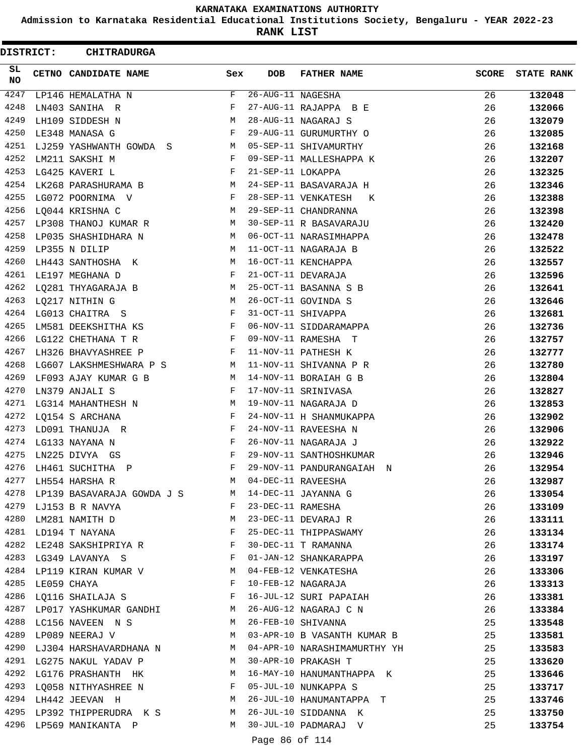**Admission to Karnataka Residential Educational Institutions Society, Bengaluru - YEAR 2022-23**

**RANK LIST**

 $\blacksquare$ 

| DISTRICT: |                  | <b>CHITRADURGA</b>                                                                                                                      |              |                   |                              |              |                   |
|-----------|------------------|-----------------------------------------------------------------------------------------------------------------------------------------|--------------|-------------------|------------------------------|--------------|-------------------|
| SL<br>NO. |                  | CETNO CANDIDATE NAME                                                                                                                    | Sex          | <b>DOB</b>        | <b>FATHER NAME</b>           | <b>SCORE</b> | <b>STATE RANK</b> |
| 4247      |                  | LP146 HEMALATHA N                                                                                                                       | F            | 26-AUG-11 NAGESHA |                              | 26           | 132048            |
| 4248      |                  | LN403 SANIHA R                                                                                                                          | F            |                   | 27-AUG-11 RAJAPPA B E        | 26           | 132066            |
| 4249      |                  | LH109 SIDDESH N                                                                                                                         | М            |                   | 28-AUG-11 NAGARAJ S          | 26           | 132079            |
| 4250      |                  | LE348 MANASA G                                                                                                                          | F            |                   | 29-AUG-11 GURUMURTHY O       | 26           | 132085            |
| 4251      |                  | LJ259 YASHWANTH GOWDA S                                                                                                                 | М            |                   | 05-SEP-11 SHIVAMURTHY        | 26           | 132168            |
| 4252      |                  | LM211 SAKSHI M                                                                                                                          | F            |                   | 09-SEP-11 MALLESHAPPA K      | 26           | 132207            |
| 4253      |                  | LG425 KAVERI L                                                                                                                          | F            | 21-SEP-11 LOKAPPA |                              | 26           | 132325            |
| 4254      |                  | LK268 PARASHURAMA B                                                                                                                     | М            |                   | 24-SEP-11 BASAVARAJA H       | 26           | 132346            |
| 4255      |                  | LG072 POORNIMA V                                                                                                                        | F            |                   | 28-SEP-11 VENKATESH<br>K     | 26           | 132388            |
| 4256      |                  | LQ044 KRISHNA C                                                                                                                         | M            |                   | 29-SEP-11 CHANDRANNA         | 26           | 132398            |
| 4257      |                  | LP308 THANOJ KUMAR R                                                                                                                    | М            |                   | 30-SEP-11 R BASAVARAJU       | 26           | 132420            |
| 4258      |                  | LP035 SHASHIDHARA N                                                                                                                     | M            |                   | 06-OCT-11 NARASIMHAPPA       | 26           | 132478            |
| 4259      |                  | LP355 N DILIP                                                                                                                           | М            |                   | 11-OCT-11 NAGARAJA B         | 26           | 132522            |
| 4260      |                  | LH443 SANTHOSHA K                                                                                                                       | M            |                   | 16-OCT-11 KENCHAPPA          | 26           | 132557            |
| 4261      |                  | LE197 MEGHANA D                                                                                                                         | F            |                   | 21-OCT-11 DEVARAJA           | 26           | 132596            |
| 4262      |                  | LQ281 THYAGARAJA B                                                                                                                      | М            |                   | 25-OCT-11 BASANNA S B        | 26           | 132641            |
| 4263      |                  | LQ217 NITHIN G                                                                                                                          | М            |                   | 26-OCT-11 GOVINDA S          | 26           | 132646            |
| 4264      |                  | LG013 CHAITRA S                                                                                                                         | F            |                   | 31-OCT-11 SHIVAPPA           | 26           | 132681            |
| 4265      |                  | LM581 DEEKSHITHA KS                                                                                                                     | F            |                   | 06-NOV-11 SIDDARAMAPPA       | 26           | 132736            |
| 4266      |                  | LG122 CHETHANA T R                                                                                                                      | F            |                   | 09-NOV-11 RAMESHA T          | 26           | 132757            |
| 4267      |                  | LH326 BHAVYASHREE P                                                                                                                     | F            |                   | 11-NOV-11 PATHESH K          | 26           | 132777            |
| 4268      |                  | LG607 LAKSHMESHWARA P S                                                                                                                 | M            |                   | 11-NOV-11 SHIVANNA P R       | 26           | 132780            |
| 4269      |                  | LF093 AJAY KUMAR G B                                                                                                                    | M            |                   | 14-NOV-11 BORAIAH G B        | 26           | 132804            |
| 4270      |                  | LN379 ANJALI S                                                                                                                          | F            |                   | 17-NOV-11 SRINIVASA          | 26           | 132827            |
| 4271      |                  | LG314 MAHANTHESH N                                                                                                                      | М            |                   | 19-NOV-11 NAGARAJA D         | 26           | 132853            |
| 4272      |                  | LQ154 S ARCHANA                                                                                                                         | F            |                   | 24-NOV-11 H SHANMUKAPPA      | 26           | 132902            |
| 4273      |                  | LD091 THANUJA R                                                                                                                         | F            |                   | 24-NOV-11 RAVEESHA N         | 26           | 132906            |
| 4274      |                  | LG133 NAYANA N                                                                                                                          | F            |                   | 26-NOV-11 NAGARAJA J         | 26           | 132922            |
| 4275      |                  | LN225 DIVYA GS                                                                                                                          | F            |                   | 29-NOV-11 SANTHOSHKUMAR      | 26           | 132946            |
| 4276      |                  | LH461 SUCHITHA P                                                                                                                        | F            |                   | 29-NOV-11 PANDURANGAIAH N    | 26           | 132954            |
|           |                  | 4277 LH554 HARSHA R                                                                                                                     | M            |                   | 04-DEC-11 RAVEESHA           | 26           | 132987            |
|           |                  | 4278 LP139 BASAVARAJA GOWDA J S M                                                                                                       |              |                   | 14-DEC-11 JAYANNA G          | 26           | 133054            |
|           |                  | 4279 LJ153 B R NAVYA                                                                                                                    | F            | 23-DEC-11 RAMESHA |                              | 26           | 133109            |
| 4280      |                  | LM281 NAMITH D                                                                                                                          | M            |                   | 23-DEC-11 DEVARAJ R          | 26           | 133111            |
|           |                  | 4281 LD194 T NAYANA                                                                                                                     | $\mathbf{F}$ |                   | 25-DEC-11 THIPPASWAMY        | 26           | 133134            |
| 4282      |                  | LE248 SAKSHIPRIYA R F                                                                                                                   |              |                   | 30-DEC-11 T RAMANNA          | 26           | 133174            |
|           |                  | 4283 LG349 LAVANYA S<br><b>Example 200</b> in the second state of the second state of the second state of the second state $\mathbf{F}$ |              |                   | 01-JAN-12 SHANKARAPPA        | 26           | 133197            |
|           |                  | 4284 LP119 KIRAN KUMAR V                                                                                                                | M            |                   | 04-FEB-12 VENKATESHA         | 26           | 133306            |
|           | 4285 LE059 CHAYA |                                                                                                                                         | F            |                   | 10-FEB-12 NAGARAJA           | 26           | 133313            |
|           |                  | 4286 LQ116 SHAILAJA S                                                                                                                   |              |                   | 16-JUL-12 SURI PAPAIAH       | 26           | 133381            |
|           |                  | 4287 LP017 YASHKUMAR GANDHI M                                                                                                           |              |                   | 26-AUG-12 NAGARAJ C N        | 26           | 133384            |
|           |                  | 4288 LC156 NAVEEN N S                                                                                                                   | M            |                   | 26-FEB-10 SHIVANNA           | 25           | 133548            |
|           |                  | 4289 LP089 NEERAJ V                                                                                                                     | M            |                   | 03-APR-10 B VASANTH KUMAR B  | 25           | 133581            |
| 4290      |                  | LJ304 HARSHAVARDHANA N                                                                                                                  | M            |                   | 04-APR-10 NARASHIMAMURTHY YH | 25           | 133583            |
| 4291      |                  | LG275 NAKUL YADAV P                                                                                                                     | M            |                   | 30-APR-10 PRAKASH T          | 25           | 133620            |
|           |                  | 4292 LG176 PRASHANTH HK                                                                                                                 | M            |                   | 16-MAY-10 HANUMANTHAPPA K    | 25           | 133646            |
|           |                  | 4293 LQ058 NITHYASHREE N F                                                                                                              |              |                   | 05-JUL-10 NUNKAPPA S         | 25           | 133717            |
|           |                  | 4294 LH442 JEEVAN H<br><b>M</b>                                                                                                         |              |                   | 26-JUL-10 HANUMANTAPPA T     | 25           | 133746            |
|           |                  | 4295 LP392 THIPPERUDRA K S M                                                                                                            |              |                   | 26-JUL-10 SIDDANNA K         | 25           | 133750            |
|           |                  | 4296 LP569 MANIKANTA P                                                                                                                  | M            |                   | 30-JUL-10 PADMARAJ V         | 25           | 133754            |
|           |                  |                                                                                                                                         |              |                   |                              |              |                   |

Page 86 of 114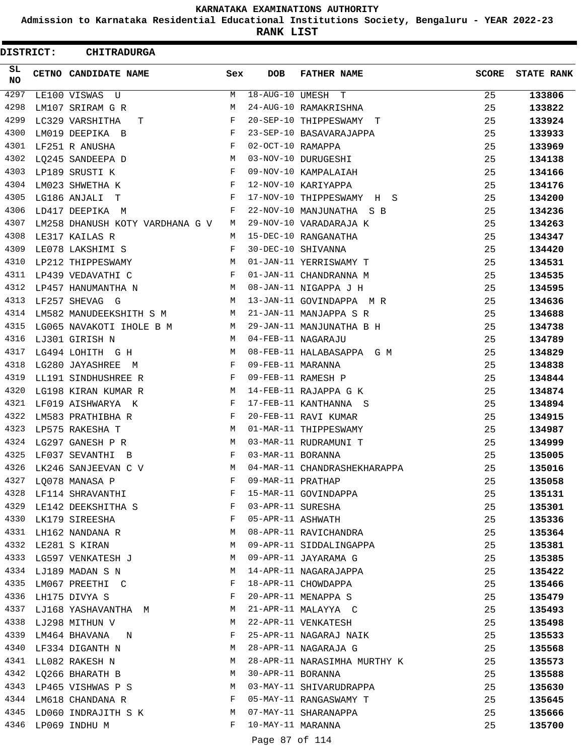**Admission to Karnataka Residential Educational Institutions Society, Bengaluru - YEAR 2022-23**

**RANK LIST**

| DISTRICT: | <b>CHITRADURGA</b>              |     |                                        |                              |              |                   |
|-----------|---------------------------------|-----|----------------------------------------|------------------------------|--------------|-------------------|
| SL<br>NO. | CETNO CANDIDATE NAME            | Sex | <b>DOB</b>                             | <b>FATHER NAME</b>           | <b>SCORE</b> | <b>STATE RANK</b> |
| 4297      | LE100 VISWAS U                  | M   |                                        | 18-AUG-10 UMESH T            | 25           | 133806            |
| 4298      | LM107 SRIRAM G R                | М   |                                        | 24-AUG-10 RAMAKRISHNA        | 25           | 133822            |
| 4299      | LC329 VARSHITHA<br>т            | F   |                                        | 20-SEP-10 THIPPESWAMY T      | 25           | 133924            |
| 4300      | LM019 DEEPIKA B                 | F   |                                        | 23-SEP-10 BASAVARAJAPPA      | 25           | 133933            |
| 4301      | LF251 R ANUSHA                  | F   | 02-OCT-10 RAMAPPA                      |                              | 25           | 133969            |
| 4302      | LO245 SANDEEPA D                | M   |                                        | 03-NOV-10 DURUGESHI          | 25           | 134138            |
| 4303      | LP189 SRUSTI K                  | F   |                                        | 09-NOV-10 KAMPALAIAH         | 25           | 134166            |
| 4304      | LM023 SHWETHA K                 | F   |                                        | 12-NOV-10 KARIYAPPA          | 25           | 134176            |
| 4305      | LG186 ANJALI T                  | F   |                                        | 17-NOV-10 THIPPESWAMY H S    | 25           | 134200            |
| 4306      | LD417 DEEPIKA M                 | F   |                                        | 22-NOV-10 MANJUNATHA S B     | 25           | 134236            |
| 4307      | LM258 DHANUSH KOTY VARDHANA G V | М   |                                        | 29-NOV-10 VARADARAJA K       | 25           | 134263            |
| 4308      | LE317 KAILAS R                  | М   |                                        | 15-DEC-10 RANGANATHA         | 25           | 134347            |
| 4309      | LE078 LAKSHIMI S                | F   |                                        | 30-DEC-10 SHIVANNA           | 25           | 134420            |
| 4310      | LP212 THIPPESWAMY               | M   |                                        | 01-JAN-11 YERRISWAMY T       | 25           | 134531            |
| 4311      | LP439 VEDAVATHI C               | F   |                                        | 01-JAN-11 CHANDRANNA M       | 25           | 134535            |
| 4312      | LP457 HANUMANTHA N              | М   |                                        | 08-JAN-11 NIGAPPA J H        | 25           | 134595            |
| 4313      | LF257 SHEVAG G                  | M   |                                        | 13-JAN-11 GOVINDAPPA MR      | 25           | 134636            |
| 4314      | LM582 MANUDEEKSHITH S M         | M   |                                        | 21-JAN-11 MANJAPPA S R       | 25           | 134688            |
| 4315      | LG065 NAVAKOTI IHOLE B M        | М   |                                        | 29-JAN-11 MANJUNATHA B H     | 25           | 134738            |
| 4316      | LJ301 GIRISH N                  | М   |                                        | 04-FEB-11 NAGARAJU           | 25           | 134789            |
| 4317      | LG494 LOHITH G H                | M   |                                        | 08-FEB-11 HALABASAPPA G M    | 25           | 134829            |
| 4318      | LG280 JAYASHREE M               | F   | 09-FEB-11 MARANNA                      |                              | 25           | 134838            |
| 4319      | LL191 SINDHUSHREE R             | F   |                                        | 09-FEB-11 RAMESH P           | 25           | 134844            |
| 4320      | LG198 KIRAN KUMAR R             | М   |                                        | 14-FEB-11 RAJAPPA G K        | 25           | 134874            |
| 4321      | LF019 AISHWARYA K               | F   |                                        | 17-FEB-11 KANTHANNA S        | 25           | 134894            |
| 4322      | LM583 PRATHIBHA R               | F   |                                        | 20-FEB-11 RAVI KUMAR         | 25           | 134915            |
| 4323      | LP575 RAKESHA T                 | М   |                                        | 01-MAR-11 THIPPESWAMY        | 25           | 134987            |
| 4324      | LG297 GANESH P R                | М   |                                        | 03-MAR-11 RUDRAMUNI T        | 25           | 134999            |
| 4325      | LF037 SEVANTHI B                | F   | 03-MAR-11 BORANNA                      |                              | 25           | 135005            |
| 4326      | LK246 SANJEEVAN C V             | М   |                                        | 04-MAR-11 CHANDRASHEKHARAPPA | 25           | 135016            |
|           | 4327 LQ078 MANASA P             | F   | 09-MAR-11 PRATHAP                      |                              | 25           | 135058            |
|           | 4328 LF114 SHRAVANTHI           | F   |                                        | 15-MAR-11 GOVINDAPPA         | 25           |                   |
|           | 4329 LE142 DEEKSHITHA S         | F   |                                        |                              |              | 135131            |
|           |                                 | F   | 03-APR-11 SURESHA<br>05-APR-11 ASHWATH |                              | 25           | 135301            |
|           | 4330 LK179 SIREESHA             |     |                                        |                              | 25           | 135336            |
|           | 4331 LH162 NANDANA R            | M   |                                        | 08-APR-11 RAVICHANDRA        | 25           | 135364            |
|           | 4332 LE281 S KIRAN              | M   |                                        | 09-APR-11 SIDDALINGAPPA      | 25           | 135381            |
|           | 4333 LG597 VENKATESH J          | M   |                                        | 09-APR-11 JAYARAMA G         | 25           | 135385            |
|           | 4334 LJ189 MADAN S N            | М   |                                        | 14-APR-11 NAGARAJAPPA        | 25           | 135422            |
|           | 4335 LM067 PREETHI C            | F   |                                        | 18-APR-11 CHOWDAPPA          | 25           | 135466            |
|           | 4336 LH175 DIVYA S              | F   |                                        | 20-APR-11 MENAPPA S          | 25           | 135479            |
|           | 4337 LJ168 YASHAVANTHA M        | M   |                                        | 21-APR-11 MALAYYA C          | 25           | 135493            |
|           | 4338 LJ298 MITHUN V             | M   |                                        | 22-APR-11 VENKATESH          | 25           | 135498            |
|           | 4339 LM464 BHAVANA N            | F   |                                        | 25-APR-11 NAGARAJ NAIK       | 25           | 135533            |
|           | 4340 LF334 DIGANTH N            | М   |                                        | 28-APR-11 NAGARAJA G         | 25           | 135568            |
| 4341      | LL082 RAKESH N                  | М   |                                        | 28-APR-11 NARASIMHA MURTHY K | 25           | 135573            |
|           | 4342 LQ266 BHARATH B            | М   | 30-APR-11 BORANNA                      |                              | 25           | 135588            |
|           | 4343 LP465 VISHWAS P S          | M   |                                        | 03-MAY-11 SHIVARUDRAPPA      | 25           | 135630            |
|           | 4344 LM618 CHANDANA R           | F   |                                        | 05-MAY-11 RANGASWAMY T       | 25           | 135645            |
|           | 4345 LD060 INDRAJITH S K        | M   |                                        | 07-MAY-11 SHARANAPPA         | 25           | 135666            |
|           | 4346 LP069 INDHU M              | F   | 10-MAY-11 MARANNA                      |                              | 25           | 135700            |
|           |                                 |     | Page 87 of 114                         |                              |              |                   |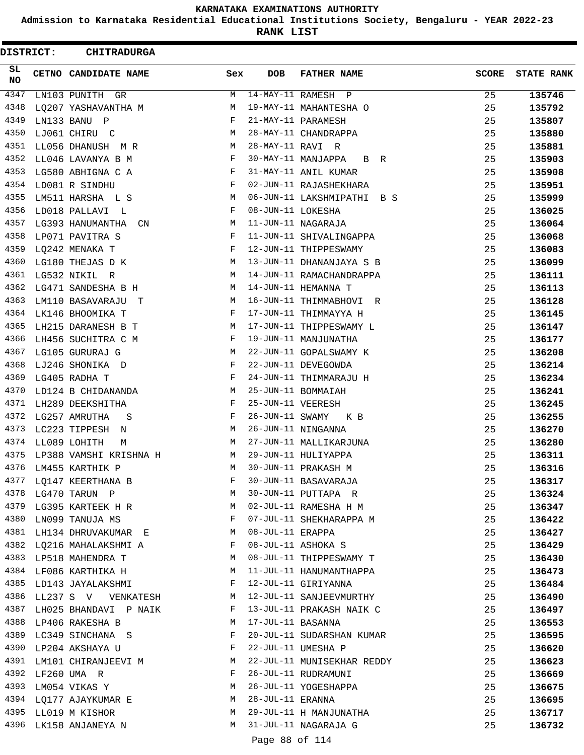**Admission to Karnataka Residential Educational Institutions Society, Bengaluru - YEAR 2022-23**

**RANK LIST**

ı

| DISTRICT:       | <b>CHITRADURGA</b>                           |              |                   |                                                |              |                   |
|-----------------|----------------------------------------------|--------------|-------------------|------------------------------------------------|--------------|-------------------|
| SL<br><b>NO</b> | CETNO CANDIDATE NAME                         | Sex          | <b>DOB</b>        | <b>FATHER NAME</b>                             | <b>SCORE</b> | <b>STATE RANK</b> |
| 4347            | LN103 PUNITH GR                              | М            |                   | 14-MAY-11 RAMESH P                             | 25           | 135746            |
| 4348            | LQ207 YASHAVANTHA M                          | М            |                   | 19-MAY-11 MAHANTESHA O                         | 25           | 135792            |
| 4349            | LN133 BANU P                                 | F            |                   | 21-MAY-11 PARAMESH                             | 25           | 135807            |
| 4350            | LJ061 CHIRU C                                | М            |                   | 28-MAY-11 CHANDRAPPA                           | 25           | 135880            |
| 4351            | LL056 DHANUSH M R                            | М            | 28-MAY-11 RAVI R  |                                                | 25           | 135881            |
| 4352            | LL046 LAVANYA B M                            | F            |                   | 30-MAY-11 MANJAPPA<br>B R                      | 25           | 135903            |
| 4353            | LG580 ABHIGNA C A                            | F            |                   | 31-MAY-11 ANIL KUMAR                           | 25           | 135908            |
| 4354            | LD081 R SINDHU                               | F            |                   | 02-JUN-11 RAJASHEKHARA                         | 25           | 135951            |
| 4355            | LM511 HARSHA L S                             | M            |                   | 06-JUN-11 LAKSHMIPATHI B S                     | 25           | 135999            |
| 4356            | LD018 PALLAVI L                              | F            | 08-JUN-11 LOKESHA |                                                | 25           | 136025            |
| 4357            | LG393 HANUMANTHA<br>CN                       | M            |                   | 11-JUN-11 NAGARAJA                             | 25           | 136064            |
| 4358            | LP071 PAVITRA S                              | F            |                   | 11-JUN-11 SHIVALINGAPPA                        | 25           | 136068            |
| 4359            | LQ242 MENAKA T                               | F            |                   | 12-JUN-11 THIPPESWAMY                          | 25           | 136083            |
| 4360            | LG180 THEJAS D K                             | М            |                   | 13-JUN-11 DHANANJAYA S B                       | 25           | 136099            |
| 4361            | LG532 NIKIL R                                | M            |                   | 14-JUN-11 RAMACHANDRAPPA                       | 25           | 136111            |
| 4362            | LG471 SANDESHA B H                           | М            |                   | 14-JUN-11 HEMANNA T                            | 25           | 136113            |
| 4363            | LM110 BASAVARAJU T                           | М            |                   | 16-JUN-11 THIMMABHOVI R                        | 25           | 136128            |
| 4364            | LK146 BHOOMIKA T                             | F            |                   | 17-JUN-11 THIMMAYYA H                          | 25           | 136145            |
| 4365            | LH215 DARANESH B T                           | M            |                   | 17-JUN-11 THIPPESWAMY L                        | 25           | 136147            |
| 4366            | LH456 SUCHITRA C M                           | F            |                   | 19-JUN-11 MANJUNATHA                           | 25           | 136177            |
| 4367            | LG105 GURURAJ G                              | М            |                   | 22-JUN-11 GOPALSWAMY K                         | 25           | 136208            |
| 4368            | LJ246 SHONIKA D                              | F            |                   | 22-JUN-11 DEVEGOWDA                            | 25           | 136214            |
| 4369            | LG405 RADHA T                                | F            |                   | 24-JUN-11 THIMMARAJU H                         | 25           | 136234            |
| 4370            | LD124 B CHIDANANDA                           | М            |                   | 25-JUN-11 BOMMAIAH                             | 25           | 136241            |
| 4371            | LH289 DEEKSHITHA                             | F            | 25-JUN-11 VEERESH |                                                | 25           | 136245            |
| 4372            | LG257 AMRUTHA<br>S                           | F            | 26-JUN-11 SWAMY   | K B                                            | 25           | 136255            |
| 4373            | LC223 TIPPESH N                              | М            |                   | 26-JUN-11 NINGANNA                             | 25           | 136270            |
| 4374            | LL089 LOHITH<br>М                            | М            |                   | 27-JUN-11 MALLIKARJUNA                         | 25           | 136280            |
| 4375            | LP388 VAMSHI KRISHNA H                       | M            |                   | 29-JUN-11 HULIYAPPA                            | 25           | 136311            |
| 4376            | LM455 KARTHIK P                              | M            |                   | 30-JUN-11 PRAKASH M                            | 25           | 136316            |
|                 | 4377 LQ147 KEERTHANA B                       | F            |                   | 30-JUN-11 BASAVARAJA                           | 25           | 136317            |
|                 | 4378 LG470 TARUN P                           | M            |                   | 30-JUN-11 PUTTAPA R                            | 25           | 136324            |
|                 | 4379 LG395 KARTEEK H R M                     |              |                   | 02-JUL-11 RAMESHA H M                          | 25           | 136347            |
|                 | 4380 LN099 TANUJA MS                         | $\mathbf{F}$ |                   | 07-JUL-11 SHEKHARAPPA M                        | 25           | 136422            |
|                 | 4381 LH134 DHRUVAKUMAR E                     | M            | 08-JUL-11 ERAPPA  |                                                | 25           | 136427            |
|                 | 4382 LQ216 MAHALAKSHMI A                     | F            |                   | 08-JUL-11 ASHOKA S                             | 25           | 136429            |
|                 | 4383 LP518 MAHENDRA T                        | M            |                   | 08-JUL-11 THIPPESWAMY T                        | 25           | 136430            |
|                 | 4384 LF086 KARTHIKA H                        | M            |                   | 11-JUL-11 HANUMANTHAPPA                        | 25           | 136473            |
|                 | 4385 LD143 JAYALAKSHMI                       | F            |                   | 12-JUL-11 GIRIYANNA                            | 25           | 136484            |
|                 | 4386 LL237 S V VENKATESH                     | M            |                   | 12-JUL-11 SANJEEVMURTHY                        | 25           | 136490            |
| 4387            | LH025 BHANDAVI P NAIK                        | F            |                   | 13-JUL-11 PRAKASH NAIK C                       | 25           | 136497            |
|                 | 4388 LP406 RAKESHA B                         | M            | 17-JUL-11 BASANNA |                                                | 25           | 136553            |
|                 | 4389 LC349 SINCHANA S                        | F            |                   | 20-JUL-11 SUDARSHAN KUMAR                      | 25           | 136595            |
|                 | 4390 LP204 AKSHAYA U                         | F            |                   | 22-JUL-11 UMESHA P                             | 25           | 136620            |
| 4391            | LM101 CHIRANJEEVI M                          | M            |                   | 22-JUL-11 MUNISEKHAR REDDY                     | 25           | 136623            |
|                 | 4392 LF260 UMA R                             | F            |                   | 26-JUL-11 RUDRAMUNI                            | 25           | 136669            |
|                 | 4393 LM054 VIKAS Y                           | М            |                   | 26-JUL-11 YOGESHAPPA                           | 25           | 136675            |
|                 | 4394 LQ177 AJAYKUMAR E                       | M            | 28-JUL-11 ERANNA  |                                                | 25           | 136695            |
|                 | 4395 LL019 M KISHOR<br>4396 LK158 ANJANEYA N | М<br>M       |                   | 29-JUL-11 H MANJUNATHA<br>31-JUL-11 NAGARAJA G | 25<br>25     | 136717            |
|                 |                                              |              |                   |                                                |              | 136732            |
|                 |                                              |              | Page 88 of 114    |                                                |              |                   |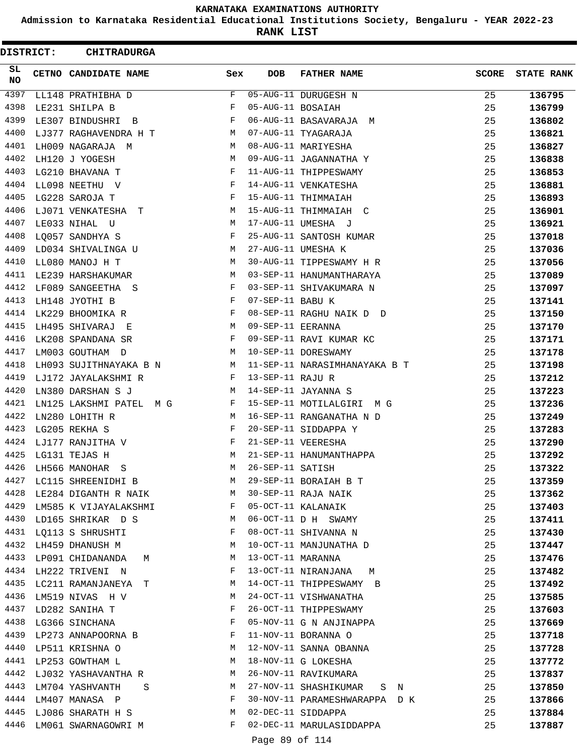**Admission to Karnataka Residential Educational Institutions Society, Bengaluru - YEAR 2022-23**

**RANK LIST**

| DISTRICT:        | <b>CHITRADURGA</b>          |     |                   |                               |              |                   |
|------------------|-----------------------------|-----|-------------------|-------------------------------|--------------|-------------------|
| SL.<br><b>NO</b> | <b>CETNO CANDIDATE NAME</b> | Sex | <b>DOB</b>        | <b>FATHER NAME</b>            | <b>SCORE</b> | <b>STATE RANK</b> |
| 4397             | LL148 PRATHIBHA D           | F   |                   | 05-AUG-11 DURUGESH N          | 25           | 136795            |
| 4398             | LE231 SHILPA B              | F   | 05-AUG-11 BOSAIAH |                               | 25           | 136799            |
| 4399             | LE307 BINDUSHRI B           | F   |                   | 06-AUG-11 BASAVARAJA M        | 25           | 136802            |
| 4400             | LJ377 RAGHAVENDRA H T       | М   |                   | 07-AUG-11 TYAGARAJA           | 25           | 136821            |
| 4401             | LH009 NAGARAJA M            | M   |                   | 08-AUG-11 MARIYESHA           | 25           | 136827            |
| 4402             | LH120 J YOGESH              | M   |                   | 09-AUG-11 JAGANNATHA Y        | 25           | 136838            |
| 4403             | LG210 BHAVANA T             | F   |                   | 11-AUG-11 THIPPESWAMY         | 25           | 136853            |
| 4404             | LL098 NEETHU V              | F   |                   | 14-AUG-11 VENKATESHA          | 25           | 136881            |
| 4405             | LG228 SAROJA T              | F   |                   | 15-AUG-11 THIMMAIAH           | 25           | 136893            |
| 4406             | LJ071 VENKATESHA T          | M   |                   | 15-AUG-11 THIMMAIAH C         | 25           | 136901            |
| 4407             | LE033 NIHAL U               | М   |                   | 17-AUG-11 UMESHA J            | 25           | 136921            |
| 4408             | LQ057 SANDHYA S             | F   |                   | 25-AUG-11 SANTOSH KUMAR       | 25           | 137018            |
| 4409             | LD034 SHIVALINGA U          | M   |                   | 27-AUG-11 UMESHA K            | 25           | 137036            |
| 4410             | LL080 MANOJ H T             | M   |                   | 30-AUG-11 TIPPESWAMY H R      | 25           | 137056            |
| 4411             | LE239 HARSHAKUMAR           | М   |                   | 03-SEP-11 HANUMANTHARAYA      | 25           | 137089            |
| 4412             | LF089 SANGEETHA S           | F   |                   | 03-SEP-11 SHIVAKUMARA N       | 25           | 137097            |
| 4413             | LH148 JYOTHI B              | F   | 07-SEP-11 BABU K  |                               | 25           | 137141            |
| 4414             | LK229 BHOOMIKA R            | F   |                   | 08-SEP-11 RAGHU NAIK D D      | 25           | 137150            |
| 4415             | LH495 SHIVARAJ E            | M   | 09-SEP-11 EERANNA |                               | 25           | 137170            |
| 4416             | LK208 SPANDANA SR           | F   |                   | 09-SEP-11 RAVI KUMAR KC       | 25           | 137171            |
| 4417             | LM003 GOUTHAM D             | M   |                   | 10-SEP-11 DORESWAMY           | 25           | 137178            |
| 4418             | LH093 SUJITHNAYAKA B N      | М   |                   | 11-SEP-11 NARASIMHANAYAKA B T | 25           | 137198            |
| 4419             | LJ172 JAYALAKSHMI R         | F   | 13-SEP-11 RAJU R  |                               | 25           | 137212            |
| 4420             | LN380 DARSHAN S J           | M   |                   | 14-SEP-11 JAYANNA S           | 25           | 137223            |
| 4421             | LN125 LAKSHMI PATEL M G     | F   |                   | 15-SEP-11 MOTILALGIRI M G     | 25           | 137236            |
| 4422             | LN280 LOHITH R              | M   |                   | 16-SEP-11 RANGANATHA N D      | 25           | 137249            |
| 4423             | LG205 REKHA S               | F   |                   | 20-SEP-11 SIDDAPPA Y          | 25           | 137283            |
| 4424             | LJ177 RANJITHA V            | F   |                   | 21-SEP-11 VEERESHA            | 25           | 137290            |
| 4425             | LG131 TEJAS H               | M   |                   | 21-SEP-11 HANUMANTHAPPA       | 25           | 137292            |
| 4426             | LH566 MANOHAR<br>S          | M   | 26-SEP-11 SATISH  |                               | 25           | 137322            |
| 4427             | LC115 SHREENIDHI B          | M   |                   | 29-SEP-11 BORAIAH B T         | 25           | 137359            |
| 4428             | LE284 DIGANTH R NAIK M      |     |                   | 30-SEP-11 RAJA NAIK           | 25           | 137362            |
|                  | 4429 LM585 K VIJAYALAKSHMI  | F   |                   | 05-OCT-11 KALANAIK            | 25           | 137403            |
| 4430             | LD165 SHRIKAR D S           | M   |                   | 06-OCT-11 D H SWAMY           | 25           | 137411            |
| 4431             | LQ113 S SHRUSHTI            | F   |                   | 08-OCT-11 SHIVANNA N          | 25           | 137430            |
| 4432             | LH459 DHANUSH M             | М   |                   | 10-OCT-11 MANJUNATHA D        | 25           | 137447            |
|                  | 4433 LP091 CHIDANANDA M     | М   | 13-OCT-11 MARANNA |                               | 25           | 137476            |
| 4434             | LH222 TRIVENI N             | F   |                   | 13-OCT-11 NIRANJANA<br>M      | 25           | 137482            |
| 4435             | LC211 RAMANJANEYA T         | M   |                   | 14-OCT-11 THIPPESWAMY B       | 25           | 137492            |
| 4436             | LM519 NIVAS H V             | M   |                   | 24-OCT-11 VISHWANATHA         | 25           | 137585            |
| 4437             | LD282 SANIHA T              | F   |                   | 26-OCT-11 THIPPESWAMY         | 25           | 137603            |
| 4438             | LG366 SINCHANA              | F   |                   | 05-NOV-11 G N ANJINAPPA       | 25           | 137669            |
| 4439             | LP273 ANNAPOORNA B          | F   |                   | 11-NOV-11 BORANNA O           | 25           | 137718            |
| 4440             | LP511 KRISHNA O             | М   |                   | 12-NOV-11 SANNA OBANNA        | 25           | 137728            |
|                  | 4441 LP253 GOWTHAM L        | M   |                   | 18-NOV-11 G LOKESHA           | 25           | 137772            |
| 4442             | LJ032 YASHAVANTHA R         | M   |                   | 26-NOV-11 RAVIKUMARA          | 25           | 137837            |
| 4443             | LM704 YASHVANTH<br>$S \sim$ | M   |                   | 27-NOV-11 SHASHIKUMAR S N     | 25           | 137850            |
| 4444             | LM407 MANASA P              | F   |                   | 30-NOV-11 PARAMESHWARAPPA D K | 25           | 137866            |
|                  | 4445 LJ086 SHARATH H S      | M   |                   | 02-DEC-11 SIDDAPPA            | 25           | 137884            |
| 4446             | LM061 SWARNAGOWRI M         | F   |                   | 02-DEC-11 MARULASIDDAPPA      | 25           | 137887            |
|                  |                             |     | Page 89 of 114    |                               |              |                   |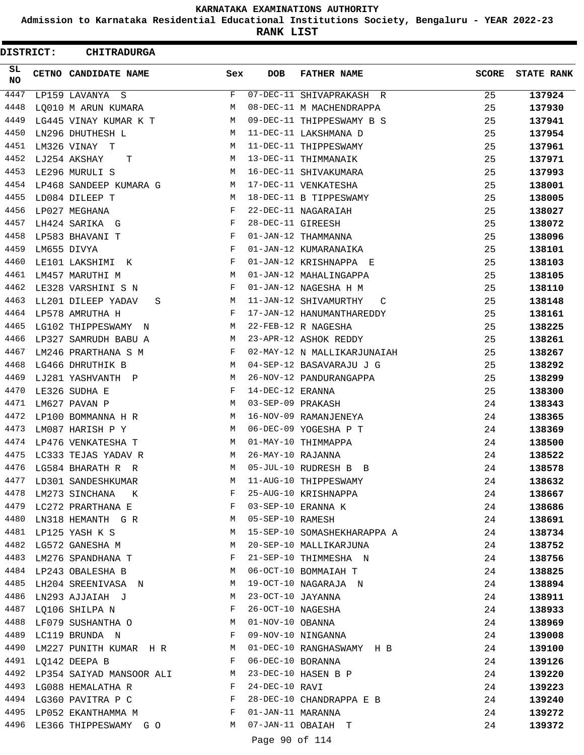**Admission to Karnataka Residential Educational Institutions Society, Bengaluru - YEAR 2022-23**

**RANK LIST**

 $\blacksquare$ 

| DISTRICT: | <b>CHITRADURGA</b>               |                  |                   |                              |              |                   |
|-----------|----------------------------------|------------------|-------------------|------------------------------|--------------|-------------------|
| SL<br>NO. | CETNO CANDIDATE NAME             | Sex              | <b>DOB</b>        | <b>FATHER NAME</b>           | <b>SCORE</b> | <b>STATE RANK</b> |
| 4447      | LP159 LAVANYA S                  | F                |                   | 07-DEC-11 SHIVAPRAKASH R     | 25           | 137924            |
| 4448      | LQ010 M ARUN KUMARA              | М                |                   | 08-DEC-11 M MACHENDRAPPA     | 25           | 137930            |
| 4449      | LG445 VINAY KUMAR K T            | М                |                   | 09-DEC-11 THIPPESWAMY B S    | 25           | 137941            |
| 4450      | LN296 DHUTHESH L                 | М                |                   | 11-DEC-11 LAKSHMANA D        | 25           | 137954            |
| 4451      | LM326 VINAY T                    | М                |                   | 11-DEC-11 THIPPESWAMY        | 25           | 137961            |
| 4452      | LJ254 AKSHAY<br>т                | М                |                   | 13-DEC-11 THIMMANAIK         | 25           | 137971            |
| 4453      | LE296 MURULI S                   | M                |                   | 16-DEC-11 SHIVAKUMARA        | 25           | 137993            |
| 4454      | LP468 SANDEEP KUMARA G           | М                |                   | 17-DEC-11 VENKATESHA         | 25           | 138001            |
| 4455      | LD084 DILEEP T                   | М                |                   | 18-DEC-11 B TIPPESWAMY       | 25           | 138005            |
| 4456      | LP027 MEGHANA                    | F                |                   | 22-DEC-11 NAGARAIAH          | 25           | 138027            |
| 4457      | LH424 SARIKA G                   | F                | 28-DEC-11 GIREESH |                              | 25           | 138072            |
| 4458      | LP583 BHAVANI T                  | F                |                   | 01-JAN-12 THAMMANNA          | 25           | 138096            |
| 4459      | LM655 DIVYA                      | F                |                   | 01-JAN-12 KUMARANAIKA        | 25           | 138101            |
| 4460      | LE101 LAKSHIMI K                 | F                |                   | 01-JAN-12 KRISHNAPPA E       | 25           | 138103            |
| 4461      | LM457 MARUTHI M                  | M                |                   | 01-JAN-12 MAHALINGAPPA       | 25           | 138105            |
| 4462      | LE328 VARSHINI S N               | F                |                   | 01-JAN-12 NAGESHA H M        | 25           | 138110            |
| 4463      | LL201 DILEEP YADAV<br>S          | М                |                   | 11-JAN-12 SHIVAMURTHY<br>C   | 25           | 138148            |
| 4464      | LP578 AMRUTHA H                  | F                |                   | 17-JAN-12 HANUMANTHAREDDY    | 25           | 138161            |
| 4465      | LG102 THIPPESWAMY<br>$\mathbb N$ | М                |                   | 22-FEB-12 R NAGESHA          | 25           | 138225            |
| 4466      | LP327 SAMRUDH BABU A             | М                |                   | 23-APR-12 ASHOK REDDY        | 25           | 138261            |
| 4467      | LM246 PRARTHANA S M              | F                |                   | 02-MAY-12 N MALLIKARJUNAIAH  | 25           | 138267            |
| 4468      | LG466 DHRUTHIK B                 | М                |                   | 04-SEP-12 BASAVARAJU J G     | 25           | 138292            |
| 4469      | LJ281 YASHVANTH P                | М                |                   | 26-NOV-12 PANDURANGAPPA      | 25           | 138299            |
| 4470      | LE326 SUDHA E                    | F                | 14-DEC-12 ERANNA  |                              | 25           | 138300            |
| 4471      | LM627 PAVAN P                    | М                | 03-SEP-09 PRAKASH |                              | 24           | 138343            |
| 4472      | LP100 BOMMANNA H R               | М                |                   | 16-NOV-09 RAMANJENEYA        | 24           | 138365            |
| 4473      | LM087 HARISH P Y                 | M                |                   | 06-DEC-09 YOGESHA P T        | 24           | 138369            |
| 4474      | LP476 VENKATESHA T               | М                |                   | 01-MAY-10 THIMMAPPA          | 24           | 138500            |
| 4475      | LC333 TEJAS YADAV R              | М                | 26-MAY-10 RAJANNA |                              | 24           | 138522            |
| 4476      | LG584 BHARATH R R                | M                |                   | 05-JUL-10 RUDRESH B B        | 24           | 138578            |
|           | 4477 LD301 SANDESHKUMAR          | М                |                   | 11-AUG-10 THIPPESWAMY        | 24           | 138632            |
|           | 4478 LM273 SINCHANA K            | F                |                   |                              | 24           | 138667            |
|           | 4479 LC272 PRARTHANA E           | F                |                   | 25-AUG-10 KRISHNAPPA         | 24           | 138686            |
|           | 4480 LN318 HEMANTH G R M         |                  | 05-SEP-10 RAMESH  |                              | 24           | 138691            |
|           | 4481 LP125 YASH K S              | М                |                   | 15-SEP-10 SOMASHEKHARAPPA A  | 24           | 138734            |
| 4482      | LG572 GANESHA M                  | M                |                   | 20-SEP-10 MALLIKARJUNA       | 24           | 138752            |
| 4483      | LM276 SPANDHANA T                | F                |                   | 21-SEP-10 THIMMESHA N        | 24           | 138756            |
|           | 4484 LP243 OBALESHA B            | M                |                   | 06-OCT-10 BOMMAIAH T         | 24           | 138825            |
|           | 4485 LH204 SREENIVASA N M        |                  |                   | 19-OCT-10 NAGARAJA N         | 24           | 138894            |
|           | 4486 LN293 AJJAIAH J             | M                | 23-OCT-10 JAYANNA |                              | 24           | 138911            |
|           | 4487 LQ106 SHILPA N              | <b>Example 2</b> |                   | 26-OCT-10 NAGESHA            | 24           | 138933            |
|           | 4488 LF079 SUSHANTHA O M         |                  | 01-NOV-10 OBANNA  |                              | 24           | 138969            |
|           | 4489 LC119 BRUNDA N              | $\mathbf{F}$     |                   | 09-NOV-10 NINGANNA           | 24           | 139008            |
| 4490      | LM227 PUNITH KUMAR H R M         |                  |                   | 01-DEC-10 RANGHASWAMY H B    | 24           | 139100            |
|           | 4491 LQ142 DEEPA B               | F                | 06-DEC-10 BORANNA |                              | 24           | 139126            |
|           | 4492 LP354 SAIYAD MANSOOR ALI M  |                  |                   | $23-\text{DEC}-10$ HASEN B P | 24           | 139220            |
|           | 4493 LG088 HEMALATHA R           | $\mathbf{F}$     | 24-DEC-10 RAVI    |                              | 24           | 139223            |
|           | 4494 LG360 PAVITRA P C F         |                  |                   | 28-DEC-10 CHANDRAPPA E B     | 24           | 139240            |
|           | 4495 LP052 EKANTHAMMA M F        |                  | 01-JAN-11 MARANNA |                              | 24           | 139272            |
|           | 4496 LE366 THIPPESWAMY GO M      |                  |                   | 07-JAN-11 OBAIAH T           | 24           | 139372            |
|           |                                  |                  |                   |                              |              |                   |

Page 90 of 114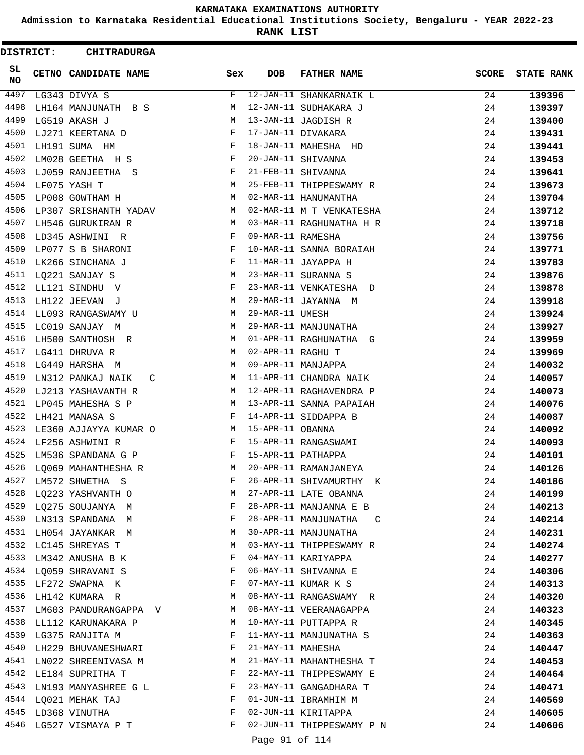**Admission to Karnataka Residential Educational Institutions Society, Bengaluru - YEAR 2022-23**

**RANK LIST**

| DISTRICT: | <b>CHITRADURGA</b>        |              |                   |                           |              |                   |
|-----------|---------------------------|--------------|-------------------|---------------------------|--------------|-------------------|
| SL<br>NO. | CETNO CANDIDATE NAME      | Sex          | <b>DOB</b>        | <b>FATHER NAME</b>        | <b>SCORE</b> | <b>STATE RANK</b> |
| 4497      | LG343 DIVYA S             | F            |                   | 12-JAN-11 SHANKARNAIK L   | 24           | 139396            |
| 4498      | LH164 MANJUNATH B S       | М            |                   | 12-JAN-11 SUDHAKARA J     | 24           | 139397            |
| 4499      | LG519 AKASH J             | М            |                   | 13-JAN-11 JAGDISH R       | 24           | 139400            |
| 4500      | LJ271 KEERTANA D          | F            |                   | 17-JAN-11 DIVAKARA        | 24           | 139431            |
| 4501      | LH191 SUMA HM             | F            |                   | 18-JAN-11 MAHESHA HD      | 24           | 139441            |
| 4502      | LM028 GEETHA H S          | F            |                   | 20-JAN-11 SHIVANNA        | 24           | 139453            |
| 4503      | LJ059 RANJEETHA S         | F            |                   | 21-FEB-11 SHIVANNA        | 24           | 139641            |
| 4504      | LF075 YASH T              | М            |                   | 25-FEB-11 THIPPESWAMY R   | 24           | 139673            |
| 4505      | LP008 GOWTHAM H           | М            |                   | 02-MAR-11 HANUMANTHA      | 24           | 139704            |
| 4506      | LP307 SRISHANTH YADAV     | М            |                   | 02-MAR-11 M T VENKATESHA  | 24           | 139712            |
| 4507      | LH546 GURUKIRAN R         | M            |                   | 03-MAR-11 RAGHUNATHA H R  | 24           | 139718            |
| 4508      | LD345 ASHWINI R           | F            | 09-MAR-11 RAMESHA |                           | 24           | 139756            |
| 4509      | LP077 S B SHARONI         | F            |                   | 10-MAR-11 SANNA BORAIAH   | 24           | 139771            |
| 4510      | LK266 SINCHANA J          | F            |                   | 11-MAR-11 JAYAPPA H       | 24           | 139783            |
| 4511      | LQ221 SANJAY S            | М            |                   | 23-MAR-11 SURANNA S       | 24           | 139876            |
| 4512      | LL121 SINDHU V            | F            |                   | 23-MAR-11 VENKATESHA D    | 24           | 139878            |
| 4513      | LH122 JEEVAN J            | М            |                   | 29-MAR-11 JAYANNA M       | 24           | 139918            |
| 4514      | LL093 RANGASWAMY U        | М            | 29-MAR-11 UMESH   |                           | 24           | 139924            |
| 4515      | LC019 SANJAY M            | М            |                   | 29-MAR-11 MANJUNATHA      | 24           | 139927            |
| 4516      | LH500 SANTHOSH R          | M            |                   | 01-APR-11 RAGHUNATHA G    | 24           | 139959            |
| 4517      | LG411 DHRUVA R            | M            | 02-APR-11 RAGHU T |                           | 24           | 139969            |
| 4518      | LG449 HARSHA M            | М            |                   | 09-APR-11 MANJAPPA        | 24           | 140032            |
| 4519      | LN312 PANKAJ NAIK<br>C    | M            |                   | 11-APR-11 CHANDRA NAIK    | 24           | 140057            |
| 4520      | LJ213 YASHAVANTH R        | M            |                   | 12-APR-11 RAGHAVENDRA P   | 24           | 140073            |
| 4521      | LP045 MAHESHA S P         | M            |                   | 13-APR-11 SANNA PAPAIAH   | 24           | 140076            |
| 4522      | LH421 MANASA S            | $\mathbf{F}$ |                   | 14-APR-11 SIDDAPPA B      | 24           | 140087            |
| 4523      | LE360 AJJAYYA KUMAR O     | M            | 15-APR-11 OBANNA  |                           | 24           | 140092            |
| 4524      | LF256 ASHWINI R           | F            |                   | 15-APR-11 RANGASWAMI      | 24           | 140093            |
| 4525      | LM536 SPANDANA G P        | F            |                   | 15-APR-11 PATHAPPA        | 24           | 140101            |
| 4526      | LO069 MAHANTHESHA R       | М            |                   | 20-APR-11 RAMANJANEYA     | 24           | 140126            |
| 4527      | LM572 SHWETHA S           | F            |                   | 26-APR-11 SHIVAMURTHY K   | 24           | 140186            |
| 4528      | LQ223 YASHVANTH O         | M            |                   | 27-APR-11 LATE OBANNA     | 24           | 140199            |
|           | 4529 LQ275 SOUJANYA M     | F            |                   | 28-APR-11 MANJANNA E B    | 24           | 140213            |
|           | 4530 LN313 SPANDANA M     | F            |                   | 28-APR-11 MANJUNATHA C    | 24           | 140214            |
|           | 4531 LH054 JAYANKAR M     | M            |                   | 30-APR-11 MANJUNATHA      | 24           |                   |
|           | 4532 LC145 SHREYAS T      | М            |                   | 03-MAY-11 THIPPESWAMY R   | 24           | 140231            |
| 4533      | LM342 ANUSHA B K          | F            |                   | 04-MAY-11 KARIYAPPA       | 24           | 140274<br>140277  |
|           |                           | F            |                   |                           |              |                   |
|           | 4534 LQ059 SHRAVANI S     |              |                   | 06-MAY-11 SHIVANNA E      | 24           | 140306            |
|           | 4535 LF272 SWAPNA K       | F            |                   | 07-MAY-11 KUMAR K S       | 24           | 140313            |
|           | 4536 LH142 KUMARA R       | M            |                   | 08-MAY-11 RANGASWAMY R    | 24           | 140320            |
| 4537      | LM603 PANDURANGAPPA V M   |              |                   | 08-MAY-11 VEERANAGAPPA    | 24           | 140323            |
|           | 4538 LL112 KARUNAKARA P   | M            |                   | 10-MAY-11 PUTTAPPA R      | 24           | 140345            |
|           | 4539 LG375 RANJITA M      | F            |                   | 11-MAY-11 MANJUNATHA S    | 24           | 140363            |
| 4540      | LH229 BHUVANESHWARI       | F            | 21-MAY-11 MAHESHA |                           | 24           | 140447            |
| 4541      | LN022 SHREENIVASA M       | М            |                   | 21-MAY-11 MAHANTHESHA T   | 24           | 140453            |
|           | 4542 LE184 SUPRITHA T     | F            |                   | 22-MAY-11 THIPPESWAMY E   | 24           | 140464            |
|           | 4543 LN193 MANYASHREE G L | F            |                   | 23-MAY-11 GANGADHARA T    | 24           | 140471            |
|           | 4544 LQ021 MEHAK TAJ      | F            |                   | 01-JUN-11 IBRAMHIM M      | 24           | 140569            |
|           | 4545 LD368 VINUTHA        | F            |                   | 02-JUN-11 KIRITAPPA       | 24           | 140605            |
|           | 4546 LG527 VISMAYA P T    | F            |                   | 02-JUN-11 THIPPESWAMY P N | 24           | 140606            |
|           |                           |              | Page 91 of 114    |                           |              |                   |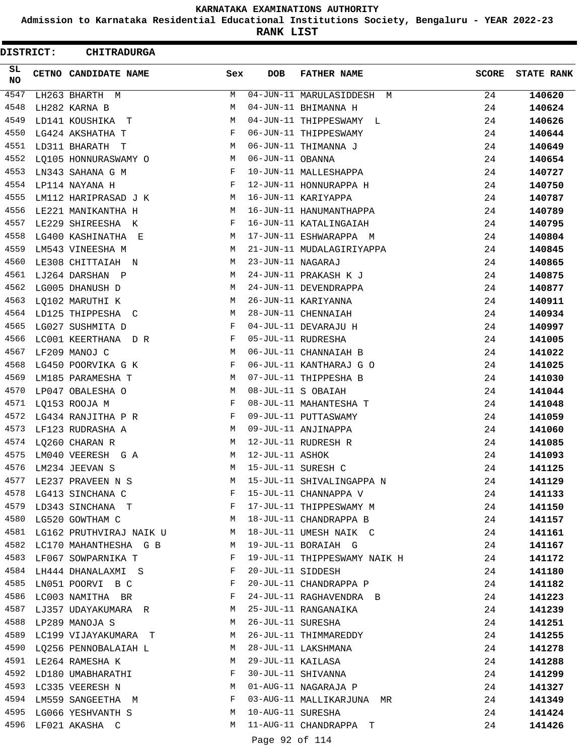**Admission to Karnataka Residential Educational Institutions Society, Bengaluru - YEAR 2022-23**

**RANK LIST**

 $\blacksquare$ 

| DISTRICT: | <b>CHITRADURGA</b>                                    |     |                   |                              |              |                   |
|-----------|-------------------------------------------------------|-----|-------------------|------------------------------|--------------|-------------------|
| SL<br>NO. | CETNO CANDIDATE NAME                                  | Sex | <b>DOB</b>        | <b>FATHER NAME</b>           | <b>SCORE</b> | <b>STATE RANK</b> |
| 4547      | LH263 BHARTH M                                        | М   |                   | 04-JUN-11 MARULASIDDESH M    | 24           | 140620            |
| 4548      | LH282 KARNA B                                         | М   |                   | 04-JUN-11 BHIMANNA H         | 24           | 140624            |
| 4549      | LD141 KOUSHIKA<br>$\mathbf{T}$                        | М   |                   | 04-JUN-11 THIPPESWAMY L      | 24           | 140626            |
| 4550      | LG424 AKSHATHA T                                      | F   |                   | 06-JUN-11 THIPPESWAMY        | 24           | 140644            |
| 4551      | LD311 BHARATH T                                       | M   |                   | 06-JUN-11 THIMANNA J         | 24           | 140649            |
| 4552      | LQ105 HONNURASWAMY O                                  | M   | 06-JUN-11 OBANNA  |                              | 24           | 140654            |
| 4553      | LN343 SAHANA G M                                      | F   |                   | 10-JUN-11 MALLESHAPPA        | 24           | 140727            |
| 4554      | LP114 NAYANA H                                        | F   |                   | 12-JUN-11 HONNURAPPA H       | 24           | 140750            |
| 4555      | LM112 HARIPRASAD J K                                  | М   |                   | 16-JUN-11 KARIYAPPA          | 24           | 140787            |
| 4556      | LE221 MANIKANTHA H                                    | М   |                   | 16-JUN-11 HANUMANTHAPPA      | 24           | 140789            |
| 4557      | LE229 SHIREESHA K                                     | F   |                   | 16-JUN-11 KATALINGAIAH       | 24           | 140795            |
| 4558      | LG400 KASHINATHA E                                    | М   |                   | 17-JUN-11 ESHWARAPPA M       | 24           | 140804            |
| 4559      | LM543 VINEESHA M                                      | M   |                   | 21-JUN-11 MUDALAGIRIYAPPA    | 24           | 140845            |
| 4560      | LE308 CHITTAIAH N                                     | M   | 23-JUN-11 NAGARAJ |                              | 24           | 140865            |
| 4561      | LJ264 DARSHAN P                                       | М   |                   | 24-JUN-11 PRAKASH K J        | 24           | 140875            |
| 4562      | LG005 DHANUSH D                                       | М   |                   | 24-JUN-11 DEVENDRAPPA        | 24           | 140877            |
| 4563      | LQ102 MARUTHI K                                       | М   |                   | 26-JUN-11 KARIYANNA          | 24           | 140911            |
| 4564      | LD125 THIPPESHA C                                     | M   |                   | 28-JUN-11 CHENNAIAH          | 24           | 140934            |
| 4565      | LG027 SUSHMITA D                                      | F   |                   | 04-JUL-11 DEVARAJU H         | 24           | 140997            |
| 4566      | LC001 KEERTHANA D R                                   | F   |                   | 05-JUL-11 RUDRESHA           | 24           | 141005            |
| 4567      | LF209 MANOJ C                                         | М   |                   | 06-JUL-11 CHANNAIAH B        | 24           | 141022            |
| 4568      | LG450 POORVIKA G K                                    | F   |                   | 06-JUL-11 KANTHARAJ G O      | 24           | 141025            |
| 4569      | LM185 PARAMESHA T                                     | М   |                   | 07-JUL-11 THIPPESHA B        | 24           | 141030            |
| 4570      | LP047 OBALESHA O                                      | М   |                   | 08-JUL-11 S OBAIAH           | 24           | 141044            |
| 4571      | LQ153 ROOJA M                                         | F   |                   | 08-JUL-11 MAHANTESHA T       | 24           | 141048            |
| 4572      | LG434 RANJITHA P R                                    | F   |                   | 09-JUL-11 PUTTASWAMY         | 24           | 141059            |
| 4573      | LF123 RUDRASHA A                                      | M   |                   | 09-JUL-11 ANJINAPPA          | 24           | 141060            |
| 4574      | LQ260 CHARAN R                                        | M   |                   | 12-JUL-11 RUDRESH R          | 24           | 141085            |
| 4575      | LM040 VEERESH G A                                     | М   | 12-JUL-11 ASHOK   |                              | 24           | 141093            |
| 4576      | LM234 JEEVAN S                                        | М   |                   | 15-JUL-11 SURESH C           | 24           | 141125            |
|           | 4577 LE237 PRAVEEN N S                                | М   |                   | 15-JUL-11 SHIVALINGAPPA N    | 24           | 141129            |
|           | 4578 LG413 SINCHANA C                                 | F   |                   | 15-JUL-11 CHANNAPPA V        | 24           | 141133            |
|           | 4579 LD343 SINCHANA T                                 |     |                   | 17-JUL-11 THIPPESWAMY M      | 24           | 141150            |
|           | 4580 LG520 GOWTHAM C                                  |     |                   | M 18-JUL-11 CHANDRAPPA B     | 24           | 141157            |
|           | 4581 LG162 PRUTHVIRAJ NAIK U M 18-JUL-11 UMESH NAIK C |     |                   |                              | 24           | 141161            |
|           | 4582 LC170 MAHANTHESHA G B M                          |     |                   | 19-JUL-11 BORAIAH G          | 24           | 141167            |
|           | 4583 LF067 SOWPARNIKA T                               | F   |                   | 19-JUL-11 THIPPESWAMY NAIK H | 24           | 141172            |
|           | 4584 LH444 DHANALAXMI S                               | F   |                   | 20-JUL-11 SIDDESH            | 24           | 141180            |
|           | 4585 LN051 POORVI B C                                 | F   |                   | 20-JUL-11 CHANDRAPPA P       | 24           | 141182            |
|           | 4586 LC003 NAMITHA BR                                 | F   |                   | 24-JUL-11 RAGHAVENDRA B      | 24           | 141223            |
|           | 4587 LJ357 UDAYAKUMARA R                              | M   |                   | 25-JUL-11 RANGANAIKA         | 24           | 141239            |
|           | 4588 LP289 MANOJA S                                   | M   | 26-JUL-11 SURESHA |                              | 24           | 141251            |
|           | 4589 LC199 VIJAYAKUMARA T                             | M   |                   | 26-JUL-11 THIMMAREDDY        | 24           | 141255            |
| 4590      | LQ256 PENNOBALAIAH L                                  | M   |                   | 28-JUL-11 LAKSHMANA          | 24           | 141278            |
|           | 4591 LE264 RAMESHA K                                  | M   |                   | 29-JUL-11 KAILASA            | 24           | 141288            |
|           | 4592 LD180 UMABHARATHI                                | F   |                   | 30-JUL-11 SHIVANNA           | 24           | 141299            |
|           | 4593 LC335 VEERESH N                                  | M   |                   | 01-AUG-11 NAGARAJA P         | 24           | 141327            |
|           | 4594 LM559 SANGEETHA M                                | F   |                   | 03-AUG-11 MALLIKARJUNA MR    | 24           | 141349            |
|           | 4595 LG066 YESHVANTH S                                | M   | 10-AUG-11 SURESHA |                              | 24           | 141424            |
|           | 4596 LF021 AKASHA C                                   | M   |                   | 11-AUG-11 CHANDRAPPA T       | 24           | 141426            |
|           |                                                       |     |                   |                              |              |                   |

Page 92 of 114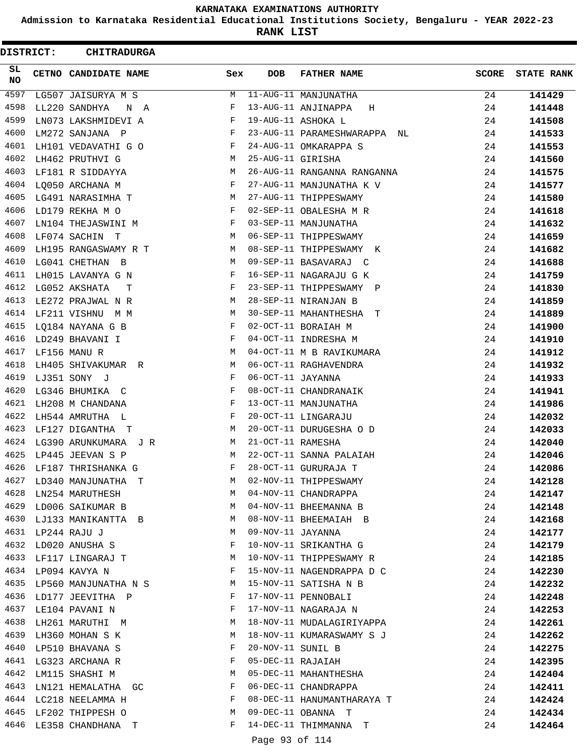**Admission to Karnataka Residential Educational Institutions Society, Bengaluru - YEAR 2022-23**

**RANK LIST**

 $\blacksquare$ 

| SL.<br><b>DOB</b><br><b>FATHER NAME</b><br><b>SCORE</b><br><b>STATE RANK</b><br>CETNO CANDIDATE NAME<br>Sex<br>NO<br>4597<br>11-AUG-11 MANJUNATHA<br>M<br>141429<br>LG507 JAISURYA M S<br>24<br>4598<br>13-AUG-11 ANJINAPPA<br>24<br>LL220 SANDHYA<br>F<br>141448<br>N A<br>H<br>4599<br>19-AUG-11 ASHOKA L<br>LN073 LAKSHMIDEVI A<br>F<br>24<br>141508<br>4600<br>LM272 SANJANA P<br>23-AUG-11 PARAMESHWARAPPA NL<br>$\mathbf{F}$<br>24<br>141533<br>4601<br>24-AUG-11 OMKARAPPA S<br>LH101 VEDAVATHI G O<br>$\mathbf{F}$<br>24<br>141553<br>4602<br>25-AUG-11 GIRISHA<br>24<br>LH462 PRUTHVI G<br>M<br>141560<br>4603<br>26-AUG-11 RANGANNA RANGANNA<br>LF181 R SIDDAYYA<br>M<br>24<br>141575<br>4604<br>27-AUG-11 MANJUNATHA K V<br>LQ050 ARCHANA M<br>F<br>24<br>141577<br>4605<br>27-AUG-11 THIPPESWAMY<br>М<br>24<br>LG491 NARASIMHA T<br>141580<br>4606<br>F<br>24<br>LD179 REKHA M O<br>02-SEP-11 OBALESHA M R<br>141618<br>4607<br>LN104 THEJASWINI M<br>03-SEP-11 MANJUNATHA<br>F<br>24<br>141632<br>4608<br>06-SEP-11 THIPPESWAMY<br>LF074 SACHIN T<br>M<br>24<br>141659<br>4609<br>08-SEP-11 THIPPESWAMY K<br>LH195 RANGASWAMY R T<br>M<br>24<br>141682<br>4610<br>09-SEP-11 BASAVARAJ C<br>LG041 CHETHAN B<br>M<br>24<br>141688<br>4611<br>16-SEP-11 NAGARAJU G K<br>LH015 LAVANYA G N<br>F<br>24<br>141759<br>4612<br>23-SEP-11 THIPPESWAMY P<br>LG052 AKSHATA<br>F<br>24<br>141830<br>T<br>4613<br>28-SEP-11 NIRANJAN B<br>M<br>24<br>LE272 PRAJWAL N R<br>141859<br>4614<br>LF211 VISHNU M M<br>М<br>30-SEP-11 MAHANTHESHA T<br>24<br>141889<br>4615<br>F<br>LQ184 NAYANA G B<br>02-OCT-11 BORAIAH M<br>24<br>141900<br>$\mathbf{F}$ and the set of $\mathbf{F}$<br>4616<br>04-OCT-11 INDRESHA M<br>LD249 BHAVANI I<br>24<br>141910<br>4617<br>04-OCT-11 M B RAVIKUMARA<br>LF156 MANU R<br>M<br>24<br>141912<br>4618<br>06-OCT-11 RAGHAVENDRA<br>LH405 SHIVAKUMAR R<br>M<br>24<br>141932<br>4619<br>F<br>06-OCT-11 JAYANNA<br>LJ351 SONY J<br>24<br>141933<br>4620<br>08-OCT-11 CHANDRANAIK<br>LG346 BHUMIKA C<br>F<br>24<br>141941<br>4621<br>$\mathbf{F}$<br>13-OCT-11 MANJUNATHA<br>LH208 M CHANDANA<br>24<br>141986<br>4622<br>F<br>20-OCT-11 LINGARAJU<br>24<br>LH544 AMRUTHA L<br>142032<br>4623<br>20-OCT-11 DURUGESHA O D<br>LF127 DIGANTHA T<br>M<br>24<br>142033<br>4624<br>21-OCT-11 RAMESHA<br>LG390 ARUNKUMARA J R<br>M<br>24<br>142040<br>4625<br>M<br>22-OCT-11 SANNA PALAIAH<br>24<br>LP445 JEEVAN S P<br>142046<br>4626<br>F<br>28-OCT-11 GURURAJA T<br>24<br>LF187 THRISHANKA G<br>142086<br>4627<br>02-NOV-11 THIPPESWAMY<br>LD340 MANJUNATHA T<br>24<br>142128<br>M<br>4628<br>LN254 MARUTHESH<br>04-NOV-11 CHANDRAPPA<br>M<br>24<br>142147<br>4629 LD006 SAIKUMAR B<br>04-NOV-11 BHEEMANNA B<br>24<br>M<br>142148<br>4630<br>08-NOV-11 BHEEMAIAH B<br>24<br>LJ133 MANIKANTTA B<br>M<br>142168<br>4631<br>09-NOV-11 JAYANNA<br>LP244 RAJU J<br>M<br>24<br>142177<br>4632<br>LD020 ANUSHA S<br>10-NOV-11 SRIKANTHA G<br>24<br>F<br>142179<br>4633<br>10-NOV-11 THIPPESWAMY R<br>24<br>LF117 LINGARAJ T<br>М<br>142185<br>4634 LP094 KAVYA N<br>F<br>15-NOV-11 NAGENDRAPPA D C<br>24<br>142230<br>LP560 MANJUNATHA N S<br>4635<br>15-NOV-11 SATISHA N B<br>M<br>24<br>142232<br>4636<br>17-NOV-11 PENNOBALI<br>LD177 JEEVITHA P<br>F<br>24<br>142248<br>4637 LE104 PAVANI N<br>17-NOV-11 NAGARAJA N<br>F<br>24<br>142253<br>4638<br>18-NOV-11 MUDALAGIRIYAPPA<br>LH261 MARUTHI M<br>М<br>24<br>142261<br>4639<br>18-NOV-11 KUMARASWAMY S J<br>LH360 MOHAN S K<br>М<br>24<br>142262<br>4640<br>20-NOV-11 SUNIL B<br>LP510 BHAVANA S<br>F<br>24<br>142275<br>4641 LG323 ARCHANA R<br>05-DEC-11 RAJAIAH<br>F<br>24<br>142395<br>4642<br>05-DEC-11 MAHANTHESHA<br>24<br>LM115 SHASHI M<br>М<br>142404<br>4643<br>LN121 HEMALATHA GC<br>F<br>06-DEC-11 CHANDRAPPA<br>24<br>142411<br>4644 LC218 NEELAMMA H<br>08-DEC-11 HANUMANTHARAYA T<br>F<br>24<br>142424<br>4645 LF202 THIPPESH O<br>09-DEC-11 OBANNA T<br>M<br>24<br>142434<br>4646<br>14-DEC-11 THIMMANNA T<br>F<br>24<br>LE358 CHANDHANA T<br>142464 | DISTRICT: | <b>CHITRADURGA</b> |  |  |  |
|-------------------------------------------------------------------------------------------------------------------------------------------------------------------------------------------------------------------------------------------------------------------------------------------------------------------------------------------------------------------------------------------------------------------------------------------------------------------------------------------------------------------------------------------------------------------------------------------------------------------------------------------------------------------------------------------------------------------------------------------------------------------------------------------------------------------------------------------------------------------------------------------------------------------------------------------------------------------------------------------------------------------------------------------------------------------------------------------------------------------------------------------------------------------------------------------------------------------------------------------------------------------------------------------------------------------------------------------------------------------------------------------------------------------------------------------------------------------------------------------------------------------------------------------------------------------------------------------------------------------------------------------------------------------------------------------------------------------------------------------------------------------------------------------------------------------------------------------------------------------------------------------------------------------------------------------------------------------------------------------------------------------------------------------------------------------------------------------------------------------------------------------------------------------------------------------------------------------------------------------------------------------------------------------------------------------------------------------------------------------------------------------------------------------------------------------------------------------------------------------------------------------------------------------------------------------------------------------------------------------------------------------------------------------------------------------------------------------------------------------------------------------------------------------------------------------------------------------------------------------------------------------------------------------------------------------------------------------------------------------------------------------------------------------------------------------------------------------------------------------------------------------------------------------------------------------------------------------------------------------------------------------------------------------------------------------------------------------------------------------------------------------------------------------------------------------------------------------------------------------------------------------------------------------------------------------------------------------------------------------------------------------------------------------------------------------------------------------------------------------------------------------------------------------------------------------------------------------------------------------------------------------------------------------------------------------------------------------------------------------------------------------------------------------|-----------|--------------------|--|--|--|
|                                                                                                                                                                                                                                                                                                                                                                                                                                                                                                                                                                                                                                                                                                                                                                                                                                                                                                                                                                                                                                                                                                                                                                                                                                                                                                                                                                                                                                                                                                                                                                                                                                                                                                                                                                                                                                                                                                                                                                                                                                                                                                                                                                                                                                                                                                                                                                                                                                                                                                                                                                                                                                                                                                                                                                                                                                                                                                                                                                                                                                                                                                                                                                                                                                                                                                                                                                                                                                                                                                                                                                                                                                                                                                                                                                                                                                                                                                                                                                                                                                           |           |                    |  |  |  |
|                                                                                                                                                                                                                                                                                                                                                                                                                                                                                                                                                                                                                                                                                                                                                                                                                                                                                                                                                                                                                                                                                                                                                                                                                                                                                                                                                                                                                                                                                                                                                                                                                                                                                                                                                                                                                                                                                                                                                                                                                                                                                                                                                                                                                                                                                                                                                                                                                                                                                                                                                                                                                                                                                                                                                                                                                                                                                                                                                                                                                                                                                                                                                                                                                                                                                                                                                                                                                                                                                                                                                                                                                                                                                                                                                                                                                                                                                                                                                                                                                                           |           |                    |  |  |  |
|                                                                                                                                                                                                                                                                                                                                                                                                                                                                                                                                                                                                                                                                                                                                                                                                                                                                                                                                                                                                                                                                                                                                                                                                                                                                                                                                                                                                                                                                                                                                                                                                                                                                                                                                                                                                                                                                                                                                                                                                                                                                                                                                                                                                                                                                                                                                                                                                                                                                                                                                                                                                                                                                                                                                                                                                                                                                                                                                                                                                                                                                                                                                                                                                                                                                                                                                                                                                                                                                                                                                                                                                                                                                                                                                                                                                                                                                                                                                                                                                                                           |           |                    |  |  |  |
|                                                                                                                                                                                                                                                                                                                                                                                                                                                                                                                                                                                                                                                                                                                                                                                                                                                                                                                                                                                                                                                                                                                                                                                                                                                                                                                                                                                                                                                                                                                                                                                                                                                                                                                                                                                                                                                                                                                                                                                                                                                                                                                                                                                                                                                                                                                                                                                                                                                                                                                                                                                                                                                                                                                                                                                                                                                                                                                                                                                                                                                                                                                                                                                                                                                                                                                                                                                                                                                                                                                                                                                                                                                                                                                                                                                                                                                                                                                                                                                                                                           |           |                    |  |  |  |
|                                                                                                                                                                                                                                                                                                                                                                                                                                                                                                                                                                                                                                                                                                                                                                                                                                                                                                                                                                                                                                                                                                                                                                                                                                                                                                                                                                                                                                                                                                                                                                                                                                                                                                                                                                                                                                                                                                                                                                                                                                                                                                                                                                                                                                                                                                                                                                                                                                                                                                                                                                                                                                                                                                                                                                                                                                                                                                                                                                                                                                                                                                                                                                                                                                                                                                                                                                                                                                                                                                                                                                                                                                                                                                                                                                                                                                                                                                                                                                                                                                           |           |                    |  |  |  |
|                                                                                                                                                                                                                                                                                                                                                                                                                                                                                                                                                                                                                                                                                                                                                                                                                                                                                                                                                                                                                                                                                                                                                                                                                                                                                                                                                                                                                                                                                                                                                                                                                                                                                                                                                                                                                                                                                                                                                                                                                                                                                                                                                                                                                                                                                                                                                                                                                                                                                                                                                                                                                                                                                                                                                                                                                                                                                                                                                                                                                                                                                                                                                                                                                                                                                                                                                                                                                                                                                                                                                                                                                                                                                                                                                                                                                                                                                                                                                                                                                                           |           |                    |  |  |  |
|                                                                                                                                                                                                                                                                                                                                                                                                                                                                                                                                                                                                                                                                                                                                                                                                                                                                                                                                                                                                                                                                                                                                                                                                                                                                                                                                                                                                                                                                                                                                                                                                                                                                                                                                                                                                                                                                                                                                                                                                                                                                                                                                                                                                                                                                                                                                                                                                                                                                                                                                                                                                                                                                                                                                                                                                                                                                                                                                                                                                                                                                                                                                                                                                                                                                                                                                                                                                                                                                                                                                                                                                                                                                                                                                                                                                                                                                                                                                                                                                                                           |           |                    |  |  |  |
|                                                                                                                                                                                                                                                                                                                                                                                                                                                                                                                                                                                                                                                                                                                                                                                                                                                                                                                                                                                                                                                                                                                                                                                                                                                                                                                                                                                                                                                                                                                                                                                                                                                                                                                                                                                                                                                                                                                                                                                                                                                                                                                                                                                                                                                                                                                                                                                                                                                                                                                                                                                                                                                                                                                                                                                                                                                                                                                                                                                                                                                                                                                                                                                                                                                                                                                                                                                                                                                                                                                                                                                                                                                                                                                                                                                                                                                                                                                                                                                                                                           |           |                    |  |  |  |
|                                                                                                                                                                                                                                                                                                                                                                                                                                                                                                                                                                                                                                                                                                                                                                                                                                                                                                                                                                                                                                                                                                                                                                                                                                                                                                                                                                                                                                                                                                                                                                                                                                                                                                                                                                                                                                                                                                                                                                                                                                                                                                                                                                                                                                                                                                                                                                                                                                                                                                                                                                                                                                                                                                                                                                                                                                                                                                                                                                                                                                                                                                                                                                                                                                                                                                                                                                                                                                                                                                                                                                                                                                                                                                                                                                                                                                                                                                                                                                                                                                           |           |                    |  |  |  |
|                                                                                                                                                                                                                                                                                                                                                                                                                                                                                                                                                                                                                                                                                                                                                                                                                                                                                                                                                                                                                                                                                                                                                                                                                                                                                                                                                                                                                                                                                                                                                                                                                                                                                                                                                                                                                                                                                                                                                                                                                                                                                                                                                                                                                                                                                                                                                                                                                                                                                                                                                                                                                                                                                                                                                                                                                                                                                                                                                                                                                                                                                                                                                                                                                                                                                                                                                                                                                                                                                                                                                                                                                                                                                                                                                                                                                                                                                                                                                                                                                                           |           |                    |  |  |  |
|                                                                                                                                                                                                                                                                                                                                                                                                                                                                                                                                                                                                                                                                                                                                                                                                                                                                                                                                                                                                                                                                                                                                                                                                                                                                                                                                                                                                                                                                                                                                                                                                                                                                                                                                                                                                                                                                                                                                                                                                                                                                                                                                                                                                                                                                                                                                                                                                                                                                                                                                                                                                                                                                                                                                                                                                                                                                                                                                                                                                                                                                                                                                                                                                                                                                                                                                                                                                                                                                                                                                                                                                                                                                                                                                                                                                                                                                                                                                                                                                                                           |           |                    |  |  |  |
|                                                                                                                                                                                                                                                                                                                                                                                                                                                                                                                                                                                                                                                                                                                                                                                                                                                                                                                                                                                                                                                                                                                                                                                                                                                                                                                                                                                                                                                                                                                                                                                                                                                                                                                                                                                                                                                                                                                                                                                                                                                                                                                                                                                                                                                                                                                                                                                                                                                                                                                                                                                                                                                                                                                                                                                                                                                                                                                                                                                                                                                                                                                                                                                                                                                                                                                                                                                                                                                                                                                                                                                                                                                                                                                                                                                                                                                                                                                                                                                                                                           |           |                    |  |  |  |
|                                                                                                                                                                                                                                                                                                                                                                                                                                                                                                                                                                                                                                                                                                                                                                                                                                                                                                                                                                                                                                                                                                                                                                                                                                                                                                                                                                                                                                                                                                                                                                                                                                                                                                                                                                                                                                                                                                                                                                                                                                                                                                                                                                                                                                                                                                                                                                                                                                                                                                                                                                                                                                                                                                                                                                                                                                                                                                                                                                                                                                                                                                                                                                                                                                                                                                                                                                                                                                                                                                                                                                                                                                                                                                                                                                                                                                                                                                                                                                                                                                           |           |                    |  |  |  |
|                                                                                                                                                                                                                                                                                                                                                                                                                                                                                                                                                                                                                                                                                                                                                                                                                                                                                                                                                                                                                                                                                                                                                                                                                                                                                                                                                                                                                                                                                                                                                                                                                                                                                                                                                                                                                                                                                                                                                                                                                                                                                                                                                                                                                                                                                                                                                                                                                                                                                                                                                                                                                                                                                                                                                                                                                                                                                                                                                                                                                                                                                                                                                                                                                                                                                                                                                                                                                                                                                                                                                                                                                                                                                                                                                                                                                                                                                                                                                                                                                                           |           |                    |  |  |  |
|                                                                                                                                                                                                                                                                                                                                                                                                                                                                                                                                                                                                                                                                                                                                                                                                                                                                                                                                                                                                                                                                                                                                                                                                                                                                                                                                                                                                                                                                                                                                                                                                                                                                                                                                                                                                                                                                                                                                                                                                                                                                                                                                                                                                                                                                                                                                                                                                                                                                                                                                                                                                                                                                                                                                                                                                                                                                                                                                                                                                                                                                                                                                                                                                                                                                                                                                                                                                                                                                                                                                                                                                                                                                                                                                                                                                                                                                                                                                                                                                                                           |           |                    |  |  |  |
|                                                                                                                                                                                                                                                                                                                                                                                                                                                                                                                                                                                                                                                                                                                                                                                                                                                                                                                                                                                                                                                                                                                                                                                                                                                                                                                                                                                                                                                                                                                                                                                                                                                                                                                                                                                                                                                                                                                                                                                                                                                                                                                                                                                                                                                                                                                                                                                                                                                                                                                                                                                                                                                                                                                                                                                                                                                                                                                                                                                                                                                                                                                                                                                                                                                                                                                                                                                                                                                                                                                                                                                                                                                                                                                                                                                                                                                                                                                                                                                                                                           |           |                    |  |  |  |
|                                                                                                                                                                                                                                                                                                                                                                                                                                                                                                                                                                                                                                                                                                                                                                                                                                                                                                                                                                                                                                                                                                                                                                                                                                                                                                                                                                                                                                                                                                                                                                                                                                                                                                                                                                                                                                                                                                                                                                                                                                                                                                                                                                                                                                                                                                                                                                                                                                                                                                                                                                                                                                                                                                                                                                                                                                                                                                                                                                                                                                                                                                                                                                                                                                                                                                                                                                                                                                                                                                                                                                                                                                                                                                                                                                                                                                                                                                                                                                                                                                           |           |                    |  |  |  |
|                                                                                                                                                                                                                                                                                                                                                                                                                                                                                                                                                                                                                                                                                                                                                                                                                                                                                                                                                                                                                                                                                                                                                                                                                                                                                                                                                                                                                                                                                                                                                                                                                                                                                                                                                                                                                                                                                                                                                                                                                                                                                                                                                                                                                                                                                                                                                                                                                                                                                                                                                                                                                                                                                                                                                                                                                                                                                                                                                                                                                                                                                                                                                                                                                                                                                                                                                                                                                                                                                                                                                                                                                                                                                                                                                                                                                                                                                                                                                                                                                                           |           |                    |  |  |  |
|                                                                                                                                                                                                                                                                                                                                                                                                                                                                                                                                                                                                                                                                                                                                                                                                                                                                                                                                                                                                                                                                                                                                                                                                                                                                                                                                                                                                                                                                                                                                                                                                                                                                                                                                                                                                                                                                                                                                                                                                                                                                                                                                                                                                                                                                                                                                                                                                                                                                                                                                                                                                                                                                                                                                                                                                                                                                                                                                                                                                                                                                                                                                                                                                                                                                                                                                                                                                                                                                                                                                                                                                                                                                                                                                                                                                                                                                                                                                                                                                                                           |           |                    |  |  |  |
|                                                                                                                                                                                                                                                                                                                                                                                                                                                                                                                                                                                                                                                                                                                                                                                                                                                                                                                                                                                                                                                                                                                                                                                                                                                                                                                                                                                                                                                                                                                                                                                                                                                                                                                                                                                                                                                                                                                                                                                                                                                                                                                                                                                                                                                                                                                                                                                                                                                                                                                                                                                                                                                                                                                                                                                                                                                                                                                                                                                                                                                                                                                                                                                                                                                                                                                                                                                                                                                                                                                                                                                                                                                                                                                                                                                                                                                                                                                                                                                                                                           |           |                    |  |  |  |
|                                                                                                                                                                                                                                                                                                                                                                                                                                                                                                                                                                                                                                                                                                                                                                                                                                                                                                                                                                                                                                                                                                                                                                                                                                                                                                                                                                                                                                                                                                                                                                                                                                                                                                                                                                                                                                                                                                                                                                                                                                                                                                                                                                                                                                                                                                                                                                                                                                                                                                                                                                                                                                                                                                                                                                                                                                                                                                                                                                                                                                                                                                                                                                                                                                                                                                                                                                                                                                                                                                                                                                                                                                                                                                                                                                                                                                                                                                                                                                                                                                           |           |                    |  |  |  |
|                                                                                                                                                                                                                                                                                                                                                                                                                                                                                                                                                                                                                                                                                                                                                                                                                                                                                                                                                                                                                                                                                                                                                                                                                                                                                                                                                                                                                                                                                                                                                                                                                                                                                                                                                                                                                                                                                                                                                                                                                                                                                                                                                                                                                                                                                                                                                                                                                                                                                                                                                                                                                                                                                                                                                                                                                                                                                                                                                                                                                                                                                                                                                                                                                                                                                                                                                                                                                                                                                                                                                                                                                                                                                                                                                                                                                                                                                                                                                                                                                                           |           |                    |  |  |  |
|                                                                                                                                                                                                                                                                                                                                                                                                                                                                                                                                                                                                                                                                                                                                                                                                                                                                                                                                                                                                                                                                                                                                                                                                                                                                                                                                                                                                                                                                                                                                                                                                                                                                                                                                                                                                                                                                                                                                                                                                                                                                                                                                                                                                                                                                                                                                                                                                                                                                                                                                                                                                                                                                                                                                                                                                                                                                                                                                                                                                                                                                                                                                                                                                                                                                                                                                                                                                                                                                                                                                                                                                                                                                                                                                                                                                                                                                                                                                                                                                                                           |           |                    |  |  |  |
|                                                                                                                                                                                                                                                                                                                                                                                                                                                                                                                                                                                                                                                                                                                                                                                                                                                                                                                                                                                                                                                                                                                                                                                                                                                                                                                                                                                                                                                                                                                                                                                                                                                                                                                                                                                                                                                                                                                                                                                                                                                                                                                                                                                                                                                                                                                                                                                                                                                                                                                                                                                                                                                                                                                                                                                                                                                                                                                                                                                                                                                                                                                                                                                                                                                                                                                                                                                                                                                                                                                                                                                                                                                                                                                                                                                                                                                                                                                                                                                                                                           |           |                    |  |  |  |
|                                                                                                                                                                                                                                                                                                                                                                                                                                                                                                                                                                                                                                                                                                                                                                                                                                                                                                                                                                                                                                                                                                                                                                                                                                                                                                                                                                                                                                                                                                                                                                                                                                                                                                                                                                                                                                                                                                                                                                                                                                                                                                                                                                                                                                                                                                                                                                                                                                                                                                                                                                                                                                                                                                                                                                                                                                                                                                                                                                                                                                                                                                                                                                                                                                                                                                                                                                                                                                                                                                                                                                                                                                                                                                                                                                                                                                                                                                                                                                                                                                           |           |                    |  |  |  |
|                                                                                                                                                                                                                                                                                                                                                                                                                                                                                                                                                                                                                                                                                                                                                                                                                                                                                                                                                                                                                                                                                                                                                                                                                                                                                                                                                                                                                                                                                                                                                                                                                                                                                                                                                                                                                                                                                                                                                                                                                                                                                                                                                                                                                                                                                                                                                                                                                                                                                                                                                                                                                                                                                                                                                                                                                                                                                                                                                                                                                                                                                                                                                                                                                                                                                                                                                                                                                                                                                                                                                                                                                                                                                                                                                                                                                                                                                                                                                                                                                                           |           |                    |  |  |  |
|                                                                                                                                                                                                                                                                                                                                                                                                                                                                                                                                                                                                                                                                                                                                                                                                                                                                                                                                                                                                                                                                                                                                                                                                                                                                                                                                                                                                                                                                                                                                                                                                                                                                                                                                                                                                                                                                                                                                                                                                                                                                                                                                                                                                                                                                                                                                                                                                                                                                                                                                                                                                                                                                                                                                                                                                                                                                                                                                                                                                                                                                                                                                                                                                                                                                                                                                                                                                                                                                                                                                                                                                                                                                                                                                                                                                                                                                                                                                                                                                                                           |           |                    |  |  |  |
|                                                                                                                                                                                                                                                                                                                                                                                                                                                                                                                                                                                                                                                                                                                                                                                                                                                                                                                                                                                                                                                                                                                                                                                                                                                                                                                                                                                                                                                                                                                                                                                                                                                                                                                                                                                                                                                                                                                                                                                                                                                                                                                                                                                                                                                                                                                                                                                                                                                                                                                                                                                                                                                                                                                                                                                                                                                                                                                                                                                                                                                                                                                                                                                                                                                                                                                                                                                                                                                                                                                                                                                                                                                                                                                                                                                                                                                                                                                                                                                                                                           |           |                    |  |  |  |
|                                                                                                                                                                                                                                                                                                                                                                                                                                                                                                                                                                                                                                                                                                                                                                                                                                                                                                                                                                                                                                                                                                                                                                                                                                                                                                                                                                                                                                                                                                                                                                                                                                                                                                                                                                                                                                                                                                                                                                                                                                                                                                                                                                                                                                                                                                                                                                                                                                                                                                                                                                                                                                                                                                                                                                                                                                                                                                                                                                                                                                                                                                                                                                                                                                                                                                                                                                                                                                                                                                                                                                                                                                                                                                                                                                                                                                                                                                                                                                                                                                           |           |                    |  |  |  |
|                                                                                                                                                                                                                                                                                                                                                                                                                                                                                                                                                                                                                                                                                                                                                                                                                                                                                                                                                                                                                                                                                                                                                                                                                                                                                                                                                                                                                                                                                                                                                                                                                                                                                                                                                                                                                                                                                                                                                                                                                                                                                                                                                                                                                                                                                                                                                                                                                                                                                                                                                                                                                                                                                                                                                                                                                                                                                                                                                                                                                                                                                                                                                                                                                                                                                                                                                                                                                                                                                                                                                                                                                                                                                                                                                                                                                                                                                                                                                                                                                                           |           |                    |  |  |  |
|                                                                                                                                                                                                                                                                                                                                                                                                                                                                                                                                                                                                                                                                                                                                                                                                                                                                                                                                                                                                                                                                                                                                                                                                                                                                                                                                                                                                                                                                                                                                                                                                                                                                                                                                                                                                                                                                                                                                                                                                                                                                                                                                                                                                                                                                                                                                                                                                                                                                                                                                                                                                                                                                                                                                                                                                                                                                                                                                                                                                                                                                                                                                                                                                                                                                                                                                                                                                                                                                                                                                                                                                                                                                                                                                                                                                                                                                                                                                                                                                                                           |           |                    |  |  |  |
|                                                                                                                                                                                                                                                                                                                                                                                                                                                                                                                                                                                                                                                                                                                                                                                                                                                                                                                                                                                                                                                                                                                                                                                                                                                                                                                                                                                                                                                                                                                                                                                                                                                                                                                                                                                                                                                                                                                                                                                                                                                                                                                                                                                                                                                                                                                                                                                                                                                                                                                                                                                                                                                                                                                                                                                                                                                                                                                                                                                                                                                                                                                                                                                                                                                                                                                                                                                                                                                                                                                                                                                                                                                                                                                                                                                                                                                                                                                                                                                                                                           |           |                    |  |  |  |
|                                                                                                                                                                                                                                                                                                                                                                                                                                                                                                                                                                                                                                                                                                                                                                                                                                                                                                                                                                                                                                                                                                                                                                                                                                                                                                                                                                                                                                                                                                                                                                                                                                                                                                                                                                                                                                                                                                                                                                                                                                                                                                                                                                                                                                                                                                                                                                                                                                                                                                                                                                                                                                                                                                                                                                                                                                                                                                                                                                                                                                                                                                                                                                                                                                                                                                                                                                                                                                                                                                                                                                                                                                                                                                                                                                                                                                                                                                                                                                                                                                           |           |                    |  |  |  |
|                                                                                                                                                                                                                                                                                                                                                                                                                                                                                                                                                                                                                                                                                                                                                                                                                                                                                                                                                                                                                                                                                                                                                                                                                                                                                                                                                                                                                                                                                                                                                                                                                                                                                                                                                                                                                                                                                                                                                                                                                                                                                                                                                                                                                                                                                                                                                                                                                                                                                                                                                                                                                                                                                                                                                                                                                                                                                                                                                                                                                                                                                                                                                                                                                                                                                                                                                                                                                                                                                                                                                                                                                                                                                                                                                                                                                                                                                                                                                                                                                                           |           |                    |  |  |  |
|                                                                                                                                                                                                                                                                                                                                                                                                                                                                                                                                                                                                                                                                                                                                                                                                                                                                                                                                                                                                                                                                                                                                                                                                                                                                                                                                                                                                                                                                                                                                                                                                                                                                                                                                                                                                                                                                                                                                                                                                                                                                                                                                                                                                                                                                                                                                                                                                                                                                                                                                                                                                                                                                                                                                                                                                                                                                                                                                                                                                                                                                                                                                                                                                                                                                                                                                                                                                                                                                                                                                                                                                                                                                                                                                                                                                                                                                                                                                                                                                                                           |           |                    |  |  |  |
|                                                                                                                                                                                                                                                                                                                                                                                                                                                                                                                                                                                                                                                                                                                                                                                                                                                                                                                                                                                                                                                                                                                                                                                                                                                                                                                                                                                                                                                                                                                                                                                                                                                                                                                                                                                                                                                                                                                                                                                                                                                                                                                                                                                                                                                                                                                                                                                                                                                                                                                                                                                                                                                                                                                                                                                                                                                                                                                                                                                                                                                                                                                                                                                                                                                                                                                                                                                                                                                                                                                                                                                                                                                                                                                                                                                                                                                                                                                                                                                                                                           |           |                    |  |  |  |
|                                                                                                                                                                                                                                                                                                                                                                                                                                                                                                                                                                                                                                                                                                                                                                                                                                                                                                                                                                                                                                                                                                                                                                                                                                                                                                                                                                                                                                                                                                                                                                                                                                                                                                                                                                                                                                                                                                                                                                                                                                                                                                                                                                                                                                                                                                                                                                                                                                                                                                                                                                                                                                                                                                                                                                                                                                                                                                                                                                                                                                                                                                                                                                                                                                                                                                                                                                                                                                                                                                                                                                                                                                                                                                                                                                                                                                                                                                                                                                                                                                           |           |                    |  |  |  |
|                                                                                                                                                                                                                                                                                                                                                                                                                                                                                                                                                                                                                                                                                                                                                                                                                                                                                                                                                                                                                                                                                                                                                                                                                                                                                                                                                                                                                                                                                                                                                                                                                                                                                                                                                                                                                                                                                                                                                                                                                                                                                                                                                                                                                                                                                                                                                                                                                                                                                                                                                                                                                                                                                                                                                                                                                                                                                                                                                                                                                                                                                                                                                                                                                                                                                                                                                                                                                                                                                                                                                                                                                                                                                                                                                                                                                                                                                                                                                                                                                                           |           |                    |  |  |  |
|                                                                                                                                                                                                                                                                                                                                                                                                                                                                                                                                                                                                                                                                                                                                                                                                                                                                                                                                                                                                                                                                                                                                                                                                                                                                                                                                                                                                                                                                                                                                                                                                                                                                                                                                                                                                                                                                                                                                                                                                                                                                                                                                                                                                                                                                                                                                                                                                                                                                                                                                                                                                                                                                                                                                                                                                                                                                                                                                                                                                                                                                                                                                                                                                                                                                                                                                                                                                                                                                                                                                                                                                                                                                                                                                                                                                                                                                                                                                                                                                                                           |           |                    |  |  |  |
|                                                                                                                                                                                                                                                                                                                                                                                                                                                                                                                                                                                                                                                                                                                                                                                                                                                                                                                                                                                                                                                                                                                                                                                                                                                                                                                                                                                                                                                                                                                                                                                                                                                                                                                                                                                                                                                                                                                                                                                                                                                                                                                                                                                                                                                                                                                                                                                                                                                                                                                                                                                                                                                                                                                                                                                                                                                                                                                                                                                                                                                                                                                                                                                                                                                                                                                                                                                                                                                                                                                                                                                                                                                                                                                                                                                                                                                                                                                                                                                                                                           |           |                    |  |  |  |
|                                                                                                                                                                                                                                                                                                                                                                                                                                                                                                                                                                                                                                                                                                                                                                                                                                                                                                                                                                                                                                                                                                                                                                                                                                                                                                                                                                                                                                                                                                                                                                                                                                                                                                                                                                                                                                                                                                                                                                                                                                                                                                                                                                                                                                                                                                                                                                                                                                                                                                                                                                                                                                                                                                                                                                                                                                                                                                                                                                                                                                                                                                                                                                                                                                                                                                                                                                                                                                                                                                                                                                                                                                                                                                                                                                                                                                                                                                                                                                                                                                           |           |                    |  |  |  |
|                                                                                                                                                                                                                                                                                                                                                                                                                                                                                                                                                                                                                                                                                                                                                                                                                                                                                                                                                                                                                                                                                                                                                                                                                                                                                                                                                                                                                                                                                                                                                                                                                                                                                                                                                                                                                                                                                                                                                                                                                                                                                                                                                                                                                                                                                                                                                                                                                                                                                                                                                                                                                                                                                                                                                                                                                                                                                                                                                                                                                                                                                                                                                                                                                                                                                                                                                                                                                                                                                                                                                                                                                                                                                                                                                                                                                                                                                                                                                                                                                                           |           |                    |  |  |  |
|                                                                                                                                                                                                                                                                                                                                                                                                                                                                                                                                                                                                                                                                                                                                                                                                                                                                                                                                                                                                                                                                                                                                                                                                                                                                                                                                                                                                                                                                                                                                                                                                                                                                                                                                                                                                                                                                                                                                                                                                                                                                                                                                                                                                                                                                                                                                                                                                                                                                                                                                                                                                                                                                                                                                                                                                                                                                                                                                                                                                                                                                                                                                                                                                                                                                                                                                                                                                                                                                                                                                                                                                                                                                                                                                                                                                                                                                                                                                                                                                                                           |           |                    |  |  |  |
|                                                                                                                                                                                                                                                                                                                                                                                                                                                                                                                                                                                                                                                                                                                                                                                                                                                                                                                                                                                                                                                                                                                                                                                                                                                                                                                                                                                                                                                                                                                                                                                                                                                                                                                                                                                                                                                                                                                                                                                                                                                                                                                                                                                                                                                                                                                                                                                                                                                                                                                                                                                                                                                                                                                                                                                                                                                                                                                                                                                                                                                                                                                                                                                                                                                                                                                                                                                                                                                                                                                                                                                                                                                                                                                                                                                                                                                                                                                                                                                                                                           |           |                    |  |  |  |
|                                                                                                                                                                                                                                                                                                                                                                                                                                                                                                                                                                                                                                                                                                                                                                                                                                                                                                                                                                                                                                                                                                                                                                                                                                                                                                                                                                                                                                                                                                                                                                                                                                                                                                                                                                                                                                                                                                                                                                                                                                                                                                                                                                                                                                                                                                                                                                                                                                                                                                                                                                                                                                                                                                                                                                                                                                                                                                                                                                                                                                                                                                                                                                                                                                                                                                                                                                                                                                                                                                                                                                                                                                                                                                                                                                                                                                                                                                                                                                                                                                           |           |                    |  |  |  |
|                                                                                                                                                                                                                                                                                                                                                                                                                                                                                                                                                                                                                                                                                                                                                                                                                                                                                                                                                                                                                                                                                                                                                                                                                                                                                                                                                                                                                                                                                                                                                                                                                                                                                                                                                                                                                                                                                                                                                                                                                                                                                                                                                                                                                                                                                                                                                                                                                                                                                                                                                                                                                                                                                                                                                                                                                                                                                                                                                                                                                                                                                                                                                                                                                                                                                                                                                                                                                                                                                                                                                                                                                                                                                                                                                                                                                                                                                                                                                                                                                                           |           |                    |  |  |  |
|                                                                                                                                                                                                                                                                                                                                                                                                                                                                                                                                                                                                                                                                                                                                                                                                                                                                                                                                                                                                                                                                                                                                                                                                                                                                                                                                                                                                                                                                                                                                                                                                                                                                                                                                                                                                                                                                                                                                                                                                                                                                                                                                                                                                                                                                                                                                                                                                                                                                                                                                                                                                                                                                                                                                                                                                                                                                                                                                                                                                                                                                                                                                                                                                                                                                                                                                                                                                                                                                                                                                                                                                                                                                                                                                                                                                                                                                                                                                                                                                                                           |           |                    |  |  |  |
|                                                                                                                                                                                                                                                                                                                                                                                                                                                                                                                                                                                                                                                                                                                                                                                                                                                                                                                                                                                                                                                                                                                                                                                                                                                                                                                                                                                                                                                                                                                                                                                                                                                                                                                                                                                                                                                                                                                                                                                                                                                                                                                                                                                                                                                                                                                                                                                                                                                                                                                                                                                                                                                                                                                                                                                                                                                                                                                                                                                                                                                                                                                                                                                                                                                                                                                                                                                                                                                                                                                                                                                                                                                                                                                                                                                                                                                                                                                                                                                                                                           |           |                    |  |  |  |
|                                                                                                                                                                                                                                                                                                                                                                                                                                                                                                                                                                                                                                                                                                                                                                                                                                                                                                                                                                                                                                                                                                                                                                                                                                                                                                                                                                                                                                                                                                                                                                                                                                                                                                                                                                                                                                                                                                                                                                                                                                                                                                                                                                                                                                                                                                                                                                                                                                                                                                                                                                                                                                                                                                                                                                                                                                                                                                                                                                                                                                                                                                                                                                                                                                                                                                                                                                                                                                                                                                                                                                                                                                                                                                                                                                                                                                                                                                                                                                                                                                           |           |                    |  |  |  |
|                                                                                                                                                                                                                                                                                                                                                                                                                                                                                                                                                                                                                                                                                                                                                                                                                                                                                                                                                                                                                                                                                                                                                                                                                                                                                                                                                                                                                                                                                                                                                                                                                                                                                                                                                                                                                                                                                                                                                                                                                                                                                                                                                                                                                                                                                                                                                                                                                                                                                                                                                                                                                                                                                                                                                                                                                                                                                                                                                                                                                                                                                                                                                                                                                                                                                                                                                                                                                                                                                                                                                                                                                                                                                                                                                                                                                                                                                                                                                                                                                                           |           |                    |  |  |  |
|                                                                                                                                                                                                                                                                                                                                                                                                                                                                                                                                                                                                                                                                                                                                                                                                                                                                                                                                                                                                                                                                                                                                                                                                                                                                                                                                                                                                                                                                                                                                                                                                                                                                                                                                                                                                                                                                                                                                                                                                                                                                                                                                                                                                                                                                                                                                                                                                                                                                                                                                                                                                                                                                                                                                                                                                                                                                                                                                                                                                                                                                                                                                                                                                                                                                                                                                                                                                                                                                                                                                                                                                                                                                                                                                                                                                                                                                                                                                                                                                                                           |           |                    |  |  |  |

Page 93 of 114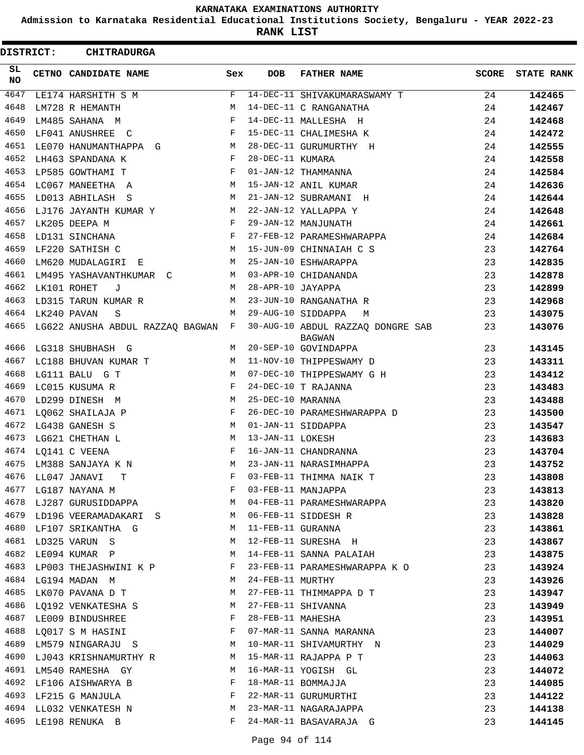**Admission to Karnataka Residential Educational Institutions Society, Bengaluru - YEAR 2022-23**

**RANK LIST**

| <b>DISTRICT:</b> | <b>CHITRADURGA</b>                    |     |                   |                                                    |       |                   |
|------------------|---------------------------------------|-----|-------------------|----------------------------------------------------|-------|-------------------|
| SL.<br><b>NO</b> | CETNO CANDIDATE NAME                  | Sex | <b>DOB</b>        | <b>FATHER NAME</b>                                 | SCORE | <b>STATE RANK</b> |
| 4647             | LE174 HARSHITH S M                    | F   |                   | 14-DEC-11 SHIVAKUMARASWAMY T                       | 24    | 142465            |
| 4648             | LM728 R HEMANTH                       | М   |                   | 14-DEC-11 C RANGANATHA                             | 24    | 142467            |
| 4649             | LM485 SAHANA M                        | F   |                   | 14-DEC-11 MALLESHA H                               | 24    | 142468            |
| 4650             | LF041 ANUSHREE C                      | F   |                   | 15-DEC-11 CHALIMESHA K                             | 24    | 142472            |
| 4651             | LE070 HANUMANTHAPPA G M               |     |                   | 28-DEC-11 GURUMURTHY H                             | 24    | 142555            |
| 4652             | LH463 SPANDANA K                      | F   | 28-DEC-11 KUMARA  |                                                    | 24    | 142558            |
| 4653             | LP585 GOWTHAMI T                      | F   |                   | 01-JAN-12 THAMMANNA                                | 24    | 142584            |
| 4654             | LC067 MANEETHA A                      | М   |                   | 15-JAN-12 ANIL KUMAR                               | 24    | 142636            |
| 4655             | LD013 ABHILASH S                      | M   |                   | 21-JAN-12 SUBRAMANI H                              | 24    | 142644            |
| 4656             | LJ176 JAYANTH KUMAR Y                 | M   |                   | 22-JAN-12 YALLAPPA Y                               | 24    | 142648            |
| 4657             | LK205 DEEPA M                         | F   |                   | 29-JAN-12 MANJUNATH                                | 24    | 142661            |
| 4658             | $\mathbf{F}$<br>LD131 SINCHANA        |     |                   | 27-FEB-12 PARAMESHWARAPPA                          | 24    | 142684            |
| 4659             | LF220 SATHISH C                       |     |                   | M 15-JUN-09 CHINNAIAH C S                          | 23    | 142764            |
| 4660             | LM620 MUDALAGIRI E                    | M   |                   | 25-JAN-10 ESHWARAPPA                               | 23    | 142835            |
| 4661             | LM495 YASHAVANTHKUMAR C               | M   |                   | 03-APR-10 CHIDANANDA                               | 23    | 142878            |
| 4662             | LK101 ROHET<br>J                      | M   | 28-APR-10 JAYAPPA |                                                    | 23    | 142899            |
| 4663             | LD315 TARUN KUMAR R                   | M   |                   | 23-JUN-10 RANGANATHA R                             | 23    | 142968            |
| 4664             | LK240 PAVAN<br>S                      | M   |                   | 29-AUG-10 SIDDAPPA<br>M                            | 23    | 143075            |
| 4665             | LG622 ANUSHA ABDUL RAZZAQ BAGWAN F    |     |                   | 30-AUG-10 ABDUL RAZZAQ DONGRE SAB<br><b>BAGWAN</b> | 23    | 143076            |
| 4666             | LG318 SHUBHASH G                      | М   |                   | 20-SEP-10 GOVINDAPPA                               | 23    | 143145            |
| 4667             | LC188 BHUVAN KUMAR T                  | M   |                   | 11-NOV-10 THIPPESWAMY D                            | 23    | 143311            |
| 4668             | LG111 BALU G T                        | M   |                   | 07-DEC-10 THIPPESWAMY G H                          | 23    | 143412            |
| 4669             | LC015 KUSUMA R                        | F   |                   | 24-DEC-10 T RAJANNA                                | 23    | 143483            |
| 4670             | LD299 DINESH M                        | M   | 25-DEC-10 MARANNA |                                                    | 23    | 143488            |
| 4671             | LQ062 SHAILAJA P                      | F   |                   | 26-DEC-10 PARAMESHWARAPPA D                        | 23    | 143500            |
| 4672             | LG438 GANESH S                        | М   |                   | 01-JAN-11 SIDDAPPA                                 | 23    | 143547            |
| 4673             | LG621 CHETHAN L                       | М   | 13-JAN-11 LOKESH  |                                                    | 23    | 143683            |
| 4674             | LQ141 C VEENA                         | F   |                   | 16-JAN-11 CHANDRANNA                               | 23    | 143704            |
| 4675             | LM388 SANJAYA K N                     | М   |                   | 23-JAN-11 NARASIMHAPPA                             | 23    | 143752            |
| 4676             | LL047 JANAVI<br>T.                    | F   |                   | 03-FEB-11 THIMMA NAIK T                            | 23    | 143808            |
|                  | 4677 LG187 NAYANA M                   | F   |                   | 03-FEB-11 MANJAPPA                                 | 23    | 143813            |
|                  | 4678 LJ287 GURUSIDDAPPA               | M   |                   | 04-FEB-11 PARAMESHWARAPPA                          | 23    | 143820            |
|                  | 4679 LD196 VEERAMADAKARI S            | M   |                   | 06-FEB-11 SIDDESH R                                | 23    | 143828            |
|                  | 4680 LF107 SRIKANTHA G                | M   | 11-FEB-11 GURANNA |                                                    | 23    | 143861            |
|                  | 4681 LD325 VARUN S                    | M   |                   | 12-FEB-11 SURESHA H                                | 23    | 143867            |
| 4682             | LE094 KUMAR P                         | М   |                   | 14-FEB-11 SANNA PALAIAH                            | 23    | 143875            |
| 4683             | LP003 THEJASHWINI K P                 | F   |                   | 23-FEB-11 PARAMESHWARAPPA K O                      | 23    | 143924            |
| 4684             | LG194 MADAN M                         | M   | 24-FEB-11 MURTHY  |                                                    | 23    | 143926            |
| 4685             | LK070 PAVANA D T                      | М   |                   | 27-FEB-11 THIMMAPPA D T                            | 23    | 143947            |
| 4686             | LQ192 VENKATESHA S                    | M   |                   | 27-FEB-11 SHIVANNA                                 | 23    | 143949            |
| 4687             | LE009 BINDUSHREE                      | F   | 28-FEB-11 MAHESHA |                                                    | 23    | 143951            |
|                  | $\mathbf{F}$<br>4688 LQ017 S M HASINI |     |                   | 07-MAR-11 SANNA MARANNA                            | 23    | 144007            |
|                  | 4689 LM579 NINGARAJU S                | M   |                   | 10-MAR-11 SHIVAMURTHY N                            | 23    | 144029            |
| 4690             | LJ043 KRISHNAMURTHY R                 | M   |                   | 15-MAR-11 RAJAPPA P T                              | 23    | 144063            |
| 4691             | LM540 RAMESHA GY                      | M   |                   | 16-MAR-11 YOGISH GL                                | 23    | 144072            |
| 4692             | LF106 AISHWARYA B                     | F   |                   | 18-MAR-11 BOMMAJJA                                 | 23    | 144085            |
|                  | 4693 LF215 G MANJULA                  | F   |                   | 22-MAR-11 GURUMURTHI                               | 23    | 144122            |
|                  | 4694 LL032 VENKATESH N                | M   |                   | 23-MAR-11 NAGARAJAPPA                              | 23    | 144138            |
|                  | 4695 LE198 RENUKA B                   | F   |                   | 24-MAR-11 BASAVARAJA G                             | 23    | 144145            |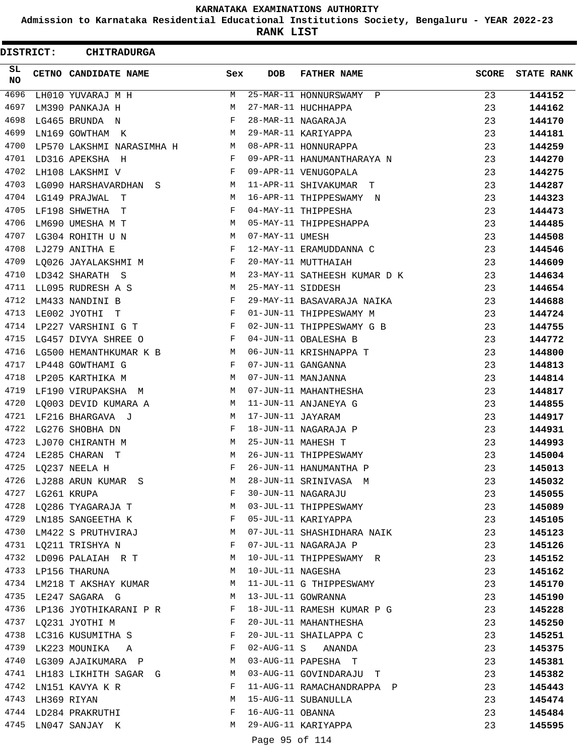**Admission to Karnataka Residential Educational Institutions Society, Bengaluru - YEAR 2022-23**

**RANK LIST**

| DISTRICT:        |                  | <b>CHITRADURGA</b>                          |                       |                   |                              |              |                   |
|------------------|------------------|---------------------------------------------|-----------------------|-------------------|------------------------------|--------------|-------------------|
| SL.<br><b>NO</b> |                  | CETNO CANDIDATE NAME                        | Sex                   | <b>DOB</b>        | <b>FATHER NAME</b>           | <b>SCORE</b> | <b>STATE RANK</b> |
| 4696             |                  | LH010 YUVARAJ M H                           | M                     |                   | 25-MAR-11 HONNURSWAMY P      | 23           | 144152            |
| 4697             |                  | LM390 PANKAJA H                             | М                     |                   | 27-MAR-11 HUCHHAPPA          | 23           | 144162            |
| 4698             |                  | LG465 BRUNDA N                              | F                     |                   | 28-MAR-11 NAGARAJA           | 23           | 144170            |
| 4699             |                  | LN169 GOWTHAM K                             | М                     |                   | 29-MAR-11 KARIYAPPA          | 23           | 144181            |
| 4700             |                  | LP570 LAKSHMI NARASIMHA H                   | M                     |                   | 08-APR-11 HONNURAPPA         | 23           | 144259            |
| 4701             |                  | LD316 APEKSHA H                             | F                     |                   | 09-APR-11 HANUMANTHARAYA N   | 23           | 144270            |
| 4702             |                  | LH108 LAKSHMI V                             | F                     |                   | 09-APR-11 VENUGOPALA         | 23           | 144275            |
| 4703             |                  | LG090 HARSHAVARDHAN S                       | М                     |                   | 11-APR-11 SHIVAKUMAR T       | 23           | 144287            |
| 4704             |                  | LG149 PRAJWAL<br>$\mathbf{T}$               | М                     |                   | 16-APR-11 THIPPESWAMY N      | 23           | 144323            |
| 4705             |                  | LF198 SHWETHA<br>$\mathbf{T}$               | F                     |                   | 04-MAY-11 THIPPESHA          | 23           | 144473            |
| 4706             |                  | LM690 UMESHA M T                            | М                     |                   | 05-MAY-11 THIPPESHAPPA       | 23           | 144485            |
| 4707             |                  | LG304 ROHITH U N                            | М                     | 07-MAY-11 UMESH   |                              | 23           | 144508            |
| 4708             |                  | LJ279 ANITHA E                              | $\mathbf{F}$          |                   | 12-MAY-11 ERAMUDDANNA C      | 23           | 144546            |
| 4709             |                  | LQ026 JAYALAKSHMI M                         | $\mathbf{F}$          |                   | 20-MAY-11 MUTTHAIAH          | 23           | 144609            |
| 4710             |                  | LD342 SHARATH S                             | М                     |                   | 23-MAY-11 SATHEESH KUMAR D K | 23           | 144634            |
| 4711             |                  | LL095 RUDRESH A S                           | М                     | 25-MAY-11 SIDDESH |                              | 23           | 144654            |
| 4712             |                  | LM433 NANDINI B                             | F                     |                   | 29-MAY-11 BASAVARAJA NAIKA   | 23           | 144688            |
| 4713             |                  | LE002 JYOTHI T                              | F                     |                   | 01-JUN-11 THIPPESWAMY M      | 23           | 144724            |
| 4714             |                  | LP227 VARSHINI G T                          | F                     |                   | 02-JUN-11 THIPPESWAMY G B    | 23           | 144755            |
| 4715             |                  | LG457 DIVYA SHREE O                         | F                     |                   | 04-JUN-11 OBALESHA B         | 23           | 144772            |
| 4716             |                  | LG500 HEMANTHKUMAR K B                      | M                     |                   | 06-JUN-11 KRISHNAPPA T       | 23           | 144800            |
| 4717             |                  | LP448 GOWTHAMI G                            | F                     |                   | 07-JUN-11 GANGANNA           | 23           | 144813            |
| 4718             |                  | LP205 KARTHIKA M                            | M                     |                   | 07-JUN-11 MANJANNA           | 23           | 144814            |
| 4719             |                  | LF190 VIRUPAKSHA M                          | M                     |                   | 07-JUN-11 MAHANTHESHA        | 23           | 144817            |
| 4720             |                  | LQ003 DEVID KUMARA A                        | M                     |                   | 11-JUN-11 ANJANEYA G         | 23           | 144855            |
| 4721             |                  | LF216 BHARGAVA J                            | М                     | 17-JUN-11 JAYARAM |                              | 23           | 144917            |
| 4722             |                  | LG276 SHOBHA DN                             | F                     |                   | 18-JUN-11 NAGARAJA P         | 23           | 144931            |
| 4723             |                  | LJ070 CHIRANTH M                            | М                     |                   | 25-JUN-11 MAHESH T           | 23           | 144993            |
| 4724             |                  | LE285 CHARAN T                              | М                     |                   | 26-JUN-11 THIPPESWAMY        | 23           | 145004            |
|                  |                  | 4725 LQ237 NEELA H                          | F                     |                   | 26-JUN-11 HANUMANTHA P       | 23           | 145013            |
|                  |                  | 4726 LJ288 ARUN KUMAR S                     | M                     |                   | 28-JUN-11 SRINIVASA M        | 23           | 145032            |
|                  | 4727 LG261 KRUPA |                                             | F                     |                   | 30-JUN-11 NAGARAJU           | 23           | 145055            |
|                  |                  | 4728 LQ286 TYAGARAJA T                      |                       |                   | 03-JUL-11 THIPPESWAMY        | 23           | 145089            |
|                  |                  | 4729 LN185 SANGEETHA K                      | $\mathbf{F}$          |                   | 05-JUL-11 KARIYAPPA          | 23           | 145105            |
|                  |                  | 4730 LM422 S PRUTHVIRAJ                     | M                     |                   | 07-JUL-11 SHASHIDHARA NAIK   | 23           | 145123            |
|                  |                  | 4731 LQ211 TRISHYA N                        | F                     |                   | 07-JUL-11 NAGARAJA P         | 23           | 145126            |
|                  |                  | 4732 LD096 PALAIAH R T                      | M                     |                   | 10-JUL-11 THIPPESWAMY R      | 23           | 145152            |
|                  |                  | 4733 LP156 THARUNA                          | M                     |                   | 10-JUL-11 NAGESHA            | 23           | 145162            |
|                  |                  | 4734 LM218 T AKSHAY KUMAR M                 |                       |                   | 11-JUL-11 G THIPPESWAMY      | 23           | 145170            |
|                  |                  | 4735 LE247 SAGARA G<br>M 13-JUL-11 GOWRANNA |                       |                   |                              | 23           | 145190            |
|                  |                  | 4736 LP136 JYOTHIKARANI P R F               |                       |                   | 18-JUL-11 RAMESH KUMAR P G   | 23           | 145228            |
|                  |                  | 4737 LQ231 JYOTHI M                         | $\mathbf{F}$          |                   | 20-JUL-11 MAHANTHESHA        | 23           | 145250            |
|                  |                  | 4738 LC316 KUSUMITHA S                      | $\mathbb{F}^{\times}$ |                   | 20-JUL-11 SHAILAPPA C        | 23           | 145251            |
|                  |                  | 4739 LK223 MOUNIKA A F                      |                       |                   | $02$ -AUG-11 S ANANDA        | 23           | 145375            |
|                  |                  | 4740 LG309 AJAIKUMARA P M                   |                       |                   | 03-AUG-11 PAPESHA T          | 23           | 145381            |
|                  |                  | 4741 LH183 LIKHITH SAGAR G M                |                       |                   | 03-AUG-11 GOVINDARAJU T      | 23           | 145382            |
|                  |                  | 4742 LN151 KAVYA K R                        | F                     |                   | 11-AUG-11 RAMACHANDRAPPA P   | 23           | 145443            |
|                  | 4743 LH369 RIYAN |                                             | M                     |                   | 15-AUG-11 SUBANULLA          | 23           | 145474            |
|                  |                  | 4744 LD284 PRAKRUTHI F                      |                       | 16-AUG-11 OBANNA  |                              | 23           | 145484            |
|                  |                  | 4745 LN047 SANJAY K                         | M                     |                   | 29-AUG-11 KARIYAPPA          | 23           | 145595            |
|                  |                  |                                             |                       | Page 95 of 114    |                              |              |                   |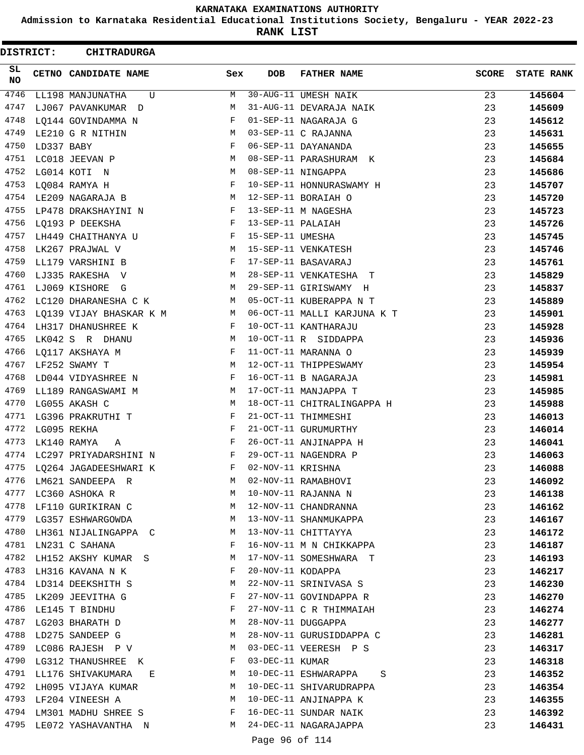**Admission to Karnataka Residential Educational Institutions Society, Bengaluru - YEAR 2022-23**

**RANK LIST**

ı

| DISTRICT: |             | <b>CHITRADURGA</b>         |              |                   |                             |              |                   |
|-----------|-------------|----------------------------|--------------|-------------------|-----------------------------|--------------|-------------------|
| SL<br>NO. |             | CETNO CANDIDATE NAME       | Sex          | <b>DOB</b>        | <b>FATHER NAME</b>          | <b>SCORE</b> | <b>STATE RANK</b> |
| 4746      |             | LL198 MANJUNATHA<br>U      | М            |                   | 30-AUG-11 UMESH NAIK        | 23           | 145604            |
| 4747      |             | LJ067 PAVANKUMAR D         | М            |                   | 31-AUG-11 DEVARAJA NAIK     | 23           | 145609            |
| 4748      |             | LQ144 GOVINDAMMA N         | F            |                   | 01-SEP-11 NAGARAJA G        | 23           | 145612            |
| 4749      |             | LE210 G R NITHIN           | М            |                   | 03-SEP-11 C RAJANNA         | 23           | 145631            |
| 4750      | LD337 BABY  |                            | F            |                   | 06-SEP-11 DAYANANDA         | 23           | 145655            |
| 4751      |             | LC018 JEEVAN P             | М            |                   | 08-SEP-11 PARASHURAM K      | 23           | 145684            |
| 4752      |             | LG014 KOTI N               | М            |                   | 08-SEP-11 NINGAPPA          | 23           | 145686            |
| 4753      |             | LQ084 RAMYA H              | F            |                   | 10-SEP-11 HONNURASWAMY H    | 23           | 145707            |
| 4754      |             | LE209 NAGARAJA B           | М            |                   | 12-SEP-11 BORAIAH O         | 23           | 145720            |
| 4755      |             | LP478 DRAKSHAYINI N        | $\mathbf{F}$ |                   | 13-SEP-11 M NAGESHA         | 23           | 145723            |
| 4756      |             | LQ193 P DEEKSHA            | F            | 13-SEP-11 PALAIAH |                             | 23           | 145726            |
| 4757      |             | LH449 CHAITHANYA U         | F            | 15-SEP-11 UMESHA  |                             | 23           | 145745            |
| 4758      |             | LK267 PRAJWAL V            | M            |                   | 15-SEP-11 VENKATESH         | 23           | 145746            |
| 4759      |             | LL179 VARSHINI B           | F            |                   | 17-SEP-11 BASAVARAJ         | 23           | 145761            |
| 4760      |             | LJ335 RAKESHA V            | M            |                   | 28-SEP-11 VENKATESHA T      | 23           | 145829            |
| 4761      |             | LJ069 KISHORE G            | М            |                   | 29-SEP-11 GIRISWAMY H       | 23           | 145837            |
| 4762      |             | LC120 DHARANESHA C K       | M            |                   | 05-OCT-11 KUBERAPPA N T     | 23           | 145889            |
| 4763      |             | LQ139 VIJAY BHASKAR K M    | M            |                   | 06-OCT-11 MALLI KARJUNA K T | 23           | 145901            |
| 4764      |             | LH317 DHANUSHREE K         | F            |                   | 10-OCT-11 KANTHARAJU        | 23           | 145928            |
| 4765      |             | LK042 S R DHANU            | M            |                   | 10-OCT-11 R SIDDAPPA        | 23           | 145936            |
| 4766      |             | LQ117 AKSHAYA M            | F            |                   | 11-OCT-11 MARANNA O         | 23           | 145939            |
| 4767      |             | LF252 SWAMY T              | M            |                   | 12-OCT-11 THIPPESWAMY       | 23           | 145954            |
| 4768      |             | LD044 VIDYASHREE N         | F            |                   | 16-OCT-11 B NAGARAJA        | 23           | 145981            |
| 4769      |             | LL189 RANGASWAMI M         | М            |                   | 17-OCT-11 MANJAPPA T        | 23           | 145985            |
| 4770      |             | LG055 AKASH C              | М            |                   | 18-OCT-11 CHITRALINGAPPA H  | 23           | 145988            |
| 4771      |             | LG396 PRAKRUTHI T          | F            |                   | 21-OCT-11 THIMMESHI         | 23           | 146013            |
| 4772      | LG095 REKHA |                            | F            |                   | 21-OCT-11 GURUMURTHY        | 23           | 146014            |
| 4773      |             | LK140 RAMYA<br>Α           | F            |                   | 26-OCT-11 ANJINAPPA H       | 23           | 146041            |
| 4774      |             | LC297 PRIYADARSHINI N      | F            |                   | 29-OCT-11 NAGENDRA P        | 23           | 146063            |
|           |             | 4775 LQ264 JAGADEESHWARI K | F            | 02-NOV-11 KRISHNA |                             | 23           | 146088            |
| 4776      |             | LM621 SANDEEPA R           | М            |                   | 02-NOV-11 RAMABHOVI         | 23           | 146092            |
| 4777      |             | LC360 ASHOKA R             | М            |                   | 10-NOV-11 RAJANNA N         | 23           | 146138            |
| 4778      |             | LF110 GURIKIRAN C          | М            |                   | 12-NOV-11 CHANDRANNA        | 23           | 146162            |
| 4779      |             | LG357 ESHWARGOWDA          | М            |                   | 13-NOV-11 SHANMUKAPPA       | 23           | 146167            |
| 4780      |             | LH361 NIJALINGAPPA C       | М            |                   | 13-NOV-11 CHITTAYYA         | 23           | 146172            |
| 4781      |             | LN231 C SAHANA             | F            |                   | 16-NOV-11 M N CHIKKAPPA     | 23           | 146187            |
| 4782      |             | LH152 AKSHY KUMAR S        | M            |                   | 17-NOV-11 SOMESHWARA T      | 23           | 146193            |
| 4783      |             | LH316 KAVANA N K           | F            | 20-NOV-11 KODAPPA |                             | 23           | 146217            |
|           |             | 4784 LD314 DEEKSHITH S     | M            |                   | 22-NOV-11 SRINIVASA S       | 23           | 146230            |
| 4785      |             | LK209 JEEVITHA G           | F            |                   |                             |              |                   |
| 4786      |             |                            | F            |                   | 27-NOV-11 GOVINDAPPA R      | 23           | 146270            |
| 4787      |             | LE145 T BINDHU             |              |                   | 27-NOV-11 C R THIMMAIAH     | 23           | 146274            |
|           |             | LG203 BHARATH D            | M            |                   | 28-NOV-11 DUGGAPPA          | 23           | 146277            |
| 4788      |             | LD275 SANDEEP G            | М            |                   | 28-NOV-11 GURUSIDDAPPA C    | 23           | 146281            |
| 4789      |             | LC086 RAJESH P V           | M            |                   | 03-DEC-11 VEERESH P S       | 23           | 146317            |
| 4790      |             | LG312 THANUSHREE K         | F            | 03-DEC-11 KUMAR   |                             | 23           | 146318            |
| 4791      |             | LL176 SHIVAKUMARA<br>E     | M            |                   | 10-DEC-11 ESHWARAPPA<br>S   | 23           | 146352            |
|           |             | 4792 LH095 VIJAYA KUMAR    | M            |                   | 10-DEC-11 SHIVARUDRAPPA     | 23           | 146354            |
| 4793      |             | LF204 VINEESH A            | M            |                   | 10-DEC-11 ANJINAPPA K       | 23           | 146355            |
| 4794      |             | LM301 MADHU SHREE S        | F            |                   | 16-DEC-11 SUNDAR NAIK       | 23           | 146392            |
| 4795      |             | LE072 YASHAVANTHA N        | M            |                   | 24-DEC-11 NAGARAJAPPA       | 23           | 146431            |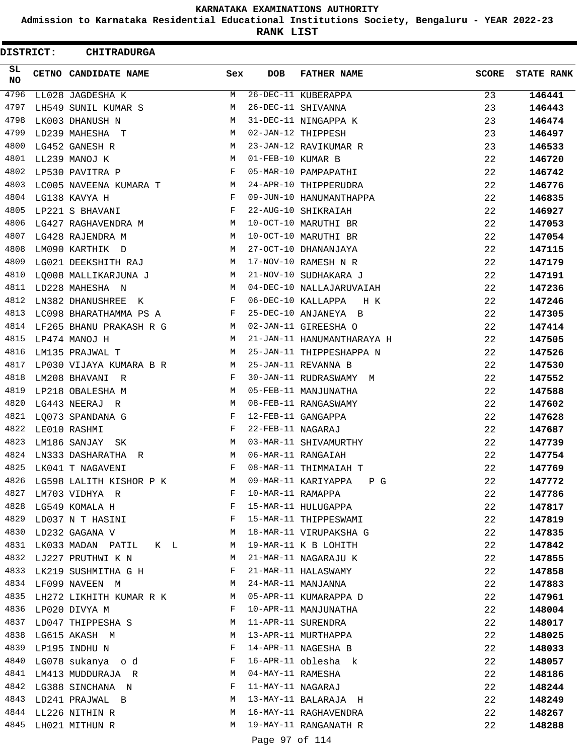**Admission to Karnataka Residential Educational Institutions Society, Bengaluru - YEAR 2022-23**

**RANK LIST**

 $\blacksquare$ 

| <b>DISTRICT:</b> | <b>CHITRADURGA</b>                                                 |                                                                 |                   |                            |              |                   |
|------------------|--------------------------------------------------------------------|-----------------------------------------------------------------|-------------------|----------------------------|--------------|-------------------|
| SL.<br>NO.       | CETNO CANDIDATE NAME                                               | Sex                                                             | <b>DOB</b>        | <b>FATHER NAME</b>         | <b>SCORE</b> | <b>STATE RANK</b> |
| 4796             | LL028 JAGDESHA K                                                   | M                                                               |                   | 26-DEC-11 KUBERAPPA        | 23           | 146441            |
| 4797             | LH549 SUNIL KUMAR S                                                | М                                                               |                   | 26-DEC-11 SHIVANNA         | 23           | 146443            |
| 4798             | LK003 DHANUSH N                                                    | М                                                               |                   | 31-DEC-11 NINGAPPA K       | 23           | 146474            |
| 4799             | LD239 MAHESHA T                                                    | М                                                               |                   | 02-JAN-12 THIPPESH         | 23           | 146497            |
| 4800             | LG452 GANESH R                                                     | М                                                               |                   | 23-JAN-12 RAVIKUMAR R      | 23           | 146533            |
| 4801             | LL239 MANOJ K                                                      | М                                                               | 01-FEB-10 KUMAR B |                            | 22           | 146720            |
| 4802             | LP530 PAVITRA P                                                    | F                                                               |                   | 05-MAR-10 PAMPAPATHI       | 22           | 146742            |
| 4803             | LC005 NAVEENA KUMARA T                                             | M                                                               |                   | 24-APR-10 THIPPERUDRA      | 22           | 146776            |
| 4804             | LG138 KAVYA H                                                      | F                                                               |                   | 09-JUN-10 HANUMANTHAPPA    | 22           | 146835            |
| 4805             | LP221 S BHAVANI                                                    | F                                                               |                   | 22-AUG-10 SHIKRAIAH        | 22           | 146927            |
| 4806             | LG427 RAGHAVENDRA M                                                | M                                                               |                   | 10-OCT-10 MARUTHI BR       | 22           | 147053            |
| 4807             | LG428 RAJENDRA M                                                   | М                                                               |                   | 10-OCT-10 MARUTHI BR       | 22           | 147054            |
| 4808             | LM090 KARTHIK D                                                    | M                                                               |                   | 27-OCT-10 DHANANJAYA       | 22           | 147115            |
| 4809             | LG021 DEEKSHITH RAJ                                                | M                                                               |                   | 17-NOV-10 RAMESH N R       | 22           | 147179            |
| 4810             | LQ008 MALLIKARJUNA J                                               | M                                                               |                   | 21-NOV-10 SUDHAKARA J      | 22           | 147191            |
| 4811             | LD228 MAHESHA N                                                    | M                                                               |                   | 04-DEC-10 NALLAJARUVAIAH   | 22           | 147236            |
| 4812             | LN382 DHANUSHREE K                                                 | F                                                               |                   | 06-DEC-10 KALLAPPA<br>H K  | 22           | 147246            |
| 4813             | LC098 BHARATHAMMA PS A                                             | $\mathbf{F}$                                                    |                   | 25-DEC-10 ANJANEYA B       | 22           | 147305            |
| 4814             | LF265 BHANU PRAKASH R G<br><b>M</b>                                |                                                                 |                   | 02-JAN-11 GIREESHA O       | 22           | 147414            |
| 4815             | LP474 MANOJ H                                                      | М                                                               |                   | 21-JAN-11 HANUMANTHARAYA H | 22           | 147505            |
| 4816             | LM135 PRAJWAL T                                                    | M                                                               |                   | 25-JAN-11 THIPPESHAPPA N   | 22           | 147526            |
| 4817             | LP030 VIJAYA KUMARA B R                                            | M                                                               |                   | 25-JAN-11 REVANNA B        | 22           | 147530            |
| 4818             | LM208 BHAVANI R                                                    | F                                                               |                   | 30-JAN-11 RUDRASWAMY M     | 22           | 147552            |
| 4819             | LP218 OBALESHA M                                                   | М                                                               |                   | 05-FEB-11 MANJUNATHA       | 22           | 147588            |
| 4820             | LG443 NEERAJ R                                                     | М                                                               |                   | 08-FEB-11 RANGASWAMY       | 22           | 147602            |
| 4821             | LQ073 SPANDANA G                                                   | F                                                               |                   | 12-FEB-11 GANGAPPA         | 22           | 147628            |
| 4822             | LE010 RASHMI                                                       | F                                                               | 22-FEB-11 NAGARAJ |                            | 22           | 147687            |
| 4823             | LM186 SANJAY<br>SK                                                 | М                                                               |                   | 03-MAR-11 SHIVAMURTHY      | 22           | 147739            |
| 4824             | LN333 DASHARATHA R                                                 | М                                                               |                   | 06-MAR-11 RANGAIAH         | 22           | 147754            |
| 4825             | LK041 T NAGAVENI                                                   | F                                                               |                   | 08-MAR-11 THIMMAIAH T      | 22           | 147769            |
| 4826             | LG598 LALITH KISHOR P K                                            | M                                                               |                   | 09-MAR-11 KARIYAPPA P G    | 22           | 147772            |
| 4827             | LM703 VIDHYA R                                                     | F                                                               | 10-MAR-11 RAMAPPA |                            | 22           | 147786            |
| 4828             | LG549 KOMALA H                                                     | $\mathbf{F}$ and $\mathbf{F}$ and $\mathbf{F}$ and $\mathbf{F}$ |                   | 15-MAR-11 HULUGAPPA        | 22           | 147817            |
| 4829             | $\mathbf{F}$ and $\mathbf{F}$ and $\mathbf{F}$<br>LD037 N T HASINI |                                                                 |                   | 15-MAR-11 THIPPESWAMI      | 22           | 147819            |
| 4830             | LD232 GAGANA V                                                     | M                                                               |                   | 18-MAR-11 VIRUPAKSHA G     | 22           | 147835            |
| 4831             | LK033 MADAN PATIL K L                                              | M                                                               |                   | 19-MAR-11 K B LOHITH       | 22           | 147842            |
| 4832             | LJ227 PRUTHWI K N                                                  | M                                                               |                   | 21-MAR-11 NAGARAJU K       | 22           | 147855            |
| 4833             | LK219 SUSHMITHA G H                                                | F                                                               |                   | 21-MAR-11 HALASWAMY        | 22           | 147858            |
|                  | 4834 LF099 NAVEEN M                                                | M                                                               |                   | 24-MAR-11 MANJANNA         | 22           | 147883            |
| 4835             | LH272 LIKHITH KUMAR R K                                            | M                                                               |                   | 05-APR-11 KUMARAPPA D      | 22           | 147961            |
| 4836             | LP020 DIVYA M                                                      | F                                                               |                   | 10-APR-11 MANJUNATHA       | 22           | 148004            |
|                  | 4837 LD047 THIPPESHA S                                             | M                                                               |                   | 11-APR-11 SURENDRA         | 22           | 148017            |
| 4838             | LG615 AKASH M                                                      | M                                                               |                   | 13-APR-11 MURTHAPPA        | 22           | 148025            |
| 4839             | LP195 INDHU N                                                      | F                                                               |                   | 14-APR-11 NAGESHA B        | 22           | 148033            |
| 4840             | LG078 sukanya o d                                                  | F                                                               |                   | 16-APR-11 oblesha k        | 22           | 148057            |
| 4841             | LM413 MUDDURAJA R                                                  | M                                                               | 04-MAY-11 RAMESHA |                            | 22           | 148186            |
|                  | 4842 LG388 SINCHANA N                                              | F                                                               | 11-MAY-11 NAGARAJ |                            | 22           | 148244            |
| 4843             | LD241 PRAJWAL B                                                    | M                                                               |                   | 13-MAY-11 BALARAJA H       | 22           | 148249            |
| 4844             | LL226 NITHIN R                                                     | M                                                               |                   | 16-MAY-11 RAGHAVENDRA      | 22           | 148267            |
| 4845             | LH021 MITHUN R                                                     | М                                                               |                   | 19-MAY-11 RANGANATH R      | 22           | 148288            |
|                  |                                                                    |                                                                 |                   |                            |              |                   |

Page 97 of 114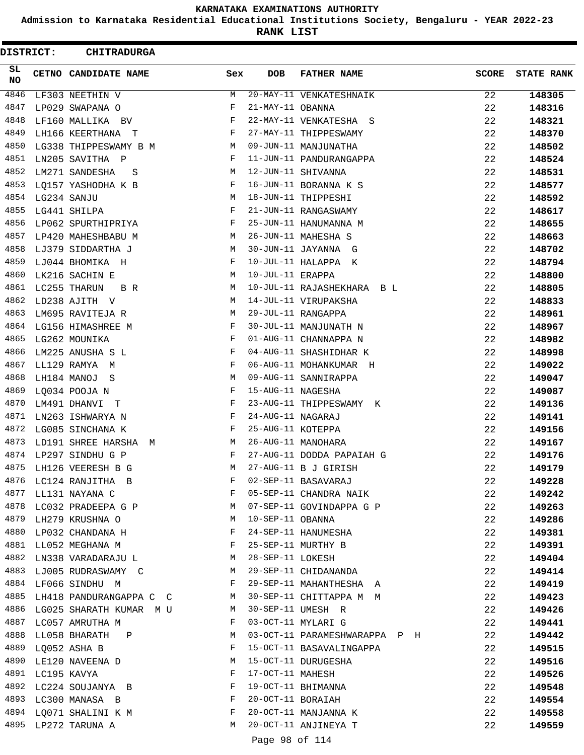**Admission to Karnataka Residential Educational Institutions Society, Bengaluru - YEAR 2022-23**

**RANK LIST**

 $\blacksquare$ 

| <b>DISTRICT:</b> |                  | <b>CHITRADURGA</b>                  |              |                   |                               |              |                   |
|------------------|------------------|-------------------------------------|--------------|-------------------|-------------------------------|--------------|-------------------|
| SL.<br>NO        |                  | <b>CETNO CANDIDATE NAME</b>         | Sex          | DOB               | <b>FATHER NAME</b>            | <b>SCORE</b> | <b>STATE RANK</b> |
| 4846             |                  | LF303 NEETHIN V                     | M            |                   | 20-MAY-11 VENKATESHNAIK       | 22           | 148305            |
| 4847             |                  | LP029 SWAPANA O                     | F            | 21-MAY-11 OBANNA  |                               | 22           | 148316            |
| 4848             |                  | LF160 MALLIKA BV                    | F            |                   | 22-MAY-11 VENKATESHA S        | 22           | 148321            |
| 4849             |                  | LH166 KEERTHANA T                   | F            |                   | 27-MAY-11 THIPPESWAMY         | 22           | 148370            |
| 4850             |                  | LG338 THIPPESWAMY B M               | M            |                   | 09-JUN-11 MANJUNATHA          | 22           | 148502            |
| 4851             |                  | LN205 SAVITHA P                     | F            |                   | 11-JUN-11 PANDURANGAPPA       | 22           | 148524            |
| 4852             |                  | LM271 SANDESHA<br>S                 | M            |                   | 12-JUN-11 SHIVANNA            | 22           | 148531            |
| 4853             |                  | LQ157 YASHODHA K B                  | F            |                   | 16-JUN-11 BORANNA K S         | 22           | 148577            |
|                  | 4854 LG234 SANJU |                                     | М            |                   | 18-JUN-11 THIPPESHI           | 22           | 148592            |
| 4855             |                  | LG441 SHILPA                        | F            |                   | 21-JUN-11 RANGASWAMY          | 22           | 148617            |
| 4856             |                  | LP062 SPURTHIPRIYA                  | F            |                   | 25-JUN-11 HANUMANNA M         | 22           | 148655            |
| 4857             |                  | LP420 MAHESHBABU M                  | M            |                   | 26-JUN-11 MAHESHA S           | 22           | 148663            |
| 4858             |                  | LJ379 SIDDARTHA J                   | М            |                   | 30-JUN-11 JAYANNA G           | 22           | 148702            |
| 4859             |                  | LJ044 BHOMIKA H                     | F            |                   | 10-JUL-11 HALAPPA K           | 22           | 148794            |
| 4860             |                  | LK216 SACHIN E                      | М            | 10-JUL-11 ERAPPA  |                               | 22           | 148800            |
| 4861             |                  | LC255 THARUN<br>B R                 | M            |                   | 10-JUL-11 RAJASHEKHARA B L    | 22           | 148805            |
| 4862             |                  | LD238 AJITH V                       | M            |                   | 14-JUL-11 VIRUPAKSHA          | 22           | 148833            |
| 4863             |                  | LM695 RAVITEJA R                    | M            |                   | 29-JUL-11 RANGAPPA            | 22           | 148961            |
| 4864             |                  | LG156 HIMASHREE M                   | F            |                   | 30-JUL-11 MANJUNATH N         | 22           | 148967            |
| 4865             |                  | LG262 MOUNIKA                       | $\mathbf{F}$ |                   | 01-AUG-11 CHANNAPPA N         | 22           | 148982            |
| 4866             |                  | LM225 ANUSHA S L                    | F            |                   | 04-AUG-11 SHASHIDHAR K        | 22           | 148998            |
| 4867             |                  | LL129 RAMYA M                       | F            |                   | 06-AUG-11 MOHANKUMAR H        | 22           | 149022            |
| 4868             |                  | LH184 MANOJ S                       | M            |                   | 09-AUG-11 SANNIRAPPA          | 22           | 149047            |
| 4869             |                  | LQ034 POOJA N                       | F            | 15-AUG-11 NAGESHA |                               | 22           | 149087            |
| 4870             |                  | LM491 DHANVI T                      | F            |                   | 23-AUG-11 THIPPESWAMY K       | 22           | 149136            |
| 4871             |                  | LN263 ISHWARYA N                    | F            | 24-AUG-11 NAGARAJ |                               | 22           | 149141            |
| 4872             |                  | LG085 SINCHANA K                    | $\mathbf{F}$ | 25-AUG-11 KOTEPPA |                               | 22           | 149156            |
| 4873             |                  | LD191 SHREE HARSHA M                | M            |                   | 26-AUG-11 MANOHARA            | 22           | 149167            |
|                  |                  | 4874 LP297 SINDHU G P               | F            |                   | 27-AUG-11 DODDA PAPAIAH G     | 22           | 149176            |
| 4875             |                  | LH126 VEERESH B G                   | M            |                   | 27-AUG-11 B J GIRISH          | 22           | 149179            |
|                  |                  | 4876 LC124 RANJITHA B               | F            |                   | 02-SEP-11 BASAVARAJ           | 22           | 149228            |
| 4877             |                  | LL131 NAYANA C                      | $\mathbf{F}$ |                   | 05-SEP-11 CHANDRA NAIK        | 22           | 149242            |
|                  |                  | 4878 LC032 PRADEEPA G P             | M            |                   | 07-SEP-11 GOVINDAPPA G P      | 22           | 149263            |
| 4879             |                  | LH279 KRUSHNA O                     | M            | 10-SEP-11 OBANNA  |                               | 22           | 149286            |
| 4880             |                  | LP032 CHANDANA H                    | F            |                   | 24-SEP-11 HANUMESHA           | 22           | 149381            |
| 4881             |                  | LL052 MEGHANA M                     | F            |                   | 25-SEP-11 MURTHY B            | 22           | 149391            |
|                  |                  | 4882 LN338 VARADARAJU L             | M            | 28-SEP-11 LOKESH  |                               | 22           | 149404            |
| 4883             |                  | LJ005 RUDRASWAMY C M                |              |                   | 29-SEP-11 CHIDANANDA          | 22           | 149414            |
|                  |                  | 4884 LF066 SINDHU M                 | F            |                   | 29-SEP-11 MAHANTHESHA A       | 22           | 149419            |
| 4885             |                  | <b>M</b><br>LH418 PANDURANGAPPA C C |              |                   | 30-SEP-11 CHITTAPPA M M       | 22           | 149423            |
|                  |                  | 4886 LG025 SHARATH KUMAR M U        | M            |                   | 30-SEP-11 UMESH R             | 22           | 149426            |
| 4887             |                  | LC057 AMRUTHA M                     | F            |                   | 03-OCT-11 MYLARI G            | 22           | 149441            |
| 4888             |                  | LL058 BHARATH P                     | M            |                   | 03-OCT-11 PARAMESHWARAPPA P H | 22           | 149442            |
| 4889             |                  | LQ052 ASHA B                        | F            |                   | 15-OCT-11 BASAVALINGAPPA      | 22           | 149515            |
|                  |                  | 4890 LE120 NAVEENA D                | M            |                   | 15-OCT-11 DURUGESHA           | 22           | 149516            |
| 4891             | LC195 KAVYA      |                                     | F            | 17-OCT-11 MAHESH  |                               | 22           | 149526            |
|                  |                  | 4892 LC224 SOUJANYA B               | F            |                   | 19-OCT-11 BHIMANNA            | 22           | 149548            |
|                  |                  | 4893 LC300 MANASA B                 | $\mathbf{F}$ | 20-OCT-11 BORAIAH |                               | 22           | 149554            |
|                  |                  | 4894 LQ071 SHALINI K M              | F            |                   | 20-OCT-11 MANJANNA K          | 22           | 149558            |
| 4895             |                  | LP272 TARUNA A                      | M            |                   | 20-OCT-11 ANJINEYA T          | 22           | 149559            |
|                  |                  |                                     |              |                   |                               |              |                   |

Page 98 of 114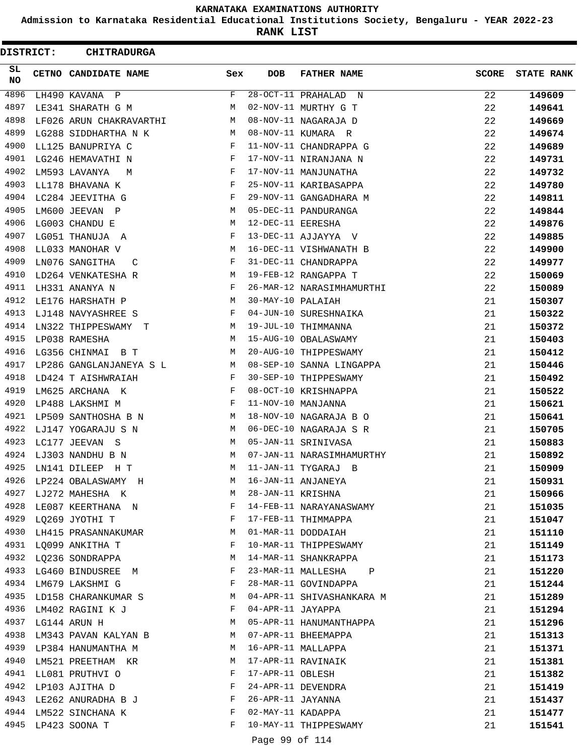**Admission to Karnataka Residential Educational Institutions Society, Bengaluru - YEAR 2022-23**

**RANK LIST**

| <b>DISTRICT:</b> | <b>CHITRADURGA</b>        |              |                   |                                   |              |                   |
|------------------|---------------------------|--------------|-------------------|-----------------------------------|--------------|-------------------|
| SL<br>NO.        | CETNO CANDIDATE NAME      | Sex          | <b>DOB</b>        | <b>FATHER NAME</b>                | <b>SCORE</b> | <b>STATE RANK</b> |
| 4896             | LH490 KAVANA P            | F            |                   | 28-OCT-11 PRAHALAD<br>$\mathbb N$ | 22           | 149609            |
| 4897             | LE341 SHARATH G M         | М            |                   | 02-NOV-11 MURTHY G T              | 22           | 149641            |
| 4898             | LF026 ARUN CHAKRAVARTHI   | М            |                   | 08-NOV-11 NAGARAJA D              | 22           | 149669            |
| 4899             | LG288 SIDDHARTHA N K      | M            |                   | 08-NOV-11 KUMARA R                | 22           | 149674            |
| 4900             | LL125 BANUPRIYA C         | F            |                   | 11-NOV-11 CHANDRAPPA G            | 22           | 149689            |
| 4901             | LG246 HEMAVATHI N         | F            |                   | 17-NOV-11 NIRANJANA N             | 22           | 149731            |
| 4902             | LM593 LAVANYA<br>M        | F            |                   | 17-NOV-11 MANJUNATHA              | 22           | 149732            |
| 4903             | LL178 BHAVANA K           | F            |                   | 25-NOV-11 KARIBASAPPA             | 22           | 149780            |
| 4904             | LC284 JEEVITHA G          | F            |                   | 29-NOV-11 GANGADHARA M            | 22           | 149811            |
| 4905             | LM600 JEEVAN P            | М            |                   | 05-DEC-11 PANDURANGA              | 22           | 149844            |
| 4906             | LG003 CHANDU E            | М            | 12-DEC-11 EERESHA |                                   | 22           | 149876            |
| 4907             | LG051 THANUJA A           | F            |                   | 13-DEC-11 AJJAYYA V               | 22           | 149885            |
| 4908             | LL033 MANOHAR V           | М            |                   | 16-DEC-11 VISHWANATH B            | 22           | 149900            |
| 4909             | LN076 SANGITHA<br>C       | F            |                   | 31-DEC-11 CHANDRAPPA              | 22           | 149977            |
| 4910             | LD264 VENKATESHA R        | M            |                   | 19-FEB-12 RANGAPPA T              | 22           | 150069            |
| 4911             | LH331 ANANYA N            | F            |                   | 26-MAR-12 NARASIMHAMURTHI         | 22           | 150089            |
| 4912             | LE176 HARSHATH P          | М            | 30-MAY-10 PALAIAH |                                   | 21           | 150307            |
| 4913             | LJ148 NAVYASHREE S        | F            |                   | 04-JUN-10 SURESHNAIKA             | 21           | 150322            |
| 4914             | LN322 THIPPESWAMY T       | M            |                   | 19-JUL-10 THIMMANNA               | 21           | 150372            |
| 4915             | LP038 RAMESHA             | М            |                   | 15-AUG-10 OBALASWAMY              | 21           | 150403            |
| 4916             | LG356 CHINMAI B T         | M            |                   | 20-AUG-10 THIPPESWAMY             | 21           | 150412            |
| 4917             | LP286 GANGLANJANEYA S L   | M            |                   | 08-SEP-10 SANNA LINGAPPA          | 21           | 150446            |
| 4918             | LD424 T AISHWRAIAH        | F            |                   | 30-SEP-10 THIPPESWAMY             | 21           | 150492            |
| 4919             | LM625 ARCHANA K           | F            |                   | 08-OCT-10 KRISHNAPPA              | 21           | 150522            |
| 4920             | LP488 LAKSHMI M           | F            |                   | 11-NOV-10 MANJANNA                | 21           | 150621            |
| 4921             | LP509 SANTHOSHA B N       | M            |                   | 18-NOV-10 NAGARAJA B O            | 21           | 150641            |
| 4922             | LJ147 YOGARAJU S N        | M            |                   | 06-DEC-10 NAGARAJA S R            | 21           | 150705            |
| 4923             | LC177 JEEVAN S            | М            |                   | 05-JAN-11 SRINIVASA               | 21           | 150883            |
| 4924             | LJ303 NANDHU B N          | М            |                   | 07-JAN-11 NARASIMHAMURTHY         | 21           | 150892            |
| 4925             | LN141 DILEEP<br>H T       | M            |                   | 11-JAN-11 TYGARAJ B               | 21           | 150909            |
|                  | 4926 LP224 OBALASWAMY H   | M            |                   | 16-JAN-11 ANJANEYA                | 21           | 150931            |
|                  | 4927 LJ272 MAHESHA K      | M            | 28-JAN-11 KRISHNA |                                   | 21           | 150966            |
|                  | 4928 LE087 KEERTHANA N    | $\mathbf{F}$ |                   | 14-FEB-11 NARAYANASWAMY           | 21           | 151035            |
|                  | 4929 LQ269 JYOTHI T       | $\mathbf{F}$ |                   | 17-FEB-11 THIMMAPPA               | 21           | 151047            |
| 4930             | LH415 PRASANNAKUMAR       | M            |                   | 01-MAR-11 DODDAIAH                | 21           | 151110            |
| 4931             | LQ099 ANKITHA T           | F            |                   | 10-MAR-11 THIPPESWAMY             | 21           | 151149            |
|                  | 4932 LQ236 SONDRAPPA      | М            |                   | 14-MAR-11 SHANKRAPPA              | 21           | 151173            |
|                  | 4933 LG460 BINDUSREE M    | F            |                   | 23-MAR-11 MALLESHA P              | 21           | 151220            |
|                  | 4934 LM679 LAKSHMI G      | F            |                   | 28-MAR-11 GOVINDAPPA              | 21           | 151244            |
|                  | 4935 LD158 CHARANKUMAR S  | M            |                   | 04-APR-11 SHIVASHANKARA M         | 21           | 151289            |
|                  | 4936 LM402 RAGINI K J     | F            | 04-APR-11 JAYAPPA |                                   | 21           | 151294            |
|                  | 4937 LG144 ARUN H         | M            |                   | 05-APR-11 HANUMANTHAPPA           | 21           | 151296            |
|                  | 4938 LM343 PAVAN KALYAN B | M            |                   | 07-APR-11 BHEEMAPPA               | 21           | 151313            |
|                  | 4939 LP384 HANUMANTHA M   | М            |                   | 16-APR-11 MALLAPPA                | 21           | 151371            |
| 4940             | LM521 PREETHAM KR         | M            |                   | 17-APR-11 RAVINAIK                | 21           | 151381            |
|                  | 4941 LL081 PRUTHVI O      | F            | 17-APR-11 OBLESH  |                                   | 21           | 151382            |
|                  | 4942 LP103 AJITHA D       | F            |                   | 24-APR-11 DEVENDRA                | 21           | 151419            |
|                  | 4943 LE262 ANURADHA B J   | F            | 26-APR-11 JAYANNA |                                   | 21           | 151437            |
|                  | 4944 LM522 SINCHANA K     | F            | 02-MAY-11 KADAPPA |                                   | 21           | 151477            |
|                  | 4945 LP423 SOONA T        | F            |                   | 10-MAY-11 THIPPESWAMY             | 21           | 151541            |
|                  |                           |              |                   |                                   |              |                   |
|                  |                           |              | Page 99 of 114    |                                   |              |                   |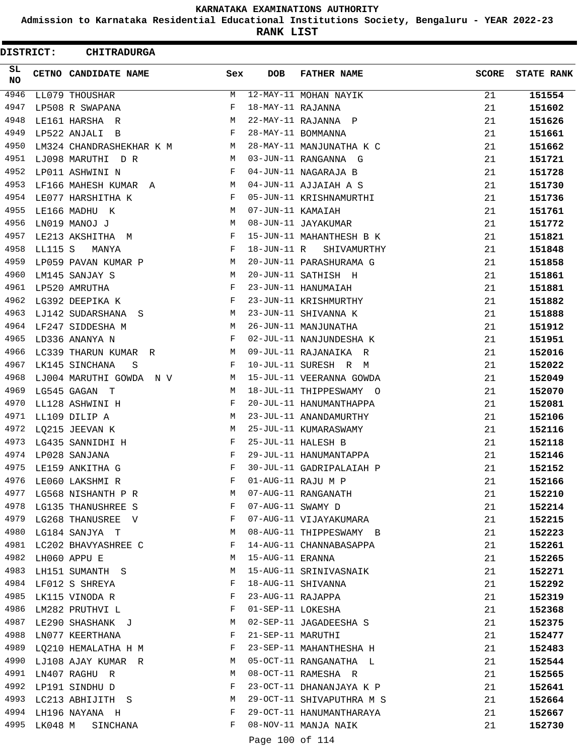**Admission to Karnataka Residential Educational Institutions Society, Bengaluru - YEAR 2022-23**

**RANK LIST**

 $\blacksquare$ 

| <b>DISTRICT:</b> |              | <b>CHITRADURGA</b>       |     |                   |                           |              |                   |
|------------------|--------------|--------------------------|-----|-------------------|---------------------------|--------------|-------------------|
| SL<br>NO.        |              | CETNO CANDIDATE NAME     | Sex | <b>DOB</b>        | <b>FATHER NAME</b>        | <b>SCORE</b> | <b>STATE RANK</b> |
| 4946             |              | LL079 THOUSHAR           | М   |                   | 12-MAY-11 MOHAN NAYIK     | 21           | 151554            |
| 4947             |              | LP508 R SWAPANA          | F   | 18-MAY-11 RAJANNA |                           | 21           | 151602            |
| 4948             |              | LE161 HARSHA R           | М   |                   | 22-MAY-11 RAJANNA P       | 21           | 151626            |
| 4949             |              | LP522 ANJALI B           | F   |                   | 28-MAY-11 BOMMANNA        | 21           | 151661            |
| 4950             |              | LM324 CHANDRASHEKHAR K M | M   |                   | 28-MAY-11 MANJUNATHA K C  | 21           | 151662            |
| 4951             |              | LJ098 MARUTHI D R        | M   |                   | 03-JUN-11 RANGANNA G      | 21           | 151721            |
| 4952             |              | LP011 ASHWINI N          | F   |                   | 04-JUN-11 NAGARAJA B      | 21           | 151728            |
| 4953             |              | LF166 MAHESH KUMAR A     | M   |                   | 04-JUN-11 AJJAIAH A S     | 21           | 151730            |
| 4954             |              | LE077 HARSHITHA K        | F   |                   | 05-JUN-11 KRISHNAMURTHI   | 21           | 151736            |
| 4955             |              | LE166 MADHU K            | М   | 07-JUN-11 KAMAIAH |                           | 21           | 151761            |
| 4956             |              | LN019 MANOJ J            | М   |                   | 08-JUN-11 JAYAKUMAR       | 21           | 151772            |
| 4957             |              | LE213 AKSHITHA M         | F   |                   | 15-JUN-11 MAHANTHESH B K  | 21           | 151821            |
| 4958             | LL115 S      | MANYA                    | F   | 18-JUN-11 R       | SHIVAMURTHY               | 21           | 151848            |
| 4959             |              | LP059 PAVAN KUMAR P      | M   |                   | 20-JUN-11 PARASHURAMA G   | 21           | 151858            |
| 4960             |              | LM145 SANJAY S           | М   |                   | 20-JUN-11 SATHISH H       | 21           | 151861            |
| 4961             |              | LP520 AMRUTHA            | F   |                   | 23-JUN-11 HANUMAIAH       | 21           | 151881            |
| 4962             |              | LG392 DEEPIKA K          | F   |                   | 23-JUN-11 KRISHMURTHY     | 21           | 151882            |
| 4963             |              | LJ142 SUDARSHANA S       | М   |                   | 23-JUN-11 SHIVANNA K      | 21           | 151888            |
| 4964             |              | LF247 SIDDESHA M         | М   |                   | 26-JUN-11 MANJUNATHA      | 21           | 151912            |
| 4965             |              | LD336 ANANYA N           | F   |                   | 02-JUL-11 NANJUNDESHA K   | 21           | 151951            |
| 4966             |              | LC339 THARUN KUMAR R     | М   |                   | 09-JUL-11 RAJANAIKA R     | 21           | 152016            |
| 4967             |              | LK145 SINCHANA<br>S      | F   |                   | 10-JUL-11 SURESH R M      | 21           | 152022            |
| 4968             |              | LJ004 MARUTHI GOWDA N V  | M   |                   | 15-JUL-11 VEERANNA GOWDA  | 21           | 152049            |
| 4969             |              | LG545 GAGAN T            | М   |                   | 18-JUL-11 THIPPESWAMY O   | 21           | 152070            |
| 4970             |              | LL128 ASHWINI H          | F   |                   | 20-JUL-11 HANUMANTHAPPA   | 21           | 152081            |
| 4971             |              | LL109 DILIP A            | М   |                   | 23-JUL-11 ANANDAMURTHY    | 21           | 152106            |
| 4972             |              | LQ215 JEEVAN K           | М   |                   | 25-JUL-11 KUMARASWAMY     | 21           | 152116            |
| 4973             |              | LG435 SANNIDHI H         | F   |                   | 25-JUL-11 HALESH B        | 21           | 152118            |
| 4974             |              | LP028 SANJANA            | F   |                   | 29-JUL-11 HANUMANTAPPA    | 21           | 152146            |
| 4975             |              | LE159 ANKITHA G          | F   |                   | 30-JUL-11 GADRIPALAIAH P  | 21           | 152152            |
| 4976             |              | LE060 LAKSHMI R          | F   |                   | 01-AUG-11 RAJU M P        | 21           | 152166            |
| 4977             |              | LG568 NISHANTH P R       | M   |                   | 07-AUG-11 RANGANATH       | 21           | 152210            |
|                  |              | 4978 LG135 THANUSHREE S  | F   | 07-AUG-11 SWAMY D |                           | 21           | 152214            |
|                  |              | 4979 LG268 THANUSREE V   | F   |                   | 07-AUG-11 VIJAYAKUMARA    | 21           | 152215            |
| 4980             |              | LG184 SANJYA T           | М   |                   | 08-AUG-11 THIPPESWAMY B   | 21           | 152223            |
| 4981             |              | LC202 BHAVYASHREE C      | F   |                   | 14-AUG-11 CHANNABASAPPA   | 21           | 152261            |
| 4982             |              | LH060 APPU E             | M   | 15-AUG-11 ERANNA  |                           | 21           | 152265            |
| 4983             |              | LH151 SUMANTH S          | M   |                   | 15-AUG-11 SRINIVASNAIK    | 21           | 152271            |
|                  |              | 4984 LF012 S SHREYA      | F   |                   | 18-AUG-11 SHIVANNA        | 21           | 152292            |
| 4985             |              | LK115 VINODA R           | F   | 23-AUG-11 RAJAPPA |                           | 21           | 152319            |
| 4986             |              | LM282 PRUTHVI L          | F   | 01-SEP-11 LOKESHA |                           | 21           | 152368            |
|                  |              | 4987 LE290 SHASHANK J    | М   |                   | 02-SEP-11 JAGADEESHA S    | 21           | 152375            |
|                  |              | 4988 LN077 KEERTHANA     | F   | 21-SEP-11 MARUTHI |                           | 21           | 152477            |
| 4989             |              | LQ210 HEMALATHA H M      | F   |                   | 23-SEP-11 MAHANTHESHA H   | 21           | 152483            |
| 4990             |              | LJ108 AJAY KUMAR R       | M   |                   | 05-OCT-11 RANGANATHA L    | 21           | 152544            |
| 4991             |              | LN407 RAGHU R            | М   |                   | 08-OCT-11 RAMESHA R       | 21           | 152565            |
|                  |              | 4992 LP191 SINDHU D      | F   |                   | 23-OCT-11 DHANANJAYA K P  | 21           | 152641            |
|                  |              | 4993 LC213 ABHIJITH S    | M   |                   | 29-OCT-11 SHIVAPUTHRA M S | 21           | 152664            |
|                  |              | 4994 LH196 NAYANA H      | F   |                   | 29-OCT-11 HANUMANTHARAYA  | 21           | 152667            |
|                  | 4995 LK048 M | SINCHANA                 | F   |                   | 08-NOV-11 MANJA NAIK      | 21           | 152730            |
|                  |              |                          |     |                   |                           |              |                   |

Page 100 of 114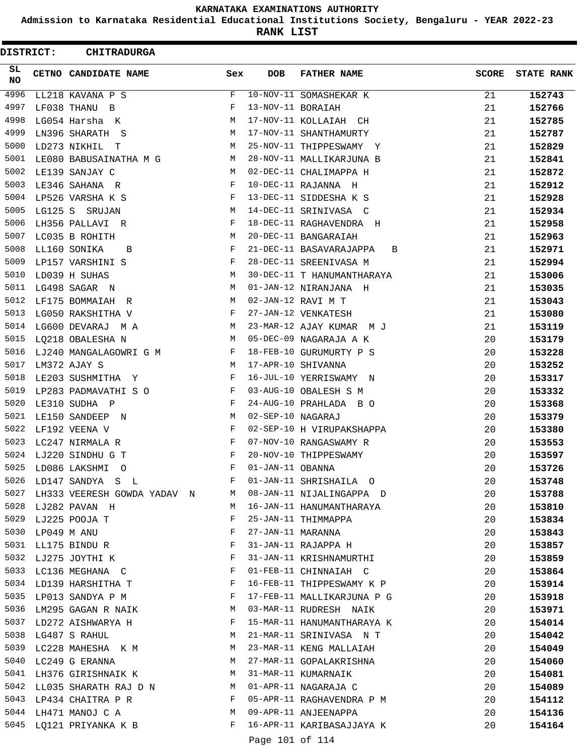**Admission to Karnataka Residential Educational Institutions Society, Bengaluru - YEAR 2022-23**

**RANK LIST**

| <b>DISTRICT:</b> | <b>CHITRADURGA</b>               |             |                   |                              |              |                   |
|------------------|----------------------------------|-------------|-------------------|------------------------------|--------------|-------------------|
| SL.<br><b>NO</b> | CETNO CANDIDATE NAME             | Sex         | <b>DOB</b>        | <b>FATHER NAME</b>           | <b>SCORE</b> | <b>STATE RANK</b> |
| 4996             | LL218 KAVANA P S                 | F           |                   | 10-NOV-11 SOMASHEKAR K       | 21           | 152743            |
| 4997             | LF038 THANU B                    | F           | 13-NOV-11 BORAIAH |                              | 21           | 152766            |
| 4998             | LG054 Harsha K                   | М           |                   | 17-NOV-11 KOLLAIAH CH        | 21           | 152785            |
| 4999             | LN396 SHARATH S                  | М           |                   | 17-NOV-11 SHANTHAMURTY       | 21           | 152787            |
| 5000             | LD273 NIKHIL T                   | М           |                   | 25-NOV-11 THIPPESWAMY Y      | 21           | 152829            |
| 5001             | LE080 BABUSAINATHA M G           | М           |                   | 28-NOV-11 MALLIKARJUNA B     | 21           | 152841            |
| 5002             | LE139 SANJAY C                   | M           |                   | 02-DEC-11 CHALIMAPPA H       | 21           | 152872            |
| 5003             | LE346 SAHANA R                   | F           |                   | 10-DEC-11 RAJANNA H          | 21           | 152912            |
| 5004             | LP526 VARSHA K S                 | F           |                   | 13-DEC-11 SIDDESHA K S       | 21           | 152928            |
| 5005             | LG125 S SRUJAN                   | М           |                   | 14-DEC-11 SRINIVASA C        | 21           | 152934            |
| 5006             | LH356 PALLAVI R                  | F           |                   | 18-DEC-11 RAGHAVENDRA H      | 21           | 152958            |
| 5007             | LC035 B ROHITH                   | М           |                   | 20-DEC-11 BANGARAIAH         | 21           | 152963            |
| 5008             | LL160 SONIKA<br>B                | F           |                   | 21-DEC-11 BASAVARAJAPPA<br>B | 21           | 152971            |
| 5009             | LP157 VARSHINI S                 | F           |                   | 28-DEC-11 SREENIVASA M       | 21           | 152994            |
| 5010             | LD039 H SUHAS                    | М           |                   | 30-DEC-11 T HANUMANTHARAYA   | 21           | 153006            |
| 5011             | LG498 SAGAR N                    | М           |                   | 01-JAN-12 NIRANJANA H        | 21           | 153035            |
| 5012             | LF175 BOMMAIAH R                 | М           |                   | 02-JAN-12 RAVI M T           | 21           | 153043            |
| 5013             | LG050 RAKSHITHA V                | F           |                   | 27-JAN-12 VENKATESH          | 21           | 153080            |
| 5014             | LG600 DEVARAJ MA                 | M           |                   | 23-MAR-12 AJAY KUMAR M J     | 21           | 153119            |
| 5015             | LQ218 OBALESHA N                 | M           |                   | 05-DEC-09 NAGARAJA A K       | 20           | 153179            |
| 5016             | LJ240 MANGALAGOWRI G M           | F           |                   | 18-FEB-10 GURUMURTY P S      | 20           | 153228            |
| 5017             | LM372 AJAY S                     | M           |                   | 17-APR-10 SHIVANNA           | 20           | 153252            |
| 5018             | LE203 SUSHMITHA Y                | F           |                   | 16-JUL-10 YERRISWAMY N       | 20           | 153317            |
| 5019             | LP283 PADMAVATHI S O             | F           |                   | 03-AUG-10 OBALESH S M        | 20           | 153332            |
| 5020             | LE310 SUDHA P                    | F           |                   | 24-AUG-10 PRAHLADA B O       | 20           | 153368            |
| 5021             | LE150 SANDEEP N                  | М           | 02-SEP-10 NAGARAJ |                              | 20           | 153379            |
| 5022             | LF192 VEENA V                    | F           |                   | 02-SEP-10 H VIRUPAKSHAPPA    | 20           | 153380            |
| 5023             | LC247 NIRMALA R                  | F           |                   | 07-NOV-10 RANGASWAMY R       | 20           | 153553            |
| 5024             | LJ220 SINDHU G T                 | F           |                   | 20-NOV-10 THIPPESWAMY        | 20           | 153597            |
| 5025             | LD086 LAKSHMI<br>$\circ$         | F           | 01-JAN-11 OBANNA  |                              | 20           | 153726            |
| 5026             | LD147 SANDYA S L                 | F           |                   | 01-JAN-11 SHRISHAILA O       | 20           | 153748            |
|                  | 5027 LH333 VEERESH GOWDA YADAV N | M           |                   | 08-JAN-11 NIJALINGAPPA D     | 20           | 153788            |
|                  | 5028 LJ282 PAVAN H               | М           |                   | 16-JAN-11 HANUMANTHARAYA     | 20           | 153810            |
|                  | 5029 LJ225 POOJA T               | F           |                   | 25-JAN-11 THIMMAPPA          | 20           | 153834            |
| 5030             | LP049 M ANU                      | F           | 27-JAN-11 MARANNA |                              | 20           | 153843            |
| 5031             | LL175 BINDU R                    | F           |                   | 31-JAN-11 RAJAPPA H          | 20           | 153857            |
| 5032             | LJ275 JOYTHI K                   | F           |                   | 31-JAN-11 KRISHNAMURTHI      | 20           | 153859            |
|                  | 5033 LC136 MEGHANA C             | F           |                   | 01-FEB-11 CHINNAIAH C        | 20           | 153864            |
|                  | 5034 LD139 HARSHITHA T           | F           |                   | 16-FEB-11 THIPPESWAMY K P    | 20           | 153914            |
|                  | 5035 LP013 SANDYA P M            | F           |                   | 17-FEB-11 MALLIKARJUNA P G   | 20           | 153918            |
|                  | 5036 LM295 GAGAN R NAIK          | M           |                   | 03-MAR-11 RUDRESH NAIK       | 20           | 153971            |
|                  | 5037 LD272 AISHWARYA H           | F           |                   | 15-MAR-11 HANUMANTHARAYA K   | 20           | 154014            |
| 5038             | LG487 S RAHUL                    | M           |                   | 21-MAR-11 SRINIVASA N T      | 20           | 154042            |
| 5039             | LC228 MAHESHA K M                | M           |                   | 23-MAR-11 KENG MALLAIAH      | 20           | 154049            |
| 5040             | LC249 G ERANNA                   | M           |                   | 27-MAR-11 GOPALAKRISHNA      | 20           | 154060            |
|                  | 5041 LH376 GIRISHNAIK K          | M           |                   | 31-MAR-11 KUMARNAIK          | 20           | 154081            |
|                  | 5042 LL035 SHARATH RAJ D N       | M           |                   | 01-APR-11 NAGARAJA C         | 20           | 154089            |
|                  | 5043 LP434 CHAITRA P R           | F           |                   | 05-APR-11 RAGHAVENDRA P M    | 20           | 154112            |
|                  | 5044 LH471 MANOJ C A             | $M_{\odot}$ |                   | 09-APR-11 ANJEENAPPA         | 20           | 154136            |
|                  | 5045 LQ121 PRIYANKA K B          | F           |                   | 16-APR-11 KARIBASAJJAYA K    | 20           | 154164            |
|                  |                                  |             | Page 101 of 114   |                              |              |                   |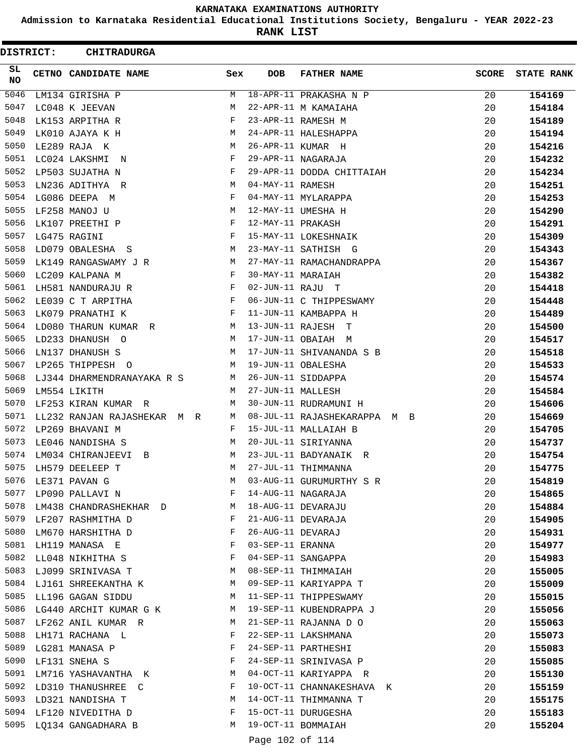**Admission to Karnataka Residential Educational Institutions Society, Bengaluru - YEAR 2022-23**

**RANK LIST**

| <b>DISTRICT:</b> | <b>CHITRADURGA</b>            |     |                   |                              |              |                   |
|------------------|-------------------------------|-----|-------------------|------------------------------|--------------|-------------------|
| SL.<br>NO        | CETNO CANDIDATE NAME          | Sex | <b>DOB</b>        | <b>FATHER NAME</b>           | <b>SCORE</b> | <b>STATE RANK</b> |
| $\frac{1}{5046}$ | LM134 GIRISHA P               | М   |                   | 18-APR-11 PRAKASHA N P       | 20           | 154169            |
| 5047             | LC048 K JEEVAN                | М   |                   | 22-APR-11 M KAMAIAHA         | 20           | 154184            |
| 5048             | LK153 ARPITHA R               | F   |                   | 23-APR-11 RAMESH M           | 20           | 154189            |
| 5049             | LK010 AJAYA K H               | М   |                   | 24-APR-11 HALESHAPPA         | 20           | 154194            |
| 5050             | LE289 RAJA K                  | M   |                   | 26-APR-11 KUMAR H            | 20           | 154216            |
| 5051             | LC024 LAKSHMI N               | F   |                   | 29-APR-11 NAGARAJA           | 20           | 154232            |
| 5052             | LP503 SUJATHA N               | F   |                   | 29-APR-11 DODDA CHITTAIAH    | 20           | 154234            |
| 5053             | LN236 ADITHYA R               | М   | 04-MAY-11 RAMESH  |                              | 20           | 154251            |
| 5054             | LG086 DEEPA M                 | F   |                   | 04-MAY-11 MYLARAPPA          | 20           | 154253            |
| 5055             | LF258 MANOJ U                 | М   |                   | 12-MAY-11 UMESHA H           | 20           | 154290            |
| 5056             | LK107 PREETHI P               | F   | 12-MAY-11 PRAKASH |                              | 20           | 154291            |
| 5057             | LG475 RAGINI                  | F   |                   | 15-MAY-11 LOKESHNAIK         | 20           | 154309            |
| 5058             | LD079 OBALESHA S              | М   |                   | 23-MAY-11 SATHISH G          | 20           | 154343            |
| 5059             | LK149 RANGASWAMY J R          | M   |                   | 27-MAY-11 RAMACHANDRAPPA     | 20           | 154367            |
| 5060             | LC209 KALPANA M               | F   | 30-MAY-11 MARAIAH |                              | 20           | 154382            |
| 5061             | LH581 NANDURAJU R             | F   | 02-JUN-11 RAJU T  |                              | 20           | 154418            |
| 5062             | LE039 C T ARPITHA             | F   |                   | 06-JUN-11 C THIPPESWAMY      | 20           | 154448            |
| 5063             | LK079 PRANATHI K              | F   |                   | 11-JUN-11 KAMBAPPA H         | 20           | 154489            |
| 5064             | LD080 THARUN KUMAR R          | M   |                   | 13-JUN-11 RAJESH T           | 20           | 154500            |
| 5065             | LD233 DHANUSH O               | М   |                   | 17-JUN-11 OBAIAH M           | 20           | 154517            |
| 5066             | LN137 DHANUSH S               | M   |                   | 17-JUN-11 SHIVANANDA S B     | 20           | 154518            |
| 5067             | LP265 THIPPESH O              | M   |                   | 19-JUN-11 OBALESHA           | 20           | 154533            |
| 5068             | LJ344 DHARMENDRANAYAKA R S    | М   |                   | 26-JUN-11 SIDDAPPA           | 20           | 154574            |
| 5069             | LM554 LIKITH                  | М   | 27-JUN-11 MALLESH |                              | 20           | 154584            |
| 5070             | LF253 KIRAN KUMAR R           | М   |                   | 30-JUN-11 RUDRAMUNI H        | 20           | 154606            |
| 5071             | LL232 RANJAN RAJASHEKAR M R   | М   |                   | 08-JUL-11 RAJASHEKARAPPA M B | 20           | 154669            |
| 5072             | LP269 BHAVANI M               | F   |                   | 15-JUL-11 MALLAIAH B         | 20           | 154705            |
| 5073             | LE046 NANDISHA S              | М   |                   | 20-JUL-11 SIRIYANNA          | 20           | 154737            |
| 5074             | LM034 CHIRANJEEVI B           | М   |                   | 23-JUL-11 BADYANAIK R        | 20           | 154754            |
| 5075             | LH579 DEELEEP T               | M   |                   | 27-JUL-11 THIMMANNA          | 20           | 154775            |
| 5076             | LE371 PAVAN G                 | M   |                   | 03-AUG-11 GURUMURTHY S R     | 20           | 154819            |
| 5077             | LP090 PALLAVI N               | F   |                   | 14-AUG-11 NAGARAJA           | 20           | 154865            |
|                  | 5078 LM438 CHANDRASHEKHAR D   | M   |                   | 18-AUG-11 DEVARAJU           | 20           | 154884            |
|                  | 5079 LF207 RASHMITHA D        | F   |                   | 21-AUG-11 DEVARAJA           | 20           | 154905            |
| 5080             | LM670 HARSHITHA D             | F   | 26-AUG-11 DEVARAJ |                              | 20           | 154931            |
| 5081             | LH119 MANASA E                | F   | 03-SEP-11 ERANNA  |                              | 20           | 154977            |
| 5082             | LL048 NIKHITHA S              | F   |                   | 04-SEP-11 SANGAPPA           | 20           | 154983            |
|                  | 5083 LJ099 SRINIVASA T        | M   |                   | 08-SEP-11 THIMMAIAH          | 20           | 155005            |
|                  | 5084 LJ161 SHREEKANTHA K      | M   |                   | 09-SEP-11 KARIYAPPA T        | 20           | 155009            |
| 5085             | LL196 GAGAN SIDDU             | M   |                   | 11-SEP-11 THIPPESWAMY        | 20           | 155015            |
|                  | 5086 LG440 ARCHIT KUMAR G K M |     |                   | 19-SEP-11 KUBENDRAPPA J      | 20           | 155056            |
|                  | 5087 LF262 ANIL KUMAR R       | M   |                   | 21-SEP-11 RAJANNA D O        | 20           | 155063            |
| 5088             | LH171 RACHANA L               | F   |                   | 22-SEP-11 LAKSHMANA          | 20           | 155073            |
| 5089             | LG281 MANASA P                | F   |                   | 24-SEP-11 PARTHESHI          | 20           | 155083            |
| 5090             | LF131 SNEHA S                 | F   |                   | 24-SEP-11 SRINIVASA P        | 20           | 155085            |
| 5091             | LM716 YASHAVANTHA K           | M   |                   | 04-OCT-11 KARIYAPPA R        | 20           | 155130            |
|                  | 5092 LD310 THANUSHREE C       | F   |                   | 10-OCT-11 CHANNAKESHAVA K    | 20           | 155159            |
|                  | 5093 LD321 NANDISHA T         | M   |                   | 14-OCT-11 THIMMANNA T        | 20           | 155175            |
|                  | 5094 LF120 NIVEDITHA D        | F   |                   | 15-OCT-11 DURUGESHA          | 20           | 155183            |
|                  | 5095 LQ134 GANGADHARA B       | М   |                   | 19-OCT-11 BOMMAIAH           | 20           | 155204            |
|                  |                               |     | Page 102 of 114   |                              |              |                   |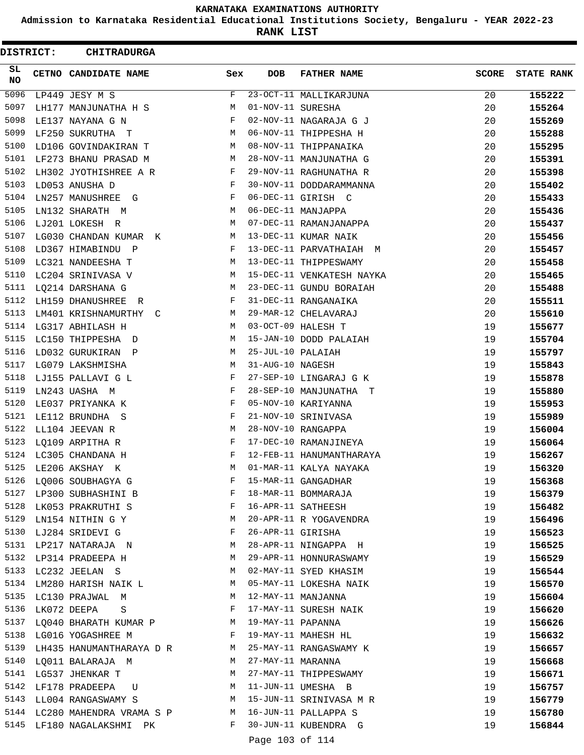**Admission to Karnataka Residential Educational Institutions Society, Bengaluru - YEAR 2022-23**

**RANK LIST**

|          | <b>DISTRICT:</b> | <b>CHITRADURGA</b>              |                                                                                                                |                   |                           |              |                   |
|----------|------------------|---------------------------------|----------------------------------------------------------------------------------------------------------------|-------------------|---------------------------|--------------|-------------------|
| SL<br>NO |                  | CETNO CANDIDATE NAME            | Sex                                                                                                            | <b>DOB</b>        | <b>FATHER NAME</b>        | <b>SCORE</b> | <b>STATE RANK</b> |
| 5096     |                  | LP449 JESY M S                  | F                                                                                                              |                   | 23-OCT-11 MALLIKARJUNA    | 20           | 155222            |
| 5097     |                  | LH177 MANJUNATHA H S            | М                                                                                                              | 01-NOV-11 SURESHA |                           | 20           | 155264            |
| 5098     |                  | LE137 NAYANA G N                | F                                                                                                              |                   | 02-NOV-11 NAGARAJA G J    | 20           | 155269            |
| 5099     |                  | LF250 SUKRUTHA T                | М                                                                                                              |                   | 06-NOV-11 THIPPESHA H     | 20           | 155288            |
| 5100     |                  | LD106 GOVINDAKIRAN T            | М                                                                                                              |                   | 08-NOV-11 THIPPANAIKA     | 20           | 155295            |
| 5101     |                  | LF273 BHANU PRASAD M            | М                                                                                                              |                   | 28-NOV-11 MANJUNATHA G    | 20           | 155391            |
| 5102     |                  | LH302 JYOTHISHREE A R           | F                                                                                                              |                   | 29-NOV-11 RAGHUNATHA R    | 20           | 155398            |
| 5103     |                  | LD053 ANUSHA D                  | F                                                                                                              |                   | 30-NOV-11 DODDARAMMANNA   | 20           | 155402            |
| 5104     |                  | LN257 MANUSHREE<br>G            | F                                                                                                              |                   | 06-DEC-11 GIRISH C        | 20           | 155433            |
| 5105     |                  | LN132 SHARATH M                 | М                                                                                                              |                   | 06-DEC-11 MANJAPPA        | 20           | 155436            |
| 5106     |                  | LJ201 LOKESH R                  | М                                                                                                              |                   | 07-DEC-11 RAMANJANAPPA    | 20           | 155437            |
| 5107     |                  | LG030 CHANDAN KUMAR K           | М                                                                                                              |                   | 13-DEC-11 KUMAR NAIK      | 20           | 155456            |
| 5108     |                  | LD367 HIMABINDU P               | F                                                                                                              |                   | 13-DEC-11 PARVATHAIAH M   | 20           | 155457            |
| 5109     |                  | LC321 NANDEESHA T               | М                                                                                                              |                   | 13-DEC-11 THIPPESWAMY     | 20           | 155458            |
| 5110     |                  | LC204 SRINIVASA V               | М                                                                                                              |                   | 15-DEC-11 VENKATESH NAYKA | 20           | 155465            |
| 5111     |                  | LQ214 DARSHANA G                | М                                                                                                              |                   | 23-DEC-11 GUNDU BORAIAH   | 20           | 155488            |
| 5112     |                  | LH159 DHANUSHREE<br>R.          | F                                                                                                              |                   | 31-DEC-11 RANGANAIKA      | 20           | 155511            |
| 5113     |                  | LM401 KRISHNAMURTHY<br>C        | М                                                                                                              |                   | 29-MAR-12 CHELAVARAJ      | 20           | 155610            |
| 5114     |                  | LG317 ABHILASH H                | М                                                                                                              |                   | 03-OCT-09 HALESH T        | 19           | 155677            |
| 5115     |                  | LC150 THIPPESHA D               | М                                                                                                              |                   | 15-JAN-10 DODD PALAIAH    | 19           | 155704            |
| 5116     |                  | LD032 GURUKIRAN P               | М                                                                                                              | 25-JUL-10 PALAIAH |                           | 19           | 155797            |
| 5117     |                  | LG079 LAKSHMISHA                | М                                                                                                              | 31-AUG-10 NAGESH  |                           | 19           | 155843            |
| 5118     |                  | LJ155 PALLAVI G L               | F                                                                                                              |                   | 27-SEP-10 LINGARAJ G K    | 19           | 155878            |
| 5119     |                  | LN243 UASHA M                   | F                                                                                                              |                   | 28-SEP-10 MANJUNATHA T    | 19           | 155880            |
| 5120     |                  | LE037 PRIYANKA K                | F                                                                                                              |                   | 05-NOV-10 KARIYANNA       | 19           | 155953            |
| 5121     |                  | LE112 BRUNDHA S                 | F                                                                                                              |                   | 21-NOV-10 SRINIVASA       | 19           | 155989            |
| 5122     |                  | LL104 JEEVAN R                  | М                                                                                                              |                   | 28-NOV-10 RANGAPPA        | 19           | 156004            |
| 5123     |                  | LQ109 ARPITHA R                 | F                                                                                                              |                   | 17-DEC-10 RAMANJINEYA     | 19           | 156064            |
|          |                  | 5124 LC305 CHANDANA H           | F                                                                                                              |                   | 12-FEB-11 HANUMANTHARAYA  | 19           |                   |
| 5125     |                  |                                 | М                                                                                                              |                   | 01-MAR-11 KALYA NAYAKA    |              | 156267            |
| 5126     |                  | LE206 AKSHAY K                  |                                                                                                                |                   |                           | 19           | 156320            |
| 5127     |                  | LQ006 SOUBHAGYA G               | F                                                                                                              |                   | 15-MAR-11 GANGADHAR       | 19           | 156368            |
|          |                  | LP300 SUBHASHINI B              | F                                                                                                              |                   | 18-MAR-11 BOMMARAJA       | 19           | 156379            |
| 5128     |                  | LK053 PRAKRUTHI S               | F                                                                                                              |                   | 16-APR-11 SATHEESH        | 19           | 156482            |
| 5129     |                  | LN154 NITHIN G Y                | M                                                                                                              |                   | 20-APR-11 R YOGAVENDRA    | 19           | 156496            |
|          |                  | 5130 LJ284 SRIDEVI G            | F                                                                                                              | 26-APR-11 GIRISHA |                           | 19           | 156523            |
|          |                  | 5131 LP217 NATARAJA N           | M                                                                                                              |                   | 28-APR-11 NINGAPPA H      | 19           | 156525            |
| 5132     |                  | LP314 PRADEEPA H                | M                                                                                                              |                   | 29-APR-11 HONNURASWAMY    | 19           | 156529            |
| 5133     |                  | LC232 JEELAN S                  | M                                                                                                              |                   | 02-MAY-11 SYED KHASIM     | 19           | 156544            |
| 5134     |                  | LM280 HARISH NAIK L             | M                                                                                                              |                   | 05-MAY-11 LOKESHA NAIK    | 19           | 156570            |
| 5135     |                  | LC130 PRAJWAL M                 | M                                                                                                              |                   | 12-MAY-11 MANJANNA        | 19           | 156604            |
| 5136     |                  | LK072 DEEPA<br>S                | F                                                                                                              |                   | 17-MAY-11 SURESH NAIK     | 19           | 156620            |
| 5137     |                  | LQ040 BHARATH KUMAR P           | M                                                                                                              | 19-MAY-11 PAPANNA |                           | 19           | 156626            |
|          |                  | 5138 LG016 YOGASHREE M          | in the state of the state of the state of the state of the state of the state of the state of the state of the |                   | 19-MAY-11 MAHESH HL       | 19           | 156632            |
|          |                  | 5139 LH435 HANUMANTHARAYA D R M |                                                                                                                |                   | 25-MAY-11 RANGASWAMY K    | 19           | 156657            |
| 5140     |                  | LQ011 BALARAJA M                | M                                                                                                              | 27-MAY-11 MARANNA |                           | 19           | 156668            |
| 5141     |                  | LG537 JHENKAR T                 | M                                                                                                              |                   | 27-MAY-11 THIPPESWAMY     | 19           | 156671            |
| 5142     |                  | LF178 PRADEEPA U                | M                                                                                                              |                   | 11-JUN-11 UMESHA B        | 19           | 156757            |
| 5143     |                  | LL004 RANGASWAMY S              | M                                                                                                              |                   | 15-JUN-11 SRINIVASA M R   | 19           | 156779            |
|          |                  | 5144 LC280 MAHENDRA VRAMA S P   | M                                                                                                              |                   | 16-JUN-11 PALLAPPA S      | 19           | 156780            |
| 5145     |                  | LF180 NAGALAKSHMI PK            | F                                                                                                              |                   | 30-JUN-11 KUBENDRA G      | 19           | 156844            |
|          |                  |                                 |                                                                                                                | Page 103 of 114   |                           |              |                   |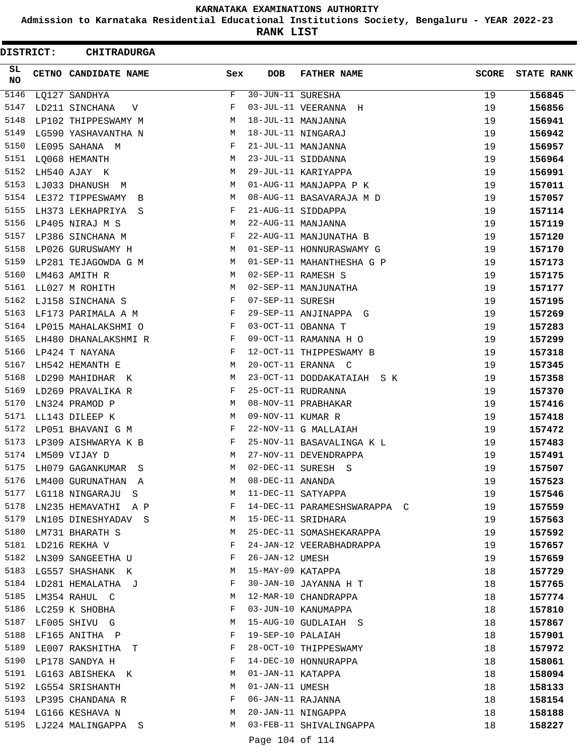**Admission to Karnataka Residential Educational Institutions Society, Bengaluru - YEAR 2022-23**

**RANK LIST**

| DISTRICT: | <b>CHITRADURGA</b>     |     |                   |                              |              |                   |
|-----------|------------------------|-----|-------------------|------------------------------|--------------|-------------------|
| SL<br>NO  | CETNO CANDIDATE NAME   | Sex | <b>DOB</b>        | <b>FATHER NAME</b>           | <b>SCORE</b> | <b>STATE RANK</b> |
| 5146      | LQ127 SANDHYA          | F   | 30-JUN-11 SURESHA |                              | 19           | 156845            |
| 5147      | LD211 SINCHANA<br>V    | F   |                   | 03-JUL-11 VEERANNA H         | 19           | 156856            |
| 5148      | LP102 THIPPESWAMY M    | М   |                   | 18-JUL-11 MANJANNA           | 19           | 156941            |
| 5149      | LG590 YASHAVANTHA N    | М   |                   | 18-JUL-11 NINGARAJ           | 19           | 156942            |
| 5150      | LE095 SAHANA M         | F   |                   | 21-JUL-11 MANJANNA           | 19           | 156957            |
| 5151      | LQ068 HEMANTH          | М   |                   | 23-JUL-11 SIDDANNA           | 19           | 156964            |
| 5152      | LH540 AJAY K           | М   |                   | 29-JUL-11 KARIYAPPA          | 19           | 156991            |
| 5153      | LJ033 DHANUSH M        | М   |                   | 01-AUG-11 MANJAPPA P K       | 19           | 157011            |
| 5154      | LE372 TIPPESWAMY B     | М   |                   | 08-AUG-11 BASAVARAJA M D     | 19           | 157057            |
| 5155      | LH373 LEKHAPRIYA S     | F   |                   | 21-AUG-11 SIDDAPPA           | 19           | 157114            |
| 5156      | LP405 NIRAJ M S        | М   |                   | 22-AUG-11 MANJANNA           | 19           | 157119            |
| 5157      | LP386 SINCHANA M       | F   |                   | 22-AUG-11 MANJUNATHA B       | 19           | 157120            |
| 5158      | LP026 GURUSWAMY H      | M   |                   | 01-SEP-11 HONNURASWAMY G     | 19           | 157170            |
| 5159      | LP281 TEJAGOWDA G M    | M   |                   | 01-SEP-11 MAHANTHESHA G P    | 19           | 157173            |
| 5160      | LM463 AMITH R          | М   |                   | 02-SEP-11 RAMESH S           | 19           | 157175            |
| 5161      | LL027 M ROHITH         | М   |                   | 02-SEP-11 MANJUNATHA         | 19           | 157177            |
| 5162      | LJ158 SINCHANA S       | F   | 07-SEP-11 SURESH  |                              | 19           | 157195            |
| 5163      | LF173 PARIMALA A M     | F   |                   | 29-SEP-11 ANJINAPPA G        | 19           | 157269            |
| 5164      | LP015 MAHALAKSHMI O    | F   |                   | 03-OCT-11 OBANNA T           | 19           | 157283            |
| 5165      | LH480 DHANALAKSHMI R   | F   |                   | 09-OCT-11 RAMANNA H O        | 19           | 157299            |
| 5166      | LP424 T NAYANA         | F   |                   | 12-OCT-11 THIPPESWAMY B      | 19           | 157318            |
| 5167      | LH542 HEMANTH E        | М   |                   | 20-OCT-11 ERANNA C           | 19           | 157345            |
| 5168      | LD290 MAHIDHAR K       | М   |                   | 23-OCT-11 DODDAKATAIAH S K   | 19           | 157358            |
| 5169      | LD269 PRAVALIKA R      | F   |                   | 25-OCT-11 RUDRANNA           | 19           | 157370            |
| 5170      | LN324 PRAMOD P         | М   |                   | 08-NOV-11 PRABHAKAR          | 19           | 157416            |
| 5171      | LL143 DILEEP K         | М   | 09-NOV-11 KUMAR R |                              | 19           | 157418            |
| 5172      | LP051 BHAVANI G M      | F   |                   | 22-NOV-11 G MALLAIAH         | 19           | 157472            |
| 5173      | LP309 AISHWARYA K B    | F   |                   | 25-NOV-11 BASAVALINGA K L    | 19           | 157483            |
| 5174      | LM509 VIJAY D          | М   |                   | 27-NOV-11 DEVENDRAPPA        | 19           | 157491            |
| 5175      | LH079 GAGANKUMAR S     | М   |                   | 02-DEC-11 SURESH S           | 19           | 157507            |
| 5176      | LM400 GURUNATHAN A     | М   | 08-DEC-11 ANANDA  |                              | 19           | 157523            |
| 5177      | LG118 NINGARAJU S      | M   |                   | 11-DEC-11 SATYAPPA           | 19           | 157546            |
| 5178      | LN235 HEMAVATHI A P    | F   |                   | 14-DEC-11 PARAMESHSWARAPPA C | 19           | 157559            |
| 5179      | LN105 DINESHYADAV S    | M   |                   | 15-DEC-11 SRIDHARA           | 19           | 157563            |
| 5180      | LM731 BHARATH S        | М   |                   | 25-DEC-11 SOMASHEKARAPPA     | 19           | 157592            |
| 5181      | LD216 REKHA V          | F   |                   | 24-JAN-12 VEERABHADRAPPA     | 19           | 157657            |
| 5182      | LN309 SANGEETHA U      | F   | 26-JAN-12 UMESH   |                              | 19           | 157659            |
| 5183      | LG557 SHASHANK K       | M   | 15-MAY-09 KATAPPA |                              | 18           | 157729            |
|           | 5184 LD281 HEMALATHA J | F   |                   | 30-JAN-10 JAYANNA H T        | 18           | 157765            |
| 5185      | LM354 RAHUL C          | M   |                   | 12-MAR-10 CHANDRAPPA         | 18           | 157774            |
| 5186      | LC259 K SHOBHA         | F   |                   | 03-JUN-10 KANUMAPPA          | 18           | 157810            |
| 5187      | LF005 SHIVU G          | М   |                   | 15-AUG-10 GUDLAIAH S         | 18           | 157867            |
| 5188      | LF165 ANITHA P         | F   | 19-SEP-10 PALAIAH |                              | 18           | 157901            |
| 5189      | LE007 RAKSHITHA T      | F   |                   | 28-OCT-10 THIPPESWAMY        | 18           | 157972            |
| 5190      | LP178 SANDYA H         | F   |                   | 14-DEC-10 HONNURAPPA         | 18           | 158061            |
| 5191      | LG163 ABISHEKA K       | М   | 01-JAN-11 KATAPPA |                              | 18           | 158094            |
|           | 5192 LG554 SRISHANTH   | М   | 01-JAN-11 UMESH   |                              | 18           | 158133            |
|           | 5193 LP395 CHANDANA R  | F   | 06-JAN-11 RAJANNA |                              | 18           | 158154            |
|           | 5194 LG166 KESHAVA N   | M   |                   | 20-JAN-11 NINGAPPA           | 18           | 158188            |
| 5195      | LJ224 MALINGAPPA S     | М   |                   | 03-FEB-11 SHIVALINGAPPA      | 18           | 158227            |
|           |                        |     | Page 104 of 114   |                              |              |                   |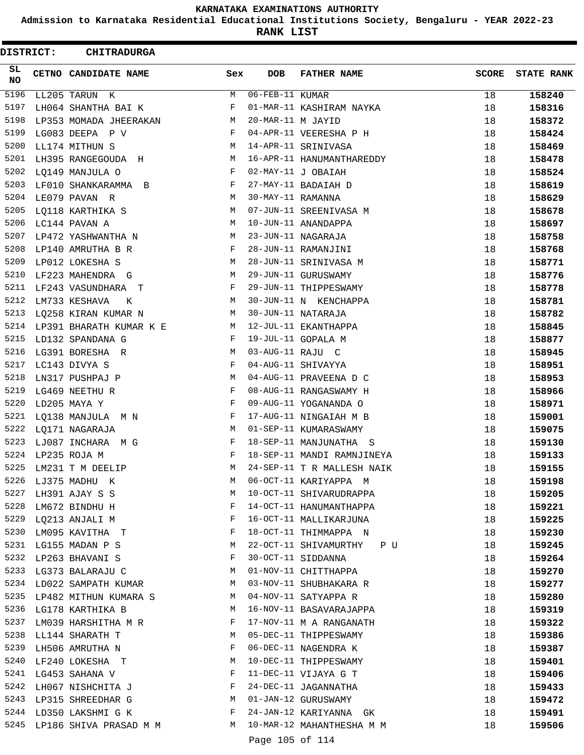**Admission to Karnataka Residential Educational Institutions Society, Bengaluru - YEAR 2022-23**

**RANK LIST**

| <b>DISTRICT:</b> | <b>CHITRADURGA</b>               |            |                   |                            |              |                   |
|------------------|----------------------------------|------------|-------------------|----------------------------|--------------|-------------------|
| SL<br><b>NO</b>  | CETNO CANDIDATE NAME             | Sex        | <b>DOB</b>        | <b>FATHER NAME</b>         | <b>SCORE</b> | <b>STATE RANK</b> |
| 5196             | LL205 TARUN K                    | M          | 06-FEB-11 KUMAR   |                            | 18           | 158240            |
| 5197             | LH064 SHANTHA BAI K              | F          |                   | 01-MAR-11 KASHIRAM NAYKA   | 18           | 158316            |
| 5198             | LP353 MOMADA JHEERAKAN           | М          | 20-MAR-11 M JAYID |                            | 18           | 158372            |
| 5199             | LG083 DEEPA P V                  | F          |                   | 04-APR-11 VEERESHA P H     | 18           | 158424            |
| 5200             | LL174 MITHUN S                   | M          |                   | 14-APR-11 SRINIVASA        | 18           | 158469            |
| 5201             | LH395 RANGEGOUDA H               | M          |                   | 16-APR-11 HANUMANTHAREDDY  | 18           | 158478            |
| 5202             | LQ149 MANJULA O                  | F          |                   | 02-MAY-11 J OBAIAH         | 18           | 158524            |
| 5203             | LF010 SHANKARAMMA B              | F          |                   | 27-MAY-11 BADAIAH D        | 18           | 158619            |
| 5204             | LE079 PAVAN R                    | М          | 30-MAY-11 RAMANNA |                            | 18           | 158629            |
| 5205             | LQ118 KARTHIKA S                 | М          |                   | 07-JUN-11 SREENIVASA M     | 18           | 158678            |
| 5206             | LC144 PAVAN A                    | М          |                   | 10-JUN-11 ANANDAPPA        | 18           | 158697            |
| 5207             | LP472 YASHWANTHA N               | M          |                   | 23-JUN-11 NAGARAJA         | 18           | 158758            |
| 5208             | LP140 AMRUTHA B R                | F          |                   | 28-JUN-11 RAMANJINI        | 18           | 158768            |
| 5209             | LP012 LOKESHA S                  | M          |                   | 28-JUN-11 SRINIVASA M      | 18           | 158771            |
| 5210             | LF223 MAHENDRA G                 | M          |                   | 29-JUN-11 GURUSWAMY        | 18           | 158776            |
| 5211             | LF243 VASUNDHARA T               | F          |                   | 29-JUN-11 THIPPESWAMY      | 18           | 158778            |
| 5212             | LM733 KESHAVA<br>K               | M          |                   | 30-JUN-11 N KENCHAPPA      | 18           | 158781            |
| 5213             | LQ258 KIRAN KUMAR N              | М          |                   | 30-JUN-11 NATARAJA         | 18           | 158782            |
| 5214             | LP391 BHARATH KUMAR K E          | M          |                   | 12-JUL-11 EKANTHAPPA       | 18           | 158845            |
| 5215             | LD132 SPANDANA G                 | F          |                   | 19-JUL-11 GOPALA M         | 18           | 158877            |
| 5216             | LG391 BORESHA R                  | М          | 03-AUG-11 RAJU C  |                            | 18           | 158945            |
| 5217             | LC143 DIVYA S                    | F          |                   | 04-AUG-11 SHIVAYYA         | 18           | 158951            |
| 5218             | LN317 PUSHPAJ P                  | М          |                   | 04-AUG-11 PRAVEENA D C     | 18           | 158953            |
| 5219             | LG469 NEETHU R                   | F          |                   | 08-AUG-11 RANGASWAMY H     | 18           | 158966            |
| 5220             | LD205 MAYA Y                     | F          |                   | 09-AUG-11 YOGANANDA O      | 18           | 158971            |
| 5221             | LQ138 MANJULA M N                | F          |                   | 17-AUG-11 NINGAIAH M B     | 18           | 159001            |
| 5222             | LO171 NAGARAJA                   | M          |                   | 01-SEP-11 KUMARASWAMY      | 18           | 159075            |
| 5223             | LJ087 INCHARA M G                | F          |                   | 18-SEP-11 MANJUNATHA S     | 18           | 159130            |
| 5224             | LP235 ROJA M                     | F          |                   | 18-SEP-11 MANDI RAMNJINEYA | 18           | 159133            |
| 5225             | LM231 T M DEELIP                 | M          |                   | 24-SEP-11 T R MALLESH NAIK | 18           | 159155            |
| 5226             | LJ375 MADHU K                    | М          |                   | 06-OCT-11 KARIYAPPA M      | 18           | 159198            |
| 5227             |                                  | М          |                   | 10-OCT-11 SHIVARUDRAPPA    | 18           |                   |
| 5228             | LH391 AJAY S S<br>LM672 BINDHU H | F          |                   | 14-OCT-11 HANUMANTHAPPA    |              | 159205            |
| 5229             |                                  | F          |                   |                            | 18           | 159221            |
|                  | LQ213 ANJALI M                   |            |                   | 16-OCT-11 MALLIKARJUNA     | 18           | 159225            |
|                  | 5230 LM095 KAVITHA T             | F          |                   | 18-OCT-11 THIMMAPPA N      | 18           | 159230            |
| 5231             | LG155 MADAN P S                  | M          |                   | 22-OCT-11 SHIVAMURTHY PU   | 18           | 159245            |
| 5232             | LP263 BHAVANI S                  | F          |                   | 30-OCT-11 SIDDANNA         | 18           | 159264            |
| 5233             | LG373 BALARAJU C                 | М          |                   | 01-NOV-11 CHITTHAPPA       | 18           | 159270            |
|                  | 5234 LD022 SAMPATH KUMAR         | M          |                   | 03-NOV-11 SHUBHAKARA R     | 18           | 159277            |
|                  | 5235 LP482 MITHUN KUMARA S       | M          |                   | 04-NOV-11 SATYAPPA R       | 18           | 159280            |
| 5236             | LG178 KARTHIKA B                 | M          |                   | 16-NOV-11 BASAVARAJAPPA    | 18           | 159319            |
| 5237             | LM039 HARSHITHA M R              | F          |                   | 17-NOV-11 M A RANGANATH    | 18           | 159322            |
|                  | 5238 LL144 SHARATH T             | M          |                   | 05-DEC-11 THIPPESWAMY      | 18           | 159386            |
| 5239             | LH506 AMRUTHA N                  | F          |                   | 06-DEC-11 NAGENDRA K       | 18           | 159387            |
| 5240             | LF240 LOKESHA T                  | M          |                   | 10-DEC-11 THIPPESWAMY      | 18           | 159401            |
| 5241             | LG453 SAHANA V                   | F          |                   | 11-DEC-11 VIJAYA G T       | 18           | 159406            |
|                  | 5242 LH067 NISHCHITA J           | $_{\rm F}$ |                   | 24-DEC-11 JAGANNATHA       | 18           | 159433            |
|                  | 5243 LP315 SHREEDHAR G           | <b>N</b>   |                   | 01-JAN-12 GURUSWAMY        | 18           | 159472            |
|                  | 5244 LD350 LAKSHMI G K           | F          |                   | 24-JAN-12 KARIYANNA GK     | 18           | 159491            |
|                  | 5245 LP186 SHIVA PRASAD M M      |            |                   | 10-MAR-12 MAHANTHESHA M M  | 18           | 159506            |
|                  |                                  |            | Page 105 of 114   |                            |              |                   |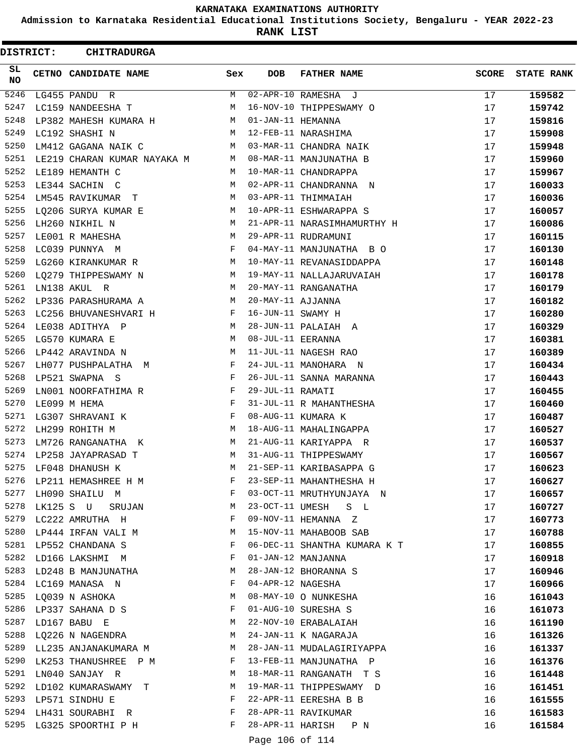**Admission to Karnataka Residential Educational Institutions Society, Bengaluru - YEAR 2022-23**

**RANK LIST**

ı

| <b>DISTRICT:</b> | <b>CHITRADURGA</b>          |     |                   |                              |              |                   |
|------------------|-----------------------------|-----|-------------------|------------------------------|--------------|-------------------|
| SL<br>NO.        | CETNO CANDIDATE NAME        | Sex | <b>DOB</b>        | <b>FATHER NAME</b>           | <b>SCORE</b> | <b>STATE RANK</b> |
| 5246             | LG455 PANDU R               | М   |                   | 02-APR-10 RAMESHA J          | 17           | 159582            |
| 5247             | LC159 NANDEESHA T           | М   |                   | 16-NOV-10 THIPPESWAMY O      | 17           | 159742            |
| 5248             | LP382 MAHESH KUMARA H       | M   | 01-JAN-11 HEMANNA |                              | 17           | 159816            |
| 5249             | LC192 SHASHI N              | M   |                   | 12-FEB-11 NARASHIMA          | 17           | 159908            |
| 5250             | LM412 GAGANA NAIK C         | M   |                   | 03-MAR-11 CHANDRA NAIK       | 17           | 159948            |
| 5251             | LE219 CHARAN KUMAR NAYAKA M | M   |                   | 08-MAR-11 MANJUNATHA B       | 17           | 159960            |
| 5252             | LE189 HEMANTH C             | M   |                   | 10-MAR-11 CHANDRAPPA         | 17           | 159967            |
| 5253             | LE344 SACHIN C              | М   |                   | 02-APR-11 CHANDRANNA N       | 17           | 160033            |
| 5254             | LM545 RAVIKUMAR T           | M   |                   | 03-APR-11 THIMMAIAH          | 17           | 160036            |
| 5255             | LQ206 SURYA KUMAR E         | M   |                   | 10-APR-11 ESHWARAPPA S       | 17           | 160057            |
| 5256             | LH260 NIKHIL N              | M   |                   | 21-APR-11 NARASIMHAMURTHY H  | 17           | 160086            |
| 5257             | LE001 R MAHESHA             | M   |                   | 29-APR-11 RUDRAMUNI          | 17           | 160115            |
| 5258             | LC039 PUNNYA M              | F   |                   | 04-MAY-11 MANJUNATHA B O     | 17           | 160130            |
| 5259             | LG260 KIRANKUMAR R          | M   |                   | 10-MAY-11 REVANASIDDAPPA     | 17           | 160148            |
| 5260             | LO279 THIPPESWAMY N         | M   |                   | 19-MAY-11 NALLAJARUVAIAH     | 17           | 160178            |
| 5261             | LN138 AKUL R                | M   |                   | 20-MAY-11 RANGANATHA         | 17           | 160179            |
| 5262             | LP336 PARASHURAMA A         | M   | 20-MAY-11 AJJANNA |                              | 17           | 160182            |
| 5263             | LC256 BHUVANESHVARI H       | F   | 16-JUN-11 SWAMY H |                              | 17           | 160280            |
| 5264             | LE038 ADITHYA P             | M   |                   | 28-JUN-11 PALAIAH A          | 17           | 160329            |
| 5265             | LG570 KUMARA E              | M   | 08-JUL-11 EERANNA |                              | 17           | 160381            |
| 5266             | LP442 ARAVINDA N            | M   |                   | 11-JUL-11 NAGESH RAO         | 17           | 160389            |
| 5267             | LH077 PUSHPALATHA M         | F   |                   | 24-JUL-11 MANOHARA N         | 17           | 160434            |
| 5268             | LP521 SWAPNA S              | F   |                   | 26-JUL-11 SANNA MARANNA      | 17           | 160443            |
| 5269             | LN001 NOORFATHIMA R         | F   | 29-JUL-11 RAMATI  |                              | 17           | 160455            |
| 5270             | LE099 M HEMA                | F   |                   | 31-JUL-11 R MAHANTHESHA      | 17           | 160460            |
| 5271             | LG307 SHRAVANI K            | F   |                   | 08-AUG-11 KUMARA K           | 17           | 160487            |
| 5272             | LH299 ROHITH M              | М   |                   | 18-AUG-11 MAHALINGAPPA       | 17           | 160527            |
| 5273             | LM726 RANGANATHA K          | М   |                   | 21-AUG-11 KARIYAPPA R        | 17           | 160537            |
| 5274             | LP258 JAYAPRASAD T          | М   |                   | 31-AUG-11 THIPPESWAMY        | 17           | 160567            |
| 5275             | LF048 DHANUSH K             | М   |                   | 21-SEP-11 KARIBASAPPA G      | 17           | 160623            |
| 5276             | LP211 HEMASHREE H M         | F   |                   | 23-SEP-11 MAHANTHESHA H      | 17           | 160627            |
| 5277             | LH090 SHAILU M              | F   |                   | 03-OCT-11 MRUTHYUNJAYA N     | 17           | 160657            |
| 5278             | LK125 S U<br>SRUJAN         | M   |                   | 23-OCT-11 UMESH S L          | 17           | 160727            |
|                  | 5279 LC222 AMRUTHA H        | F   |                   | 09-NOV-11 HEMANNA Z          | 17           | 160773            |
| 5280             | LP444 IRFAN VALI M          | M   |                   | 15-NOV-11 MAHABOOB SAB       | 17           | 160788            |
| 5281             | LP552 CHANDANA S            | F   |                   | 06-DEC-11 SHANTHA KUMARA K T | 17           | 160855            |
| 5282             | LD166 LAKSHMI M             | F   |                   | 01-JAN-12 MANJANNA           | 17           | 160918            |
|                  | 5283 LD248 B MANJUNATHA     | M   |                   | 28-JAN-12 BHORANNA S         | 17           | 160946            |
|                  | 5284 LC169 MANASA N         | F   | 04-APR-12 NAGESHA |                              | 17           | 160966            |
| 5285             | LQ039 N ASHOKA              | M   |                   | 08-MAY-10 O NUNKESHA         | 16           | 161043            |
|                  | 5286 LP337 SAHANA D S       | F   |                   | 01-AUG-10 SURESHA S          | 16           | 161073            |
|                  | 5287 LD167 BABU E           | M   |                   | 22-NOV-10 ERABALAIAH         | 16           | 161190            |
| 5288             | LQ226 N NAGENDRA            | M   |                   | 24-JAN-11 K NAGARAJA         | 16           | 161326            |
| 5289             | LL235 ANJANAKUMARA M        | M   |                   | 28-JAN-11 MUDALAGIRIYAPPA    | 16           | 161337            |
| 5290             | LK253 THANUSHREE P M        | F   |                   | 13-FEB-11 MANJUNATHA P       | 16           | 161376            |
| 5291             | LN040 SANJAY R              | M   |                   | 18-MAR-11 RANGANATH T S      | 16           | 161448            |
|                  | 5292 LD102 KUMARASWAMY T    | M   |                   | 19-MAR-11 THIPPESWAMY D      | 16           | 161451            |
|                  | 5293 LP571 SINDHU E         | F   |                   | 22-APR-11 EERESHA B B        | 16           | 161555            |
|                  | 5294 LH431 SOURABHI R       | F   |                   | 28-APR-11 RAVIKUMAR          | 16           | 161583            |
|                  | 5295 LG325 SPOORTHI P H     | F   |                   | 28-APR-11 HARISH P N         | 16           | 161584            |
|                  |                             |     | Page 106 of 114   |                              |              |                   |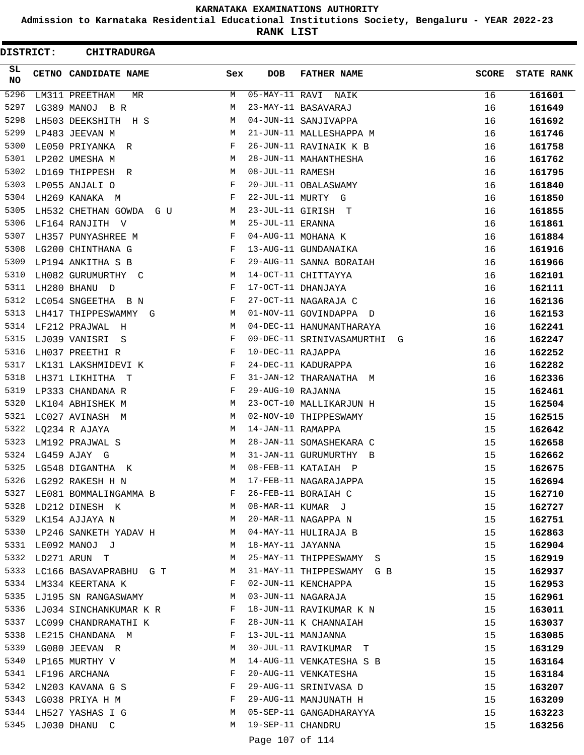**Admission to Karnataka Residential Educational Institutions Society, Bengaluru - YEAR 2022-23**

**RANK LIST**

| DISTRICT: | CHITRADURGA                                                                  |            |                   |                             |              |                   |
|-----------|------------------------------------------------------------------------------|------------|-------------------|-----------------------------|--------------|-------------------|
| SL<br>NO  | CETNO CANDIDATE NAME                                                         | Sex        | <b>DOB</b>        | <b>FATHER NAME</b>          | <b>SCORE</b> | <b>STATE RANK</b> |
| 5296      | LM311 PREETHAM<br>MR                                                         | М          |                   | 05-MAY-11 RAVI NAIK         | 16           | 161601            |
| 5297      | LG389 MANOJ BR                                                               | М          |                   | 23-MAY-11 BASAVARAJ         | 16           | 161649            |
| 5298      | LH503 DEEKSHITH H S                                                          | М          |                   | 04-JUN-11 SANJIVAPPA        | 16           | 161692            |
| 5299      | LP483 JEEVAN M                                                               | М          |                   | 21-JUN-11 MALLESHAPPA M     | 16           | 161746            |
| 5300      | LE050 PRIYANKA<br>R                                                          | F          |                   | 26-JUN-11 RAVINAIK K B      | 16           | 161758            |
| 5301      | LP202 UMESHA M                                                               | М          |                   | 28-JUN-11 MAHANTHESHA       | 16           | 161762            |
| 5302      | LD169 THIPPESH<br>R                                                          | М          | 08-JUL-11 RAMESH  |                             | 16           | 161795            |
| 5303      | LP055 ANJALI O                                                               | $_{\rm F}$ |                   | 20-JUL-11 OBALASWAMY        | 16           | 161840            |
| 5304      | LH269 KANAKA M                                                               | F          |                   | 22-JUL-11 MURTY G           | 16           | 161850            |
| 5305      | LH532 CHETHAN GOWDA<br>G U                                                   | М          |                   | 23-JUL-11 GIRISH T          | 16           | 161855            |
| 5306      | LF164 RANJITH<br>– V                                                         | М          | 25-JUL-11 ERANNA  |                             | 16           | 161861            |
| 5307      | LH357 PUNYASHREE M                                                           | F          |                   | 04-AUG-11 MOHANA K          | 16           | 161884            |
| 5308      | LG200 CHINTHANA G                                                            | F          |                   | 13-AUG-11 GUNDANAIKA        | 16           | 161916            |
| 5309      | LP194 ANKITHA S B                                                            | F          |                   | 29-AUG-11 SANNA BORAIAH     | 16           | 161966            |
| 5310      | LH082 GURUMURTHY C                                                           | М          |                   | 14-OCT-11 CHITTAYYA         | 16           | 162101            |
| 5311      | LH280 BHANU D                                                                | F          |                   | 17-OCT-11 DHANJAYA          | 16           | 162111            |
| 5312      | LC054 SNGEETHA<br>B N                                                        | F          |                   | 27-OCT-11 NAGARAJA C        | 16           | 162136            |
| 5313      | LH417 THIPPESWAMMY<br>G                                                      | М          |                   | 01-NOV-11 GOVINDAPPA D      | 16           | 162153            |
| 5314      | LF212 PRAJWAL<br>H                                                           | М          |                   | 04-DEC-11 HANUMANTHARAYA    | 16           | 162241            |
| 5315      | LJ039 VANISRI<br>S                                                           | F          |                   | 09-DEC-11 SRINIVASAMURTHI G | 16           | 162247            |
| 5316      | LH037 PREETHI R                                                              | $_{\rm F}$ | 10-DEC-11 RAJAPPA |                             | 16           | 162252            |
| 5317      | LK131 LAKSHMIDEVI K                                                          | F          |                   | 24-DEC-11 KADURAPPA         | 16           | 162282            |
| 5318      | LH371 LIKHITHA T                                                             | F          |                   | 31-JAN-12 THARANATHA<br>M   | 16           | 162336            |
| 5319      | LP333 CHANDANA R                                                             | F          | 29-AUG-10 RAJANNA |                             | 15           | 162461            |
| 5320      | LK104 ABHISHEK M                                                             | М          |                   | 23-OCT-10 MALLIKARJUN H     | 15           | 162504            |
| 5321      | LC027 AVINASH M                                                              | М          |                   | 02-NOV-10 THIPPESWAMY       | 15           | 162515            |
| 5322      | LQ234 R AJAYA                                                                | М          | 14-JAN-11 RAMAPPA |                             | 15           | 162642            |
| 5323      | LM192 PRAJWAL S                                                              | М          |                   | 28-JAN-11 SOMASHEKARA C     | 15           | 162658            |
|           | 5324 LG459 AJAY G                                                            | M          |                   | 31-JAN-11 GURUMURTHY B      | 15           | 162662            |
| 5325      | LG548 DIGANTHA K                                                             | М          |                   | 08-FEB-11 KATAIAH P         | 15           | 162675            |
| 5326      | LG292 RAKESH H N                                                             | М          |                   | 17-FEB-11 NAGARAJAPPA       | 15           | 162694            |
| 5327      | $\hbox{\tt LE081}\,\, {\tt BOMMALINGAMMA}\,\, {\tt B} \qquad \qquad {\tt F}$ |            |                   | 26-FEB-11 BORAIAH C         | 15           | 162710            |
| 5328      | LD212 DINESH K                                                               | M          |                   | 08-MAR-11 KUMAR J           | 15           | 162727            |
| 5329      | LK154 AJJAYA N                                                               | M          |                   | 20-MAR-11 NAGAPPA N         | 15           | 162751            |
| 5330      | LP246 SANKETH YADAV H                                                        | M          |                   | 04-MAY-11 HULIRAJA B        | 15           | 162863            |
| 5331      | LE092 MANOJ J                                                                | M          | 18-MAY-11 JAYANNA |                             | 15           | 162904            |
| 5332      | LD271 ARUN T                                                                 | M          |                   | 25-MAY-11 THIPPESWAMY S     | 15           | 162919            |
| 5333      | LC166 BASAVAPRABHU G T                                                       | M          |                   | 31-MAY-11 THIPPESWAMY G B   | 15           | 162937            |
| 5334      | LM334 KEERTANA K                                                             | F          |                   | 02-JUN-11 KENCHAPPA         | 15           | 162953            |
| 5335      | LJ195 SN RANGASWAMY                                                          | M          |                   | 03-JUN-11 NAGARAJA          | 15           | 162961            |
|           | 5336 LJ034 SINCHANKUMAR K R                                                  | F          |                   | 18-JUN-11 RAVIKUMAR K N     | 15           | 163011            |
| 5337      | LC099 CHANDRAMATHI K                                                         | F          |                   | 28-JUN-11 K CHANNAIAH       | 15           | 163037            |
| 5338      | LE215 CHANDANA M                                                             | F          |                   | 13-JUL-11 MANJANNA          | 15           | 163085            |
| 5339      | LG080 JEEVAN R                                                               | М          |                   | 30-JUL-11 RAVIKUMAR T       | 15           | 163129            |
| 5340      | LP165 MURTHY V                                                               | М          |                   | 14-AUG-11 VENKATESHA S B    | 15           | 163164            |
| 5341      | LF196 ARCHANA                                                                | F          |                   | 20-AUG-11 VENKATESHA        | 15           | 163184            |
| 5342      | LN203 KAVANA G S                                                             | F          |                   | 29-AUG-11 SRINIVASA D       | 15           | 163207            |
| 5343      | LG038 PRIYA H M                                                              | F          |                   | 29-AUG-11 MANJUNATH H       | 15           | 163209            |
| 5344      | LH527 YASHAS I G                                                             | M          |                   | 05-SEP-11 GANGADHARAYYA     | 15           | 163223            |
| 5345      | LJ030 DHANU C                                                                | M          | 19-SEP-11 CHANDRU |                             | 15           | 163256            |
|           |                                                                              |            | Page 107 of 114   |                             |              |                   |
|           |                                                                              |            |                   |                             |              |                   |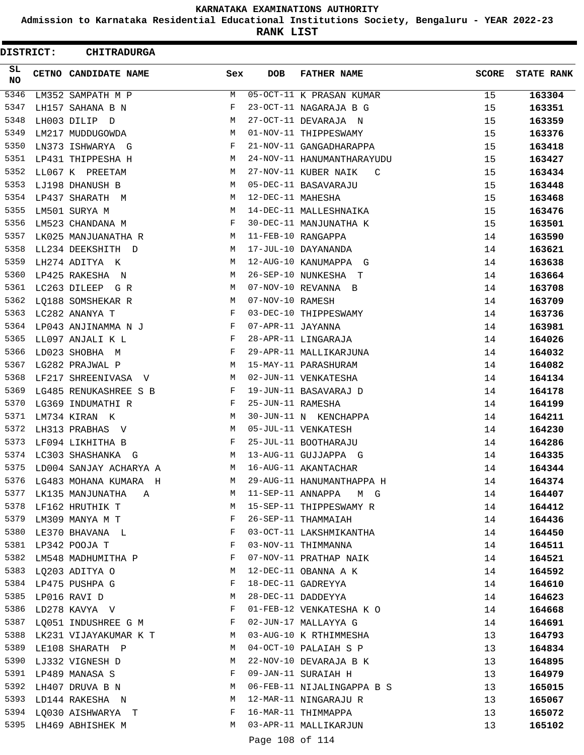**Admission to Karnataka Residential Educational Institutions Society, Bengaluru - YEAR 2022-23**

**RANK LIST**

| DISTRICT:       | <b>CHITRADURGA</b>           |                                        |                   |                            |              |                   |
|-----------------|------------------------------|----------------------------------------|-------------------|----------------------------|--------------|-------------------|
| SL<br><b>NO</b> | CETNO CANDIDATE NAME         | Sex                                    | <b>DOB</b>        | <b>FATHER NAME</b>         | <b>SCORE</b> | <b>STATE RANK</b> |
| 5346            | LM352 SAMPATH M P            | М                                      |                   | 05-OCT-11 K PRASAN KUMAR   | 15           | 163304            |
| 5347            | LH157 SAHANA B N             | F                                      |                   | 23-OCT-11 NAGARAJA B G     | 15           | 163351            |
| 5348            | LH003 DILIP D                | М                                      |                   | 27-OCT-11 DEVARAJA N       | 15           | 163359            |
| 5349            | LM217 MUDDUGOWDA             | М                                      |                   | 01-NOV-11 THIPPESWAMY      | 15           | 163376            |
| 5350            | LN373 ISHWARYA G             | F                                      |                   | 21-NOV-11 GANGADHARAPPA    | 15           | 163418            |
| 5351            | LP431 THIPPESHA H            | M                                      |                   | 24-NOV-11 HANUMANTHARAYUDU | 15           | 163427            |
| 5352            | LL067 K PREETAM              | М                                      |                   | 27-NOV-11 KUBER NAIK<br>C  | 15           | 163434            |
| 5353            | LJ198 DHANUSH B              | М                                      |                   | 05-DEC-11 BASAVARAJU       | 15           | 163448            |
| 5354            | LP437 SHARATH M              | M                                      | 12-DEC-11 MAHESHA |                            | 15           | 163468            |
| 5355            | LM501 SURYA M                | М                                      |                   | 14-DEC-11 MALLESHNAIKA     | 15           | 163476            |
| 5356            | LM523 CHANDANA M             | F                                      |                   | 30-DEC-11 MANJUNATHA K     | 15           | 163501            |
| 5357            | LK025 MANJUANATHA R          | M                                      |                   | 11-FEB-10 RANGAPPA         | 14           | 163590            |
| 5358            | LL234 DEEKSHITH D            | М                                      |                   | 17-JUL-10 DAYANANDA        | 14           | 163621            |
| 5359            | LH274 ADITYA K               | М                                      |                   | 12-AUG-10 KANUMAPPA G      | 14           | 163638            |
| 5360            | LP425 RAKESHA N              | М                                      |                   | 26-SEP-10 NUNKESHA T       | 14           | 163664            |
| 5361            | LC263 DILEEP G R             | М                                      |                   | 07-NOV-10 REVANNA B        | 14           | 163708            |
| 5362            | LQ188 SOMSHEKAR R            | М                                      | 07-NOV-10 RAMESH  |                            | 14           | 163709            |
| 5363            | LC282 ANANYA T               | F                                      |                   | 03-DEC-10 THIPPESWAMY      | 14           | 163736            |
| 5364            | LP043 ANJINAMMA N J          | F                                      | 07-APR-11 JAYANNA |                            | 14           | 163981            |
| 5365            | LL097 ANJALI K L             | F                                      |                   | 28-APR-11 LINGARAJA        | 14           | 164026            |
| 5366            | LD023 SHOBHA M               | F                                      |                   | 29-APR-11 MALLIKARJUNA     | 14           | 164032            |
| 5367            | LG282 PRAJWAL P              | М                                      |                   | 15-MAY-11 PARASHURAM       | 14           | 164082            |
| 5368            | LF217 SHREENIVASA V          | M                                      |                   | 02-JUN-11 VENKATESHA       | 14           | 164134            |
| 5369            | LG485 RENUKASHREE S B        | F                                      |                   | 19-JUN-11 BASAVARAJ D      | 14           | 164178            |
| 5370            | LG369 INDUMATHI R            | F                                      | 25-JUN-11 RAMESHA |                            | 14           | 164199            |
| 5371            | LM734 KIRAN K                | М                                      |                   | 30-JUN-11 N KENCHAPPA      | 14           | 164211            |
| 5372            | LH313 PRABHAS V              | M                                      |                   | 05-JUL-11 VENKATESH        | 14           | 164230            |
| 5373            | LF094 LIKHITHA B             | F                                      |                   | 25-JUL-11 BOOTHARAJU       | 14           | 164286            |
| 5374            | LC303 SHASHANKA G            | М                                      |                   | 13-AUG-11 GUJJAPPA G       | 14           | 164335            |
| 5375            | LD004 SANJAY ACHARYA A       | М                                      |                   | 16-AUG-11 AKANTACHAR       | 14           | 164344            |
| 5376            | LG483 MOHANA KUMARA H        | M                                      |                   | 29-AUG-11 HANUMANTHAPPA H  | 14           | 164374            |
| 5377            | LK135 MANJUNATHA A           | M                                      |                   | 11-SEP-11 ANNAPPA M G      | 14           | 164407            |
|                 | 5378 LF162 HRUTHIK T         | <b>Example 19</b>                      |                   | 15-SEP-11 THIPPESWAMY R    | 14           | 164412            |
|                 | 5379 LM309 MANYA M T         | $\mathbf{F}$ . The set of $\mathbf{F}$ |                   | 26-SEP-11 THAMMAIAH        | 14           | 164436            |
| 5380            | LE370 BHAVANA L              | $\mathbb F$                            |                   | 03-OCT-11 LAKSHMIKANTHA    | 14           | 164450            |
|                 | 5381 LP342 POOJA T           | F                                      |                   | 03-NOV-11 THIMMANNA        | 14           | 164511            |
| 5382            | LM548 MADHUMITHA P           | F                                      |                   | 07-NOV-11 PRATHAP NAIK     | 14           | 164521            |
|                 | 5383 LQ203 ADITYA O          | M                                      |                   | 12-DEC-11 OBANNA A K       | 14           | 164592            |
|                 | 5384 LP475 PUSHPA G          | F                                      |                   | 18-DEC-11 GADREYYA         | 14           | 164610            |
|                 | 5385 LP016 RAVI D            | M                                      |                   | 28-DEC-11 DADDEYYA         | 14           | 164623            |
|                 | 5386 LD278 KAVYA V F         |                                        |                   | 01-FEB-12 VENKATESHA K O   | 14           | 164668            |
|                 | 5387 LQ051 INDUSHREE G M F   |                                        |                   | 02-JUN-17 MALLAYYA G       | 14           | 164691            |
|                 | 5388 LK231 VIJAYAKUMAR K T M |                                        |                   | 03-AUG-10 K RTHIMMESHA     | 13           | 164793            |
|                 | 5389 LE108 SHARATH P         | M                                      |                   | 04-OCT-10 PALAIAH S P      | 13           | 164834            |
| 5390            | LJ332 VIGNESH D              | М                                      |                   | 22-NOV-10 DEVARAJA B K     | 13           | 164895            |
|                 | 5391 LP489 MANASA S          | F                                      |                   | 09-JAN-11 SURAIAH H        | 13           | 164979            |
|                 | 5392 LH407 DRUVA B N         | М                                      |                   | 06-FEB-11 NIJALINGAPPA B S | 13           | 165015            |
|                 | 5393 LD144 RAKESHA N         |                                        |                   | 12-MAR-11 NINGARAJU R      | 13           | 165067            |
|                 | 5394 LQ030 AISHWARYA T       |                                        |                   | 16-MAR-11 THIMMAPPA        | 13           | 165072            |
|                 | 5395 LH469 ABHISHEK M        | M                                      |                   | 03-APR-11 MALLIKARJUN      | 13           | 165102            |
|                 |                              |                                        | Page 108 of 114   |                            |              |                   |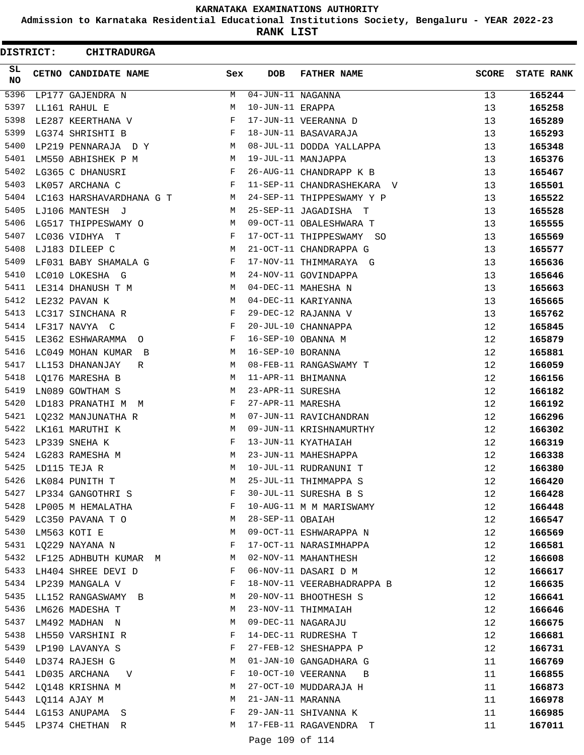**Admission to Karnataka Residential Educational Institutions Society, Bengaluru - YEAR 2022-23**

**RANK LIST**

ı

 $\blacksquare$ 

| <b>DISTRICT:</b> |  | <b>CHITRADURGA</b>       |        |                                 |                            |              |                   |  |  |  |
|------------------|--|--------------------------|--------|---------------------------------|----------------------------|--------------|-------------------|--|--|--|
| SL<br><b>NO</b>  |  | CETNO CANDIDATE NAME     | Sex    | <b>DOB</b>                      | <b>FATHER NAME</b>         | <b>SCORE</b> | <b>STATE RANK</b> |  |  |  |
| 5396             |  | LP177 GAJENDRA N         | M      | $\overline{04}$ -JUN-11 NAGANNA |                            | 13           | 165244            |  |  |  |
| 5397             |  | LL161 RAHUL E            | M      | 10-JUN-11 ERAPPA                |                            | 13           | 165258            |  |  |  |
| 5398             |  | LE287 KEERTHANA V        | F      |                                 | 17-JUN-11 VEERANNA D       | 13           | 165289            |  |  |  |
| 5399             |  | LG374 SHRISHTI B         | F      |                                 | 18-JUN-11 BASAVARAJA       | 13           | 165293            |  |  |  |
| 5400             |  | LP219 PENNARAJA DY       | M      |                                 | 08-JUL-11 DODDA YALLAPPA   | 13           | 165348            |  |  |  |
| 5401             |  | LM550 ABHISHEK P M       | M      |                                 | 19-JUL-11 MANJAPPA         | 13           | 165376            |  |  |  |
| 5402             |  | LG365 C DHANUSRI         | F      |                                 | 26-AUG-11 CHANDRAPP K B    | 13           | 165467            |  |  |  |
| 5403             |  | LK057 ARCHANA C          | F      |                                 | 11-SEP-11 CHANDRASHEKARA V | 13           | 165501            |  |  |  |
| 5404             |  | LC163 HARSHAVARDHANA G T | M      |                                 | 24-SEP-11 THIPPESWAMY Y P  | 13           | 165522            |  |  |  |
| 5405             |  | LJ106 MANTESH J          | M      |                                 | 25-SEP-11 JAGADISHA T      | 13           | 165528            |  |  |  |
| 5406             |  | LG517 THIPPESWAMY O      | M      |                                 | 09-OCT-11 OBALESHWARA T    | 13           | 165555            |  |  |  |
| 5407             |  | LC036 VIDHYA T           | F      |                                 | 17-OCT-11 THIPPESWAMY SO   | 13           | 165569            |  |  |  |
| 5408             |  | LJ183 DILEEP C           | М      |                                 | 21-OCT-11 CHANDRAPPA G     | 13           | 165577            |  |  |  |
| 5409             |  | LF031 BABY SHAMALA G     | F      |                                 | 17-NOV-11 THIMMARAYA G     | 13           | 165636            |  |  |  |
| 5410             |  | LC010 LOKESHA G          | М      |                                 | 24-NOV-11 GOVINDAPPA       | 13           | 165646            |  |  |  |
| 5411             |  | LE314 DHANUSH T M        | M      |                                 | 04-DEC-11 MAHESHA N        | 13           | 165663            |  |  |  |
| 5412             |  | LE232 PAVAN K            | М      |                                 | 04-DEC-11 KARIYANNA        | 13           | 165665            |  |  |  |
| 5413             |  | LC317 SINCHANA R         | F      |                                 | 29-DEC-12 RAJANNA V        | 13           | 165762            |  |  |  |
| 5414             |  | LF317 NAVYA C            | F      |                                 | 20-JUL-10 CHANNAPPA        | 12           | 165845            |  |  |  |
| 5415             |  | LE362 ESHWARAMMA O       | F      |                                 | 16-SEP-10 OBANNA M         | 12           | 165879            |  |  |  |
| 5416             |  | LC049 MOHAN KUMAR B      | M      | 16-SEP-10 BORANNA               |                            | 12           | 165881            |  |  |  |
| 5417             |  | LL153 DHANANJAY<br>R     | M      |                                 | 08-FEB-11 RANGASWAMY T     | 12           | 166059            |  |  |  |
| 5418             |  | LQ176 MARESHA B          | М      |                                 | 11-APR-11 BHIMANNA         | 12           | 166156            |  |  |  |
| 5419             |  | LN089 GOWTHAM S          | M      | 23-APR-11 SURESHA               |                            | 12           | 166182            |  |  |  |
| 5420             |  | LD183 PRANATHI M M       | F      | 27-APR-11 MARESHA               |                            | 12           | 166192            |  |  |  |
| 5421             |  | LQ232 MANJUNATHA R       | М      |                                 | 07-JUN-11 RAVICHANDRAN     | 12           | 166296            |  |  |  |
| 5422             |  | LK161 MARUTHI K          | M      |                                 | 09-JUN-11 KRISHNAMURTHY    | 12           | 166302            |  |  |  |
| 5423             |  | LP339 SNEHA K            | F      |                                 | 13-JUN-11 KYATHAIAH        | 12           | 166319            |  |  |  |
| 5424             |  | LG283 RAMESHA M          | М      |                                 | 23-JUN-11 MAHESHAPPA       | 12           | 166338            |  |  |  |
| 5425             |  | LD115 TEJA R             | M      |                                 | 10-JUL-11 RUDRANUNI T      | 12           | 166380            |  |  |  |
| 5426             |  | LK084 PUNITH T           | М      |                                 | 25-JUL-11 THIMMAPPA S      | 12           | 166420            |  |  |  |
| 5427             |  | LP334 GANGOTHRI S        | F      |                                 | 30-JUL-11 SURESHA B S      | 12           | 166428            |  |  |  |
| 5428             |  | LP005 M HEMALATHA        | F      |                                 | 10-AUG-11 M M MARISWAMY    | 12           | 166448            |  |  |  |
| 5429             |  | LC350 PAVANA T O         | М      | 28-SEP-11 OBAIAH                |                            | 12           | 166547            |  |  |  |
| 5430             |  | LM563 KOTI E             | М      |                                 | 09-OCT-11 ESHWARAPPA N     | 12           | 166569            |  |  |  |
| 5431             |  | LQ229 NAYANA N           | F      |                                 | 17-OCT-11 NARASIMHAPPA     | 12           | 166581            |  |  |  |
| 5432             |  | LF125 ADHBUTH KUMAR M    | M      |                                 | 02-NOV-11 MAHANTHESH       | 12           | 166608            |  |  |  |
|                  |  | 5433 LH404 SHREE DEVI D  | F      |                                 | 06-NOV-11 DASARI D M       | 12           | 166617            |  |  |  |
|                  |  | 5434 LP239 MANGALA V     | F      |                                 | 18-NOV-11 VEERABHADRAPPA B | 12           | 166635            |  |  |  |
| 5435             |  | LL152 RANGASWAMY B       | М      |                                 | 20-NOV-11 BHOOTHESH S      | 12           | 166641            |  |  |  |
| 5436             |  |                          | М      |                                 | 23-NOV-11 THIMMAIAH        | 12           |                   |  |  |  |
| 5437             |  | LM626 MADESHA T          | М      |                                 | 09-DEC-11 NAGARAJU         |              | 166646            |  |  |  |
|                  |  | LM492 MADHAN N           |        |                                 |                            | 12           | 166675            |  |  |  |
| 5438<br>5439     |  | LH550 VARSHINI R         | F<br>F |                                 | 14-DEC-11 RUDRESHA T       | 12           | 166681            |  |  |  |
| 5440             |  | LP190 LAVANYA S          | М      |                                 | 27-FEB-12 SHESHAPPA P      | 12           | 166731            |  |  |  |
|                  |  | LD374 RAJESH G           |        |                                 | 01-JAN-10 GANGADHARA G     | 11           | 166769            |  |  |  |
|                  |  | 5441 LD035 ARCHANA V     | F      |                                 | 10-OCT-10 VEERANNA B       | 11           | 166855            |  |  |  |
|                  |  | 5442 LQ148 KRISHNA M     | М      |                                 | 27-OCT-10 MUDDARAJA H      | 11           | 166873            |  |  |  |
|                  |  | 5443 LQ114 AJAY M        | М      | 21-JAN-11 MARANNA               |                            | 11           | 166978            |  |  |  |
|                  |  | 5444 LG153 ANUPAMA S     | F      |                                 | 29-JAN-11 SHIVANNA K       | 11           | 166985            |  |  |  |
|                  |  | 5445 LP374 CHETHAN R     | M      |                                 | 17-FEB-11 RAGAVENDRA T     | 11           | 167011            |  |  |  |
|                  |  |                          |        | Page 109 of 114                 |                            |              |                   |  |  |  |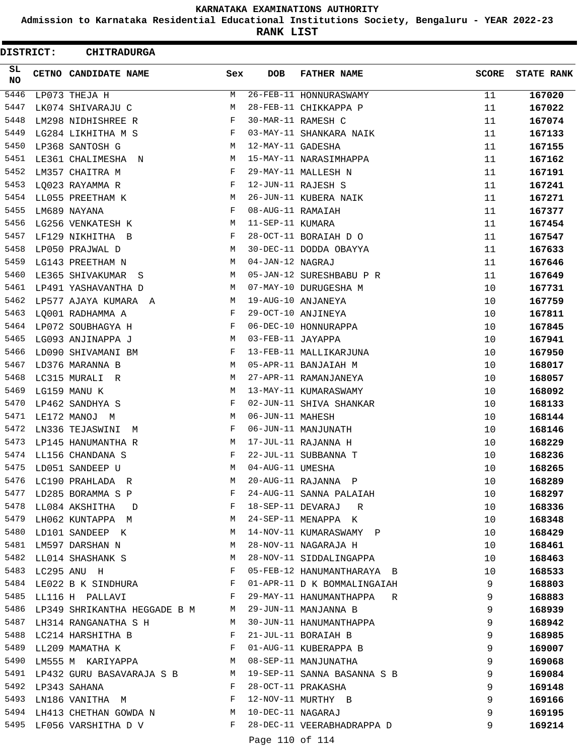**Admission to Karnataka Residential Educational Institutions Society, Bengaluru - YEAR 2022-23**

**RANK LIST**

| DISTRICT: | <b>CHITRADURGA</b>                                                                                                                                                                                                                                            |              |                   |                                                                     |              |                   |
|-----------|---------------------------------------------------------------------------------------------------------------------------------------------------------------------------------------------------------------------------------------------------------------|--------------|-------------------|---------------------------------------------------------------------|--------------|-------------------|
| SL<br>NO  | CETNO CANDIDATE NAME                                                                                                                                                                                                                                          | Sex          | DOB               | <b>FATHER NAME</b>                                                  | <b>SCORE</b> | <b>STATE RANK</b> |
| 5446      | LP073 THEJA H                                                                                                                                                                                                                                                 | M            |                   | 26-FEB-11 HONNURASWAMY                                              | 11           | 167020            |
| 5447      | LK074 SHIVARAJU C                                                                                                                                                                                                                                             | М            |                   | 28-FEB-11 CHIKKAPPA P                                               | 11           | 167022            |
| 5448      | LM298 NIDHISHREE R                                                                                                                                                                                                                                            | F            |                   | 30-MAR-11 RAMESH C                                                  | 11           | 167074            |
| 5449      | LG284 LIKHITHA M S                                                                                                                                                                                                                                            | F            |                   | 03-MAY-11 SHANKARA NAIK                                             | 11           | 167133            |
| 5450      | LP368 SANTOSH G                                                                                                                                                                                                                                               | М            | 12-MAY-11 GADESHA |                                                                     | 11           | 167155            |
| 5451      | LE361 CHALIMESHA N                                                                                                                                                                                                                                            | М            |                   | 15-MAY-11 NARASIMHAPPA                                              | 11           | 167162            |
| 5452      | LM357 CHAITRA M                                                                                                                                                                                                                                               | F            |                   | 29-MAY-11 MALLESH N                                                 | 11           | 167191            |
| 5453      | LQ023 RAYAMMA R                                                                                                                                                                                                                                               | F            |                   | 12-JUN-11 RAJESH S                                                  | 11           | 167241            |
| 5454      | LL055 PREETHAM K                                                                                                                                                                                                                                              | М            |                   | 26-JUN-11 KUBERA NAIK                                               | 11           | 167271            |
| 5455      | LM689 NAYANA                                                                                                                                                                                                                                                  | F            | 08-AUG-11 RAMAIAH |                                                                     | 11           | 167377            |
| 5456      | LG256 VENKATESH K                                                                                                                                                                                                                                             | М            | 11-SEP-11 KUMARA  |                                                                     | 11           | 167454            |
| 5457      | LF129 NIKHITHA B                                                                                                                                                                                                                                              | F            |                   | 28-OCT-11 BORAIAH D O                                               | 11           | 167547            |
| 5458      | LP050 PRAJWAL D                                                                                                                                                                                                                                               | М            |                   | 30-DEC-11 DODDA OBAYYA                                              | 11           | 167633            |
| 5459      | LG143 PREETHAM N                                                                                                                                                                                                                                              | М            | 04-JAN-12 NAGRAJ  |                                                                     | 11           | 167646            |
| 5460      | LE365 SHIVAKUMAR S                                                                                                                                                                                                                                            | М            |                   | 05-JAN-12 SURESHBABU P R                                            | 11           | 167649            |
| 5461      | LP491 YASHAVANTHA D                                                                                                                                                                                                                                           | М            |                   | 07-MAY-10 DURUGESHA M                                               | 10           | 167731            |
| 5462      | LP577 AJAYA KUMARA A                                                                                                                                                                                                                                          | M            |                   | 19-AUG-10 ANJANEYA                                                  | 10           | 167759            |
| 5463      | LO001 RADHAMMA A                                                                                                                                                                                                                                              | F            |                   | 29-OCT-10 ANJINEYA                                                  | 10           | 167811            |
| 5464      | LP072 SOUBHAGYA H                                                                                                                                                                                                                                             | F            |                   | 06-DEC-10 HONNURAPPA                                                | 10           | 167845            |
| 5465      | LG093 ANJINAPPA J                                                                                                                                                                                                                                             | М            | 03-FEB-11 JAYAPPA |                                                                     | 10           | 167941            |
| 5466      | LD090 SHIVAMANI BM                                                                                                                                                                                                                                            | F            |                   | 13-FEB-11 MALLIKARJUNA                                              | 10           | 167950            |
| 5467      | LD376 MARANNA B                                                                                                                                                                                                                                               | М            |                   | 05-APR-11 BANJAIAH M                                                | 10           | 168017            |
| 5468      | LC315 MURALI R                                                                                                                                                                                                                                                | М            |                   | 27-APR-11 RAMANJANEYA                                               | 10           | 168057            |
| 5469      | LG159 MANU K                                                                                                                                                                                                                                                  | М            |                   | 13-MAY-11 KUMARASWAMY                                               | 10           | 168092            |
| 5470      | LP462 SANDHYA S                                                                                                                                                                                                                                               | F            |                   | 02-JUN-11 SHIVA SHANKAR                                             | 10           | 168133            |
| 5471      | LE172 MANOJ M                                                                                                                                                                                                                                                 | М            | 06-JUN-11 MAHESH  |                                                                     | 10           | 168144            |
| 5472      | LN336 TEJASWINI<br>М                                                                                                                                                                                                                                          | F            |                   | 06-JUN-11 MANJUNATH                                                 | 10           | 168146            |
| 5473      | LP145 HANUMANTHA R                                                                                                                                                                                                                                            | М            |                   | 17-JUL-11 RAJANNA H                                                 | 10           | 168229            |
|           | 5474 LL156 CHANDANA S                                                                                                                                                                                                                                         | F            |                   | 22-JUL-11 SUBBANNA T                                                | 10           | 168236            |
| 5475      | LD051 SANDEEP U                                                                                                                                                                                                                                               | М            |                   |                                                                     | 10           | 168265            |
| 5476      | LC190 PRAHLADA R                                                                                                                                                                                                                                              | M            |                   | 04-AUG-11 UMESHA<br>20-AUG-11 RAJANNA P<br>24-AUG-11 SANNA PALAIAH  | 10           | 168289            |
| 5477      | $\mathbf{F}$<br>LD285 BORAMMA S P                                                                                                                                                                                                                             |              |                   |                                                                     | 10           | 168297            |
|           | $\mathbf{F}$ . The set of $\mathbf{F}$<br>5478 LL084 AKSHITHA D                                                                                                                                                                                               |              |                   | 18-SEP-11 DEVARAJ R                                                 | 10           | 168336            |
| 5479      | LH062 KUNTAPPA M<br><b>M</b>                                                                                                                                                                                                                                  |              |                   | 24-SEP-11 MENAPPA K                                                 | 10           | 168348            |
| 5480      | $M_{\rm H}$<br>LD101 SANDEEP K                                                                                                                                                                                                                                |              |                   | 14-NOV-11 KUMARASWAMY P                                             | 10           | 168429            |
|           | M<br>5481 LM597 DARSHAN N                                                                                                                                                                                                                                     |              |                   |                                                                     | 10           | 168461            |
|           | 5482 LL014 SHASHANK S                                                                                                                                                                                                                                         | M            |                   | AUTINUVTII NAGARAJA H<br>28-NOVT11 SIDDALINGAPPA<br>05-FFP 12 ----- | 10           | 168463            |
| 5483      | LC295 ANU H<br>$\mathbf{F}$ and the contract of the contract of $\mathbf{F}$                                                                                                                                                                                  |              |                   | 05-FEB-12 HANUMANTHARAYA B                                          | 10           | 168533            |
| 5484      | LE022 B K SINDHURA F                                                                                                                                                                                                                                          |              |                   | 01-APR-11 D K BOMMALINGAIAH                                         | 9            | 168803            |
|           | $\mathbf{F}$<br>5485 LL116 H PALLAVI                                                                                                                                                                                                                          |              |                   | 29-MAY-11 HANUMANTHAPPA R                                           | 9            | 168883            |
|           | 5486 LP349 SHRIKANTHA HEGGADE B M M                                                                                                                                                                                                                           |              |                   | 29-JUN-11 MANJANNA B                                                | 9            | 168939            |
| 5487      | LH314 RANGANATHA S H                                                                                                                                                                                                                                          | M            |                   | 30-JUN-11 HANUMANTHAPPA                                             | 9            | 168942            |
| 5488      | LC214 HARSHITHA B                                                                                                                                                                                                                                             | $\mathbf{F}$ |                   |                                                                     | 9            | 168985            |
|           | $\mathbf{F}$ and $\mathbf{F}$<br>5489 LL209 MAMATHA K                                                                                                                                                                                                         |              |                   | 21-JUL-11 BORAIAH B<br>01-AUG-11 KUBERAPPA B                        | 9            | 169007            |
| 5490      | LM555 M KARIYAPPA                                                                                                                                                                                                                                             | M            |                   | 08-SEP-11 MANJUNATHA                                                | 9            | 169068            |
| 5491      | LP432 GURU BASAVARAJA S B M                                                                                                                                                                                                                                   |              |                   | 19-SEP-11 SANNA BASANNA S B                                         | 9            | 169084            |
| 5492      | LP343 SAHANA                                                                                                                                                                                                                                                  | $\mathbf{F}$ |                   | 28-OCT-11 PRAKASHA                                                  | 9            | 169148            |
|           | $\mathbb{F}^{\mathbb{Z}}$ . The set of $\mathbb{F}^{\mathbb{Z}}$<br>5493 LN186 VANITHA M                                                                                                                                                                      |              |                   | 12-NOV-11 MURTHY B                                                  | 9            | 169166            |
|           | 5494 LH413 CHETHAN GOWDA N M                                                                                                                                                                                                                                  |              | 10-DEC-11 NAGARAJ |                                                                     | 9            | 169195            |
|           | 5495 LF056 VARSHITHA D V<br>$\mathbf{F}$ . The set of the set of the set of the set of the set of the set of the set of the set of the set of the set of the set of the set of the set of the set of the set of the set of the set of the set of the set of t |              |                   | 28-DEC-11 VEERABHADRAPPA D                                          | 9            | 169214            |
|           |                                                                                                                                                                                                                                                               |              | Page 110 of 114   |                                                                     |              |                   |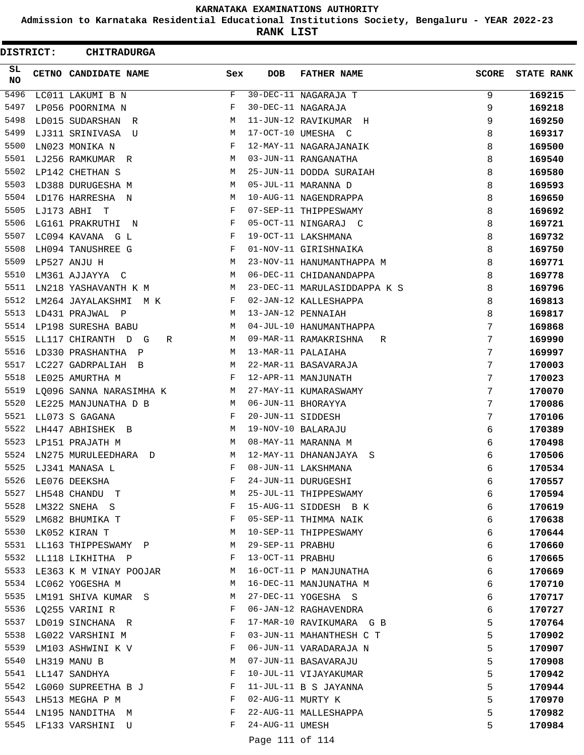**Admission to Karnataka Residential Educational Institutions Society, Bengaluru - YEAR 2022-23**

**RANK LIST**

ı

 $\blacksquare$ 

| <b>DISTRICT:</b> |            | <b>CHITRADURGA</b>             |              |                   |                              |              |                   |  |  |
|------------------|------------|--------------------------------|--------------|-------------------|------------------------------|--------------|-------------------|--|--|
| SL.<br><b>NO</b> |            | CETNO CANDIDATE NAME           | Sex          | <b>DOB</b>        | <b>FATHER NAME</b>           | <b>SCORE</b> | <b>STATE RANK</b> |  |  |
| 5496             |            | LC011 LAKUMI B N               | F            |                   | 30-DEC-11 NAGARAJA T         | 9            | 169215            |  |  |
| 5497             |            | LP056 POORNIMA N               | F            |                   | 30-DEC-11 NAGARAJA           | 9            | 169218            |  |  |
| 5498             |            | LD015 SUDARSHAN R              | М            |                   | 11-JUN-12 RAVIKUMAR H        | 9            | 169250            |  |  |
| 5499             |            | LJ311 SRINIVASA U              | M            |                   | 17-OCT-10 UMESHA C           | 8            | 169317            |  |  |
| 5500             |            | LN023 MONIKA N                 | F            |                   | 12-MAY-11 NAGARAJANAIK       | 8            | 169500            |  |  |
| 5501             |            | LJ256 RAMKUMAR R               | M            |                   | 03-JUN-11 RANGANATHA         | 8            | 169540            |  |  |
| 5502             |            | LP142 CHETHAN S                | M            |                   | 25-JUN-11 DODDA SURAIAH      | 8            | 169580            |  |  |
| 5503             |            | LD388 DURUGESHA M              | M            |                   | 05-JUL-11 MARANNA D          | 8            | 169593            |  |  |
| 5504             |            | LD176 HARRESHA N               | M            |                   | 10-AUG-11 NAGENDRAPPA        | 8            | 169650            |  |  |
| 5505             | LJ173 ABHI | T                              | F            |                   | 07-SEP-11 THIPPESWAMY        | 8            | 169692            |  |  |
| 5506             |            | LG161 PRAKRUTHI<br>$\mathbb N$ | F            |                   | 05-OCT-11 NINGARAJ C         | 8            | 169721            |  |  |
| 5507             |            | LC094 KAVANA G L               | $_{\rm F}$   |                   | 19-OCT-11 LAKSHMANA          | 8            | 169732            |  |  |
| 5508             |            | LH094 TANUSHREE G              | F            |                   | 01-NOV-11 GIRISHNAIKA        | 8            | 169750            |  |  |
| 5509             |            | LP527 ANJU H                   | M            |                   | 23-NOV-11 HANUMANTHAPPA M    | 8            | 169771            |  |  |
| 5510             |            | LM361 AJJAYYA C                | M            |                   | 06-DEC-11 CHIDANANDAPPA      | 8            | 169778            |  |  |
| 5511             |            | LN218 YASHAVANTH K M           | М            |                   | 23-DEC-11 MARULASIDDAPPA K S | 8            | 169796            |  |  |
| 5512             |            | LM264 JAYALAKSHMI<br>M K       | F            |                   | 02-JAN-12 KALLESHAPPA        | 8            | 169813            |  |  |
| 5513             |            | LD431 PRAJWAL P                | M            |                   | 13-JAN-12 PENNAIAH           | 8            | 169817            |  |  |
| 5514             |            | LP198 SURESHA BABU             | M            |                   | 04-JUL-10 HANUMANTHAPPA      | 7            | 169868            |  |  |
| 5515             |            | LL117 CHIRANTH D G<br>R        | M            |                   | 09-MAR-11 RAMAKRISHNA<br>R   | 7            | 169990            |  |  |
| 5516             |            | LD330 PRASHANTHA P             | М            |                   | 13-MAR-11 PALAIAHA           | 7            | 169997            |  |  |
| 5517             |            | LC227 GADRPALIAH B             | M            |                   | 22-MAR-11 BASAVARAJA         | 7            | 170003            |  |  |
| 5518             |            | LE025 AMURTHA M                | F            |                   | 12-APR-11 MANJUNATH          | 7            | 170023            |  |  |
| 5519             |            | LO096 SANNA NARASIMHA K        | M            |                   | 27-MAY-11 KUMARASWAMY        | 7            | 170070            |  |  |
| 5520             |            | LE225 MANJUNATHA D B           | M            |                   | 06-JUN-11 BHORAYYA           | 7            | 170086            |  |  |
| 5521             |            | LL073 S GAGANA                 | $_{\rm F}$   | 20-JUN-11 SIDDESH |                              | 7            | 170106            |  |  |
| 5522             |            | LH447 ABHISHEK B               | М            |                   | 19-NOV-10 BALARAJU           | 6            | 170389            |  |  |
| 5523             |            | LP151 PRAJATH M                | M            |                   | 08-MAY-11 MARANNA M          | 6            | 170498            |  |  |
| 5524             |            | LN275 MURULEEDHARA<br>$\Box$   | M            |                   | 12-MAY-11 DHANANJAYA<br>S    | 6            | 170506            |  |  |
| 5525             |            | LJ341 MANASA L                 | $_{\rm F}$   |                   | 08-JUN-11 LAKSHMANA          | 6            | 170534            |  |  |
| 5526             |            | LE076 DEEKSHA                  | F            |                   | 24-JUN-11 DURUGESHI          | 6            | 170557            |  |  |
| 5527             |            | LH548 CHANDU T                 | М            |                   | 25-JUL-11 THIPPESWAMY        | 6            | 170594            |  |  |
| 5528             |            | LM322 SNEHA S                  | F            |                   | 15-AUG-11 SIDDESH B K        | 6            | 170619            |  |  |
| 5529             |            | LM682 BHUMIKA T                | F            |                   | 05-SEP-11 THIMMA NAIK        | 6            | 170638            |  |  |
| 5530             |            | LK052 KIRAN T                  | М            |                   | 10-SEP-11 THIPPESWAMY        | 6            | 170644            |  |  |
| 5531             |            | LL163 THIPPESWAMY P            | M            | 29-SEP-11 PRABHU  |                              | 6            | 170660            |  |  |
| 5532             |            | LL118 LIKHITHA P               | F            | 13-OCT-11 PRABHU  |                              | 6            | 170665            |  |  |
|                  |            | 5533 LE363 K M VINAY POOJAR    | М            |                   | 16-OCT-11 P MANJUNATHA       | 6            | 170669            |  |  |
|                  |            | 5534 LC062 YOGESHA M           | M            |                   | 16-DEC-11 MANJUNATHA M       | 6            | 170710            |  |  |
| 5535             |            | LM191 SHIVA KUMAR S            | M            |                   | 27-DEC-11 YOGESHA S          | 6            | 170717            |  |  |
| 5536             |            | LQ255 VARINI R                 | $\mathbf{F}$ |                   | 06-JAN-12 RAGHAVENDRA        | 6            | 170727            |  |  |
|                  |            | 5537 LD019 SINCHANA R          | F            |                   | 17-MAR-10 RAVIKUMARA G B     | 5            | 170764            |  |  |
| 5538             |            | LG022 VARSHINI M               | F            |                   | 03-JUN-11 MAHANTHESH C T     | 5            | 170902            |  |  |
| 5539             |            | LM103 ASHWINI K V              | F            |                   | 06-JUN-11 VARADARAJA N       | 5            | 170907            |  |  |
| 5540             |            | LH319 MANU B                   | М            |                   | 07-JUN-11 BASAVARAJU         | 5            | 170908            |  |  |
| 5541             |            | LL147 SANDHYA                  | F            |                   | 10-JUL-11 VIJAYAKUMAR        | 5            | 170942            |  |  |
|                  |            | 5542 LG060 SUPREETHA B J       | F            |                   | 11-JUL-11 B S JAYANNA        | 5            | 170944            |  |  |
| 5543             |            | LH513 MEGHA P M                | F            | 02-AUG-11 MURTY K |                              | 5            | 170970            |  |  |
| 5544             |            | LN195 NANDITHA M               | F            |                   | 22-AUG-11 MALLESHAPPA        | 5            | 170982            |  |  |
| 5545             |            | LF133 VARSHINI U               | F            | 24-AUG-11 UMESH   |                              | 5            | 170984            |  |  |
|                  |            |                                |              | Page 111 of 114   |                              |              |                   |  |  |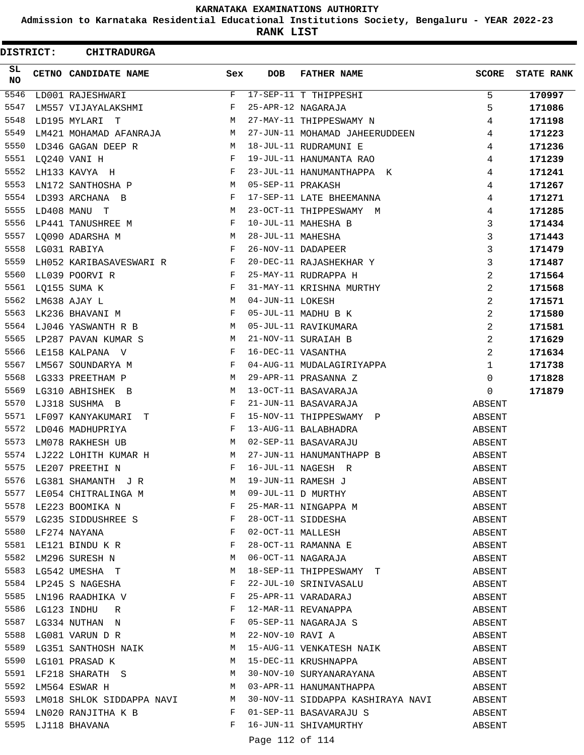**Admission to Karnataka Residential Educational Institutions Society, Bengaluru - YEAR 2022-23**

**RANK LIST**

 $\blacksquare$ 

| DISTRICT:        |  | <b>CHITRADURGA</b>                                                                                                                                         |                               |                   |                                                                                        |                |                   |  |  |
|------------------|--|------------------------------------------------------------------------------------------------------------------------------------------------------------|-------------------------------|-------------------|----------------------------------------------------------------------------------------|----------------|-------------------|--|--|
| SL.<br><b>NO</b> |  | CETNO CANDIDATE NAME                                                                                                                                       | Sex                           | <b>DOB</b>        | <b>FATHER NAME</b>                                                                     | SCORE          | <b>STATE RANK</b> |  |  |
| 5546             |  | LD001 RAJESHWARI                                                                                                                                           | F                             |                   | 17-SEP-11 T THIPPESHI                                                                  | 5              | 170997            |  |  |
| 5547             |  | LM557 VIJAYALAKSHMI                                                                                                                                        | F                             |                   | 25-APR-12 NAGARAJA                                                                     | 5              | 171086            |  |  |
| 5548             |  | LD195 MYLARI T                                                                                                                                             | M                             |                   | 27-MAY-11 THIPPESWAMY N                                                                | 4              | 171198            |  |  |
| 5549             |  | LM421 MOHAMAD AFANRAJA                                                                                                                                     | М                             |                   | 27-JUN-11 MOHAMAD JAHEERUDDEEN                                                         | 4              | 171223            |  |  |
| 5550             |  | LD346 GAGAN DEEP R                                                                                                                                         | М                             |                   | 18-JUL-11 RUDRAMUNI E                                                                  | 4              | 171236            |  |  |
| 5551             |  | LQ240 VANI H                                                                                                                                               | F                             |                   | 19-JUL-11 HANUMANTA RAO                                                                | 4              | 171239            |  |  |
| 5552             |  | LH133 KAVYA H                                                                                                                                              | F                             |                   | 23-JUL-11 HANUMANTHAPPA K                                                              | 4              | 171241            |  |  |
| 5553             |  | LN172 SANTHOSHA P                                                                                                                                          | M                             | 05-SEP-11 PRAKASH |                                                                                        | 4              | 171267            |  |  |
| 5554             |  | LD393 ARCHANA B                                                                                                                                            | F                             |                   | 17-SEP-11 LATE BHEEMANNA                                                               | 4              | 171271            |  |  |
| 5555             |  | LD408 MANU T                                                                                                                                               | M                             |                   | 23-OCT-11 THIPPESWAMY M                                                                | 4              | 171285            |  |  |
| 5556             |  | LP441 TANUSHREE M                                                                                                                                          | F                             |                   | 10-JUL-11 MAHESHA B                                                                    | 3              | 171434            |  |  |
| 5557             |  | LQ090 ADARSHA M                                                                                                                                            | М                             | 28-JUL-11 MAHESHA |                                                                                        | 3              | 171443            |  |  |
| 5558             |  | LG031 RABIYA                                                                                                                                               | F                             |                   | 26-NOV-11 DADAPEER                                                                     | 3              | 171479            |  |  |
| 5559             |  | LH052 KARIBASAVESWARI R F                                                                                                                                  |                               |                   | 20-DEC-11 RAJASHEKHAR Y                                                                | 3              | 171487            |  |  |
| 5560             |  | LL039 POORVI R                                                                                                                                             | $\mathbf{F}$                  |                   | 25-MAY-11 RUDRAPPA H                                                                   | 2              | 171564            |  |  |
| 5561             |  | LO155 SUMA K                                                                                                                                               | F                             |                   | 31-MAY-11 KRISHNA MURTHY                                                               | $\overline{a}$ | 171568            |  |  |
| 5562             |  | LM638 AJAY L                                                                                                                                               | M                             | 04-JUN-11 LOKESH  |                                                                                        | 2              | 171571            |  |  |
| 5563             |  | LK236 BHAVANI M                                                                                                                                            | F                             |                   | 05-JUL-11 MADHU B K                                                                    | 2              | 171580            |  |  |
|                  |  | 5564 LJ046 YASWANTH R B                                                                                                                                    | M                             |                   | 05-JUL-11 RAVIKUMARA                                                                   | 2              | 171581            |  |  |
| 5565             |  | LP287 PAVAN KUMAR S                                                                                                                                        | М                             |                   | 21-NOV-11 SURAIAH B                                                                    | $\overline{a}$ | 171629            |  |  |
| 5566             |  | LE158 KALPANA V                                                                                                                                            | F                             |                   | 16-DEC-11 VASANTHA                                                                     | 2              | 171634            |  |  |
| 5567             |  | LM567 SOUNDARYA M                                                                                                                                          | F                             |                   | 04-AUG-11 MUDALAGIRIYAPPA                                                              | 1              | 171738            |  |  |
| 5568             |  | LG333 PREETHAM P                                                                                                                                           | м                             |                   | 29-APR-11 PRASANNA Z                                                                   | $\mathbf 0$    | 171828            |  |  |
| 5569             |  | LG310 ABHISHEK B                                                                                                                                           | M                             |                   | 13-OCT-11 BASAVARAJA                                                                   | $\Omega$       | 171879            |  |  |
| 5570             |  | LJ318 SUSHMA B                                                                                                                                             | F                             |                   | 21-JUN-11 BASAVARAJA                                                                   | ABSENT         |                   |  |  |
| 5571             |  | LF097 KANYAKUMARI<br>T.                                                                                                                                    | $\mathbf{F}$                  |                   | 15-NOV-11 THIPPESWAMY P                                                                | ABSENT         |                   |  |  |
| 5572             |  | LD046 MADHUPRIYA                                                                                                                                           | F                             |                   | 13-AUG-11 BALABHADRA                                                                   | ABSENT         |                   |  |  |
| 5573             |  | LM078 RAKHESH UB                                                                                                                                           | M                             |                   | 02-SEP-11 BASAVARAJU                                                                   | ABSENT         |                   |  |  |
| 5574             |  | LJ222 LOHITH KUMAR H                                                                                                                                       | М                             |                   | 27-JUN-11 HANUMANTHAPP B                                                               | ABSENT         |                   |  |  |
| 5575             |  | LE207 PREETHI N                                                                                                                                            | F                             |                   | 16-JUL-11 NAGESH R                                                                     | ABSENT         |                   |  |  |
|                  |  |                                                                                                                                                            | M                             |                   | 19-JUN-11 RAMESH J<br>09-JUL-11 D MURTHY                                               | ABSENT         |                   |  |  |
|                  |  |                                                                                                                                                            |                               |                   |                                                                                        | ABSENT         |                   |  |  |
|                  |  |                                                                                                                                                            |                               |                   |                                                                                        | ABSENT         |                   |  |  |
|                  |  |                                                                                                                                                            |                               |                   |                                                                                        | ABSENT         |                   |  |  |
|                  |  |                                                                                                                                                            |                               |                   |                                                                                        | ABSENT         |                   |  |  |
|                  |  | 5576 LG381 SHAMANTH JR<br>5577 LE054 CHITRALINGA M M M<br>5578 LE223 BOOMIKA N F<br>5579 LG235 SIDDUSHREE S F<br>5580 LF274 NAYANA F<br>5581 LE121 BINDUKR |                               |                   | 25-MAR-11 NINGAPPA M<br>28-OCT-11 SIDDESHA<br>02-OCT-11 MALLESH<br>28-OCT-11 RAMANNA E | ABSENT         |                   |  |  |
| 5582             |  | LM296 SURESH N                                                                                                                                             | M                             |                   | 06-OCT-11 NAGARAJA                                                                     | ABSENT         |                   |  |  |
| 5583             |  | LG542 UMESHA T                                                                                                                                             | M                             |                   | 18-SEP-11 THIPPESWAMY T                                                                | ABSENT         |                   |  |  |
|                  |  | 5584 LP245 S NAGESHA                                                                                                                                       | F                             |                   | 22-JUL-10 SRINIVASALU                                                                  | ABSENT         |                   |  |  |
| 5585             |  | LN196 RAADHIKA V                                                                                                                                           | F                             |                   | 25-APR-11 VARADARAJ                                                                    | ABSENT         |                   |  |  |
|                  |  | $\mathbf{F}$ . The set of the set of $\mathbf{F}$<br>5586 LG123 INDHU R                                                                                    |                               |                   | 12-MAR-11 REVANAPPA                                                                    | ABSENT         |                   |  |  |
| 5587             |  | LG334 NUTHAN N                                                                                                                                             | $\mathbf{F}$ and $\mathbf{F}$ |                   | 05-SEP-11 NAGARAJA S                                                                   | ABSENT         |                   |  |  |
|                  |  | 5588 LG081 VARUN D R                                                                                                                                       | M                             |                   | 22-NOV-10 RAVI A                                                                       | ABSENT         |                   |  |  |
| 5589             |  | LG351 SANTHOSH NAIK M                                                                                                                                      |                               |                   | 15-AUG-11 VENKATESH NAIK                                                               | ABSENT         |                   |  |  |
| 5590             |  | LG101 PRASAD K                                                                                                                                             | M                             |                   | 15-DEC-11 KRUSHNAPPA                                                                   | ABSENT         |                   |  |  |
| 5591             |  | $\begin{array}{cccccc} \texttt{LF218} & \texttt{SHARATH} & \texttt{S} & \texttt{M} & \texttt{M} \end{array}$                                               |                               |                   | 30-NOV-10 SURYANARAYANA                                                                | ABSENT         |                   |  |  |
|                  |  | $\sim$ M<br>5592 LM564 ESWAR H                                                                                                                             |                               |                   | 03-APR-11 HANUMANTHAPPA                                                                | ABSENT         |                   |  |  |
|                  |  | 5593 LM018 SHLOK SIDDAPPA NAVI M                                                                                                                           |                               |                   | 30-NOV-11 SIDDAPPA KASHIRAYA NAVI ABSENT                                               |                |                   |  |  |
|                  |  | 5594 LN020 RANJITHA K B F                                                                                                                                  |                               |                   | 01-SEP-11 BASAVARAJU S                                                                 | ABSENT         |                   |  |  |
|                  |  | 5595 LJ118 BHAVANA                                                                                                                                         | F                             |                   | 16-JUN-11 SHIVAMURTHY                                                                  | ABSENT         |                   |  |  |
|                  |  |                                                                                                                                                            |                               | Page 112 of 114   |                                                                                        |                |                   |  |  |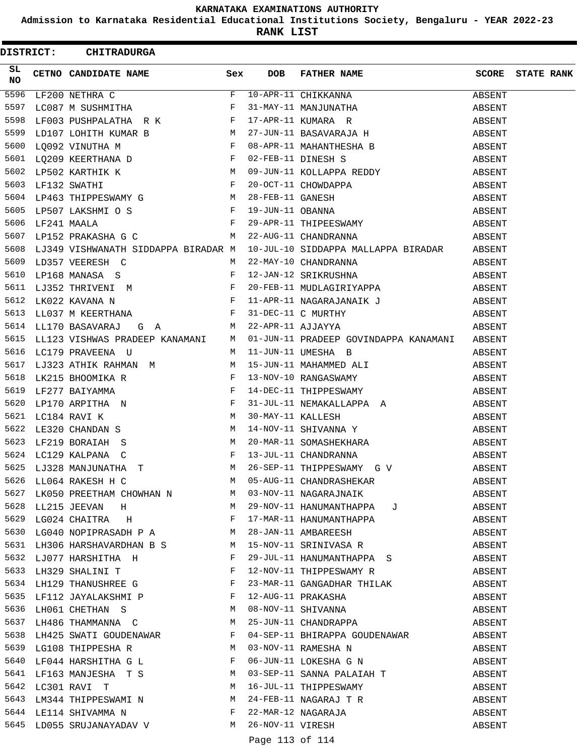**Admission to Karnataka Residential Educational Institutions Society, Bengaluru - YEAR 2022-23**

**RANK LIST**

| <b>DISTRICT:</b> |  | <b>CHITRADURGA</b>                                                |   |                 |                                                                                                                                                                                                                                                                                                                                                                                                                                                                                                                    |        |                   |  |
|------------------|--|-------------------------------------------------------------------|---|-----------------|--------------------------------------------------------------------------------------------------------------------------------------------------------------------------------------------------------------------------------------------------------------------------------------------------------------------------------------------------------------------------------------------------------------------------------------------------------------------------------------------------------------------|--------|-------------------|--|
| SL<br>NO         |  | CETNO CANDIDATE NAME Sex                                          |   | <b>DOB</b>      | FATHER NAME                                                                                                                                                                                                                                                                                                                                                                                                                                                                                                        | SCORE  | <b>STATE RANK</b> |  |
| 5596             |  |                                                                   |   |                 | LF200 NETHRA C<br>LC087 M SUSHMITHA<br>LF003 PUSHPALATHA R K R SUSHTALATHA R K F 17-APR-11 KUMARA R<br>LD107 LOHITH KUMAR B M 27-JUN-11 BASAVARAJA H<br>19900 M 27-JUN-11 BASAVARAJA H                                                                                                                                                                                                                                                                                                                             | ABSENT |                   |  |
| 5597             |  |                                                                   |   |                 |                                                                                                                                                                                                                                                                                                                                                                                                                                                                                                                    | ABSENT |                   |  |
| 5598             |  |                                                                   |   |                 |                                                                                                                                                                                                                                                                                                                                                                                                                                                                                                                    | ABSENT |                   |  |
| 5599             |  |                                                                   |   |                 |                                                                                                                                                                                                                                                                                                                                                                                                                                                                                                                    | ABSENT |                   |  |
|                  |  |                                                                   |   |                 |                                                                                                                                                                                                                                                                                                                                                                                                                                                                                                                    |        |                   |  |
|                  |  |                                                                   |   |                 |                                                                                                                                                                                                                                                                                                                                                                                                                                                                                                                    |        |                   |  |
|                  |  |                                                                   |   |                 |                                                                                                                                                                                                                                                                                                                                                                                                                                                                                                                    |        |                   |  |
|                  |  |                                                                   |   |                 |                                                                                                                                                                                                                                                                                                                                                                                                                                                                                                                    |        |                   |  |
| 5604             |  |                                                                   |   |                 | $\begin{tabular}{lllllllllllllllllll} \textsc{LF132 SWATHI} & & & & & & \textsc{F} & 20-OCT-11 CHOWDAPPA & & & & & & & \textsc{ABSENT} \\ \textsc{LP463 THIPPESWAMY G} & & & & & & \textsc{28-FEB-11 GANESH} & & & & & \textsc{ABSENT} \\ \textsc{LP507 LAKSHMI O S} & & & & & & \textsc{F} & 19-JUN-11 OBANNA & & & & & \textsc{ABSENT} \\ \textsc{LF241 MAALA} & & & & & \textsc{F} & 29-APR-11 THIPEESWAMY & & & &$                                                                                             |        |                   |  |
| 5605             |  |                                                                   |   |                 |                                                                                                                                                                                                                                                                                                                                                                                                                                                                                                                    |        |                   |  |
| 5606             |  |                                                                   |   |                 |                                                                                                                                                                                                                                                                                                                                                                                                                                                                                                                    |        |                   |  |
| 5607             |  |                                                                   |   |                 |                                                                                                                                                                                                                                                                                                                                                                                                                                                                                                                    |        |                   |  |
| 5608             |  | LJ349 VISHWANATH SIDDAPPA BIRADAR M                               |   |                 | 10-JUL-10 SIDDAPPA MALLAPPA BIRADAR ABSENT                                                                                                                                                                                                                                                                                                                                                                                                                                                                         |        |                   |  |
| 5609             |  |                                                                   |   |                 |                                                                                                                                                                                                                                                                                                                                                                                                                                                                                                                    |        |                   |  |
| 5610             |  |                                                                   |   |                 |                                                                                                                                                                                                                                                                                                                                                                                                                                                                                                                    |        |                   |  |
| 5611             |  |                                                                   |   |                 |                                                                                                                                                                                                                                                                                                                                                                                                                                                                                                                    |        |                   |  |
| 5612             |  |                                                                   |   |                 |                                                                                                                                                                                                                                                                                                                                                                                                                                                                                                                    |        |                   |  |
| 5613             |  |                                                                   |   |                 | $\begin{tabular}{lllllllllllllllllll} \textsc{LD357} & \textsc{VEERESH} & \textsc{C} & \textsc{M} & 22-MAY-10 & \textsc{CHANDRANNA} & \textsc{ABSENT} \\ \textsc{LP168} & \textsc{MANASA} & \textsc{S} & \textsc{F} & 12-JAN-12 & \textsc{SRIKRUSHNA} & \textsc{ABSENT} \\ \textsc{LJ352} & \textsc{THRIVENI} & \textsc{M} & \textsc{F} & 20-FEB-11 & \textsc{MUDLAGIRIYAPPA} & \textsc{ABSENT} \\ \textsc{LK022} & \textsc{$<br>11-APR-11 NAGARAJANAIK J<br>31-DEC-11 C MURTHY ABSENT<br>22-APR-11 AJJAYYA ABSENT |        |                   |  |
| 5614             |  | M 22-APR-11 AJJAYYA<br>LL170 BASAVARAJ   G   A                    |   |                 |                                                                                                                                                                                                                                                                                                                                                                                                                                                                                                                    |        |                   |  |
| 5615             |  |                                                                   |   |                 | LL123 VISHWAS PRADEEP KANAMANI M 01-JUN-11 PRADEEP GOVINDAPPA KANAMANI ABSENT                                                                                                                                                                                                                                                                                                                                                                                                                                      |        |                   |  |
| 5616             |  | M <sub>N</sub><br>LC179 PRAVEENA U                                |   |                 |                                                                                                                                                                                                                                                                                                                                                                                                                                                                                                                    | ABSENT |                   |  |
| 5617             |  | LJ323 ATHIK RAHMAN M                                              |   |                 |                                                                                                                                                                                                                                                                                                                                                                                                                                                                                                                    | ABSENT |                   |  |
| 5618             |  |                                                                   |   |                 |                                                                                                                                                                                                                                                                                                                                                                                                                                                                                                                    |        |                   |  |
| 5619             |  |                                                                   |   |                 | 11-JUN-11 UMESHA B<br>15-JUN-11 MAHAMMED ALI<br>13-NOV-10 RANGASWAMY<br>14-DEC-11 THIPPESWAMY                                                                                                                                                                                                                                                                                                                                                                                                                      |        |                   |  |
| 5620             |  |                                                                   |   |                 | LJ323 ATHIK RAHMAN M M 15-JUN-11 MAHAMMED AL1 ABSENT<br>LK215 BHOOMIKA R F 13-NOV-10 RANGASWAMY ABSENT<br>LF277 BAIYAMMA F 14-DEC-11 THIPPESWAMY ABSENT<br>LP170 ARPITHA N F 31-JUL-11 NEMAKALLAPPA A ABSENT<br>LC184 RAVI K M 30-MAY                                                                                                                                                                                                                                                                              |        |                   |  |
| 5621             |  |                                                                   |   |                 |                                                                                                                                                                                                                                                                                                                                                                                                                                                                                                                    |        |                   |  |
| 5622             |  |                                                                   |   |                 |                                                                                                                                                                                                                                                                                                                                                                                                                                                                                                                    |        |                   |  |
| 5623             |  |                                                                   |   |                 |                                                                                                                                                                                                                                                                                                                                                                                                                                                                                                                    |        |                   |  |
| 5624             |  |                                                                   |   |                 |                                                                                                                                                                                                                                                                                                                                                                                                                                                                                                                    |        |                   |  |
|                  |  | 5625 LJ328 MANJUNATHA T                                           |   |                 | M 26-SEP-11 THIPPESWAMY G V                                                                                                                                                                                                                                                                                                                                                                                                                                                                                        | ABSENT |                   |  |
| 5626             |  | LL064 RAKESH H C                                                  | M |                 | 05-AUG-11 CHANDRASHEKAR                                                                                                                                                                                                                                                                                                                                                                                                                                                                                            | ABSENT |                   |  |
|                  |  | 5627 LK050 PREETHAM CHOWHAN N M 03-NOV-11 NAGARAJNAIK             |   |                 |                                                                                                                                                                                                                                                                                                                                                                                                                                                                                                                    | ABSENT |                   |  |
| 5628             |  | LL215 JEEVAN H                                                    |   |                 | M 29-NOV-11 HANUMANTHAPPA J                                                                                                                                                                                                                                                                                                                                                                                                                                                                                        | ABSENT |                   |  |
|                  |  | $\mathbb F$ . The set of $\mathbb F$<br>5629 LG024 CHAITRA H      |   |                 | 17-MAR-11 HANUMANTHAPPA                                                                                                                                                                                                                                                                                                                                                                                                                                                                                            | ABSENT |                   |  |
|                  |  | 5630 LG040 NOPIPRASADH P A M 28-JAN-11 AMBAREESH                  |   |                 |                                                                                                                                                                                                                                                                                                                                                                                                                                                                                                                    | ABSENT |                   |  |
|                  |  | 5631 LH306 HARSHAVARDHAN B S M                                    |   |                 | 15-NOV-11 SRINIVASA R                                                                                                                                                                                                                                                                                                                                                                                                                                                                                              | ABSENT |                   |  |
| 5632             |  | LJ077 HARSHITHA H                                                 |   |                 | 29-JUL-11 HANUMANTHAPPA S                                                                                                                                                                                                                                                                                                                                                                                                                                                                                          | ABSENT |                   |  |
| 5633             |  | LH329 SHALINI T F                                                 |   |                 | 12-NOV-11 THIPPESWAMY R                                                                                                                                                                                                                                                                                                                                                                                                                                                                                            | ABSENT |                   |  |
|                  |  |                                                                   |   |                 | 23-MAR-11 GANGADHAR THILAK                                                                                                                                                                                                                                                                                                                                                                                                                                                                                         | ABSENT |                   |  |
|                  |  | 5634 LH129 THANUSHREE G<br>5635 LF112 JAYALAKSHMI P F F           |   |                 |                                                                                                                                                                                                                                                                                                                                                                                                                                                                                                                    | ABSENT |                   |  |
|                  |  | 5636 LH061 CHETHAN S M                                            |   |                 | 12-AUG-11 PRAKASHA<br>08-NOV-11 SHIVANNA                                                                                                                                                                                                                                                                                                                                                                                                                                                                           | ABSENT |                   |  |
| 5637             |  | LH486 THAMMANNA C M                                               |   |                 | 25-JUN-11 CHANDRAPPA                                                                                                                                                                                                                                                                                                                                                                                                                                                                                               | ABSENT |                   |  |
| 5638             |  | LH425 SWATI GOUDENAWAR F                                          |   |                 |                                                                                                                                                                                                                                                                                                                                                                                                                                                                                                                    |        |                   |  |
| 5639             |  |                                                                   |   |                 | 04-SEP-11 BHIRAPPA GOUDENAWAR                                                                                                                                                                                                                                                                                                                                                                                                                                                                                      | ABSENT |                   |  |
| 5640             |  | LG108 THIPPESHA R M<br>LF044 HARSHITHA G L F                      |   |                 | 03-NOV-11 RAMESHA N<br>06-JUN-11 LOKESHA G N                                                                                                                                                                                                                                                                                                                                                                                                                                                                       | ABSENT |                   |  |
|                  |  |                                                                   |   |                 |                                                                                                                                                                                                                                                                                                                                                                                                                                                                                                                    | ABSENT |                   |  |
|                  |  | 5641 LF163 MANJESHA T S<br>5642 LC301 RAVI T<br>5642 LC301 RAVI T |   |                 | 03-SEP-11 SANNA PALAIAH T<br>16-JUL-11 THIPPESWAMY                                                                                                                                                                                                                                                                                                                                                                                                                                                                 | ABSENT |                   |  |
| 5643             |  |                                                                   |   |                 | LC301 RAVI T<br>LM344 THIPPESWAMI N M 24-FEB-11 NAGARAJ T R                                                                                                                                                                                                                                                                                                                                                                                                                                                        | ABSENT |                   |  |
|                  |  |                                                                   |   |                 |                                                                                                                                                                                                                                                                                                                                                                                                                                                                                                                    | ABSENT |                   |  |
|                  |  | 5644 LE114 SHIVAMMA N F                                           |   |                 | 22-MAR-12 NAGARAJA<br>26-NOV-11 VIRESH                                                                                                                                                                                                                                                                                                                                                                                                                                                                             | ABSENT |                   |  |
|                  |  | 5645 LD055 SRUJANAYADAV V M                                       |   |                 |                                                                                                                                                                                                                                                                                                                                                                                                                                                                                                                    | ABSENT |                   |  |
|                  |  |                                                                   |   | Page 113 of 114 |                                                                                                                                                                                                                                                                                                                                                                                                                                                                                                                    |        |                   |  |